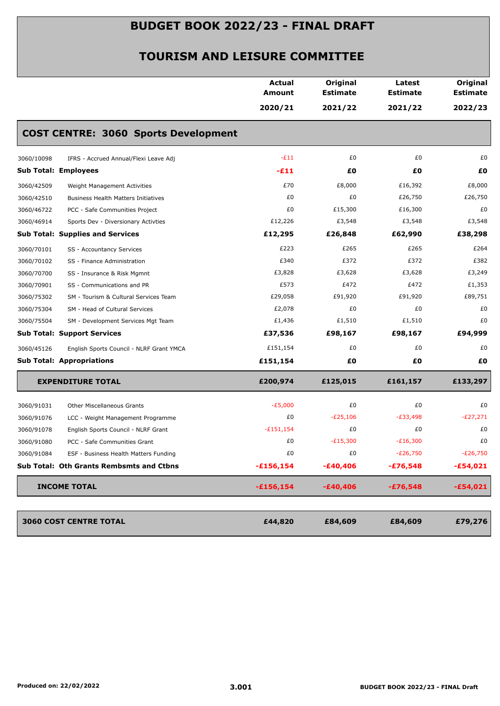|                                                          | <b>Actual</b><br>Amount | Original<br><b>Estimate</b> | Latest<br><b>Estimate</b> | Original<br><b>Estimate</b> |
|----------------------------------------------------------|-------------------------|-----------------------------|---------------------------|-----------------------------|
|                                                          | 2020/21                 | 2021/22                     | 2021/22                   | 2022/23                     |
| <b>COST CENTRE: 3060 Sports Development</b>              |                         |                             |                           |                             |
| 3060/10098<br>IFRS - Accrued Annual/Flexi Leave Adj      | $-E11$                  | £0                          | £0                        | £0                          |
| <b>Sub Total: Employees</b>                              | -£11                    | £O                          | £Ο                        | £0                          |
| 3060/42509<br>Weight Management Activities               | £70                     | £8,000                      | £16,392                   | £8,000                      |
| 3060/42510<br><b>Business Health Matters Initiatives</b> | £0                      | £0                          | £26,750                   | £26,750                     |
| 3060/46722<br>PCC - Safe Communities Project             | £0                      | £15,300                     | £16,300                   | £0                          |
| 3060/46914<br>Sports Dev - Diversionary Activties        | £12,226                 | £3,548                      | £3,548                    | £3,548                      |
| <b>Sub Total: Supplies and Services</b>                  | £12,295                 | £26,848                     | £62,990                   | £38,298                     |
| 3060/70101<br>SS - Accountancy Services                  | £223                    | £265                        | £265                      | £264                        |
| 3060/70102<br>SS - Finance Administration                | £340                    | £372                        | £372                      | £382                        |
| 3060/70700<br>SS - Insurance & Risk Mgmnt                | £3,828                  | £3,628                      | £3,628                    | £3,249                      |
| 3060/70901<br>SS - Communications and PR                 | £573                    | £472                        | £472                      | £1,353                      |
| 3060/75302<br>SM - Tourism & Cultural Services Team      | £29,058                 | £91,920                     | £91,920                   | £89,751                     |
| 3060/75304<br>SM - Head of Cultural Services             | £2,078                  | £0                          | £0                        | £0                          |
| 3060/75504<br>SM - Development Services Mgt Team         | £1,436                  | £1,510                      | £1,510                    | £0                          |
| <b>Sub Total: Support Services</b>                       | £37,536                 | £98,167                     | £98,167                   | £94,999                     |
| 3060/45126<br>English Sports Council - NLRF Grant YMCA   | £151,154                | £0                          | £0                        | £0                          |
| <b>Sub Total: Appropriations</b>                         | £151,154                | £0                          | £Ο                        | £Ο                          |
| <b>EXPENDITURE TOTAL</b>                                 | £200,974                | £125,015                    | £161,157                  | £133,297                    |
| 3060/91031<br><b>Other Miscellaneous Grants</b>          | $-E5,000$               | £0                          | £0                        | £0                          |
| 3060/91076<br>LCC - Weight Management Programme          | £0                      | $-E25,106$                  | $-E33,498$                | $-E27,271$                  |
| 3060/91078<br>English Sports Council - NLRF Grant        | $-£151,154$             | £0                          | £0                        | £0                          |
| 3060/91080<br>PCC - Safe Communities Grant               | £0                      | $-E15,300$                  | $-E16,300$                | £0                          |
| 3060/91084<br>ESF - Business Health Matters Funding      | £0                      | £0                          | $-E26,750$                | $-E26,750$                  |
| Sub Total: Oth Grants Rembsmts and Ctbns                 | $-£156,154$             | $-£40,406$                  | $-£76,548$                | $-£54,021$                  |
| <b>INCOME TOTAL</b>                                      | $-£156,154$             | $-£40,406$                  | $-£76,548$                | $-£54,021$                  |
| <b>3060 COST CENTRE TOTAL</b>                            | £44,820                 | £84,609                     | £84,609                   | £79,276                     |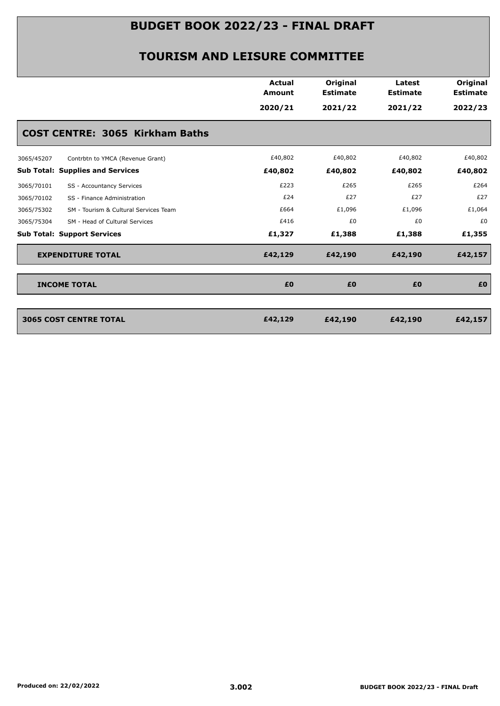|            |                                         | <b>Actual</b><br><b>Amount</b> | Original<br><b>Estimate</b> | Latest<br><b>Estimate</b> | Original<br><b>Estimate</b> |
|------------|-----------------------------------------|--------------------------------|-----------------------------|---------------------------|-----------------------------|
|            |                                         | 2020/21                        | 2021/22                     | 2021/22                   | 2022/23                     |
|            | <b>COST CENTRE: 3065 Kirkham Baths</b>  |                                |                             |                           |                             |
| 3065/45207 | Contrbtn to YMCA (Revenue Grant)        | £40,802                        | £40,802                     | £40,802                   | £40,802                     |
|            | <b>Sub Total: Supplies and Services</b> | £40,802                        | £40,802                     | £40,802                   | £40,802                     |
| 3065/70101 | SS - Accountancy Services               | £223                           | £265                        | £265                      | £264                        |
| 3065/70102 | SS - Finance Administration             | £24                            | £27                         | £27                       | £27                         |
| 3065/75302 | SM - Tourism & Cultural Services Team   | £664                           | £1,096                      | £1,096                    | £1,064                      |
| 3065/75304 | SM - Head of Cultural Services          | £416                           | £0                          | £0                        | £0                          |
|            | <b>Sub Total: Support Services</b>      | £1,327                         | £1,388                      | £1,388                    | £1,355                      |
|            | <b>EXPENDITURE TOTAL</b>                | £42,129                        | £42,190                     | £42,190                   | £42,157                     |
|            | <b>INCOME TOTAL</b>                     | £0                             | £0                          | £0                        | £0                          |
|            | <b>3065 COST CENTRE TOTAL</b>           | £42,129                        | £42,190                     | £42,190                   | £42,157                     |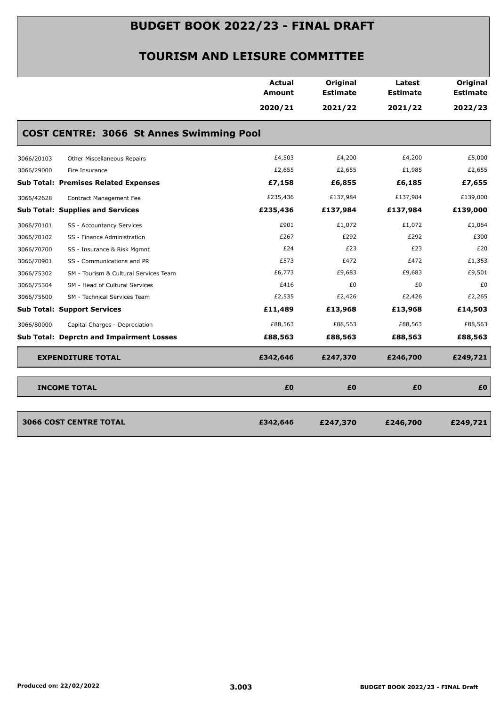|            |                                                 | Actual<br><b>Amount</b> | Original<br><b>Estimate</b> | Latest<br><b>Estimate</b> | Original<br><b>Estimate</b> |
|------------|-------------------------------------------------|-------------------------|-----------------------------|---------------------------|-----------------------------|
|            |                                                 | 2020/21                 | 2021/22                     | 2021/22                   | 2022/23                     |
|            | <b>COST CENTRE: 3066 St Annes Swimming Pool</b> |                         |                             |                           |                             |
| 3066/20103 | Other Miscellaneous Repairs                     | £4,503                  | £4,200                      | £4,200                    | £5,000                      |
| 3066/29000 | Fire Insurance                                  | £2,655                  | £2,655                      | £1,985                    | £2,655                      |
|            | <b>Sub Total: Premises Related Expenses</b>     | £7,158                  | £6,855                      | £6,185                    | £7,655                      |
| 3066/42628 | Contract Management Fee                         | £235,436                | £137,984                    | £137,984                  | £139,000                    |
|            | <b>Sub Total: Supplies and Services</b>         | £235,436                | £137,984                    | £137,984                  | £139,000                    |
| 3066/70101 | SS - Accountancy Services                       | £901                    | £1,072                      | £1,072                    | £1,064                      |
| 3066/70102 | SS - Finance Administration                     | £267                    | £292                        | £292                      | £300                        |
| 3066/70700 | SS - Insurance & Risk Mgmnt                     | £24                     | £23                         | £23                       | £20                         |
| 3066/70901 | SS - Communications and PR                      | £573                    | £472                        | £472                      | £1,353                      |
| 3066/75302 | SM - Tourism & Cultural Services Team           | £6,773                  | £9,683                      | £9,683                    | £9,501                      |
| 3066/75304 | SM - Head of Cultural Services                  | £416                    | £0                          | £0                        | £0                          |
| 3066/75600 | SM - Technical Services Team                    | £2,535                  | £2,426                      | £2,426                    | £2,265                      |
|            | <b>Sub Total: Support Services</b>              | £11,489                 | £13,968                     | £13,968                   | £14,503                     |
| 3066/80000 | Capital Charges - Depreciation                  | £88,563                 | £88,563                     | £88,563                   | £88,563                     |
|            | <b>Sub Total: Deprctn and Impairment Losses</b> | £88,563                 | £88,563                     | £88,563                   | £88,563                     |
|            | <b>EXPENDITURE TOTAL</b>                        | £342,646                | £247,370                    | £246,700                  | £249,721                    |
|            | <b>INCOME TOTAL</b>                             | £0                      | £Ο                          | £0                        | £0                          |
|            | <b>3066 COST CENTRE TOTAL</b>                   | £342,646                | £247,370                    | £246,700                  | £249,721                    |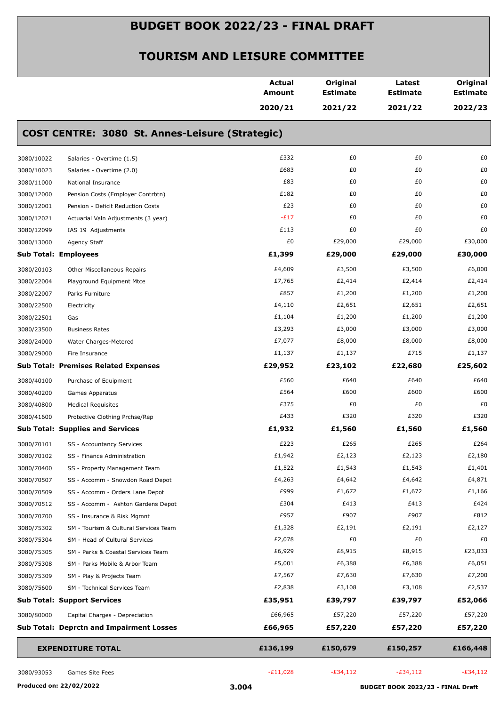|            |                                                 | <b>Actual</b><br>Amount | Original<br><b>Estimate</b> | Latest<br><b>Estimate</b> | Original<br><b>Estimate</b> |
|------------|-------------------------------------------------|-------------------------|-----------------------------|---------------------------|-----------------------------|
|            |                                                 | 2020/21                 | 2021/22                     | 2021/22                   | 2022/23                     |
|            | COST CENTRE: 3080 St. Annes-Leisure (Strategic) |                         |                             |                           |                             |
| 3080/10022 | Salaries - Overtime (1.5)                       | £332                    | £0                          | £0                        | £0                          |
| 3080/10023 | Salaries - Overtime (2.0)                       | £683                    | £0                          | £0                        | £0                          |
| 3080/11000 | National Insurance                              | £83                     | £0                          | £0                        | £0                          |
| 3080/12000 | Pension Costs (Employer Contrbtn)               | £182                    | £0                          | £0                        | £0                          |
| 3080/12001 | Pension - Deficit Reduction Costs               | £23                     | £0                          | £0                        | £0                          |
| 3080/12021 | Actuarial Valn Adjustments (3 year)             | $-E17$                  | £0                          | £0                        | £0                          |
| 3080/12099 | IAS 19 Adjustments                              | £113                    | £0                          | £0                        | £0                          |
| 3080/13000 | Agency Staff                                    | £0                      | £29,000                     | £29,000                   | £30,000                     |
|            | <b>Sub Total: Employees</b>                     | £1,399                  | £29,000                     | £29,000                   | £30,000                     |
| 3080/20103 | Other Miscellaneous Repairs                     | £4,609                  | £3,500                      | £3,500                    | £6,000                      |
| 3080/22004 | Playground Equipment Mtce                       | £7,765                  | £2,414                      | £2,414                    | £2,414                      |
| 3080/22007 | Parks Furniture                                 | £857                    | £1,200                      | £1,200                    | £1,200                      |
| 3080/22500 | Electricity                                     | £4,110                  | £2,651                      | £2,651                    | £2,651                      |
| 3080/22501 | Gas                                             | £1,104                  | £1,200                      | £1,200                    | £1,200                      |
| 3080/23500 | <b>Business Rates</b>                           | £3,293                  | £3,000                      | £3,000                    | £3,000                      |
| 3080/24000 | Water Charges-Metered                           | £7,077                  | £8,000                      | £8,000                    | £8,000                      |
| 3080/29000 | Fire Insurance                                  | £1,137                  | £1,137                      | £715                      | £1,137                      |
|            | <b>Sub Total: Premises Related Expenses</b>     | £29,952                 | £23,102                     | £22,680                   | £25,602                     |
| 3080/40100 | Purchase of Equipment                           | £560                    | £640                        | £640                      | £640                        |
| 3080/40200 | Games Apparatus                                 | £564                    | £600                        | £600                      | £600                        |
| 3080/40800 | <b>Medical Requisites</b>                       | £375                    | £0                          | £0                        | £0                          |
| 3080/41600 | Protective Clothing Prchse/Rep                  | £433                    | £320                        | £320                      | £320                        |
|            | <b>Sub Total: Supplies and Services</b>         | £1,932                  | £1,560                      | £1,560                    | £1,560                      |
| 3080/70101 | SS - Accountancy Services                       | £223                    | £265                        | £265                      | £264                        |
| 3080/70102 | SS - Finance Administration                     | £1,942                  | £2,123                      | £2,123                    | £2,180                      |
| 3080/70400 | SS - Property Management Team                   | £1,522                  | £1,543                      | £1,543                    | £1,401                      |
| 3080/70507 | SS - Accomm - Snowdon Road Depot                | £4,263                  | £4,642                      | £4,642                    | £4,871                      |
| 3080/70509 | SS - Accomm - Orders Lane Depot                 | £999                    | £1,672                      | £1,672                    | £1,166                      |
| 3080/70512 | SS - Accomm - Ashton Gardens Depot              | £304                    | £413                        | £413                      | £424                        |
| 3080/70700 | SS - Insurance & Risk Mgmnt                     | £957                    | £907                        | £907                      | £812                        |
| 3080/75302 | SM - Tourism & Cultural Services Team           | £1,328                  | £2,191                      | £2,191                    | £2,127                      |
| 3080/75304 | SM - Head of Cultural Services                  | £2,078                  | £0                          | £0                        | £0                          |
| 3080/75305 | SM - Parks & Coastal Services Team              | £6,929                  | £8,915                      | £8,915                    | £23,033                     |
| 3080/75308 | SM - Parks Mobile & Arbor Team                  | £5,001                  | £6,388                      | £6,388                    | £6,051                      |
| 3080/75309 | SM - Play & Projects Team                       | £7,567                  | £7,630                      | £7,630                    | £7,200                      |
| 3080/75600 | SM - Technical Services Team                    | £2,838                  | £3,108                      | £3,108                    | £2,537                      |
|            | <b>Sub Total: Support Services</b>              | £35,951                 | £39,797                     | £39,797                   | £52,066                     |
| 3080/80000 | Capital Charges - Depreciation                  | £66,965                 | £57,220                     | £57,220                   | £57,220                     |
|            | <b>Sub Total: Deprctn and Impairment Losses</b> | £66,965                 | £57,220                     | £57,220                   | £57,220                     |
|            | <b>EXPENDITURE TOTAL</b>                        | £136,199                | £150,679                    | £150,257                  | £166,448                    |
| 3080/93053 | Games Site Fees                                 | $-E11,028$              | $-E34,112$                  | $-£34,112$                | $-E34,112$                  |
|            |                                                 |                         |                             |                           |                             |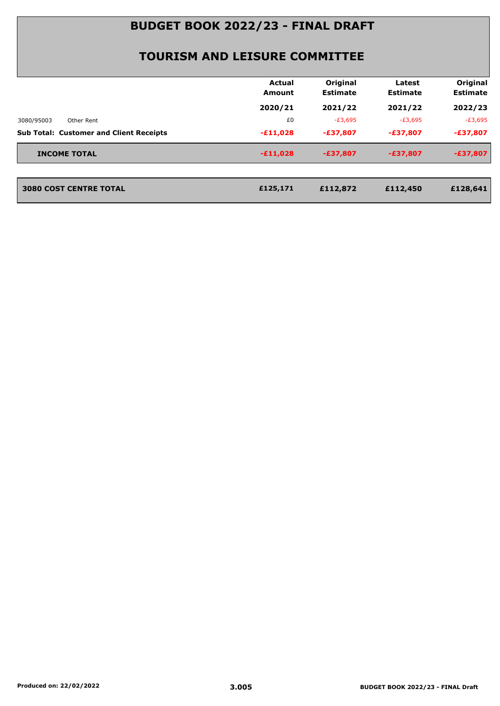| Original<br>Actual<br>Latest<br><b>Estimate</b><br><b>Estimate</b><br>Amount<br>2020/21<br>2021/22<br>2021/22<br>$-E3,695$<br>$-E3,695$<br>£0<br>3080/95003<br>Other Rent<br><b>Sub Total: Customer and Client Receipts</b><br>$-£11,028$<br>$-£37,807$<br>$-£37,807$<br><b>INCOME TOTAL</b><br>$-£11,028$<br>$-E37,807$<br>$-£37,807$<br><b>3080 COST CENTRE TOTAL</b><br>£125,171<br>£112,872<br>£112,450 |  |  |                             |
|-------------------------------------------------------------------------------------------------------------------------------------------------------------------------------------------------------------------------------------------------------------------------------------------------------------------------------------------------------------------------------------------------------------|--|--|-----------------------------|
|                                                                                                                                                                                                                                                                                                                                                                                                             |  |  | Original<br><b>Estimate</b> |
|                                                                                                                                                                                                                                                                                                                                                                                                             |  |  | 2022/23                     |
|                                                                                                                                                                                                                                                                                                                                                                                                             |  |  | $-E3,695$                   |
|                                                                                                                                                                                                                                                                                                                                                                                                             |  |  | $-£37,807$                  |
|                                                                                                                                                                                                                                                                                                                                                                                                             |  |  | $-£37,807$                  |
|                                                                                                                                                                                                                                                                                                                                                                                                             |  |  |                             |
|                                                                                                                                                                                                                                                                                                                                                                                                             |  |  | £128,641                    |
|                                                                                                                                                                                                                                                                                                                                                                                                             |  |  |                             |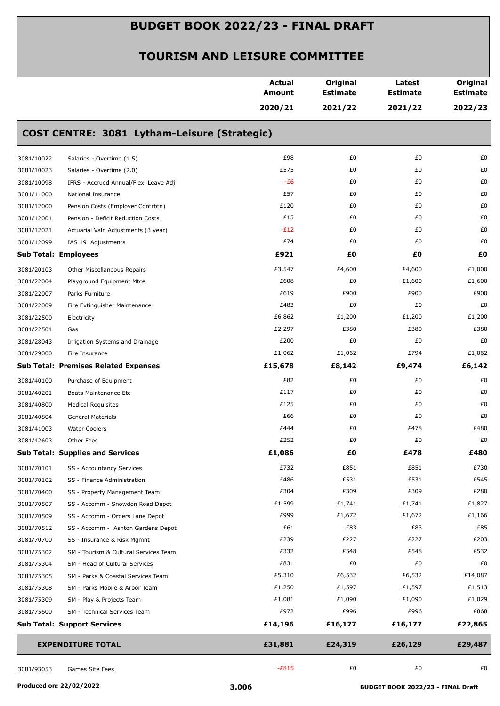|            |                                              | <b>Actual</b><br><b>Amount</b> | Original<br><b>Estimate</b> | Latest<br><b>Estimate</b> | Original<br><b>Estimate</b> |
|------------|----------------------------------------------|--------------------------------|-----------------------------|---------------------------|-----------------------------|
|            |                                              | 2020/21                        | 2021/22                     | 2021/22                   | 2022/23                     |
|            | COST CENTRE: 3081 Lytham-Leisure (Strategic) |                                |                             |                           |                             |
| 3081/10022 | Salaries - Overtime (1.5)                    | £98                            | £0                          | £0                        | £0                          |
| 3081/10023 | Salaries - Overtime (2.0)                    | £575                           | £0                          | £0                        | £0                          |
| 3081/10098 | IFRS - Accrued Annual/Flexi Leave Adj        | $-E6$                          | £0                          | £0                        | £0                          |
| 3081/11000 | National Insurance                           | £57                            | £0                          | £0                        | £0                          |
| 3081/12000 | Pension Costs (Employer Contrbtn)            | £120                           | £0                          | £0                        | £0                          |
| 3081/12001 | Pension - Deficit Reduction Costs            | £15                            | £0                          | £0                        | £0                          |
| 3081/12021 | Actuarial Valn Adjustments (3 year)          | $-E12$                         | £0                          | £0                        | £0                          |
| 3081/12099 | IAS 19 Adjustments                           | £74                            | £0                          | £0                        | £0                          |
|            | <b>Sub Total: Employees</b>                  | £921                           | £0                          | £Ο                        | £Ο                          |
| 3081/20103 | Other Miscellaneous Repairs                  | £3,547                         | £4,600                      | £4,600                    | £1,000                      |
| 3081/22004 | Playground Equipment Mtce                    | £608                           | £0                          | £1,600                    | £1,600                      |
| 3081/22007 | Parks Furniture                              | £619                           | £900                        | £900                      | £900                        |
| 3081/22009 | Fire Extinguisher Maintenance                | £483                           | £0                          | £0                        | £0                          |
| 3081/22500 | Electricity                                  | £6,862                         | £1,200                      | £1,200                    | £1,200                      |
| 3081/22501 | Gas                                          | £2,297                         | £380                        | £380                      | £380                        |
| 3081/28043 | Irrigation Systems and Drainage              | £200                           | £0                          | £0                        | £0                          |
| 3081/29000 | Fire Insurance                               | £1,062                         | £1,062                      | £794                      | £1,062                      |
|            | <b>Sub Total: Premises Related Expenses</b>  | £15,678                        | £8,142                      | £9,474                    | £6,142                      |
| 3081/40100 | Purchase of Equipment                        | £82                            | £0                          | £0                        | £0                          |
| 3081/40201 | Boats Maintenance Etc                        | £117                           | £0                          | £0                        | £0                          |
| 3081/40800 | <b>Medical Requisites</b>                    | £125                           | £0                          | £0                        | £0                          |
| 3081/40804 | General Materials                            | £66                            | £0                          | £0                        | £0                          |
| 3081/41003 | <b>Water Coolers</b>                         | £444                           | £0                          | £478                      | £480                        |
| 3081/42603 | Other Fees                                   | £252                           | £0                          | £0                        | £0                          |
|            | <b>Sub Total: Supplies and Services</b>      | £1,086                         | £Ο                          | £478                      | £480                        |
| 3081/70101 | SS - Accountancy Services                    | £732                           | £851                        | £851                      | £730                        |
| 3081/70102 | SS - Finance Administration                  | £486                           | £531                        | £531                      | £545                        |
| 3081/70400 | SS - Property Management Team                | £304                           | £309                        | £309                      | £280                        |
| 3081/70507 | SS - Accomm - Snowdon Road Depot             | £1,599                         | £1,741                      | £1,741                    | £1,827                      |
| 3081/70509 | SS - Accomm - Orders Lane Depot              | £999                           | £1,672                      | £1,672                    | £1,166                      |
| 3081/70512 | SS - Accomm - Ashton Gardens Depot           | £61                            | £83                         | £83                       | £85                         |
| 3081/70700 | SS - Insurance & Risk Mgmnt                  | £239                           | £227                        | £227                      | £203                        |
| 3081/75302 | SM - Tourism & Cultural Services Team        | £332                           | £548                        | £548                      | £532                        |
| 3081/75304 | SM - Head of Cultural Services               | £831                           | £0                          | £0                        | £0                          |
| 3081/75305 | SM - Parks & Coastal Services Team           | £5,310                         | £6,532                      | £6,532                    | £14,087                     |
| 3081/75308 | SM - Parks Mobile & Arbor Team               | £1,250                         | £1,597                      | £1,597                    | £1,513                      |
| 3081/75309 | SM - Play & Projects Team                    | £1,081                         | £1,090                      | £1,090                    | £1,029                      |
| 3081/75600 | SM - Technical Services Team                 | £972                           | £996                        | £996                      | £868                        |
|            | <b>Sub Total: Support Services</b>           | £14,196                        | £16,177                     | £16,177                   | £22,865                     |
|            | <b>EXPENDITURE TOTAL</b>                     | £31,881                        | £24,319                     | £26,129                   | £29,487                     |
| 3081/93053 | Games Site Fees                              | $-E815$                        | £0                          | £0                        | £0                          |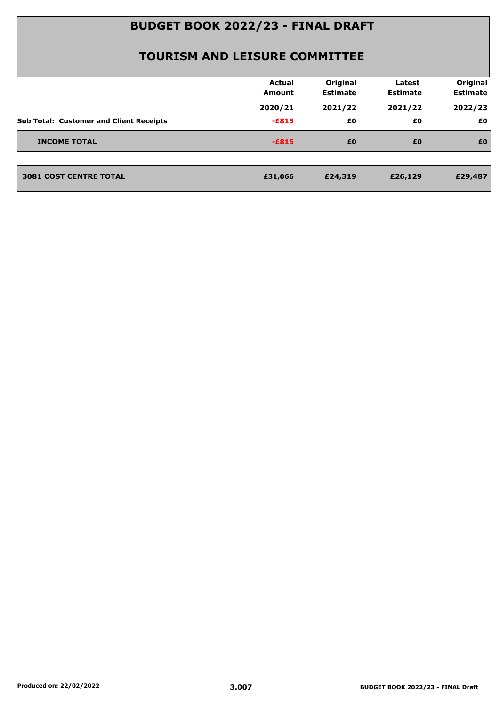|                                                | Actual<br><b>Amount</b> | Original<br><b>Estimate</b> | Latest<br><b>Estimate</b> | Original<br><b>Estimate</b> |
|------------------------------------------------|-------------------------|-----------------------------|---------------------------|-----------------------------|
|                                                | 2020/21                 | 2021/22                     | 2021/22                   | 2022/23                     |
| <b>Sub Total: Customer and Client Receipts</b> | $-E815$                 | £0                          | £0                        | £0                          |
| <b>INCOME TOTAL</b>                            | $-E815$                 | £0                          | £0                        | £0                          |
| <b>3081 COST CENTRE TOTAL</b>                  | £31,066                 | £24,319                     | £26,129                   | £29,487                     |
|                                                |                         |                             |                           |                             |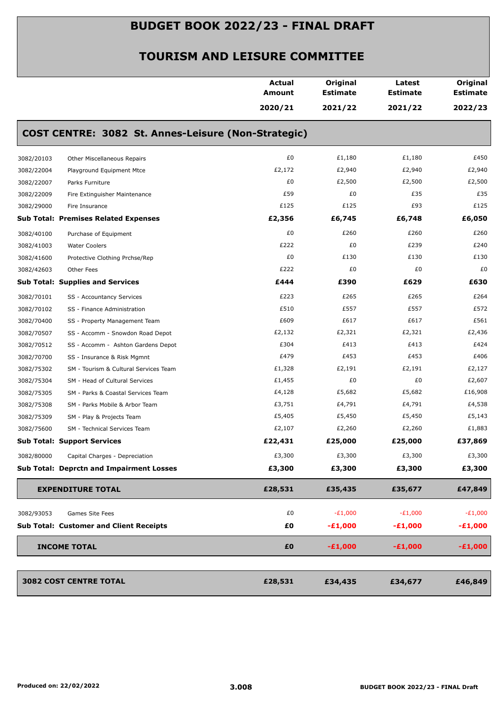|                                                     | <b>Actual</b><br><b>Amount</b> | Original<br><b>Estimate</b> | Latest<br><b>Estimate</b> | Original<br><b>Estimate</b> |
|-----------------------------------------------------|--------------------------------|-----------------------------|---------------------------|-----------------------------|
|                                                     | 2020/21                        | 2021/22                     | 2021/22                   | 2022/23                     |
| COST CENTRE: 3082 St. Annes-Leisure (Non-Strategic) |                                |                             |                           |                             |
| 3082/20103<br>Other Miscellaneous Repairs           | £0                             | £1,180                      | £1,180                    | £450                        |
| 3082/22004<br>Playground Equipment Mtce             | £2,172                         | £2,940                      | £2,940                    | £2,940                      |
| 3082/22007<br>Parks Furniture                       | £0                             | £2,500                      | £2,500                    | £2,500                      |
| 3082/22009<br>Fire Extinguisher Maintenance         | £59                            | £0                          | £35                       | £35                         |
| 3082/29000<br>Fire Insurance                        | £125                           | £125                        | £93                       | £125                        |
| <b>Sub Total: Premises Related Expenses</b>         | £2,356                         | £6,745                      | £6,748                    | £6,050                      |
| 3082/40100<br>Purchase of Equipment                 | £0                             | £260                        | £260                      | £260                        |
| 3082/41003<br><b>Water Coolers</b>                  | £222                           | £0                          | £239                      | £240                        |
| 3082/41600<br>Protective Clothing Prchse/Rep        | £0                             | £130                        | £130                      | £130                        |
| 3082/42603<br>Other Fees                            | £222                           | £0                          | £0                        | £0                          |
| <b>Sub Total: Supplies and Services</b>             | £444                           | £390                        | £629                      | £630                        |
| 3082/70101<br>SS - Accountancy Services             | £223                           | £265                        | £265                      | £264                        |
| 3082/70102<br>SS - Finance Administration           | £510                           | £557                        | £557                      | £572                        |
| 3082/70400<br>SS - Property Management Team         | £609                           | £617                        | £617                      | £561                        |
| 3082/70507<br>SS - Accomm - Snowdon Road Depot      | £2,132                         | £2,321                      | £2,321                    | £2,436                      |
| 3082/70512<br>SS - Accomm - Ashton Gardens Depot    | £304                           | £413                        | £413                      | £424                        |
| 3082/70700<br>SS - Insurance & Risk Mgmnt           | £479                           | £453                        | £453                      | £406                        |
| 3082/75302<br>SM - Tourism & Cultural Services Team | £1,328                         | £2,191                      | £2,191                    | £2,127                      |
| 3082/75304<br>SM - Head of Cultural Services        | £1,455                         | £0                          | £0                        | £2,607                      |
| 3082/75305<br>SM - Parks & Coastal Services Team    | £4,128                         | £5,682                      | £5,682                    | £16,908                     |
| 3082/75308<br>SM - Parks Mobile & Arbor Team        | £3,751                         | £4,791                      | £4,791                    | £4,538                      |
| 3082/75309<br>SM - Play & Projects Team             | £5,405                         | £5,450                      | £5,450                    | £5,143                      |
| 3082/75600<br>SM - Technical Services Team          | £2,107                         | £2,260                      | £2,260                    | £1,883                      |
| <b>Sub Total: Support Services</b>                  | £22,431                        | £25,000                     | £25,000                   | £37,869                     |
| 3082/80000<br>Capital Charges - Depreciation        | £3,300                         | £3,300                      | £3,300                    | £3,300                      |
| <b>Sub Total: Deprctn and Impairment Losses</b>     | £3,300                         | £3,300                      | £3,300                    | £3,300                      |
| <b>EXPENDITURE TOTAL</b>                            | £28,531                        | £35,435                     | £35,677                   | £47,849                     |
| 3082/93053<br>Games Site Fees                       | £0                             | $-E1,000$                   | $-E1,000$                 | $-E1,000$                   |
| <b>Sub Total: Customer and Client Receipts</b>      | £0                             | $-£1,000$                   | $-£1,000$                 | $-£1,000$                   |
| <b>INCOME TOTAL</b>                                 | £0                             | $-E1,000$                   | $-£1,000$                 | $-£1,000$                   |
| <b>3082 COST CENTRE TOTAL</b>                       | £28,531                        | £34,435                     | £34,677                   | £46,849                     |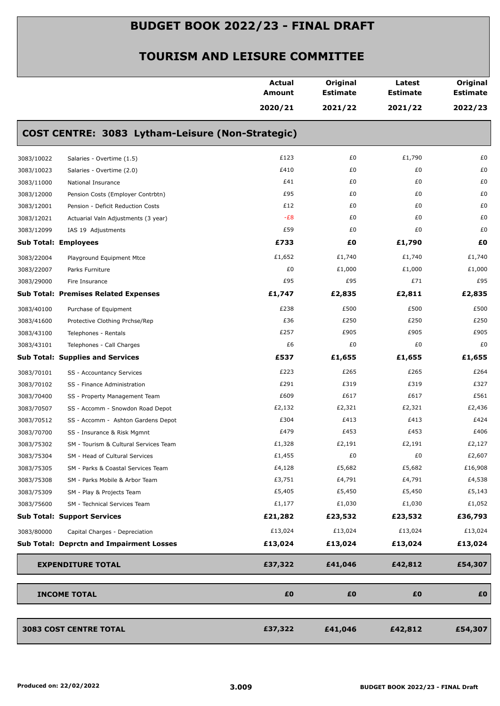|                                    |                                                  | <b>Actual</b><br>Amount | Original<br><b>Estimate</b> | Latest<br><b>Estimate</b> | Original<br><b>Estimate</b> |
|------------------------------------|--------------------------------------------------|-------------------------|-----------------------------|---------------------------|-----------------------------|
|                                    |                                                  | 2020/21                 | 2021/22                     | 2021/22                   | 2022/23                     |
|                                    | COST CENTRE: 3083 Lytham-Leisure (Non-Strategic) |                         |                             |                           |                             |
| 3083/10022                         | Salaries - Overtime (1.5)                        | £123                    | £0                          | £1,790                    | £0                          |
| 3083/10023                         | Salaries - Overtime (2.0)                        | £410                    | £0                          | £0                        | £0                          |
| 3083/11000                         | National Insurance                               | £41                     | £0                          | £0                        | £0                          |
| 3083/12000                         | Pension Costs (Employer Contrbtn)                | £95                     | £0                          | £0                        | £0                          |
| 3083/12001                         | Pension - Deficit Reduction Costs                | £12                     | £0                          | £0                        | £0                          |
| 3083/12021                         | Actuarial Valn Adjustments (3 year)              | $-E8$                   | £0                          | £0                        | £0                          |
| 3083/12099                         | IAS 19 Adjustments                               | £59                     | £0                          | £0                        | £0                          |
| <b>Sub Total: Employees</b>        |                                                  | £733                    | £0                          | £1,790                    | £O                          |
| 3083/22004                         | Playground Equipment Mtce                        | £1,652                  | £1,740                      | £1,740                    | £1,740                      |
| 3083/22007                         | Parks Furniture                                  | £0                      | £1,000                      | £1,000                    | £1,000                      |
| 3083/29000                         | Fire Insurance                                   | £95                     | £95                         | £71                       | £95                         |
|                                    | <b>Sub Total: Premises Related Expenses</b>      | £1,747                  | £2,835                      | £2,811                    | £2,835                      |
| 3083/40100                         | Purchase of Equipment                            | £238                    | £500                        | £500                      | £500                        |
| 3083/41600                         | Protective Clothing Prchse/Rep                   | £36                     | £250                        | £250                      | £250                        |
| 3083/43100                         | Telephones - Rentals                             | £257                    | £905                        | £905                      | £905                        |
| 3083/43101                         | Telephones - Call Charges                        | £6                      | £0                          | £0                        | £0                          |
|                                    | <b>Sub Total: Supplies and Services</b>          | £537                    | £1,655                      | £1,655                    | £1,655                      |
| 3083/70101                         | SS - Accountancy Services                        | £223                    | £265                        | £265                      | £264                        |
| 3083/70102                         | SS - Finance Administration                      | £291                    | £319                        | £319                      | £327                        |
| 3083/70400                         | SS - Property Management Team                    | £609                    | £617                        | £617                      | £561                        |
| 3083/70507                         | SS - Accomm - Snowdon Road Depot                 | £2,132                  | £2,321                      | £2,321                    | £2,436                      |
| 3083/70512                         | SS - Accomm - Ashton Gardens Depot               | £304                    | £413                        | £413                      | £424                        |
| 3083/70700                         | SS - Insurance & Risk Mgmnt                      | £479                    | £453                        | £453                      | £406                        |
| 3083/75302                         | SM - Tourism & Cultural Services Team            | £1,328                  | £2,191                      | £2,191                    | £2,127                      |
| 3083/75304                         | SM - Head of Cultural Services                   | £1,455                  | £0                          | £0                        | £2,607                      |
| 3083/75305                         | SM - Parks & Coastal Services Team               | £4,128                  | £5,682                      | £5,682                    | £16,908                     |
| 3083/75308                         | SM - Parks Mobile & Arbor Team                   | £3,751                  | £4,791                      | £4,791                    | £4,538                      |
| 3083/75309                         | SM - Play & Projects Team                        | £5,405                  | £5,450                      | £5,450                    | £5,143                      |
| 3083/75600                         | SM - Technical Services Team                     | £1,177                  | £1,030                      | £1,030                    | £1,052                      |
| <b>Sub Total: Support Services</b> |                                                  | £21,282                 | £23,532                     | £23,532                   | £36,793                     |
| 3083/80000                         | Capital Charges - Depreciation                   | £13,024                 | £13,024                     | £13,024                   | £13,024                     |
|                                    | <b>Sub Total: Deprctn and Impairment Losses</b>  | £13,024                 | £13,024                     | £13,024                   | £13,024                     |
|                                    | <b>EXPENDITURE TOTAL</b>                         | £37,322                 | £41,046                     | £42,812                   | £54,307                     |
|                                    |                                                  |                         |                             |                           |                             |
| <b>INCOME TOTAL</b>                |                                                  | £0                      | £0                          | £0                        | £0                          |
| <b>3083 COST CENTRE TOTAL</b>      |                                                  | £37,322                 | £41,046                     | £42,812                   | £54,307                     |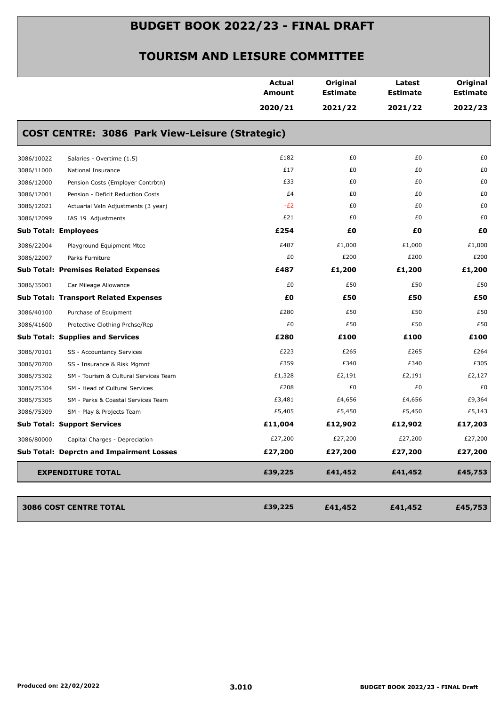|            |                                                 | <b>Actual</b><br>Amount<br>2020/21 | Original<br><b>Estimate</b><br>2021/22 | Latest<br><b>Estimate</b><br>2021/22 | Original<br><b>Estimate</b><br>2022/23 |
|------------|-------------------------------------------------|------------------------------------|----------------------------------------|--------------------------------------|----------------------------------------|
|            | COST CENTRE: 3086 Park View-Leisure (Strategic) |                                    |                                        |                                      |                                        |
| 3086/10022 | Salaries - Overtime (1.5)                       | £182                               | £0                                     | £0                                   | £0                                     |
| 3086/11000 | National Insurance                              | £17                                | £0                                     | £0                                   | £0                                     |
| 3086/12000 | Pension Costs (Employer Contrbtn)               | £33                                | £0                                     | £0                                   | £0                                     |
| 3086/12001 | Pension - Deficit Reduction Costs               | £4                                 | £0                                     | £0                                   | £0                                     |
| 3086/12021 | Actuarial Valn Adjustments (3 year)             | $-E2$                              | £0                                     | £0                                   | £0                                     |
| 3086/12099 | IAS 19 Adjustments                              | £21                                | £0                                     | £0                                   | £0                                     |
|            | <b>Sub Total: Employees</b>                     | £254                               | £0                                     | £0                                   | £0                                     |
| 3086/22004 | Playground Equipment Mtce                       | £487                               | £1,000                                 | £1,000                               | £1,000                                 |
| 3086/22007 | Parks Furniture                                 | £0                                 | £200                                   | £200                                 | £200                                   |
|            | <b>Sub Total: Premises Related Expenses</b>     | £487                               | £1,200                                 | £1,200                               | £1,200                                 |
| 3086/35001 | Car Mileage Allowance                           | £0                                 | £50                                    | £50                                  | £50                                    |
|            | <b>Sub Total: Transport Related Expenses</b>    | £0                                 | £50                                    | £50                                  | £50                                    |
| 3086/40100 | Purchase of Equipment                           | £280                               | £50                                    | £50                                  | £50                                    |
| 3086/41600 | Protective Clothing Prchse/Rep                  | £0                                 | £50                                    | £50                                  | £50                                    |
|            | <b>Sub Total: Supplies and Services</b>         | £280                               | £100                                   | £100                                 | £100                                   |
| 3086/70101 | SS - Accountancy Services                       | £223                               | £265                                   | £265                                 | £264                                   |
| 3086/70700 | SS - Insurance & Risk Mgmnt                     | £359                               | £340                                   | £340                                 | £305                                   |
| 3086/75302 | SM - Tourism & Cultural Services Team           | £1,328                             | £2,191                                 | £2,191                               | £2,127                                 |
| 3086/75304 | SM - Head of Cultural Services                  | £208                               | £0                                     | £0                                   | £0                                     |
| 3086/75305 | SM - Parks & Coastal Services Team              | £3,481                             | £4,656                                 | £4,656                               | £9,364                                 |
| 3086/75309 | SM - Play & Projects Team                       | £5,405                             | £5,450                                 | £5,450                               | £5,143                                 |
|            | <b>Sub Total: Support Services</b>              | £11,004                            | £12,902                                | £12,902                              | £17,203                                |
| 3086/80000 | Capital Charges - Depreciation                  | £27,200                            | £27,200                                | £27,200                              | £27,200                                |
|            | <b>Sub Total: Deprctn and Impairment Losses</b> | £27,200                            | £27,200                                | £27,200                              | £27,200                                |
|            | <b>EXPENDITURE TOTAL</b>                        | £39,225                            | £41,452                                | £41,452                              | £45,753                                |
|            | <b>3086 COST CENTRE TOTAL</b>                   | £39,225                            | £41,452                                | £41,452                              | £45,753                                |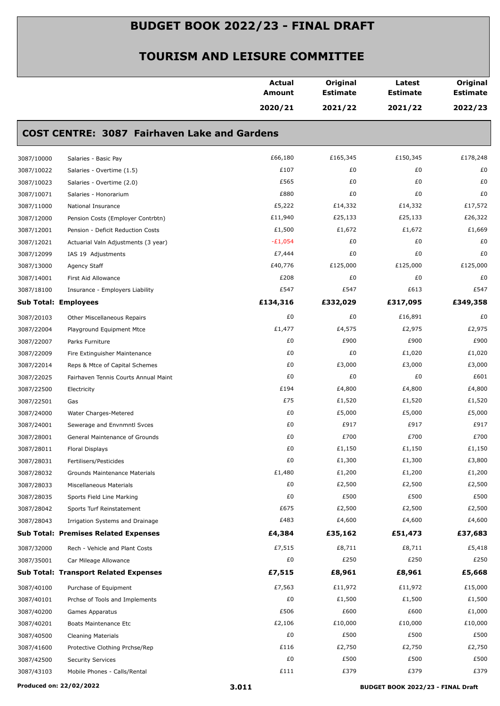|                             |                                                     | <b>Actual</b><br>Amount | Original<br><b>Estimate</b> | Latest<br><b>Estimate</b> | Original<br><b>Estimate</b> |
|-----------------------------|-----------------------------------------------------|-------------------------|-----------------------------|---------------------------|-----------------------------|
|                             |                                                     | 2020/21                 | 2021/22                     | 2021/22                   | 2022/23                     |
|                             | <b>COST CENTRE: 3087 Fairhaven Lake and Gardens</b> |                         |                             |                           |                             |
| 3087/10000                  | Salaries - Basic Pay                                | £66,180                 | £165,345                    | £150,345                  | £178,248                    |
| 3087/10022                  | Salaries - Overtime (1.5)                           | £107                    | £0                          | £0                        | £0                          |
| 3087/10023                  | Salaries - Overtime (2.0)                           | £565                    | £0                          | £0                        | £0                          |
| 3087/10071                  | Salaries - Honorarium                               | £880                    | £0                          | £0                        | £0                          |
| 3087/11000                  | National Insurance                                  | £5,222                  | £14,332                     | £14,332                   | £17,572                     |
| 3087/12000                  | Pension Costs (Employer Contrbtn)                   | £11,940                 | £25,133                     | £25,133                   | £26,322                     |
| 3087/12001                  | Pension - Deficit Reduction Costs                   | £1,500                  | £1,672                      | £1,672                    | £1,669                      |
| 3087/12021                  | Actuarial Valn Adjustments (3 year)                 | $-E1,054$               | £0                          | £0                        | £0                          |
| 3087/12099                  | IAS 19 Adjustments                                  | £7,444                  | £0                          | £0                        | £0                          |
| 3087/13000                  | Agency Staff                                        | £40,776                 | £125,000                    | £125,000                  | £125,000                    |
| 3087/14001                  | First Aid Allowance                                 | £208                    | £0                          | £0                        | £0                          |
| 3087/18100                  | Insurance - Employers Liability                     | £547                    | £547                        | £613                      | £547                        |
| <b>Sub Total: Employees</b> |                                                     | £134,316                | £332,029                    | £317,095                  | £349,358                    |
| 3087/20103                  | Other Miscellaneous Repairs                         | £0                      | £0                          | £16,891                   | £0                          |
| 3087/22004                  | Playground Equipment Mtce                           | £1,477                  | £4,575                      | £2,975                    | £2,975                      |
| 3087/22007                  | Parks Furniture                                     | £0                      | £900                        | £900                      | £900                        |
| 3087/22009                  | Fire Extinguisher Maintenance                       | £0                      | £0                          | £1,020                    | £1,020                      |
| 3087/22014                  | Reps & Mtce of Capital Schemes                      | £0                      | £3,000                      | £3,000                    | £3,000                      |
| 3087/22025                  | Fairhaven Tennis Courts Annual Maint                | £0                      | £0                          | £0                        | £601                        |
| 3087/22500                  | Electricity                                         | £194                    | £4,800                      | £4,800                    | £4,800                      |
| 3087/22501                  | Gas                                                 | £75                     | £1,520                      | £1,520                    | £1,520                      |
| 3087/24000                  | Water Charges-Metered                               | £0                      | £5,000                      | £5,000                    | £5,000                      |
| 3087/24001                  | Sewerage and Envnmntl Svces                         | £0                      | £917                        | £917                      | £917                        |
| 3087/28001                  | General Maintenance of Grounds                      | £0                      | £700                        | £700                      | £700                        |
| 3087/28011                  | Floral Displays                                     | £Ο                      | £1,150                      | £1,150                    | £1,150                      |
| 3087/28031                  | Fertilisers/Pesticides                              | £0                      | £1,300                      | £1,300                    | £3,800                      |
| 3087/28032                  | Grounds Maintenance Materials                       | £1,480                  | £1,200                      | £1,200                    | £1,200                      |
| 3087/28033                  | Miscellaneous Materials                             | £0                      | £2,500                      | £2,500                    | £2,500                      |
| 3087/28035                  | Sports Field Line Marking                           | £0                      | £500                        | £500                      | £500                        |
| 3087/28042                  | Sports Turf Reinstatement                           | £675                    | £2,500                      | £2,500                    | £2,500                      |
| 3087/28043                  | Irrigation Systems and Drainage                     | £483                    | £4,600                      | £4,600                    | £4,600                      |
|                             | <b>Sub Total: Premises Related Expenses</b>         | £4,384                  | £35,162                     | £51,473                   | £37,683                     |
| 3087/32000                  | Rech - Vehicle and Plant Costs                      | £7,515                  | £8,711                      | £8,711                    | £5,418                      |
| 3087/35001                  | Car Mileage Allowance                               | £0                      | £250                        | £250                      | £250                        |
|                             | <b>Sub Total: Transport Related Expenses</b>        | £7,515                  | £8,961                      | £8,961                    | £5,668                      |
| 3087/40100                  | Purchase of Equipment                               | £7,563                  | £11,972                     | £11,972                   | £15,000                     |
| 3087/40101                  | Prchse of Tools and Implements                      | £0                      | £1,500                      | £1,500                    | £1,500                      |
| 3087/40200                  | Games Apparatus                                     | £506                    | £600                        | £600                      | £1,000                      |
| 3087/40201                  | Boats Maintenance Etc                               | £2,106                  | £10,000                     | £10,000                   | £10,000                     |
| 3087/40500                  | Cleaning Materials                                  | £0                      | £500                        | £500                      | £500                        |
| 3087/41600                  | Protective Clothing Prchse/Rep                      | £116                    | £2,750                      | £2,750                    | £2,750                      |
| 3087/42500                  | <b>Security Services</b>                            | £0                      | £500                        | £500                      | £500                        |
| 3087/43103                  | Mobile Phones - Calls/Rental                        | £111                    | £379                        | £379                      | £379                        |
|                             |                                                     |                         |                             |                           |                             |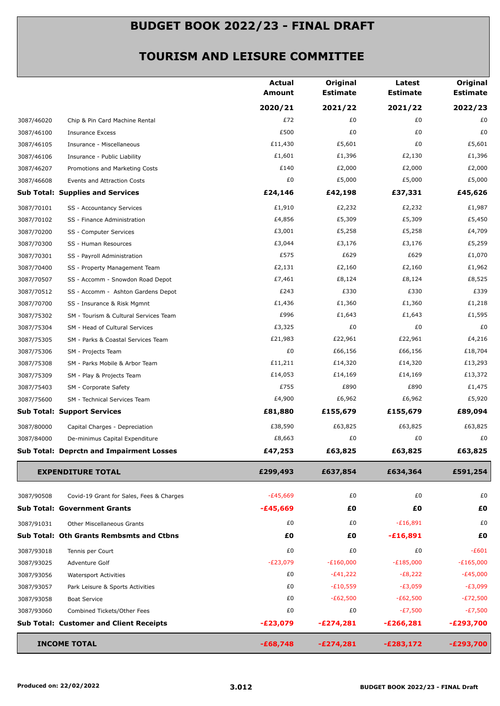|            |                                                 | <b>Actual</b><br><b>Amount</b> | Original<br><b>Estimate</b> | Latest<br><b>Estimate</b> | Original<br><b>Estimate</b> |
|------------|-------------------------------------------------|--------------------------------|-----------------------------|---------------------------|-----------------------------|
|            |                                                 | 2020/21                        | 2021/22                     | 2021/22                   | 2022/23                     |
| 3087/46020 | Chip & Pin Card Machine Rental                  | £72                            | £0                          | £0                        | £0                          |
| 3087/46100 | <b>Insurance Excess</b>                         | £500                           | £0                          | £0                        | £0                          |
| 3087/46105 | Insurance - Miscellaneous                       | £11,430                        | £5,601                      | £0                        | £5,601                      |
| 3087/46106 | Insurance - Public Liability                    | £1,601                         | £1,396                      | £2,130                    | £1,396                      |
| 3087/46207 | Promotions and Marketing Costs                  | £140                           | £2,000                      | £2,000                    | £2,000                      |
| 3087/46608 | Events and Attraction Costs                     | £0                             | £5,000                      | £5,000                    | £5,000                      |
|            | <b>Sub Total: Supplies and Services</b>         | £24,146                        | £42,198                     | £37,331                   | £45,626                     |
| 3087/70101 | SS - Accountancy Services                       | £1,910                         | £2,232                      | £2,232                    | £1,987                      |
| 3087/70102 | SS - Finance Administration                     | £4,856                         | £5,309                      | £5,309                    | £5,450                      |
| 3087/70200 | SS - Computer Services                          | £3,001                         | £5,258                      | £5,258                    | £4,709                      |
| 3087/70300 | SS - Human Resources                            | £3,044                         | £3,176                      | £3,176                    | £5,259                      |
| 3087/70301 | SS - Payroll Administration                     | £575                           | £629                        | £629                      | £1,070                      |
| 3087/70400 | SS - Property Management Team                   | £2,131                         | £2,160                      | £2,160                    | £1,962                      |
| 3087/70507 | SS - Accomm - Snowdon Road Depot                | £7,461                         | £8,124                      | £8,124                    | £8,525                      |
| 3087/70512 | SS - Accomm - Ashton Gardens Depot              | £243                           | £330                        | £330                      | £339                        |
| 3087/70700 | SS - Insurance & Risk Mgmnt                     | £1,436                         | £1,360                      | £1,360                    | £1,218                      |
| 3087/75302 | SM - Tourism & Cultural Services Team           | £996                           | £1,643                      | £1,643                    | £1,595                      |
| 3087/75304 | SM - Head of Cultural Services                  | £3,325                         | £0                          | £0                        | £0                          |
| 3087/75305 | SM - Parks & Coastal Services Team              | £21,983                        | £22,961                     | £22,961                   | £4,216                      |
| 3087/75306 | SM - Projects Team                              | £0                             | £66,156                     | £66,156                   | £18,704                     |
| 3087/75308 | SM - Parks Mobile & Arbor Team                  | £11,211                        | £14,320                     | £14,320                   | £13,293                     |
| 3087/75309 | SM - Play & Projects Team                       | £14,053                        | £14,169                     | £14,169                   | £13,372                     |
| 3087/75403 | SM - Corporate Safety                           | £755                           | £890                        | £890                      | £1,475                      |
| 3087/75600 | SM - Technical Services Team                    | £4,900                         | £6,962                      | £6,962                    | £5,920                      |
|            | <b>Sub Total: Support Services</b>              | £81,880                        | £155,679                    | £155,679                  | £89,094                     |
| 3087/80000 | Capital Charges - Depreciation                  | £38,590                        | £63,825                     | £63,825                   | £63,825                     |
| 3087/84000 | De-minimus Capital Expenditure                  | £8,663                         | £0                          | £0                        | £0                          |
|            | <b>Sub Total: Deprctn and Impairment Losses</b> | £47,253                        | £63,825                     | £63,825                   | £63,825                     |
|            | <b>EXPENDITURE TOTAL</b>                        | £299,493                       | £637,854                    | £634,364                  | £591,254                    |
| 3087/90508 | Covid-19 Grant for Sales, Fees & Charges        | $-E45,669$                     | £0                          | £0                        | £0                          |
|            | <b>Sub Total: Government Grants</b>             | $-£45,669$                     | £Ο                          | £Ο                        | £Ο                          |
| 3087/91031 | <b>Other Miscellaneous Grants</b>               | £0                             | £0                          | $-£16,891$                | £0                          |
|            | <b>Sub Total: Oth Grants Rembsmts and Ctbns</b> | £Ο                             | £0                          | $-£16,891$                | £Ο                          |
| 3087/93018 | Tennis per Court                                | £0                             | £0                          | £0                        | $-E601$                     |
| 3087/93025 | Adventure Golf                                  | $-E23,079$                     | $-E160,000$                 | $-E185,000$               | $-E165,000$                 |
| 3087/93056 | <b>Watersport Activities</b>                    | £0                             | $-E41,222$                  | $-E8,222$                 | $-E45,000$                  |
| 3087/93057 | Park Leisure & Sports Activities                | £0                             | $-E10,559$                  | $-E3,059$                 | -£3,099                     |
| 3087/93058 | <b>Boat Service</b>                             | £0                             | $-E62,500$                  | $-E62,500$                | $-E72,500$                  |
| 3087/93060 | Combined Tickets/Other Fees                     | £0                             | £0                          | $-E7,500$                 | -£7,500                     |
|            | <b>Sub Total: Customer and Client Receipts</b>  | $-E23,079$                     | $-E274,281$                 | $-E266,281$               | $-E293,700$                 |
|            | <b>INCOME TOTAL</b>                             | $-£68,748$                     | $-E274,281$                 | $-E283,172$               | $-E293,700$                 |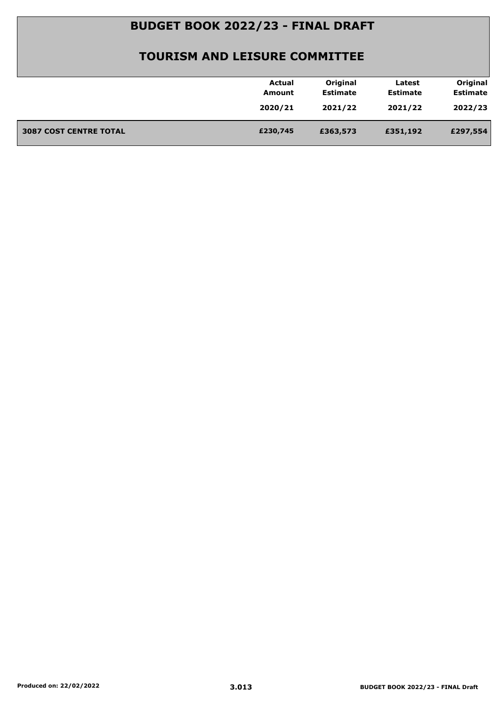|                               | <b>Actual</b> | Original        | Latest          | Original        |
|-------------------------------|---------------|-----------------|-----------------|-----------------|
|                               | Amount        | <b>Estimate</b> | <b>Estimate</b> | <b>Estimate</b> |
|                               | 2020/21       | 2021/22         | 2021/22         | 2022/23         |
|                               |               |                 |                 |                 |
| <b>3087 COST CENTRE TOTAL</b> | £230,745      | £363,573        | £351,192        | £297,554        |
|                               |               |                 |                 |                 |
|                               |               |                 |                 |                 |
|                               |               |                 |                 |                 |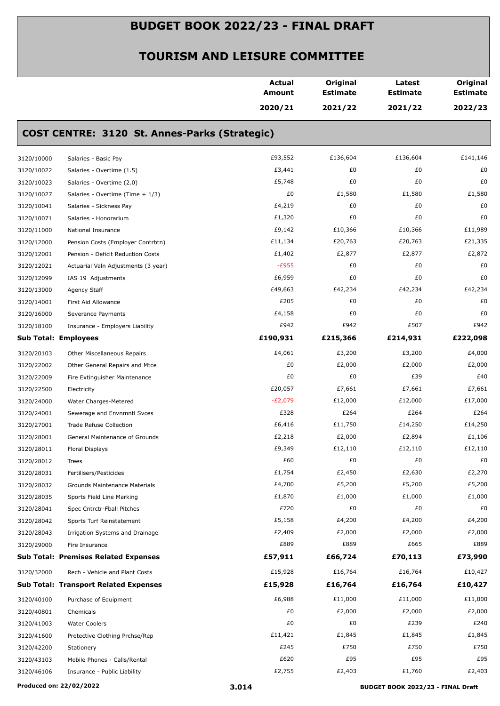|            |                                               | Actual<br><b>Amount</b> | Original<br><b>Estimate</b> | Latest<br><b>Estimate</b> | Original<br><b>Estimate</b> |
|------------|-----------------------------------------------|-------------------------|-----------------------------|---------------------------|-----------------------------|
|            |                                               | 2020/21                 | 2021/22                     | 2021/22                   | 2022/23                     |
|            | COST CENTRE: 3120 St. Annes-Parks (Strategic) |                         |                             |                           |                             |
| 3120/10000 | Salaries - Basic Pay                          | £93,552                 | £136,604                    | £136,604                  | £141,146                    |
| 3120/10022 | Salaries - Overtime (1.5)                     | £3,441                  | £0                          | £0                        | £0                          |
| 3120/10023 | Salaries - Overtime (2.0)                     | £5,748                  | £0                          | £0                        | £0                          |
| 3120/10027 | Salaries - Overtime (Time + 1/3)              | £0                      | £1,580                      | £1,580                    | £1,580                      |
| 3120/10041 | Salaries - Sickness Pay                       | £4,219                  | £0                          | £0                        | £0                          |
| 3120/10071 | Salaries - Honorarium                         | £1,320                  | £0                          | £0                        | £0                          |
| 3120/11000 | National Insurance                            | £9,142                  | £10,366                     | £10,366                   | £11,989                     |
| 3120/12000 | Pension Costs (Employer Contrbtn)             | £11,134                 | £20,763                     | £20,763                   | £21,335                     |
| 3120/12001 | Pension - Deficit Reduction Costs             | £1,402                  | £2,877                      | £2,877                    | £2,872                      |
| 3120/12021 | Actuarial Valn Adjustments (3 year)           | $-E955$                 | £0                          | £0                        | £0                          |
| 3120/12099 | IAS 19 Adjustments                            | £6,959                  | £0                          | £0                        | £0                          |
| 3120/13000 | Agency Staff                                  | £49,663                 | £42,234                     | £42,234                   | £42,234                     |
| 3120/14001 | First Aid Allowance                           | £205                    | £0                          | £0                        | £0                          |
| 3120/16000 | Severance Payments                            | £4,158                  | £0                          | £0                        | £0                          |
| 3120/18100 | Insurance - Employers Liability               | £942                    | £942                        | £507                      | £942                        |
|            | <b>Sub Total: Employees</b>                   | £190,931                | £215,366                    | £214,931                  | £222,098                    |
| 3120/20103 | Other Miscellaneous Repairs                   | £4,061                  | £3,200                      | £3,200                    | £4,000                      |
| 3120/22002 | Other General Repairs and Mtce                | £0                      | £2,000                      | £2,000                    | £2,000                      |
| 3120/22009 | Fire Extinguisher Maintenance                 | £0                      | £0                          | £39                       | £40                         |
| 3120/22500 | Electricity                                   | £20,057                 | £7,661                      | £7,661                    | £7,661                      |
| 3120/24000 | Water Charges-Metered                         | $-E2,079$               | £12,000                     | £12,000                   | £17,000                     |
| 3120/24001 | Sewerage and Envnmntl Svces                   | £328                    | £264                        | £264                      | £264                        |
| 3120/27001 | Trade Refuse Collection                       | £6,416                  | £11,750                     | £14,250                   | £14,250                     |
| 3120/28001 | General Maintenance of Grounds                | £2,218                  | £2,000                      | £2,894                    | £1,106                      |
| 3120/28011 | Floral Displays                               | £9,349                  | £12,110                     | £12,110                   | £12,110                     |
| 3120/28012 | Trees                                         | £60                     | £0                          | £0                        | £0                          |
| 3120/28031 | Fertilisers/Pesticides                        | £1,754                  | £2,450                      | £2,630                    | £2,270                      |
| 3120/28032 | Grounds Maintenance Materials                 | £4,700                  | £5,200                      | £5,200                    | £5,200                      |
| 3120/28035 | Sports Field Line Marking                     | £1,870                  | £1,000                      | £1,000                    | £1,000                      |
| 3120/28041 | Spec Cntrctr-Fball Pitches                    | £720                    | £0                          | £0                        | £0                          |
| 3120/28042 | Sports Turf Reinstatement                     | £5,158                  | £4,200                      | £4,200                    | £4,200                      |
| 3120/28043 | Irrigation Systems and Drainage               | £2,409                  | £2,000                      | £2,000                    | £2,000                      |
| 3120/29000 | Fire Insurance                                | £889                    | £889                        | £665                      | £889                        |
|            | <b>Sub Total: Premises Related Expenses</b>   | £57,911                 | £66,724                     | £70,113                   | £73,990                     |
| 3120/32000 | Rech - Vehicle and Plant Costs                | £15,928                 | £16,764                     | £16,764                   | £10,427                     |
|            | <b>Sub Total: Transport Related Expenses</b>  | £15,928                 | £16,764                     | £16,764                   | £10,427                     |
| 3120/40100 | Purchase of Equipment                         | £6,988                  | £11,000                     | £11,000                   | £11,000                     |
| 3120/40801 | Chemicals                                     | £0                      | £2,000                      | £2,000                    | £2,000                      |
| 3120/41003 | <b>Water Coolers</b>                          | £0                      | £0                          | £239                      | £240                        |
| 3120/41600 | Protective Clothing Prchse/Rep                | £11,421                 | £1,845                      | £1,845                    | £1,845                      |
| 3120/42200 | Stationery                                    | £245                    | £750                        | £750                      | £750                        |
| 3120/43103 | Mobile Phones - Calls/Rental                  | £620                    | £95                         | £95                       | £95                         |
| 3120/46106 | Insurance - Public Liability                  | £2,755                  | £2,403                      | £1,760                    | £2,403                      |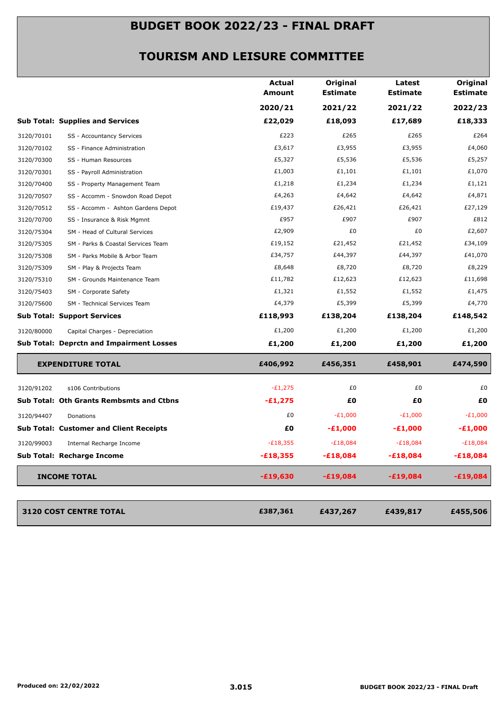|            |                                                 | <b>Actual</b><br><b>Amount</b> | Original<br><b>Estimate</b> | Latest<br><b>Estimate</b> | Original<br><b>Estimate</b> |
|------------|-------------------------------------------------|--------------------------------|-----------------------------|---------------------------|-----------------------------|
|            |                                                 | 2020/21                        | 2021/22                     | 2021/22                   | 2022/23                     |
|            | <b>Sub Total: Supplies and Services</b>         | £22,029                        | £18,093                     | £17,689                   | £18,333                     |
| 3120/70101 | SS - Accountancy Services                       | £223                           | £265                        | £265                      | £264                        |
| 3120/70102 | SS - Finance Administration                     | £3,617                         | £3,955                      | £3,955                    | £4,060                      |
| 3120/70300 | SS - Human Resources                            | £5,327                         | £5,536                      | £5,536                    | £5,257                      |
| 3120/70301 | SS - Payroll Administration                     | £1,003                         | £1,101                      | £1,101                    | £1,070                      |
| 3120/70400 | SS - Property Management Team                   | £1,218                         | £1,234                      | £1,234                    | £1,121                      |
| 3120/70507 | SS - Accomm - Snowdon Road Depot                | £4,263                         | £4,642                      | £4,642                    | £4,871                      |
| 3120/70512 | SS - Accomm - Ashton Gardens Depot              | £19,437                        | £26,421                     | £26,421                   | £27,129                     |
| 3120/70700 | SS - Insurance & Risk Mgmnt                     | £957                           | £907                        | £907                      | £812                        |
| 3120/75304 | SM - Head of Cultural Services                  | £2,909                         | £0                          | £0                        | £2,607                      |
| 3120/75305 | SM - Parks & Coastal Services Team              | £19,152                        | £21,452                     | £21,452                   | £34,109                     |
| 3120/75308 | SM - Parks Mobile & Arbor Team                  | £34,757                        | £44,397                     | £44,397                   | £41,070                     |
| 3120/75309 | SM - Play & Projects Team                       | £8,648                         | £8,720                      | £8,720                    | £8,229                      |
| 3120/75310 | SM - Grounds Maintenance Team                   | £11,782                        | £12,623                     | £12,623                   | £11,698                     |
| 3120/75403 | SM - Corporate Safety                           | £1,321                         | £1,552                      | £1,552                    | £1,475                      |
| 3120/75600 | SM - Technical Services Team                    | £4,379                         | £5,399                      | £5,399                    | £4,770                      |
|            | <b>Sub Total: Support Services</b>              | £118,993                       | £138,204                    | £138,204                  | £148,542                    |
| 3120/80000 | Capital Charges - Depreciation                  | £1,200                         | £1,200                      | £1,200                    | £1,200                      |
|            | <b>Sub Total: Deprctn and Impairment Losses</b> | £1,200                         | £1,200                      | £1,200                    | £1,200                      |
|            | <b>EXPENDITURE TOTAL</b>                        | £406,992                       | £456,351                    | £458,901                  | £474,590                    |
| 3120/91202 | s106 Contributions                              | $-E1,275$                      | £0                          | £0                        | £0                          |
|            | Sub Total: Oth Grants Rembsmts and Ctbns        | $-£1,275$                      | £O                          | £Ο                        | £0                          |
| 3120/94407 | Donations                                       | £0                             | $-E1,000$                   | $-E1,000$                 | $-E1,000$                   |
|            | <b>Sub Total: Customer and Client Receipts</b>  | £0                             | $-E1,000$                   | $-£1,000$                 | $-£1,000$                   |
| 3120/99003 | Internal Recharge Income                        | $-E18,355$                     | $-E18,084$                  | $-E18,084$                | $-E18,084$                  |
|            | Sub Total: Recharge Income                      | $-£18,355$                     | $-£18,084$                  | $-£18,084$                | $-£18,084$                  |
|            | <b>INCOME TOTAL</b>                             | $-£19,630$                     | $-£19,084$                  | $-£19,084$                | $-£19,084$                  |
|            |                                                 |                                |                             |                           |                             |
|            | 3120 COST CENTRE TOTAL                          | £387,361                       | £437,267                    | £439,817                  | £455,506                    |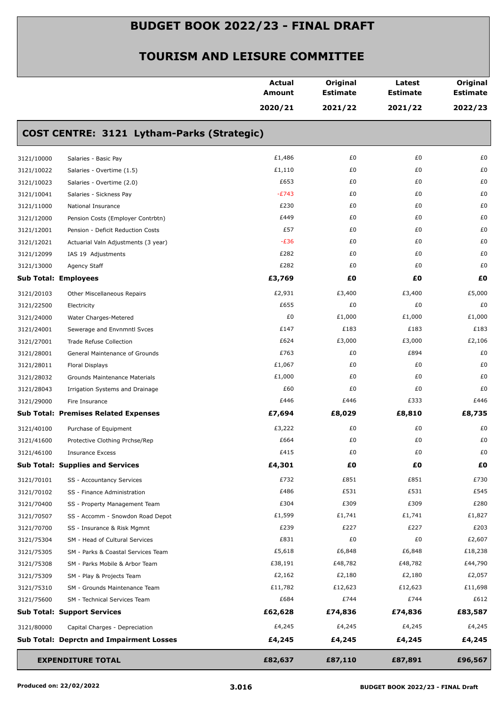| 2020/21<br>2021/22<br>2021/22<br>COST CENTRE: 3121 Lytham-Parks (Strategic)<br>£1,486<br>£0<br>£0<br>Salaries - Basic Pay<br>£1,110<br>£0<br>£0<br>Salaries - Overtime (1.5)<br>£653<br>£0<br>£0<br>Salaries - Overtime (2.0)<br>$-E743$<br>£0<br>£0<br>Salaries - Sickness Pay<br>£230<br>£0<br>£0<br>National Insurance<br>£449<br>£0<br>£0<br>Pension Costs (Employer Contrbtn)<br>£57<br>£0<br>£0<br>Pension - Deficit Reduction Costs<br>$-E36$<br>£0<br>£0<br>Actuarial Valn Adjustments (3 year)<br>£282<br>£0<br>£0<br>IAS 19 Adjustments<br>£282<br>£0<br>£0<br>Agency Staff<br>£3,769<br>£0<br>£Ο<br>£O<br><b>Sub Total: Employees</b><br>£2,931<br>£3,400<br>£3,400<br>Other Miscellaneous Repairs<br>£655<br>£0<br>£0<br>Electricity<br>£0<br>£1,000<br>£1,000<br>Water Charges-Metered<br>£147<br>£183<br>£183<br>Sewerage and Envnmntl Svces<br>£624<br>£3,000<br>£3,000<br>Trade Refuse Collection<br>£763<br>£0<br>£894<br>General Maintenance of Grounds<br>£1,067<br>£0<br>£0<br>Floral Displays<br>£1,000<br>£0<br>£0<br>Grounds Maintenance Materials<br>£60<br>£0<br>£0<br>Irrigation Systems and Drainage<br>£446<br>£446<br>£333<br>Fire Insurance<br><b>Sub Total: Premises Related Expenses</b><br>£7,694<br>£8,029<br>£8,810<br>£3,222<br>£0<br>£0<br>Purchase of Equipment<br>£664<br>£0<br>£0<br>Protective Clothing Prchse/Rep<br>£415<br>£0<br>£0<br><b>Insurance Excess</b><br>£4,301<br>£0<br>£0<br><b>Sub Total: Supplies and Services</b><br>£732<br>£851<br>£851<br>SS - Accountancy Services<br>£531<br>£486<br>£531<br>SS - Finance Administration<br>£304<br>£309<br>£309<br>SS - Property Management Team<br>£1,599<br>£1,741<br>£1,741<br>SS - Accomm - Snowdon Road Depot<br>£239<br>£227<br>£227<br>SS - Insurance & Risk Mgmnt<br>£831<br>£0<br>£0<br>SM - Head of Cultural Services<br>£5,618<br>£6,848<br>£6,848<br>SM - Parks & Coastal Services Team<br>£38,191<br>£48,782<br>£48,782<br>SM - Parks Mobile & Arbor Team<br>£2,162<br>£2,180<br>£2,180<br>SM - Play & Projects Team<br>£11,782<br>£12,623<br>£12,623<br>SM - Grounds Maintenance Team<br>£684<br>£744<br>£744<br>SM - Technical Services Team<br><b>Sub Total: Support Services</b><br>£62,628<br>£74,836<br>£74,836<br>£4,245<br>£4,245<br>£4,245<br>Capital Charges - Depreciation<br>£4,245<br>£4,245<br>£4,245<br><b>Sub Total: Deprctn and Impairment Losses</b><br>£82,637<br>£96,567<br><b>EXPENDITURE TOTAL</b><br>£87,110<br>£87,891 |            | <b>Actual</b><br>Amount | Original<br><b>Estimate</b> | Latest<br><b>Estimate</b> | Original<br><b>Estimate</b> |
|-------------------------------------------------------------------------------------------------------------------------------------------------------------------------------------------------------------------------------------------------------------------------------------------------------------------------------------------------------------------------------------------------------------------------------------------------------------------------------------------------------------------------------------------------------------------------------------------------------------------------------------------------------------------------------------------------------------------------------------------------------------------------------------------------------------------------------------------------------------------------------------------------------------------------------------------------------------------------------------------------------------------------------------------------------------------------------------------------------------------------------------------------------------------------------------------------------------------------------------------------------------------------------------------------------------------------------------------------------------------------------------------------------------------------------------------------------------------------------------------------------------------------------------------------------------------------------------------------------------------------------------------------------------------------------------------------------------------------------------------------------------------------------------------------------------------------------------------------------------------------------------------------------------------------------------------------------------------------------------------------------------------------------------------------------------------------------------------------------------------------------------------------------------------------------------------------------------------------------------------------------------------------------------------------------------------------------------------------------------------------------------------------------------------------------------------------------------|------------|-------------------------|-----------------------------|---------------------------|-----------------------------|
|                                                                                                                                                                                                                                                                                                                                                                                                                                                                                                                                                                                                                                                                                                                                                                                                                                                                                                                                                                                                                                                                                                                                                                                                                                                                                                                                                                                                                                                                                                                                                                                                                                                                                                                                                                                                                                                                                                                                                                                                                                                                                                                                                                                                                                                                                                                                                                                                                                                             |            |                         |                             |                           | 2022/23                     |
|                                                                                                                                                                                                                                                                                                                                                                                                                                                                                                                                                                                                                                                                                                                                                                                                                                                                                                                                                                                                                                                                                                                                                                                                                                                                                                                                                                                                                                                                                                                                                                                                                                                                                                                                                                                                                                                                                                                                                                                                                                                                                                                                                                                                                                                                                                                                                                                                                                                             |            |                         |                             |                           |                             |
|                                                                                                                                                                                                                                                                                                                                                                                                                                                                                                                                                                                                                                                                                                                                                                                                                                                                                                                                                                                                                                                                                                                                                                                                                                                                                                                                                                                                                                                                                                                                                                                                                                                                                                                                                                                                                                                                                                                                                                                                                                                                                                                                                                                                                                                                                                                                                                                                                                                             | 3121/10000 |                         |                             |                           | £0                          |
|                                                                                                                                                                                                                                                                                                                                                                                                                                                                                                                                                                                                                                                                                                                                                                                                                                                                                                                                                                                                                                                                                                                                                                                                                                                                                                                                                                                                                                                                                                                                                                                                                                                                                                                                                                                                                                                                                                                                                                                                                                                                                                                                                                                                                                                                                                                                                                                                                                                             | 3121/10022 |                         |                             |                           | £0                          |
|                                                                                                                                                                                                                                                                                                                                                                                                                                                                                                                                                                                                                                                                                                                                                                                                                                                                                                                                                                                                                                                                                                                                                                                                                                                                                                                                                                                                                                                                                                                                                                                                                                                                                                                                                                                                                                                                                                                                                                                                                                                                                                                                                                                                                                                                                                                                                                                                                                                             | 3121/10023 |                         |                             |                           | £0                          |
|                                                                                                                                                                                                                                                                                                                                                                                                                                                                                                                                                                                                                                                                                                                                                                                                                                                                                                                                                                                                                                                                                                                                                                                                                                                                                                                                                                                                                                                                                                                                                                                                                                                                                                                                                                                                                                                                                                                                                                                                                                                                                                                                                                                                                                                                                                                                                                                                                                                             | 3121/10041 |                         |                             |                           | £0                          |
|                                                                                                                                                                                                                                                                                                                                                                                                                                                                                                                                                                                                                                                                                                                                                                                                                                                                                                                                                                                                                                                                                                                                                                                                                                                                                                                                                                                                                                                                                                                                                                                                                                                                                                                                                                                                                                                                                                                                                                                                                                                                                                                                                                                                                                                                                                                                                                                                                                                             | 3121/11000 |                         |                             |                           | £0                          |
|                                                                                                                                                                                                                                                                                                                                                                                                                                                                                                                                                                                                                                                                                                                                                                                                                                                                                                                                                                                                                                                                                                                                                                                                                                                                                                                                                                                                                                                                                                                                                                                                                                                                                                                                                                                                                                                                                                                                                                                                                                                                                                                                                                                                                                                                                                                                                                                                                                                             | 3121/12000 |                         |                             |                           | £0                          |
|                                                                                                                                                                                                                                                                                                                                                                                                                                                                                                                                                                                                                                                                                                                                                                                                                                                                                                                                                                                                                                                                                                                                                                                                                                                                                                                                                                                                                                                                                                                                                                                                                                                                                                                                                                                                                                                                                                                                                                                                                                                                                                                                                                                                                                                                                                                                                                                                                                                             | 3121/12001 |                         |                             |                           | £0                          |
|                                                                                                                                                                                                                                                                                                                                                                                                                                                                                                                                                                                                                                                                                                                                                                                                                                                                                                                                                                                                                                                                                                                                                                                                                                                                                                                                                                                                                                                                                                                                                                                                                                                                                                                                                                                                                                                                                                                                                                                                                                                                                                                                                                                                                                                                                                                                                                                                                                                             | 3121/12021 |                         |                             |                           | £0                          |
|                                                                                                                                                                                                                                                                                                                                                                                                                                                                                                                                                                                                                                                                                                                                                                                                                                                                                                                                                                                                                                                                                                                                                                                                                                                                                                                                                                                                                                                                                                                                                                                                                                                                                                                                                                                                                                                                                                                                                                                                                                                                                                                                                                                                                                                                                                                                                                                                                                                             | 3121/12099 |                         |                             |                           | £0                          |
|                                                                                                                                                                                                                                                                                                                                                                                                                                                                                                                                                                                                                                                                                                                                                                                                                                                                                                                                                                                                                                                                                                                                                                                                                                                                                                                                                                                                                                                                                                                                                                                                                                                                                                                                                                                                                                                                                                                                                                                                                                                                                                                                                                                                                                                                                                                                                                                                                                                             | 3121/13000 |                         |                             |                           | £0                          |
|                                                                                                                                                                                                                                                                                                                                                                                                                                                                                                                                                                                                                                                                                                                                                                                                                                                                                                                                                                                                                                                                                                                                                                                                                                                                                                                                                                                                                                                                                                                                                                                                                                                                                                                                                                                                                                                                                                                                                                                                                                                                                                                                                                                                                                                                                                                                                                                                                                                             |            |                         |                             |                           |                             |
|                                                                                                                                                                                                                                                                                                                                                                                                                                                                                                                                                                                                                                                                                                                                                                                                                                                                                                                                                                                                                                                                                                                                                                                                                                                                                                                                                                                                                                                                                                                                                                                                                                                                                                                                                                                                                                                                                                                                                                                                                                                                                                                                                                                                                                                                                                                                                                                                                                                             | 3121/20103 |                         |                             |                           | £5,000                      |
|                                                                                                                                                                                                                                                                                                                                                                                                                                                                                                                                                                                                                                                                                                                                                                                                                                                                                                                                                                                                                                                                                                                                                                                                                                                                                                                                                                                                                                                                                                                                                                                                                                                                                                                                                                                                                                                                                                                                                                                                                                                                                                                                                                                                                                                                                                                                                                                                                                                             | 3121/22500 |                         |                             |                           | £0                          |
|                                                                                                                                                                                                                                                                                                                                                                                                                                                                                                                                                                                                                                                                                                                                                                                                                                                                                                                                                                                                                                                                                                                                                                                                                                                                                                                                                                                                                                                                                                                                                                                                                                                                                                                                                                                                                                                                                                                                                                                                                                                                                                                                                                                                                                                                                                                                                                                                                                                             | 3121/24000 |                         |                             |                           | £1,000                      |
|                                                                                                                                                                                                                                                                                                                                                                                                                                                                                                                                                                                                                                                                                                                                                                                                                                                                                                                                                                                                                                                                                                                                                                                                                                                                                                                                                                                                                                                                                                                                                                                                                                                                                                                                                                                                                                                                                                                                                                                                                                                                                                                                                                                                                                                                                                                                                                                                                                                             | 3121/24001 |                         |                             |                           | £183                        |
|                                                                                                                                                                                                                                                                                                                                                                                                                                                                                                                                                                                                                                                                                                                                                                                                                                                                                                                                                                                                                                                                                                                                                                                                                                                                                                                                                                                                                                                                                                                                                                                                                                                                                                                                                                                                                                                                                                                                                                                                                                                                                                                                                                                                                                                                                                                                                                                                                                                             | 3121/27001 |                         |                             |                           | £2,106                      |
|                                                                                                                                                                                                                                                                                                                                                                                                                                                                                                                                                                                                                                                                                                                                                                                                                                                                                                                                                                                                                                                                                                                                                                                                                                                                                                                                                                                                                                                                                                                                                                                                                                                                                                                                                                                                                                                                                                                                                                                                                                                                                                                                                                                                                                                                                                                                                                                                                                                             | 3121/28001 |                         |                             |                           | £0                          |
|                                                                                                                                                                                                                                                                                                                                                                                                                                                                                                                                                                                                                                                                                                                                                                                                                                                                                                                                                                                                                                                                                                                                                                                                                                                                                                                                                                                                                                                                                                                                                                                                                                                                                                                                                                                                                                                                                                                                                                                                                                                                                                                                                                                                                                                                                                                                                                                                                                                             | 3121/28011 |                         |                             |                           | £0                          |
|                                                                                                                                                                                                                                                                                                                                                                                                                                                                                                                                                                                                                                                                                                                                                                                                                                                                                                                                                                                                                                                                                                                                                                                                                                                                                                                                                                                                                                                                                                                                                                                                                                                                                                                                                                                                                                                                                                                                                                                                                                                                                                                                                                                                                                                                                                                                                                                                                                                             | 3121/28032 |                         |                             |                           | £0                          |
|                                                                                                                                                                                                                                                                                                                                                                                                                                                                                                                                                                                                                                                                                                                                                                                                                                                                                                                                                                                                                                                                                                                                                                                                                                                                                                                                                                                                                                                                                                                                                                                                                                                                                                                                                                                                                                                                                                                                                                                                                                                                                                                                                                                                                                                                                                                                                                                                                                                             | 3121/28043 |                         |                             |                           | £0                          |
|                                                                                                                                                                                                                                                                                                                                                                                                                                                                                                                                                                                                                                                                                                                                                                                                                                                                                                                                                                                                                                                                                                                                                                                                                                                                                                                                                                                                                                                                                                                                                                                                                                                                                                                                                                                                                                                                                                                                                                                                                                                                                                                                                                                                                                                                                                                                                                                                                                                             | 3121/29000 |                         |                             |                           | £446                        |
|                                                                                                                                                                                                                                                                                                                                                                                                                                                                                                                                                                                                                                                                                                                                                                                                                                                                                                                                                                                                                                                                                                                                                                                                                                                                                                                                                                                                                                                                                                                                                                                                                                                                                                                                                                                                                                                                                                                                                                                                                                                                                                                                                                                                                                                                                                                                                                                                                                                             |            |                         |                             |                           | £8,735                      |
|                                                                                                                                                                                                                                                                                                                                                                                                                                                                                                                                                                                                                                                                                                                                                                                                                                                                                                                                                                                                                                                                                                                                                                                                                                                                                                                                                                                                                                                                                                                                                                                                                                                                                                                                                                                                                                                                                                                                                                                                                                                                                                                                                                                                                                                                                                                                                                                                                                                             | 3121/40100 |                         |                             |                           | £0                          |
|                                                                                                                                                                                                                                                                                                                                                                                                                                                                                                                                                                                                                                                                                                                                                                                                                                                                                                                                                                                                                                                                                                                                                                                                                                                                                                                                                                                                                                                                                                                                                                                                                                                                                                                                                                                                                                                                                                                                                                                                                                                                                                                                                                                                                                                                                                                                                                                                                                                             | 3121/41600 |                         |                             |                           | £0                          |
|                                                                                                                                                                                                                                                                                                                                                                                                                                                                                                                                                                                                                                                                                                                                                                                                                                                                                                                                                                                                                                                                                                                                                                                                                                                                                                                                                                                                                                                                                                                                                                                                                                                                                                                                                                                                                                                                                                                                                                                                                                                                                                                                                                                                                                                                                                                                                                                                                                                             | 3121/46100 |                         |                             |                           | £0                          |
|                                                                                                                                                                                                                                                                                                                                                                                                                                                                                                                                                                                                                                                                                                                                                                                                                                                                                                                                                                                                                                                                                                                                                                                                                                                                                                                                                                                                                                                                                                                                                                                                                                                                                                                                                                                                                                                                                                                                                                                                                                                                                                                                                                                                                                                                                                                                                                                                                                                             |            |                         |                             |                           | £0                          |
|                                                                                                                                                                                                                                                                                                                                                                                                                                                                                                                                                                                                                                                                                                                                                                                                                                                                                                                                                                                                                                                                                                                                                                                                                                                                                                                                                                                                                                                                                                                                                                                                                                                                                                                                                                                                                                                                                                                                                                                                                                                                                                                                                                                                                                                                                                                                                                                                                                                             | 3121/70101 |                         |                             |                           | £730                        |
|                                                                                                                                                                                                                                                                                                                                                                                                                                                                                                                                                                                                                                                                                                                                                                                                                                                                                                                                                                                                                                                                                                                                                                                                                                                                                                                                                                                                                                                                                                                                                                                                                                                                                                                                                                                                                                                                                                                                                                                                                                                                                                                                                                                                                                                                                                                                                                                                                                                             | 3121/70102 |                         |                             |                           | £545                        |
|                                                                                                                                                                                                                                                                                                                                                                                                                                                                                                                                                                                                                                                                                                                                                                                                                                                                                                                                                                                                                                                                                                                                                                                                                                                                                                                                                                                                                                                                                                                                                                                                                                                                                                                                                                                                                                                                                                                                                                                                                                                                                                                                                                                                                                                                                                                                                                                                                                                             | 3121/70400 |                         |                             |                           | £280                        |
|                                                                                                                                                                                                                                                                                                                                                                                                                                                                                                                                                                                                                                                                                                                                                                                                                                                                                                                                                                                                                                                                                                                                                                                                                                                                                                                                                                                                                                                                                                                                                                                                                                                                                                                                                                                                                                                                                                                                                                                                                                                                                                                                                                                                                                                                                                                                                                                                                                                             | 3121/70507 |                         |                             |                           | £1,827                      |
|                                                                                                                                                                                                                                                                                                                                                                                                                                                                                                                                                                                                                                                                                                                                                                                                                                                                                                                                                                                                                                                                                                                                                                                                                                                                                                                                                                                                                                                                                                                                                                                                                                                                                                                                                                                                                                                                                                                                                                                                                                                                                                                                                                                                                                                                                                                                                                                                                                                             | 3121/70700 |                         |                             |                           | £203                        |
|                                                                                                                                                                                                                                                                                                                                                                                                                                                                                                                                                                                                                                                                                                                                                                                                                                                                                                                                                                                                                                                                                                                                                                                                                                                                                                                                                                                                                                                                                                                                                                                                                                                                                                                                                                                                                                                                                                                                                                                                                                                                                                                                                                                                                                                                                                                                                                                                                                                             | 3121/75304 |                         |                             |                           | £2,607                      |
|                                                                                                                                                                                                                                                                                                                                                                                                                                                                                                                                                                                                                                                                                                                                                                                                                                                                                                                                                                                                                                                                                                                                                                                                                                                                                                                                                                                                                                                                                                                                                                                                                                                                                                                                                                                                                                                                                                                                                                                                                                                                                                                                                                                                                                                                                                                                                                                                                                                             | 3121/75305 |                         |                             |                           | £18,238                     |
|                                                                                                                                                                                                                                                                                                                                                                                                                                                                                                                                                                                                                                                                                                                                                                                                                                                                                                                                                                                                                                                                                                                                                                                                                                                                                                                                                                                                                                                                                                                                                                                                                                                                                                                                                                                                                                                                                                                                                                                                                                                                                                                                                                                                                                                                                                                                                                                                                                                             | 3121/75308 |                         |                             |                           | £44,790                     |
|                                                                                                                                                                                                                                                                                                                                                                                                                                                                                                                                                                                                                                                                                                                                                                                                                                                                                                                                                                                                                                                                                                                                                                                                                                                                                                                                                                                                                                                                                                                                                                                                                                                                                                                                                                                                                                                                                                                                                                                                                                                                                                                                                                                                                                                                                                                                                                                                                                                             | 3121/75309 |                         |                             |                           | £2,057                      |
|                                                                                                                                                                                                                                                                                                                                                                                                                                                                                                                                                                                                                                                                                                                                                                                                                                                                                                                                                                                                                                                                                                                                                                                                                                                                                                                                                                                                                                                                                                                                                                                                                                                                                                                                                                                                                                                                                                                                                                                                                                                                                                                                                                                                                                                                                                                                                                                                                                                             | 3121/75310 |                         |                             |                           | £11,698                     |
|                                                                                                                                                                                                                                                                                                                                                                                                                                                                                                                                                                                                                                                                                                                                                                                                                                                                                                                                                                                                                                                                                                                                                                                                                                                                                                                                                                                                                                                                                                                                                                                                                                                                                                                                                                                                                                                                                                                                                                                                                                                                                                                                                                                                                                                                                                                                                                                                                                                             | 3121/75600 |                         |                             |                           | £612                        |
|                                                                                                                                                                                                                                                                                                                                                                                                                                                                                                                                                                                                                                                                                                                                                                                                                                                                                                                                                                                                                                                                                                                                                                                                                                                                                                                                                                                                                                                                                                                                                                                                                                                                                                                                                                                                                                                                                                                                                                                                                                                                                                                                                                                                                                                                                                                                                                                                                                                             |            |                         |                             |                           | £83,587                     |
|                                                                                                                                                                                                                                                                                                                                                                                                                                                                                                                                                                                                                                                                                                                                                                                                                                                                                                                                                                                                                                                                                                                                                                                                                                                                                                                                                                                                                                                                                                                                                                                                                                                                                                                                                                                                                                                                                                                                                                                                                                                                                                                                                                                                                                                                                                                                                                                                                                                             | 3121/80000 |                         |                             |                           | £4,245                      |
|                                                                                                                                                                                                                                                                                                                                                                                                                                                                                                                                                                                                                                                                                                                                                                                                                                                                                                                                                                                                                                                                                                                                                                                                                                                                                                                                                                                                                                                                                                                                                                                                                                                                                                                                                                                                                                                                                                                                                                                                                                                                                                                                                                                                                                                                                                                                                                                                                                                             |            |                         |                             |                           | £4,245                      |
|                                                                                                                                                                                                                                                                                                                                                                                                                                                                                                                                                                                                                                                                                                                                                                                                                                                                                                                                                                                                                                                                                                                                                                                                                                                                                                                                                                                                                                                                                                                                                                                                                                                                                                                                                                                                                                                                                                                                                                                                                                                                                                                                                                                                                                                                                                                                                                                                                                                             |            |                         |                             |                           |                             |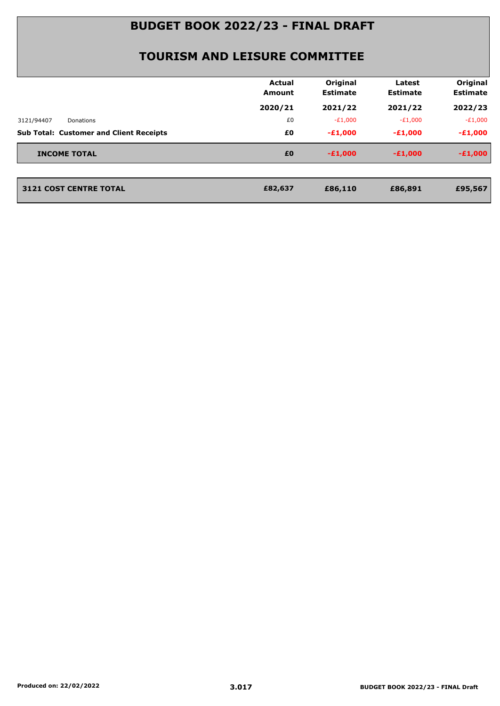|                                                | <b>Actual</b><br>Amount | Original<br><b>Estimate</b> | Latest<br><b>Estimate</b> | Original<br><b>Estimate</b> |
|------------------------------------------------|-------------------------|-----------------------------|---------------------------|-----------------------------|
|                                                | 2020/21                 | 2021/22                     | 2021/22                   | 2022/23                     |
| 3121/94407<br>Donations                        | £0                      | $-E1,000$                   | $-E1,000$                 | $-E1,000$                   |
| <b>Sub Total: Customer and Client Receipts</b> | £0                      | $-E1,000$                   | $-£1,000$                 | $-E1,000$                   |
| <b>INCOME TOTAL</b>                            | £0                      | $-£1,000$                   | $-E1,000$                 | $-E1,000$                   |
|                                                |                         |                             |                           |                             |
| <b>3121 COST CENTRE TOTAL</b>                  | £82,637                 | £86,110                     | £86,891                   | £95,567                     |
|                                                |                         |                             |                           |                             |
|                                                |                         |                             |                           |                             |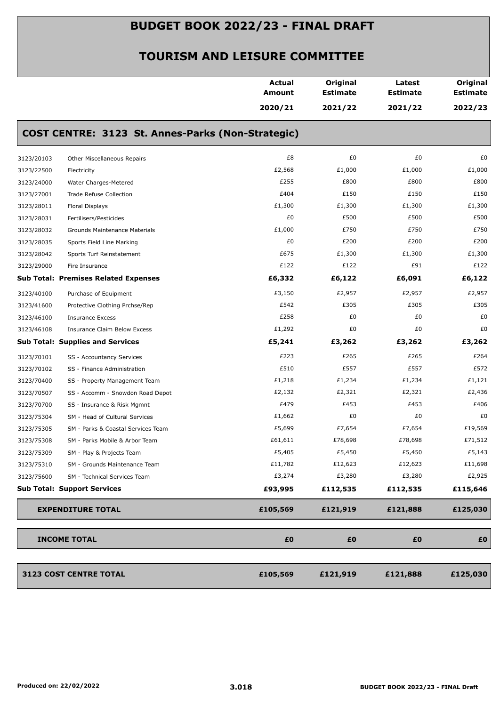|            |                                                   | <b>Actual</b><br><b>Amount</b> | Original<br><b>Estimate</b> | Latest<br><b>Estimate</b> | Original<br><b>Estimate</b> |
|------------|---------------------------------------------------|--------------------------------|-----------------------------|---------------------------|-----------------------------|
|            |                                                   | 2020/21                        | 2021/22                     | 2021/22                   | 2022/23                     |
|            | COST CENTRE: 3123 St. Annes-Parks (Non-Strategic) |                                |                             |                           |                             |
| 3123/20103 | Other Miscellaneous Repairs                       | £8                             | £0                          | £0                        | £0                          |
| 3123/22500 | Electricity                                       | £2,568                         | £1,000                      | £1,000                    | £1,000                      |
| 3123/24000 | Water Charges-Metered                             | £255                           | £800                        | £800                      | £800                        |
| 3123/27001 | Trade Refuse Collection                           | £404                           | £150                        | £150                      | £150                        |
| 3123/28011 | Floral Displays                                   | £1,300                         | £1,300                      | £1,300                    | £1,300                      |
| 3123/28031 | Fertilisers/Pesticides                            | £0                             | £500                        | £500                      | £500                        |
| 3123/28032 | Grounds Maintenance Materials                     | £1,000                         | £750                        | £750                      | £750                        |
| 3123/28035 | Sports Field Line Marking                         | £0                             | £200                        | £200                      | £200                        |
| 3123/28042 | Sports Turf Reinstatement                         | £675                           | £1,300                      | £1,300                    | £1,300                      |
| 3123/29000 | Fire Insurance                                    | £122                           | £122                        | £91                       | £122                        |
|            | <b>Sub Total: Premises Related Expenses</b>       | £6,332                         | £6,122                      | £6,091                    | £6,122                      |
| 3123/40100 | Purchase of Equipment                             | £3,150                         | £2,957                      | £2,957                    | £2,957                      |
| 3123/41600 | Protective Clothing Prchse/Rep                    | £542                           | £305                        | £305                      | £305                        |
| 3123/46100 | <b>Insurance Excess</b>                           | £258                           | £0                          | £0                        | £0                          |
| 3123/46108 | Insurance Claim Below Excess                      | £1,292                         | £0                          | £0                        | £0                          |
|            | <b>Sub Total: Supplies and Services</b>           | £5,241                         | £3,262                      | £3,262                    | £3,262                      |
| 3123/70101 | SS - Accountancy Services                         | £223                           | £265                        | £265                      | £264                        |
| 3123/70102 | SS - Finance Administration                       | £510                           | £557                        | £557                      | £572                        |
| 3123/70400 | SS - Property Management Team                     | £1,218                         | £1,234                      | £1,234                    | £1,121                      |
| 3123/70507 | SS - Accomm - Snowdon Road Depot                  | £2,132                         | £2,321                      | £2,321                    | £2,436                      |
| 3123/70700 | SS - Insurance & Risk Mgmnt                       | £479                           | £453                        | £453                      | £406                        |
| 3123/75304 | SM - Head of Cultural Services                    | £1,662                         | £0                          | £0                        | £0                          |
| 3123/75305 | SM - Parks & Coastal Services Team                | £5,699                         | £7,654                      | £7,654                    | £19,569                     |
| 3123/75308 | SM - Parks Mobile & Arbor Team                    | £61,611                        | £78,698                     | £78,698                   | £71,512                     |
| 3123/75309 | SM - Play & Projects Team                         | £5,405                         | £5,450                      | £5,450                    | £5,143                      |
| 3123/75310 | SM - Grounds Maintenance Team                     | £11,782                        | £12,623                     | £12,623                   | £11,698                     |
| 3123/75600 | SM - Technical Services Team                      | £3,274                         | £3,280                      | £3,280                    | £2,925                      |
|            | <b>Sub Total: Support Services</b>                | £93,995                        | £112,535                    | £112,535                  | £115,646                    |
|            | <b>EXPENDITURE TOTAL</b>                          | £105,569                       | £121,919                    | £121,888                  | £125,030                    |
|            | <b>INCOME TOTAL</b>                               | £0                             | £0                          | £0                        | £0                          |
|            | 3123 COST CENTRE TOTAL                            | £105,569                       | £121,919                    | £121,888                  | £125,030                    |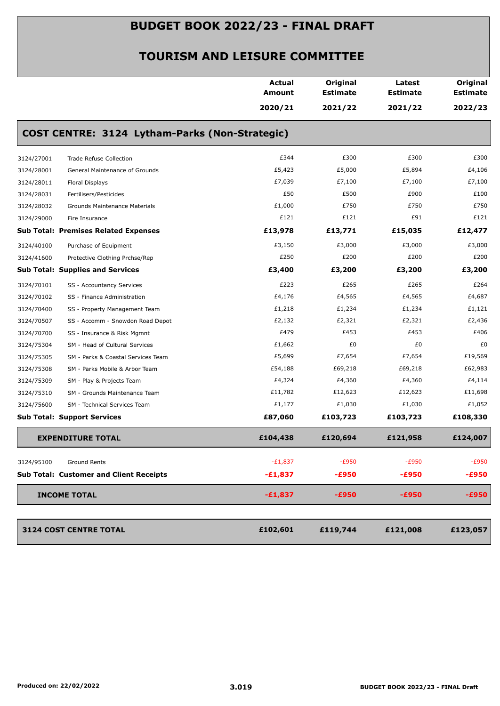|                                                  | Actual<br>Amount | Original<br><b>Estimate</b> | Latest<br><b>Estimate</b> | Original<br><b>Estimate</b> |
|--------------------------------------------------|------------------|-----------------------------|---------------------------|-----------------------------|
|                                                  | 2020/21          | 2021/22                     | 2021/22                   | 2022/23                     |
| COST CENTRE: 3124 Lytham-Parks (Non-Strategic)   |                  |                             |                           |                             |
| 3124/27001<br><b>Trade Refuse Collection</b>     | £344             | £300                        | £300                      | £300                        |
| 3124/28001<br>General Maintenance of Grounds     | £5,423           | £5,000                      | £5,894                    | £4,106                      |
| 3124/28011<br>Floral Displays                    | £7,039           | £7,100                      | £7,100                    | £7,100                      |
| 3124/28031<br>Fertilisers/Pesticides             | £50              | £500                        | £900                      | £100                        |
| 3124/28032<br>Grounds Maintenance Materials      | £1,000           | £750                        | £750                      | £750                        |
| 3124/29000<br>Fire Insurance                     | £121             | £121                        | £91                       | £121                        |
| <b>Sub Total: Premises Related Expenses</b>      | £13,978          | £13,771                     | £15,035                   | £12,477                     |
| 3124/40100<br>Purchase of Equipment              | £3,150           | £3,000                      | £3,000                    | £3,000                      |
| 3124/41600<br>Protective Clothing Prchse/Rep     | £250             | £200                        | £200                      | £200                        |
| <b>Sub Total: Supplies and Services</b>          | £3,400           | £3,200                      | £3,200                    | £3,200                      |
| 3124/70101<br>SS - Accountancy Services          | £223             | £265                        | £265                      | £264                        |
| 3124/70102<br>SS - Finance Administration        | £4,176           | £4,565                      | £4,565                    | £4,687                      |
| 3124/70400<br>SS - Property Management Team      | £1,218           | £1,234                      | £1,234                    | £1,121                      |
| 3124/70507<br>SS - Accomm - Snowdon Road Depot   | £2,132           | £2,321                      | £2,321                    | £2,436                      |
| 3124/70700<br>SS - Insurance & Risk Mgmnt        | £479             | £453                        | £453                      | £406                        |
| 3124/75304<br>SM - Head of Cultural Services     | £1,662           | £0                          | £0                        | £0                          |
| 3124/75305<br>SM - Parks & Coastal Services Team | £5,699           | £7,654                      | £7,654                    | £19,569                     |
| 3124/75308<br>SM - Parks Mobile & Arbor Team     | £54,188          | £69,218                     | £69,218                   | £62,983                     |
| 3124/75309<br>SM - Play & Projects Team          | £4,324           | £4,360                      | £4,360                    | £4,114                      |
| 3124/75310<br>SM - Grounds Maintenance Team      | £11,782          | £12,623                     | £12,623                   | £11,698                     |
| 3124/75600<br>SM - Technical Services Team       | £1,177           | £1,030                      | £1,030                    | £1,052                      |
| <b>Sub Total: Support Services</b>               | £87,060          | £103,723                    | £103,723                  | £108,330                    |
| <b>EXPENDITURE TOTAL</b>                         | £104,438         | £120,694                    | £121,958                  | £124,007                    |
| 3124/95100<br>Ground Rents                       | $-E1,837$        | $-E950$                     | $-E950$                   | $-E950$                     |
| <b>Sub Total: Customer and Client Receipts</b>   | $-£1,837$        | -£950                       | -£950                     | $-£950$                     |
| <b>INCOME TOTAL</b>                              | $-£1,837$        | $-£950$                     | $-£950$                   | $-E950$                     |
| 3124 COST CENTRE TOTAL                           | £102,601         | £119,744                    | £121,008                  | £123,057                    |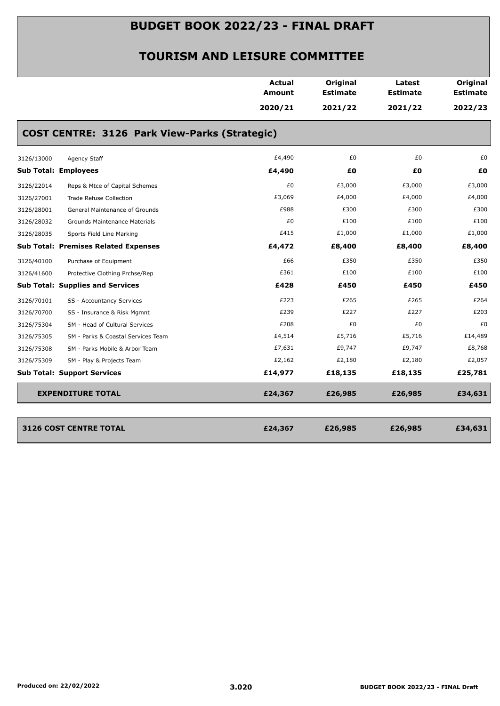|                                                  | <b>Actual</b><br><b>Amount</b> | Original<br><b>Estimate</b> | Latest<br><b>Estimate</b> | Original<br><b>Estimate</b> |
|--------------------------------------------------|--------------------------------|-----------------------------|---------------------------|-----------------------------|
|                                                  | 2020/21                        | 2021/22                     | 2021/22                   | 2022/23                     |
| COST CENTRE: 3126 Park View-Parks (Strategic)    |                                |                             |                           |                             |
| 3126/13000<br>Agency Staff                       | £4,490                         | £0                          | £0                        | £0                          |
| <b>Sub Total: Employees</b>                      | £4,490                         | £0                          | £Ο                        | £0                          |
| 3126/22014<br>Reps & Mtce of Capital Schemes     | £0                             | £3,000                      | £3,000                    | £3,000                      |
| 3126/27001<br>Trade Refuse Collection            | £3,069                         | £4,000                      | £4,000                    | £4,000                      |
| 3126/28001<br>General Maintenance of Grounds     | £988                           | £300                        | £300                      | £300                        |
| 3126/28032<br>Grounds Maintenance Materials      | £0                             | £100                        | £100                      | £100                        |
| 3126/28035<br>Sports Field Line Marking          | £415                           | £1,000                      | £1,000                    | £1,000                      |
| <b>Sub Total: Premises Related Expenses</b>      | £4,472                         | £8,400                      | £8,400                    | £8,400                      |
| 3126/40100<br>Purchase of Equipment              | £66                            | £350                        | £350                      | £350                        |
| 3126/41600<br>Protective Clothing Prchse/Rep     | £361                           | £100                        | £100                      | £100                        |
| <b>Sub Total: Supplies and Services</b>          | £428                           | £450                        | £450                      | £450                        |
| 3126/70101<br>SS - Accountancy Services          | £223                           | £265                        | £265                      | £264                        |
| 3126/70700<br>SS - Insurance & Risk Mgmnt        | £239                           | £227                        | £227                      | £203                        |
| SM - Head of Cultural Services<br>3126/75304     | £208                           | £0                          | £0                        | £0                          |
| 3126/75305<br>SM - Parks & Coastal Services Team | £4,514                         | £5,716                      | £5,716                    | £14,489                     |
| 3126/75308<br>SM - Parks Mobile & Arbor Team     | £7,631                         | £9,747                      | £9,747                    | £8,768                      |
| 3126/75309<br>SM - Play & Projects Team          | £2,162                         | £2,180                      | £2,180                    | £2,057                      |
| <b>Sub Total: Support Services</b>               | £14,977                        | £18,135                     | £18,135                   | £25,781                     |
| <b>EXPENDITURE TOTAL</b>                         | £24,367                        | £26,985                     | £26,985                   | £34,631                     |
| 3126 COST CENTRE TOTAL                           | £24,367                        | £26,985                     | £26,985                   | £34,631                     |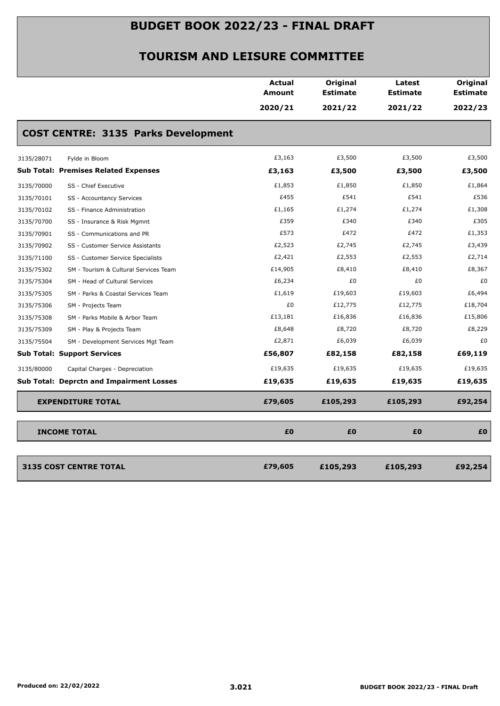|            |                                                 | <b>Actual</b><br><b>Amount</b> | Original<br><b>Estimate</b> | Latest<br><b>Estimate</b> | Original<br><b>Estimate</b> |
|------------|-------------------------------------------------|--------------------------------|-----------------------------|---------------------------|-----------------------------|
|            |                                                 | 2020/21                        | 2021/22                     | 2021/22                   | 2022/23                     |
|            | <b>COST CENTRE: 3135 Parks Development</b>      |                                |                             |                           |                             |
| 3135/28071 | Fylde in Bloom                                  | £3,163                         | £3,500                      | £3,500                    | £3,500                      |
|            | <b>Sub Total: Premises Related Expenses</b>     | £3,163                         | £3,500                      | £3,500                    | £3,500                      |
| 3135/70000 | SS - Chief Executive                            | £1,853                         | £1,850                      | £1,850                    | £1,864                      |
| 3135/70101 | SS - Accountancy Services                       | £455                           | £541                        | £541                      | £536                        |
| 3135/70102 | SS - Finance Administration                     | £1,165                         | £1,274                      | £1,274                    | £1,308                      |
| 3135/70700 | SS - Insurance & Risk Mgmnt                     | £359                           | £340                        | £340                      | £305                        |
| 3135/70901 | SS - Communications and PR                      | £573                           | £472                        | £472                      | £1,353                      |
| 3135/70902 | SS - Customer Service Assistants                | £2,523                         | £2,745                      | £2,745                    | £3,439                      |
| 3135/71100 | SS - Customer Service Specialists               | £2,421                         | £2,553                      | £2,553                    | £2,714                      |
| 3135/75302 | SM - Tourism & Cultural Services Team           | £14,905                        | £8,410                      | £8,410                    | £8,367                      |
| 3135/75304 | SM - Head of Cultural Services                  | £6,234                         | £0                          | £0                        | £0                          |
| 3135/75305 | SM - Parks & Coastal Services Team              | £1,619                         | £19,603                     | £19,603                   | £6,494                      |
| 3135/75306 | SM - Projects Team                              | £0                             | £12,775                     | £12,775                   | £18,704                     |
| 3135/75308 | SM - Parks Mobile & Arbor Team                  | £13,181                        | £16,836                     | £16,836                   | £15,806                     |
| 3135/75309 | SM - Play & Projects Team                       | £8,648                         | £8,720                      | £8,720                    | £8,229                      |
| 3135/75504 | SM - Development Services Mgt Team              | £2,871                         | £6,039                      | £6,039                    | £0                          |
|            | <b>Sub Total: Support Services</b>              | £56,807                        | £82,158                     | £82,158                   | £69,119                     |
| 3135/80000 | Capital Charges - Depreciation                  | £19,635                        | £19,635                     | £19,635                   | £19,635                     |
|            | <b>Sub Total: Deprctn and Impairment Losses</b> | £19,635                        | £19,635                     | £19,635                   | £19,635                     |
|            | <b>EXPENDITURE TOTAL</b>                        | £79,605                        | £105,293                    | £105,293                  | £92,254                     |
|            | <b>INCOME TOTAL</b>                             | £0                             | £0                          | £0                        | £0                          |
|            |                                                 |                                |                             |                           |                             |
|            | <b>3135 COST CENTRE TOTAL</b>                   | £79,605                        | £105,293                    | £105,293                  | £92,254                     |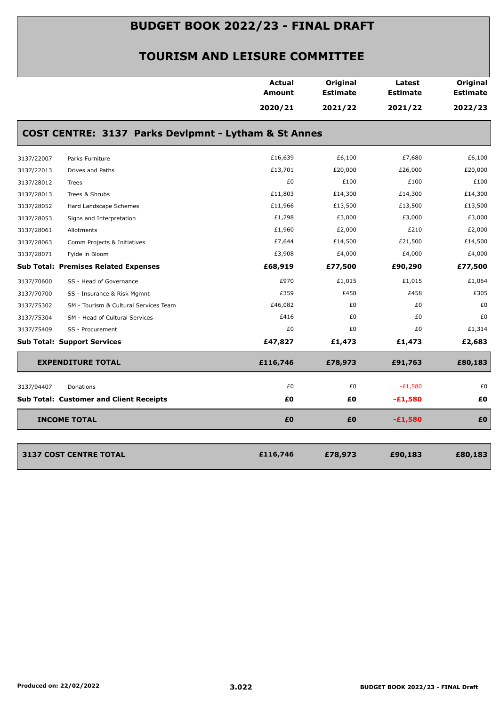|            |                                                      | <b>Actual</b><br>Amount | Original<br><b>Estimate</b> | Latest<br><b>Estimate</b> | Original<br><b>Estimate</b> |
|------------|------------------------------------------------------|-------------------------|-----------------------------|---------------------------|-----------------------------|
|            |                                                      | 2020/21                 | 2021/22                     | 2021/22                   | 2022/23                     |
|            | COST CENTRE: 3137 Parks Devlpmnt - Lytham & St Annes |                         |                             |                           |                             |
| 3137/22007 | Parks Furniture                                      | £16,639                 | £6,100                      | £7,680                    | £6,100                      |
| 3137/22013 | Drives and Paths                                     | £13,701                 | £20,000                     | £26,000                   | £20,000                     |
| 3137/28012 | Trees                                                | £0                      | £100                        | £100                      | £100                        |
| 3137/28013 | Trees & Shrubs                                       | £11,803                 | £14,300                     | £14,300                   | £14,300                     |
| 3137/28052 | Hard Landscape Schemes                               | £11,966                 | £13,500                     | £13,500                   | £13,500                     |
| 3137/28053 | Signs and Interpretation                             | £1,298                  | £3,000                      | £3,000                    | £3,000                      |
| 3137/28061 | Allotments                                           | £1,960                  | £2,000                      | £210                      | £2,000                      |
| 3137/28063 | Comm Projects & Initiatives                          | £7,644                  | £14,500                     | £21,500                   | £14,500                     |
| 3137/28071 | Fylde in Bloom                                       | £3,908                  | £4,000                      | £4,000                    | £4,000                      |
|            | <b>Sub Total: Premises Related Expenses</b>          | £68,919                 | £77,500                     | £90,290                   | £77,500                     |
| 3137/70600 | SS - Head of Governance                              | £970                    | £1,015                      | £1,015                    | £1,064                      |
| 3137/70700 | SS - Insurance & Risk Mgmnt                          | £359                    | £458                        | £458                      | £305                        |
| 3137/75302 | SM - Tourism & Cultural Services Team                | £46,082                 | £0                          | £0                        | £0                          |
| 3137/75304 | SM - Head of Cultural Services                       | £416                    | £0                          | £0                        | £0                          |
| 3137/75409 | SS - Procurement                                     | £0                      | £0                          | £0                        | £1,314                      |
|            | <b>Sub Total: Support Services</b>                   | £47,827                 | £1,473                      | £1,473                    | £2,683                      |
|            | <b>EXPENDITURE TOTAL</b>                             | £116,746                | £78,973                     | £91,763                   | £80,183                     |
| 3137/94407 | Donations                                            | £0                      | £0                          | $-E1,580$                 | £0                          |
|            | <b>Sub Total: Customer and Client Receipts</b>       | £0                      | £Ο                          | $-£1,580$                 | £0                          |
|            | <b>INCOME TOTAL</b>                                  | £0                      | £0                          | $-£1,580$                 | £Ο                          |
|            |                                                      |                         |                             |                           |                             |
|            | <b>3137 COST CENTRE TOTAL</b>                        | £116,746                | £78,973                     | £90,183                   | £80,183                     |
|            |                                                      |                         |                             |                           |                             |
|            |                                                      |                         |                             |                           |                             |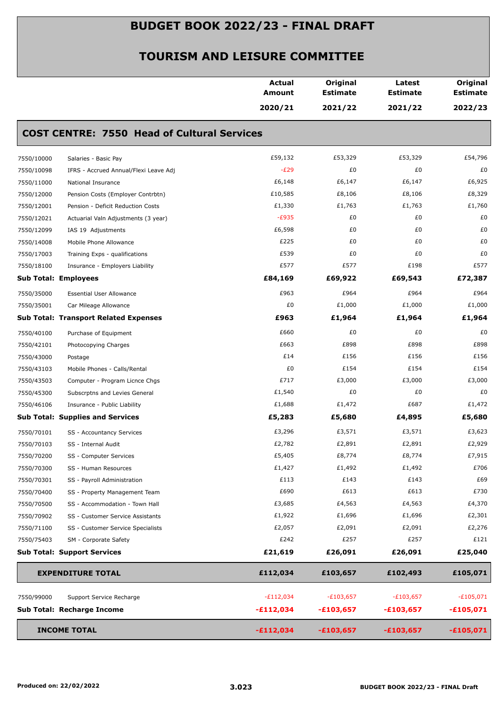|            |                                                    | Actual<br>Amount | Original<br><b>Estimate</b> | Latest<br><b>Estimate</b> | Original<br><b>Estimate</b> |
|------------|----------------------------------------------------|------------------|-----------------------------|---------------------------|-----------------------------|
|            |                                                    | 2020/21          | 2021/22                     | 2021/22                   | 2022/23                     |
|            | <b>COST CENTRE: 7550 Head of Cultural Services</b> |                  |                             |                           |                             |
| 7550/10000 | Salaries - Basic Pay                               | £59,132          | £53,329                     | £53,329                   | £54,796                     |
| 7550/10098 | IFRS - Accrued Annual/Flexi Leave Adj              | $-E29$           | £0                          | £0                        | £0                          |
| 7550/11000 | National Insurance                                 | £6,148           | £6,147                      | £6,147                    | £6,925                      |
| 7550/12000 | Pension Costs (Employer Contrbtn)                  | £10,585          | £8,106                      | £8,106                    | £8,329                      |
| 7550/12001 | Pension - Deficit Reduction Costs                  | £1,330           | £1,763                      | £1,763                    | £1,760                      |
| 7550/12021 | Actuarial Valn Adjustments (3 year)                | $-E935$          | £0                          | £0                        | £0                          |
| 7550/12099 | IAS 19 Adjustments                                 | £6,598           | £0                          | £0                        | £0                          |
| 7550/14008 | Mobile Phone Allowance                             | £225             | £0                          | £0                        | £0                          |
| 7550/17003 | Training Exps - qualifications                     | £539             | £0                          | £0                        | £0                          |
| 7550/18100 | Insurance - Employers Liability                    | £577             | £577                        | £198                      | £577                        |
|            | <b>Sub Total: Employees</b>                        | £84,169          | £69,922                     | £69,543                   | £72,387                     |
| 7550/35000 | <b>Essential User Allowance</b>                    | £963             | £964                        | £964                      | £964                        |
| 7550/35001 | Car Mileage Allowance                              | £0               | £1,000                      | £1,000                    | £1,000                      |
|            | <b>Sub Total: Transport Related Expenses</b>       | £963             | £1,964                      | £1,964                    | £1,964                      |
| 7550/40100 | Purchase of Equipment                              | £660             | £0                          | £0                        | £0                          |
| 7550/42101 | Photocopying Charges                               | £663             | £898                        | £898                      | £898                        |
| 7550/43000 | Postage                                            | £14              | £156                        | £156                      | £156                        |
| 7550/43103 | Mobile Phones - Calls/Rental                       | £0               | £154                        | £154                      | £154                        |
| 7550/43503 | Computer - Program Licnce Chgs                     | £717             | £3,000                      | £3,000                    | £3,000                      |
| 7550/45300 | Subscrptns and Levies General                      | £1,540           | £0                          | £0                        | £0                          |
| 7550/46106 | Insurance - Public Liability                       | £1,688           | £1,472                      | £687                      | £1,472                      |
|            | <b>Sub Total: Supplies and Services</b>            | £5,283           | £5,680                      | £4,895                    | £5,680                      |
| 7550/70101 | SS - Accountancy Services                          | £3,296           | £3,571                      | £3,571                    | £3,623                      |
| 7550/70103 | SS - Internal Audit                                | £2,782           | £2,891                      | £2,891                    | £2,929                      |
| 7550/70200 | SS - Computer Services                             | £5,405           | £8,774                      | £8,774                    | £7,915                      |
| 7550/70300 | SS - Human Resources                               | £1,427           | £1,492                      | £1,492                    | £706                        |
| 7550/70301 | SS - Payroll Administration                        | £113             | £143                        | £143                      | £69                         |
| 7550/70400 | SS - Property Management Team                      | £690             | £613                        | £613                      | £730                        |
| 7550/70500 | SS - Accommodation - Town Hall                     | £3,685           | £4,563                      | £4,563                    | £4,370                      |
| 7550/70902 | SS - Customer Service Assistants                   | £1,922           | £1,696                      | £1,696                    | £2,301                      |
| 7550/71100 | SS - Customer Service Specialists                  | £2,057           | £2,091                      | £2,091                    | £2,276                      |
| 7550/75403 | SM - Corporate Safety                              | £242             | £257                        | £257                      | £121                        |
|            | <b>Sub Total: Support Services</b>                 | £21,619          | £26,091                     | £26,091                   | £25,040                     |
|            | <b>EXPENDITURE TOTAL</b>                           | £112,034         | £103,657                    | £102,493                  | £105,071                    |
| 7550/99000 | Support Service Recharge                           | $-E112,034$      | $-E103,657$                 | $-E103,657$               | $-E105,071$                 |
|            | Sub Total: Recharge Income                         | $-£112,034$      | $-£103,657$                 | $-£103,657$               | $-£105,071$                 |
|            | <b>INCOME TOTAL</b>                                | $-£112,034$      | $-£103,657$                 | $-£103,657$               | $-£105,071$                 |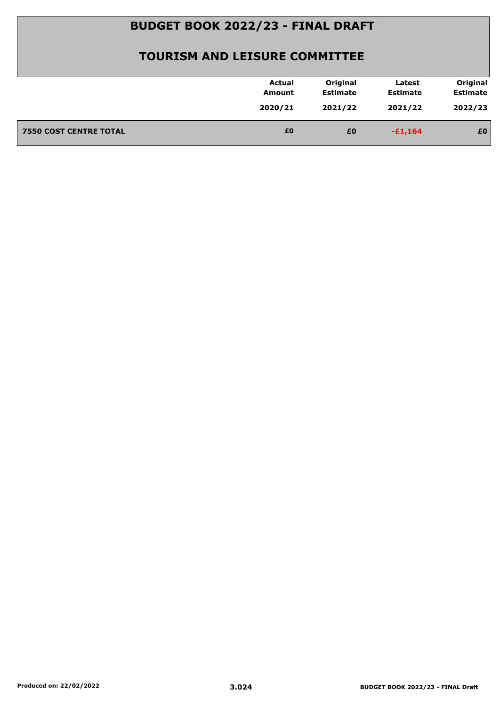| Original<br>Original<br>Actual<br>Latest<br><b>Estimate</b><br><b>Estimate</b><br><b>Estimate</b><br><b>Amount</b><br>2022/23<br>2020/21<br>2021/22<br>2021/22<br>£0<br><b>7550 COST CENTRE TOTAL</b><br>£0<br>£0<br>$-£1,164$ |  |  |  |
|--------------------------------------------------------------------------------------------------------------------------------------------------------------------------------------------------------------------------------|--|--|--|
|                                                                                                                                                                                                                                |  |  |  |
|                                                                                                                                                                                                                                |  |  |  |
|                                                                                                                                                                                                                                |  |  |  |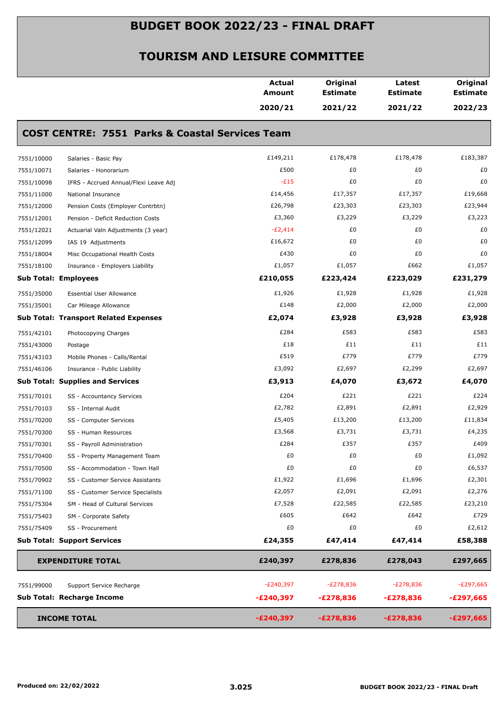|                                               |                                                            | <b>Actual</b><br><b>Amount</b> | Original<br><b>Estimate</b> | Latest<br><b>Estimate</b> | Original<br><b>Estimate</b> |
|-----------------------------------------------|------------------------------------------------------------|--------------------------------|-----------------------------|---------------------------|-----------------------------|
|                                               |                                                            | 2020/21                        | 2021/22                     | 2021/22                   | 2022/23                     |
|                                               | <b>COST CENTRE: 7551 Parks &amp; Coastal Services Team</b> |                                |                             |                           |                             |
| 7551/10000<br>Salaries - Basic Pay            |                                                            | £149,211                       | £178,478                    | £178,478                  | £183,387                    |
| 7551/10071<br>Salaries - Honorarium           |                                                            | £500                           | £0                          | £0                        | £0                          |
| 7551/10098                                    | IFRS - Accrued Annual/Flexi Leave Adj                      | $-E15$                         | £0                          | £0                        | £0                          |
| 7551/11000<br>National Insurance              |                                                            | £14,456                        | £17,357                     | £17,357                   | £19,668                     |
| 7551/12000                                    | Pension Costs (Employer Contrbtn)                          | £26,798                        | £23,303                     | £23,303                   | £23,944                     |
| 7551/12001                                    | Pension - Deficit Reduction Costs                          | £3,360                         | £3,229                      | £3,229                    | £3,223                      |
| 7551/12021                                    | Actuarial Valn Adjustments (3 year)                        | $-E2,414$                      | £0                          | £0                        | £0                          |
| 7551/12099<br>IAS 19 Adjustments              |                                                            | £16,672                        | £0                          | £0                        | £0                          |
| 7551/18004                                    | Misc Occupational Health Costs                             | £430                           | £0                          | £0                        | £0                          |
| 7551/18100                                    | Insurance - Employers Liability                            | £1,057                         | £1,057                      | £662                      | £1,057                      |
| <b>Sub Total: Employees</b>                   |                                                            | £210,055                       | £223,424                    | £223,029                  | £231,279                    |
| 7551/35000<br><b>Essential User Allowance</b> |                                                            | £1,926                         | £1,928                      | £1,928                    | £1,928                      |
| 7551/35001<br>Car Mileage Allowance           |                                                            | £148                           | £2,000                      | £2,000                    | £2,000                      |
| <b>Sub Total: Transport Related Expenses</b>  |                                                            | £2,074                         | £3,928                      | £3,928                    | £3,928                      |
| 7551/42101<br>Photocopying Charges            |                                                            | £284                           | £583                        | £583                      | £583                        |
| 7551/43000<br>Postage                         |                                                            | £18                            | £11                         | £11                       | £11                         |
| 7551/43103                                    | Mobile Phones - Calls/Rental                               | £519                           | £779                        | £779                      | £779                        |
| 7551/46106<br>Insurance - Public Liability    |                                                            | £3,092                         | £2,697                      | £2,299                    | £2,697                      |
| <b>Sub Total: Supplies and Services</b>       |                                                            | £3,913                         | £4,070                      | £3,672                    | £4,070                      |
| 7551/70101<br>SS - Accountancy Services       |                                                            | £204                           | £221                        | £221                      | £224                        |
| 7551/70103<br>SS - Internal Audit             |                                                            | £2,782                         | £2,891                      | £2,891                    | £2,929                      |
| 7551/70200<br>SS - Computer Services          |                                                            | £5,405                         | £13,200                     | £13,200                   | £11,834                     |
| 7551/70300<br>SS - Human Resources            |                                                            | £3,568                         | £3,731                      | £3,731                    | £4,235                      |
| 7551/70301<br>SS - Payroll Administration     |                                                            | £284                           | £357                        | £357                      | £409                        |
| 7551/70400                                    | SS - Property Management Team                              | £0                             | £0                          | £0                        | £1,092                      |
| 7551/70500                                    | SS - Accommodation - Town Hall                             | £0                             | £0                          | £0                        | £6,537                      |
| 7551/70902                                    | SS - Customer Service Assistants                           | £1,922                         | £1,696                      | £1,696                    | £2,301                      |
| 7551/71100                                    | SS - Customer Service Specialists                          | £2,057                         | £2,091                      | £2,091                    | £2,276                      |
| 7551/75304                                    | SM - Head of Cultural Services                             | £7,528                         | £22,585                     | £22,585                   | £23,210                     |
| 7551/75403<br>SM - Corporate Safety           |                                                            | £605                           | £642                        | £642                      | £729                        |
| 7551/75409<br>SS - Procurement                |                                                            | £0                             | £0                          | £0                        | £2,612                      |
| <b>Sub Total: Support Services</b>            |                                                            | £24,355                        | £47,414                     | £47,414                   | £58,388                     |
| <b>EXPENDITURE TOTAL</b>                      |                                                            | £240,397                       | £278,836                    | £278,043                  | £297,665                    |
| 7551/99000<br>Support Service Recharge        |                                                            | $-E240,397$                    | $-E278,836$                 | $-E278,836$               | -£297,665                   |
| Sub Total: Recharge Income                    |                                                            | $-E240,397$                    | $-E278,836$                 | $-E278,836$               | $-E297,665$                 |
|                                               |                                                            |                                |                             |                           |                             |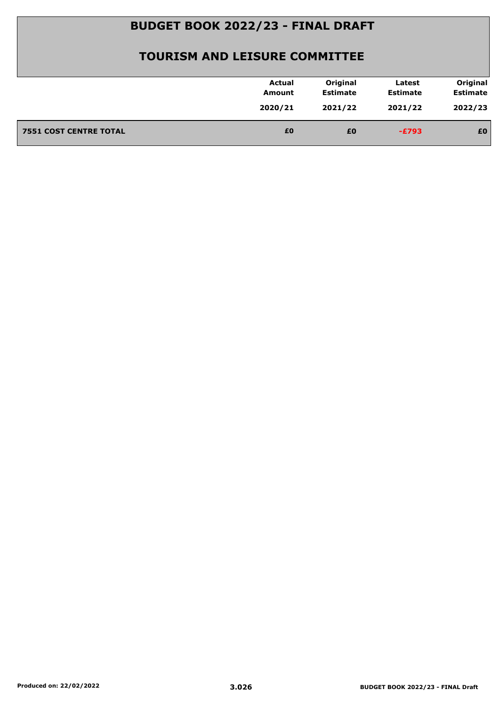| 2022/23<br>2020/21<br>2021/22<br>2021/22<br>£0<br><b>7551 COST CENTRE TOTAL</b><br>£0<br>£0<br>$-E793$ | <b>Actual</b><br>Amount | Original<br><b>Estimate</b> | Latest<br><b>Estimate</b> | Original<br><b>Estimate</b> |
|--------------------------------------------------------------------------------------------------------|-------------------------|-----------------------------|---------------------------|-----------------------------|
|                                                                                                        |                         |                             |                           |                             |
|                                                                                                        |                         |                             |                           |                             |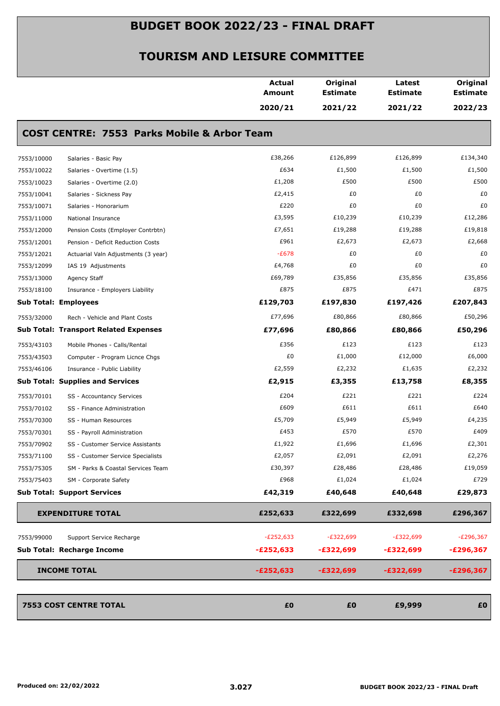|            |                                                        | <b>Actual</b><br><b>Amount</b> | Original<br><b>Estimate</b> | Latest<br><b>Estimate</b> | Original<br><b>Estimate</b> |
|------------|--------------------------------------------------------|--------------------------------|-----------------------------|---------------------------|-----------------------------|
|            |                                                        | 2020/21                        | 2021/22                     | 2021/22                   | 2022/23                     |
|            | <b>COST CENTRE: 7553 Parks Mobile &amp; Arbor Team</b> |                                |                             |                           |                             |
| 7553/10000 | Salaries - Basic Pay                                   | £38,266                        | £126,899                    | £126,899                  | £134,340                    |
| 7553/10022 | Salaries - Overtime (1.5)                              | £634                           | £1,500                      | £1,500                    | £1,500                      |
| 7553/10023 | Salaries - Overtime (2.0)                              | £1,208                         | £500                        | £500                      | £500                        |
| 7553/10041 | Salaries - Sickness Pay                                | £2,415                         | £0                          | £0                        | £0                          |
| 7553/10071 | Salaries - Honorarium                                  | £220                           | £0                          | £0                        | £0                          |
| 7553/11000 | National Insurance                                     | £3,595                         | £10,239                     | £10,239                   | £12,286                     |
| 7553/12000 | Pension Costs (Employer Contrbtn)                      | £7,651                         | £19,288                     | £19,288                   | £19,818                     |
| 7553/12001 | Pension - Deficit Reduction Costs                      | £961                           | £2,673                      | £2,673                    | £2,668                      |
| 7553/12021 | Actuarial Valn Adjustments (3 year)                    | $-E678$                        | £0                          | £0                        | £0                          |
| 7553/12099 | IAS 19 Adjustments                                     | £4,768                         | £0                          | £0                        | £0                          |
| 7553/13000 | Agency Staff                                           | £69,789                        | £35,856                     | £35,856                   | £35,856                     |
| 7553/18100 | Insurance - Employers Liability                        | £875                           | £875                        | £471                      | £875                        |
|            | <b>Sub Total: Employees</b>                            | £129,703                       | £197,830                    | £197,426                  | £207,843                    |
| 7553/32000 | Rech - Vehicle and Plant Costs                         | £77,696                        | £80,866                     | £80,866                   | £50,296                     |
|            | <b>Sub Total: Transport Related Expenses</b>           | £77,696                        | £80,866                     | £80,866                   | £50,296                     |
| 7553/43103 | Mobile Phones - Calls/Rental                           | £356                           | £123                        | £123                      | £123                        |
| 7553/43503 | Computer - Program Licnce Chgs                         | £0                             | £1,000                      | £12,000                   | £6,000                      |
| 7553/46106 | Insurance - Public Liability                           | £2,559                         | £2,232                      | £1,635                    | £2,232                      |
|            | <b>Sub Total: Supplies and Services</b>                | £2,915                         | £3,355                      | £13,758                   | £8,355                      |
| 7553/70101 | SS - Accountancy Services                              | £204                           | £221                        | £221                      | £224                        |
| 7553/70102 | SS - Finance Administration                            | £609                           | £611                        | £611                      | £640                        |
| 7553/70300 | SS - Human Resources                                   | £5,709                         | £5,949                      | £5,949                    | £4,235                      |
| 7553/70301 | SS - Payroll Administration                            | £453                           | £570                        | £570                      | £409                        |
| 7553/70902 | SS - Customer Service Assistants                       | £1,922                         | £1,696                      | £1,696                    | £2,301                      |
| 7553/71100 | SS - Customer Service Specialists                      | £2,057                         | £2,091                      | £2,091                    | £2,276                      |
| 7553/75305 | SM - Parks & Coastal Services Team                     | £30,397                        | £28,486                     | £28,486                   | £19,059                     |
| 7553/75403 | SM - Corporate Safety                                  | £968                           | £1,024                      | £1,024                    | £729                        |
|            | <b>Sub Total: Support Services</b>                     | £42,319                        | £40,648                     | £40,648                   | £29,873                     |
|            | <b>EXPENDITURE TOTAL</b>                               | £252,633                       | £322,699                    | £332,698                  | £296,367                    |
| 7553/99000 | Support Service Recharge                               | $-E252,633$                    | $-E322,699$                 | $-E322,699$               | $-E296,367$                 |
|            | Sub Total: Recharge Income                             | $-E252,633$                    | -£322,699                   | $-£322,699$               | $-E296,367$                 |
|            | <b>INCOME TOTAL</b>                                    | $-E252,633$                    | $-£322,699$                 | $-£322,699$               | $-E296,367$                 |
|            | <b>7553 COST CENTRE TOTAL</b>                          | £0                             | £0                          | £9,999                    | £0                          |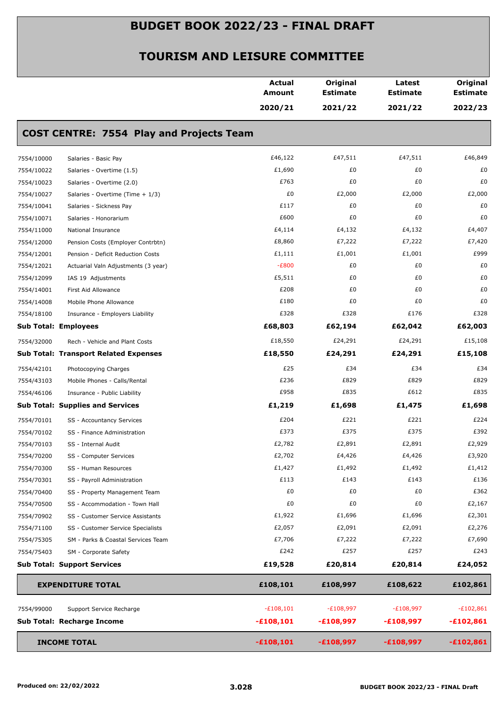|            |                                                 | <b>Actual</b><br><b>Amount</b> | Original<br><b>Estimate</b> | Latest<br><b>Estimate</b> | Original<br><b>Estimate</b> |
|------------|-------------------------------------------------|--------------------------------|-----------------------------|---------------------------|-----------------------------|
|            |                                                 | 2020/21                        | 2021/22                     | 2021/22                   | 2022/23                     |
|            | <b>COST CENTRE: 7554 Play and Projects Team</b> |                                |                             |                           |                             |
| 7554/10000 | Salaries - Basic Pay                            | £46,122                        | £47,511                     | £47,511                   | £46,849                     |
| 7554/10022 | Salaries - Overtime (1.5)                       | £1,690                         | £0                          | £0                        | £0                          |
| 7554/10023 | Salaries - Overtime (2.0)                       | £763                           | £0                          | £0                        | £0                          |
| 7554/10027 | Salaries - Overtime (Time + 1/3)                | £0                             | £2,000                      | £2,000                    | £2,000                      |
| 7554/10041 | Salaries - Sickness Pay                         | £117                           | £0                          | £0                        | £0                          |
| 7554/10071 | Salaries - Honorarium                           | £600                           | £0                          | £0                        | £0                          |
| 7554/11000 | National Insurance                              | £4,114                         | £4,132                      | £4,132                    | £4,407                      |
| 7554/12000 | Pension Costs (Employer Contrbtn)               | £8,860                         | £7,222                      | £7,222                    | £7,420                      |
| 7554/12001 | Pension - Deficit Reduction Costs               | £1,111                         | £1,001                      | £1,001                    | £999                        |
| 7554/12021 | Actuarial Valn Adjustments (3 year)             | $-E800$                        | £0                          | £0                        | £0                          |
| 7554/12099 | IAS 19 Adjustments                              | £5,511                         | £0                          | £0                        | £0                          |
| 7554/14001 | First Aid Allowance                             | £208                           | £0                          | £0                        | £0                          |
| 7554/14008 | Mobile Phone Allowance                          | £180                           | £0                          | £0                        | £0                          |
| 7554/18100 | Insurance - Employers Liability                 | £328                           | £328                        | £176                      | £328                        |
|            | <b>Sub Total: Employees</b>                     | £68,803                        | £62,194                     | £62,042                   | £62,003                     |
| 7554/32000 | Rech - Vehicle and Plant Costs                  | £18,550                        | £24,291                     | £24,291                   | £15,108                     |
|            | <b>Sub Total: Transport Related Expenses</b>    | £18,550                        | £24,291                     | £24,291                   | £15,108                     |
| 7554/42101 | Photocopying Charges                            | £25                            | £34                         | £34                       | £34                         |
| 7554/43103 | Mobile Phones - Calls/Rental                    | £236                           | £829                        | £829                      | £829                        |
| 7554/46106 | Insurance - Public Liability                    | £958                           | £835                        | £612                      | £835                        |
|            | <b>Sub Total: Supplies and Services</b>         | £1,219                         | £1,698                      | £1,475                    | £1,698                      |
| 7554/70101 | SS - Accountancy Services                       | £204                           | £221                        | £221                      | £224                        |
| 7554/70102 | SS - Finance Administration                     | £373                           | £375                        | £375                      | £392                        |
| 7554/70103 | SS - Internal Audit                             | £2,782                         | £2,891                      | £2,891                    | £2,929                      |
| 7554/70200 | SS - Computer Services                          | £2,702                         | £4,426                      | £4,426                    | £3,920                      |
| 7554/70300 | SS - Human Resources                            | £1,427                         | £1,492                      | £1,492                    | £1,412                      |
| 7554/70301 | SS - Payroll Administration                     | £113                           | £143                        | £143                      | £136                        |
| 7554/70400 | SS - Property Management Team                   | £0                             | £0                          | £0                        | £362                        |
| 7554/70500 | SS - Accommodation - Town Hall                  | £0                             | £0                          | £0                        | £2,167                      |
| 7554/70902 | SS - Customer Service Assistants                | £1,922                         | £1,696                      | £1,696                    | £2,301                      |
| 7554/71100 | SS - Customer Service Specialists               | £2,057                         | £2,091                      | £2,091                    | £2,276                      |
| 7554/75305 | SM - Parks & Coastal Services Team              | £7,706                         | £7,222                      | £7,222                    | £7,690                      |
| 7554/75403 | SM - Corporate Safety                           | £242                           | £257                        | £257                      | £243                        |
|            | <b>Sub Total: Support Services</b>              | £19,528                        | £20,814                     | £20,814                   | £24,052                     |
|            | <b>EXPENDITURE TOTAL</b>                        | £108,101                       | £108,997                    | £108,622                  | £102,861                    |
| 7554/99000 | Support Service Recharge                        | $-£108,101$                    | $-E108,997$                 | $-E108,997$               | $-£102,861$                 |
|            | Sub Total: Recharge Income                      | $-£108,101$                    | $-£108,997$                 | $-£108,997$               | $-£102,861$                 |
|            | <b>INCOME TOTAL</b>                             | $-£108,101$                    | $-£108,997$                 | $-£108,997$               | $-£102,861$                 |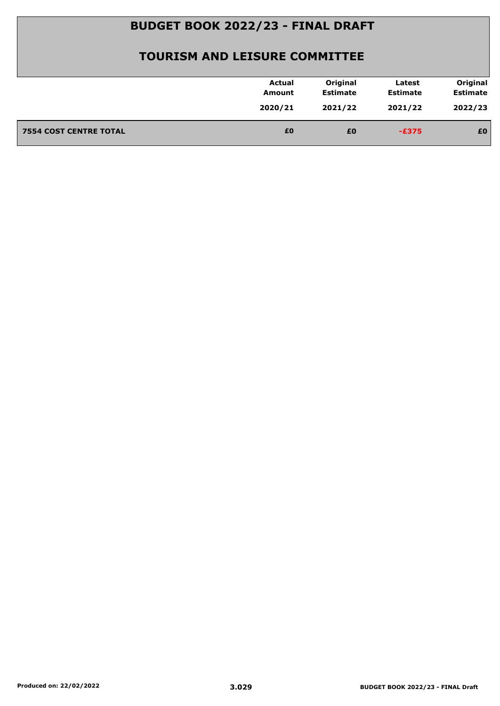| 2022/23<br>2020/21<br>2021/22<br>2021/22<br>£0<br><b>7554 COST CENTRE TOTAL</b><br>£0<br>£0<br>$-E375$ | <b>Actual</b><br>Amount | Original<br><b>Estimate</b> | Latest<br><b>Estimate</b> | Original<br><b>Estimate</b> |
|--------------------------------------------------------------------------------------------------------|-------------------------|-----------------------------|---------------------------|-----------------------------|
|                                                                                                        |                         |                             |                           |                             |
|                                                                                                        |                         |                             |                           |                             |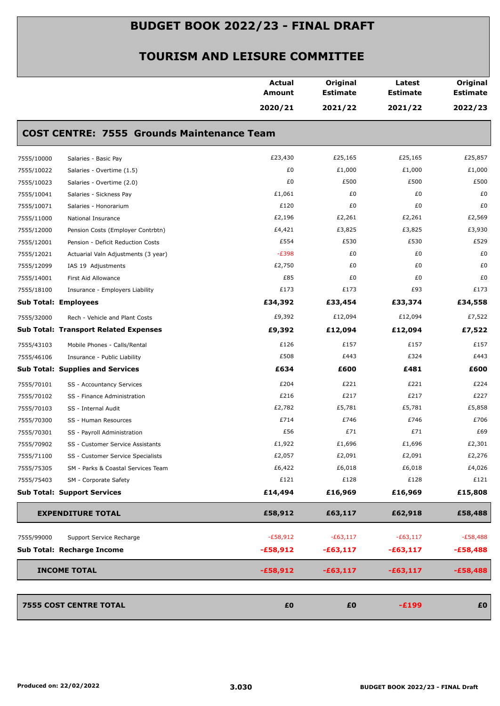|            |                                                   | <b>Actual</b><br><b>Amount</b> | Original<br><b>Estimate</b> | Latest<br><b>Estimate</b> | Original<br><b>Estimate</b> |
|------------|---------------------------------------------------|--------------------------------|-----------------------------|---------------------------|-----------------------------|
|            |                                                   | 2020/21                        | 2021/22                     | 2021/22                   | 2022/23                     |
|            | <b>COST CENTRE: 7555 Grounds Maintenance Team</b> |                                |                             |                           |                             |
| 7555/10000 | Salaries - Basic Pay                              | £23,430                        | £25,165                     | £25,165                   | £25,857                     |
| 7555/10022 | Salaries - Overtime (1.5)                         | £0                             | £1,000                      | £1,000                    | £1,000                      |
| 7555/10023 | Salaries - Overtime (2.0)                         | £0                             | £500                        | £500                      | £500                        |
| 7555/10041 | Salaries - Sickness Pay                           | £1,061                         | £0                          | £0                        | £0                          |
| 7555/10071 | Salaries - Honorarium                             | £120                           | £0                          | £0                        | £0                          |
| 7555/11000 | National Insurance                                | £2,196                         | £2,261                      | £2,261                    | £2,569                      |
| 7555/12000 | Pension Costs (Employer Contrbtn)                 | £4,421                         | £3,825                      | £3,825                    | £3,930                      |
| 7555/12001 | Pension - Deficit Reduction Costs                 | £554                           | £530                        | £530                      | £529                        |
| 7555/12021 | Actuarial Valn Adjustments (3 year)               | $-E398$                        | £0                          | £0                        | £0                          |
| 7555/12099 | IAS 19 Adjustments                                | £2,750                         | £0                          | £0                        | £0                          |
| 7555/14001 | First Aid Allowance                               | £85                            | £0                          | £0                        | £0                          |
| 7555/18100 | Insurance - Employers Liability                   | £173                           | £173                        | £93                       | £173                        |
|            | <b>Sub Total: Employees</b>                       | £34,392                        | £33,454                     | £33,374                   | £34,558                     |
| 7555/32000 | Rech - Vehicle and Plant Costs                    | £9,392                         | £12,094                     | £12,094                   | £7,522                      |
|            | <b>Sub Total: Transport Related Expenses</b>      | £9,392                         | £12,094                     | £12,094                   | £7,522                      |
| 7555/43103 | Mobile Phones - Calls/Rental                      | £126                           | £157                        | £157                      | £157                        |
| 7555/46106 | Insurance - Public Liability                      | £508                           | £443                        | £324                      | £443                        |
|            | <b>Sub Total: Supplies and Services</b>           | £634                           | £600                        | £481                      | £600                        |
| 7555/70101 | SS - Accountancy Services                         | £204                           | £221                        | £221                      | £224                        |
| 7555/70102 | SS - Finance Administration                       | £216                           | £217                        | £217                      | £227                        |
| 7555/70103 | SS - Internal Audit                               | £2,782                         | £5,781                      | £5,781                    | £5,858                      |
| 7555/70300 | SS - Human Resources                              | £714                           | £746                        | £746                      | £706                        |
| 7555/70301 | SS - Payroll Administration                       | £56                            | £71                         | £71                       | £69                         |
| 7555/70902 | SS - Customer Service Assistants                  | £1,922                         | £1,696                      | £1,696                    | £2,301                      |
| 7555/71100 | SS - Customer Service Specialists                 | £2,057                         | £2,091                      | £2,091                    | £2,276                      |
| 7555/75305 | SM - Parks & Coastal Services Team                | £6,422                         | £6,018                      | £6,018                    | £4,026                      |
| 7555/75403 | SM - Corporate Safety                             | £121                           | £128                        | £128                      | £121                        |
|            | <b>Sub Total: Support Services</b>                | £14,494                        | £16,969                     | £16,969                   | £15,808                     |
|            | <b>EXPENDITURE TOTAL</b>                          | £58,912                        | £63,117                     | £62,918                   | £58,488                     |
| 7555/99000 | Support Service Recharge                          | $-E58,912$                     | $-E63,117$                  | $-E63,117$                | $-E58,488$                  |
|            | Sub Total: Recharge Income                        | $-£58,912$                     | $-£63,117$                  | $-£63,117$                | $-£58,488$                  |
|            | <b>INCOME TOTAL</b>                               | $-£58,912$                     | $-£63,117$                  | $-£63,117$                | $-£58,488$                  |
|            |                                                   |                                |                             |                           |                             |
|            | <b>7555 COST CENTRE TOTAL</b>                     | £0                             | £0                          | $-E199$                   | £0                          |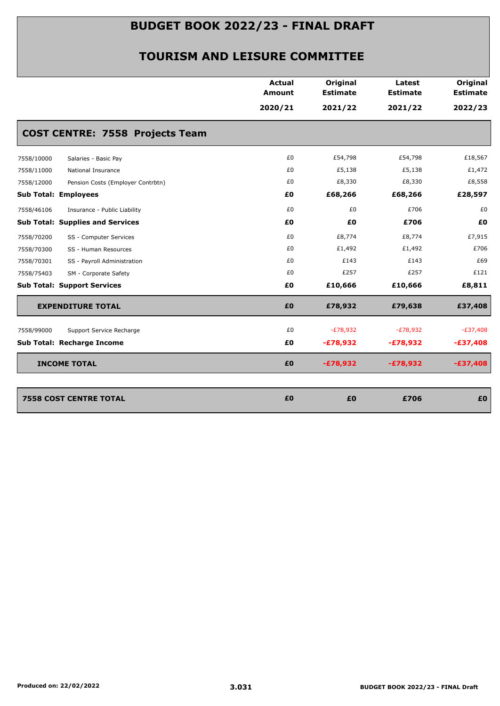|                                                 | <b>Actual</b><br>Amount | Original<br><b>Estimate</b> | Latest<br><b>Estimate</b> | Original<br><b>Estimate</b> |
|-------------------------------------------------|-------------------------|-----------------------------|---------------------------|-----------------------------|
|                                                 | 2020/21                 | 2021/22                     | 2021/22                   | 2022/23                     |
| <b>COST CENTRE: 7558 Projects Team</b>          |                         |                             |                           |                             |
| 7558/10000<br>Salaries - Basic Pay              | £0                      | £54,798                     | £54,798                   | £18,567                     |
| 7558/11000<br>National Insurance                | £0                      | £5,138                      | £5,138                    | £1,472                      |
| 7558/12000<br>Pension Costs (Employer Contrbtn) | £0                      | £8,330                      | £8,330                    | £8,558                      |
| <b>Sub Total: Employees</b>                     | £0                      | £68,266                     | £68,266                   | £28,597                     |
| 7558/46106<br>Insurance - Public Liability      | £0                      | £0                          | £706                      | £0                          |
| <b>Sub Total: Supplies and Services</b>         | £Ο                      | £0                          | £706                      | £0                          |
| 7558/70200<br>SS - Computer Services            | £0                      | £8,774                      | £8,774                    | £7,915                      |
| 7558/70300<br>SS - Human Resources              | £0                      | £1,492                      | £1,492                    | £706                        |
| 7558/70301<br>SS - Payroll Administration       | £0                      | £143                        | £143                      | £69                         |
| 7558/75403<br>SM - Corporate Safety             | £0                      | £257                        | £257                      | £121                        |
| <b>Sub Total: Support Services</b>              | £0                      | £10,666                     | £10,666                   | £8,811                      |
| <b>EXPENDITURE TOTAL</b>                        | £0                      | £78,932                     | £79,638                   | £37,408                     |
| 7558/99000<br>Support Service Recharge          | £0                      | $-E78,932$                  | $-E78,932$                | $-E37,408$                  |
| <b>Sub Total: Recharge Income</b>               | £Ο                      | $-£78,932$                  | $-£78,932$                | $-£37,408$                  |
| <b>INCOME TOTAL</b>                             | £0                      | $-£78,932$                  | $-£78,932$                | $-£37,408$                  |
|                                                 |                         |                             |                           |                             |
| <b>7558 COST CENTRE TOTAL</b>                   | £0                      | £0                          | £706                      | £0                          |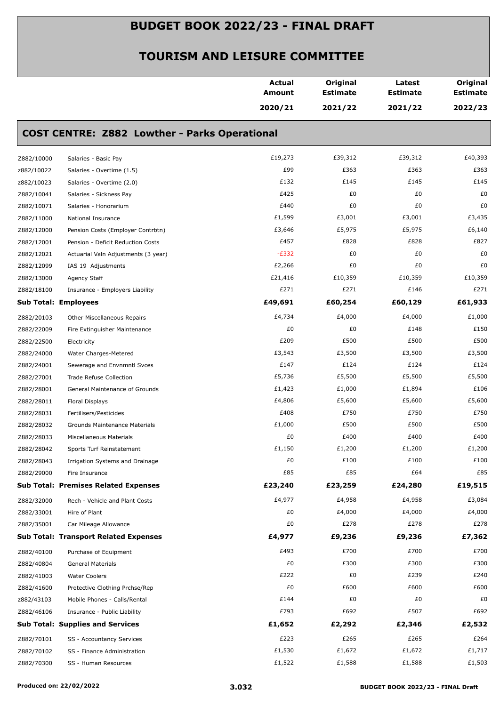|                             |                                                      | Actual<br>Amount | Original<br><b>Estimate</b> | Latest<br><b>Estimate</b> | Original<br><b>Estimate</b> |
|-----------------------------|------------------------------------------------------|------------------|-----------------------------|---------------------------|-----------------------------|
|                             |                                                      | 2020/21          | 2021/22                     | 2021/22                   | 2022/23                     |
|                             | <b>COST CENTRE: Z882 Lowther - Parks Operational</b> |                  |                             |                           |                             |
| Z882/10000                  | Salaries - Basic Pay                                 | £19,273          | £39,312                     | £39,312                   | £40,393                     |
| z882/10022                  | Salaries - Overtime (1.5)                            | £99              | £363                        | £363                      | £363                        |
| z882/10023                  | Salaries - Overtime (2.0)                            | £132             | £145                        | £145                      | £145                        |
| Z882/10041                  | Salaries - Sickness Pay                              | £425             | £0                          | £0                        | £0                          |
| Z882/10071                  | Salaries - Honorarium                                | £440             | £0                          | £0                        | £0                          |
| Z882/11000                  | National Insurance                                   | £1,599           | £3,001                      | £3,001                    | £3,435                      |
| Z882/12000                  | Pension Costs (Employer Contrbtn)                    | £3,646           | £5,975                      | £5,975                    | £6,140                      |
| Z882/12001                  | Pension - Deficit Reduction Costs                    | £457             | £828                        | £828                      | £827                        |
| Z882/12021                  | Actuarial Valn Adjustments (3 year)                  | $-E332$          | £0                          | £0                        | £0                          |
| Z882/12099                  | IAS 19 Adjustments                                   | £2,266           | £0                          | £0                        | £0                          |
| Z882/13000                  | Agency Staff                                         | £21,416          | £10,359                     | £10,359                   | £10,359                     |
| Z882/18100                  | Insurance - Employers Liability                      | £271             | £271                        | £146                      | £271                        |
| <b>Sub Total: Employees</b> |                                                      | £49,691          | £60,254                     | £60,129                   | £61,933                     |
| Z882/20103                  | Other Miscellaneous Repairs                          | £4,734           | £4,000                      | £4,000                    | £1,000                      |
| Z882/22009                  | Fire Extinguisher Maintenance                        | £0               | £0                          | £148                      | £150                        |
| Z882/22500                  | Electricity                                          | £209             | £500                        | £500                      | £500                        |
| Z882/24000                  | Water Charges-Metered                                | £3,543           | £3,500                      | £3,500                    | £3,500                      |
| Z882/24001                  | Sewerage and Envnmntl Svces                          | £147             | £124                        | £124                      | £124                        |
| Z882/27001                  | Trade Refuse Collection                              | £5,736           | £5,500                      | £5,500                    | £5,500                      |
| Z882/28001                  | General Maintenance of Grounds                       | £1,423           | £1,000                      | £1,894                    | £106                        |
| Z882/28011                  | Floral Displays                                      | £4,806           | £5,600                      | £5,600                    | £5,600                      |
| Z882/28031                  | Fertilisers/Pesticides                               | £408             | £750                        | £750                      | £750                        |
| Z882/28032                  | Grounds Maintenance Materials                        | £1,000           | £500                        | £500                      | £500                        |
| Z882/28033                  | Miscellaneous Materials                              | £0               | £400                        | £400                      | £400                        |
| Z882/28042                  | Sports Turf Reinstatement                            | $\pounds1,150$   | £1,200                      | £1,200                    | £1,200                      |
| Z882/28043                  | Irrigation Systems and Drainage                      | £0               | £100                        | £100                      | £100                        |
| Z882/29000                  | Fire Insurance                                       | £85              | £85                         | £64                       | £85                         |
|                             | <b>Sub Total: Premises Related Expenses</b>          | £23,240          | £23,259                     | £24,280                   | £19,515                     |
| Z882/32000                  | Rech - Vehicle and Plant Costs                       | £4,977           | £4,958                      | £4,958                    | £3,084                      |
| Z882/33001                  | Hire of Plant                                        | £0               | £4,000                      | £4,000                    | £4,000                      |
| Z882/35001                  | Car Mileage Allowance                                | £0               | £278                        | £278                      | £278                        |
|                             | <b>Sub Total: Transport Related Expenses</b>         | £4,977           | £9,236                      | £9,236                    | £7,362                      |
| Z882/40100                  | Purchase of Equipment                                | £493             | £700                        | £700                      | £700                        |
| Z882/40804                  | General Materials                                    | £0               | £300                        | £300                      | £300                        |
| Z882/41003                  | <b>Water Coolers</b>                                 | £222             | £0                          | £239                      | £240                        |
| Z882/41600                  | Protective Clothing Prchse/Rep                       | £0               | £600                        | £600                      | £600                        |
| z882/43103                  | Mobile Phones - Calls/Rental                         | £144             | £0                          | £0                        | £0                          |
| Z882/46106                  | Insurance - Public Liability                         | £793             | £692                        | £507                      | £692                        |
|                             | <b>Sub Total: Supplies and Services</b>              | £1,652           | £2,292                      | £2,346                    | £2,532                      |
| Z882/70101                  | SS - Accountancy Services                            | £223             | £265                        | £265                      | £264                        |
| Z882/70102                  | SS - Finance Administration                          | £1,530           | £1,672                      | £1,672                    | £1,717                      |
| Z882/70300                  | SS - Human Resources                                 | £1,522           | £1,588                      | £1,588                    | £1,503                      |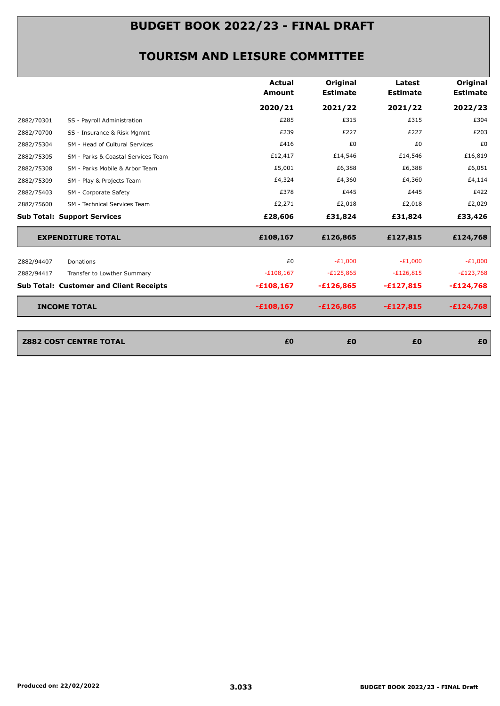|            |                                                | <b>Actual</b><br>Amount | Original<br><b>Estimate</b> | Latest<br><b>Estimate</b> | <b>Original</b><br><b>Estimate</b> |
|------------|------------------------------------------------|-------------------------|-----------------------------|---------------------------|------------------------------------|
|            |                                                | 2020/21                 | 2021/22                     | 2021/22                   | 2022/23                            |
| Z882/70301 | SS - Payroll Administration                    | £285                    | £315                        | £315                      | £304                               |
| Z882/70700 | SS - Insurance & Risk Mgmnt                    | £239                    | £227                        | £227                      | £203                               |
| Z882/75304 | SM - Head of Cultural Services                 | £416                    | £0                          | £0                        | £0                                 |
| Z882/75305 | SM - Parks & Coastal Services Team             | £12,417                 | £14,546                     | £14,546                   | £16,819                            |
| Z882/75308 | SM - Parks Mobile & Arbor Team                 | £5,001                  | £6,388                      | £6,388                    | £6,051                             |
| Z882/75309 | SM - Play & Projects Team                      | £4,324                  | £4,360                      | £4,360                    | £4,114                             |
| Z882/75403 | SM - Corporate Safety                          | £378                    | £445                        | £445                      | £422                               |
| Z882/75600 | SM - Technical Services Team                   | £2,271                  | £2,018                      | £2,018                    | £2,029                             |
|            | <b>Sub Total: Support Services</b>             | £28,606                 | £31,824                     | £31,824                   | £33,426                            |
|            | <b>EXPENDITURE TOTAL</b>                       | £108,167                | £126,865                    | £127,815                  | £124,768                           |
| Z882/94407 | Donations                                      | £0                      | $-E1,000$                   | $-E1,000$                 | $-E1,000$                          |
| Z882/94417 | Transfer to Lowther Summary                    | $-E108,167$             | $-E125,865$                 | $-E126,815$               | $-E123,768$                        |
|            | <b>Sub Total: Customer and Client Receipts</b> | $-£108,167$             | $-£126,865$                 | $-£127,815$               | $-E124,768$                        |
|            | <b>INCOME TOTAL</b>                            | $-£108,167$             | $-£126,865$                 | $-£127,815$               | $-£124,768$                        |
|            |                                                |                         |                             |                           |                                    |
|            | <b>Z882 COST CENTRE TOTAL</b>                  | £0                      | £0                          | £0                        | £0                                 |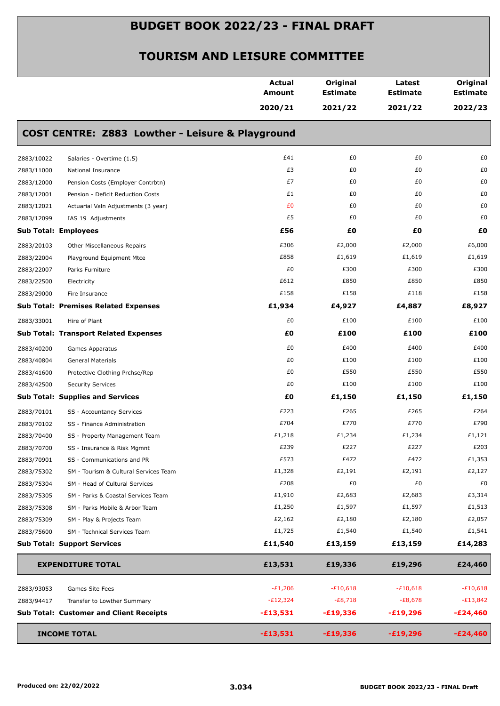|            |                                                  | <b>Actual</b><br><b>Amount</b> | Original<br><b>Estimate</b> | Latest<br><b>Estimate</b> | Original<br><b>Estimate</b> |
|------------|--------------------------------------------------|--------------------------------|-----------------------------|---------------------------|-----------------------------|
|            |                                                  | 2020/21                        | 2021/22                     | 2021/22                   | 2022/23                     |
|            | COST CENTRE: Z883 Lowther - Leisure & Playground |                                |                             |                           |                             |
| Z883/10022 | Salaries - Overtime (1.5)                        | £41                            | £0                          | £0                        | £0                          |
| Z883/11000 | National Insurance                               | £3                             | £0                          | £0                        | £0                          |
| Z883/12000 | Pension Costs (Employer Contrbtn)                | £7                             | £0                          | £0                        | £0                          |
| Z883/12001 | Pension - Deficit Reduction Costs                | £1                             | £0                          | £0                        | £0                          |
| Z883/12021 | Actuarial Valn Adjustments (3 year)              | £0                             | £0                          | £0                        | £0                          |
| Z883/12099 | IAS 19 Adjustments                               | £5                             | £0                          | £0                        | £0                          |
|            | <b>Sub Total: Employees</b>                      | £56                            | £0                          | £0                        | £0                          |
| Z883/20103 | Other Miscellaneous Repairs                      | £306                           | £2,000                      | £2,000                    | £6,000                      |
| Z883/22004 | Playground Equipment Mtce                        | £858                           | £1,619                      | £1,619                    | £1,619                      |
| Z883/22007 | Parks Furniture                                  | £0                             | £300                        | £300                      | £300                        |
| Z883/22500 | Electricity                                      | £612                           | £850                        | £850                      | £850                        |
| Z883/29000 | Fire Insurance                                   | £158                           | £158                        | £118                      | £158                        |
|            | <b>Sub Total: Premises Related Expenses</b>      | £1,934                         | £4,927                      | £4,887                    | £8,927                      |
| Z883/33001 | Hire of Plant                                    | £0                             | £100                        | £100                      | £100                        |
|            | <b>Sub Total: Transport Related Expenses</b>     | £0                             | £100                        | £100                      | £100                        |
| Z883/40200 | Games Apparatus                                  | £0                             | £400                        | £400                      | £400                        |
| Z883/40804 | <b>General Materials</b>                         | £0                             | £100                        | £100                      | £100                        |
| Z883/41600 | Protective Clothing Prchse/Rep                   | £0                             | £550                        | £550                      | £550                        |
| Z883/42500 | <b>Security Services</b>                         | £0                             | £100                        | £100                      | £100                        |
|            | <b>Sub Total: Supplies and Services</b>          | £0                             | £1,150                      | £1,150                    | £1,150                      |
| Z883/70101 | SS - Accountancy Services                        | £223                           | £265                        | £265                      | £264                        |
| Z883/70102 | SS - Finance Administration                      | £704                           | £770                        | £770                      | £790                        |
| Z883/70400 | SS - Property Management Team                    | £1,218                         | £1,234                      | £1,234                    | £1,121                      |
| Z883/70700 | SS - Insurance & Risk Mgmnt                      | £239                           | £227                        | £227                      | £203                        |
| Z883/70901 | SS - Communications and PR                       | £573                           | £472                        | £472                      | £1,353                      |
| Z883/75302 | SM - Tourism & Cultural Services Team            | £1,328                         | £2,191                      | £2,191                    | £2,127                      |
| Z883/75304 | SM - Head of Cultural Services                   | £208                           | £0                          | £0                        | £0                          |
| Z883/75305 | SM - Parks & Coastal Services Team               | £1,910                         | £2,683                      | £2,683                    | £3,314                      |
| Z883/75308 | SM - Parks Mobile & Arbor Team                   | £1,250                         | £1,597                      | £1,597                    | £1,513                      |
| Z883/75309 | SM - Play & Projects Team                        | £2,162                         | £2,180                      | £2,180                    | £2,057                      |
| Z883/75600 | SM - Technical Services Team                     | £1,725                         | £1,540                      | £1,540                    | £1,541                      |
|            | <b>Sub Total: Support Services</b>               | £11,540                        | £13,159                     | £13,159                   | £14,283                     |
|            | <b>EXPENDITURE TOTAL</b>                         | £13,531                        | £19,336                     | £19,296                   | £24,460                     |
| Z883/93053 | Games Site Fees                                  | $-E1,206$                      | $-£10,618$                  | $-£10,618$                | $-£10,618$                  |
| Z883/94417 | Transfer to Lowther Summary                      | $-E12,324$                     | $-E8,718$                   | $-E8,678$                 | $-E13,842$                  |
|            | <b>Sub Total: Customer and Client Receipts</b>   | $-£13,531$                     | $-£19,336$                  | $-£19,296$                | $-E24,460$                  |
|            | <b>INCOME TOTAL</b>                              | $-£13,531$                     | $-£19,336$                  | $-£19,296$                | $-E24,460$                  |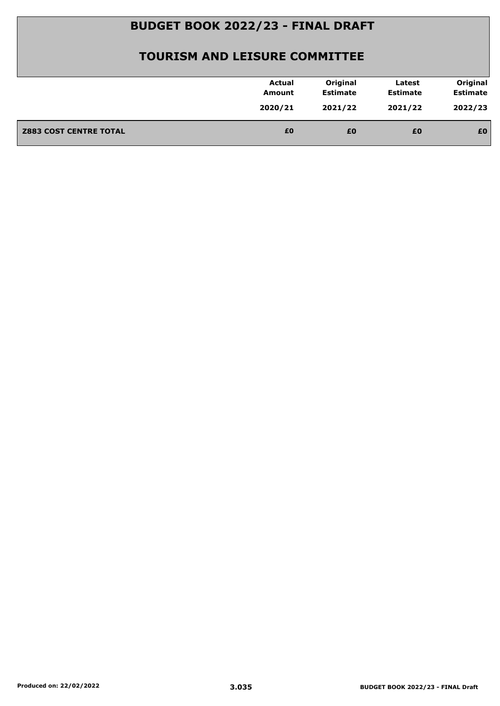| 2022/23<br>2020/21<br>2021/22<br>2021/22<br>£0<br><b>Z883 COST CENTRE TOTAL</b><br>£0<br>£0<br>£0 | <b>Actual</b><br>Amount | Original<br><b>Estimate</b> | Latest<br><b>Estimate</b> | Original<br><b>Estimate</b> |
|---------------------------------------------------------------------------------------------------|-------------------------|-----------------------------|---------------------------|-----------------------------|
|                                                                                                   |                         |                             |                           |                             |
|                                                                                                   |                         |                             |                           |                             |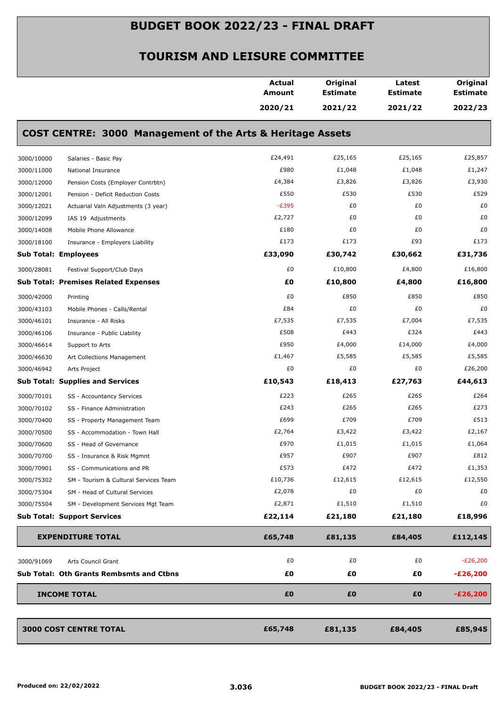|            |                                                                       | <b>Actual</b><br>Amount | Original<br><b>Estimate</b> | Latest<br><b>Estimate</b> | Original<br><b>Estimate</b> |
|------------|-----------------------------------------------------------------------|-------------------------|-----------------------------|---------------------------|-----------------------------|
|            |                                                                       | 2020/21                 | 2021/22                     | 2021/22                   | 2022/23                     |
|            | <b>COST CENTRE: 3000 Management of the Arts &amp; Heritage Assets</b> |                         |                             |                           |                             |
| 3000/10000 | Salaries - Basic Pay                                                  | £24,491                 | £25,165                     | £25,165                   | £25,857                     |
| 3000/11000 | National Insurance                                                    | £980                    | £1,048                      | £1,048                    | £1,247                      |
| 3000/12000 | Pension Costs (Employer Contrbtn)                                     | £4,384                  | £3,826                      | £3,826                    | £3,930                      |
| 3000/12001 | Pension - Deficit Reduction Costs                                     | £550                    | £530                        | £530                      | £529                        |
| 3000/12021 | Actuarial Valn Adjustments (3 year)                                   | $-E395$                 | £0                          | £0                        | £0                          |
| 3000/12099 | IAS 19 Adjustments                                                    | £2,727                  | £0                          | £0                        | £0                          |
| 3000/14008 | Mobile Phone Allowance                                                | £180                    | £0                          | £0                        | £0                          |
| 3000/18100 | Insurance - Employers Liability                                       | £173                    | £173                        | £93                       | £173                        |
|            | <b>Sub Total: Employees</b>                                           | £33,090                 | £30,742                     | £30,662                   | £31,736                     |
| 3000/28081 | Festival Support/Club Days                                            | £0                      | £10,800                     | £4,800                    | £16,800                     |
|            | <b>Sub Total: Premises Related Expenses</b>                           | £0                      | £10,800                     | £4,800                    | £16,800                     |
| 3000/42000 | Printing                                                              | £0                      | £850                        | £850                      | £850                        |
| 3000/43103 | Mobile Phones - Calls/Rental                                          | £84                     | £0                          | £0                        | £0                          |
| 3000/46101 | Insurance - All Risks                                                 | £7,535                  | £7,535                      | £7,004                    | £7,535                      |
| 3000/46106 | Insurance - Public Liability                                          | £508                    | £443                        | £324                      | £443                        |
| 3000/46614 | Support to Arts                                                       | £950                    | £4,000                      | £14,000                   | £4,000                      |
| 3000/46630 | Art Collections Management                                            | £1,467                  | £5,585                      | £5,585                    | £5,585                      |
| 3000/46942 | Arts Project                                                          | £0                      | £0                          | £0                        | £26,200                     |
|            | <b>Sub Total: Supplies and Services</b>                               | £10,543                 | £18,413                     | £27,763                   | £44,613                     |
| 3000/70101 | SS - Accountancy Services                                             | £223                    | £265                        | £265                      | £264                        |
| 3000/70102 | SS - Finance Administration                                           | £243                    | £265                        | £265                      | £273                        |
| 3000/70400 | SS - Property Management Team                                         | £699                    | £709                        | £709                      | £513                        |
| 3000/70500 | SS - Accommodation - Town Hall                                        | £2,764                  | £3,422                      | £3,422                    | £2,167                      |
| 3000/70600 | SS - Head of Governance                                               | £970                    | £1,015                      | £1,015                    | £1,064                      |
| 3000/70700 | SS - Insurance & Risk Mgmnt                                           | £957                    | £907                        | £907                      | £812                        |
| 3000/70901 | SS - Communications and PR                                            | £573                    | £472                        | £472                      | £1,353                      |
| 3000/75302 | SM - Tourism & Cultural Services Team                                 | £10,736                 | £12,615                     | £12,615                   | £12,550                     |
| 3000/75304 | SM - Head of Cultural Services                                        | £2,078                  | £0                          | £0                        | £0                          |
| 3000/75504 | SM - Development Services Mgt Team                                    | £2,871                  | £1,510                      | £1,510                    | £0                          |
|            | <b>Sub Total: Support Services</b>                                    | £22,114                 | £21,180                     | £21,180                   | £18,996                     |
|            | <b>EXPENDITURE TOTAL</b>                                              | £65,748                 | £81,135                     | £84,405                   | £112,145                    |
| 3000/91069 | Arts Council Grant                                                    | £0                      | £0                          | £0                        | $-E26,200$                  |
|            | <b>Sub Total: Oth Grants Rembsmts and Ctbns</b>                       | £0                      | £0                          | £Ο                        | $-E26,200$                  |
|            | <b>INCOME TOTAL</b>                                                   | £0                      | £0                          | £0                        | $-E26,200$                  |
|            |                                                                       |                         |                             |                           |                             |
|            | <b>3000 COST CENTRE TOTAL</b>                                         | £65,748                 | £81,135                     | £84,405                   | £85,945                     |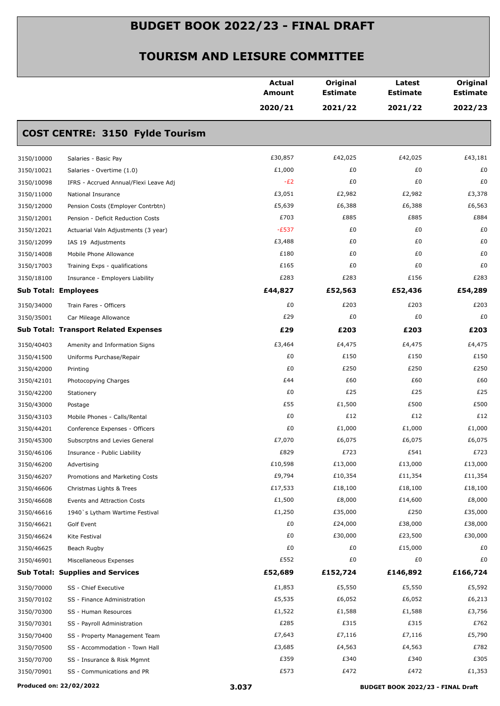|                                                     | <b>Actual</b><br><b>Amount</b> | Original<br><b>Estimate</b> | Latest<br><b>Estimate</b> | Original<br><b>Estimate</b> |
|-----------------------------------------------------|--------------------------------|-----------------------------|---------------------------|-----------------------------|
|                                                     | 2020/21                        | 2021/22                     | 2021/22                   | 2022/23                     |
| <b>COST CENTRE: 3150 Fylde Tourism</b>              |                                |                             |                           |                             |
| 3150/10000<br>Salaries - Basic Pay                  | £30,857                        | £42,025                     | £42,025                   | £43,181                     |
| 3150/10021<br>Salaries - Overtime (1.0)             | £1,000                         | £0                          | £0                        | £0                          |
| 3150/10098<br>IFRS - Accrued Annual/Flexi Leave Adj | $-E2$                          | £0                          | £0                        | £0                          |
| 3150/11000<br>National Insurance                    | £3,051                         | £2,982                      | £2,982                    | £3,378                      |
| 3150/12000<br>Pension Costs (Employer Contrbtn)     | £5,639                         | £6,388                      | £6,388                    | £6,563                      |
| 3150/12001<br>Pension - Deficit Reduction Costs     | £703                           | £885                        | £885                      | £884                        |
| 3150/12021<br>Actuarial Valn Adjustments (3 year)   | $-E537$                        | £0                          | £0                        | £0                          |
| 3150/12099<br>IAS 19 Adjustments                    | £3,488                         | £0                          | £0                        | £0                          |
| 3150/14008<br>Mobile Phone Allowance                | £180                           | £0                          | £0                        | £0                          |
| 3150/17003<br>Training Exps - qualifications        | £165                           | £0                          | £0                        | £0                          |
| 3150/18100<br>Insurance - Employers Liability       | £283                           | £283                        | £156                      | £283                        |
| <b>Sub Total: Employees</b>                         | £44,827                        | £52,563                     | £52,436                   | £54,289                     |
| 3150/34000<br>Train Fares - Officers                | £0                             | £203                        | £203                      | £203                        |
| 3150/35001<br>Car Mileage Allowance                 | £29                            | £0                          | £0                        | £0                          |
| <b>Sub Total: Transport Related Expenses</b>        | £29                            | £203                        | £203                      | £203                        |
| 3150/40403<br>Amenity and Information Signs         | £3,464                         | £4,475                      | £4,475                    | £4,475                      |
| 3150/41500<br>Uniforms Purchase/Repair              | £0                             | £150                        | £150                      | £150                        |
| 3150/42000<br>Printing                              | £0                             | £250                        | £250                      | £250                        |
| 3150/42101<br>Photocopying Charges                  | £44                            | £60                         | £60                       | £60                         |
| 3150/42200<br>Stationery                            | £0                             | £25                         | £25                       | £25                         |
| 3150/43000<br>Postage                               | £55                            | £1,500                      | £500                      | £500                        |
| 3150/43103<br>Mobile Phones - Calls/Rental          | £0                             | £12                         | £12                       | £12                         |
| 3150/44201<br>Conference Expenses - Officers        | £0                             | £1,000                      | £1,000                    | £1,000                      |
| 3150/45300<br>Subscrptns and Levies General         | £7,070                         | £6,075                      | £6,075                    | £6,075                      |
| 3150/46106<br>Insurance - Public Liability          | £829                           | £723                        | £541                      | £723                        |
| 3150/46200<br>Advertising                           | £10,598                        | £13,000                     | £13,000                   | £13,000                     |
| 3150/46207<br>Promotions and Marketing Costs        | £9,794                         | £10,354                     | £11,354                   | £11,354                     |
| 3150/46606<br>Christmas Lights & Trees              | £17,533                        | £18,100                     | £18,100                   | £18,100                     |
| 3150/46608<br>Events and Attraction Costs           | £1,500                         | £8,000                      | £14,600                   | £8,000                      |
| 3150/46616<br>1940's Lytham Wartime Festival        | £1,250                         | £35,000                     | £250                      | £35,000                     |
| 3150/46621<br>Golf Event                            | £0                             | £24,000                     | £38,000                   | £38,000                     |
| 3150/46624<br>Kite Festival                         | £0                             | £30,000                     | £23,500                   | £30,000                     |
| 3150/46625<br>Beach Rugby                           | £0                             | £0                          | £15,000                   | £0                          |
| 3150/46901<br>Miscellaneous Expenses                | £552                           | £0                          | £0                        | £0                          |
| <b>Sub Total: Supplies and Services</b>             | £52,689                        | £152,724                    | £146,892                  | £166,724                    |
| 3150/70000<br>SS - Chief Executive                  | £1,853                         | £5,550                      | £5,550                    | £5,592                      |
| 3150/70102<br>SS - Finance Administration           | £5,535                         | £6,052                      | £6,052                    | £6,213                      |
| 3150/70300<br>SS - Human Resources                  | £1,522                         | £1,588                      | £1,588                    | £3,756                      |
| 3150/70301<br>SS - Payroll Administration           | £285                           | £315                        | £315                      | £762                        |
| 3150/70400<br>SS - Property Management Team         | £7,643                         | £7,116                      | £7,116                    | £5,790                      |
| 3150/70500<br>SS - Accommodation - Town Hall        | £3,685                         | £4,563                      | £4,563                    | £782                        |
| 3150/70700<br>SS - Insurance & Risk Mgmnt           | £359                           | £340                        | £340                      | £305                        |
| 3150/70901<br>SS - Communications and PR            | £573                           | £472                        | £472                      | £1,353                      |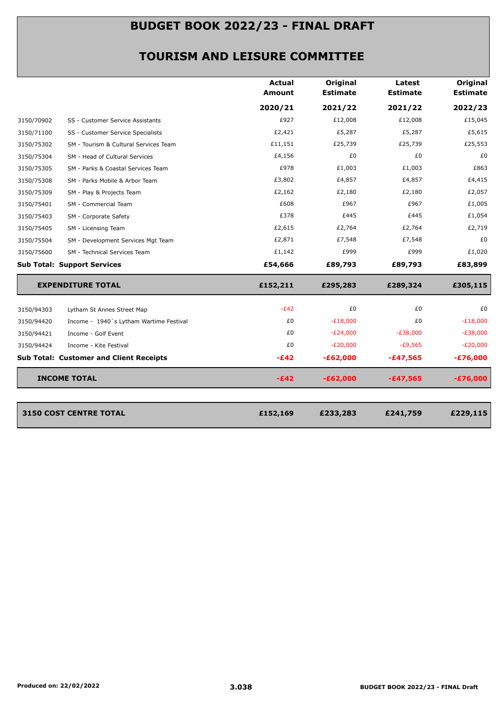|            |                                                                                                                                                                                                                                                                                                                                                                                                                                                                                                                                                                                                                                                                                                                                                                                                                                                                                                                                                                                                                                                                                                                                                                                                                                                                                                                                                                    | <b>Actual</b><br><b>Amount</b> | Original<br><b>Estimate</b> | Latest<br><b>Estimate</b> | Original<br><b>Estimate</b> |
|------------|--------------------------------------------------------------------------------------------------------------------------------------------------------------------------------------------------------------------------------------------------------------------------------------------------------------------------------------------------------------------------------------------------------------------------------------------------------------------------------------------------------------------------------------------------------------------------------------------------------------------------------------------------------------------------------------------------------------------------------------------------------------------------------------------------------------------------------------------------------------------------------------------------------------------------------------------------------------------------------------------------------------------------------------------------------------------------------------------------------------------------------------------------------------------------------------------------------------------------------------------------------------------------------------------------------------------------------------------------------------------|--------------------------------|-----------------------------|---------------------------|-----------------------------|
|            |                                                                                                                                                                                                                                                                                                                                                                                                                                                                                                                                                                                                                                                                                                                                                                                                                                                                                                                                                                                                                                                                                                                                                                                                                                                                                                                                                                    | 2020/21                        | 2021/22                     | 2021/22                   | 2022/23                     |
| 3150/70902 | £927<br>£12,008<br>£12,008<br>SS - Customer Service Assistants<br>£2,421<br>£5,287<br>£5,287<br>SS - Customer Service Specialists<br>£25,739<br>£25,739<br>£11,151<br>SM - Tourism & Cultural Services Team<br>£4,156<br>£0<br>£0<br>SM - Head of Cultural Services<br>£978<br>£1,003<br>£1,003<br>SM - Parks & Coastal Services Team<br>£3,802<br>£4,857<br>£4,857<br>SM - Parks Mobile & Arbor Team<br>£2,162<br>£2,180<br>£2,180<br>SM - Play & Projects Team<br>£608<br>£967<br>£967<br>SM - Commercial Team<br>£378<br>£445<br>£445<br>SM - Corporate Safety<br>£2,615<br>£2,764<br>£2,764<br>SM - Licensing Team<br>£2,871<br>£7,548<br>£7,548<br>SM - Development Services Mgt Team<br>£1,142<br>£999<br>£999<br>SM - Technical Services Team<br><b>Sub Total: Support Services</b><br>£54,666<br>£89,793<br>£89,793<br>£152,211<br><b>EXPENDITURE TOTAL</b><br>£295,283<br>£289,324<br>$-E42$<br>£0<br>£0<br>Lytham St Annes Street Map<br>£0<br>$-E18,000$<br>£0<br>Income - 1940's Lytham Wartime Festival<br>£0<br>$-E24,000$<br>$-E38,000$<br>Income - Golf Event<br>$-E20,000$<br>$-£9,565$<br>£0<br>Income - Kite Festival<br><b>Sub Total: Customer and Client Receipts</b><br>$-E42$<br>$-£62,000$<br>$-£47,565$<br><b>INCOME TOTAL</b><br>$-E42$<br>$-£62,000$<br>$-£47,565$<br>£152,169<br><b>3150 COST CENTRE TOTAL</b><br>£233,283<br>£241,759 | £15,045                        |                             |                           |                             |
| 3150/71100 |                                                                                                                                                                                                                                                                                                                                                                                                                                                                                                                                                                                                                                                                                                                                                                                                                                                                                                                                                                                                                                                                                                                                                                                                                                                                                                                                                                    |                                |                             |                           | £5,615                      |
| 3150/75302 |                                                                                                                                                                                                                                                                                                                                                                                                                                                                                                                                                                                                                                                                                                                                                                                                                                                                                                                                                                                                                                                                                                                                                                                                                                                                                                                                                                    |                                |                             |                           | £25,553                     |
| 3150/75304 |                                                                                                                                                                                                                                                                                                                                                                                                                                                                                                                                                                                                                                                                                                                                                                                                                                                                                                                                                                                                                                                                                                                                                                                                                                                                                                                                                                    |                                |                             |                           | £0                          |
| 3150/75305 |                                                                                                                                                                                                                                                                                                                                                                                                                                                                                                                                                                                                                                                                                                                                                                                                                                                                                                                                                                                                                                                                                                                                                                                                                                                                                                                                                                    |                                |                             |                           | £863                        |
| 3150/75308 |                                                                                                                                                                                                                                                                                                                                                                                                                                                                                                                                                                                                                                                                                                                                                                                                                                                                                                                                                                                                                                                                                                                                                                                                                                                                                                                                                                    |                                |                             |                           | £4,415                      |
| 3150/75309 |                                                                                                                                                                                                                                                                                                                                                                                                                                                                                                                                                                                                                                                                                                                                                                                                                                                                                                                                                                                                                                                                                                                                                                                                                                                                                                                                                                    |                                |                             |                           | £2,057                      |
| 3150/75401 |                                                                                                                                                                                                                                                                                                                                                                                                                                                                                                                                                                                                                                                                                                                                                                                                                                                                                                                                                                                                                                                                                                                                                                                                                                                                                                                                                                    |                                |                             |                           | £1,005                      |
| 3150/75403 |                                                                                                                                                                                                                                                                                                                                                                                                                                                                                                                                                                                                                                                                                                                                                                                                                                                                                                                                                                                                                                                                                                                                                                                                                                                                                                                                                                    |                                |                             |                           | £1,054                      |
| 3150/75405 |                                                                                                                                                                                                                                                                                                                                                                                                                                                                                                                                                                                                                                                                                                                                                                                                                                                                                                                                                                                                                                                                                                                                                                                                                                                                                                                                                                    |                                |                             |                           | £2,719                      |
| 3150/75504 |                                                                                                                                                                                                                                                                                                                                                                                                                                                                                                                                                                                                                                                                                                                                                                                                                                                                                                                                                                                                                                                                                                                                                                                                                                                                                                                                                                    |                                |                             |                           | £0                          |
| 3150/75600 |                                                                                                                                                                                                                                                                                                                                                                                                                                                                                                                                                                                                                                                                                                                                                                                                                                                                                                                                                                                                                                                                                                                                                                                                                                                                                                                                                                    |                                |                             |                           | £1,020                      |
|            |                                                                                                                                                                                                                                                                                                                                                                                                                                                                                                                                                                                                                                                                                                                                                                                                                                                                                                                                                                                                                                                                                                                                                                                                                                                                                                                                                                    |                                |                             |                           | £83,899                     |
|            |                                                                                                                                                                                                                                                                                                                                                                                                                                                                                                                                                                                                                                                                                                                                                                                                                                                                                                                                                                                                                                                                                                                                                                                                                                                                                                                                                                    |                                |                             |                           | £305,115                    |
| 3150/94303 |                                                                                                                                                                                                                                                                                                                                                                                                                                                                                                                                                                                                                                                                                                                                                                                                                                                                                                                                                                                                                                                                                                                                                                                                                                                                                                                                                                    |                                |                             |                           | £0                          |
| 3150/94420 |                                                                                                                                                                                                                                                                                                                                                                                                                                                                                                                                                                                                                                                                                                                                                                                                                                                                                                                                                                                                                                                                                                                                                                                                                                                                                                                                                                    |                                |                             |                           | $-E18,000$                  |
| 3150/94421 |                                                                                                                                                                                                                                                                                                                                                                                                                                                                                                                                                                                                                                                                                                                                                                                                                                                                                                                                                                                                                                                                                                                                                                                                                                                                                                                                                                    |                                |                             |                           | $-E38,000$                  |
| 3150/94424 |                                                                                                                                                                                                                                                                                                                                                                                                                                                                                                                                                                                                                                                                                                                                                                                                                                                                                                                                                                                                                                                                                                                                                                                                                                                                                                                                                                    |                                |                             |                           | $-E20,000$                  |
|            |                                                                                                                                                                                                                                                                                                                                                                                                                                                                                                                                                                                                                                                                                                                                                                                                                                                                                                                                                                                                                                                                                                                                                                                                                                                                                                                                                                    |                                |                             |                           | $-£76,000$                  |
|            |                                                                                                                                                                                                                                                                                                                                                                                                                                                                                                                                                                                                                                                                                                                                                                                                                                                                                                                                                                                                                                                                                                                                                                                                                                                                                                                                                                    |                                |                             |                           | $-£76,000$                  |
|            |                                                                                                                                                                                                                                                                                                                                                                                                                                                                                                                                                                                                                                                                                                                                                                                                                                                                                                                                                                                                                                                                                                                                                                                                                                                                                                                                                                    |                                |                             |                           | £229,115                    |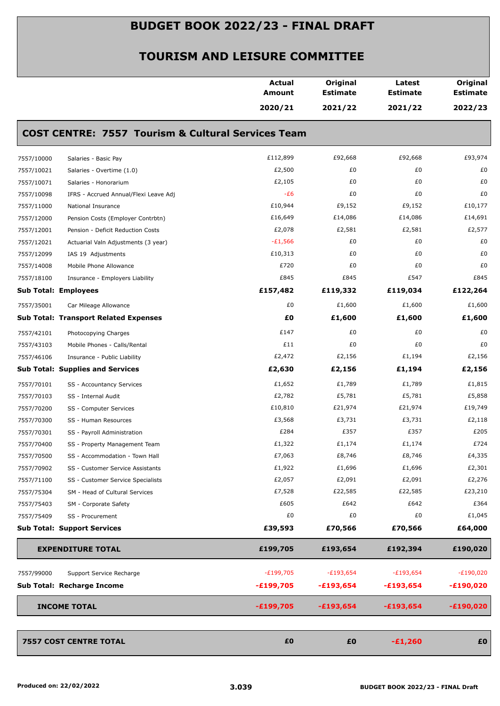|                             |                                                               | <b>Actual</b><br><b>Amount</b> | Original<br><b>Estimate</b> | Latest<br><b>Estimate</b> | Original<br><b>Estimate</b> |
|-----------------------------|---------------------------------------------------------------|--------------------------------|-----------------------------|---------------------------|-----------------------------|
|                             |                                                               | 2020/21                        | 2021/22                     | 2021/22                   | 2022/23                     |
|                             | <b>COST CENTRE: 7557 Tourism &amp; Cultural Services Team</b> |                                |                             |                           |                             |
| 7557/10000                  | Salaries - Basic Pay                                          | £112,899                       | £92,668                     | £92,668                   | £93,974                     |
| 7557/10021                  | Salaries - Overtime (1.0)                                     | £2,500                         | £0                          | £0                        | £0                          |
| 7557/10071                  | Salaries - Honorarium                                         | £2,105                         | £0                          | £0                        | £0                          |
| 7557/10098                  | IFRS - Accrued Annual/Flexi Leave Adj                         | $-E6$                          | £0                          | £0                        | £0                          |
| 7557/11000                  | National Insurance                                            | £10,944                        | £9,152                      | £9,152                    | £10,177                     |
| 7557/12000                  | Pension Costs (Employer Contrbtn)                             | £16,649                        | £14,086                     | £14,086                   | £14,691                     |
| 7557/12001                  | Pension - Deficit Reduction Costs                             | £2,078                         | £2,581                      | £2,581                    | £2,577                      |
| 7557/12021                  | Actuarial Valn Adjustments (3 year)                           | $-E1,566$                      | £0                          | £0                        | £0                          |
| 7557/12099                  | IAS 19 Adjustments                                            | £10,313                        | £0                          | £0                        | £0                          |
| 7557/14008                  | Mobile Phone Allowance                                        | £720                           | £0                          | £0                        | £0                          |
| 7557/18100                  | Insurance - Employers Liability                               | £845                           | £845                        | £547                      | £845                        |
| <b>Sub Total: Employees</b> |                                                               | £157,482                       | £119,332                    | £119,034                  | £122,264                    |
| 7557/35001                  | Car Mileage Allowance                                         | £0                             | £1,600                      | £1,600                    | £1,600                      |
|                             | <b>Sub Total: Transport Related Expenses</b>                  | £O                             | £1,600                      | £1,600                    | £1,600                      |
| 7557/42101                  | Photocopying Charges                                          | £147                           | £0                          | £0                        | £0                          |
| 7557/43103                  | Mobile Phones - Calls/Rental                                  | £11                            | £0                          | £0                        | £0                          |
| 7557/46106                  | Insurance - Public Liability                                  | £2,472                         | £2,156                      | £1,194                    | £2,156                      |
|                             | <b>Sub Total: Supplies and Services</b>                       | £2,630                         | £2,156                      | £1,194                    | £2,156                      |
| 7557/70101                  | SS - Accountancy Services                                     | £1,652                         | £1,789                      | £1,789                    | £1,815                      |
| 7557/70103                  | SS - Internal Audit                                           | £2,782                         | £5,781                      | £5,781                    | £5,858                      |
| 7557/70200                  | SS - Computer Services                                        | £10,810                        | £21,974                     | £21,974                   | £19,749                     |
| 7557/70300                  | SS - Human Resources                                          | £3,568                         | £3,731                      | £3,731                    | £2,118                      |
| 7557/70301                  | SS - Payroll Administration                                   | £284                           | £357                        | £357                      | £205                        |
| 7557/70400                  | SS - Property Management Team                                 | £1,322                         | £1,174                      | £1,174                    | £724                        |
| 7557/70500                  | SS - Accommodation - Town Hall                                | £7,063                         | £8,746                      | £8,746                    | £4,335                      |
| 7557/70902                  | SS - Customer Service Assistants                              | £1,922                         | £1,696                      | £1,696                    | £2,301                      |
| 7557/71100                  | SS - Customer Service Specialists                             | £2,057                         | £2,091                      | £2,091                    | £2,276                      |
| 7557/75304                  | SM - Head of Cultural Services                                | £7,528                         | £22,585                     | £22,585                   | £23,210                     |
| 7557/75403                  | SM - Corporate Safety                                         | £605                           | £642                        | £642                      | £364                        |
| 7557/75409                  | SS - Procurement                                              | £0                             | £0                          | £0                        | £1,045                      |
|                             | <b>Sub Total: Support Services</b>                            | £39,593                        | £70,566                     | £70,566                   | £64,000                     |
|                             | <b>EXPENDITURE TOTAL</b>                                      | £199,705                       | £193,654                    | £192,394                  | £190,020                    |
| 7557/99000                  | Support Service Recharge                                      | $-E199,705$                    | $-E193,654$                 | $-E193,654$               | -£190,020                   |
|                             | Sub Total: Recharge Income                                    | $-£199,705$                    | $-£193,654$                 | $-£193,654$               | $-£190,020$                 |
|                             | <b>INCOME TOTAL</b>                                           | $-£199,705$                    | $-£193,654$                 | $-£193,654$               | $-£190,020$                 |
|                             | <b>7557 COST CENTRE TOTAL</b>                                 | £0                             | £0                          | $-£1,260$                 | £0                          |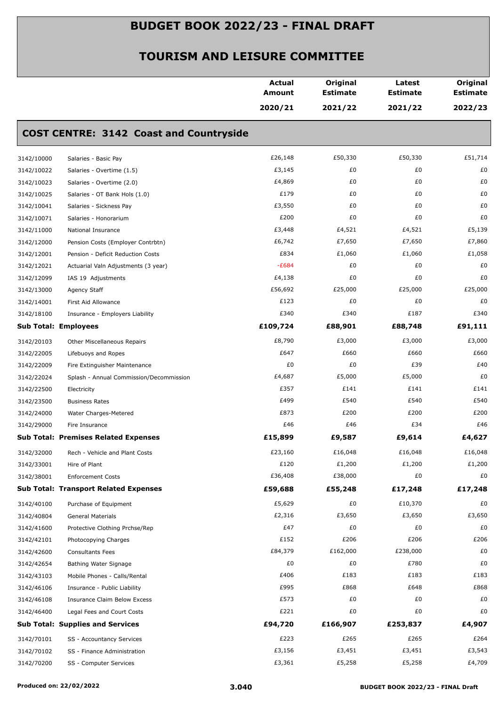|                             |                                                | Actual<br>Amount | Original<br><b>Estimate</b> | Latest<br><b>Estimate</b> | Original<br><b>Estimate</b> |
|-----------------------------|------------------------------------------------|------------------|-----------------------------|---------------------------|-----------------------------|
|                             |                                                | 2020/21          | 2021/22                     | 2021/22                   | 2022/23                     |
|                             | <b>COST CENTRE: 3142 Coast and Countryside</b> |                  |                             |                           |                             |
| 3142/10000                  | Salaries - Basic Pay                           | £26,148          | £50,330                     | £50,330                   | £51,714                     |
| 3142/10022                  | Salaries - Overtime (1.5)                      | £3,145           | £0                          | £0                        | £0                          |
| 3142/10023                  | Salaries - Overtime (2.0)                      | £4,869           | £0                          | £0                        | £0                          |
| 3142/10025                  | Salaries - OT Bank Hols (1.0)                  | £179             | £0                          | £0                        | £0                          |
| 3142/10041                  | Salaries - Sickness Pay                        | £3,550           | £0                          | £0                        | £0                          |
| 3142/10071                  | Salaries - Honorarium                          | £200             | £0                          | £0                        | £0                          |
| 3142/11000                  | National Insurance                             | £3,448           | £4,521                      | £4,521                    | £5,139                      |
| 3142/12000                  | Pension Costs (Employer Contrbtn)              | £6,742           | £7,650                      | £7,650                    | £7,860                      |
| 3142/12001                  | Pension - Deficit Reduction Costs              | £834             | £1,060                      | £1,060                    | £1,058                      |
| 3142/12021                  | Actuarial Valn Adjustments (3 year)            | $-E684$          | £0                          | £0                        | £0                          |
| 3142/12099                  | IAS 19 Adjustments                             | £4,138           | £0                          | £0                        | £0                          |
| 3142/13000                  | Agency Staff                                   | £56,692          | £25,000                     | £25,000                   | £25,000                     |
| 3142/14001                  | First Aid Allowance                            | £123             | £0                          | £0                        | £0                          |
| 3142/18100                  | Insurance - Employers Liability                | £340             | £340                        | £187                      | £340                        |
| <b>Sub Total: Employees</b> |                                                | £109,724         | £88,901                     | £88,748                   | £91,111                     |
| 3142/20103                  | Other Miscellaneous Repairs                    | £8,790           | £3,000                      | £3,000                    | £3,000                      |
| 3142/22005                  | Lifebuoys and Ropes                            | £647             | £660                        | £660                      | £660                        |
| 3142/22009                  | Fire Extinguisher Maintenance                  | £0               | £0                          | £39                       | £40                         |
| 3142/22024                  | Splash - Annual Commission/Decommission        | £4,687           | £5,000                      | £5,000                    | £0                          |
| 3142/22500                  | Electricity                                    | £357             | £141                        | £141                      | £141                        |
| 3142/23500                  | <b>Business Rates</b>                          | £499             | £540                        | £540                      | £540                        |
| 3142/24000                  | Water Charges-Metered                          | £873             | £200                        | £200                      | £200                        |
| 3142/29000                  | Fire Insurance                                 | £46              | £46                         | £34                       | £46                         |
|                             | <b>Sub Total: Premises Related Expenses</b>    | £15,899          | £9,587                      | £9,614                    | £4,627                      |
| 3142/32000                  | Rech - Vehicle and Plant Costs                 | £23,160          | £16,048                     | £16,048                   | £16,048                     |
| 3142/33001                  | Hire of Plant                                  | £120             | £1,200                      | £1,200                    | £1,200                      |
| 3142/38001                  | <b>Enforcement Costs</b>                       | £36,408          | £38,000                     | £0                        | £0                          |
|                             | <b>Sub Total: Transport Related Expenses</b>   | £59,688          | £55,248                     | £17,248                   | £17,248                     |
| 3142/40100                  | Purchase of Equipment                          | £5,629           | £0                          | £10,370                   | £0                          |
| 3142/40804                  | <b>General Materials</b>                       | £2,316           | £3,650                      | £3,650                    | £3,650                      |
| 3142/41600                  | Protective Clothing Prchse/Rep                 | £47              | £0                          | £0                        | £0                          |
| 3142/42101                  | Photocopying Charges                           | £152             | £206                        | £206                      | £206                        |
| 3142/42600                  | <b>Consultants Fees</b>                        | £84,379          | £162,000                    | £238,000                  | £0                          |
| 3142/42654                  | Bathing Water Signage                          | £0               | £0                          | £780                      | £0                          |
| 3142/43103                  | Mobile Phones - Calls/Rental                   | £406             | £183                        | £183                      | £183                        |
| 3142/46106                  | Insurance - Public Liability                   | £995             | £868                        | £648                      | £868                        |
| 3142/46108                  | Insurance Claim Below Excess                   | £573             | £0                          | £0                        | £0                          |
| 3142/46400                  | Legal Fees and Court Costs                     | £221             | £0                          | £0                        | £0                          |
|                             | <b>Sub Total: Supplies and Services</b>        | £94,720          | £166,907                    | £253,837                  | £4,907                      |
| 3142/70101                  | SS - Accountancy Services                      | £223             | £265                        | £265                      | £264                        |
| 3142/70102                  | SS - Finance Administration                    | £3,156           | £3,451                      | £3,451                    | £3,543                      |
| 3142/70200                  | SS - Computer Services                         | £3,361           | £5,258                      | £5,258                    | £4,709                      |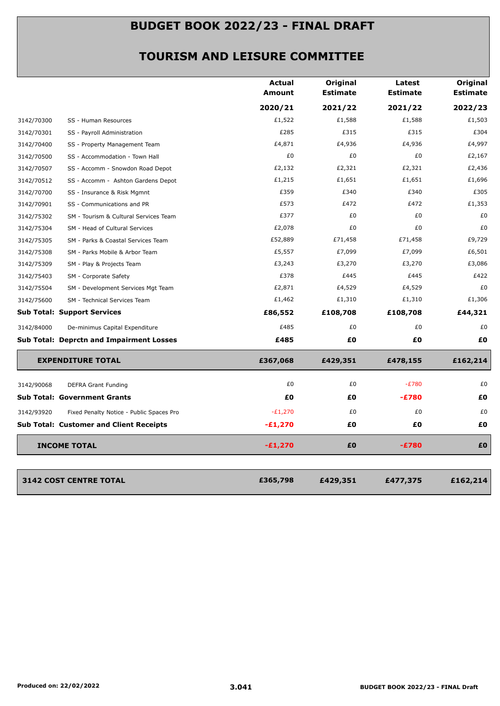|            |                                                 | <b>Actual</b><br>Amount | Original<br><b>Estimate</b> | Latest<br><b>Estimate</b> | Original<br><b>Estimate</b> |
|------------|-------------------------------------------------|-------------------------|-----------------------------|---------------------------|-----------------------------|
|            |                                                 | 2020/21                 | 2021/22                     | 2021/22                   | 2022/23                     |
| 3142/70300 | SS - Human Resources                            | £1,522                  | £1,588                      | £1,588                    | £1,503                      |
| 3142/70301 | SS - Payroll Administration                     | £285                    | £315                        | £315                      | £304                        |
| 3142/70400 | SS - Property Management Team                   | £4,871                  | £4,936                      | £4,936                    | £4,997                      |
| 3142/70500 | SS - Accommodation - Town Hall                  | £0                      | £0                          | £0                        | £2,167                      |
| 3142/70507 | SS - Accomm - Snowdon Road Depot                | £2,132                  | £2,321                      | £2,321                    | £2,436                      |
| 3142/70512 | SS - Accomm - Ashton Gardens Depot              | £1,215                  | £1,651                      | £1,651                    | £1,696                      |
| 3142/70700 | SS - Insurance & Risk Mgmnt                     | £359                    | £340                        | £340                      | £305                        |
| 3142/70901 | SS - Communications and PR                      | £573                    | £472                        | £472                      | £1,353                      |
| 3142/75302 | SM - Tourism & Cultural Services Team           | £377                    | £0                          | £0                        | £0                          |
| 3142/75304 | SM - Head of Cultural Services                  | £2,078                  | £0                          | £0                        | £0                          |
| 3142/75305 | SM - Parks & Coastal Services Team              | £52,889                 | £71,458                     | £71,458                   | £9,729                      |
| 3142/75308 | SM - Parks Mobile & Arbor Team                  | £5,557                  | £7,099                      | £7,099                    | £6,501                      |
| 3142/75309 | SM - Play & Projects Team                       | £3,243                  | £3,270                      | £3,270                    | £3,086                      |
| 3142/75403 | SM - Corporate Safety                           | £378                    | £445                        | £445                      | £422                        |
| 3142/75504 | SM - Development Services Mgt Team              | £2,871                  | £4,529                      | £4,529                    | £0                          |
| 3142/75600 | SM - Technical Services Team                    | £1,462                  | £1,310                      | £1,310                    | £1,306                      |
|            | <b>Sub Total: Support Services</b>              | £86,552                 | £108,708                    | £108,708                  | £44,321                     |
| 3142/84000 | De-minimus Capital Expenditure                  | £485                    | £0                          | £0                        | £0                          |
|            | <b>Sub Total: Deprctn and Impairment Losses</b> | £485                    | £0                          | £Ο                        | £O                          |
|            | <b>EXPENDITURE TOTAL</b>                        | £367,068                | £429,351                    | £478,155                  | £162,214                    |
| 3142/90068 | <b>DEFRA Grant Funding</b>                      | £0                      | £0                          | $-E780$                   | £0                          |
|            | <b>Sub Total: Government Grants</b>             | £Ο                      | £O                          | $-E780$                   | £O                          |
| 3142/93920 | Fixed Penalty Notice - Public Spaces Pro        | $-E1,270$               | £0                          | £0                        | £0                          |
|            | <b>Sub Total: Customer and Client Receipts</b>  | $-E1,270$               | £0                          | £0                        | £0                          |
|            | <b>INCOME TOTAL</b>                             | $-£1,270$               | £0                          | $-E780$                   | £0                          |
|            |                                                 |                         |                             |                           |                             |
|            | <b>3142 COST CENTRE TOTAL</b>                   | £365,798                | £429,351                    | £477,375                  | £162,214                    |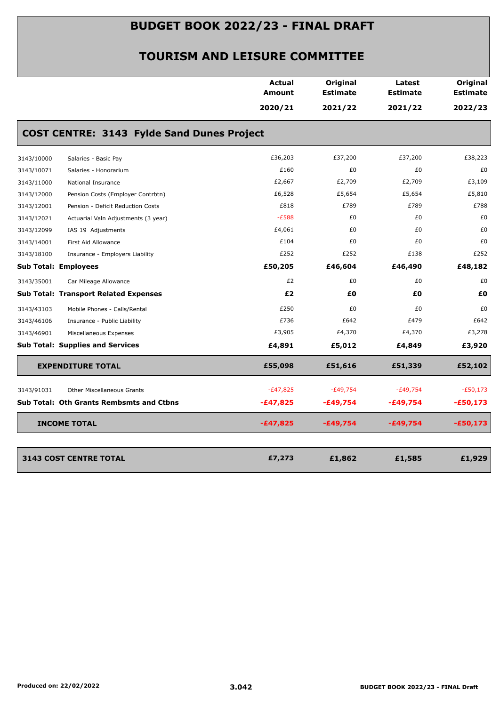|            |                                                   | <b>Actual</b><br>Amount | Original<br><b>Estimate</b> | Latest<br><b>Estimate</b> | Original<br><b>Estimate</b> |
|------------|---------------------------------------------------|-------------------------|-----------------------------|---------------------------|-----------------------------|
|            |                                                   | 2020/21                 | 2021/22                     | 2021/22                   | 2022/23                     |
|            | <b>COST CENTRE: 3143 Fylde Sand Dunes Project</b> |                         |                             |                           |                             |
| 3143/10000 | Salaries - Basic Pay                              | £36,203                 | £37,200                     | £37,200                   | £38,223                     |
| 3143/10071 | Salaries - Honorarium                             | £160                    | £0                          | £0                        | £0                          |
| 3143/11000 | National Insurance                                | £2,667                  | £2,709                      | £2,709                    | £3,109                      |
| 3143/12000 | Pension Costs (Employer Contrbtn)                 | £6,528                  | £5,654                      | £5,654                    | £5,810                      |
| 3143/12001 | Pension - Deficit Reduction Costs                 | £818                    | £789                        | £789                      | £788                        |
| 3143/12021 | Actuarial Valn Adjustments (3 year)               | $-E588$                 | £0                          | £0                        | £0                          |
| 3143/12099 | IAS 19 Adjustments                                | £4,061                  | £0                          | £0                        | £0                          |
| 3143/14001 | First Aid Allowance                               | £104                    | £0                          | £0                        | £0                          |
| 3143/18100 | Insurance - Employers Liability                   | £252                    | £252                        | £138                      | £252                        |
|            | <b>Sub Total: Employees</b>                       | £50,205                 | £46,604                     | £46,490                   | £48,182                     |
| 3143/35001 | Car Mileage Allowance                             | £2                      | £0                          | £0                        | £0                          |
|            | <b>Sub Total: Transport Related Expenses</b>      | £2                      | £0                          | £0                        | £0                          |
| 3143/43103 | Mobile Phones - Calls/Rental                      | £250                    | £0                          | £0                        | £0                          |
| 3143/46106 | Insurance - Public Liability                      | £736                    | £642                        | £479                      | £642                        |
| 3143/46901 | Miscellaneous Expenses                            | £3,905                  | £4,370                      | £4,370                    | £3,278                      |
|            | <b>Sub Total: Supplies and Services</b>           | £4,891                  | £5,012                      | £4,849                    | £3,920                      |
|            | <b>EXPENDITURE TOTAL</b>                          | £55,098                 | £51,616                     | £51,339                   | £52,102                     |
| 3143/91031 | <b>Other Miscellaneous Grants</b>                 | $-E47,825$              | $-£49,754$                  | $-E49,754$                | $-E50,173$                  |
|            | <b>Sub Total: Oth Grants Rembsmts and Ctbns</b>   | $-£47,825$              | $-£49,754$                  | -£49,754                  | $-£50,173$                  |
|            | <b>INCOME TOTAL</b>                               | $-£47,825$              | $-£49,754$                  | $-£49,754$                | $-£50,173$                  |
|            |                                                   |                         |                             |                           |                             |
|            | <b>3143 COST CENTRE TOTAL</b>                     | £7,273                  | £1,862                      | £1,585                    | £1,929                      |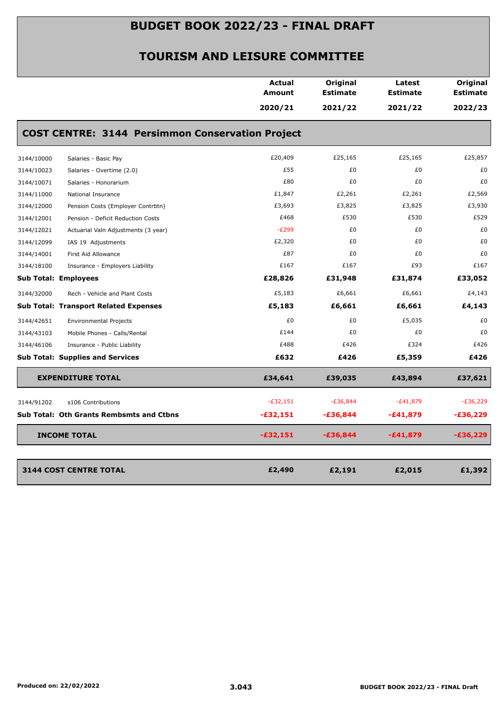|                             |                                                         | Actual<br><b>Amount</b> | Original<br><b>Estimate</b> | Latest<br><b>Estimate</b> | Original<br><b>Estimate</b> |
|-----------------------------|---------------------------------------------------------|-------------------------|-----------------------------|---------------------------|-----------------------------|
|                             |                                                         | 2020/21                 | 2021/22                     | 2021/22                   | 2022/23                     |
|                             | <b>COST CENTRE: 3144 Persimmon Conservation Project</b> |                         |                             |                           |                             |
| 3144/10000                  | Salaries - Basic Pay                                    | £20,409                 | £25,165                     | £25,165                   | £25,857                     |
| 3144/10023                  | Salaries - Overtime (2.0)                               | £55                     | £0                          | £0                        | £0                          |
| 3144/10071                  | Salaries - Honorarium                                   | £80                     | £0                          | £0                        | £0                          |
| 3144/11000                  | National Insurance                                      | £1,847                  | £2,261                      | £2,261                    | £2,569                      |
| 3144/12000                  | Pension Costs (Employer Contrbtn)                       | £3,693                  | £3,825                      | £3,825                    | £3,930                      |
| 3144/12001                  | Pension - Deficit Reduction Costs                       | £468                    | £530                        | £530                      | £529                        |
| 3144/12021                  | Actuarial Valn Adjustments (3 year)                     | $-E299$                 | £0                          | £0                        | £0                          |
| 3144/12099                  | IAS 19 Adjustments                                      | £2,320                  | £0                          | £0                        | £0                          |
| 3144/14001                  | First Aid Allowance                                     | £87                     | £0                          | £0                        | £0                          |
| 3144/18100                  | Insurance - Employers Liability                         | £167                    | £167                        | £93                       | £167                        |
| <b>Sub Total: Employees</b> |                                                         | £28,826                 | £31,948                     | £31,874                   | £33,052                     |
| 3144/32000                  | Rech - Vehicle and Plant Costs                          | £5,183                  | £6,661                      | £6,661                    | £4,143                      |
|                             | <b>Sub Total: Transport Related Expenses</b>            | £5,183                  | £6,661                      | £6,661                    | £4,143                      |
| 3144/42651                  | <b>Environmental Projects</b>                           | £0                      | £0                          | £5,035                    | £0                          |
| 3144/43103                  | Mobile Phones - Calls/Rental                            | £144                    | £0                          | £0                        | £0                          |
| 3144/46106                  | Insurance - Public Liability                            | £488                    | £426                        | £324                      | £426                        |
|                             | <b>Sub Total: Supplies and Services</b>                 | £632                    | £426                        | £5,359                    | £426                        |
|                             | <b>EXPENDITURE TOTAL</b>                                | £34,641                 | £39,035                     | £43,894                   | £37,621                     |
| 3144/91202                  | s106 Contributions                                      | $-E32,151$              | $-£36,844$                  | $-E41,879$                | $-E36,229$                  |
|                             | <b>Sub Total: Oth Grants Rembsmts and Ctbns</b>         | $-£32,151$              | $-£36,844$                  | -£41,879                  | -£36,229                    |
|                             | <b>INCOME TOTAL</b>                                     | -£32,151                | $-£36,844$                  | $-£41,879$                | $-£36,229$                  |
|                             |                                                         |                         |                             |                           |                             |
|                             | <b>3144 COST CENTRE TOTAL</b>                           | £2,490                  | £2,191                      | £2,015                    | £1,392                      |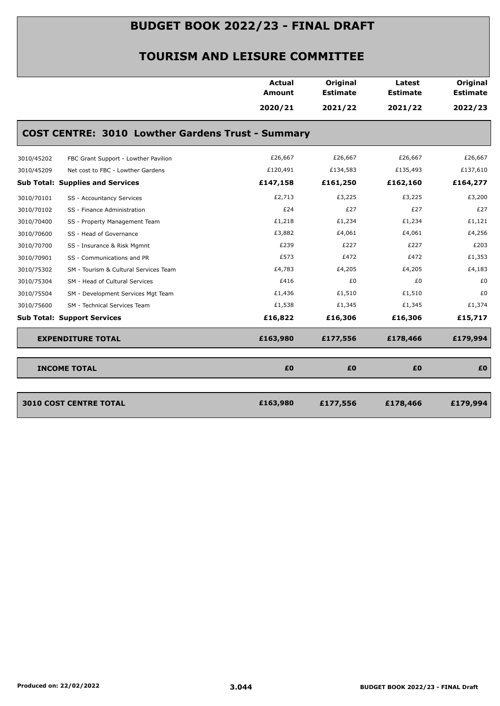|            |                                                          | Actual<br>Amount | Original<br><b>Estimate</b> | Latest<br><b>Estimate</b> | <b>Original</b><br><b>Estimate</b> |
|------------|----------------------------------------------------------|------------------|-----------------------------|---------------------------|------------------------------------|
|            |                                                          | 2020/21          | 2021/22                     | 2021/22                   | 2022/23                            |
|            | <b>COST CENTRE: 3010 Lowther Gardens Trust - Summary</b> |                  |                             |                           |                                    |
| 3010/45202 | FBC Grant Support - Lowther Pavilion                     | £26,667          | £26,667                     | £26,667                   | £26,667                            |
| 3010/45209 | Net cost to FBC - Lowther Gardens                        | £120,491         | £134,583                    | £135,493                  | £137,610                           |
|            | <b>Sub Total: Supplies and Services</b>                  | £147,158         | £161,250                    | £162,160                  | £164,277                           |
| 3010/70101 | SS - Accountancy Services                                | £2,713           | £3,225                      | £3,225                    | £3,200                             |
| 3010/70102 | SS - Finance Administration                              | £24              | £27                         | £27                       | £27                                |
| 3010/70400 | SS - Property Management Team                            | £1,218           | £1,234                      | £1,234                    | £1,121                             |
| 3010/70600 | SS - Head of Governance                                  | £3,882           | £4,061                      | £4,061                    | £4,256                             |
| 3010/70700 | SS - Insurance & Risk Mgmnt                              | £239             | £227                        | £227                      | £203                               |
| 3010/70901 | SS - Communications and PR                               | £573             | £472                        | £472                      | £1,353                             |
| 3010/75302 | SM - Tourism & Cultural Services Team                    | £4,783           | £4,205                      | £4,205                    | £4,183                             |
| 3010/75304 | SM - Head of Cultural Services                           | £416             | £0                          | £0                        | £0                                 |
| 3010/75504 | SM - Development Services Mgt Team                       | £1,436           | £1,510                      | £1,510                    | £0                                 |
| 3010/75600 | SM - Technical Services Team                             | £1,538           | £1,345                      | £1,345                    | £1,374                             |
|            | <b>Sub Total: Support Services</b>                       | £16,822          | £16,306                     | £16,306                   | £15,717                            |
|            | <b>EXPENDITURE TOTAL</b>                                 | £163,980         | £177,556                    | £178,466                  | £179,994                           |
|            | <b>INCOME TOTAL</b>                                      | £0               | £0                          | £0                        | £0                                 |

| 3010 COST CENTRE TOTAL | £163,980 | £177,556 | £178,466 | £179,994 |
|------------------------|----------|----------|----------|----------|
|                        |          |          |          |          |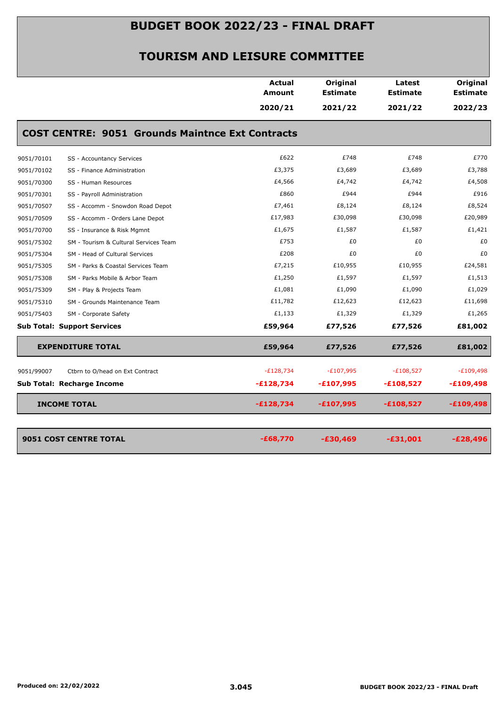|            |                                                         | Actual<br>Amount | Original<br><b>Estimate</b> | Latest<br><b>Estimate</b> | Original<br><b>Estimate</b> |
|------------|---------------------------------------------------------|------------------|-----------------------------|---------------------------|-----------------------------|
|            |                                                         | 2020/21          | 2021/22                     | 2021/22                   | 2022/23                     |
|            | <b>COST CENTRE: 9051 Grounds Maintnce Ext Contracts</b> |                  |                             |                           |                             |
| 9051/70101 | SS - Accountancy Services                               | £622             | £748                        | £748                      | £770                        |
| 9051/70102 | SS - Finance Administration                             | £3,375           | £3,689                      | £3,689                    | £3,788                      |
| 9051/70300 | SS - Human Resources                                    | £4,566           | £4,742                      | £4,742                    | £4,508                      |
| 9051/70301 | SS - Payroll Administration                             | £860             | £944                        | £944                      | £916                        |
| 9051/70507 | SS - Accomm - Snowdon Road Depot                        | £7,461           | £8,124                      | £8,124                    | £8,524                      |
| 9051/70509 | SS - Accomm - Orders Lane Depot                         | £17,983          | £30,098                     | £30,098                   | £20,989                     |
| 9051/70700 | SS - Insurance & Risk Mgmnt                             | £1,675           | £1,587                      | £1,587                    | £1,421                      |
| 9051/75302 | SM - Tourism & Cultural Services Team                   | £753             | £0                          | £0                        | £0                          |
| 9051/75304 | SM - Head of Cultural Services                          | £208             | £0                          | £0                        | £0                          |
| 9051/75305 | SM - Parks & Coastal Services Team                      | £7,215           | £10,955                     | £10,955                   | £24,581                     |
| 9051/75308 | SM - Parks Mobile & Arbor Team                          | £1,250           | £1,597                      | £1,597                    | £1,513                      |
| 9051/75309 | SM - Play & Projects Team                               | £1,081           | £1,090                      | £1,090                    | £1,029                      |
| 9051/75310 | SM - Grounds Maintenance Team                           | £11,782          | £12,623                     | £12,623                   | £11,698                     |
| 9051/75403 | SM - Corporate Safety                                   | £1,133           | £1,329                      | £1,329                    | £1,265                      |
|            | <b>Sub Total: Support Services</b>                      | £59,964          | £77,526                     | £77,526                   | £81,002                     |
|            | <b>EXPENDITURE TOTAL</b>                                | £59,964          | £77,526                     | £77,526                   | £81,002                     |
| 9051/99007 | Ctbrn to O/head on Ext Contract                         | $-E128,734$      | $-E107,995$                 | $-E108,527$               | $-E109,498$                 |
|            | Sub Total: Recharge Income                              | $-£128,734$      | $-£107,995$                 | $-£108,527$               | $-£109,498$                 |
|            | <b>INCOME TOTAL</b>                                     | $-£128,734$      | $-£107,995$                 | $-£108,527$               | $-£109,498$                 |
|            | 9051 COST CENTRE TOTAL                                  | $-£68,770$       | $-£30,469$                  | $-£31,001$                | $-E28,496$                  |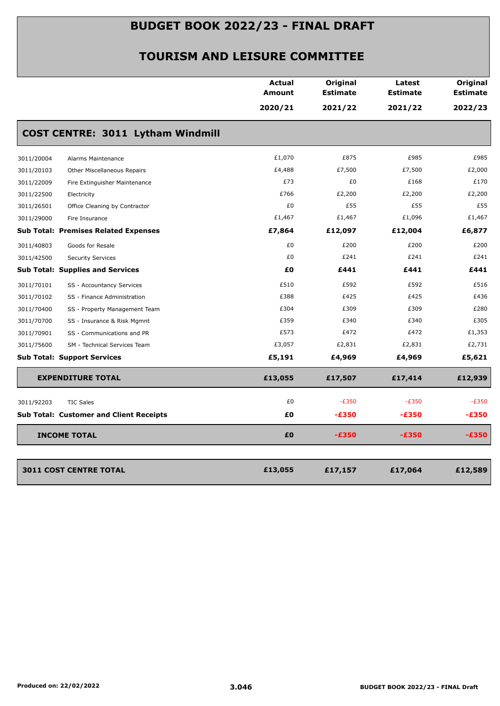|            |                                                | Actual<br><b>Amount</b> | Original<br><b>Estimate</b> | Latest<br><b>Estimate</b> | Original<br><b>Estimate</b> |
|------------|------------------------------------------------|-------------------------|-----------------------------|---------------------------|-----------------------------|
|            |                                                | 2020/21                 | 2021/22                     | 2021/22                   | 2022/23                     |
|            | COST CENTRE: 3011 Lytham Windmill              |                         |                             |                           |                             |
| 3011/20004 | Alarms Maintenance                             | £1,070                  | £875                        | £985                      | £985                        |
| 3011/20103 | Other Miscellaneous Repairs                    | £4,488                  | £7,500                      | £7,500                    | £2,000                      |
| 3011/22009 | Fire Extinguisher Maintenance                  | £73                     | £0                          | £168                      | £170                        |
| 3011/22500 | Electricity                                    | £766                    | £2,200                      | £2,200                    | £2,200                      |
| 3011/26501 | Office Cleaning by Contractor                  | £0                      | £55                         | £55                       | £55                         |
| 3011/29000 | Fire Insurance                                 | £1,467                  | £1,467                      | £1,096                    | £1,467                      |
|            | <b>Sub Total: Premises Related Expenses</b>    | £7,864                  | £12,097                     | £12,004                   | £6,877                      |
| 3011/40803 | Goods for Resale                               | £0                      | £200                        | £200                      | £200                        |
| 3011/42500 | <b>Security Services</b>                       | £0                      | £241                        | £241                      | £241                        |
|            | <b>Sub Total: Supplies and Services</b>        | £0                      | £441                        | £441                      | £441                        |
| 3011/70101 | SS - Accountancy Services                      | £510                    | £592                        | £592                      | £516                        |
| 3011/70102 | SS - Finance Administration                    | £388                    | £425                        | £425                      | £436                        |
| 3011/70400 | SS - Property Management Team                  | £304                    | £309                        | £309                      | £280                        |
| 3011/70700 | SS - Insurance & Risk Mgmnt                    | £359                    | £340                        | £340                      | £305                        |
| 3011/70901 | SS - Communications and PR                     | £573                    | £472                        | £472                      | £1,353                      |
| 3011/75600 | SM - Technical Services Team                   | £3,057                  | £2,831                      | £2,831                    | £2,731                      |
|            | <b>Sub Total: Support Services</b>             | £5,191                  | £4,969                      | £4,969                    | £5,621                      |
|            | <b>EXPENDITURE TOTAL</b>                       | £13,055                 | £17,507                     | £17,414                   | £12,939                     |
| 3011/92203 | <b>TIC Sales</b>                               | £0                      | $-E350$                     | $-E350$                   | $-E350$                     |
|            | <b>Sub Total: Customer and Client Receipts</b> | £Ο                      | $-£350$                     | $-E350$                   | $-£350$                     |
|            | <b>INCOME TOTAL</b>                            | £0                      | $-£350$                     | $-E350$                   | $-£350$                     |
|            |                                                |                         |                             |                           |                             |
|            | <b>3011 COST CENTRE TOTAL</b>                  | £13,055                 | £17,157                     | £17,064                   | £12,589                     |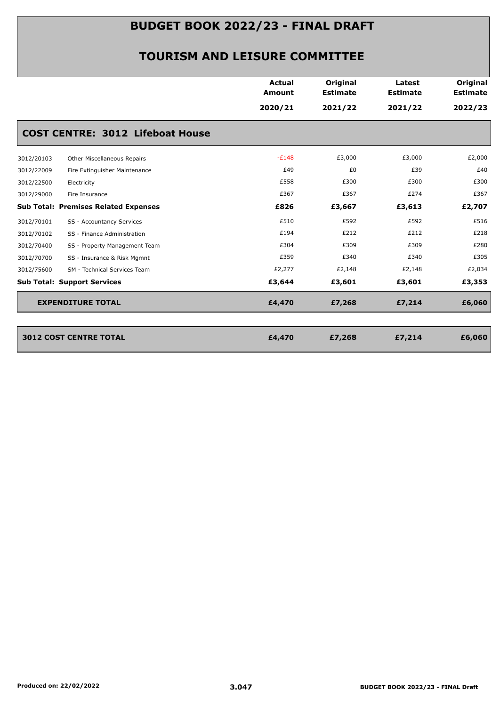|            |                                             | <b>Actual</b><br><b>Amount</b> | Original<br><b>Estimate</b> | Latest<br><b>Estimate</b> | Original<br><b>Estimate</b> |
|------------|---------------------------------------------|--------------------------------|-----------------------------|---------------------------|-----------------------------|
|            |                                             | 2020/21                        | 2021/22                     | 2021/22                   | 2022/23                     |
|            | <b>COST CENTRE: 3012 Lifeboat House</b>     |                                |                             |                           |                             |
| 3012/20103 | Other Miscellaneous Repairs                 | $-E148$                        | £3,000                      | £3,000                    | £2,000                      |
| 3012/22009 | Fire Extinguisher Maintenance               | £49                            | £0                          | £39                       | £40                         |
| 3012/22500 | Electricity                                 | £558                           | £300                        | £300                      | £300                        |
| 3012/29000 | Fire Insurance                              | £367                           | £367                        | £274                      | £367                        |
|            | <b>Sub Total: Premises Related Expenses</b> | £826                           | £3,667                      | £3,613                    | £2,707                      |
| 3012/70101 | SS - Accountancy Services                   | £510                           | £592                        | £592                      | £516                        |
| 3012/70102 | SS - Finance Administration                 | £194                           | £212                        | £212                      | £218                        |
| 3012/70400 | SS - Property Management Team               | £304                           | £309                        | £309                      | £280                        |
| 3012/70700 | SS - Insurance & Risk Mgmnt                 | £359                           | £340                        | £340                      | £305                        |
| 3012/75600 | SM - Technical Services Team                | £2,277                         | £2,148                      | £2,148                    | £2,034                      |
|            | <b>Sub Total: Support Services</b>          | £3,644                         | £3,601                      | £3,601                    | £3,353                      |
|            | <b>EXPENDITURE TOTAL</b>                    | £4,470                         | £7,268                      | £7,214                    | £6,060                      |
|            |                                             |                                |                             |                           |                             |
|            | <b>3012 COST CENTRE TOTAL</b>               | £4,470                         | £7,268                      | £7,214                    | £6,060                      |
|            |                                             |                                |                             |                           |                             |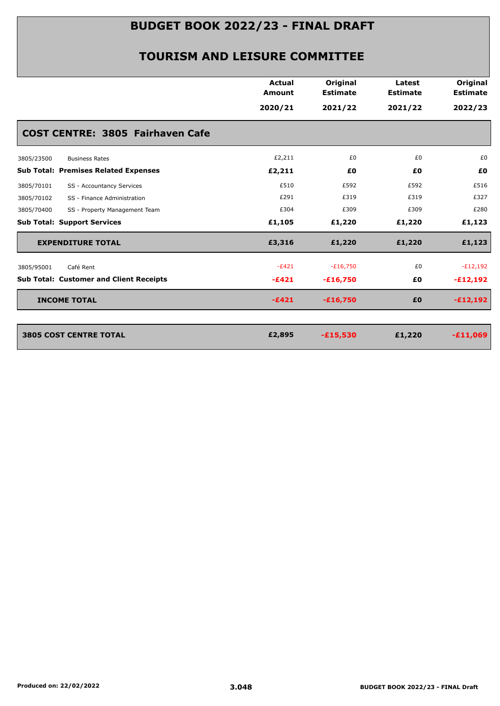|                                                | Actual<br>Amount | Original<br><b>Estimate</b> | Latest<br><b>Estimate</b> | Original<br><b>Estimate</b> |
|------------------------------------------------|------------------|-----------------------------|---------------------------|-----------------------------|
|                                                | 2020/21          | 2021/22                     | 2021/22                   | 2022/23                     |
| COST CENTRE: 3805 Fairhaven Cafe               |                  |                             |                           |                             |
| 3805/23500<br><b>Business Rates</b>            | £2,211           | £0                          | £0                        | £0                          |
| <b>Sub Total: Premises Related Expenses</b>    | £2,211           | £0                          | £0                        | £0                          |
| SS - Accountancy Services<br>3805/70101        | £510             | £592                        | £592                      | £516                        |
| SS - Finance Administration<br>3805/70102      | £291             | £319                        | £319                      | £327                        |
| 3805/70400<br>SS - Property Management Team    | £304             | £309                        | £309                      | £280                        |
| <b>Sub Total: Support Services</b>             | £1,105           | £1,220                      | £1,220                    | £1,123                      |
| <b>EXPENDITURE TOTAL</b>                       | £3,316           | £1,220                      | £1,220                    | £1,123                      |
| Café Rent<br>3805/95001                        | $-E421$          | $-£16,750$                  | £0                        | $-E12,192$                  |
| <b>Sub Total: Customer and Client Receipts</b> | $-E421$          | $-£16,750$                  | £0                        | $-£12,192$                  |
| <b>INCOME TOTAL</b>                            | $-£421$          | $-£16,750$                  | £0                        | $-E12,192$                  |
| <b>3805 COST CENTRE TOTAL</b>                  | £2,895           | $-£15,530$                  | £1,220                    | $-£11,069$                  |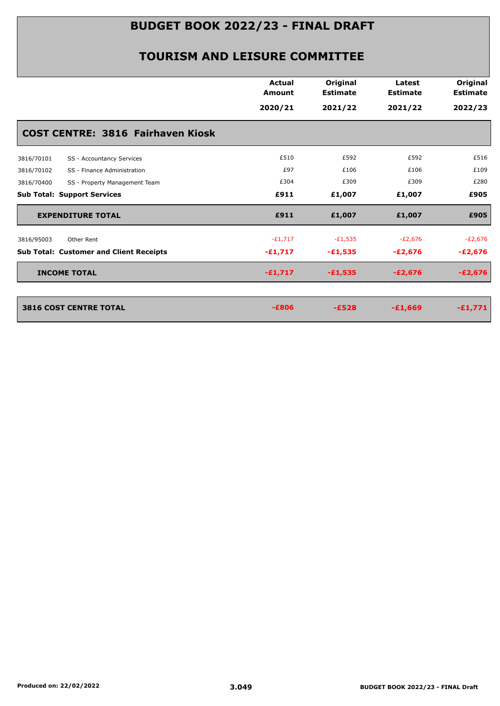|                                                | <b>Actual</b><br><b>Amount</b> | Original<br><b>Estimate</b> | Latest<br><b>Estimate</b> | Original<br><b>Estimate</b> |
|------------------------------------------------|--------------------------------|-----------------------------|---------------------------|-----------------------------|
|                                                | 2020/21                        | 2021/22                     | 2021/22                   | 2022/23                     |
| <b>COST CENTRE: 3816 Fairhaven Kiosk</b>       |                                |                             |                           |                             |
| SS - Accountancy Services<br>3816/70101        | £510                           | £592                        | £592                      | £516                        |
| 3816/70102<br>SS - Finance Administration      | £97                            | £106                        | £106                      | £109                        |
| 3816/70400<br>SS - Property Management Team    | £304                           | £309                        | £309                      | £280                        |
| <b>Sub Total: Support Services</b>             | £911                           | £1,007                      | £1,007                    | £905                        |
| <b>EXPENDITURE TOTAL</b>                       | £911                           | £1,007                      | £1,007                    | £905                        |
| 3816/95003<br>Other Rent                       | $-E1,717$                      | $-E1,535$                   | $-E2,676$                 | $-E2,676$                   |
| <b>Sub Total: Customer and Client Receipts</b> | $-£1,717$                      | $-£1,535$                   | $-E2,676$                 | $-E2,676$                   |
| <b>INCOME TOTAL</b>                            | $-£1,717$                      | $-£1,535$                   | $-E2,676$                 | $-E2,676$                   |
|                                                |                                |                             |                           |                             |
| <b>3816 COST CENTRE TOTAL</b>                  | $-E806$                        | $-E528$                     | $-£1,669$                 | $-£1,771$                   |
|                                                |                                |                             |                           |                             |
|                                                |                                |                             |                           |                             |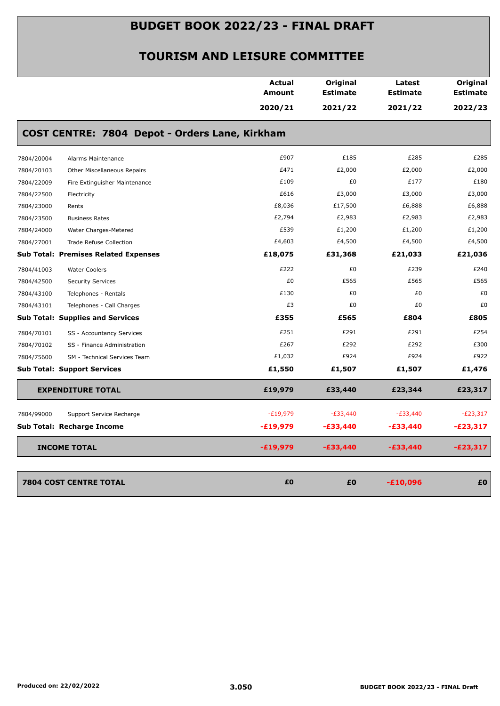|            |                                                | <b>Actual</b><br>Amount | Original<br><b>Estimate</b> | Latest<br><b>Estimate</b> | Original<br><b>Estimate</b> |
|------------|------------------------------------------------|-------------------------|-----------------------------|---------------------------|-----------------------------|
|            |                                                | 2020/21                 | 2021/22                     | 2021/22                   | 2022/23                     |
|            | COST CENTRE: 7804 Depot - Orders Lane, Kirkham |                         |                             |                           |                             |
| 7804/20004 | Alarms Maintenance                             | £907                    | £185                        | £285                      | £285                        |
| 7804/20103 | Other Miscellaneous Repairs                    | £471                    | £2,000                      | £2,000                    | £2,000                      |
| 7804/22009 | Fire Extinguisher Maintenance                  | £109                    | £0                          | £177                      | £180                        |
| 7804/22500 | Electricity                                    | £616                    | £3,000                      | £3,000                    | £3,000                      |
| 7804/23000 | Rents                                          | £8,036                  | £17,500                     | £6,888                    | £6,888                      |
| 7804/23500 | <b>Business Rates</b>                          | £2,794                  | £2,983                      | £2,983                    | £2,983                      |
| 7804/24000 | Water Charges-Metered                          | £539                    | £1,200                      | £1,200                    | £1,200                      |
| 7804/27001 | Trade Refuse Collection                        | £4,603                  | £4,500                      | £4,500                    | £4,500                      |
|            | <b>Sub Total: Premises Related Expenses</b>    | £18,075                 | £31,368                     | £21,033                   | £21,036                     |
| 7804/41003 | <b>Water Coolers</b>                           | £222                    | £0                          | £239                      | £240                        |
| 7804/42500 | <b>Security Services</b>                       | £0                      | £565                        | £565                      | £565                        |
| 7804/43100 | Telephones - Rentals                           | £130                    | £0                          | £0                        | £0                          |
| 7804/43101 | Telephones - Call Charges                      | £3                      | £0                          | £0                        | £0                          |
|            | <b>Sub Total: Supplies and Services</b>        | £355                    | £565                        | £804                      | £805                        |
| 7804/70101 | SS - Accountancy Services                      | £251                    | £291                        | £291                      | £254                        |
| 7804/70102 | SS - Finance Administration                    | £267                    | £292                        | £292                      | £300                        |
| 7804/75600 | SM - Technical Services Team                   | £1,032                  | £924                        | £924                      | £922                        |
|            | <b>Sub Total: Support Services</b>             | £1,550                  | £1,507                      | £1,507                    | £1,476                      |
|            | <b>EXPENDITURE TOTAL</b>                       | £19,979                 | £33,440                     | £23,344                   | £23,317                     |
| 7804/99000 | Support Service Recharge                       | $-E19,979$              | $-E33,440$                  | $-E33,440$                | $-E23,317$                  |
|            | Sub Total: Recharge Income                     | $-£19,979$              | $-£33,440$                  | $-£33,440$                | $-E23,317$                  |
|            | <b>INCOME TOTAL</b>                            | $-£19,979$              | $-£33,440$                  | $-£33,440$                | $-£23,317$                  |
|            |                                                |                         |                             |                           |                             |
|            | 7804 COST CENTRE TOTAL                         | £O                      | £0                          | $-£10,096$                | £Ο                          |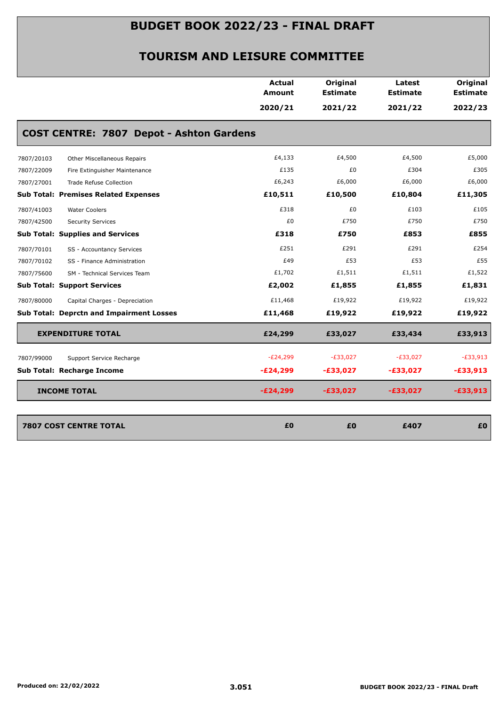|            |                                                 | <b>Actual</b><br>Amount | Original<br><b>Estimate</b> | Latest<br><b>Estimate</b> | Original<br><b>Estimate</b> |
|------------|-------------------------------------------------|-------------------------|-----------------------------|---------------------------|-----------------------------|
|            |                                                 | 2020/21                 | 2021/22                     | 2021/22                   | 2022/23                     |
|            | <b>COST CENTRE: 7807 Depot - Ashton Gardens</b> |                         |                             |                           |                             |
| 7807/20103 | Other Miscellaneous Repairs                     | £4,133                  | £4,500                      | £4,500                    | £5,000                      |
| 7807/22009 | Fire Extinguisher Maintenance                   | £135                    | £0                          | £304                      | £305                        |
| 7807/27001 | <b>Trade Refuse Collection</b>                  | £6,243                  | £6,000                      | £6,000                    | £6,000                      |
|            | <b>Sub Total: Premises Related Expenses</b>     | £10,511                 | £10,500                     | £10,804                   | £11,305                     |
| 7807/41003 | <b>Water Coolers</b>                            | £318                    | £0                          | £103                      | £105                        |
| 7807/42500 | <b>Security Services</b>                        | £0                      | £750                        | £750                      | £750                        |
|            | <b>Sub Total: Supplies and Services</b>         | £318                    | £750                        | £853                      | £855                        |
| 7807/70101 | SS - Accountancy Services                       | £251                    | £291                        | £291                      | £254                        |
| 7807/70102 | SS - Finance Administration                     | £49                     | £53                         | £53                       | £55                         |
| 7807/75600 | SM - Technical Services Team                    | £1,702                  | £1,511                      | £1,511                    | £1,522                      |
|            | <b>Sub Total: Support Services</b>              | £2,002                  | £1,855                      | £1,855                    | £1,831                      |
| 7807/80000 | Capital Charges - Depreciation                  | £11,468                 | £19,922                     | £19,922                   | £19,922                     |
|            | <b>Sub Total: Deprctn and Impairment Losses</b> | £11,468                 | £19,922                     | £19,922                   | £19,922                     |
|            | <b>EXPENDITURE TOTAL</b>                        | £24,299                 | £33,027                     | £33,434                   | £33,913                     |
| 7807/99000 | Support Service Recharge                        | $-E24,299$              | $-E33,027$                  | $-E33,027$                | $-E33,913$                  |
|            | Sub Total: Recharge Income                      | $-E24,299$              | $-£33,027$                  | $-£33,027$                | $-£33,913$                  |
|            | <b>INCOME TOTAL</b>                             | $-E24,299$              | $-£33,027$                  | $-£33,027$                | $-£33,913$                  |
|            | 7807 COST CENTRE TOTAL                          | £0                      | £0                          | £407                      | £0                          |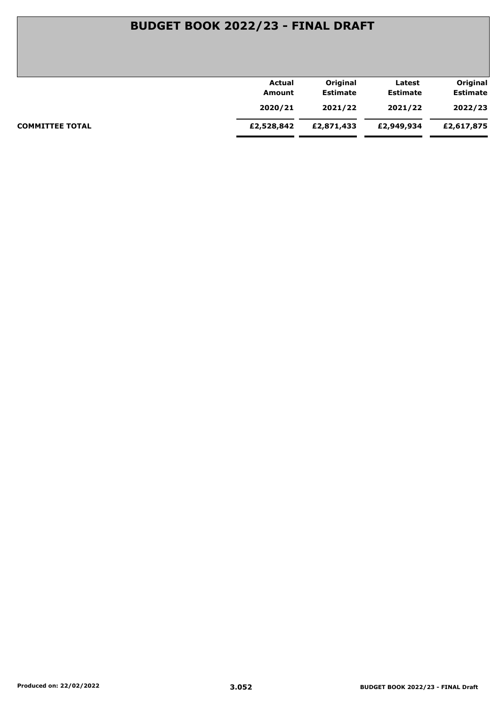| Actual     | Original        | Latest          | Original        |
|------------|-----------------|-----------------|-----------------|
| Amount     | <b>Estimate</b> | <b>Estimate</b> | <b>Estimate</b> |
| 2020/21    | 2021/22         | 2021/22         | 2022/23         |
| £2,528,842 | £2,871,433      | £2,949,934      | £2,617,875      |
|            |                 |                 |                 |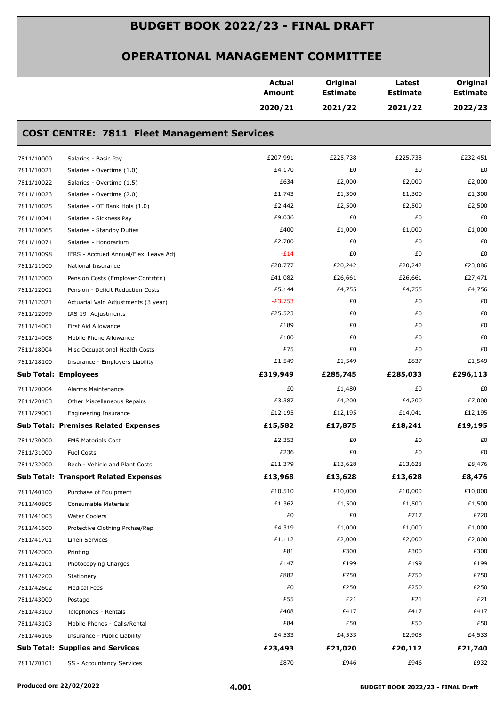|            |                                                    | <b>Actual</b><br><b>Amount</b> | Original<br><b>Estimate</b> | Latest<br><b>Estimate</b> | Original<br><b>Estimate</b> |
|------------|----------------------------------------------------|--------------------------------|-----------------------------|---------------------------|-----------------------------|
|            |                                                    | 2020/21                        | 2021/22                     | 2021/22                   | 2022/23                     |
|            | <b>COST CENTRE: 7811 Fleet Management Services</b> |                                |                             |                           |                             |
| 7811/10000 | Salaries - Basic Pay                               | £207,991                       | £225,738                    | £225,738                  | £232,451                    |
| 7811/10021 | Salaries - Overtime (1.0)                          | £4,170                         | £0                          | £0                        | £0                          |
| 7811/10022 | Salaries - Overtime (1.5)                          | £634                           | £2,000                      | £2,000                    | £2,000                      |
| 7811/10023 | Salaries - Overtime (2.0)                          | £1,743                         | £1,300                      | £1,300                    | £1,300                      |
| 7811/10025 | Salaries - OT Bank Hols (1.0)                      | £2,442                         | £2,500                      | £2,500                    | £2,500                      |
| 7811/10041 | Salaries - Sickness Pay                            | £9,036                         | £0                          | £0                        | £0                          |
| 7811/10065 | Salaries - Standby Duties                          | £400                           | £1,000                      | £1,000                    | £1,000                      |
| 7811/10071 | Salaries - Honorarium                              | £2,780                         | £0                          | £0                        | £0                          |
| 7811/10098 | IFRS - Accrued Annual/Flexi Leave Adj              | $-E14$                         | £0                          | £0                        | £0                          |
| 7811/11000 | National Insurance                                 | £20,777                        | £20,242                     | £20,242                   | £23,086                     |
| 7811/12000 | Pension Costs (Employer Contrbtn)                  | £41,082                        | £26,661                     | £26,661                   | £27,471                     |
| 7811/12001 | Pension - Deficit Reduction Costs                  | £5,144                         | £4,755                      | £4,755                    | £4,756                      |
| 7811/12021 | Actuarial Valn Adjustments (3 year)                | $-E3,753$                      | £0                          | £0                        | £0                          |
| 7811/12099 | IAS 19 Adjustments                                 | £25,523                        | £0                          | £0                        | £0                          |
| 7811/14001 | First Aid Allowance                                | £189                           | £0                          | £0                        | £0                          |
| 7811/14008 | Mobile Phone Allowance                             | £180                           | £0                          | £0                        | £0                          |
| 7811/18004 | Misc Occupational Health Costs                     | £75                            | £0                          | £0                        | £0                          |
| 7811/18100 | Insurance - Employers Liability                    | £1,549                         | £1,549                      | £837                      | £1,549                      |
|            | <b>Sub Total: Employees</b>                        | £319,949                       | £285,745                    | £285,033                  | £296,113                    |
| 7811/20004 | Alarms Maintenance                                 | £0                             | £1,480                      | £0                        | £0                          |
| 7811/20103 | Other Miscellaneous Repairs                        | £3,387                         | £4,200                      | £4,200                    | £7,000                      |
| 7811/29001 | <b>Engineering Insurance</b>                       | £12,195                        | £12,195                     | £14,041                   | £12,195                     |
|            | <b>Sub Total: Premises Related Expenses</b>        | £15,582                        | £17,875                     | £18,241                   | £19,195                     |
| 7811/30000 | FMS Materials Cost                                 | £2,353                         | £0                          | £0                        | £0                          |
| 7811/31000 | <b>Fuel Costs</b>                                  | £236                           | £0                          | £0                        | £0                          |
| 7811/32000 | Rech - Vehicle and Plant Costs                     | £11,379                        | £13,628                     | £13,628                   | £8,476                      |
|            | <b>Sub Total: Transport Related Expenses</b>       | £13,968                        | £13,628                     | £13,628                   | £8,476                      |
| 7811/40100 | Purchase of Equipment                              | £10,510                        | £10,000                     | £10,000                   | £10,000                     |
| 7811/40805 | Consumable Materials                               | £1,362                         | £1,500                      | £1,500                    | £1,500                      |
| 7811/41003 | <b>Water Coolers</b>                               | £0                             | £0                          | £717                      | £720                        |
| 7811/41600 | Protective Clothing Prchse/Rep                     | £4,319                         | £1,000                      | £1,000                    | £1,000                      |
| 7811/41701 | Linen Services                                     | £1,112                         | £2,000                      | £2,000                    | £2,000                      |
| 7811/42000 | Printing                                           | £81                            | £300                        | £300                      | £300                        |
| 7811/42101 | Photocopying Charges                               | £147                           | £199                        | £199                      | £199                        |
| 7811/42200 | Stationery                                         | £882                           | £750                        | £750                      | £750                        |
| 7811/42602 | <b>Medical Fees</b>                                | £0                             | £250                        | £250                      | £250                        |
| 7811/43000 | Postage                                            | £55                            | £21                         | £21                       | £21                         |
| 7811/43100 | Telephones - Rentals                               | £408                           | £417                        | £417                      | £417                        |
| 7811/43103 | Mobile Phones - Calls/Rental                       | £84                            | £50                         | £50                       | £50                         |
| 7811/46106 | Insurance - Public Liability                       | £4,533                         | £4,533                      | £2,908                    | £4,533                      |
|            | <b>Sub Total: Supplies and Services</b>            | £23,493                        | £21,020                     | £20,112                   | £21,740                     |
|            |                                                    |                                |                             |                           |                             |
| 7811/70101 | SS - Accountancy Services                          | £870                           | £946                        | £946                      | £932                        |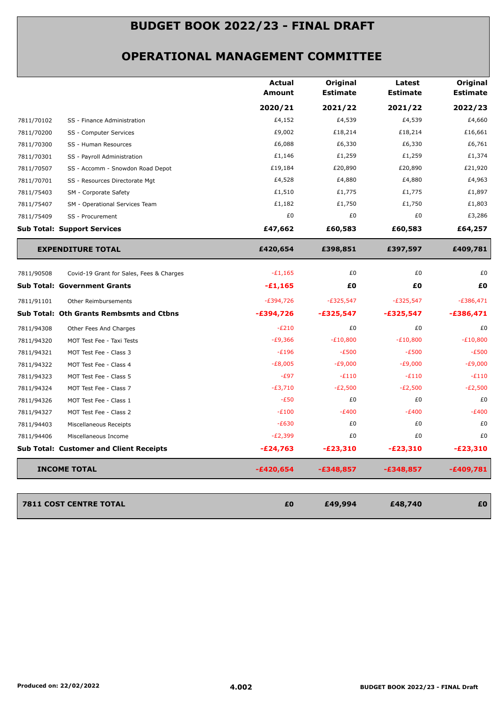|            |                                                | <b>Actual</b><br>Amount | Original<br><b>Estimate</b> | Latest<br><b>Estimate</b> | Original<br><b>Estimate</b> |
|------------|------------------------------------------------|-------------------------|-----------------------------|---------------------------|-----------------------------|
|            |                                                | 2020/21                 | 2021/22                     | 2021/22                   | 2022/23                     |
| 7811/70102 | SS - Finance Administration                    | £4,152                  | £4,539                      | £4,539                    | £4,660                      |
| 7811/70200 | SS - Computer Services                         | £9,002                  | £18,214                     | £18,214                   | £16,661                     |
| 7811/70300 | SS - Human Resources                           | £6,088                  | £6,330                      | £6,330                    | £6,761                      |
| 7811/70301 | SS - Payroll Administration                    | £1,146                  | £1,259                      | £1,259                    | £1,374                      |
| 7811/70507 | SS - Accomm - Snowdon Road Depot               | £19,184                 | £20,890                     | £20,890                   | £21,920                     |
| 7811/70701 | SS - Resources Directorate Mgt                 | £4,528                  | £4,880                      | £4,880                    | £4,963                      |
| 7811/75403 | SM - Corporate Safety                          | £1,510                  | £1,775                      | £1,775                    | £1,897                      |
| 7811/75407 | SM - Operational Services Team                 | £1,182                  | £1,750                      | £1,750                    | £1,803                      |
| 7811/75409 | SS - Procurement                               | £0                      | £0                          | £0                        | £3,286                      |
|            | <b>Sub Total: Support Services</b>             | £47,662                 | £60,583                     | £60,583                   | £64,257                     |
|            | <b>EXPENDITURE TOTAL</b>                       | £420,654                | £398,851                    | £397,597                  | £409,781                    |
| 7811/90508 | Covid-19 Grant for Sales, Fees & Charges       | $-E1,165$               | £0                          | £0                        | £0                          |
|            | <b>Sub Total: Government Grants</b>            | $-£1,165$               | £Ο                          | £Ο                        | £0                          |
| 7811/91101 | Other Reimbursements                           | $-E394,726$             | $-E325,547$                 | $-E325,547$               | $-E386,471$                 |
|            | Sub Total: Oth Grants Rembsmts and Ctbns       | $-£394,726$             | $-£325,547$                 | $-£325,547$               | $-£386,471$                 |
| 7811/94308 | Other Fees And Charges                         | $-E210$                 | £0                          | £0                        | £0                          |
| 7811/94320 | MOT Test Fee - Taxi Tests                      | $-£9,366$               | $-E10,800$                  | $-E10,800$                | $-E10,800$                  |
| 7811/94321 | MOT Test Fee - Class 3                         | $-E196$                 | $-E500$                     | $-E500$                   | $-E500$                     |
| 7811/94322 | MOT Test Fee - Class 4                         | $-E8,005$               | $-E9,000$                   | $-E9,000$                 | $-E9,000$                   |
| 7811/94323 | MOT Test Fee - Class 5                         | $-E97$                  | $-E110$                     | $-E110$                   | $-E110$                     |
| 7811/94324 | MOT Test Fee - Class 7                         | $-E3,710$               | $-E2,500$                   | $-E2,500$                 | $-E2,500$                   |
| 7811/94326 | MOT Test Fee - Class 1                         | $-E50$                  | £0                          | £0                        | £0                          |
| 7811/94327 | MOT Test Fee - Class 2                         | $-E100$                 | $-E400$                     | $-E400$                   | $-E400$                     |
| 7811/94403 | Miscellaneous Receipts                         | $-E630$                 | £0                          | £0                        | £0                          |
| 7811/94406 | Miscellaneous Income                           | $-E2,399$               | £0                          | £0                        | £0                          |
|            | <b>Sub Total: Customer and Client Receipts</b> | $-E24,763$              | $-E23,310$                  | $-£23,310$                | $-E23,310$                  |
|            | <b>INCOME TOTAL</b>                            | $-£420,654$             | $-£348,857$                 | $-£348,857$               | $-£409,781$                 |
|            |                                                |                         |                             |                           |                             |
|            |                                                |                         |                             |                           |                             |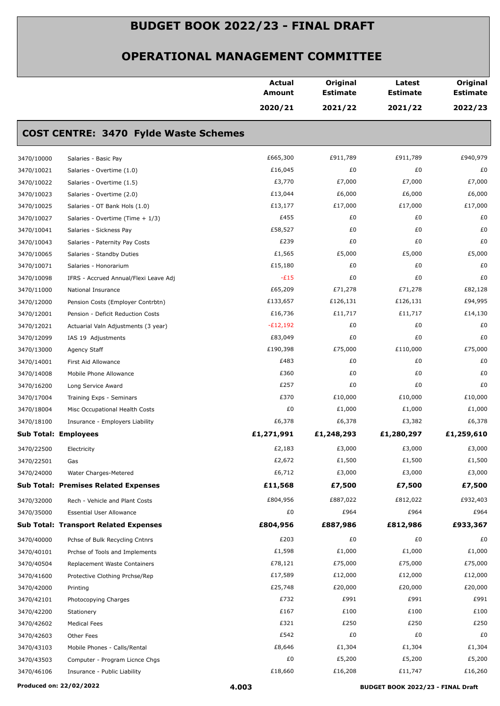|            |                                              | Actual<br>Amount | Original<br><b>Estimate</b> | Latest<br><b>Estimate</b> | Original<br><b>Estimate</b> |
|------------|----------------------------------------------|------------------|-----------------------------|---------------------------|-----------------------------|
|            |                                              | 2020/21          | 2021/22                     | 2021/22                   | 2022/23                     |
|            | <b>COST CENTRE: 3470 Fylde Waste Schemes</b> |                  |                             |                           |                             |
| 3470/10000 | Salaries - Basic Pay                         | £665,300         | £911,789                    | £911,789                  | £940,979                    |
| 3470/10021 | Salaries - Overtime (1.0)                    | £16,045          | £0                          | £0                        | £0                          |
| 3470/10022 | Salaries - Overtime (1.5)                    | £3,770           | £7,000                      | £7,000                    | £7,000                      |
| 3470/10023 | Salaries - Overtime (2.0)                    | £13,044          | £6,000                      | £6,000                    | £6,000                      |
| 3470/10025 | Salaries - OT Bank Hols (1.0)                | £13,177          | £17,000                     | £17,000                   | £17,000                     |
| 3470/10027 | Salaries - Overtime (Time + 1/3)             | £455             | £0                          | £0                        | £0                          |
| 3470/10041 | Salaries - Sickness Pay                      | £58,527          | £0                          | £0                        | £0                          |
| 3470/10043 | Salaries - Paternity Pay Costs               | £239             | £0                          | £0                        | £0                          |
| 3470/10065 | Salaries - Standby Duties                    | £1,565           | £5,000                      | £5,000                    | £5,000                      |
| 3470/10071 | Salaries - Honorarium                        | £15,180          | £0                          | £0                        | £0                          |
| 3470/10098 | IFRS - Accrued Annual/Flexi Leave Adj        | $-E15$           | £0                          | £0                        | £0                          |
| 3470/11000 | National Insurance                           | £65,209          | £71,278                     | £71,278                   | £82,128                     |
| 3470/12000 | Pension Costs (Employer Contrbtn)            | £133,657         | £126,131                    | £126,131                  | £94,995                     |
| 3470/12001 | Pension - Deficit Reduction Costs            | £16,736          | £11,717                     | £11,717                   | £14,130                     |
| 3470/12021 | Actuarial Valn Adjustments (3 year)          | $-E12,192$       | £0                          | £0                        | £0                          |
| 3470/12099 | IAS 19 Adjustments                           | £83,049          | £0                          | £0                        | £0                          |
| 3470/13000 | Agency Staff                                 | £190,398         | £75,000                     | £110,000                  | £75,000                     |
| 3470/14001 | First Aid Allowance                          | £483             | £0                          | £0                        | £0                          |
| 3470/14008 | Mobile Phone Allowance                       | £360             | £0                          | £0                        | £0                          |
| 3470/16200 | Long Service Award                           | £257             | £0                          | £0                        | £0                          |
| 3470/17004 | Training Exps - Seminars                     | £370             | £10,000                     | £10,000                   | £10,000                     |
| 3470/18004 | Misc Occupational Health Costs               | £0               | £1,000                      | £1,000                    | £1,000                      |
| 3470/18100 | Insurance - Employers Liability              | £6,378           | £6,378                      | £3,382                    | £6,378                      |
|            | <b>Sub Total: Employees</b>                  | £1,271,991       | £1,248,293                  | £1,280,297                | £1,259,610                  |
|            |                                              | £2,183           | £3,000                      | £3,000                    | £3,000                      |
| 3470/22500 | Electricity                                  | £2,672           | £1,500                      | £1,500                    | £1,500                      |
| 3470/22501 | Gas                                          | £6,712           | £3,000                      | £3,000                    | £3,000                      |
| 3470/24000 | Water Charges-Metered                        |                  |                             |                           |                             |
|            | <b>Sub Total: Premises Related Expenses</b>  | £11,568          | £7,500                      | £7,500                    | £7,500                      |
| 3470/32000 | Rech - Vehicle and Plant Costs               | £804,956         | £887,022                    | £812,022                  | £932,403                    |
| 3470/35000 | <b>Essential User Allowance</b>              | £0               | £964                        | £964                      | £964                        |
|            | <b>Sub Total: Transport Related Expenses</b> | £804,956         | £887,986                    | £812,986                  | £933,367                    |
| 3470/40000 | Pchse of Bulk Recycling Cntnrs               | £203             | £0                          | £0                        | £0                          |
| 3470/40101 | Prchse of Tools and Implements               | £1,598           | £1,000                      | £1,000                    | £1,000                      |
| 3470/40504 | Replacement Waste Containers                 | £78,121          | £75,000                     | £75,000                   | £75,000                     |
| 3470/41600 | Protective Clothing Prchse/Rep               | £17,589          | £12,000                     | £12,000                   | £12,000                     |
| 3470/42000 | Printing                                     | £25,748          | £20,000                     | £20,000                   | £20,000                     |
| 3470/42101 | Photocopying Charges                         | £732             | £991                        | £991                      | £991                        |
| 3470/42200 | Stationery                                   | £167             | £100                        | £100                      | £100                        |
| 3470/42602 | <b>Medical Fees</b>                          | £321             | £250                        | £250                      | £250                        |
| 3470/42603 | Other Fees                                   | £542             | £0                          | £0                        | £0                          |
| 3470/43103 | Mobile Phones - Calls/Rental                 | £8,646           | £1,304                      | £1,304                    | £1,304                      |
| 3470/43503 | Computer - Program Licnce Chgs               | £0               | £5,200                      | £5,200                    | £5,200                      |
| 3470/46106 | Insurance - Public Liability                 | £18,660          | £16,208                     | £11,747                   | £16,260                     |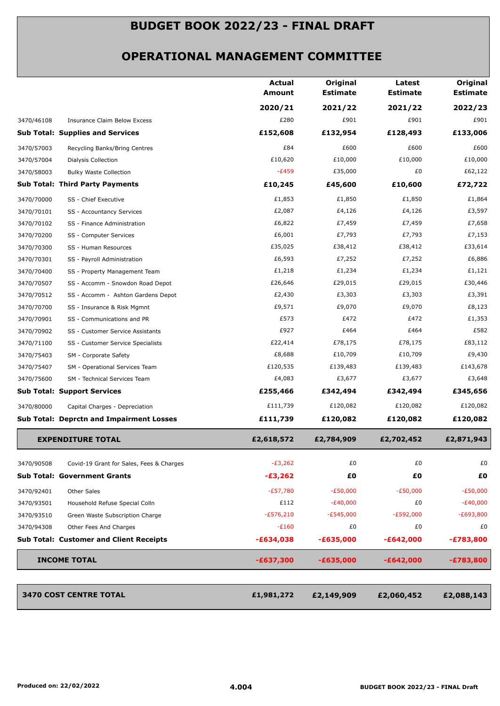|            |                                                 | <b>Actual</b><br><b>Amount</b> | Original<br><b>Estimate</b> | Latest<br><b>Estimate</b> | Original<br><b>Estimate</b> |
|------------|-------------------------------------------------|--------------------------------|-----------------------------|---------------------------|-----------------------------|
|            |                                                 | 2020/21                        | 2021/22                     | 2021/22                   | 2022/23                     |
| 3470/46108 | Insurance Claim Below Excess                    | £280                           | £901                        | £901                      | £901                        |
|            | <b>Sub Total: Supplies and Services</b>         | £152,608                       | £132,954                    | £128,493                  | £133,006                    |
| 3470/57003 | Recycling Banks/Bring Centres                   | £84                            | £600                        | £600                      | £600                        |
| 3470/57004 | Dialysis Collection                             | £10,620                        | £10,000                     | £10,000                   | £10,000                     |
| 3470/58003 | <b>Bulky Waste Collection</b>                   | $-E459$                        | £35,000                     | £0                        | £62,122                     |
|            | <b>Sub Total: Third Party Payments</b>          | £10,245                        | £45,600                     | £10,600                   | £72,722                     |
| 3470/70000 | SS - Chief Executive                            | £1,853                         | £1,850                      | £1,850                    | £1,864                      |
| 3470/70101 | SS - Accountancy Services                       | £2,087                         | £4,126                      | £4,126                    | £3,597                      |
| 3470/70102 | SS - Finance Administration                     | £6,822                         | £7,459                      | £7,459                    | £7,658                      |
| 3470/70200 | SS - Computer Services                          | £6,001                         | £7,793                      | £7,793                    | £7,153                      |
| 3470/70300 | SS - Human Resources                            | £35,025                        | £38,412                     | £38,412                   | £33,614                     |
| 3470/70301 | SS - Payroll Administration                     | £6,593                         | £7,252                      | £7,252                    | £6,886                      |
| 3470/70400 | SS - Property Management Team                   | £1,218                         | £1,234                      | £1,234                    | £1,121                      |
| 3470/70507 | SS - Accomm - Snowdon Road Depot                | £26,646                        | £29,015                     | £29,015                   | £30,446                     |
| 3470/70512 | SS - Accomm - Ashton Gardens Depot              | £2,430                         | £3,303                      | £3,303                    | £3,391                      |
| 3470/70700 | SS - Insurance & Risk Mgmnt                     | £9,571                         | £9,070                      | £9,070                    | £8,123                      |
| 3470/70901 | SS - Communications and PR                      | £573                           | £472                        | £472                      | £1,353                      |
| 3470/70902 | SS - Customer Service Assistants                | £927                           | £464                        | £464                      | £582                        |
| 3470/71100 | SS - Customer Service Specialists               | £22,414                        | £78,175                     | £78,175                   | £83,112                     |
| 3470/75403 | SM - Corporate Safety                           | £8,688                         | £10,709                     | £10,709                   | £9,430                      |
| 3470/75407 | SM - Operational Services Team                  | £120,535                       | £139,483                    | £139,483                  | £143,678                    |
| 3470/75600 | SM - Technical Services Team                    | £4,083                         | £3,677                      | £3,677                    | £3,648                      |
|            | <b>Sub Total: Support Services</b>              | £255,466                       | £342,494                    | £342,494                  | £345,656                    |
| 3470/80000 | Capital Charges - Depreciation                  | £111,739                       | £120,082                    | £120,082                  | £120,082                    |
|            | <b>Sub Total: Deprctn and Impairment Losses</b> | £111,739                       | £120,082                    | £120,082                  | £120,082                    |
|            | <b>EXPENDITURE TOTAL</b>                        | £2,618,572                     | £2,784,909                  | £2,702,452                | £2,871,943                  |
| 3470/90508 | Covid-19 Grant for Sales, Fees & Charges        | $-E3,262$                      | £0                          | £0                        | £0                          |
|            | <b>Sub Total: Government Grants</b>             | $-£3,262$                      | £0                          | £Ο                        | £O                          |
| 3470/92401 | Other Sales                                     | $-E57,780$                     | $-E50,000$                  | $-E50,000$                | $-E50,000$                  |
| 3470/93501 | Household Refuse Special Colln                  | £112                           | $-E40,000$                  | £0                        | $-E40,000$                  |
| 3470/93510 | Green Waste Subscription Charge                 | $-£576,210$                    | $-E545,000$                 | $-E592,000$               | $-E693,800$                 |
| 3470/94308 | Other Fees And Charges                          | $-E160$                        | £0                          | £0                        | £0                          |
|            | <b>Sub Total: Customer and Client Receipts</b>  | $-£634,038$                    | $-£635,000$                 | $-£642,000$               | $-£783,800$                 |
|            | <b>INCOME TOTAL</b>                             | $-£637,300$                    | $-£635,000$                 | $-£642,000$               | $-£783,800$                 |
|            | <b>3470 COST CENTRE TOTAL</b>                   | £1,981,272                     | £2,149,909                  | £2,060,452                | £2,088,143                  |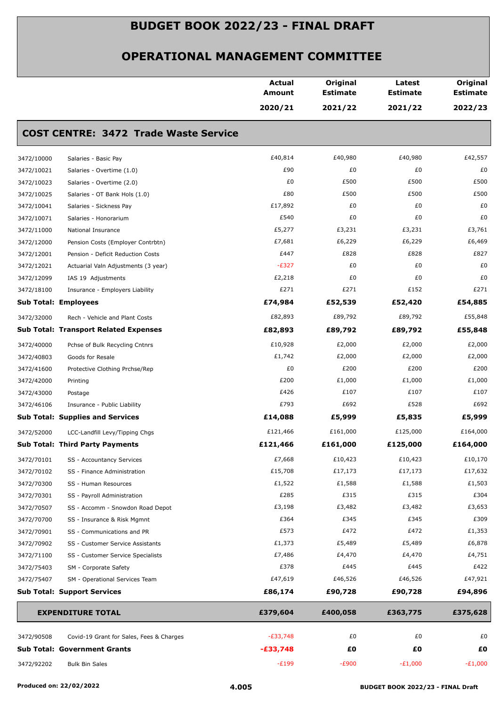|            |                                              | <b>Actual</b><br><b>Amount</b> | Original<br><b>Estimate</b> | Latest<br><b>Estimate</b> | Original<br><b>Estimate</b> |
|------------|----------------------------------------------|--------------------------------|-----------------------------|---------------------------|-----------------------------|
|            |                                              | 2020/21                        | 2021/22                     | 2021/22                   | 2022/23                     |
|            | <b>COST CENTRE: 3472 Trade Waste Service</b> |                                |                             |                           |                             |
| 3472/10000 | Salaries - Basic Pay                         | £40,814                        | £40,980                     | £40,980                   | £42,557                     |
| 3472/10021 | Salaries - Overtime (1.0)                    | £90                            | £0                          | £0                        | £0                          |
| 3472/10023 | Salaries - Overtime (2.0)                    | £0                             | £500                        | £500                      | £500                        |
| 3472/10025 | Salaries - OT Bank Hols (1.0)                | £80                            | £500                        | £500                      | £500                        |
| 3472/10041 | Salaries - Sickness Pay                      | £17,892                        | £0                          | £0                        | £0                          |
| 3472/10071 | Salaries - Honorarium                        | £540                           | £0                          | £0                        | £0                          |
| 3472/11000 | National Insurance                           | £5,277                         | £3,231                      | £3,231                    | £3,761                      |
| 3472/12000 | Pension Costs (Employer Contrbtn)            | £7,681                         | £6,229                      | £6,229                    | £6,469                      |
| 3472/12001 | Pension - Deficit Reduction Costs            | £447                           | £828                        | £828                      | £827                        |
| 3472/12021 | Actuarial Valn Adjustments (3 year)          | $-E327$                        | £0                          | £0                        | £0                          |
| 3472/12099 | IAS 19 Adjustments                           | £2,218                         | £0                          | £0                        | £0                          |
| 3472/18100 | Insurance - Employers Liability              | £271                           | £271                        | £152                      | £271                        |
|            | <b>Sub Total: Employees</b>                  | £74,984                        | £52,539                     | £52,420                   | £54,885                     |
| 3472/32000 | Rech - Vehicle and Plant Costs               | £82,893                        | £89,792                     | £89,792                   | £55,848                     |
|            | <b>Sub Total: Transport Related Expenses</b> | £82,893                        | £89,792                     | £89,792                   | £55,848                     |
| 3472/40000 | Pchse of Bulk Recycling Cntnrs               | £10,928                        | £2,000                      | £2,000                    | £2,000                      |
| 3472/40803 | Goods for Resale                             | £1,742                         | £2,000                      | £2,000                    | £2,000                      |
| 3472/41600 | Protective Clothing Prchse/Rep               | £0                             | £200                        | £200                      | £200                        |
| 3472/42000 | Printing                                     | £200                           | £1,000                      | £1,000                    | £1,000                      |
| 3472/43000 | Postage                                      | £426                           | £107                        | £107                      | £107                        |
| 3472/46106 | Insurance - Public Liability                 | £793                           | £692                        | £528                      | £692                        |
|            | <b>Sub Total: Supplies and Services</b>      | £14,088                        | £5,999                      | £5,835                    | £5,999                      |
| 3472/52000 | LCC-Landfill Levy/Tipping Chgs               | £121,466                       | £161,000                    | £125,000                  | £164,000                    |
|            | <b>Sub Total: Third Party Payments</b>       | £121,466                       | £161,000                    | £125,000                  | £164,000                    |
| 3472/70101 | SS - Accountancy Services                    | £7,668                         | £10,423                     | £10,423                   | £10,170                     |
| 3472/70102 | SS - Finance Administration                  | £15,708                        | £17,173                     | £17,173                   | £17,632                     |
| 3472/70300 | SS - Human Resources                         | £1,522                         | £1,588                      | £1,588                    | £1,503                      |
| 3472/70301 | SS - Payroll Administration                  | £285                           | £315                        | £315                      | £304                        |
| 3472/70507 | SS - Accomm - Snowdon Road Depot             | £3,198                         | £3,482                      | £3,482                    | £3,653                      |
| 3472/70700 | SS - Insurance & Risk Mgmnt                  | £364                           | £345                        | £345                      | £309                        |
| 3472/70901 | SS - Communications and PR                   | £573                           | £472                        | £472                      | £1,353                      |
| 3472/70902 | SS - Customer Service Assistants             | £1,373                         | £5,489                      | £5,489                    | £6,878                      |
| 3472/71100 | SS - Customer Service Specialists            | £7,486                         | £4,470                      | £4,470                    | £4,751                      |
| 3472/75403 | SM - Corporate Safety                        | £378                           | £445                        | £445                      | £422                        |
| 3472/75407 | SM - Operational Services Team               | £47,619                        | £46,526                     | £46,526                   | £47,921                     |
|            | <b>Sub Total: Support Services</b>           | £86,174                        | £90,728                     | £90,728                   | £94,896                     |
|            | <b>EXPENDITURE TOTAL</b>                     | £379,604                       | £400,058                    | £363,775                  | £375,628                    |
| 3472/90508 | Covid-19 Grant for Sales, Fees & Charges     | $-E33,748$                     | £0                          | £0                        | £0                          |
|            | <b>Sub Total: Government Grants</b>          | $-£33,748$                     | £0                          | £0                        | £Ο                          |
| 3472/92202 | <b>Bulk Bin Sales</b>                        | $-E199$                        | $-E900$                     | $-E1,000$                 | $-E1,000$                   |
|            |                                              |                                |                             |                           |                             |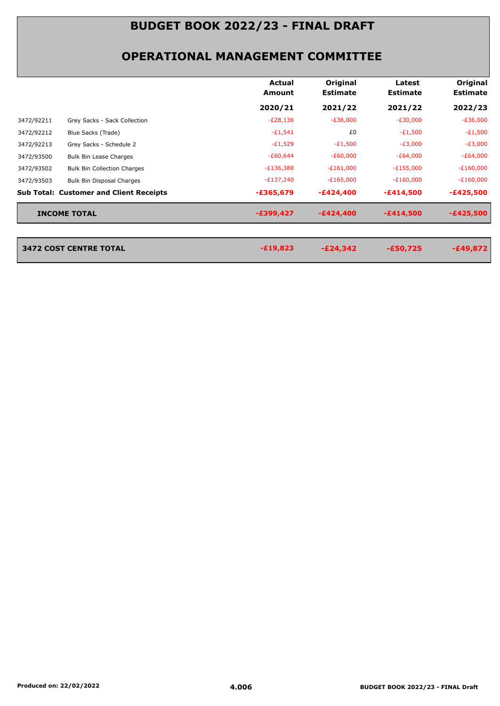|            |                                                | Actual<br>Amount | Original<br><b>Estimate</b> | Latest<br><b>Estimate</b> | Original<br><b>Estimate</b> |
|------------|------------------------------------------------|------------------|-----------------------------|---------------------------|-----------------------------|
|            |                                                | 2020/21          | 2021/22                     | 2021/22                   | 2022/23                     |
| 3472/92211 | Grey Sacks - Sack Collection                   | $-E28,136$       | $-E36,000$                  | $-E30,000$                | $-E36,000$                  |
| 3472/92212 | Blue Sacks (Trade)                             | $-£1,541$        | £0                          | $-E1,500$                 | $-E1,500$                   |
| 3472/92213 | Grey Sacks - Schedule 2                        | $-E1,529$        | $-E1,500$                   | $-E3,000$                 | $-E3,000$                   |
| 3472/93500 | Bulk Bin Lease Charges                         | $-£60,644$       | $-£60,000$                  | $-E64,000$                | $-E64,000$                  |
| 3472/93502 | <b>Bulk Bin Collection Charges</b>             | $-E136,388$      | $-E161,000$                 | $-E155,000$               | $-E160,000$                 |
| 3472/93503 | Bulk Bin Disposal Charges                      | $-E137,240$      | $-E165,000$                 | $-E160,000$               | $-E160,000$                 |
|            | <b>Sub Total: Customer and Client Receipts</b> | $-£365,679$      | $-E424,400$                 | $-£414,500$               | $-£425,500$                 |
|            | <b>INCOME TOTAL</b>                            | -£399,427        | $-E424,400$                 | $-£414,500$               | $-£425,500$                 |
|            | <b>3472 COST CENTRE TOTAL</b>                  | $-£19,823$       | $-E24,342$                  | $-£50,725$                | $-£49,872$                  |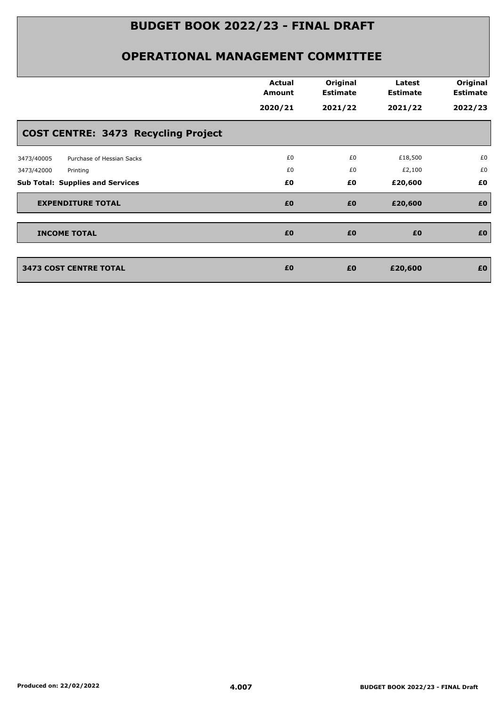|                                            | <b>Actual</b> | Original        | Latest          | Original        |
|--------------------------------------------|---------------|-----------------|-----------------|-----------------|
|                                            | <b>Amount</b> | <b>Estimate</b> | <b>Estimate</b> | <b>Estimate</b> |
|                                            | 2020/21       | 2021/22         | 2021/22         | 2022/23         |
| <b>COST CENTRE: 3473 Recycling Project</b> |               |                 |                 |                 |
| Purchase of Hessian Sacks<br>3473/40005    | £0            | £0              | £18,500         | £0              |
| 3473/42000<br>Printing                     | £0            | £0              | £2,100          | £0              |
| <b>Sub Total: Supplies and Services</b>    | £0            | £0              | £20,600         | £0              |
| <b>EXPENDITURE TOTAL</b>                   | £0            | £0              | £20,600         | £0              |
| <b>INCOME TOTAL</b>                        | £0            | £0              | £0              | £0              |
|                                            |               |                 |                 |                 |
| <b>3473 COST CENTRE TOTAL</b>              | £0            | £0              | £20,600         | £0              |
|                                            |               |                 |                 |                 |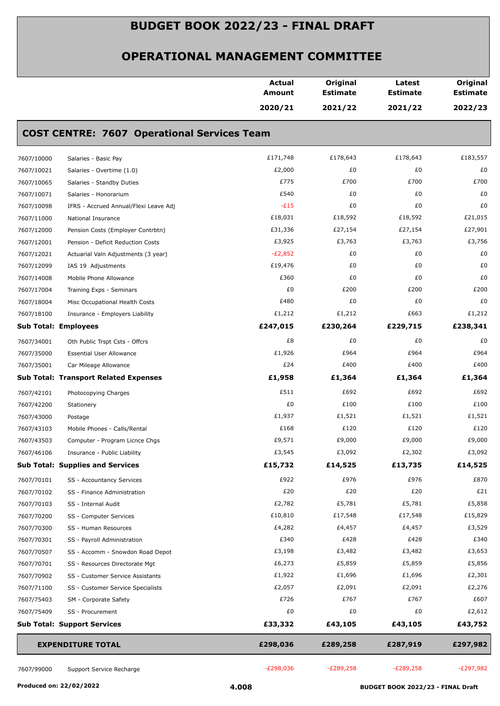|            |                                                    | <b>Actual</b><br>Amount | Original<br><b>Estimate</b> | Latest<br><b>Estimate</b> | Original<br><b>Estimate</b> |
|------------|----------------------------------------------------|-------------------------|-----------------------------|---------------------------|-----------------------------|
|            |                                                    | 2020/21                 | 2021/22                     | 2021/22                   | 2022/23                     |
|            | <b>COST CENTRE: 7607 Operational Services Team</b> |                         |                             |                           |                             |
| 7607/10000 | Salaries - Basic Pay                               | £171,748                | £178,643                    | £178,643                  | £183,557                    |
| 7607/10021 | Salaries - Overtime (1.0)                          | £2,000                  | £0                          | £0                        | £0                          |
| 7607/10065 | Salaries - Standby Duties                          | £775                    | £700                        | £700                      | £700                        |
| 7607/10071 | Salaries - Honorarium                              | £540                    | £0                          | £0                        | £0                          |
| 7607/10098 | IFRS - Accrued Annual/Flexi Leave Adj              | $-E15$                  | £0                          | £0                        | £0                          |
| 7607/11000 | National Insurance                                 | £18,031                 | £18,592                     | £18,592                   | £21,015                     |
| 7607/12000 | Pension Costs (Employer Contrbtn)                  | £31,336                 | £27,154                     | £27,154                   | £27,901                     |
| 7607/12001 | Pension - Deficit Reduction Costs                  | £3,925                  | £3,763                      | £3,763                    | £3,756                      |
| 7607/12021 | Actuarial Valn Adjustments (3 year)                | $-E2,852$               | £0                          | £0                        | £0                          |
| 7607/12099 | IAS 19 Adjustments                                 | £19,476                 | £0                          | £0                        | £0                          |
| 7607/14008 | Mobile Phone Allowance                             | £360                    | £0                          | £0                        | £0                          |
| 7607/17004 | Training Exps - Seminars                           | £0                      | £200                        | £200                      | £200                        |
| 7607/18004 | Misc Occupational Health Costs                     | £480                    | £0                          | £0                        | £0                          |
| 7607/18100 | Insurance - Employers Liability                    | £1,212                  | £1,212                      | £663                      | £1,212                      |
|            | <b>Sub Total: Employees</b>                        | £247,015                | £230,264                    | £229,715                  | £238,341                    |
| 7607/34001 | Oth Public Trspt Csts - Offcrs                     | £8                      | £0                          | £0                        | £0                          |
| 7607/35000 |                                                    | £1,926                  | £964                        | £964                      | £964                        |
|            | <b>Essential User Allowance</b>                    | £24                     | £400                        | £400                      | £400                        |
| 7607/35001 | Car Mileage Allowance                              |                         |                             |                           |                             |
|            | <b>Sub Total: Transport Related Expenses</b>       | £1,958                  | £1,364                      | £1,364                    | £1,364                      |
| 7607/42101 | Photocopying Charges                               | £511                    | £692                        | £692                      | £692                        |
| 7607/42200 | Stationery                                         | £0                      | £100                        | £100                      | £100                        |
| 7607/43000 | Postage                                            | £1,937                  | £1,521                      | £1,521                    | £1,521                      |
| 7607/43103 | Mobile Phones - Calls/Rental                       | £168                    | £120                        | £120                      | £120                        |
| 7607/43503 | Computer - Program Licnce Chgs                     | £9,571                  | £9,000                      | £9,000                    | £9,000                      |
| 7607/46106 | Insurance - Public Liability                       | £3,545                  | £3,092                      | £2,302                    | £3,092                      |
|            | <b>Sub Total: Supplies and Services</b>            | £15,732                 | £14,525                     | £13,735                   | £14,525                     |
| 7607/70101 | SS - Accountancy Services                          | £922                    | £976                        | £976                      | £870                        |
| 7607/70102 | SS - Finance Administration                        | £20                     | £20                         | £20                       | £21                         |
| 7607/70103 | SS - Internal Audit                                | £2,782                  | £5,781                      | £5,781                    | £5,858                      |
| 7607/70200 | SS - Computer Services                             | £10,810                 | £17,548                     | £17,548                   | £15,829                     |
| 7607/70300 | SS - Human Resources                               | £4,282                  | £4,457                      | £4,457                    | £3,529                      |
| 7607/70301 | SS - Payroll Administration                        | £340                    | £428                        | £428                      | £340                        |
| 7607/70507 | SS - Accomm - Snowdon Road Depot                   | £3,198                  | £3,482                      | £3,482                    | £3,653                      |
| 7607/70701 | SS - Resources Directorate Mgt                     | £6,273                  | £5,859                      | £5,859                    | £5,856                      |
| 7607/70902 | SS - Customer Service Assistants                   | £1,922                  | £1,696                      | £1,696                    | £2,301                      |
| 7607/71100 | SS - Customer Service Specialists                  | £2,057                  | £2,091                      | £2,091                    | £2,276                      |
| 7607/75403 | SM - Corporate Safety                              | £726                    | £767                        | £767                      | £607                        |
| 7607/75409 | SS - Procurement                                   | £0                      | £0                          | £0                        | £2,612                      |
|            | <b>Sub Total: Support Services</b>                 | £33,332                 | £43,105                     | £43,105                   | £43,752                     |
|            | <b>EXPENDITURE TOTAL</b>                           | £298,036                | £289,258                    | £287,919                  | £297,982                    |
|            |                                                    |                         |                             |                           |                             |
| 7607/99000 | Support Service Recharge                           | $-E298,036$             | $-E289,258$                 | $-E289,258$               | $-E297,982$                 |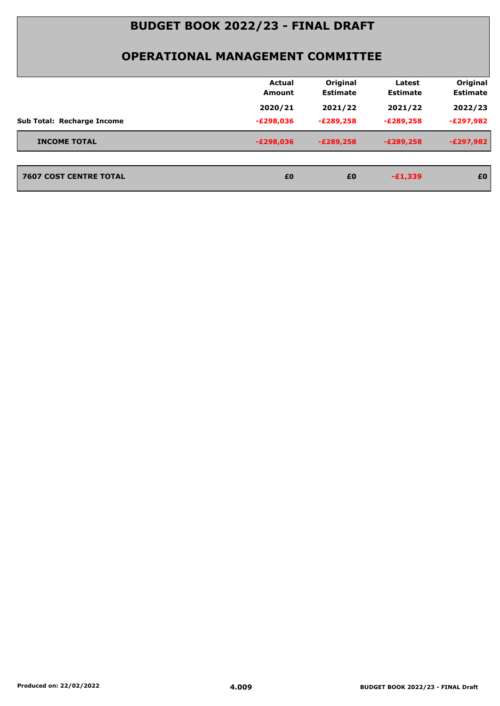|                                   | <b>Actual</b><br>Amount | Original<br><b>Estimate</b> | Latest<br><b>Estimate</b> | Original<br><b>Estimate</b> |
|-----------------------------------|-------------------------|-----------------------------|---------------------------|-----------------------------|
|                                   | 2020/21                 | 2021/22                     | 2021/22                   | 2022/23                     |
| <b>Sub Total: Recharge Income</b> | $-E298,036$             | $-E289,258$                 | $-E289,258$               | -£297,982                   |
| <b>INCOME TOTAL</b>               | $-E298,036$             | $-E289,258$                 | $-E289,258$               | $-E297,982$                 |
| <b>7607 COST CENTRE TOTAL</b>     | £0                      | £0                          | $-£1,339$                 | £0                          |
|                                   |                         |                             |                           |                             |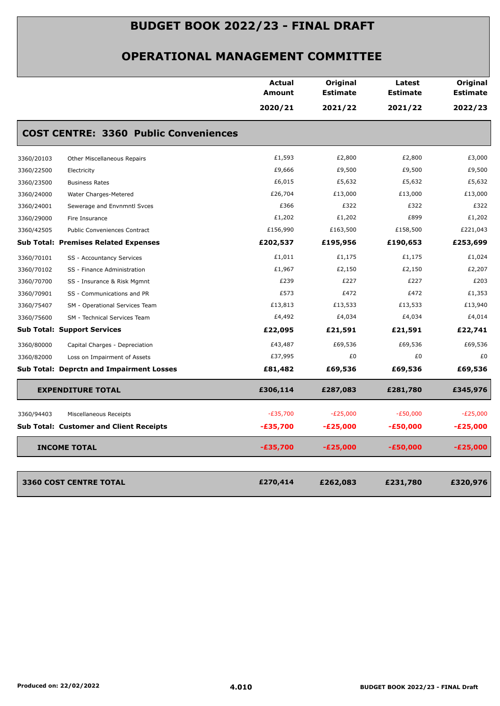|                                                   |                                              | Amount          | <b>Estimate</b> | <b>Estimate</b> | <b>Estimate</b> |
|---------------------------------------------------|----------------------------------------------|-----------------|-----------------|-----------------|-----------------|
|                                                   |                                              | 2020/21         | 2021/22         | 2021/22         | 2022/23         |
|                                                   | <b>COST CENTRE: 3360 Public Conveniences</b> |                 |                 |                 |                 |
| 3360/20103<br>Other Miscellaneous Repairs         |                                              | £1,593          | £2,800          | £2,800          | £3,000          |
| 3360/22500<br>Electricity                         |                                              | £9,666          | £9,500          | £9,500          | £9,500          |
| 3360/23500<br><b>Business Rates</b>               |                                              | £6,015          | £5,632          | £5,632          | £5,632          |
| 3360/24000<br>Water Charges-Metered               |                                              | £26,704         | £13,000         | £13,000         | £13,000         |
| 3360/24001<br>Sewerage and Envnmntl Svces         |                                              | £366            | £322            | £322            | £322            |
| 3360/29000<br>Fire Insurance                      |                                              | £1,202          | £1,202          | £899            | £1,202          |
| 3360/42505<br><b>Public Conveniences Contract</b> |                                              | £156,990        | £163,500        | £158,500        | £221,043        |
| <b>Sub Total: Premises Related Expenses</b>       |                                              | £202,537        | £195,956        | £190,653        | £253,699        |
| 3360/70101<br>SS - Accountancy Services           |                                              | £1,011          | £1,175          | £1,175          | £1,024          |
| 3360/70102<br>SS - Finance Administration         |                                              | £1,967          | £2,150          | £2,150          | £2,207          |
| 3360/70700<br>SS - Insurance & Risk Mgmnt         |                                              | £239            | £227            | £227            | £203            |
| 3360/70901<br>SS - Communications and PR          |                                              | £573            | £472            | £472            | £1,353          |
| 3360/75407                                        | SM - Operational Services Team               | £13,813         | £13,533         | £13,533         | £13,940         |
| 3360/75600<br>SM - Technical Services Team        |                                              | £4,492          | £4,034          | £4,034          | £4,014          |
| <b>Sub Total: Support Services</b>                |                                              | £22,095         | £21,591         | £21,591         | £22,741         |
| 3360/80000<br>Capital Charges - Depreciation      |                                              | £43,487         | £69,536         | £69,536         | £69,536         |
| 3360/82000<br>Loss on Impairment of Assets        |                                              | £37,995         | £0              | £0              | £0              |
| <b>Sub Total: Deprctn and Impairment Losses</b>   |                                              | £81,482         | £69,536         | £69,536         | £69,536         |
| <b>EXPENDITURE TOTAL</b>                          |                                              | £306,114        | £287,083        | £281,780        | £345,976        |
| 3360/94403<br>Miscellaneous Receipts              |                                              | $-E35,700$      | $-E25,000$      | $-E50,000$      | $-E25,000$      |
| <b>Sub Total: Customer and Client Receipts</b>    |                                              | -£35,700        | $-E25,000$      | <b>-£50,000</b> | $-E25,000$      |
| <b>INCOME TOTAL</b>                               |                                              | <b>-£35,700</b> | $-E25,000$      | $-£50,000$      | $-E25,000$      |
| <b>3360 COST CENTRE TOTAL</b>                     |                                              | £270,414        | £262,083        | £231,780        | £320,976        |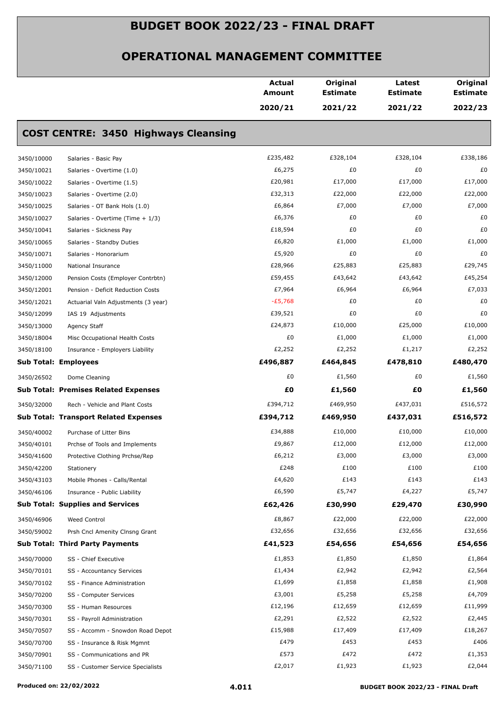|            |                                              | <b>Actual</b><br>Amount | Original<br><b>Estimate</b> | Latest<br><b>Estimate</b> | Original<br><b>Estimate</b> |
|------------|----------------------------------------------|-------------------------|-----------------------------|---------------------------|-----------------------------|
|            |                                              | 2020/21                 | 2021/22                     | 2021/22                   | 2022/23                     |
|            | <b>COST CENTRE: 3450 Highways Cleansing</b>  |                         |                             |                           |                             |
| 3450/10000 | Salaries - Basic Pay                         | £235,482                | £328,104                    | £328,104                  | £338,186                    |
| 3450/10021 | Salaries - Overtime (1.0)                    | £6,275                  | £0                          | £0                        | £0                          |
| 3450/10022 | Salaries - Overtime (1.5)                    | £20,981                 | £17,000                     | £17,000                   | £17,000                     |
| 3450/10023 | Salaries - Overtime (2.0)                    | £32,313                 | £22,000                     | £22,000                   | £22,000                     |
| 3450/10025 | Salaries - OT Bank Hols (1.0)                | £6,864                  | £7,000                      | £7,000                    | £7,000                      |
| 3450/10027 | Salaries - Overtime (Time + 1/3)             | £6,376                  | £0                          | £0                        | £0                          |
| 3450/10041 | Salaries - Sickness Pay                      | £18,594                 | £0                          | £0                        | £0                          |
| 3450/10065 | Salaries - Standby Duties                    | £6,820                  | £1,000                      | £1,000                    | £1,000                      |
| 3450/10071 | Salaries - Honorarium                        | £5,920                  | £0                          | £0                        | £0                          |
| 3450/11000 | National Insurance                           | £28,966                 | £25,883                     | £25,883                   | £29,745                     |
| 3450/12000 | Pension Costs (Employer Contrbtn)            | £59,455                 | £43,642                     | £43,642                   | £45,254                     |
| 3450/12001 | Pension - Deficit Reduction Costs            | £7,964                  | £6,964                      | £6,964                    | £7,033                      |
| 3450/12021 | Actuarial Valn Adjustments (3 year)          | $-E5,768$               | £0                          | £0                        | £0                          |
| 3450/12099 | IAS 19 Adjustments                           | £39,521                 | £0                          | £0                        | £0                          |
| 3450/13000 | Agency Staff                                 | £24,873                 | £10,000                     | £25,000                   | £10,000                     |
| 3450/18004 | Misc Occupational Health Costs               | £0                      | £1,000                      | £1,000                    | £1,000                      |
| 3450/18100 | Insurance - Employers Liability              | £2,252                  | £2,252                      | £1,217                    | £2,252                      |
|            | <b>Sub Total: Employees</b>                  | £496,887                | £464,845                    | £478,810                  | £480,470                    |
| 3450/26502 | Dome Cleaning                                | £0                      | £1,560                      | £0                        | £1,560                      |
|            | <b>Sub Total: Premises Related Expenses</b>  | £0                      | £1,560                      | £Ο                        | £1,560                      |
| 3450/32000 | Rech - Vehicle and Plant Costs               | £394,712                | £469,950                    | £437,031                  | £516,572                    |
|            | <b>Sub Total: Transport Related Expenses</b> | £394,712                | £469,950                    | £437,031                  | £516,572                    |
| 3450/40002 | Purchase of Litter Bins                      | £34,888                 | £10,000                     | £10,000                   | £10,000                     |
| 3450/40101 | Prchse of Tools and Implements               | £9,867                  | £12,000                     | £12,000                   | £12,000                     |
| 3450/41600 | Protective Clothing Prchse/Rep               | £6,212                  | £3,000                      | £3,000                    | £3,000                      |
| 3450/42200 | Stationery                                   | £248                    | £100                        | £100                      | £100                        |
| 3450/43103 | Mobile Phones - Calls/Rental                 | £4,620                  | £143                        | £143                      | £143                        |
| 3450/46106 | Insurance - Public Liability                 | £6,590                  | £5,747                      | £4,227                    | £5,747                      |
|            | <b>Sub Total: Supplies and Services</b>      | £62,426                 | £30,990                     | £29,470                   | £30,990                     |
| 3450/46906 | Weed Control                                 | £8,867                  | £22,000                     | £22,000                   | £22,000                     |
| 3450/59002 | Prsh Cncl Amenity Clnsng Grant               | £32,656                 | £32,656                     | £32,656                   | £32,656                     |
|            | <b>Sub Total: Third Party Payments</b>       | £41,523                 | £54,656                     | £54,656                   | £54,656                     |
| 3450/70000 | SS - Chief Executive                         | £1,853                  | £1,850                      | £1,850                    | £1,864                      |
| 3450/70101 | SS - Accountancy Services                    | £1,434                  | £2,942                      | £2,942                    | £2,564                      |
| 3450/70102 | SS - Finance Administration                  | £1,699                  | £1,858                      | £1,858                    | £1,908                      |
| 3450/70200 | SS - Computer Services                       | £3,001                  | £5,258                      | £5,258                    | £4,709                      |
| 3450/70300 | SS - Human Resources                         | £12,196                 | £12,659                     | £12,659                   | £11,999                     |
| 3450/70301 | SS - Payroll Administration                  | £2,291                  | £2,522                      | £2,522                    | £2,445                      |
| 3450/70507 | SS - Accomm - Snowdon Road Depot             | £15,988                 | £17,409                     | £17,409                   | £18,267                     |
| 3450/70700 | SS - Insurance & Risk Mgmnt                  | £479                    | £453                        | £453                      | £406                        |
| 3450/70901 | SS - Communications and PR                   | £573                    | £472                        | £472                      | £1,353                      |
| 3450/71100 | SS - Customer Service Specialists            | £2,017                  | £1,923                      | £1,923                    | £2,044                      |
|            |                                              |                         |                             |                           |                             |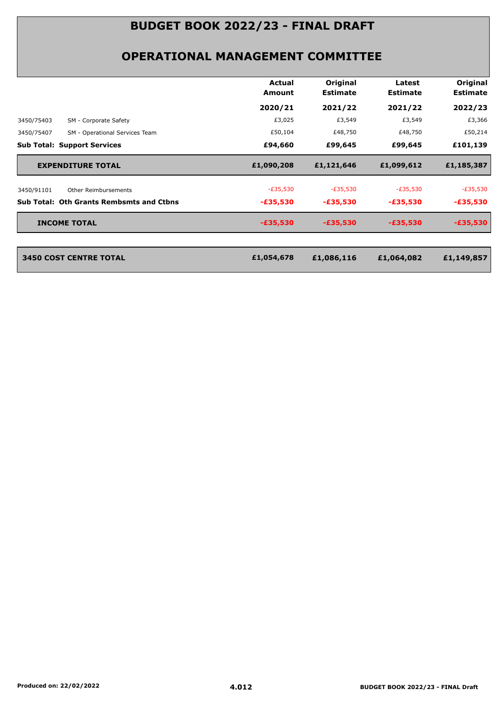|                                                 | Actual<br>Amount | Original<br><b>Estimate</b> | Latest<br><b>Estimate</b> | Original<br><b>Estimate</b> |
|-------------------------------------------------|------------------|-----------------------------|---------------------------|-----------------------------|
|                                                 | 2020/21          | 2021/22                     | 2021/22                   | 2022/23                     |
| 3450/75403<br>SM - Corporate Safety             | £3,025           | £3,549                      | £3,549                    | £3,366                      |
| SM - Operational Services Team<br>3450/75407    | £50,104          | £48,750                     | £48,750                   | £50,214                     |
| <b>Sub Total: Support Services</b>              | £94,660          | £99,645                     | £99,645                   | £101,139                    |
| <b>EXPENDITURE TOTAL</b>                        | £1,090,208       | £1,121,646                  | £1,099,612                | £1,185,387                  |
| 3450/91101<br>Other Reimbursements              | $-E35,530$       | $-E35,530$                  | $-E35,530$                | -£35,530                    |
| <b>Sub Total: Oth Grants Rembsmts and Ctbns</b> | $-£35,530$       |                             | $-£35,530$                | $-£35,530$                  |
|                                                 |                  | $-£35,530$                  |                           |                             |
| <b>INCOME TOTAL</b>                             | $-£35,530$       | $-£35,530$                  | $-£35,530$                | -£35,530                    |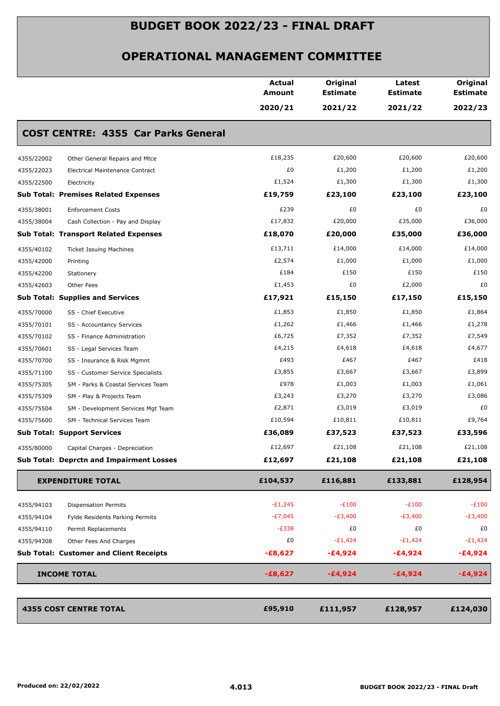|            |                                                 | <b>Actual</b><br><b>Amount</b> | Original<br><b>Estimate</b> | Latest<br><b>Estimate</b> | Original<br><b>Estimate</b> |
|------------|-------------------------------------------------|--------------------------------|-----------------------------|---------------------------|-----------------------------|
|            |                                                 | 2020/21                        | 2021/22                     | 2021/22                   | 2022/23                     |
|            | <b>COST CENTRE: 4355 Car Parks General</b>      |                                |                             |                           |                             |
| 4355/22002 | Other General Repairs and Mtce                  | £18,235                        | £20,600                     | £20,600                   | £20,600                     |
| 4355/22023 | Electrical Maintenance Contract                 | £0                             | £1,200                      | £1,200                    | £1,200                      |
| 4355/22500 | Electricity                                     | £1,524                         | £1,300                      | £1,300                    | £1,300                      |
|            | <b>Sub Total: Premises Related Expenses</b>     | £19,759                        | £23,100                     | £23,100                   | £23,100                     |
| 4355/38001 | <b>Enforcement Costs</b>                        | £239                           | £0                          | £0                        | £0                          |
| 4355/38004 | Cash Collection - Pay and Display               | £17,832                        | £20,000                     | £35,000                   | £36,000                     |
|            | <b>Sub Total: Transport Related Expenses</b>    | £18,070                        | £20,000                     | £35,000                   | £36,000                     |
| 4355/40102 | <b>Ticket Issuing Machines</b>                  | £13,711                        | £14,000                     | £14,000                   | £14,000                     |
| 4355/42000 | Printing                                        | £2,574                         | £1,000                      | £1,000                    | £1,000                      |
| 4355/42200 | Stationery                                      | £184                           | £150                        | £150                      | £150                        |
| 4355/42603 | Other Fees                                      | £1,453                         | £0                          | £2,000                    | £0                          |
|            | <b>Sub Total: Supplies and Services</b>         | £17,921                        | £15,150                     | £17,150                   | £15,150                     |
| 4355/70000 | SS - Chief Executive                            | £1,853                         | £1,850                      | £1,850                    | £1,864                      |
| 4355/70101 | SS - Accountancy Services                       | £1,262                         | £1,466                      | £1,466                    | £1,278                      |
| 4355/70102 | SS - Finance Administration                     | £6,725                         | £7,352                      | £7,352                    | £7,549                      |
| 4355/70601 | SS - Legal Services Team                        | £4,215                         | £4,618                      | £4,618                    | £4,677                      |
| 4355/70700 | SS - Insurance & Risk Mgmnt                     | £493                           | £467                        | £467                      | £418                        |
| 4355/71100 | SS - Customer Service Specialists               | £3,855                         | £3,667                      | £3,667                    | £3,899                      |
| 4355/75305 | SM - Parks & Coastal Services Team              | £978                           | £1,003                      | £1,003                    | £1,061                      |
| 4355/75309 | SM - Play & Projects Team                       | £3,243                         | £3,270                      | £3,270                    | £3,086                      |
| 4355/75504 | SM - Development Services Mgt Team              | £2,871                         | £3,019                      | £3,019                    | £0                          |
| 4355/75600 | SM - Technical Services Team                    | £10,594                        | £10,811                     | £10,811                   | £9,764                      |
|            | <b>Sub Total: Support Services</b>              | £36,089                        | £37,523                     | £37,523                   | £33,596                     |
| 4355/80000 | Capital Charges - Depreciation                  | £12,697                        | £21,108                     | £21,108                   | £21,108                     |
|            | <b>Sub Total: Deprctn and Impairment Losses</b> | £12,697                        | £21,108                     | £21,108                   | £21,108                     |
|            | <b>EXPENDITURE TOTAL</b>                        | £104,537                       | £116,881                    | £133,881                  | £128,954                    |
| 4355/94103 | <b>Dispensation Permits</b>                     | $-E1,245$                      | $-E100$                     | $-E100$                   | $-E100$                     |
| 4355/94104 | Fylde Residents Parking Permits                 | $-E7,045$                      | $-E3,400$                   | $-E3,400$                 | $-E3,400$                   |
| 4355/94110 | Permit Replacements                             | $-E338$                        | £0                          | £0                        | £0                          |
| 4355/94308 | Other Fees And Charges                          | £0                             | $-E1,424$                   | $-E1,424$                 | $-E1,424$                   |
|            | <b>Sub Total: Customer and Client Receipts</b>  | $-E8,627$                      | -£4,924                     | $-£4,924$                 | $-£4,924$                   |
|            | <b>INCOME TOTAL</b>                             | $-£8,627$                      | $-£4,924$                   | -£4,924                   | $-£4,924$                   |
|            | <b>4355 COST CENTRE TOTAL</b>                   | £95,910                        | £111,957                    | £128,957                  | £124,030                    |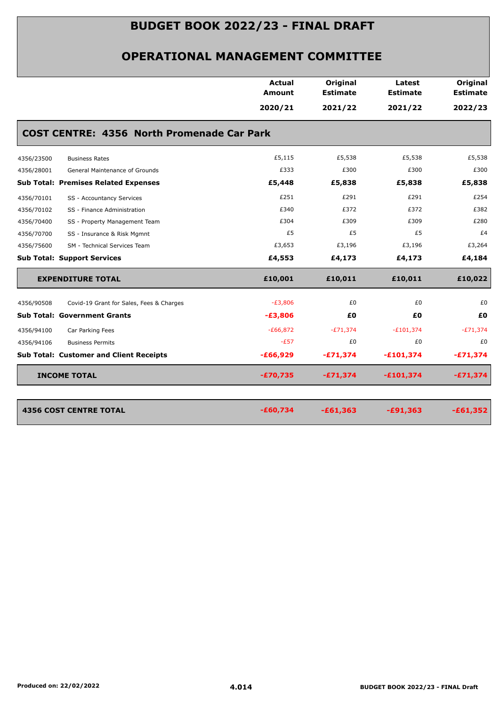|            |                                                   | <b>Actual</b><br>Amount | Original<br><b>Estimate</b> | Latest<br><b>Estimate</b> | Original<br><b>Estimate</b> |
|------------|---------------------------------------------------|-------------------------|-----------------------------|---------------------------|-----------------------------|
|            |                                                   | 2020/21                 | 2021/22                     | 2021/22                   | 2022/23                     |
|            | <b>COST CENTRE: 4356 North Promenade Car Park</b> |                         |                             |                           |                             |
| 4356/23500 | <b>Business Rates</b>                             | £5,115                  | £5,538                      | £5,538                    | £5,538                      |
| 4356/28001 | General Maintenance of Grounds                    | £333                    | £300                        | £300                      | £300                        |
|            | <b>Sub Total: Premises Related Expenses</b>       | £5,448                  | £5,838                      | £5,838                    | £5,838                      |
| 4356/70101 | SS - Accountancy Services                         | £251                    | £291                        | £291                      | £254                        |
| 4356/70102 | SS - Finance Administration                       | £340                    | £372                        | £372                      | £382                        |
| 4356/70400 | SS - Property Management Team                     | £304                    | £309                        | £309                      | £280                        |
| 4356/70700 | SS - Insurance & Risk Mgmnt                       | £5                      | £5                          | £5                        | £4                          |
| 4356/75600 | SM - Technical Services Team                      | £3,653                  | £3,196                      | £3,196                    | £3,264                      |
|            | <b>Sub Total: Support Services</b>                | £4,553                  | £4,173                      | £4,173                    | £4,184                      |
|            | <b>EXPENDITURE TOTAL</b>                          | £10,001                 | £10,011                     | £10,011                   | £10,022                     |
| 4356/90508 | Covid-19 Grant for Sales, Fees & Charges          | $-E3,806$               | £0                          | £0                        | £0                          |
|            | <b>Sub Total: Government Grants</b>               | $-E3,806$               | £Ο                          | £0                        | £0                          |
| 4356/94100 | Car Parking Fees                                  | $-E66,872$              | $-E71,374$                  | $-E101,374$               | $-E71,374$                  |
| 4356/94106 | <b>Business Permits</b>                           | $-E57$                  | £0                          | £0                        | £0                          |
|            | <b>Sub Total: Customer and Client Receipts</b>    | $-£66,929$              | $-£71,374$                  | $-£101,374$               | $-£71,374$                  |
|            | <b>INCOME TOTAL</b>                               | $-£70,735$              | $-£71,374$                  | $-£101,374$               | $-£71,374$                  |
|            | <b>4356 COST CENTRE TOTAL</b>                     | $-£60,734$              | $-£61,363$                  | $-£91,363$                | $-£61,352$                  |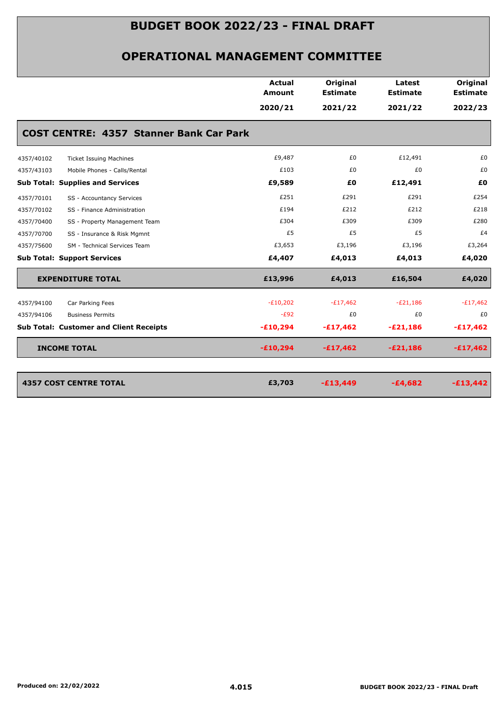|                                                | Actual<br><b>Amount</b> | Original<br><b>Estimate</b> | Latest<br><b>Estimate</b> | Original<br><b>Estimate</b> |
|------------------------------------------------|-------------------------|-----------------------------|---------------------------|-----------------------------|
|                                                | 2020/21                 | 2021/22                     | 2021/22                   | 2022/23                     |
| <b>COST CENTRE: 4357 Stanner Bank Car Park</b> |                         |                             |                           |                             |
| 4357/40102<br><b>Ticket Issuing Machines</b>   | £9,487                  | £0                          | £12,491                   | £0                          |
| 4357/43103<br>Mobile Phones - Calls/Rental     | £103                    | £0                          | £0                        | £0                          |
| <b>Sub Total: Supplies and Services</b>        | £9,589                  | £0                          | £12,491                   | £0                          |
| SS - Accountancy Services<br>4357/70101        | £251                    | £291                        | £291                      | £254                        |
| SS - Finance Administration<br>4357/70102      | £194                    | £212                        | £212                      | £218                        |
| SS - Property Management Team<br>4357/70400    | £304                    | £309                        | £309                      | £280                        |
| 4357/70700<br>SS - Insurance & Risk Mgmnt      | £5                      | £5                          | £5                        | £4                          |
| 4357/75600<br>SM - Technical Services Team     | £3,653                  | £3,196                      | £3,196                    | £3,264                      |
| <b>Sub Total: Support Services</b>             | £4,407                  | £4,013                      | £4,013                    | £4,020                      |
| <b>EXPENDITURE TOTAL</b>                       | £13,996                 | £4,013                      | £16,504                   | £4,020                      |
| 4357/94100<br>Car Parking Fees                 | $-E10,202$              | $-E17,462$                  | $-E21,186$                | $-E17,462$                  |
| 4357/94106<br><b>Business Permits</b>          | $-E92$                  | £0                          | £0                        | £0                          |
| <b>Sub Total: Customer and Client Receipts</b> | $-£10,294$              | $-£17,462$                  | $-E21,186$                | $-£17,462$                  |
| <b>INCOME TOTAL</b>                            | $-£10,294$              | $-£17,462$                  | $-E21,186$                | $-£17,462$                  |
|                                                |                         |                             |                           |                             |
| <b>4357 COST CENTRE TOTAL</b>                  | £3,703                  | $-£13,449$                  | $-£4,682$                 | $-£13,442$                  |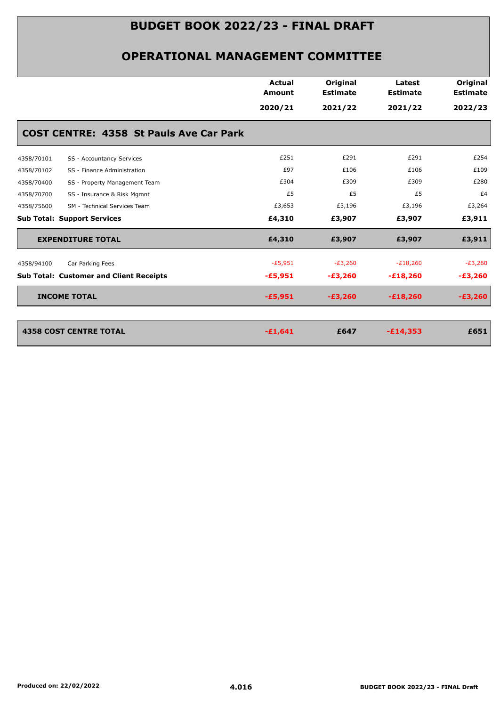|                                                | <b>Actual</b><br><b>Amount</b> | Original<br><b>Estimate</b> | Latest<br><b>Estimate</b> | Original<br><b>Estimate</b> |
|------------------------------------------------|--------------------------------|-----------------------------|---------------------------|-----------------------------|
|                                                | 2020/21                        | 2021/22                     | 2021/22                   | 2022/23                     |
| <b>COST CENTRE: 4358 St Pauls Ave Car Park</b> |                                |                             |                           |                             |
| 4358/70101<br>SS - Accountancy Services        | £251                           | £291                        | £291                      | £254                        |
| 4358/70102<br>SS - Finance Administration      | £97                            | £106                        | £106                      | £109                        |
| 4358/70400<br>SS - Property Management Team    | £304                           | £309                        | £309                      | £280                        |
| 4358/70700<br>SS - Insurance & Risk Mgmnt      | £5                             | £5                          | £5                        | £4                          |
| 4358/75600<br>SM - Technical Services Team     | £3,653                         | £3,196                      | £3,196                    | £3,264                      |
| <b>Sub Total: Support Services</b>             | £4,310                         | £3,907                      | £3,907                    | £3,911                      |
| <b>EXPENDITURE TOTAL</b>                       | £4,310                         | £3,907                      | £3,907                    | £3,911                      |
| 4358/94100<br>Car Parking Fees                 | $-E5,951$                      | $-E3,260$                   | $-E18,260$                | $-E3,260$                   |
| <b>Sub Total: Customer and Client Receipts</b> | $-£5,951$                      | $-£3,260$                   | $-£18,260$                | $-£3,260$                   |
| <b>INCOME TOTAL</b>                            | $-£5,951$                      | $-£3,260$                   | $-£18,260$                | $-£3,260$                   |
|                                                |                                |                             |                           |                             |
| <b>4358 COST CENTRE TOTAL</b>                  | $-£1,641$                      | £647                        | $-£14,353$                | £651                        |
|                                                |                                |                             |                           |                             |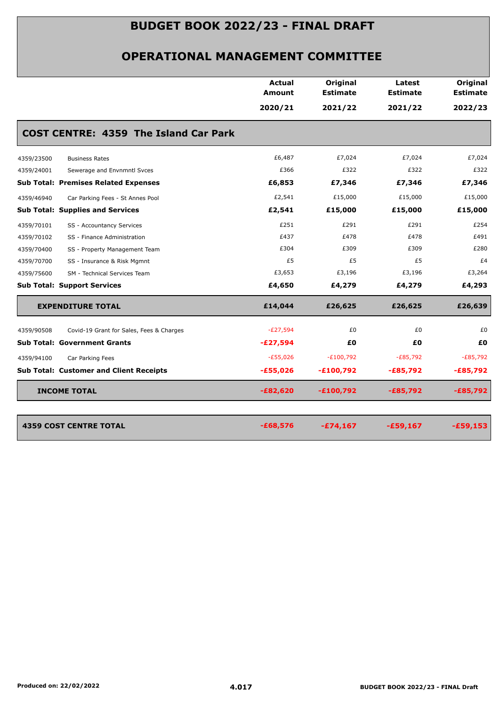|                                                        | <b>Actual</b><br>Amount | Original<br><b>Estimate</b> | Latest<br><b>Estimate</b> | Original<br><b>Estimate</b> |
|--------------------------------------------------------|-------------------------|-----------------------------|---------------------------|-----------------------------|
|                                                        | 2020/21                 | 2021/22                     | 2021/22                   | 2022/23                     |
| <b>COST CENTRE: 4359 The Island Car Park</b>           |                         |                             |                           |                             |
| 4359/23500<br><b>Business Rates</b>                    | £6,487                  | £7,024                      | £7,024                    | £7,024                      |
| 4359/24001<br>Sewerage and Envnmntl Svces              | £366                    | £322                        | £322                      | £322                        |
| <b>Sub Total: Premises Related Expenses</b>            | £6,853                  | £7,346                      | £7,346                    | £7,346                      |
| 4359/46940<br>Car Parking Fees - St Annes Pool         | £2,541                  | £15,000                     | £15,000                   | £15,000                     |
| <b>Sub Total: Supplies and Services</b>                | £2,541                  | £15,000                     | £15,000                   | £15,000                     |
| 4359/70101<br>SS - Accountancy Services                | £251                    | £291                        | £291                      | £254                        |
| 4359/70102<br>SS - Finance Administration              | £437                    | £478                        | £478                      | £491                        |
| 4359/70400<br>SS - Property Management Team            | £304                    | £309                        | £309                      | £280                        |
| 4359/70700<br>SS - Insurance & Risk Mgmnt              | £5                      | £5                          | £5                        | £4                          |
| 4359/75600<br>SM - Technical Services Team             | £3,653                  | £3,196                      | £3,196                    | £3,264                      |
| <b>Sub Total: Support Services</b>                     | £4,650                  | £4,279                      | £4,279                    | £4,293                      |
| <b>EXPENDITURE TOTAL</b>                               | £14,044                 | £26,625                     | £26,625                   | £26,639                     |
| 4359/90508<br>Covid-19 Grant for Sales, Fees & Charges | $-E27,594$              | £0                          | £0                        | £0                          |
| <b>Sub Total: Government Grants</b>                    | $-E27,594$              | £0                          | £0                        | £0                          |
| 4359/94100<br>Car Parking Fees                         | $-E55,026$              | $-E100,792$                 | $-E85,792$                | $-E85,792$                  |
| <b>Sub Total: Customer and Client Receipts</b>         | $-£55,026$              | $-£100,792$                 | $-E85,792$                | $-£85,792$                  |
| <b>INCOME TOTAL</b>                                    | $-E82,620$              | $-£100,792$                 | $-E85,792$                | $-£85,792$                  |
| <b>4359 COST CENTRE TOTAL</b>                          | $-£68,576$              | $-£74,167$                  | $-£59,167$                | $-£59,153$                  |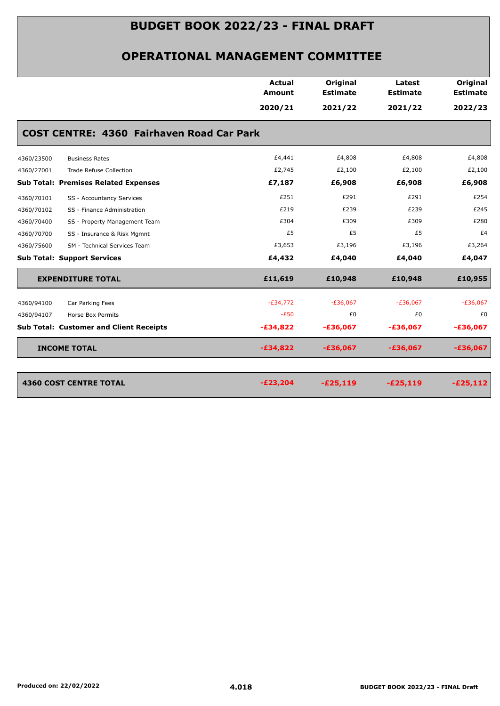| <b>Estimate</b><br><b>Estimate</b><br>Amount<br>2020/21<br>2021/22<br>2021/22<br><b>COST CENTRE: 4360 Fairhaven Road Car Park</b><br>£4,441<br>£4,808<br>£4,808<br>4360/23500<br><b>Business Rates</b><br>£2,745<br>£2,100<br>£2,100<br>4360/27001<br><b>Trade Refuse Collection</b><br><b>Sub Total: Premises Related Expenses</b><br>£7,187<br>£6,908<br>£6,908<br>£251<br>£291<br>£291<br>SS - Accountancy Services<br>4360/70101<br>£219<br>£239<br>£239<br>4360/70102<br>SS - Finance Administration<br>£304<br>£309<br>£309<br>4360/70400<br>SS - Property Management Team<br>£5<br>£5<br>£5<br>4360/70700<br>SS - Insurance & Risk Mgmnt<br>£3,653<br>£3,196<br>£3,196<br>4360/75600<br>SM - Technical Services Team<br><b>Sub Total: Support Services</b><br>£4,432<br>£4,040<br>£4,040<br>£11,619<br><b>EXPENDITURE TOTAL</b><br>£10,948<br>£10,948<br>$-E34,772$<br>$-£36,067$<br>$-E36,067$<br>Car Parking Fees<br>4360/94100<br>$-E50$<br>£0<br>£0<br>4360/94107<br>Horse Box Permits<br><b>Sub Total: Customer and Client Receipts</b><br>$-£34,822$<br>$-£36,067$<br>$-£36,067$<br><b>INCOME TOTAL</b><br>$-£34,822$<br>$-£36,067$<br>$-£36,067$<br><b>4360 COST CENTRE TOTAL</b><br>$-E23,204$<br>$-£25,119$<br>$-£25,119$ |        |          |        |                             |
|-------------------------------------------------------------------------------------------------------------------------------------------------------------------------------------------------------------------------------------------------------------------------------------------------------------------------------------------------------------------------------------------------------------------------------------------------------------------------------------------------------------------------------------------------------------------------------------------------------------------------------------------------------------------------------------------------------------------------------------------------------------------------------------------------------------------------------------------------------------------------------------------------------------------------------------------------------------------------------------------------------------------------------------------------------------------------------------------------------------------------------------------------------------------------------------------------------------------------------------------|--------|----------|--------|-----------------------------|
|                                                                                                                                                                                                                                                                                                                                                                                                                                                                                                                                                                                                                                                                                                                                                                                                                                                                                                                                                                                                                                                                                                                                                                                                                                           | Actual | Original | Latest | Original<br><b>Estimate</b> |
|                                                                                                                                                                                                                                                                                                                                                                                                                                                                                                                                                                                                                                                                                                                                                                                                                                                                                                                                                                                                                                                                                                                                                                                                                                           |        |          |        | 2022/23                     |
|                                                                                                                                                                                                                                                                                                                                                                                                                                                                                                                                                                                                                                                                                                                                                                                                                                                                                                                                                                                                                                                                                                                                                                                                                                           |        |          |        |                             |
|                                                                                                                                                                                                                                                                                                                                                                                                                                                                                                                                                                                                                                                                                                                                                                                                                                                                                                                                                                                                                                                                                                                                                                                                                                           |        |          |        |                             |
|                                                                                                                                                                                                                                                                                                                                                                                                                                                                                                                                                                                                                                                                                                                                                                                                                                                                                                                                                                                                                                                                                                                                                                                                                                           |        |          |        | £4,808                      |
|                                                                                                                                                                                                                                                                                                                                                                                                                                                                                                                                                                                                                                                                                                                                                                                                                                                                                                                                                                                                                                                                                                                                                                                                                                           |        |          |        | £2,100                      |
|                                                                                                                                                                                                                                                                                                                                                                                                                                                                                                                                                                                                                                                                                                                                                                                                                                                                                                                                                                                                                                                                                                                                                                                                                                           |        |          |        | £6,908                      |
|                                                                                                                                                                                                                                                                                                                                                                                                                                                                                                                                                                                                                                                                                                                                                                                                                                                                                                                                                                                                                                                                                                                                                                                                                                           |        |          |        | £254                        |
|                                                                                                                                                                                                                                                                                                                                                                                                                                                                                                                                                                                                                                                                                                                                                                                                                                                                                                                                                                                                                                                                                                                                                                                                                                           |        |          |        | £245                        |
|                                                                                                                                                                                                                                                                                                                                                                                                                                                                                                                                                                                                                                                                                                                                                                                                                                                                                                                                                                                                                                                                                                                                                                                                                                           |        |          |        | £280                        |
|                                                                                                                                                                                                                                                                                                                                                                                                                                                                                                                                                                                                                                                                                                                                                                                                                                                                                                                                                                                                                                                                                                                                                                                                                                           |        |          |        | £4                          |
|                                                                                                                                                                                                                                                                                                                                                                                                                                                                                                                                                                                                                                                                                                                                                                                                                                                                                                                                                                                                                                                                                                                                                                                                                                           |        |          |        | £3,264                      |
|                                                                                                                                                                                                                                                                                                                                                                                                                                                                                                                                                                                                                                                                                                                                                                                                                                                                                                                                                                                                                                                                                                                                                                                                                                           |        |          |        | £4,047                      |
|                                                                                                                                                                                                                                                                                                                                                                                                                                                                                                                                                                                                                                                                                                                                                                                                                                                                                                                                                                                                                                                                                                                                                                                                                                           |        |          |        | £10,955                     |
|                                                                                                                                                                                                                                                                                                                                                                                                                                                                                                                                                                                                                                                                                                                                                                                                                                                                                                                                                                                                                                                                                                                                                                                                                                           |        |          |        | $-£36,067$                  |
|                                                                                                                                                                                                                                                                                                                                                                                                                                                                                                                                                                                                                                                                                                                                                                                                                                                                                                                                                                                                                                                                                                                                                                                                                                           |        |          |        | £0                          |
|                                                                                                                                                                                                                                                                                                                                                                                                                                                                                                                                                                                                                                                                                                                                                                                                                                                                                                                                                                                                                                                                                                                                                                                                                                           |        |          |        | $-£36,067$                  |
|                                                                                                                                                                                                                                                                                                                                                                                                                                                                                                                                                                                                                                                                                                                                                                                                                                                                                                                                                                                                                                                                                                                                                                                                                                           |        |          |        | $-£36,067$                  |
|                                                                                                                                                                                                                                                                                                                                                                                                                                                                                                                                                                                                                                                                                                                                                                                                                                                                                                                                                                                                                                                                                                                                                                                                                                           |        |          |        |                             |
|                                                                                                                                                                                                                                                                                                                                                                                                                                                                                                                                                                                                                                                                                                                                                                                                                                                                                                                                                                                                                                                                                                                                                                                                                                           |        |          |        | $-E25,112$                  |
|                                                                                                                                                                                                                                                                                                                                                                                                                                                                                                                                                                                                                                                                                                                                                                                                                                                                                                                                                                                                                                                                                                                                                                                                                                           |        |          |        |                             |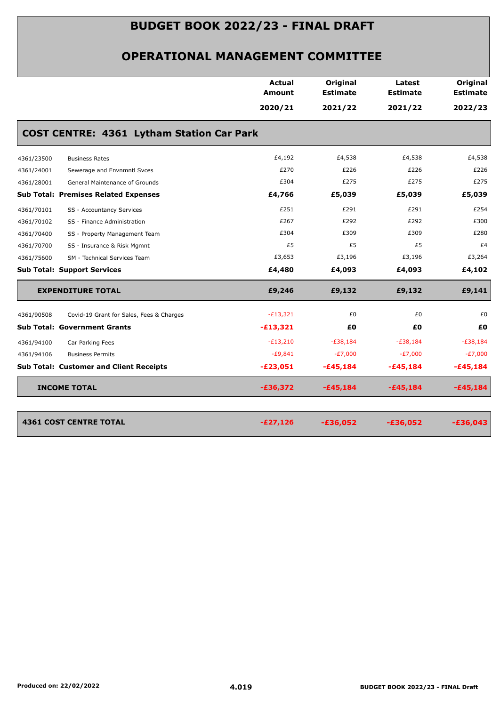|            |                                                  | <b>Actual</b><br><b>Amount</b> | Original<br><b>Estimate</b> | Latest<br><b>Estimate</b> | Original<br><b>Estimate</b> |
|------------|--------------------------------------------------|--------------------------------|-----------------------------|---------------------------|-----------------------------|
|            |                                                  | 2020/21                        | 2021/22                     | 2021/22                   | 2022/23                     |
|            | <b>COST CENTRE: 4361 Lytham Station Car Park</b> |                                |                             |                           |                             |
| 4361/23500 | <b>Business Rates</b>                            | £4,192                         | £4,538                      | £4,538                    | £4,538                      |
| 4361/24001 | Sewerage and Envnmntl Svces                      | £270                           | £226                        | £226                      | £226                        |
| 4361/28001 | General Maintenance of Grounds                   | £304                           | £275                        | £275                      | £275                        |
|            | <b>Sub Total: Premises Related Expenses</b>      | £4,766                         | £5,039                      | £5,039                    | £5,039                      |
| 4361/70101 | SS - Accountancy Services                        | £251                           | £291                        | £291                      | £254                        |
| 4361/70102 | SS - Finance Administration                      | £267                           | £292                        | £292                      | £300                        |
| 4361/70400 | SS - Property Management Team                    | £304                           | £309                        | £309                      | £280                        |
| 4361/70700 | SS - Insurance & Risk Mgmnt                      | £5                             | £5                          | £5                        | £4                          |
| 4361/75600 | SM - Technical Services Team                     | £3,653                         | £3,196                      | £3,196                    | £3,264                      |
|            | <b>Sub Total: Support Services</b>               | £4,480                         | £4,093                      | £4,093                    | £4,102                      |
|            | <b>EXPENDITURE TOTAL</b>                         | £9,246                         | £9,132                      | £9,132                    | £9,141                      |
| 4361/90508 | Covid-19 Grant for Sales, Fees & Charges         | $-E13,321$                     | £0                          | £0                        | £0                          |
|            | <b>Sub Total: Government Grants</b>              | $-£13,321$                     | £0                          | £Ο                        | £0                          |
| 4361/94100 | Car Parking Fees                                 | $-E13,210$                     | $-E38,184$                  | $-E38,184$                | $-E38,184$                  |
| 4361/94106 | <b>Business Permits</b>                          | $-E9,841$                      | $-E7,000$                   | $-E7,000$                 | $-E7,000$                   |
|            | <b>Sub Total: Customer and Client Receipts</b>   | $-£23,051$                     | $-£45,184$                  | $-£45,184$                | $-£45,184$                  |
|            | <b>INCOME TOTAL</b>                              | $-£36,372$                     | $-£45,184$                  | $-£45,184$                | $-£45,184$                  |
|            | <b>4361 COST CENTRE TOTAL</b>                    | $-£27,126$                     | $-£36,052$                  | $-£36,052$                | $-£36,043$                  |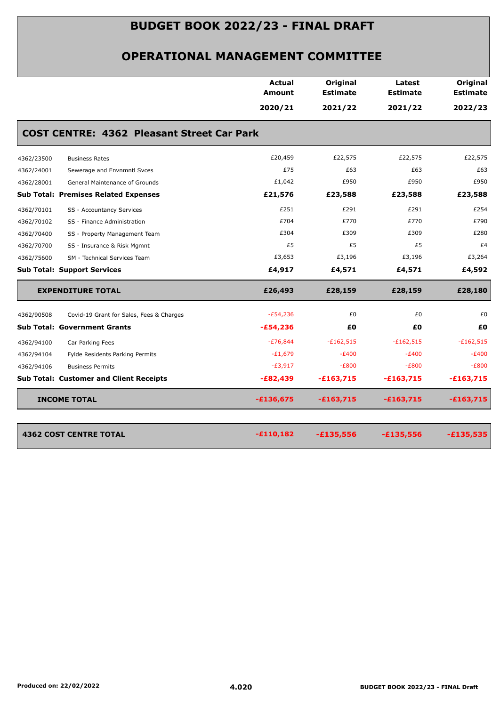|            |                                                   | Actual<br><b>Amount</b> | <b>Original</b><br><b>Estimate</b> | Latest<br><b>Estimate</b> | Original<br><b>Estimate</b> |
|------------|---------------------------------------------------|-------------------------|------------------------------------|---------------------------|-----------------------------|
|            |                                                   | 2020/21                 | 2021/22                            | 2021/22                   | 2022/23                     |
|            | <b>COST CENTRE: 4362 Pleasant Street Car Park</b> |                         |                                    |                           |                             |
| 4362/23500 | <b>Business Rates</b>                             | £20,459                 | £22,575                            | £22,575                   | £22,575                     |
| 4362/24001 | Sewerage and Envnmntl Svces                       | £75                     | £63                                | £63                       | £63                         |
| 4362/28001 | General Maintenance of Grounds                    | £1,042                  | £950                               | £950                      | £950                        |
|            | <b>Sub Total: Premises Related Expenses</b>       | £21,576                 | £23,588                            | £23,588                   | £23,588                     |
| 4362/70101 | SS - Accountancy Services                         | £251                    | £291                               | £291                      | £254                        |
| 4362/70102 | SS - Finance Administration                       | £704                    | £770                               | £770                      | £790                        |
| 4362/70400 | SS - Property Management Team                     | £304                    | £309                               | £309                      | £280                        |
| 4362/70700 | SS - Insurance & Risk Mgmnt                       | £5                      | £5                                 | £5                        | £4                          |
| 4362/75600 | SM - Technical Services Team                      | £3,653                  | £3,196                             | £3,196                    | £3,264                      |
|            | <b>Sub Total: Support Services</b>                | £4,917                  | £4,571                             | £4,571                    | £4,592                      |
|            | <b>EXPENDITURE TOTAL</b>                          | £26,493                 | £28,159                            | £28,159                   | £28,180                     |
| 4362/90508 | Covid-19 Grant for Sales, Fees & Charges          | $-E54,236$              | £0                                 | £0                        | £0                          |
|            | <b>Sub Total: Government Grants</b>               | $-£54,236$              | £0                                 | £Ο                        | £0                          |
| 4362/94100 | Car Parking Fees                                  | $-E76,844$              | $-£162,515$                        | $-£162,515$               | $-£162,515$                 |
| 4362/94104 | Fylde Residents Parking Permits                   | $-E1,679$               | $-E400$                            | $-E400$                   | $-E400$                     |
| 4362/94106 | <b>Business Permits</b>                           | $-E3,917$               | $-E800$                            | $-E800$                   | $-E800$                     |
|            | <b>Sub Total: Customer and Client Receipts</b>    | $-£82,439$              | $-£163,715$                        | $-£163,715$               | $-£163,715$                 |
|            | <b>INCOME TOTAL</b>                               | $-£136,675$             | $-£163,715$                        | $-£163,715$               | $-£163,715$                 |
|            |                                                   |                         |                                    |                           | $-£135,535$                 |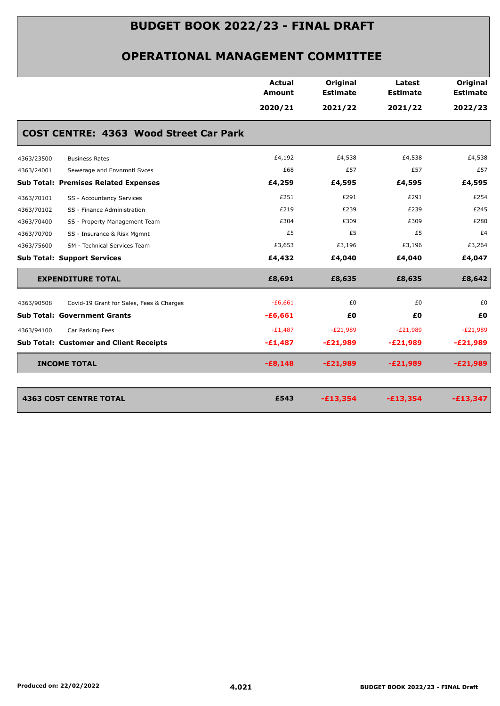|            |                                                | <b>Actual</b> | Original        | Latest          | Original        |
|------------|------------------------------------------------|---------------|-----------------|-----------------|-----------------|
|            |                                                | <b>Amount</b> | <b>Estimate</b> | <b>Estimate</b> | <b>Estimate</b> |
|            |                                                | 2020/21       | 2021/22         | 2021/22         | 2022/23         |
|            | <b>COST CENTRE: 4363 Wood Street Car Park</b>  |               |                 |                 |                 |
| 4363/23500 | <b>Business Rates</b>                          | £4,192        | £4,538          | £4,538          | £4,538          |
| 4363/24001 | Sewerage and Envnmntl Svces                    | £68           | £57             | £57             | £57             |
|            | <b>Sub Total: Premises Related Expenses</b>    | £4,259        | £4,595          | £4,595          | £4,595          |
| 4363/70101 | SS - Accountancy Services                      | £251          | £291            | £291            | £254            |
| 4363/70102 | SS - Finance Administration                    | £219          | £239            | £239            | £245            |
| 4363/70400 | SS - Property Management Team                  | £304          | £309            | £309            | £280            |
| 4363/70700 | SS - Insurance & Risk Mgmnt                    | £5            | £5              | £5              | £4              |
| 4363/75600 | SM - Technical Services Team                   | £3,653        | £3,196          | £3,196          | £3,264          |
|            | <b>Sub Total: Support Services</b>             | £4,432        | £4,040          | £4,040          | £4,047          |
|            | <b>EXPENDITURE TOTAL</b>                       | £8,691        | £8,635          | £8,635          | £8,642          |
| 4363/90508 | Covid-19 Grant for Sales, Fees & Charges       | $-£6,661$     | £0              | £0              | £0              |
|            | <b>Sub Total: Government Grants</b>            | $-£6,661$     | £0              | £0              | £0              |
| 4363/94100 | Car Parking Fees                               | $-E1,487$     | $-E21,989$      | $-E21,989$      | $-E21,989$      |
|            | <b>Sub Total: Customer and Client Receipts</b> | $-£1,487$     | $-E21,989$      | $-E21,989$      | $-E21,989$      |
|            | <b>INCOME TOTAL</b>                            | $-£8,148$     | $-E21,989$      | $-E21,989$      | $-E21,989$      |
|            | <b>4363 COST CENTRE TOTAL</b>                  | £543          | $-£13,354$      | $-£13,354$      | $-£13,347$      |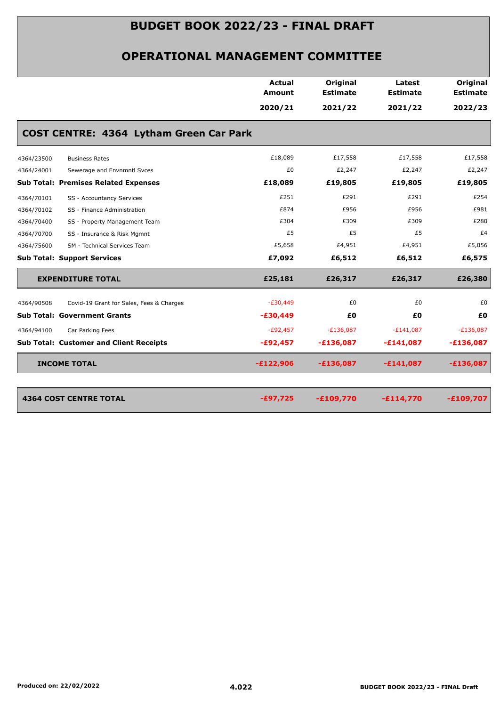|            |                                                | <b>Actual</b> | Original        | Latest          | Original        |
|------------|------------------------------------------------|---------------|-----------------|-----------------|-----------------|
|            |                                                | <b>Amount</b> | <b>Estimate</b> | <b>Estimate</b> | <b>Estimate</b> |
|            |                                                | 2020/21       | 2021/22         | 2021/22         | 2022/23         |
|            | COST CENTRE: 4364 Lytham Green Car Park        |               |                 |                 |                 |
| 4364/23500 | <b>Business Rates</b>                          | £18,089       | £17,558         | £17,558         | £17,558         |
| 4364/24001 | Sewerage and Envnmntl Svces                    | £0            | £2,247          | £2,247          | £2,247          |
|            | <b>Sub Total: Premises Related Expenses</b>    | £18,089       | £19,805         | £19,805         | £19,805         |
| 4364/70101 | SS - Accountancy Services                      | £251          | £291            | £291            | £254            |
| 4364/70102 | SS - Finance Administration                    | £874          | £956            | £956            | £981            |
| 4364/70400 | SS - Property Management Team                  | £304          | £309            | £309            | £280            |
| 4364/70700 | SS - Insurance & Risk Mgmnt                    | £5            | £5              | £5              | £4              |
| 4364/75600 | SM - Technical Services Team                   | £5,658        | £4,951          | £4,951          | £5,056          |
|            | <b>Sub Total: Support Services</b>             | £7,092        | £6,512          | £6,512          | £6,575          |
|            | <b>EXPENDITURE TOTAL</b>                       | £25,181       | £26,317         | £26,317         | £26,380         |
| 4364/90508 | Covid-19 Grant for Sales, Fees & Charges       | $-E30,449$    | £0              | £0              | £0              |
|            | <b>Sub Total: Government Grants</b>            | $-£30,449$    | £Ο              | £0              | £0              |
| 4364/94100 | Car Parking Fees                               | $-E92,457$    | $-E136,087$     | $-E141,087$     | $-E136,087$     |
|            | <b>Sub Total: Customer and Client Receipts</b> | $-£92,457$    | $-£136,087$     | $-£141,087$     | $-£136,087$     |
|            | <b>INCOME TOTAL</b>                            | $-£122,906$   | $-£136,087$     | $-£141,087$     | $-£136,087$     |
|            | <b>4364 COST CENTRE TOTAL</b>                  | $-£97,725$    | $-£109,770$     | $-£114,770$     | $-£109,707$     |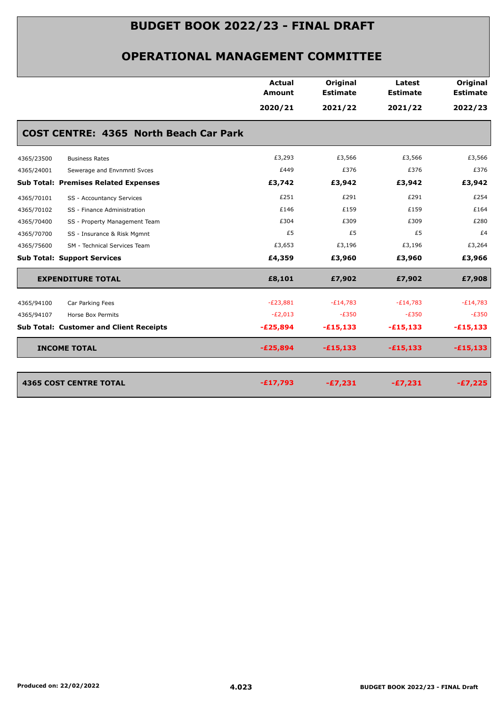|                                                | Actual<br><b>Amount</b> | Original<br><b>Estimate</b> | Latest<br><b>Estimate</b> | Original<br><b>Estimate</b> |
|------------------------------------------------|-------------------------|-----------------------------|---------------------------|-----------------------------|
|                                                |                         |                             |                           |                             |
|                                                | 2020/21                 | 2021/22                     | 2021/22                   | 2022/23                     |
| <b>COST CENTRE: 4365 North Beach Car Park</b>  |                         |                             |                           |                             |
| 4365/23500<br><b>Business Rates</b>            | £3,293                  | £3,566                      | £3,566                    | £3,566                      |
| 4365/24001<br>Sewerage and Envnmntl Svces      | £449                    | £376                        | £376                      | £376                        |
| <b>Sub Total: Premises Related Expenses</b>    | £3,742                  | £3,942                      | £3,942                    | £3,942                      |
| 4365/70101<br>SS - Accountancy Services        | £251                    | £291                        | £291                      | £254                        |
| 4365/70102<br>SS - Finance Administration      | £146                    | £159                        | £159                      | £164                        |
| SS - Property Management Team<br>4365/70400    | £304                    | £309                        | £309                      | £280                        |
| SS - Insurance & Risk Mgmnt<br>4365/70700      | £5                      | £5                          | £5                        | £4                          |
| 4365/75600<br>SM - Technical Services Team     | £3,653                  | £3,196                      | £3,196                    | £3,264                      |
| <b>Sub Total: Support Services</b>             | £4,359                  | £3,960                      | £3,960                    | £3,966                      |
| <b>EXPENDITURE TOTAL</b>                       | £8,101                  | £7,902                      | £7,902                    | £7,908                      |
| 4365/94100<br>Car Parking Fees                 | $-E23,881$              | $-E14,783$                  | $-E14,783$                | $-E14,783$                  |
| 4365/94107<br>Horse Box Permits                | $-E2,013$               | $-E350$                     | $-E350$                   | $-E350$                     |
| <b>Sub Total: Customer and Client Receipts</b> | $-E25,894$              | $-£15,133$                  | $-£15,133$                | $-£15,133$                  |
| <b>INCOME TOTAL</b>                            | $-E25,894$              | $-£15,133$                  | $-£15,133$                | $-£15,133$                  |
|                                                |                         |                             |                           |                             |
| <b>4365 COST CENTRE TOTAL</b>                  | $-£17,793$              | $-£7,231$                   | $-£7,231$                 | $-E7,225$                   |
|                                                |                         |                             |                           |                             |
|                                                |                         |                             |                           |                             |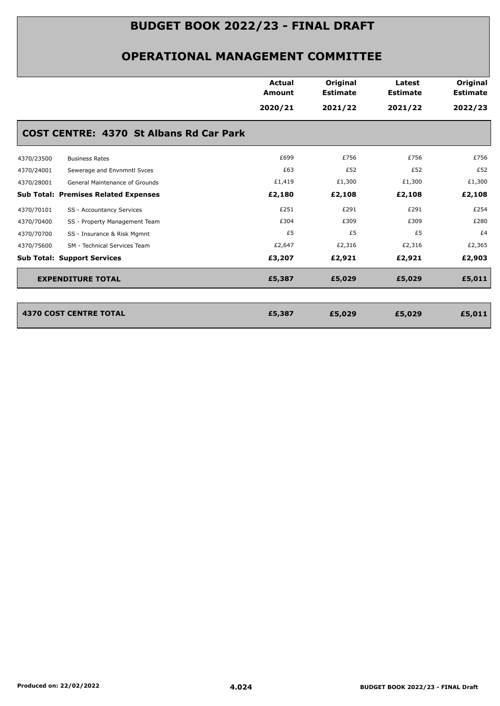|            |                                                | Actual<br><b>Amount</b><br>2020/21 | Original<br><b>Estimate</b><br>2021/22 | Latest<br><b>Estimate</b><br>2021/22 | Original<br><b>Estimate</b><br>2022/23 |
|------------|------------------------------------------------|------------------------------------|----------------------------------------|--------------------------------------|----------------------------------------|
|            | <b>COST CENTRE: 4370 St Albans Rd Car Park</b> |                                    |                                        |                                      |                                        |
| 4370/23500 | <b>Business Rates</b>                          | £699                               | £756                                   | £756                                 | £756                                   |
| 4370/24001 | Sewerage and Envnmntl Svces                    | £63                                | £52                                    | £52                                  | £52                                    |
| 4370/28001 | General Maintenance of Grounds                 | £1,419                             | £1,300                                 | £1,300                               | £1,300                                 |
|            | <b>Sub Total: Premises Related Expenses</b>    | £2,180                             | £2,108                                 | £2,108                               | £2,108                                 |
| 4370/70101 | SS - Accountancy Services                      | £251                               | £291                                   | £291                                 | £254                                   |
| 4370/70400 | SS - Property Management Team                  | £304                               | £309                                   | £309                                 | £280                                   |
| 4370/70700 | SS - Insurance & Risk Mgmnt                    | £5                                 | £5                                     | £5                                   | £4                                     |
| 4370/75600 | SM - Technical Services Team                   | £2,647                             | £2,316                                 | £2,316                               | £2,365                                 |
|            | <b>Sub Total: Support Services</b>             | £3,207                             | £2,921                                 | £2,921                               | £2,903                                 |
|            | <b>EXPENDITURE TOTAL</b>                       | £5,387                             | £5,029                                 | £5,029                               | £5,011                                 |

| 4370 COST CENTRE TOTAL | £5,387 | £5,029 | £5,029 | £5,011 |
|------------------------|--------|--------|--------|--------|
|                        |        |        |        |        |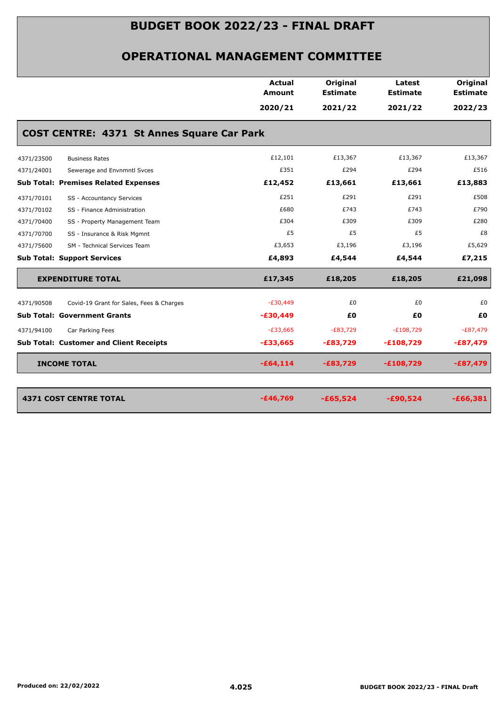|            |                                                   | <b>Actual</b><br><b>Amount</b> | Original<br><b>Estimate</b> | Latest<br><b>Estimate</b> | Original<br><b>Estimate</b> |
|------------|---------------------------------------------------|--------------------------------|-----------------------------|---------------------------|-----------------------------|
|            |                                                   | 2020/21                        | 2021/22                     | 2021/22                   | 2022/23                     |
|            | <b>COST CENTRE: 4371 St Annes Square Car Park</b> |                                |                             |                           |                             |
| 4371/23500 | <b>Business Rates</b>                             | £12,101                        | £13,367                     | £13,367                   | £13,367                     |
| 4371/24001 | Sewerage and Envnmntl Svces                       | £351                           | £294                        | £294                      | £516                        |
|            | <b>Sub Total: Premises Related Expenses</b>       | £12,452                        | £13,661                     | £13,661                   | £13,883                     |
| 4371/70101 | SS - Accountancy Services                         | £251                           | £291                        | £291                      | £508                        |
| 4371/70102 | SS - Finance Administration                       | £680                           | £743                        | £743                      | £790                        |
| 4371/70400 | SS - Property Management Team                     | £304                           | £309                        | £309                      | £280                        |
| 4371/70700 | SS - Insurance & Risk Mgmnt                       | £5                             | £5                          | £5                        | £8                          |
| 4371/75600 | SM - Technical Services Team                      | £3,653                         | £3,196                      | £3,196                    | £5,629                      |
|            | <b>Sub Total: Support Services</b>                | £4,893                         | £4,544                      | £4,544                    | £7,215                      |
|            | <b>EXPENDITURE TOTAL</b>                          | £17,345                        | £18,205                     | £18,205                   | £21,098                     |
| 4371/90508 | Covid-19 Grant for Sales, Fees & Charges          | $-E30,449$                     | £0                          | £0                        | £0                          |
|            | <b>Sub Total: Government Grants</b>               | $-£30,449$                     | £Ο                          | £0                        | £0                          |
| 4371/94100 | Car Parking Fees                                  | $-E33,665$                     | $-E83,729$                  | $-E108,729$               | $-E87,479$                  |
|            | <b>Sub Total: Customer and Client Receipts</b>    | $-£33,665$                     | $-E83,729$                  | $-£108,729$               | $-£87,479$                  |
|            | <b>INCOME TOTAL</b>                               | $-£64,114$                     | $-£83,729$                  | $-£108,729$               | $-£87,479$                  |
|            | <b>4371 COST CENTRE TOTAL</b>                     | $-£46,769$                     | $-£65,524$                  | $-£90,524$                | $-£66,381$                  |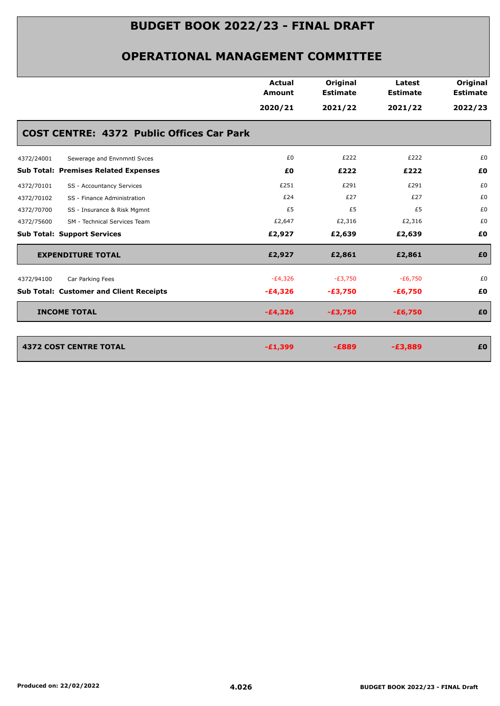| <b>Actual</b><br><b>Amount</b><br>2020/21        | Original<br><b>Estimate</b><br>2021/22 | Latest<br><b>Estimate</b><br>2021/22 | Original<br><b>Estimate</b><br>2022/23 |
|--------------------------------------------------|----------------------------------------|--------------------------------------|----------------------------------------|
|                                                  |                                        |                                      |                                        |
|                                                  |                                        |                                      |                                        |
| <b>COST CENTRE: 4372 Public Offices Car Park</b> |                                        |                                      |                                        |
| £0                                               | £222                                   | £222                                 | £0                                     |
| £0                                               | £222                                   | £222                                 | £0                                     |
| £251                                             | £291                                   | £291                                 | £0                                     |
| £24                                              | £27                                    | £27                                  | £0                                     |
| £5                                               | £5                                     | £5                                   | £0                                     |
| £2,647                                           | £2,316                                 | £2,316                               | £0                                     |
| £2,927                                           | £2,639                                 | £2,639                               | £0                                     |
| £2,927                                           | £2,861                                 | £2,861                               | £0                                     |
| $-E4,326$                                        | $-E3,750$                              | $-E6,750$                            | £0                                     |
| $-£4,326$                                        | $-£3,750$                              | $-£6,750$                            | £0                                     |
| $-£4,326$                                        | $-£3,750$                              | $-£6,750$                            | £0                                     |
|                                                  |                                        |                                      | £0                                     |
|                                                  | $-£1,399$                              | $-E889$                              | $-£3,889$                              |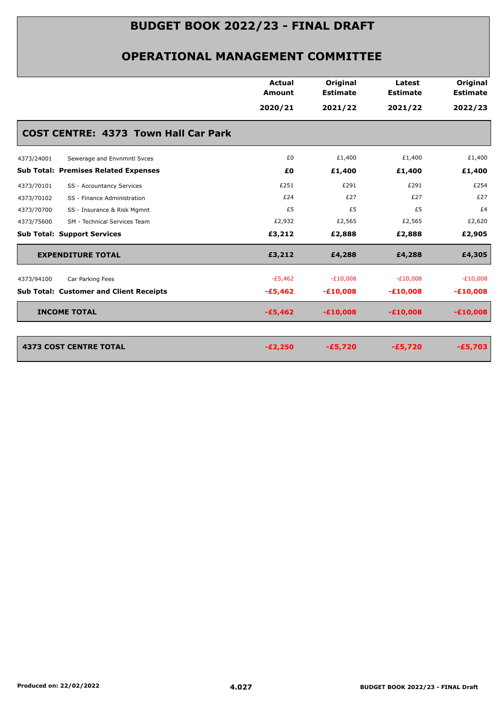|                                                | Actual<br><b>Amount</b> | Original<br><b>Estimate</b> | Latest<br><b>Estimate</b> | Original<br><b>Estimate</b> |
|------------------------------------------------|-------------------------|-----------------------------|---------------------------|-----------------------------|
|                                                | 2020/21                 | 2021/22                     | 2021/22                   | 2022/23                     |
| <b>COST CENTRE: 4373 Town Hall Car Park</b>    |                         |                             |                           |                             |
| 4373/24001<br>Sewerage and Envnmntl Svces      | £0                      | £1,400                      | £1,400                    | £1,400                      |
| <b>Sub Total: Premises Related Expenses</b>    | £0                      | £1,400                      | £1,400                    | £1,400                      |
| SS - Accountancy Services<br>4373/70101        | £251                    | £291                        | £291                      | £254                        |
| 4373/70102<br>SS - Finance Administration      | £24                     | £27                         | £27                       | £27                         |
| 4373/70700<br>SS - Insurance & Risk Mgmnt      | £5                      | £5                          | £5                        | £4                          |
| SM - Technical Services Team<br>4373/75600     | £2,932                  | £2,565                      | £2,565                    | £2,620                      |
| <b>Sub Total: Support Services</b>             | £3,212                  | £2,888                      | £2,888                    | £2,905                      |
| <b>EXPENDITURE TOTAL</b>                       | £3,212                  | £4,288                      | £4,288                    | £4,305                      |
| Car Parking Fees<br>4373/94100                 | $-E5,462$               | $-E10,008$                  | $-E10,008$                | $-E10,008$                  |
| <b>Sub Total: Customer and Client Receipts</b> | $-£5,462$               | $-£10,008$                  | $-£10,008$                | $-£10,008$                  |
| <b>INCOME TOTAL</b>                            | $-£5,462$               | $-£10,008$                  | $-£10,008$                | $-£10,008$                  |
| <b>4373 COST CENTRE TOTAL</b>                  | $-E2,250$               | $-£5,720$                   | $-£5,720$                 | $-£5,703$                   |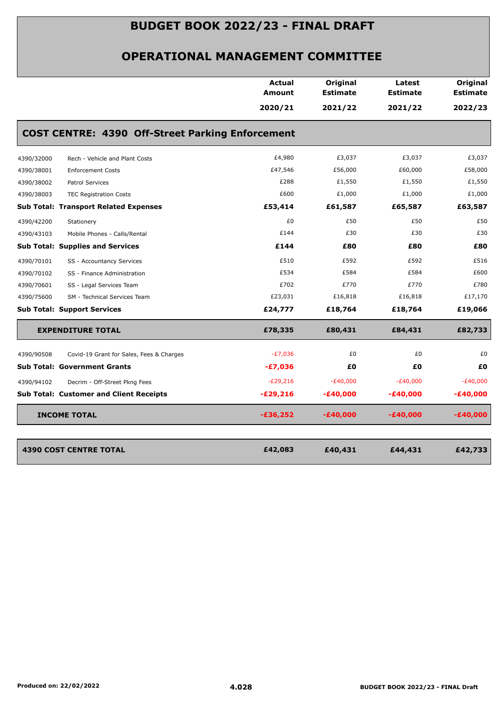|            |                                                         | Actual<br>Amount | Original<br><b>Estimate</b> | Latest<br><b>Estimate</b> | Original<br><b>Estimate</b> |
|------------|---------------------------------------------------------|------------------|-----------------------------|---------------------------|-----------------------------|
|            |                                                         | 2020/21          | 2021/22                     | 2021/22                   | 2022/23                     |
|            | <b>COST CENTRE: 4390 Off-Street Parking Enforcement</b> |                  |                             |                           |                             |
| 4390/32000 | Rech - Vehicle and Plant Costs                          | £4,980           | £3,037                      | £3,037                    | £3,037                      |
| 4390/38001 | <b>Enforcement Costs</b>                                | £47,546          | £56,000                     | £60,000                   | £58,000                     |
| 4390/38002 | Patrol Services                                         | £288             | £1,550                      | £1,550                    | £1,550                      |
| 4390/38003 | <b>TEC Registration Costs</b>                           | £600             | £1,000                      | £1,000                    | £1,000                      |
|            | <b>Sub Total: Transport Related Expenses</b>            | £53,414          | £61,587                     | £65,587                   | £63,587                     |
| 4390/42200 | Stationery                                              | £0               | £50                         | £50                       | £50                         |
| 4390/43103 | Mobile Phones - Calls/Rental                            | £144             | £30                         | £30                       | £30                         |
|            | <b>Sub Total: Supplies and Services</b>                 | £144             | £80                         | £80                       | £80                         |
| 4390/70101 | SS - Accountancy Services                               | £510             | £592                        | £592                      | £516                        |
| 4390/70102 | SS - Finance Administration                             | £534             | £584                        | £584                      | £600                        |
| 4390/70601 | SS - Legal Services Team                                | £702             | £770                        | £770                      | £780                        |
| 4390/75600 | SM - Technical Services Team                            | £23,031          | £16,818                     | £16,818                   | £17,170                     |
|            | <b>Sub Total: Support Services</b>                      | £24,777          | £18,764                     | £18,764                   | £19,066                     |
|            | <b>EXPENDITURE TOTAL</b>                                | £78,335          | £80,431                     | £84,431                   | £82,733                     |
| 4390/90508 | Covid-19 Grant for Sales, Fees & Charges                | $-E7,036$        | £0                          | £0                        | £0                          |
|            | <b>Sub Total: Government Grants</b>                     | $-£7,036$        | £0                          | £0                        | £0                          |
| 4390/94102 | Decrim - Off-Street Pkng Fees                           | $-E29,216$       | $-E40,000$                  | $-E40,000$                | $-E40,000$                  |
|            | <b>Sub Total: Customer and Client Receipts</b>          | $-E29,216$       | $-£40,000$                  | -£40,000                  | $-£40,000$                  |
|            | <b>INCOME TOTAL</b>                                     | $-£36,252$       | $-£40,000$                  | $-£40,000$                | $-£40,000$                  |
|            | <b>4390 COST CENTRE TOTAL</b>                           | £42,083          | £40,431                     | £44,431                   | £42,733                     |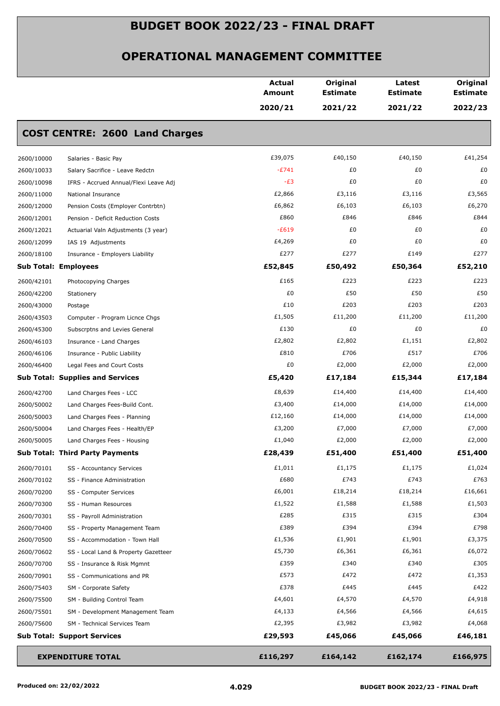|            |                                         | <b>Actual</b><br>Amount | Original<br><b>Estimate</b> | Latest<br><b>Estimate</b> | Original<br><b>Estimate</b> |
|------------|-----------------------------------------|-------------------------|-----------------------------|---------------------------|-----------------------------|
|            |                                         | 2020/21                 | 2021/22                     | 2021/22                   | 2022/23                     |
|            | <b>COST CENTRE: 2600 Land Charges</b>   |                         |                             |                           |                             |
| 2600/10000 | Salaries - Basic Pay                    | £39,075                 | £40,150                     | £40,150                   | £41,254                     |
| 2600/10033 | Salary Sacrifice - Leave Redctn         | $-E741$                 | £0                          | £0                        | £0                          |
| 2600/10098 | IFRS - Accrued Annual/Flexi Leave Adj   | $-E3$                   | £0                          | £0                        | £0                          |
| 2600/11000 | National Insurance                      | £2,866                  | £3,116                      | £3,116                    | £3,565                      |
| 2600/12000 | Pension Costs (Employer Contrbtn)       | £6,862                  | £6,103                      | £6,103                    | £6,270                      |
| 2600/12001 | Pension - Deficit Reduction Costs       | £860                    | £846                        | £846                      | £844                        |
| 2600/12021 | Actuarial Valn Adjustments (3 year)     | $-E619$                 | £0                          | £0                        | £0                          |
| 2600/12099 | IAS 19 Adjustments                      | £4,269                  | £0                          | £0                        | £0                          |
| 2600/18100 | Insurance - Employers Liability         | £277                    | £277                        | £149                      | £277                        |
|            | <b>Sub Total: Employees</b>             | £52,845                 | £50,492                     | £50,364                   | £52,210                     |
| 2600/42101 | Photocopying Charges                    | £165                    | £223                        | £223                      | £223                        |
| 2600/42200 | Stationery                              | £0                      | £50                         | £50                       | £50                         |
| 2600/43000 | Postage                                 | £10                     | £203                        | £203                      | £203                        |
| 2600/43503 | Computer - Program Licnce Chgs          | £1,505                  | £11,200                     | £11,200                   | £11,200                     |
| 2600/45300 | Subscrptns and Levies General           | £130                    | £0                          | £0                        | £0                          |
| 2600/46103 | Insurance - Land Charges                | £2,802                  | £2,802                      | £1,151                    | £2,802                      |
| 2600/46106 | Insurance - Public Liability            | £810                    | £706                        | £517                      | £706                        |
| 2600/46400 | Legal Fees and Court Costs              | £0                      | £2,000                      | £2,000                    | £2,000                      |
|            | <b>Sub Total: Supplies and Services</b> | £5,420                  | £17,184                     | £15,344                   | £17,184                     |
| 2600/42700 | Land Charges Fees - LCC                 | £8,639                  | £14,400                     | £14,400                   | £14,400                     |
| 2600/50002 | Land Charges Fees-Build Cont.           | £3,400                  | £14,000                     | £14,000                   | £14,000                     |
| 2600/50003 | Land Charges Fees - Planning            | £12,160                 | £14,000                     | £14,000                   | £14,000                     |
| 2600/50004 | Land Charges Fees - Health/EP           | £3,200                  | £7,000                      | £7,000                    | £7,000                      |
| 2600/50005 | Land Charges Fees - Housing             | £1,040                  | £2,000                      | £2,000                    | £2,000                      |
|            | <b>Sub Total: Third Party Payments</b>  | £28,439                 | £51,400                     | £51,400                   | £51,400                     |
| 2600/70101 | SS - Accountancy Services               | £1,011                  | £1,175                      | £1,175                    | £1,024                      |
| 2600/70102 | SS - Finance Administration             | £680                    | £743                        | £743                      | £763                        |
| 2600/70200 | SS - Computer Services                  | £6,001                  | £18,214                     | £18,214                   | £16,661                     |
| 2600/70300 | SS - Human Resources                    | £1,522                  | £1,588                      | £1,588                    | £1,503                      |
| 2600/70301 | SS - Payroll Administration             | £285                    | £315                        | £315                      | £304                        |
| 2600/70400 | SS - Property Management Team           | £389                    | £394                        | £394                      | £798                        |
| 2600/70500 | SS - Accommodation - Town Hall          | £1,536                  | £1,901                      | £1,901                    | £3,375                      |
| 2600/70602 | SS - Local Land & Property Gazetteer    | £5,730                  | £6,361                      | £6,361                    | £6,072                      |
| 2600/70700 | SS - Insurance & Risk Mgmnt             | £359                    | £340                        | £340                      | £305                        |
| 2600/70901 | SS - Communications and PR              | £573                    | £472                        | £472                      | £1,353                      |
| 2600/75403 | SM - Corporate Safety                   | £378                    | £445                        | £445                      | £422                        |
| 2600/75500 | SM - Building Control Team              | £4,601                  | £4,570                      | £4,570                    | £4,918                      |
| 2600/75501 | SM - Development Management Team        | £4,133                  | £4,566                      | £4,566                    | £4,615                      |
| 2600/75600 | SM - Technical Services Team            | £2,395                  | £3,982                      | £3,982                    | £4,068                      |
|            | <b>Sub Total: Support Services</b>      | £29,593                 | £45,066                     | £45,066                   | £46,181                     |
|            | <b>EXPENDITURE TOTAL</b>                | £116,297                | £164,142                    | £162,174                  | £166,975                    |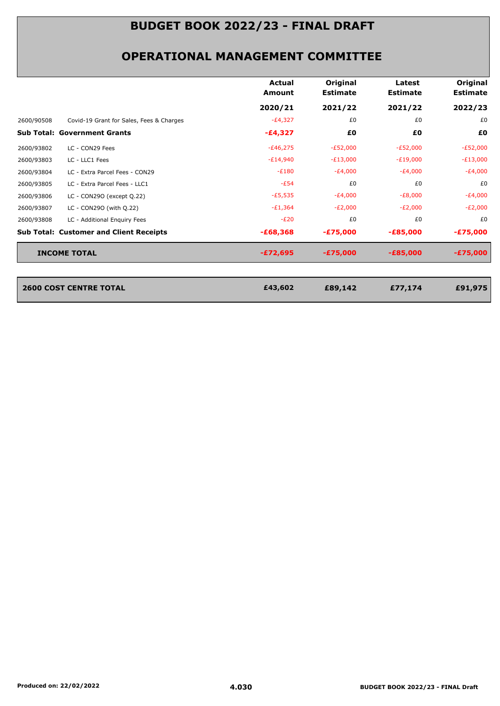### **OPERATIONAL MANAGEMENT COMMITTEE**

|                                                |                                          | Actual<br>Amount | Original<br><b>Estimate</b> | Latest<br><b>Estimate</b> | Original<br><b>Estimate</b> |
|------------------------------------------------|------------------------------------------|------------------|-----------------------------|---------------------------|-----------------------------|
|                                                |                                          | 2020/21          | 2021/22                     | 2021/22                   | 2022/23                     |
| 2600/90508                                     | Covid-19 Grant for Sales, Fees & Charges | $-E4,327$        | £0                          | £0                        | £0                          |
| <b>Sub Total: Government Grants</b>            |                                          | -£4,327          | £0                          | £0                        | £0                          |
| LC - CON29 Fees<br>2600/93802                  |                                          | $-E46,275$       | $-E52,000$                  | $-E52,000$                | $-E52,000$                  |
| LC - LLC1 Fees<br>2600/93803                   |                                          | $-E14,940$       | $-E13,000$                  | $-E19,000$                | $-E13,000$                  |
| 2600/93804                                     | LC - Extra Parcel Fees - CON29           | $-E180$          | $-E4,000$                   | $-E4,000$                 | $-E4,000$                   |
| 2600/93805<br>LC - Extra Parcel Fees - LLC1    |                                          | $-E54$           | £0                          | £0                        | £0                          |
| 2600/93806<br>LC - CON290 (except Q.22)        |                                          | $-E5,535$        | $-E4,000$                   | $-E8,000$                 | $-E4,000$                   |
| 2600/93807<br>LC - CON290 (with Q.22)          |                                          | $-E1,364$        | $-E2,000$                   | $-E2,000$                 | $-E2,000$                   |
| 2600/93808<br>LC - Additional Enquiry Fees     |                                          | $-E20$           | £0                          | £0                        | £0                          |
| <b>Sub Total: Customer and Client Receipts</b> |                                          | $-£68,368$       | $-£75,000$                  | $-£85,000$                | $-£75,000$                  |
| <b>INCOME TOTAL</b>                            |                                          | $-£72,695$       | $-£75,000$                  | $-E85,000$                | $-£75,000$                  |
|                                                |                                          |                  |                             |                           |                             |
|                                                |                                          |                  |                             |                           |                             |

**2600 COST CENTRE TOTAL £89,142 £77,174 £91,975**

**2600 COST CENTRE TOTAL**<br>*EA3,602*<br>**EA3,602**<br>**EAS** 

| Produced on: 22/02/2022 |  |  |
|-------------------------|--|--|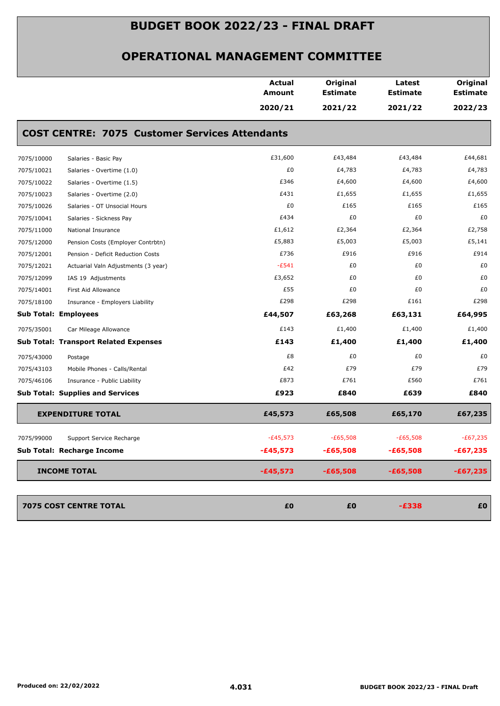|            |                                                       | <b>Actual</b><br>Amount | Original<br><b>Estimate</b> | Latest<br><b>Estimate</b> | Original<br><b>Estimate</b> |
|------------|-------------------------------------------------------|-------------------------|-----------------------------|---------------------------|-----------------------------|
|            |                                                       | 2020/21                 | 2021/22                     | 2021/22                   | 2022/23                     |
|            | <b>COST CENTRE: 7075 Customer Services Attendants</b> |                         |                             |                           |                             |
| 7075/10000 | Salaries - Basic Pay                                  | £31,600                 | £43,484                     | £43,484                   | £44,681                     |
| 7075/10021 | Salaries - Overtime (1.0)                             | £0                      | £4,783                      | £4,783                    | £4,783                      |
| 7075/10022 | Salaries - Overtime (1.5)                             | £346                    | £4,600                      | £4,600                    | £4,600                      |
| 7075/10023 | Salaries - Overtime (2.0)                             | £431                    | £1,655                      | £1,655                    | £1,655                      |
| 7075/10026 | Salaries - OT Unsocial Hours                          | £0                      | £165                        | £165                      | £165                        |
| 7075/10041 | Salaries - Sickness Pay                               | £434                    | £0                          | £0                        | £0                          |
| 7075/11000 | National Insurance                                    | £1,612                  | £2,364                      | £2,364                    | £2,758                      |
| 7075/12000 | Pension Costs (Employer Contrbtn)                     | £5,883                  | £5,003                      | £5,003                    | £5,141                      |
| 7075/12001 | Pension - Deficit Reduction Costs                     | £736                    | £916                        | £916                      | £914                        |
| 7075/12021 | Actuarial Valn Adjustments (3 year)                   | $-E541$                 | £0                          | £0                        | £0                          |
| 7075/12099 | IAS 19 Adjustments                                    | £3,652                  | £0                          | £0                        | £0                          |
| 7075/14001 | First Aid Allowance                                   | £55                     | £0                          | £0                        | £0                          |
| 7075/18100 | Insurance - Employers Liability                       | £298                    | £298                        | £161                      | £298                        |
|            | <b>Sub Total: Employees</b>                           | £44,507                 | £63,268                     | £63,131                   | £64,995                     |
| 7075/35001 | Car Mileage Allowance                                 | £143                    | £1,400                      | £1,400                    | £1,400                      |
|            | <b>Sub Total: Transport Related Expenses</b>          | £143                    | £1,400                      | £1,400                    | £1,400                      |
| 7075/43000 | Postage                                               | £8                      | £0                          | £0                        | £0                          |
| 7075/43103 | Mobile Phones - Calls/Rental                          | £42                     | £79                         | £79                       | £79                         |
| 7075/46106 | Insurance - Public Liability                          | £873                    | £761                        | £560                      | £761                        |
|            | <b>Sub Total: Supplies and Services</b>               | £923                    | £840                        | £639                      | £840                        |
|            | <b>EXPENDITURE TOTAL</b>                              | £45,573                 | £65,508                     | £65,170                   | £67,235                     |
| 7075/99000 | Support Service Recharge                              | $-E45,573$              | $-E65,508$                  | $-£65,508$                | $-E67,235$                  |
|            | Sub Total: Recharge Income                            | $-£45,573$              | $-£65,508$                  | $-£65,508$                | $-£67,235$                  |
|            | <b>INCOME TOTAL</b>                                   | $-£45,573$              | $-£65,508$                  | $-£65,508$                | $-£67,235$                  |
|            | 7075 COST CENTRE TOTAL                                | £0                      | £0                          | $-E338$                   | £0                          |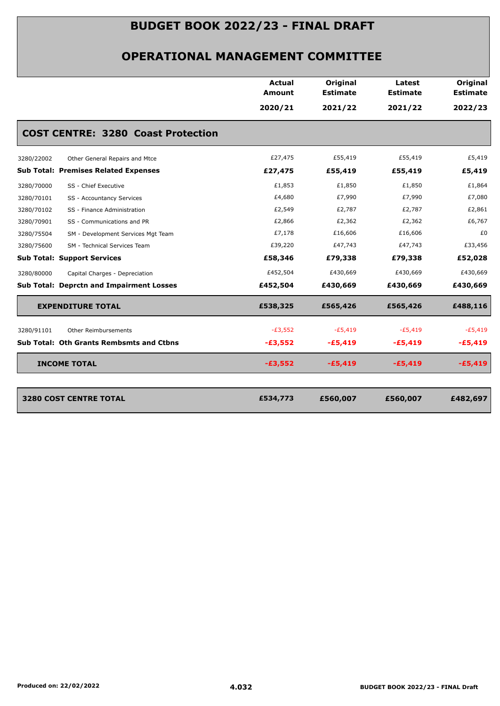|                                                  | <b>Actual</b><br>Amount | Original<br><b>Estimate</b> | Latest<br><b>Estimate</b> | Original<br><b>Estimate</b> |
|--------------------------------------------------|-------------------------|-----------------------------|---------------------------|-----------------------------|
|                                                  | 2020/21                 | 2021/22                     | 2021/22                   | 2022/23                     |
| <b>COST CENTRE: 3280 Coast Protection</b>        |                         |                             |                           |                             |
| 3280/22002<br>Other General Repairs and Mtce     | £27,475                 | £55,419                     | £55,419                   | £5,419                      |
| <b>Sub Total: Premises Related Expenses</b>      | £27,475                 | £55,419                     | £55,419                   | £5,419                      |
| SS - Chief Executive<br>3280/70000               | £1,853                  | £1,850                      | £1,850                    | £1,864                      |
| 3280/70101<br>SS - Accountancy Services          | £4,680                  | £7,990                      | £7,990                    | £7,080                      |
| SS - Finance Administration<br>3280/70102        | £2,549                  | £2,787                      | £2,787                    | £2,861                      |
| SS - Communications and PR<br>3280/70901         | £2,866                  | £2,362                      | £2,362                    | £6,767                      |
| 3280/75504<br>SM - Development Services Mgt Team | £7,178                  | £16,606                     | £16,606                   | £0                          |
| 3280/75600<br>SM - Technical Services Team       | £39,220                 | £47,743                     | £47,743                   | £33,456                     |
| <b>Sub Total: Support Services</b>               | £58,346                 | £79,338                     | £79,338                   | £52,028                     |
| 3280/80000<br>Capital Charges - Depreciation     | £452,504                | £430,669                    | £430,669                  | £430,669                    |
| <b>Sub Total: Deprctn and Impairment Losses</b>  | £452,504                | £430,669                    | £430,669                  | £430,669                    |
| <b>EXPENDITURE TOTAL</b>                         | £538,325                | £565,426                    | £565,426                  | £488,116                    |
| 3280/91101<br>Other Reimbursements               | $-E3,552$               | $-E5,419$                   | $-E5,419$                 | $-E5,419$                   |
| <b>Sub Total: Oth Grants Rembsmts and Ctbns</b>  | $-£3,552$               | $-£5,419$                   | $-£5,419$                 | $-£5,419$                   |
| <b>INCOME TOTAL</b>                              | $-£3,552$               | $-E5,419$                   | $-£5,419$                 | $-£5,419$                   |
| <b>3280 COST CENTRE TOTAL</b>                    | £534,773                | £560,007                    | £560,007                  | £482,697                    |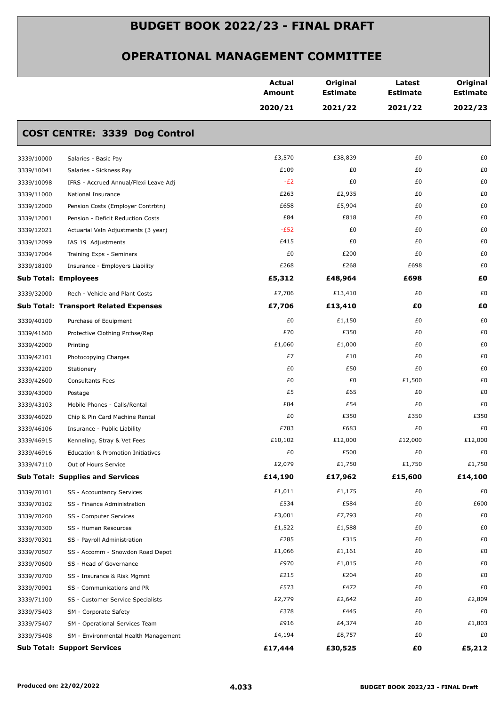|                             |                                              | <b>Actual</b><br><b>Amount</b> | Original<br><b>Estimate</b> | Latest<br><b>Estimate</b> | Original<br><b>Estimate</b> |
|-----------------------------|----------------------------------------------|--------------------------------|-----------------------------|---------------------------|-----------------------------|
|                             |                                              | 2020/21                        | 2021/22                     | 2021/22                   | 2022/23                     |
|                             | <b>COST CENTRE: 3339 Dog Control</b>         |                                |                             |                           |                             |
| 3339/10000                  | Salaries - Basic Pay                         | £3,570                         | £38,839                     | £0                        | £0                          |
| 3339/10041                  | Salaries - Sickness Pay                      | £109                           | £0                          | £0                        | £0                          |
| 3339/10098                  | IFRS - Accrued Annual/Flexi Leave Adj        | $-E2$                          | £0                          | £0                        | £0                          |
| 3339/11000                  | National Insurance                           | £263                           | £2,935                      | £0                        | £0                          |
| 3339/12000                  | Pension Costs (Employer Contrbtn)            | £658                           | £5,904                      | £0                        | £0                          |
| 3339/12001                  | Pension - Deficit Reduction Costs            | £84                            | £818                        | £0                        | £0                          |
| 3339/12021                  | Actuarial Valn Adjustments (3 year)          | $-E52$                         | £0                          | £0                        | £0                          |
| 3339/12099                  | IAS 19 Adjustments                           | £415                           | £0                          | £0                        | £0                          |
| 3339/17004                  | Training Exps - Seminars                     | £0                             | £200                        | £0                        | £0                          |
| 3339/18100                  | Insurance - Employers Liability              | £268                           | £268                        | £698                      | £0                          |
| <b>Sub Total: Employees</b> |                                              | £5,312                         | £48,964                     | £698                      | £0                          |
| 3339/32000                  | Rech - Vehicle and Plant Costs               | £7,706                         | £13,410                     | £0                        | £0                          |
|                             | <b>Sub Total: Transport Related Expenses</b> | £7,706                         | £13,410                     | £Ο                        | £0                          |
| 3339/40100                  | Purchase of Equipment                        | £0                             | £1,150                      | £0                        | £0                          |
| 3339/41600                  | Protective Clothing Prchse/Rep               | £70                            | £350                        | £0                        | £0                          |
| 3339/42000                  | Printing                                     | £1,060                         | £1,000                      | £0                        | £0                          |
| 3339/42101                  | Photocopying Charges                         | £7                             | £10                         | £0                        | £0                          |
| 3339/42200                  | Stationery                                   | £0                             | £50                         | £0                        | £0                          |
| 3339/42600                  | <b>Consultants Fees</b>                      | £0                             | £0                          | £1,500                    | £0                          |
| 3339/43000                  | Postage                                      | £5                             | £65                         | £0                        | £0                          |
| 3339/43103                  | Mobile Phones - Calls/Rental                 | £84                            | £54                         | £0                        | £0                          |
| 3339/46020                  | Chip & Pin Card Machine Rental               | £0                             | £350                        | £350                      | £350                        |
| 3339/46106                  | Insurance - Public Liability                 | £783                           | £683                        | £0                        | £0                          |
| 3339/46915                  | Kenneling, Stray & Vet Fees                  | £10,102                        | £12,000                     | £12,000                   | £12,000                     |
| 3339/46916                  | Education & Promotion Initiatives            | £0                             | £500                        | £0                        | £0                          |
| 3339/47110                  | Out of Hours Service                         | £2,079                         | £1,750                      | £1,750                    | £1,750                      |
|                             | <b>Sub Total: Supplies and Services</b>      | £14,190                        | £17,962                     | £15,600                   | £14,100                     |
| 3339/70101                  | SS - Accountancy Services                    | £1,011                         | £1,175                      | £0                        | £0                          |
| 3339/70102                  | SS - Finance Administration                  | £534                           | £584                        | £0                        | £600                        |
| 3339/70200                  | SS - Computer Services                       | £3,001                         | £7,793                      | £0                        | £0                          |
| 3339/70300                  | SS - Human Resources                         | £1,522                         | £1,588                      | £0                        | £0                          |
| 3339/70301                  | SS - Payroll Administration                  | £285                           | £315                        | £0                        | £0                          |
| 3339/70507                  | SS - Accomm - Snowdon Road Depot             | £1,066                         | £1,161                      | £0                        | £0                          |
| 3339/70600                  | SS - Head of Governance                      | £970                           | £1,015                      | £0                        | £0                          |
| 3339/70700                  | SS - Insurance & Risk Mgmnt                  | £215                           | £204                        | £0                        | £0                          |
| 3339/70901                  | SS - Communications and PR                   | £573                           | £472                        | £0                        | £0                          |
| 3339/71100                  | SS - Customer Service Specialists            | £2,779                         | £2,642                      | £0                        | £2,809                      |
| 3339/75403                  | SM - Corporate Safety                        | £378                           | £445                        | £0                        | £0                          |
| 3339/75407                  | SM - Operational Services Team               | £916                           | £4,374                      | £0                        | £1,803                      |
| 3339/75408                  | SM - Environmental Health Management         | £4,194                         | £8,757                      | £0                        | £0                          |
|                             | <b>Sub Total: Support Services</b>           | £17,444                        | £30,525                     | £Ο                        | £5,212                      |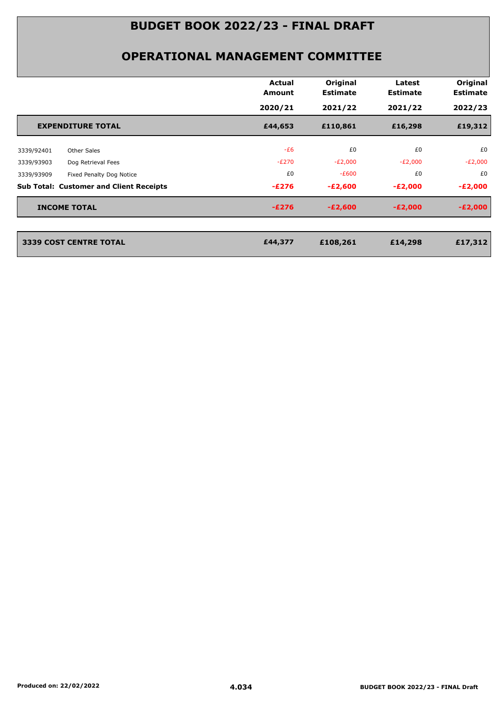|                                                | Actual<br>Amount | Original<br><b>Estimate</b> | Latest<br><b>Estimate</b> | Original<br><b>Estimate</b> |
|------------------------------------------------|------------------|-----------------------------|---------------------------|-----------------------------|
|                                                | 2020/21          | 2021/22                     | 2021/22                   | 2022/23                     |
| <b>EXPENDITURE TOTAL</b>                       | £44,653          | £110,861                    | £16,298                   | £19,312                     |
| Other Sales<br>3339/92401                      | $-E6$            | £0                          | £0                        | £0                          |
| Dog Retrieval Fees<br>3339/93903               | $-E270$          | $-E2,000$                   | $-E2,000$                 | $-E2,000$                   |
| Fixed Penalty Dog Notice<br>3339/93909         | £0               | $-E600$                     | £0                        | £0                          |
| <b>Sub Total: Customer and Client Receipts</b> | $-E276$          | $-E2,600$                   | $-E2,000$                 | $-E2,000$                   |
| <b>INCOME TOTAL</b>                            | $-E276$          | $-E2,600$                   | $-E2,000$                 | $-E2,000$                   |
| 3339 COST CENTRE TOTAL                         | £44,377          | £108,261                    | £14,298                   | £17,312                     |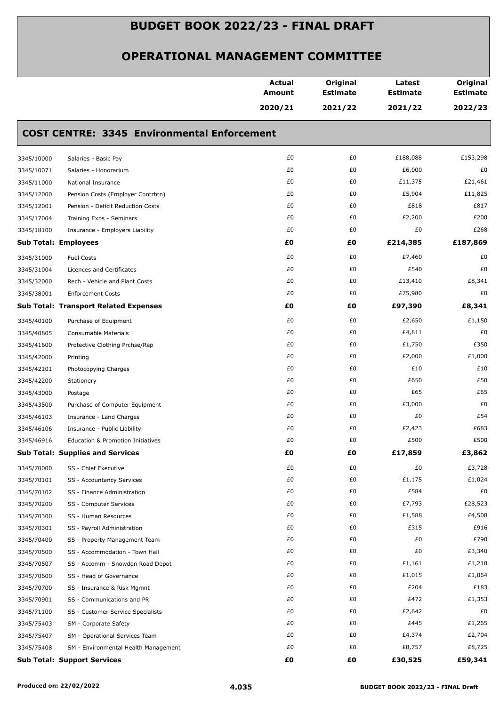|            |                                                    | <b>Actual</b><br><b>Amount</b> | Original<br><b>Estimate</b> | Latest<br><b>Estimate</b> | Original<br><b>Estimate</b> |
|------------|----------------------------------------------------|--------------------------------|-----------------------------|---------------------------|-----------------------------|
|            |                                                    | 2020/21                        | 2021/22                     | 2021/22                   | 2022/23                     |
|            | <b>COST CENTRE: 3345 Environmental Enforcement</b> |                                |                             |                           |                             |
| 3345/10000 | Salaries - Basic Pay                               | £0                             | £0                          | £188,088                  | £153,298                    |
| 3345/10071 | Salaries - Honorarium                              | £0                             | £0                          | £6,000                    | £0                          |
| 3345/11000 | National Insurance                                 | £0                             | £0                          | £11,375                   | £21,461                     |
| 3345/12000 | Pension Costs (Employer Contrbtn)                  | £0                             | £0                          | £5,904                    | £11,825                     |
| 3345/12001 | Pension - Deficit Reduction Costs                  | £0                             | £0                          | £818                      | £817                        |
| 3345/17004 | Training Exps - Seminars                           | £0                             | £0                          | £2,200                    | £200                        |
| 3345/18100 | Insurance - Employers Liability                    | £0                             | £0                          | £0                        | £268                        |
|            | <b>Sub Total: Employees</b>                        | £0                             | £O                          | £214,385                  | £187,869                    |
| 3345/31000 | <b>Fuel Costs</b>                                  | £0                             | £0                          | £7,460                    | £0                          |
| 3345/31004 | Licences and Certificates                          | £0                             | £0                          | £540                      | £0                          |
| 3345/32000 | Rech - Vehicle and Plant Costs                     | £0                             | £0                          | £13,410                   | £8,341                      |
| 3345/38001 | <b>Enforcement Costs</b>                           | £0                             | £0                          | £75,980                   | £0                          |
|            | <b>Sub Total: Transport Related Expenses</b>       | £0                             | £Ο                          | £97,390                   | £8,341                      |
| 3345/40100 | Purchase of Equipment                              | £0                             | £0                          | £2,650                    | £1,150                      |
| 3345/40805 | Consumable Materials                               | £0                             | £0                          | £4,811                    | £0                          |
| 3345/41600 | Protective Clothing Prchse/Rep                     | £0                             | £0                          | £1,750                    | £350                        |
| 3345/42000 | Printing                                           | £0                             | £0                          | £2,000                    | £1,000                      |
| 3345/42101 | Photocopying Charges                               | £0                             | £0                          | £10                       | £10                         |
| 3345/42200 | Stationery                                         | £0                             | £0                          | £650                      | £50                         |
| 3345/43000 | Postage                                            | £0                             | £0                          | £65                       | £65                         |
| 3345/43500 | Purchase of Computer Equipment                     | £0                             | £0                          | £3,000                    | £0                          |
| 3345/46103 | Insurance - Land Charges                           | £0                             | £0                          | £0                        | £54                         |
| 3345/46106 | Insurance - Public Liability                       | £0                             | £0                          | £2,423                    | £683                        |
| 3345/46916 | Education & Promotion Initiatives                  | £0                             | £0                          | £500                      | £500                        |
|            | <b>Sub Total: Supplies and Services</b>            | £0                             | £0                          | £17,859                   | £3,862                      |
| 3345/70000 | SS - Chief Executive                               | £0                             | £0                          | £0                        | £3,728                      |
| 3345/70101 | SS - Accountancy Services                          | £0                             | £0                          | £1,175                    | £1,024                      |
| 3345/70102 | SS - Finance Administration                        | £0                             | £0                          | £584                      | £0                          |
| 3345/70200 | SS - Computer Services                             | £0                             | £0                          | £7,793                    | £28,523                     |
| 3345/70300 | SS - Human Resources                               | £0                             | £0                          | £1,588                    | £4,508                      |
| 3345/70301 | SS - Payroll Administration                        | £0                             | £0                          | £315                      | £916                        |
| 3345/70400 | SS - Property Management Team                      | £0                             | £0                          | £0                        | £790                        |
| 3345/70500 | SS - Accommodation - Town Hall                     | £0                             | £0                          | £0                        | £3,340                      |
| 3345/70507 | SS - Accomm - Snowdon Road Depot                   | £0                             | £0                          | £1,161                    | £1,218                      |
| 3345/70600 | SS - Head of Governance                            | £0                             | £0                          | £1,015                    | £1,064                      |
| 3345/70700 | SS - Insurance & Risk Mgmnt                        | £0                             | £0                          | £204                      | £183                        |
| 3345/70901 | SS - Communications and PR                         | £0                             | £0                          | £472                      | £1,353                      |
| 3345/71100 | SS - Customer Service Specialists                  | £0                             | £0                          | £2,642                    | £0                          |
| 3345/75403 | SM - Corporate Safety                              | £0                             | £0                          | £445                      | £1,265                      |
| 3345/75407 | SM - Operational Services Team                     | £0                             | £0                          | £4,374                    | £2,704                      |
| 3345/75408 | SM - Environmental Health Management               | £0                             | £0                          | £8,757                    | £8,725                      |
|            | <b>Sub Total: Support Services</b>                 | £0                             | £0                          | £30,525                   | £59,341                     |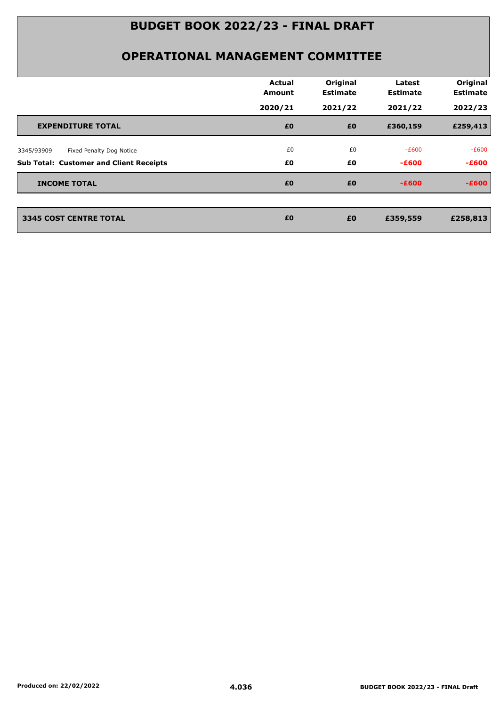|                                                | <b>Actual</b><br><b>Amount</b> | Original<br><b>Estimate</b> | Latest<br><b>Estimate</b> | Original<br><b>Estimate</b> |
|------------------------------------------------|--------------------------------|-----------------------------|---------------------------|-----------------------------|
|                                                | 2020/21                        | 2021/22                     | 2021/22                   | 2022/23                     |
| <b>EXPENDITURE TOTAL</b>                       | £0                             | £0                          | £360,159                  | £259,413                    |
| Fixed Penalty Dog Notice<br>3345/93909         | £0                             | £0                          | $-E600$                   | -£600                       |
| <b>Sub Total: Customer and Client Receipts</b> | £0                             | £0                          | $-E600$                   | $-E600$                     |
| <b>INCOME TOTAL</b>                            | £0                             | £0                          | $-E600$                   | $-E600$                     |
|                                                |                                |                             |                           |                             |
| <b>3345 COST CENTRE TOTAL</b>                  | £0                             | £0                          | £359,559                  | £258,813                    |
|                                                |                                |                             |                           |                             |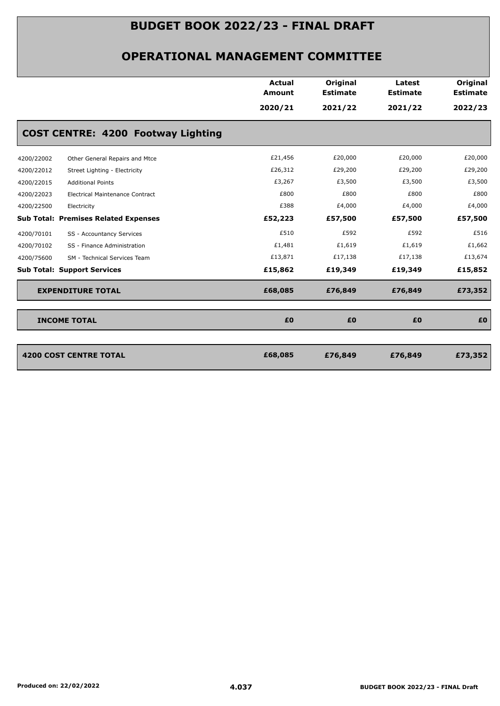|                                                      | <b>Actual</b><br><b>Amount</b> | Original<br><b>Estimate</b> | Latest<br><b>Estimate</b> | Original<br><b>Estimate</b> |
|------------------------------------------------------|--------------------------------|-----------------------------|---------------------------|-----------------------------|
|                                                      | 2020/21                        | 2021/22                     | 2021/22                   | 2022/23                     |
| <b>COST CENTRE: 4200 Footway Lighting</b>            |                                |                             |                           |                             |
| 4200/22002<br>Other General Repairs and Mtce         | £21,456                        | £20,000                     | £20,000                   | £20,000                     |
| 4200/22012<br>Street Lighting - Electricity          | £26,312                        | £29,200                     | £29,200                   | £29,200                     |
| 4200/22015<br><b>Additional Points</b>               | £3,267                         | £3,500                      | £3,500                    | £3,500                      |
| 4200/22023<br><b>Electrical Maintenance Contract</b> | £800                           | £800                        | £800                      | £800                        |
| 4200/22500<br>Electricity                            | £388                           | £4,000                      | £4,000                    | £4,000                      |
| <b>Sub Total: Premises Related Expenses</b>          | £52,223                        | £57,500                     | £57,500                   | £57,500                     |
| 4200/70101<br>SS - Accountancy Services              | £510                           | £592                        | £592                      | £516                        |
| 4200/70102<br>SS - Finance Administration            | £1,481                         | £1,619                      | £1,619                    | £1,662                      |
| 4200/75600<br>SM - Technical Services Team           | £13,871                        | £17,138                     | £17,138                   | £13,674                     |
| <b>Sub Total: Support Services</b>                   | £15,862                        | £19,349                     | £19,349                   | £15,852                     |
| <b>EXPENDITURE TOTAL</b>                             | £68,085                        | £76,849                     | £76,849                   | £73,352                     |
| <b>INCOME TOTAL</b>                                  | £0                             | £0                          | £0                        | £O                          |
|                                                      |                                |                             |                           |                             |
| <b>4200 COST CENTRE TOTAL</b>                        | £68,085                        | £76,849                     | £76,849                   | £73,352                     |
|                                                      |                                |                             |                           |                             |
|                                                      |                                |                             |                           |                             |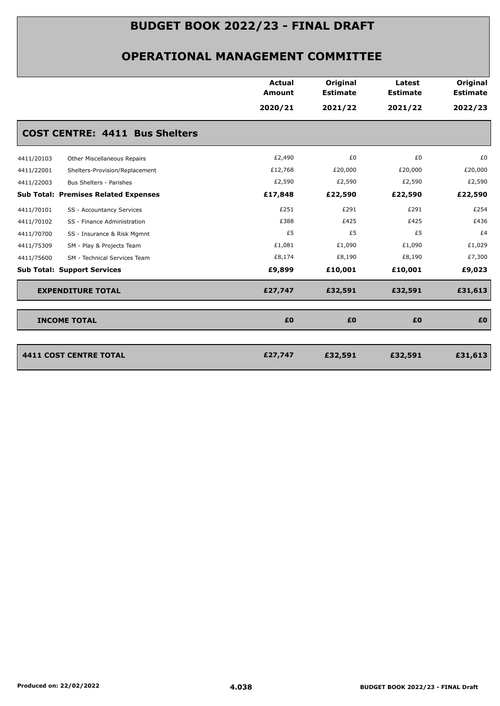|                                              | Actual<br><b>Amount</b> | Original<br><b>Estimate</b> | Latest<br><b>Estimate</b> | Original<br><b>Estimate</b> |
|----------------------------------------------|-------------------------|-----------------------------|---------------------------|-----------------------------|
|                                              | 2020/21                 | 2021/22                     | 2021/22                   | 2022/23                     |
| <b>COST CENTRE: 4411 Bus Shelters</b>        |                         |                             |                           |                             |
| Other Miscellaneous Repairs<br>4411/20103    | £2,490                  | £0                          | £0                        | £0                          |
| 4411/22001<br>Shelters-Provision/Replacement | £12,768                 | £20,000                     | £20,000                   | £20,000                     |
| 4411/22003<br>Bus Shelters - Parishes        | £2,590                  | £2,590                      | £2,590                    | £2,590                      |
| <b>Sub Total: Premises Related Expenses</b>  | £17,848                 | £22,590                     | £22,590                   | £22,590                     |
| 4411/70101<br>SS - Accountancy Services      | £251                    | £291                        | £291                      | £254                        |
| 4411/70102<br>SS - Finance Administration    | £388                    | £425                        | £425                      | £436                        |
| SS - Insurance & Risk Mgmnt<br>4411/70700    | £5                      | £5                          | £5                        | £4                          |
| 4411/75309<br>SM - Play & Projects Team      | £1,081                  | £1,090                      | £1,090                    | £1,029                      |
| 4411/75600<br>SM - Technical Services Team   | £8,174                  | £8,190                      | £8,190                    | £7,300                      |
| <b>Sub Total: Support Services</b>           | £9,899                  | £10,001                     | £10,001                   | £9,023                      |
| <b>EXPENDITURE TOTAL</b>                     | £27,747                 | £32,591                     | £32,591                   | £31,613                     |
| <b>INCOME TOTAL</b>                          | £0                      | £0                          | £0                        | £0                          |
|                                              |                         |                             |                           |                             |
| <b>4411 COST CENTRE TOTAL</b>                | £27,747                 | £32,591                     | £32,591                   | £31,613                     |
|                                              |                         |                             |                           |                             |
|                                              |                         |                             |                           |                             |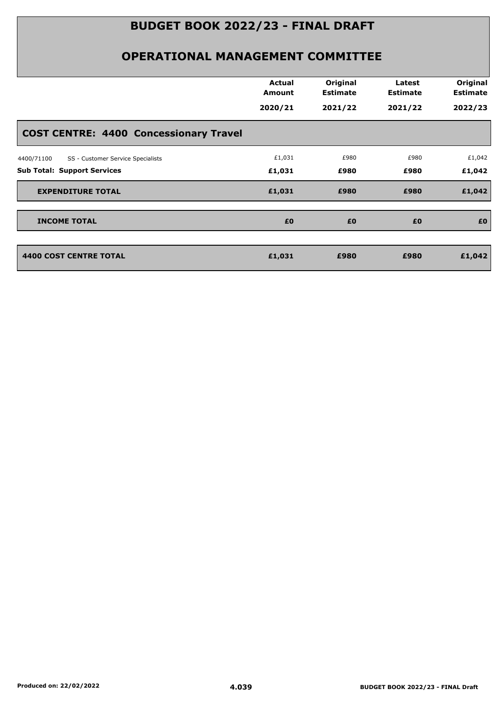|                                                 | <b>Actual</b><br>Amount | Original<br><b>Estimate</b> | Latest<br><b>Estimate</b> | Original<br><b>Estimate</b> |
|-------------------------------------------------|-------------------------|-----------------------------|---------------------------|-----------------------------|
|                                                 | 2020/21                 | 2021/22                     | 2021/22                   | 2022/23                     |
| <b>COST CENTRE: 4400 Concessionary Travel</b>   |                         |                             |                           |                             |
| SS - Customer Service Specialists<br>4400/71100 | £1,031                  | £980                        | £980                      | £1,042                      |
| <b>Sub Total: Support Services</b>              | £1,031                  | £980                        | £980                      | £1,042                      |
| <b>EXPENDITURE TOTAL</b>                        | £1,031                  | £980                        | £980                      | £1,042                      |
| <b>INCOME TOTAL</b>                             | £0                      | £0                          | £0                        | £0                          |
| <b>4400 COST CENTRE TOTAL</b>                   | £1,031                  | £980                        | £980                      | £1,042                      |
|                                                 |                         |                             |                           |                             |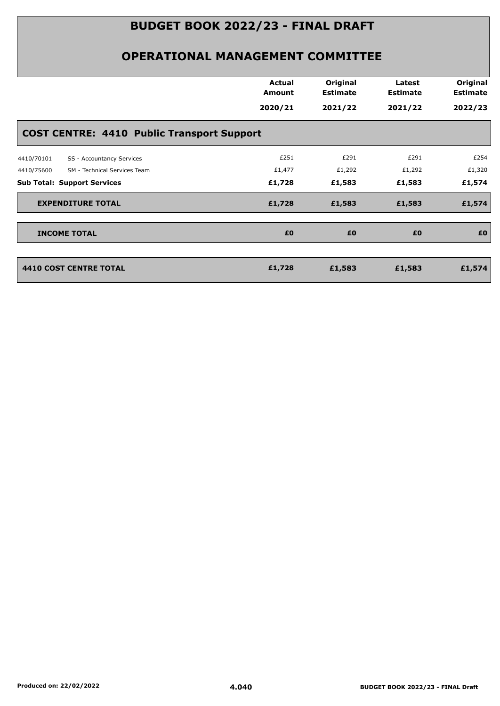|                                                   | <b>Actual</b><br>Amount | Original<br><b>Estimate</b> | Latest<br><b>Estimate</b> | Original<br><b>Estimate</b> |
|---------------------------------------------------|-------------------------|-----------------------------|---------------------------|-----------------------------|
|                                                   | 2020/21                 | 2021/22                     | 2021/22                   | 2022/23                     |
| <b>COST CENTRE: 4410 Public Transport Support</b> |                         |                             |                           |                             |
| 4410/70101<br>SS - Accountancy Services           | £251                    | £291                        | £291                      | £254                        |
| 4410/75600<br>SM - Technical Services Team        | £1,477                  | £1,292                      | £1,292                    | £1,320                      |
| <b>Sub Total: Support Services</b>                | £1,728                  | £1,583                      | £1,583                    | £1,574                      |
| <b>EXPENDITURE TOTAL</b>                          | £1,728                  | £1,583                      | £1,583                    | £1,574                      |
| <b>INCOME TOTAL</b>                               | £0                      | £0                          | £0                        | £0                          |
|                                                   |                         |                             |                           |                             |
| <b>4410 COST CENTRE TOTAL</b>                     | £1,728                  | £1,583                      | £1,583                    | £1,574                      |
|                                                   |                         |                             |                           |                             |
|                                                   |                         |                             |                           |                             |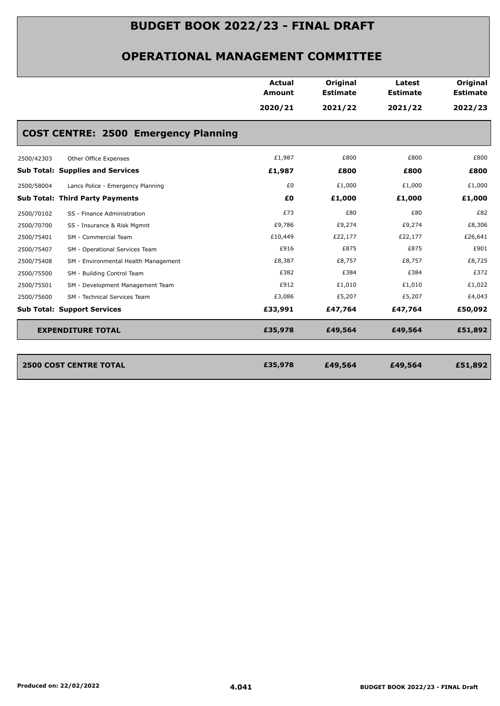|            |                                             | Actual  | Original        | Latest          | Original        |
|------------|---------------------------------------------|---------|-----------------|-----------------|-----------------|
|            |                                             | Amount  | <b>Estimate</b> | <b>Estimate</b> | <b>Estimate</b> |
|            |                                             | 2020/21 | 2021/22         | 2021/22         | 2022/23         |
|            | <b>COST CENTRE: 2500 Emergency Planning</b> |         |                 |                 |                 |
| 2500/42303 | Other Office Expenses                       | £1,987  | £800            | £800            | £800            |
|            | <b>Sub Total: Supplies and Services</b>     | £1,987  | £800            | £800            | £800            |
| 2500/58004 | Lancs Police - Emergency Planning           | £0      | £1,000          | £1,000          | £1,000          |
|            | <b>Sub Total: Third Party Payments</b>      | £0      | £1,000          | £1,000          | £1,000          |
| 2500/70102 | SS - Finance Administration                 | £73     | £80             | £80             | £82             |
| 2500/70700 | SS - Insurance & Risk Mgmnt                 | £9,786  | £9,274          | £9,274          | £8,306          |
| 2500/75401 | SM - Commercial Team                        | £10,449 | £22,177         | £22,177         | £26,641         |
| 2500/75407 | SM - Operational Services Team              | £916    | £875            | £875            | £901            |
| 2500/75408 | SM - Environmental Health Management        | £8,387  | £8,757          | £8,757          | £8,725          |
| 2500/75500 | SM - Building Control Team                  | £382    | £384            | £384            | £372            |
| 2500/75501 | SM - Development Management Team            | £912    | £1,010          | £1,010          | £1,022          |
| 2500/75600 | SM - Technical Services Team                | £3,086  | £5,207          | £5,207          | £4,043          |
|            | <b>Sub Total: Support Services</b>          | £33,991 | £47,764         | £47,764         | £50,092         |
|            | <b>EXPENDITURE TOTAL</b>                    | £35,978 | £49,564         | £49,564         | £51,892         |
|            |                                             |         |                 |                 |                 |
|            | <b>2500 COST CENTRE TOTAL</b>               | £35,978 | £49,564         | £49,564         | £51,892         |
|            |                                             |         |                 |                 |                 |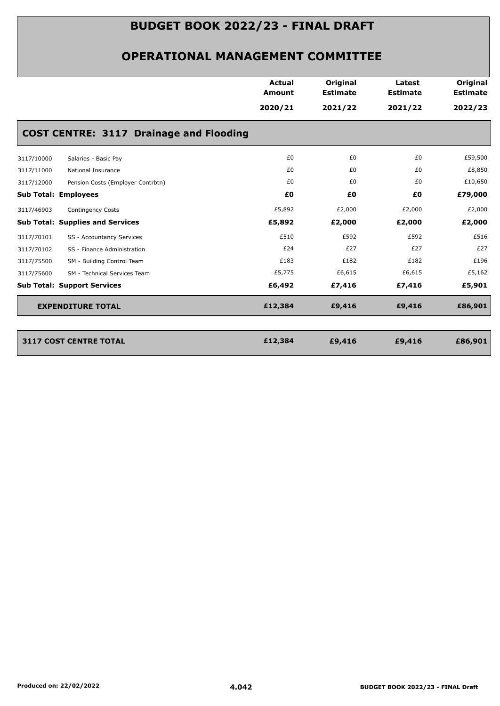|            |                                                | <b>Actual</b><br>Amount | Original<br><b>Estimate</b> | Latest<br><b>Estimate</b> | Original<br><b>Estimate</b> |
|------------|------------------------------------------------|-------------------------|-----------------------------|---------------------------|-----------------------------|
|            |                                                | 2020/21                 | 2021/22                     | 2021/22                   | 2022/23                     |
|            | <b>COST CENTRE: 3117 Drainage and Flooding</b> |                         |                             |                           |                             |
| 3117/10000 | Salaries - Basic Pay                           | £0                      | £0                          | £0                        | £59,500                     |
| 3117/11000 | National Insurance                             | £0                      | £0                          | £0                        | £8,850                      |
| 3117/12000 | Pension Costs (Employer Contrbtn)              | £0                      | £0                          | £0                        | £10,650                     |
|            | <b>Sub Total: Employees</b>                    | £0                      | £0                          | £0                        | £79,000                     |
| 3117/46903 | Contingency Costs                              | £5,892                  | £2,000                      | £2,000                    | £2,000                      |
|            | <b>Sub Total: Supplies and Services</b>        | £5,892                  | £2,000                      | £2,000                    | £2,000                      |
| 3117/70101 | SS - Accountancy Services                      | £510                    | £592                        | £592                      | £516                        |
| 3117/70102 | SS - Finance Administration                    | £24                     | £27                         | £27                       | £27                         |
| 3117/75500 | SM - Building Control Team                     | £183                    | £182                        | £182                      | £196                        |
| 3117/75600 | SM - Technical Services Team                   | £5,775                  | £6,615                      | £6,615                    | £5,162                      |
|            | <b>Sub Total: Support Services</b>             | £6,492                  | £7,416                      | £7,416                    | £5,901                      |
|            | <b>EXPENDITURE TOTAL</b>                       | £12,384                 | £9,416                      | £9,416                    | £86,901                     |
|            |                                                |                         |                             |                           |                             |
|            | <b>3117 COST CENTRE TOTAL</b>                  | £12,384                 | £9,416                      | £9,416                    | £86,901                     |
|            |                                                |                         |                             |                           |                             |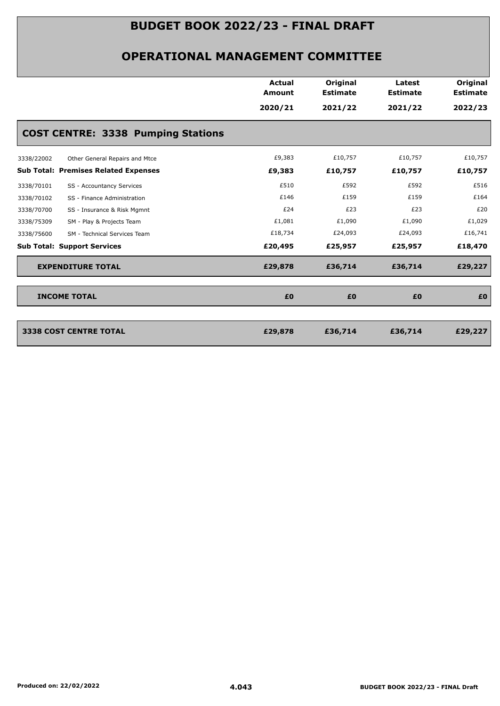|                                              | <b>Actual</b><br><b>Amount</b> | Original<br><b>Estimate</b> | Latest<br><b>Estimate</b> | Original<br><b>Estimate</b> |
|----------------------------------------------|--------------------------------|-----------------------------|---------------------------|-----------------------------|
|                                              | 2020/21                        | 2021/22                     | 2021/22                   | 2022/23                     |
| <b>COST CENTRE: 3338 Pumping Stations</b>    |                                |                             |                           |                             |
| Other General Repairs and Mtce<br>3338/22002 | £9,383                         | £10,757                     | £10,757                   | £10,757                     |
| <b>Sub Total: Premises Related Expenses</b>  | £9,383                         | £10,757                     | £10,757                   | £10,757                     |
| 3338/70101<br>SS - Accountancy Services      | £510                           | £592                        | £592                      | £516                        |
| 3338/70102<br>SS - Finance Administration    | £146                           | £159                        | £159                      | £164                        |
| 3338/70700<br>SS - Insurance & Risk Mgmnt    | £24                            | £23                         | £23                       | £20                         |
| 3338/75309<br>SM - Play & Projects Team      | £1,081                         | £1,090                      | £1,090                    | £1,029                      |
| 3338/75600<br>SM - Technical Services Team   | £18,734                        | £24,093                     | £24,093                   | £16,741                     |
| <b>Sub Total: Support Services</b>           | £20,495                        | £25,957                     | £25,957                   | £18,470                     |
| <b>EXPENDITURE TOTAL</b>                     | £29,878                        | £36,714                     | £36,714                   | £29,227                     |
| <b>INCOME TOTAL</b>                          | £0                             | £0                          | £0                        | £0                          |
|                                              |                                |                             |                           |                             |
| <b>3338 COST CENTRE TOTAL</b>                | £29,878                        | £36,714                     | £36,714                   | £29,227                     |
|                                              |                                |                             |                           |                             |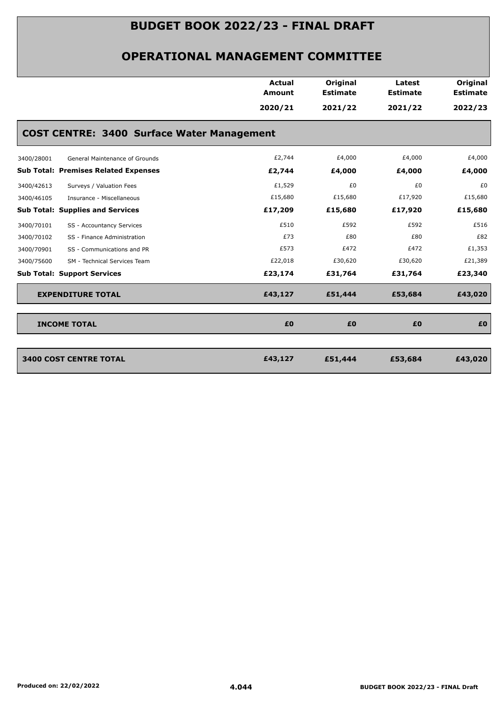|                                                   | <b>Actual</b><br><b>Amount</b> | Original<br><b>Estimate</b> | Latest<br><b>Estimate</b> | Original<br><b>Estimate</b> |
|---------------------------------------------------|--------------------------------|-----------------------------|---------------------------|-----------------------------|
|                                                   | 2020/21                        | 2021/22                     | 2021/22                   | 2022/23                     |
| <b>COST CENTRE: 3400 Surface Water Management</b> |                                |                             |                           |                             |
| General Maintenance of Grounds<br>3400/28001      | £2,744                         | £4,000                      | £4,000                    | £4,000                      |
| <b>Sub Total: Premises Related Expenses</b>       | £2,744                         | £4,000                      | £4,000                    | £4,000                      |
| Surveys / Valuation Fees<br>3400/42613            | £1,529                         | £0                          | £0                        | £0                          |
| 3400/46105<br>Insurance - Miscellaneous           | £15,680                        | £15,680                     | £17,920                   | £15,680                     |
| <b>Sub Total: Supplies and Services</b>           | £17,209                        | £15,680                     | £17,920                   | £15,680                     |
| 3400/70101<br>SS - Accountancy Services           | £510                           | £592                        | £592                      | £516                        |
| 3400/70102<br>SS - Finance Administration         | £73                            | £80                         | £80                       | £82                         |
| 3400/70901<br>SS - Communications and PR          | £573                           | £472                        | £472                      | £1,353                      |
| SM - Technical Services Team<br>3400/75600        | £22,018                        | £30,620                     | £30,620                   | £21,389                     |
| <b>Sub Total: Support Services</b>                | £23,174                        | £31,764                     | £31,764                   | £23,340                     |
| <b>EXPENDITURE TOTAL</b>                          | £43,127                        | £51,444                     | £53,684                   | £43,020                     |
| <b>INCOME TOTAL</b>                               | £0                             | £0                          | £0                        | £0                          |
| <b>3400 COST CENTRE TOTAL</b>                     | £43,127                        | £51,444                     | £53,684                   | £43,020                     |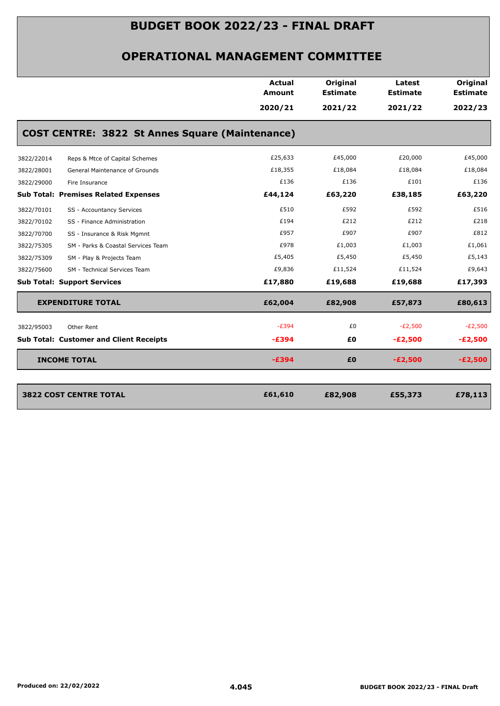|            |                                                        | <b>Actual</b> | Original        | Latest          | Original        |
|------------|--------------------------------------------------------|---------------|-----------------|-----------------|-----------------|
|            |                                                        | <b>Amount</b> | <b>Estimate</b> | <b>Estimate</b> | <b>Estimate</b> |
|            |                                                        | 2020/21       | 2021/22         | 2021/22         | 2022/23         |
|            | <b>COST CENTRE: 3822 St Annes Square (Maintenance)</b> |               |                 |                 |                 |
| 3822/22014 | Reps & Mtce of Capital Schemes                         | £25,633       | £45,000         | £20,000         | £45,000         |
| 3822/28001 | General Maintenance of Grounds                         | £18,355       | £18,084         | £18,084         | £18,084         |
| 3822/29000 | Fire Insurance                                         | £136          | £136            | £101            | £136            |
|            | <b>Sub Total: Premises Related Expenses</b>            | £44,124       | £63,220         | £38,185         | £63,220         |
| 3822/70101 | SS - Accountancy Services                              | £510          | £592            | £592            | £516            |
| 3822/70102 | SS - Finance Administration                            | £194          | £212            | £212            | £218            |
| 3822/70700 | SS - Insurance & Risk Mgmnt                            | £957          | £907            | £907            | £812            |
| 3822/75305 | SM - Parks & Coastal Services Team                     | £978          | £1,003          | £1,003          | £1,061          |
| 3822/75309 | SM - Play & Projects Team                              | £5,405        | £5,450          | £5,450          | £5,143          |
| 3822/75600 | SM - Technical Services Team                           | £9,836        | £11,524         | £11,524         | £9,643          |
|            | <b>Sub Total: Support Services</b>                     | £17,880       | £19,688         | £19,688         | £17,393         |
|            | <b>EXPENDITURE TOTAL</b>                               | £62,004       | £82,908         | £57,873         | £80,613         |
| 3822/95003 | Other Rent                                             | $-E394$       | £0              | $-E2,500$       | $-E2,500$       |
|            | <b>Sub Total: Customer and Client Receipts</b>         | $-£394$       | £0              | $-E2,500$       | $-E2,500$       |
|            | <b>INCOME TOTAL</b>                                    | $-£394$       | £0              | $-E2,500$       | $-E2,500$       |
|            |                                                        |               |                 |                 |                 |
|            | <b>3822 COST CENTRE TOTAL</b>                          | £61,610       | £82,908         | £55,373         | £78,113         |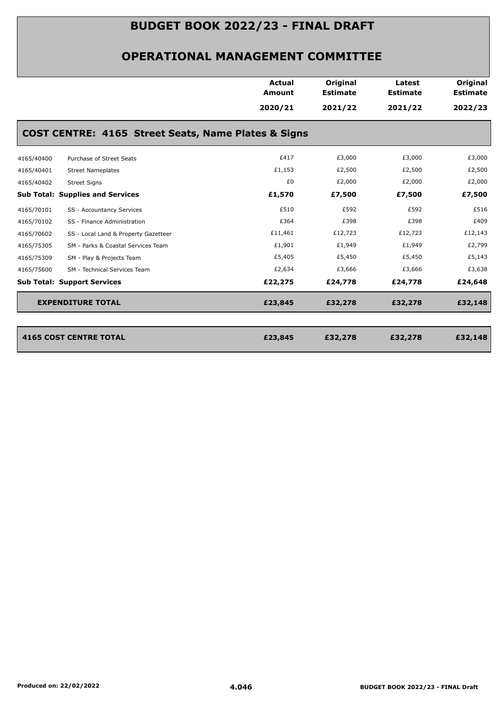|            |                                                     | <b>Actual</b><br>Amount | Original<br><b>Estimate</b> | Latest<br><b>Estimate</b> | Original<br><b>Estimate</b> |
|------------|-----------------------------------------------------|-------------------------|-----------------------------|---------------------------|-----------------------------|
|            |                                                     | 2020/21                 | 2021/22                     | 2021/22                   | 2022/23                     |
|            | COST CENTRE: 4165 Street Seats, Name Plates & Signs |                         |                             |                           |                             |
| 4165/40400 | Purchase of Street Seats                            | £417                    | £3,000                      | £3,000                    | £3,000                      |
| 4165/40401 | <b>Street Nameplates</b>                            | £1,153                  | £2,500                      | £2,500                    | £2,500                      |
| 4165/40402 | <b>Street Signs</b>                                 | £0                      | £2,000                      | £2,000                    | £2,000                      |
|            | <b>Sub Total: Supplies and Services</b>             | £1,570                  | £7,500                      | £7,500                    | £7,500                      |
| 4165/70101 | SS - Accountancy Services                           | £510                    | £592                        | £592                      | £516                        |
| 4165/70102 | SS - Finance Administration                         | £364                    | £398                        | £398                      | £409                        |
| 4165/70602 | SS - Local Land & Property Gazetteer                | £11,461                 | £12,723                     | £12,723                   | £12,143                     |
| 4165/75305 | SM - Parks & Coastal Services Team                  | £1,901                  | £1,949                      | £1,949                    | £2,799                      |
| 4165/75309 | SM - Play & Projects Team                           | £5,405                  | £5,450                      | £5,450                    | £5,143                      |
| 4165/75600 | SM - Technical Services Team                        | £2,634                  | £3,666                      | £3,666                    | £3,638                      |
|            | <b>Sub Total: Support Services</b>                  | £22,275                 | £24,778                     | £24,778                   | £24,648                     |
|            | <b>EXPENDITURE TOTAL</b>                            | £23,845                 | £32,278                     | £32,278                   | £32,148                     |
|            |                                                     |                         |                             |                           |                             |
|            | <b>4165 COST CENTRE TOTAL</b>                       | £23,845                 | £32,278                     | £32,278                   | £32,148                     |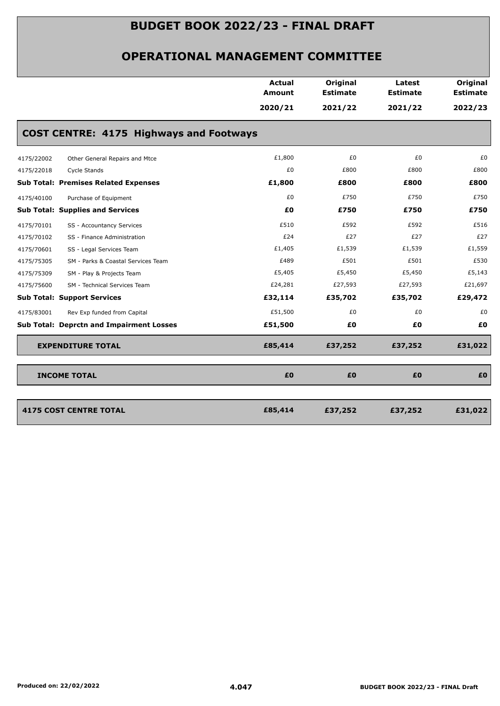|                                    |                                                 | <b>Actual</b><br><b>Amount</b> | Original<br><b>Estimate</b> | Latest<br><b>Estimate</b> | Original<br><b>Estimate</b> |
|------------------------------------|-------------------------------------------------|--------------------------------|-----------------------------|---------------------------|-----------------------------|
|                                    |                                                 | 2020/21                        | 2021/22                     | 2021/22                   | 2022/23                     |
|                                    | <b>COST CENTRE: 4175 Highways and Footways</b>  |                                |                             |                           |                             |
| 4175/22002                         | Other General Repairs and Mtce                  | £1,800                         | £0                          | £0                        | £0                          |
| 4175/22018                         | Cycle Stands                                    | £0                             | £800                        | £800                      | £800                        |
|                                    | <b>Sub Total: Premises Related Expenses</b>     | £1,800                         | £800                        | £800                      | £800                        |
| 4175/40100                         | Purchase of Equipment                           | £0                             | £750                        | £750                      | £750                        |
|                                    | <b>Sub Total: Supplies and Services</b>         | £0                             | £750                        | £750                      | £750                        |
| 4175/70101                         | SS - Accountancy Services                       | £510                           | £592                        | £592                      | £516                        |
| 4175/70102                         | SS - Finance Administration                     | £24                            | £27                         | £27                       | £27                         |
| 4175/70601                         | SS - Legal Services Team                        | £1,405                         | £1,539                      | £1,539                    | £1,559                      |
| 4175/75305                         | SM - Parks & Coastal Services Team              | £489                           | £501                        | £501                      | £530                        |
| 4175/75309                         | SM - Play & Projects Team                       | £5,405                         | £5,450                      | £5,450                    | £5,143                      |
| 4175/75600                         | SM - Technical Services Team                    | £24,281                        | £27,593                     | £27,593                   | £21,697                     |
| <b>Sub Total: Support Services</b> |                                                 | £32,114                        | £35,702                     | £35,702                   | £29,472                     |
| 4175/83001                         | Rev Exp funded from Capital                     | £51,500                        | £0                          | £0                        | £0                          |
|                                    | <b>Sub Total: Deprctn and Impairment Losses</b> | £51,500                        | £0                          | £0                        | £0                          |
|                                    | <b>EXPENDITURE TOTAL</b>                        | £85,414                        | £37,252                     | £37,252                   | £31,022                     |
| <b>INCOME TOTAL</b>                |                                                 | £0                             | £0                          | £0                        | £0                          |
|                                    |                                                 |                                |                             |                           |                             |
|                                    | <b>4175 COST CENTRE TOTAL</b>                   | £85,414                        | £37,252                     | £37,252                   | £31,022                     |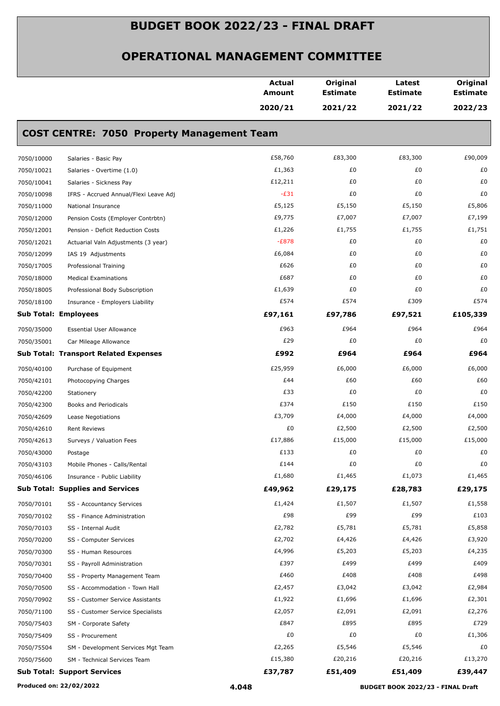|            |                                                   | <b>Actual</b><br><b>Amount</b> | Original<br><b>Estimate</b> | Latest<br><b>Estimate</b> | Original<br><b>Estimate</b> |
|------------|---------------------------------------------------|--------------------------------|-----------------------------|---------------------------|-----------------------------|
|            |                                                   | 2020/21                        | 2021/22                     | 2021/22                   | 2022/23                     |
|            | <b>COST CENTRE: 7050 Property Management Team</b> |                                |                             |                           |                             |
| 7050/10000 | Salaries - Basic Pay                              | £58,760                        | £83,300                     | £83,300                   | £90,009                     |
| 7050/10021 | Salaries - Overtime (1.0)                         | £1,363                         | £0                          | £0                        | £0                          |
| 7050/10041 | Salaries - Sickness Pay                           | £12,211                        | £0                          | £0                        | £0                          |
| 7050/10098 | IFRS - Accrued Annual/Flexi Leave Adj             | $-E31$                         | £0                          | £0                        | £0                          |
| 7050/11000 | National Insurance                                | £5,125                         | £5,150                      | £5,150                    | £5,806                      |
| 7050/12000 | Pension Costs (Employer Contrbtn)                 | £9,775                         | £7,007                      | £7,007                    | £7,199                      |
| 7050/12001 | Pension - Deficit Reduction Costs                 | £1,226                         | £1,755                      | £1,755                    | £1,751                      |
| 7050/12021 | Actuarial Valn Adjustments (3 year)               | $-E878$                        | £0                          | £0                        | £0                          |
| 7050/12099 | IAS 19 Adjustments                                | £6,084                         | £0                          | £0                        | £0                          |
| 7050/17005 | Professional Training                             | £626                           | £0                          | £0                        | £0                          |
| 7050/18000 | <b>Medical Examinations</b>                       | £687                           | £0                          | £0                        | £0                          |
| 7050/18005 | Professional Body Subscription                    | £1,639                         | £0                          | £0                        | £0                          |
| 7050/18100 | Insurance - Employers Liability                   | £574                           | £574                        | £309                      | £574                        |
|            | <b>Sub Total: Employees</b>                       | £97,161                        | £97,786                     | £97,521                   | £105,339                    |
| 7050/35000 | <b>Essential User Allowance</b>                   | £963                           | £964                        | £964                      | £964                        |
| 7050/35001 | Car Mileage Allowance                             | £29                            | £0                          | £0                        | £0                          |
|            | <b>Sub Total: Transport Related Expenses</b>      | £992                           | £964                        | £964                      | £964                        |
| 7050/40100 | Purchase of Equipment                             | £25,959                        | £6,000                      | £6,000                    | £6,000                      |
| 7050/42101 | Photocopying Charges                              | £44                            | £60                         | £60                       | £60                         |
| 7050/42200 | Stationery                                        | £33                            | £0                          | £0                        | £0                          |
| 7050/42300 | Books and Periodicals                             | £374                           | £150                        | £150                      | £150                        |
| 7050/42609 | Lease Negotiations                                | £3,709                         | £4,000                      | £4,000                    | £4,000                      |
| 7050/42610 | <b>Rent Reviews</b>                               | £0                             | £2,500                      | £2,500                    | £2,500                      |
| 7050/42613 | Surveys / Valuation Fees                          | £17,886                        | £15,000                     | £15,000                   | £15,000                     |
| 7050/43000 | Postage                                           | £133                           | £0                          | £0                        | £0                          |
| 7050/43103 | Mobile Phones - Calls/Rental                      | £144                           | £0                          | £0                        | £0                          |
| 7050/46106 | Insurance - Public Liability                      | £1,680                         | £1,465                      | £1,073                    | £1,465                      |
|            | <b>Sub Total: Supplies and Services</b>           | £49,962                        | £29,175                     | £28,783                   | £29,175                     |
| 7050/70101 | SS - Accountancy Services                         | £1,424                         | £1,507                      | £1,507                    | £1,558                      |
| 7050/70102 | SS - Finance Administration                       | £98                            | £99                         | £99                       | £103                        |
| 7050/70103 | SS - Internal Audit                               | £2,782                         | £5,781                      | £5,781                    | £5,858                      |
| 7050/70200 | SS - Computer Services                            | £2,702                         | £4,426                      | £4,426                    | £3,920                      |
| 7050/70300 | SS - Human Resources                              | £4,996                         | £5,203                      | £5,203                    | £4,235                      |
| 7050/70301 | SS - Payroll Administration                       | £397                           | £499                        | £499                      | £409                        |
| 7050/70400 | SS - Property Management Team                     | £460                           | £408                        | £408                      | £498                        |
| 7050/70500 | SS - Accommodation - Town Hall                    | £2,457                         | £3,042                      | £3,042                    | £2,984                      |
| 7050/70902 | SS - Customer Service Assistants                  | £1,922                         | £1,696                      | £1,696                    | £2,301                      |
| 7050/71100 | SS - Customer Service Specialists                 | £2,057                         | £2,091                      | £2,091                    | £2,276                      |
| 7050/75403 | SM - Corporate Safety                             | £847                           | £895                        | £895                      | £729                        |
| 7050/75409 | SS - Procurement                                  | £0                             | £0                          | £0                        | £1,306                      |
| 7050/75504 | SM - Development Services Mgt Team                | £2,265                         | £5,546                      | £5,546                    | £0                          |
| 7050/75600 | SM - Technical Services Team                      | £15,380                        | £20,216                     | £20,216                   | £13,270                     |
|            | <b>Sub Total: Support Services</b>                | £37,787                        | £51,409                     | £51,409                   | £39,447                     |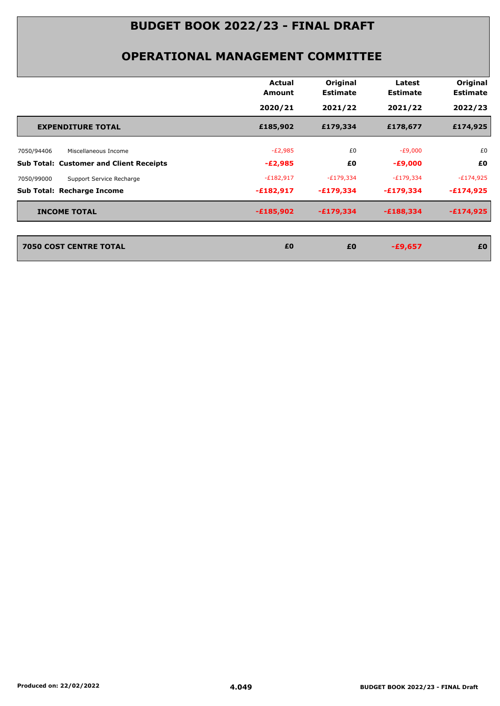|                                                | Actual<br><b>Amount</b> | Original<br><b>Estimate</b> | Latest<br><b>Estimate</b> | Original<br><b>Estimate</b> |
|------------------------------------------------|-------------------------|-----------------------------|---------------------------|-----------------------------|
|                                                | 2020/21                 | 2021/22                     | 2021/22                   | 2022/23                     |
| <b>EXPENDITURE TOTAL</b>                       | £185,902                | £179,334                    | £178,677                  | £174,925                    |
| Miscellaneous Income<br>7050/94406             | $-E2,985$               | £0                          | $-E9,000$                 | £0                          |
| <b>Sub Total: Customer and Client Receipts</b> | $-E2,985$               | £0                          | $-£9,000$                 | £0                          |
| 7050/99000<br>Support Service Recharge         | $-E182,917$             | $-E179,334$                 | $-E179,334$               | $-E174,925$                 |
| Sub Total: Recharge Income                     | $-£182,917$             | $-£179,334$                 | $-£179,334$               | $-£174,925$                 |
| <b>INCOME TOTAL</b>                            | $-£185,902$             | $-£179,334$                 | $-£188,334$               | $-£174,925$                 |
| <b>7050 COST CENTRE TOTAL</b>                  | £0                      | £0                          | $-£9,657$                 | £0                          |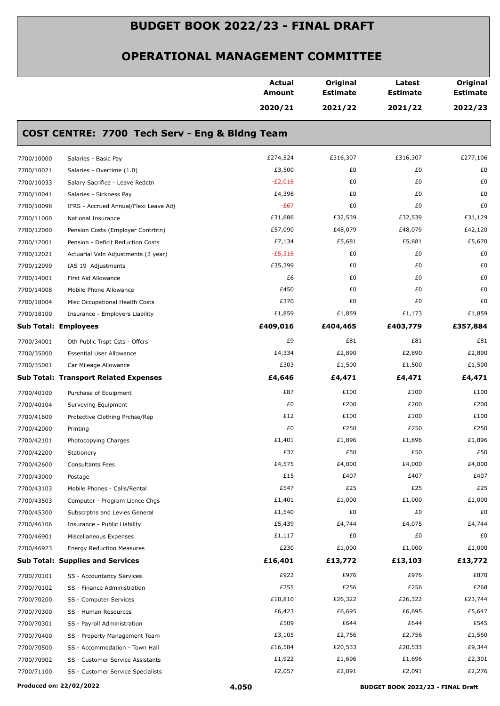|                             |                                                | <b>Actual</b><br>Amount | Original<br><b>Estimate</b> | Latest<br><b>Estimate</b> | Original<br><b>Estimate</b> |
|-----------------------------|------------------------------------------------|-------------------------|-----------------------------|---------------------------|-----------------------------|
|                             |                                                | 2020/21                 | 2021/22                     | 2021/22                   | 2022/23                     |
|                             | COST CENTRE: 7700 Tech Serv - Eng & Bldng Team |                         |                             |                           |                             |
| 7700/10000                  | Salaries - Basic Pay                           | £274,524                | £316,307                    | £316,307                  | £277,106                    |
| 7700/10021                  | Salaries - Overtime (1.0)                      | £3,500                  | £0                          | £0                        | £0                          |
| 7700/10033                  | Salary Sacrifice - Leave Redctn                | $-E2,016$               | £0                          | £0                        | £0                          |
| 7700/10041                  | Salaries - Sickness Pay                        | £4,398                  | £0                          | £0                        | £0                          |
| 7700/10098                  | IFRS - Accrued Annual/Flexi Leave Adj          | $-E67$                  | £0                          | £0                        | £0                          |
| 7700/11000                  | National Insurance                             | £31,686                 | £32,539                     | £32,539                   | £31,129                     |
| 7700/12000                  | Pension Costs (Employer Contrbtn)              | £57,090                 | £48,079                     | £48,079                   | £42,120                     |
| 7700/12001                  | Pension - Deficit Reduction Costs              | £7,134                  | £5,681                      | £5,681                    | £5,670                      |
| 7700/12021                  | Actuarial Valn Adjustments (3 year)            | $-£5,316$               | £0                          | £0                        | £0                          |
| 7700/12099                  | IAS 19 Adjustments                             | £35,399                 | £0                          | £0                        | £0                          |
| 7700/14001                  | First Aid Allowance                            | £6                      | £0                          | £0                        | £0                          |
| 7700/14008                  | Mobile Phone Allowance                         | £450                    | £0                          | £0                        | £0                          |
| 7700/18004                  | Misc Occupational Health Costs                 | £370                    | £0                          | £0                        | £0                          |
| 7700/18100                  | Insurance - Employers Liability                | £1,859                  | £1,859                      | £1,173                    | £1,859                      |
| <b>Sub Total: Employees</b> |                                                | £409,016                | £404,465                    | £403,779                  | £357,884                    |
| 7700/34001                  | Oth Public Trspt Csts - Offcrs                 | £9                      | £81                         | £81                       | £81                         |
| 7700/35000                  | <b>Essential User Allowance</b>                | £4,334                  | £2,890                      | £2,890                    | £2,890                      |
| 7700/35001                  | Car Mileage Allowance                          | £303                    | £1,500                      | £1,500                    | £1,500                      |
|                             | <b>Sub Total: Transport Related Expenses</b>   | £4,646                  | £4,471                      | £4,471                    | £4,471                      |
|                             |                                                | £87                     | £100                        | £100                      | £100                        |
| 7700/40100                  | Purchase of Equipment                          | £0                      | £200                        | £200                      | £200                        |
| 7700/40104                  | Surveying Equipment                            |                         | £100                        |                           |                             |
| 7700/41600                  | Protective Clothing Prchse/Rep                 | £12                     |                             | £100                      | £100                        |
| 7700/42000                  | Printing                                       | £0                      | £250                        | £250                      | £250                        |
| 7700/42101                  | Photocopying Charges                           | £1,401                  | £1,896                      | £1,896                    | £1,896                      |
| 7700/42200                  | Stationery                                     | £37                     | £50                         | £50                       | £50                         |
| 7700/42600                  | <b>Consultants Fees</b>                        | £4,575                  | £4,000                      | £4,000                    | £4,000                      |
| 7700/43000                  | Postage                                        | £15                     | £407                        | £407                      | £407                        |
| 7700/43103                  | Mobile Phones - Calls/Rental                   | £547                    | £25                         | £25                       | £25                         |
| 7700/43503                  | Computer - Program Licnce Chgs                 | £1,401                  | £1,000                      | £1,000                    | £1,000                      |
| 7700/45300                  | Subscrptns and Levies General                  | £1,540<br>£5,439        | £0<br>£4,744                | £0                        | £0<br>£4,744                |
| 7700/46106                  | Insurance - Public Liability                   |                         | £0                          | £4,075                    |                             |
| 7700/46901                  | Miscellaneous Expenses                         | £1,117                  |                             | £0                        | £0                          |
| 7700/46923                  | <b>Energy Reduction Measures</b>               | £230                    | £1,000                      | £1,000                    | £1,000                      |
|                             | <b>Sub Total: Supplies and Services</b>        | £16,401                 | £13,772                     | £13,103                   | £13,772                     |
| 7700/70101                  | SS - Accountancy Services                      | £922                    | £976                        | £976                      | £870                        |
| 7700/70102                  | SS - Finance Administration                    | £255                    | £256                        | £256                      | £268                        |
| 7700/70200                  | SS - Computer Services                         | £10,810                 | £26,322                     | £26,322                   | £23,744                     |
| 7700/70300                  | SS - Human Resources                           | £6,423                  | £6,695                      | £6,695                    | £5,647                      |
| 7700/70301                  | SS - Payroll Administration                    | £509                    | £644                        | £644                      | £545                        |
| 7700/70400                  | SS - Property Management Team                  | £3,105                  | £2,756                      | £2,756                    | £1,560                      |
| 7700/70500                  | SS - Accommodation - Town Hall                 | £16,584                 | £20,533                     | £20,533                   | £9,344                      |
| 7700/70902                  | SS - Customer Service Assistants               | £1,922                  | £1,696                      | £1,696                    | £2,301                      |
| 7700/71100                  | SS - Customer Service Specialists              | £2,057                  | £2,091                      | £2,091                    | £2,276                      |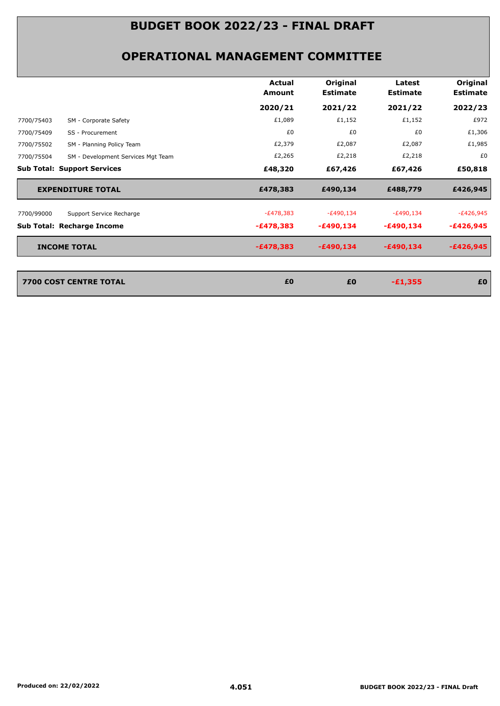|                                                  | Actual<br>Amount | Original<br><b>Estimate</b> | Latest<br><b>Estimate</b> | Original<br><b>Estimate</b> |
|--------------------------------------------------|------------------|-----------------------------|---------------------------|-----------------------------|
|                                                  | 2020/21          | 2021/22                     | 2021/22                   | 2022/23                     |
| SM - Corporate Safety<br>7700/75403              | £1,089           | £1,152                      | £1,152                    | £972                        |
| 7700/75409<br>SS - Procurement                   | £0               | £0                          | £0                        | £1,306                      |
| 7700/75502<br>SM - Planning Policy Team          | £2,379           | £2,087                      | £2,087                    | £1,985                      |
| 7700/75504<br>SM - Development Services Mgt Team | £2,265           | £2,218                      | £2,218                    | £0                          |
| <b>Sub Total: Support Services</b>               | £48,320          | £67,426                     | £67,426                   | £50,818                     |
| <b>EXPENDITURE TOTAL</b>                         | £478,383         | £490,134                    | £488,779                  | £426,945                    |
| 7700/99000<br>Support Service Recharge           | $-E478,383$      | $-E490,134$                 | $-E490,134$               | $-E426,945$                 |
| Sub Total: Recharge Income                       | $-£478,383$      | $-£490,134$                 | $-£490,134$               | $-£426,945$                 |
| <b>INCOME TOTAL</b>                              | $-£478,383$      | $-£490,134$                 | $-£490,134$               | $-£426,945$                 |
|                                                  |                  |                             |                           |                             |
| 7700 COST CENTRE TOTAL                           | £0               | £0                          | $-£1,355$                 | £0                          |
|                                                  |                  |                             |                           |                             |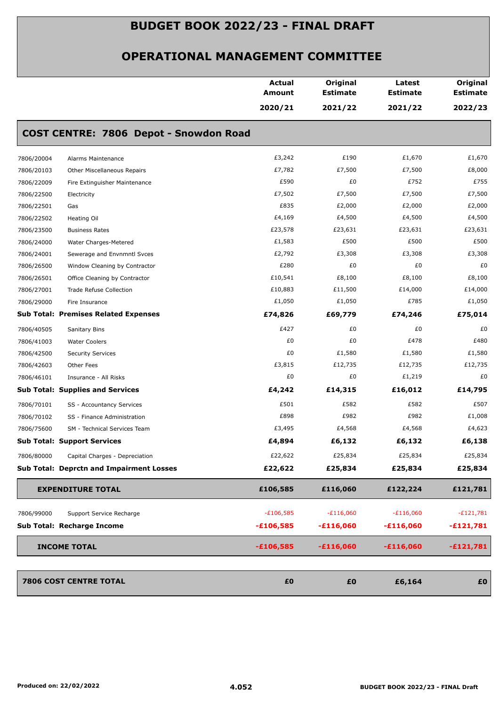|            |                                                 | <b>Actual</b><br>Amount | Original<br><b>Estimate</b> | Latest<br><b>Estimate</b> | Original<br><b>Estimate</b> |
|------------|-------------------------------------------------|-------------------------|-----------------------------|---------------------------|-----------------------------|
|            |                                                 | 2020/21                 | 2021/22                     | 2021/22                   | 2022/23                     |
|            | COST CENTRE: 7806 Depot - Snowdon Road          |                         |                             |                           |                             |
| 7806/20004 | Alarms Maintenance                              | £3,242                  | £190                        | £1,670                    | £1,670                      |
| 7806/20103 | Other Miscellaneous Repairs                     | £7,782                  | £7,500                      | £7,500                    | £8,000                      |
| 7806/22009 | Fire Extinguisher Maintenance                   | £590                    | £0                          | £752                      | £755                        |
| 7806/22500 | Electricity                                     | £7,502                  | £7,500                      | £7,500                    | £7,500                      |
| 7806/22501 | Gas                                             | £835                    | £2,000                      | £2,000                    | £2,000                      |
| 7806/22502 | Heating Oil                                     | £4,169                  | £4,500                      | £4,500                    | £4,500                      |
| 7806/23500 | <b>Business Rates</b>                           | £23,578                 | £23,631                     | £23,631                   | £23,631                     |
| 7806/24000 | Water Charges-Metered                           | £1,583                  | £500                        | £500                      | £500                        |
| 7806/24001 | Sewerage and Envnmntl Svces                     | £2,792                  | £3,308                      | £3,308                    | £3,308                      |
| 7806/26500 | Window Cleaning by Contractor                   | £280                    | £0                          | £0                        | £0                          |
| 7806/26501 | Office Cleaning by Contractor                   | £10,541                 | £8,100                      | £8,100                    | £8,100                      |
| 7806/27001 | <b>Trade Refuse Collection</b>                  | £10,883                 | £11,500                     | £14,000                   | £14,000                     |
| 7806/29000 | Fire Insurance                                  | £1,050                  | £1,050                      | £785                      | £1,050                      |
|            | <b>Sub Total: Premises Related Expenses</b>     | £74,826                 | £69,779                     | £74,246                   | £75,014                     |
| 7806/40505 | Sanitary Bins                                   | £427                    | £0                          | £0                        | £0                          |
| 7806/41003 | <b>Water Coolers</b>                            | £0                      | £0                          | £478                      | £480                        |
| 7806/42500 | <b>Security Services</b>                        | £0                      | £1,580                      | £1,580                    | £1,580                      |
| 7806/42603 | Other Fees                                      | £3,815                  | £12,735                     | £12,735                   | £12,735                     |
| 7806/46101 | Insurance - All Risks                           | £0                      | £0                          | £1,219                    | £0                          |
|            | <b>Sub Total: Supplies and Services</b>         | £4,242                  | £14,315                     | £16,012                   | £14,795                     |
| 7806/70101 | SS - Accountancy Services                       | £501                    | £582                        | £582                      | £507                        |
| 7806/70102 | SS - Finance Administration                     | £898                    | £982                        | £982                      | £1,008                      |
| 7806/75600 | SM - Technical Services Team                    | £3,495                  | £4,568                      | £4,568                    | £4,623                      |
|            | <b>Sub Total: Support Services</b>              | £4,894                  | £6,132                      | £6,132                    | £6,138                      |
| 7806/80000 | Capital Charges - Depreciation                  | £22,622                 | £25,834                     | £25,834                   | £25,834                     |
|            | <b>Sub Total: Deprctn and Impairment Losses</b> | £22,622                 | £25,834                     | £25,834                   | £25,834                     |
|            | <b>EXPENDITURE TOTAL</b>                        | £106,585                | £116,060                    | £122,224                  | £121,781                    |
| 7806/99000 | Support Service Recharge                        | $-E106,585$             | $-£116,060$                 | $-E116,060$               | $-E121,781$                 |
|            | Sub Total: Recharge Income                      | $-£106,585$             | $-£116,060$                 | $-£116,060$               | $-£121,781$                 |
|            | <b>INCOME TOTAL</b>                             | $-£106,585$             | $-£116,060$                 | $-£116,060$               | $-£121,781$                 |
|            | <b>7806 COST CENTRE TOTAL</b>                   | £0                      | £0                          | £6,164                    | £0                          |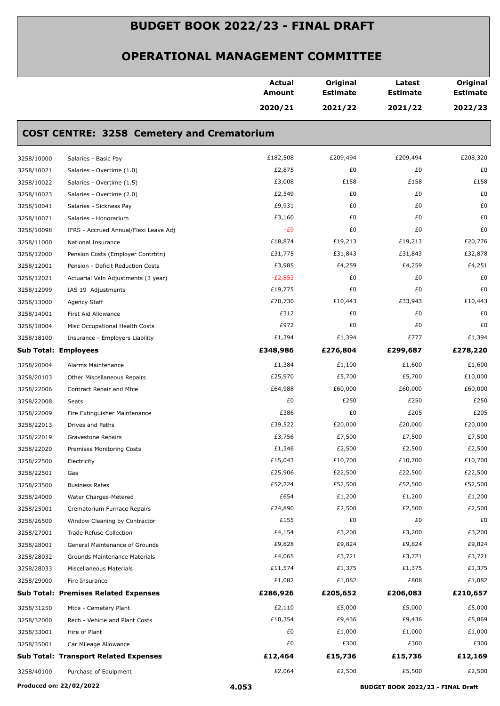|            |                                                   | <b>Actual</b><br><b>Amount</b> | Original<br><b>Estimate</b> | Latest<br><b>Estimate</b> | Original<br><b>Estimate</b> |
|------------|---------------------------------------------------|--------------------------------|-----------------------------|---------------------------|-----------------------------|
|            |                                                   | 2020/21                        | 2021/22                     | 2021/22                   | 2022/23                     |
|            | <b>COST CENTRE: 3258 Cemetery and Crematorium</b> |                                |                             |                           |                             |
| 3258/10000 | Salaries - Basic Pay                              | £182,508                       | £209,494                    | £209,494                  | £208,320                    |
| 3258/10021 | Salaries - Overtime (1.0)                         | £2,875                         | £0                          | £0                        | £0                          |
| 3258/10022 | Salaries - Overtime (1.5)                         | £3,008                         | £158                        | £158                      | £158                        |
| 3258/10023 | Salaries - Overtime (2.0)                         | £2,549                         | £0                          | £0                        | £0                          |
| 3258/10041 | Salaries - Sickness Pay                           | £9,931                         | £0                          | £0                        | £0                          |
| 3258/10071 | Salaries - Honorarium                             | £3,160                         | £0                          | £0                        | £0                          |
| 3258/10098 | IFRS - Accrued Annual/Flexi Leave Adj             | $-E9$                          | £0                          | £0                        | £0                          |
| 3258/11000 | National Insurance                                | £18,874                        | £19,213                     | £19,213                   | £20,776                     |
| 3258/12000 | Pension Costs (Employer Contrbtn)                 | £31,775                        | £31,843                     | £31,843                   | £32,878                     |
| 3258/12001 | Pension - Deficit Reduction Costs                 | £3,985                         | £4,259                      | £4,259                    | £4,251                      |
| 3258/12021 | Actuarial Valn Adjustments (3 year)               | $-E2,853$                      | £0                          | £0                        | £0                          |
| 3258/12099 | IAS 19 Adjustments                                | £19,775                        | £0                          | £0                        | £0                          |
| 3258/13000 | Agency Staff                                      | £70,730                        | £10,443                     | £33,943                   | £10,443                     |
| 3258/14001 | First Aid Allowance                               | £312                           | £0                          | £0                        | £0                          |
| 3258/18004 | Misc Occupational Health Costs                    | £972                           | £0                          | £0                        | £0                          |
| 3258/18100 | Insurance - Employers Liability                   | £1,394                         | £1,394                      | £777                      | £1,394                      |
|            | <b>Sub Total: Employees</b>                       | £348,986                       | £276,804                    | £299,687                  | £278,220                    |
| 3258/20004 | Alarms Maintenance                                | £1,384                         | £1,100                      | £1,600                    | £1,600                      |
| 3258/20103 | Other Miscellaneous Repairs                       | £25,970                        | £5,700                      | £5,700                    | £10,000                     |
| 3258/22006 | Contract Repair and Mtce                          | £64,988                        | £60,000                     | £60,000                   | £60,000                     |
| 3258/22008 | Seats                                             | £0                             | £250                        | £250                      | £250                        |
| 3258/22009 | Fire Extinguisher Maintenance                     | £386                           | £0                          | £205                      | £205                        |
| 3258/22013 | Drives and Paths                                  | £39,522                        | £20,000                     | £20,000                   | £20,000                     |
| 3258/22019 | Gravestone Repairs                                | £3,756                         | £7,500                      | £7,500                    | £7,500                      |
| 3258/22020 | Premises Monitoring Costs                         | £1,346                         | £2,500                      | £2,500                    | £2,500                      |
| 3258/22500 | Electricity                                       | £15,043                        | £10,700                     | £10,700                   | £10,700                     |
| 3258/22501 | Gas                                               | £25,906                        | £22,500                     | £22,500                   | £22,500                     |
| 3258/23500 | <b>Business Rates</b>                             | £52,224                        | £52,500                     | £52,500                   | £52,500                     |
| 3258/24000 | Water Charges-Metered                             | £654                           | £1,200                      | £1,200                    | £1,200                      |
| 3258/25001 | Crematorium Furnace Repairs                       | £24,890                        | £2,500                      | £2,500                    | £2,500                      |
| 3258/26500 | Window Cleaning by Contractor                     | £155                           | £0                          | £0                        | £0                          |
| 3258/27001 | Trade Refuse Collection                           | £4,154                         | £3,200                      | £3,200                    | £3,200                      |
| 3258/28001 | General Maintenance of Grounds                    | £9,828                         | £9,824                      | £9,824                    | £9,824                      |
| 3258/28032 | Grounds Maintenance Materials                     | £4,065                         | £3,721                      | £3,721                    | £3,721                      |
| 3258/28033 | Miscellaneous Materials                           | £11,574                        | £1,375                      | £1,375                    | £1,375                      |
| 3258/29000 | Fire Insurance                                    | £1,082                         | £1,082                      | £808                      | £1,082                      |
|            | <b>Sub Total: Premises Related Expenses</b>       | £286,926                       | £205,652                    | £206,083                  | £210,657                    |
| 3258/31250 | Mtce - Cemetery Plant                             | £2,110                         | £5,000                      | £5,000                    | £5,000                      |
| 3258/32000 | Rech - Vehicle and Plant Costs                    | £10,354                        | £9,436                      | £9,436                    | £5,869                      |
| 3258/33001 | Hire of Plant                                     | £0                             | £1,000                      | £1,000                    | £1,000                      |
| 3258/35001 | Car Mileage Allowance                             | £0                             | £300                        | £300                      | £300                        |
|            | <b>Sub Total: Transport Related Expenses</b>      | £12,464                        | £15,736                     | £15,736                   | £12,169                     |
| 3258/40100 | Purchase of Equipment                             | £2,064                         | £2,500                      | £5,500                    | £2,500                      |
|            |                                                   |                                |                             |                           |                             |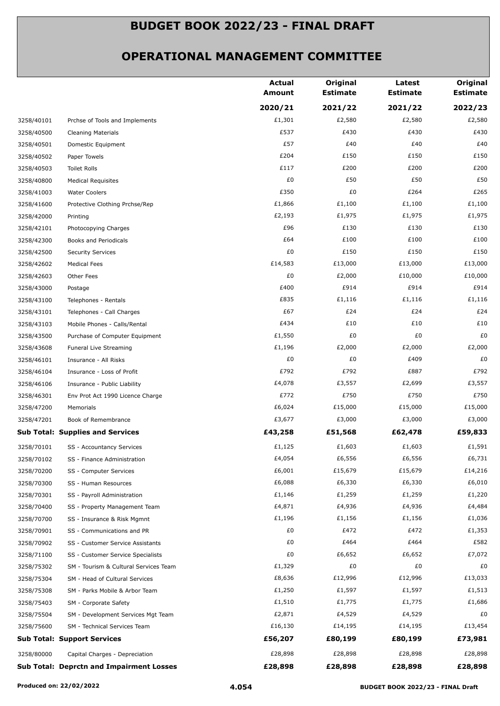|            |                                                 | <b>Actual</b><br><b>Amount</b> | Original<br><b>Estimate</b> | Latest<br><b>Estimate</b> | Original<br><b>Estimate</b> |
|------------|-------------------------------------------------|--------------------------------|-----------------------------|---------------------------|-----------------------------|
|            |                                                 | 2020/21                        | 2021/22                     | 2021/22                   | 2022/23                     |
| 3258/40101 | Prchse of Tools and Implements                  | £1,301                         | £2,580                      | £2,580                    | £2,580                      |
| 3258/40500 | <b>Cleaning Materials</b>                       | £537                           | £430                        | £430                      | £430                        |
| 3258/40501 | Domestic Equipment                              | £57                            | £40                         | £40                       | £40                         |
| 3258/40502 | Paper Towels                                    | £204                           | £150                        | £150                      | £150                        |
| 3258/40503 | Toilet Rolls                                    | £117                           | £200                        | £200                      | £200                        |
| 3258/40800 | <b>Medical Requisites</b>                       | £0                             | £50                         | £50                       | £50                         |
| 3258/41003 | <b>Water Coolers</b>                            | £350                           | £0                          | £264                      | £265                        |
| 3258/41600 | Protective Clothing Prchse/Rep                  | £1,866                         | £1,100                      | £1,100                    | £1,100                      |
| 3258/42000 | Printing                                        | £2,193                         | £1,975                      | £1,975                    | £1,975                      |
| 3258/42101 | Photocopying Charges                            | £96                            | £130                        | £130                      | £130                        |
| 3258/42300 | Books and Periodicals                           | £64                            | £100                        | £100                      | £100                        |
| 3258/42500 | <b>Security Services</b>                        | £0                             | £150                        | £150                      | £150                        |
| 3258/42602 | <b>Medical Fees</b>                             | £14,583                        | £13,000                     | £13,000                   | £13,000                     |
| 3258/42603 | Other Fees                                      | £0                             | £2,000                      | £10,000                   | £10,000                     |
| 3258/43000 | Postage                                         | £400                           | £914                        | £914                      | £914                        |
| 3258/43100 | Telephones - Rentals                            | £835                           | £1,116                      | £1,116                    | £1,116                      |
| 3258/43101 | Telephones - Call Charges                       | £67                            | £24                         | £24                       | £24                         |
| 3258/43103 | Mobile Phones - Calls/Rental                    | £434                           | £10                         | £10                       | £10                         |
| 3258/43500 | Purchase of Computer Equipment                  | £1,550                         | £0                          | £0                        | £0                          |
| 3258/43608 | Funeral Live Streaming                          | £1,196                         | £2,000                      | £2,000                    | £2,000                      |
| 3258/46101 | Insurance - All Risks                           | £0                             | £0                          | £409                      | £0                          |
| 3258/46104 | Insurance - Loss of Profit                      | £792                           | £792                        | £887                      | £792                        |
| 3258/46106 | Insurance - Public Liability                    | £4,078                         | £3,557                      | £2,699                    | £3,557                      |
| 3258/46301 | Env Prot Act 1990 Licence Charge                | £772                           | £750                        | £750                      | £750                        |
| 3258/47200 | Memorials                                       | £6,024                         | £15,000                     | £15,000                   | £15,000                     |
| 3258/47201 | Book of Remembrance                             | £3,677                         | £3,000                      | £3,000                    | £3,000                      |
|            | <b>Sub Total: Supplies and Services</b>         | £43,258                        | £51,568                     | £62,478                   | £59,833                     |
| 3258/70101 | SS - Accountancy Services                       | £1,125                         | £1,603                      | £1,603                    | £1,591                      |
| 3258/70102 | SS - Finance Administration                     | £4,054                         | £6,556                      | £6,556                    | £6,731                      |
| 3258/70200 | SS - Computer Services                          | £6,001                         | £15,679                     | £15,679                   | £14,216                     |
| 3258/70300 | SS - Human Resources                            | £6,088                         | £6,330                      | £6,330                    | £6,010                      |
| 3258/70301 | SS - Payroll Administration                     | £1,146                         | £1,259                      | £1,259                    | £1,220                      |
| 3258/70400 | SS - Property Management Team                   | £4,871                         | £4,936                      | £4,936                    | £4,484                      |
| 3258/70700 | SS - Insurance & Risk Mgmnt                     | £1,196                         | £1,156                      | £1,156                    | £1,036                      |
| 3258/70901 | SS - Communications and PR                      | £0                             | £472                        | £472                      | £1,353                      |
| 3258/70902 | SS - Customer Service Assistants                | £0                             | £464                        | £464                      | £582                        |
| 3258/71100 | SS - Customer Service Specialists               | £0                             | £6,652                      | £6,652                    | £7,072                      |
| 3258/75302 | SM - Tourism & Cultural Services Team           | £1,329                         | £0                          | £0                        | £0                          |
| 3258/75304 | SM - Head of Cultural Services                  | £8,636                         | £12,996                     | £12,996                   | £13,033                     |
| 3258/75308 | SM - Parks Mobile & Arbor Team                  | £1,250                         | £1,597                      | £1,597                    | £1,513                      |
| 3258/75403 | SM - Corporate Safety                           | £1,510                         | £1,775                      | £1,775                    | £1,686                      |
| 3258/75504 | SM - Development Services Mgt Team              | £2,871                         | £4,529                      | £4,529                    | £0                          |
| 3258/75600 | SM - Technical Services Team                    | £16,130                        | £14,195                     | £14,195                   | £13,454                     |
|            | <b>Sub Total: Support Services</b>              | £56,207                        | £80,199                     | £80,199                   | £73,981                     |
| 3258/80000 | Capital Charges - Depreciation                  | £28,898                        | £28,898                     | £28,898                   | £28,898                     |
|            | <b>Sub Total: Deprctn and Impairment Losses</b> | £28,898                        | £28,898                     | £28,898                   | £28,898                     |
|            |                                                 |                                |                             |                           |                             |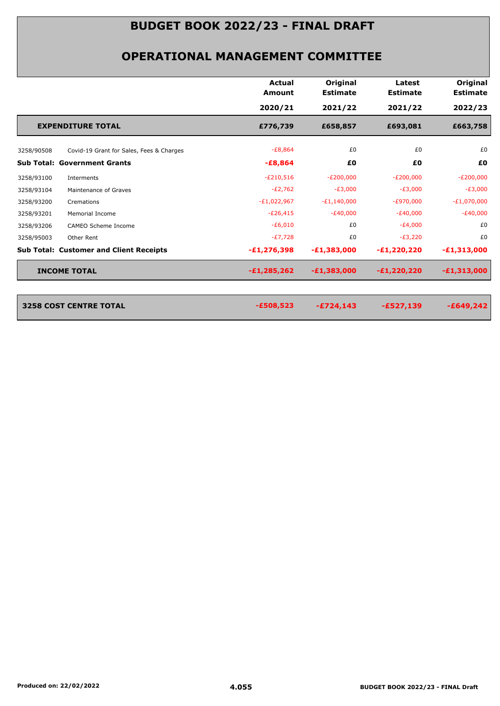|                          |                                                | <b>Actual</b><br>Amount | Original<br><b>Estimate</b> | Latest<br><b>Estimate</b> | Original<br><b>Estimate</b> |
|--------------------------|------------------------------------------------|-------------------------|-----------------------------|---------------------------|-----------------------------|
|                          |                                                | 2020/21                 | 2021/22                     | 2021/22                   | 2022/23                     |
| <b>EXPENDITURE TOTAL</b> |                                                | £776,739                | £658,857                    | £693,081                  | £663,758                    |
| 3258/90508               | Covid-19 Grant for Sales, Fees & Charges       | $-E8,864$               | £0                          | £0                        | £0                          |
|                          | <b>Sub Total: Government Grants</b>            | $-£8,864$               | £0                          | £0                        | £0                          |
| 3258/93100               | Interments                                     | $-E210,516$             | $-E200,000$                 | $-E200,000$               | $-E200,000$                 |
| 3258/93104               | Maintenance of Graves                          | $-E2,762$               | $-E3,000$                   | $-E3,000$                 | $-E3,000$                   |
| 3258/93200               | Cremations                                     | $-E1,022,967$           | $-E1,140,000$               | $-E970,000$               | $-E1,070,000$               |
| 3258/93201               | Memorial Income                                | $-E26,415$              | $-E40,000$                  | $-E40,000$                | $-E40,000$                  |
| 3258/93206               | CAMEO Scheme Income                            | $-E6,010$               | £0                          | $-E4,000$                 | £0                          |
| 3258/95003               | Other Rent                                     | $-E7,728$               | £0                          | $-E3,220$                 | £0                          |
|                          | <b>Sub Total: Customer and Client Receipts</b> | $-E1, 276, 398$         | $-E1,383,000$               | $-E1,220,220$             | $-E1,313,000$               |
| <b>INCOME TOTAL</b>      |                                                | $-£1,285,262$           | $-E1,383,000$               | $-E1,220,220$             | $-E1,313,000$               |
|                          |                                                |                         |                             |                           |                             |
| 3258 COST CENTRE TOTAL   |                                                | $-£508,523$             | $-£724,143$                 | $-£527,139$               | $-£649,242$                 |
|                          |                                                |                         |                             |                           |                             |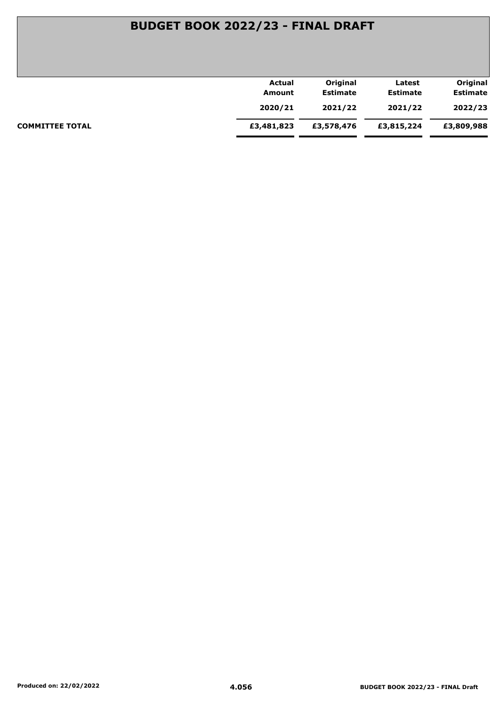| Actual     | Original        | Latest          | Original        |
|------------|-----------------|-----------------|-----------------|
| Amount     | <b>Estimate</b> | <b>Estimate</b> | <b>Estimate</b> |
| 2020/21    | 2021/22         | 2021/22         | 2022/23         |
| £3,481,823 | £3,578,476      | £3,815,224      | £3,809,988      |
|            |                 |                 |                 |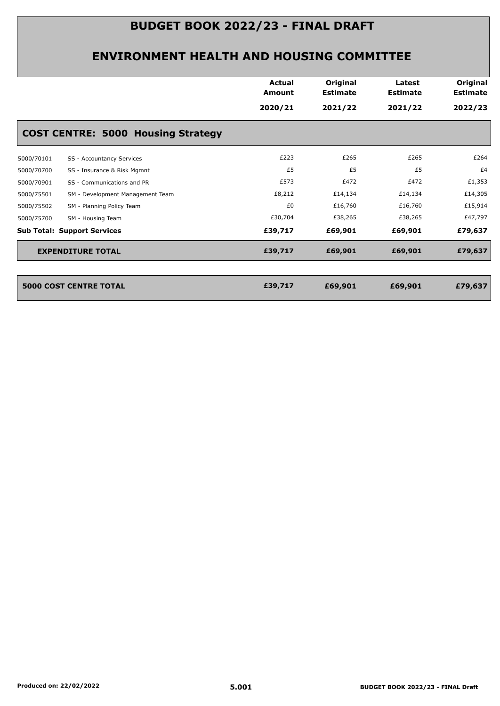|            |                                           | <b>Actual</b><br>Amount | Original<br><b>Estimate</b> | Latest<br><b>Estimate</b> | Original<br><b>Estimate</b> |
|------------|-------------------------------------------|-------------------------|-----------------------------|---------------------------|-----------------------------|
|            |                                           | 2020/21                 | 2021/22                     | 2021/22                   | 2022/23                     |
|            | <b>COST CENTRE: 5000 Housing Strategy</b> |                         |                             |                           |                             |
| 5000/70101 | SS - Accountancy Services                 | £223                    | £265                        | £265                      | £264                        |
| 5000/70700 | SS - Insurance & Risk Mgmnt               | £5                      | £5                          | £5                        | £4                          |
| 5000/70901 | SS - Communications and PR                | £573                    | £472                        | £472                      | £1,353                      |
| 5000/75501 | SM - Development Management Team          | £8,212                  | £14,134                     | £14,134                   | £14,305                     |
| 5000/75502 | SM - Planning Policy Team                 | £0                      | £16,760                     | £16,760                   | £15,914                     |
| 5000/75700 | SM - Housing Team                         | £30,704                 | £38,265                     | £38,265                   | £47,797                     |
|            | <b>Sub Total: Support Services</b>        | £39,717                 | £69,901                     | £69,901                   | £79,637                     |
|            | <b>EXPENDITURE TOTAL</b>                  | £39,717                 | £69,901                     | £69,901                   | £79,637                     |
|            |                                           |                         |                             |                           |                             |
|            | <b>5000 COST CENTRE TOTAL</b>             | £39,717                 | £69,901                     | £69,901                   | £79,637                     |
|            |                                           |                         |                             |                           |                             |
|            |                                           |                         |                             |                           |                             |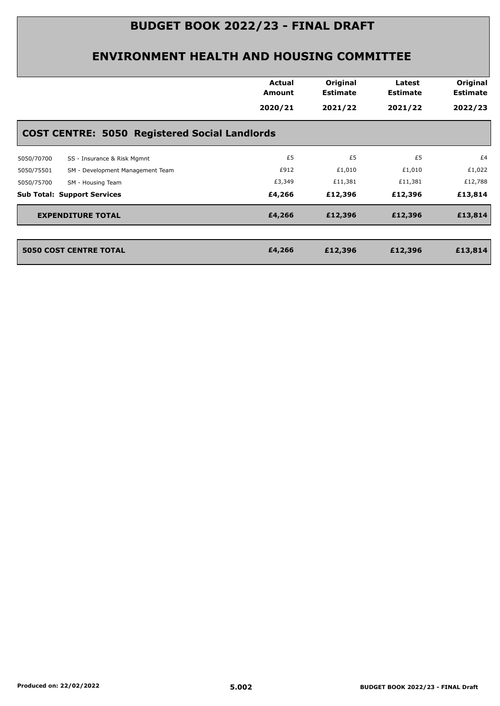|                                                      | <b>Actual</b><br>Amount<br>2020/21 | Original<br><b>Estimate</b><br>2021/22 | Latest<br><b>Estimate</b><br>2021/22 | Original<br><b>Estimate</b><br>2022/23 |
|------------------------------------------------------|------------------------------------|----------------------------------------|--------------------------------------|----------------------------------------|
| <b>COST CENTRE: 5050 Registered Social Landlords</b> |                                    |                                        |                                      |                                        |
| SS - Insurance & Risk Mgmnt<br>5050/70700            | £5                                 | £5                                     | £5                                   | £4                                     |
| SM - Development Management Team<br>5050/75501       | £912                               | £1,010                                 | £1,010                               | £1,022                                 |
| 5050/75700<br>SM - Housing Team                      | £3,349                             | £11,381                                | £11,381                              | £12,788                                |
| <b>Sub Total: Support Services</b>                   | £4,266                             | £12,396                                | £12,396                              | £13,814                                |
| <b>EXPENDITURE TOTAL</b>                             | £4,266                             | £12,396                                | £12,396                              | £13,814                                |
| <b>5050 COST CENTRE TOTAL</b>                        | £4,266                             | £12,396                                | £12,396                              | £13,814                                |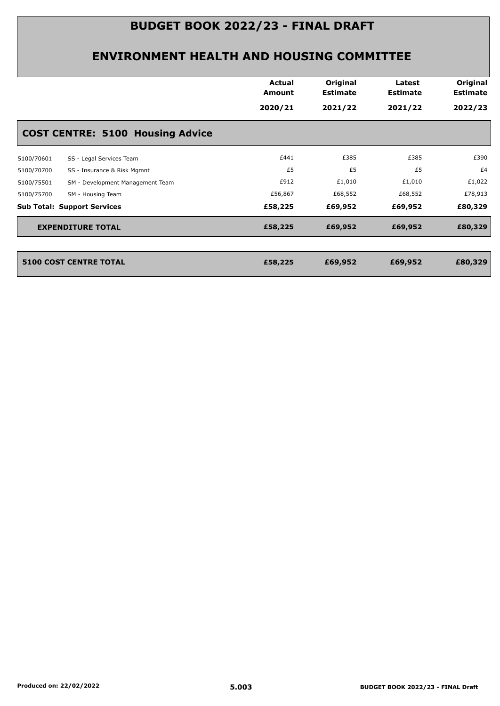|            |                                         | <b>Actual</b><br>Amount<br>2020/21 | Original<br><b>Estimate</b><br>2021/22 | Latest<br><b>Estimate</b><br>2021/22 | Original<br><b>Estimate</b><br>2022/23 |
|------------|-----------------------------------------|------------------------------------|----------------------------------------|--------------------------------------|----------------------------------------|
|            | <b>COST CENTRE: 5100 Housing Advice</b> |                                    |                                        |                                      |                                        |
| 5100/70601 | SS - Legal Services Team                | £441                               | £385                                   | £385                                 | £390                                   |
| 5100/70700 | SS - Insurance & Risk Mgmnt             | £5                                 | £5                                     | £5                                   | £4                                     |
| 5100/75501 | SM - Development Management Team        | £912                               | £1,010                                 | £1,010                               | £1,022                                 |
| 5100/75700 | SM - Housing Team                       | £56,867                            | £68,552                                | £68,552                              | £78,913                                |
|            | <b>Sub Total: Support Services</b>      | £58,225                            | £69,952                                | £69,952                              | £80,329                                |
|            | <b>EXPENDITURE TOTAL</b>                | £58,225                            | £69,952                                | £69,952                              | £80,329                                |
|            | <b>5100 COST CENTRE TOTAL</b>           | £58,225                            | £69,952                                | £69,952                              | £80,329                                |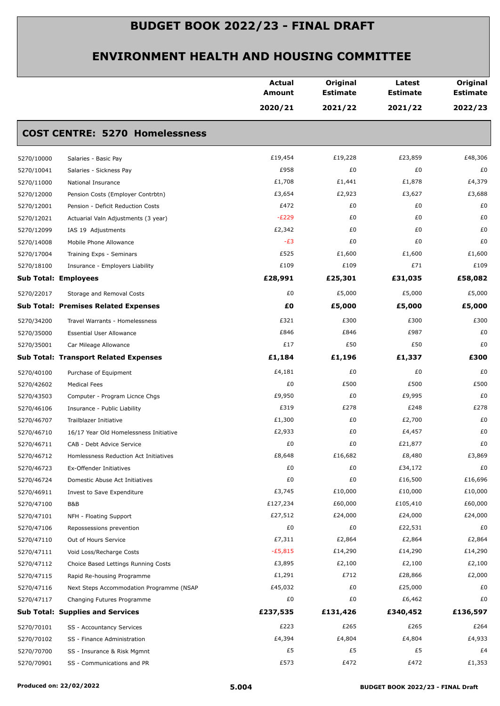|                             |                                              | <b>Actual</b><br><b>Amount</b> | Original<br><b>Estimate</b> | Latest<br><b>Estimate</b> | Original<br><b>Estimate</b> |
|-----------------------------|----------------------------------------------|--------------------------------|-----------------------------|---------------------------|-----------------------------|
|                             |                                              | 2020/21                        | 2021/22                     | 2021/22                   | 2022/23                     |
|                             | <b>COST CENTRE: 5270 Homelessness</b>        |                                |                             |                           |                             |
| 5270/10000                  | Salaries - Basic Pay                         | £19,454                        | £19,228                     | £23,859                   | £48,306                     |
| 5270/10041                  | Salaries - Sickness Pay                      | £958                           | £0                          | £0                        | £0                          |
| 5270/11000                  | National Insurance                           | £1,708                         | £1,441                      | £1,878                    | £4,379                      |
| 5270/12000                  | Pension Costs (Employer Contrbtn)            | £3,654                         | £2,923                      | £3,627                    | £3,688                      |
| 5270/12001                  | Pension - Deficit Reduction Costs            | £472                           | £0                          | £0                        | £0                          |
| 5270/12021                  | Actuarial Valn Adjustments (3 year)          | $-E229$                        | £0                          | £0                        | £0                          |
| 5270/12099                  | IAS 19 Adjustments                           | £2,342                         | £0                          | £0                        | £0                          |
| 5270/14008                  | Mobile Phone Allowance                       | $-E3$                          | £0                          | £0                        | £0                          |
| 5270/17004                  | Training Exps - Seminars                     | £525                           | £1,600                      | £1,600                    | £1,600                      |
| 5270/18100                  | Insurance - Employers Liability              | £109                           | £109                        | £71                       | £109                        |
| <b>Sub Total: Employees</b> |                                              | £28,991                        | £25,301                     | £31,035                   | £58,082                     |
| 5270/22017                  | Storage and Removal Costs                    | £0                             | £5,000                      | £5,000                    | £5,000                      |
|                             | <b>Sub Total: Premises Related Expenses</b>  | £0                             | £5,000                      | £5,000                    | £5,000                      |
| 5270/34200                  | Travel Warrants - Homelessness               | £321                           | £300                        | £300                      | £300                        |
| 5270/35000                  | <b>Essential User Allowance</b>              | £846                           | £846                        | £987                      | £0                          |
| 5270/35001                  | Car Mileage Allowance                        | £17                            | £50                         | £50                       | £0                          |
|                             | <b>Sub Total: Transport Related Expenses</b> | £1,184                         | £1,196                      | £1,337                    | £300                        |
| 5270/40100                  | Purchase of Equipment                        | £4,181                         | £0                          | £0                        | £0                          |
| 5270/42602                  | <b>Medical Fees</b>                          | £0                             | £500                        | £500                      | £500                        |
| 5270/43503                  | Computer - Program Licnce Chgs               | £9,950                         | £0                          | £9,995                    | £0                          |
| 5270/46106                  | Insurance - Public Liability                 | £319                           | £278                        | £248                      | £278                        |
| 5270/46707                  | Trailblazer Initiative                       | £1,300                         | £0                          | £2,700                    | £0                          |
| 5270/46710                  | 16/17 Year Old Homelessness Initiative       | £2,933                         | £0                          | £4,457                    | £0                          |
| 5270/46711                  | CAB - Debt Advice Service                    | £0                             | £0                          | £21,877                   | £0                          |
| 5270/46712                  | Homlessness Reduction Act Initiatives        | £8,648                         | £16,682                     | £8,480                    | £3,869                      |
| 5270/46723                  | Ex-Offender Initiatives                      | £0                             | £0                          | £34,172                   | £0                          |
| 5270/46724                  | Domestic Abuse Act Initiatives               | £0                             | £0                          | £16,500                   | £16,696                     |
| 5270/46911                  | Invest to Save Expenditure                   | £3,745                         | £10,000                     | £10,000                   | £10,000                     |
| 5270/47100                  | B&B                                          | £127,234                       | £60,000                     | £105,410                  | £60,000                     |
| 5270/47101                  | NFH - Floating Support                       | £27,512                        | £24,000                     | £24,000                   | £24,000                     |
| 5270/47106                  | Repossessions prevention                     | £0                             | £0                          | £22,531                   | £0                          |
| 5270/47110                  | Out of Hours Service                         | £7,311                         | £2,864                      | £2,864                    | £2,864                      |
| 5270/47111                  | Void Loss/Recharge Costs                     | $-E5,815$                      | £14,290                     | £14,290                   | £14,290                     |
| 5270/47112                  | Choice Based Lettings Running Costs          | £3,895                         | £2,100                      | £2,100                    | £2,100                      |
| 5270/47115                  | Rapid Re-housing Programme                   | £1,291                         | £712                        | £28,866                   | £2,000                      |
| 5270/47116                  | Next Steps Accommodation Programme (NSAP     | £45,032                        | £0                          | £25,000                   | £0                          |
| 5270/47117                  | Changing Futures Programme                   | £0                             | £0                          | £6,462                    | £0                          |
|                             | <b>Sub Total: Supplies and Services</b>      | £237,535                       | £131,426                    | £340,452                  | £136,597                    |
| 5270/70101                  | SS - Accountancy Services                    | £223                           | £265                        | £265                      | £264                        |
| 5270/70102                  | SS - Finance Administration                  | £4,394                         | £4,804                      | £4,804                    | £4,933                      |
| 5270/70700                  | SS - Insurance & Risk Mgmnt                  | £5                             | £5                          | £5                        | £4                          |
| 5270/70901                  | SS - Communications and PR                   | £573                           | £472                        | £472                      | £1,353                      |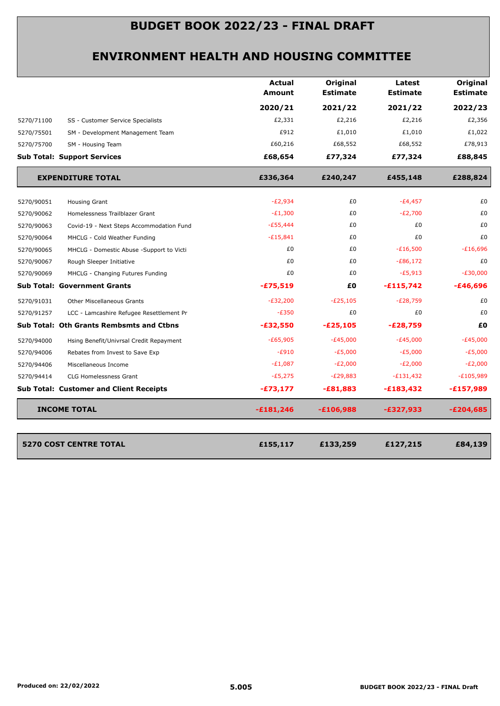|            |                                                 | <b>Actual</b><br>Amount | Original<br><b>Estimate</b> | Latest<br><b>Estimate</b> | Original<br><b>Estimate</b> |
|------------|-------------------------------------------------|-------------------------|-----------------------------|---------------------------|-----------------------------|
|            |                                                 | 2020/21                 | 2021/22                     | 2021/22                   | 2022/23                     |
| 5270/71100 | SS - Customer Service Specialists               | £2,331                  | £2,216                      | £2,216                    | £2,356                      |
| 5270/75501 | SM - Development Management Team                | £912                    | £1,010                      | £1,010                    | £1,022                      |
| 5270/75700 | SM - Housing Team                               | £60,216                 | £68,552                     | £68,552                   | £78,913                     |
|            | <b>Sub Total: Support Services</b>              | £68,654                 | £77,324                     | £77,324                   | £88,845                     |
|            | <b>EXPENDITURE TOTAL</b>                        | £336,364                | £240,247                    | £455,148                  | £288,824                    |
| 5270/90051 | Housing Grant                                   | $-E2,934$               | £0                          | $-E4,457$                 | £0                          |
| 5270/90062 | Homelessness Trailblazer Grant                  | $-E1,300$               | £0                          | $-E2,700$                 | £0                          |
| 5270/90063 | Covid-19 - Next Steps Accommodation Fund        | $-E55,444$              | £0                          | £0                        | £0                          |
| 5270/90064 | MHCLG - Cold Weather Funding                    | $-E15,841$              | £0                          | £0                        | £0                          |
| 5270/90065 | MHCLG - Domestic Abuse -Support to Victi        | £0                      | £0                          | $-E16,500$                | $-£16,696$                  |
| 5270/90067 | Rough Sleeper Initiative                        | £0                      | £0                          | $-E86,172$                | £0                          |
| 5270/90069 | MHCLG - Changing Futures Funding                | £0                      | £0                          | $-E5,913$                 | $-£30,000$                  |
|            | <b>Sub Total: Government Grants</b>             | $-£75,519$              | £Ο                          | $-£115,742$               | -£46,696                    |
| 5270/91031 | <b>Other Miscellaneous Grants</b>               | $-E32,200$              | $-E25,105$                  | $-E28,759$                | £0                          |
| 5270/91257 | LCC - Lamcashire Refugee Resettlement Pr        | $-E350$                 | £0                          | £0                        | £0                          |
|            | <b>Sub Total: Oth Grants Rembsmts and Ctbns</b> | $-£32,550$              | $-£25,105$                  | $-E28,759$                | £0                          |
| 5270/94000 | Hsing Benefit/Univrsal Credit Repayment         | $-E65,905$              | $-E45,000$                  | $-E45,000$                | $-E45,000$                  |
| 5270/94006 | Rebates from Invest to Save Exp                 | $-E910$                 | $-E5,000$                   | $-E5,000$                 | $-E5,000$                   |
| 5270/94406 | Miscellaneous Income                            | $-E1,087$               | $-E2,000$                   | $-E2,000$                 | $-E2,000$                   |
| 5270/94414 | CLG Homelessness Grant                          | $-E5,275$               | $-E29,883$                  | $-E131,432$               | $-E105,989$                 |
|            | <b>Sub Total: Customer and Client Receipts</b>  | $-£73,177$              | $-£81,883$                  | $-£183,432$               | $-£157,989$                 |
|            | <b>INCOME TOTAL</b>                             | $-£181,246$             | $-£106,988$                 | -£327,933                 | $-E204,685$                 |
|            |                                                 |                         |                             |                           |                             |
|            | <b>5270 COST CENTRE TOTAL</b>                   | £155,117                | £133,259                    | £127,215                  | £84,139                     |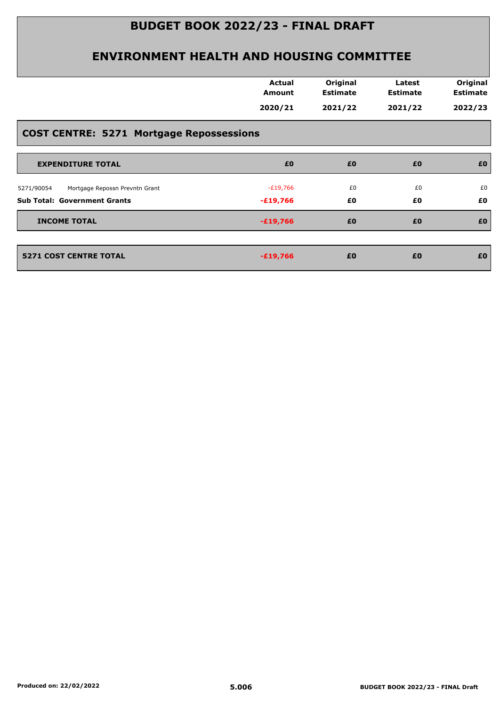|                                                 | <b>Actual</b><br><b>Amount</b> | Original<br><b>Estimate</b> | Latest<br><b>Estimate</b> | Original<br><b>Estimate</b> |
|-------------------------------------------------|--------------------------------|-----------------------------|---------------------------|-----------------------------|
|                                                 | 2020/21                        | 2021/22                     | 2021/22                   | 2022/23                     |
| <b>COST CENTRE: 5271 Mortgage Repossessions</b> |                                |                             |                           |                             |
| <b>EXPENDITURE TOTAL</b>                        | £0                             | £0                          | £0                        | £0                          |
| Mortgage Repossn Prevntn Grant<br>5271/90054    | $-£19,766$                     | £0                          | £0                        | £0                          |
| <b>Sub Total: Government Grants</b>             | $-£19,766$                     | £0                          | £0                        | £0                          |
| <b>INCOME TOTAL</b>                             | $-£19,766$                     | £0                          | £0                        | £0                          |
|                                                 | $-£19,766$                     | £0                          | £0                        | £0                          |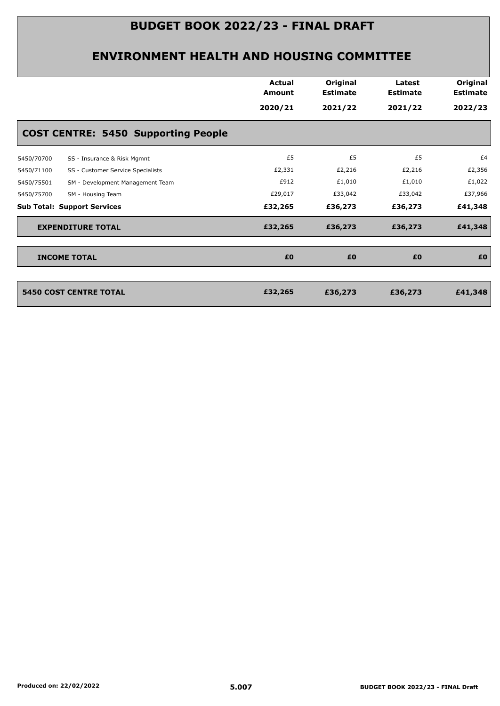|                                                 | Actual<br><b>Amount</b><br>2020/21 | Original<br><b>Estimate</b><br>2021/22 | Latest<br><b>Estimate</b><br>2021/22 | Original<br><b>Estimate</b><br>2022/23 |
|-------------------------------------------------|------------------------------------|----------------------------------------|--------------------------------------|----------------------------------------|
| <b>COST CENTRE: 5450 Supporting People</b>      |                                    |                                        |                                      |                                        |
| 5450/70700<br>SS - Insurance & Risk Mgmnt       | £5                                 | £5                                     | £5                                   | £4                                     |
| SS - Customer Service Specialists<br>5450/71100 | £2,331                             | £2,216                                 | £2,216                               | £2,356                                 |
| SM - Development Management Team<br>5450/75501  | £912                               | £1,010                                 | £1,010                               | £1,022                                 |
| 5450/75700<br>SM - Housing Team                 | £29,017                            | £33,042                                | £33,042                              | £37,966                                |
| <b>Sub Total: Support Services</b>              | £32,265                            | £36,273                                | £36,273                              | £41,348                                |
| <b>EXPENDITURE TOTAL</b>                        | £32,265                            | £36,273                                | £36,273                              | £41,348                                |
| <b>INCOME TOTAL</b>                             | £0                                 | £0                                     | £0                                   | £0                                     |
| <b>5450 COST CENTRE TOTAL</b>                   | £32,265                            | £36,273                                | £36,273                              | £41,348                                |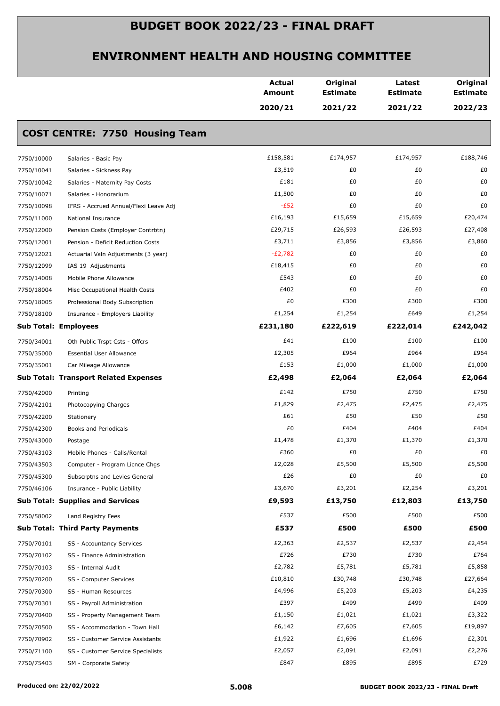|            |                                              | <b>Actual</b><br><b>Amount</b> | Original<br><b>Estimate</b> | Latest<br><b>Estimate</b> | Original<br><b>Estimate</b> |
|------------|----------------------------------------------|--------------------------------|-----------------------------|---------------------------|-----------------------------|
|            |                                              | 2020/21                        | 2021/22                     | 2021/22                   | 2022/23                     |
|            | <b>COST CENTRE: 7750 Housing Team</b>        |                                |                             |                           |                             |
| 7750/10000 | Salaries - Basic Pay                         | £158,581                       | £174,957                    | £174,957                  | £188,746                    |
| 7750/10041 | Salaries - Sickness Pay                      | £3,519                         | £0                          | £0                        | £0                          |
| 7750/10042 | Salaries - Maternity Pay Costs               | £181                           | £0                          | £0                        | £0                          |
| 7750/10071 | Salaries - Honorarium                        | £1,500                         | £0                          | £0                        | £0                          |
| 7750/10098 | IFRS - Accrued Annual/Flexi Leave Adj        | $-E52$                         | £0                          | £0                        | £0                          |
| 7750/11000 | National Insurance                           | £16,193                        | £15,659                     | £15,659                   | £20,474                     |
| 7750/12000 | Pension Costs (Employer Contrbtn)            | £29,715                        | £26,593                     | £26,593                   | £27,408                     |
| 7750/12001 | Pension - Deficit Reduction Costs            | £3,711                         | £3,856                      | £3,856                    | £3,860                      |
| 7750/12021 | Actuarial Valn Adjustments (3 year)          | $-E2,782$                      | £0                          | £0                        | £0                          |
| 7750/12099 | IAS 19 Adjustments                           | £18,415                        | £0                          | £0                        | £0                          |
| 7750/14008 | Mobile Phone Allowance                       | £543                           | £0                          | £0                        | £0                          |
| 7750/18004 | Misc Occupational Health Costs               | £402                           | £0                          | £0                        | £0                          |
| 7750/18005 | Professional Body Subscription               | £0                             | £300                        | £300                      | £300                        |
| 7750/18100 | Insurance - Employers Liability              | £1,254                         | £1,254                      | £649                      | £1,254                      |
|            | <b>Sub Total: Employees</b>                  | £231,180                       | £222,619                    | £222,014                  | £242,042                    |
| 7750/34001 | Oth Public Trspt Csts - Offcrs               | £41                            | £100                        | £100                      | £100                        |
| 7750/35000 | <b>Essential User Allowance</b>              | £2,305                         | £964                        | £964                      | £964                        |
| 7750/35001 | Car Mileage Allowance                        | £153                           | £1,000                      | £1,000                    | £1,000                      |
|            | <b>Sub Total: Transport Related Expenses</b> | £2,498                         | £2,064                      | £2,064                    | £2,064                      |
| 7750/42000 | Printing                                     | £142                           | £750                        | £750                      | £750                        |
| 7750/42101 | Photocopying Charges                         | £1,829                         | £2,475                      | £2,475                    | £2,475                      |
| 7750/42200 | Stationery                                   | £61                            | £50                         | £50                       | £50                         |
| 7750/42300 | Books and Periodicals                        | £0                             | £404                        | £404                      | £404                        |
| 7750/43000 | Postage                                      | £1,478                         | £1,370                      | £1,370                    | £1,370                      |
| 7750/43103 | Mobile Phones - Calls/Rental                 | £360                           | £0                          | £0                        | £0                          |
| 7750/43503 | Computer - Program Licnce Chgs               | £2,028                         | £5,500                      | £5,500                    | £5,500                      |
| 7750/45300 | Subscrptns and Levies General                | £26                            | £0                          | £0                        | £0                          |
| 7750/46106 | Insurance - Public Liability                 | £3,670                         | £3,201                      | £2,254                    | £3,201                      |
|            | <b>Sub Total: Supplies and Services</b>      | £9,593                         | £13,750                     | £12,803                   | £13,750                     |
| 7750/58002 | Land Registry Fees                           | £537                           | £500                        | £500                      | £500                        |
|            | <b>Sub Total: Third Party Payments</b>       | £537                           | £500                        | £500                      | £500                        |
| 7750/70101 | SS - Accountancy Services                    | £2,363                         | £2,537                      | £2,537                    | £2,454                      |
| 7750/70102 | SS - Finance Administration                  | £726                           | £730                        | £730                      | £764                        |
| 7750/70103 | SS - Internal Audit                          | £2,782                         | £5,781                      | £5,781                    | £5,858                      |
| 7750/70200 | SS - Computer Services                       | £10,810                        | £30,748                     | £30,748                   | £27,664                     |
| 7750/70300 | SS - Human Resources                         | £4,996                         | £5,203                      | £5,203                    | £4,235                      |
| 7750/70301 | SS - Payroll Administration                  | £397                           | £499                        | £499                      | £409                        |
| 7750/70400 | SS - Property Management Team                | £1,150                         | £1,021                      | £1,021                    | £3,322                      |
| 7750/70500 | SS - Accommodation - Town Hall               | £6,142                         | £7,605                      | £7,605                    | £19,897                     |
| 7750/70902 | SS - Customer Service Assistants             | £1,922                         | £1,696                      | £1,696                    | £2,301                      |
| 7750/71100 | SS - Customer Service Specialists            | £2,057                         | £2,091                      | £2,091                    | £2,276                      |
| 7750/75403 | SM - Corporate Safety                        | £847                           | £895                        | £895                      | £729                        |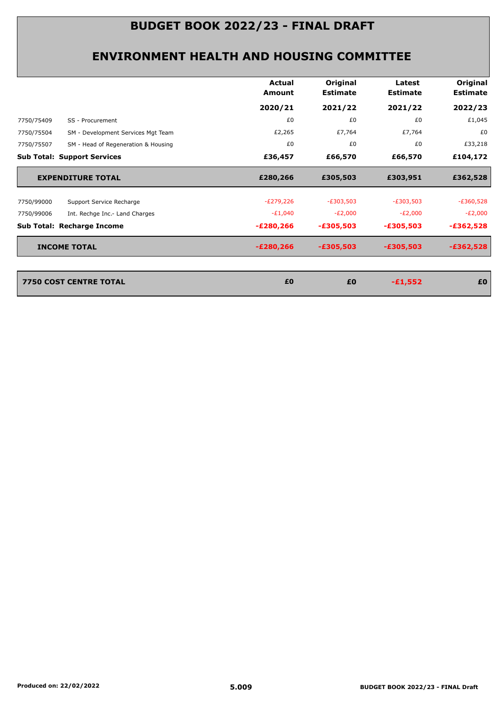|            |                                     | Actual<br>Amount | Original<br><b>Estimate</b> | Latest<br><b>Estimate</b> | Original<br><b>Estimate</b> |
|------------|-------------------------------------|------------------|-----------------------------|---------------------------|-----------------------------|
|            |                                     | 2020/21          | 2021/22                     | 2021/22                   | 2022/23                     |
| 7750/75409 | SS - Procurement                    | £0               | £0                          | £0                        | £1,045                      |
| 7750/75504 | SM - Development Services Mgt Team  | £2,265           | £7,764                      | £7,764                    | £0                          |
| 7750/75507 | SM - Head of Regeneration & Housing | £0               | £0                          | £0                        | £33,218                     |
|            | <b>Sub Total: Support Services</b>  | £36,457          | £66,570                     | £66,570                   | £104,172                    |
|            | <b>EXPENDITURE TOTAL</b>            | £280,266         | £305,503                    | £303,951                  | £362,528                    |
| 7750/99000 | Support Service Recharge            | $-E279,226$      | $-E303,503$                 | $-E303,503$               | $-E360,528$                 |
| 7750/99006 | Int. Rechge Inc.- Land Charges      | $-E1,040$        | $-E2,000$                   | $-E2,000$                 | $-E2,000$                   |
|            | Sub Total: Recharge Income          | $-E280,266$      | $-£305,503$                 | $-£305,503$               | $-£362,528$                 |
|            | <b>INCOME TOTAL</b>                 | $-E280,266$      | $-£305,503$                 | $-£305,503$               | $-£362,528$                 |
|            |                                     |                  |                             |                           |                             |
|            | <b>7750 COST CENTRE TOTAL</b>       | £0               | £0                          | $-£1,552$                 | £0                          |
|            |                                     |                  |                             |                           |                             |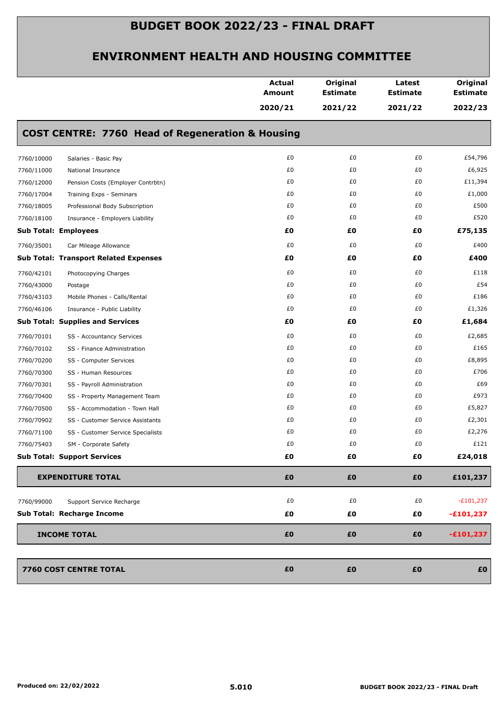|            |                                                             | <b>Actual</b><br>Amount | Original<br><b>Estimate</b> | Latest<br><b>Estimate</b> | Original<br><b>Estimate</b> |
|------------|-------------------------------------------------------------|-------------------------|-----------------------------|---------------------------|-----------------------------|
|            |                                                             | 2020/21                 | 2021/22                     | 2021/22                   | 2022/23                     |
|            | <b>COST CENTRE: 7760 Head of Regeneration &amp; Housing</b> |                         |                             |                           |                             |
| 7760/10000 | Salaries - Basic Pay                                        | £0                      | £0                          | £0                        | £54,796                     |
| 7760/11000 | National Insurance                                          | £0                      | £0                          | £0                        | £6,925                      |
| 7760/12000 | Pension Costs (Employer Contrbtn)                           | £0                      | £0                          | £0                        | £11,394                     |
| 7760/17004 | Training Exps - Seminars                                    | £0                      | £0                          | £0                        | £1,000                      |
| 7760/18005 | Professional Body Subscription                              | £0                      | £0                          | £0                        | £500                        |
| 7760/18100 | Insurance - Employers Liability                             | £0                      | £0                          | £0                        | £520                        |
|            | <b>Sub Total: Employees</b>                                 | £0                      | £Ο                          | £Ο                        | £75,135                     |
| 7760/35001 | Car Mileage Allowance                                       | £0                      | £0                          | £0                        | £400                        |
|            | <b>Sub Total: Transport Related Expenses</b>                | £0                      | £0                          | £0                        | £400                        |
| 7760/42101 | Photocopying Charges                                        | £0                      | £0                          | £0                        | £118                        |
| 7760/43000 | Postage                                                     | £0                      | £0                          | £0                        | £54                         |
| 7760/43103 | Mobile Phones - Calls/Rental                                | £0                      | £0                          | £0                        | £186                        |
| 7760/46106 | Insurance - Public Liability                                | £0                      | £0                          | £0                        | £1,326                      |
|            | <b>Sub Total: Supplies and Services</b>                     | £0                      | £Ο                          | £Ο                        | £1,684                      |
| 7760/70101 | SS - Accountancy Services                                   | £0                      | £0                          | £0                        | £2,685                      |
| 7760/70102 | SS - Finance Administration                                 | £0                      | £0                          | £0                        | £165                        |
| 7760/70200 | SS - Computer Services                                      | £0                      | £0                          | £0                        | £8,895                      |
| 7760/70300 | SS - Human Resources                                        | £0                      | £0                          | £0                        | £706                        |
| 7760/70301 | SS - Payroll Administration                                 | £0                      | £0                          | £0                        | £69                         |
| 7760/70400 | SS - Property Management Team                               | £0                      | £0                          | £0                        | £973                        |
| 7760/70500 | SS - Accommodation - Town Hall                              | £0                      | £0                          | £0                        | £5,827                      |
| 7760/70902 | SS - Customer Service Assistants                            | £0                      | £0                          | £0                        | £2,301                      |
| 7760/71100 | SS - Customer Service Specialists                           | £0                      | £0                          | £0                        | £2,276                      |
| 7760/75403 | SM - Corporate Safety                                       | £0                      | £0                          | £0                        | £121                        |
|            | <b>Sub Total: Support Services</b>                          | £0                      | £0                          | £0                        | £24,018                     |
|            | <b>EXPENDITURE TOTAL</b>                                    | £0                      | £0                          | £0                        | £101,237                    |
| 7760/99000 | Support Service Recharge                                    | £0                      | £0                          | £0                        | $-E101,237$                 |
|            | Sub Total: Recharge Income                                  | £0                      | £0                          | £0                        | $-£101,237$                 |
|            | <b>INCOME TOTAL</b>                                         | £0                      | £0                          | £0                        | $-£101,237$                 |
|            | 7760 COST CENTRE TOTAL                                      | £0                      | £0                          | £0                        | £0                          |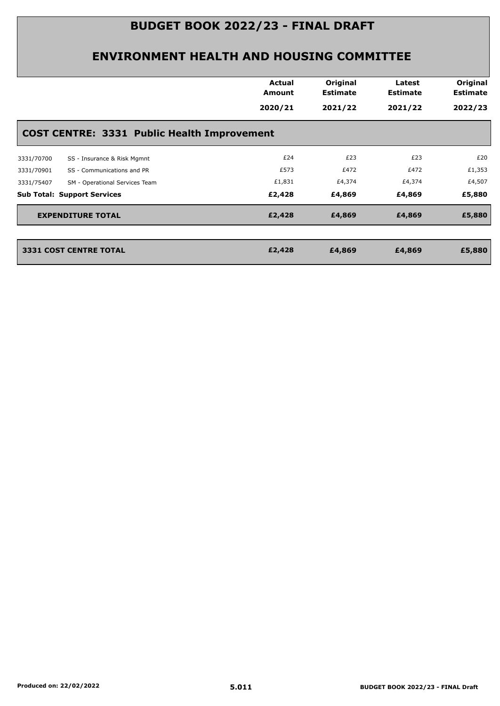|                                                    | <b>Actual</b><br><b>Amount</b> | Original<br><b>Estimate</b> | Latest<br><b>Estimate</b> | Original<br><b>Estimate</b> |  |  |  |
|----------------------------------------------------|--------------------------------|-----------------------------|---------------------------|-----------------------------|--|--|--|
|                                                    | 2020/21                        | 2021/22                     | 2021/22                   | 2022/23                     |  |  |  |
| <b>COST CENTRE: 3331 Public Health Improvement</b> |                                |                             |                           |                             |  |  |  |
| SS - Insurance & Risk Mgmnt<br>3331/70700          | £24                            | £23                         | £23                       | £20                         |  |  |  |
| SS - Communications and PR<br>3331/70901           | £573                           | £472                        | £472                      | £1,353                      |  |  |  |
| 3331/75407<br>SM - Operational Services Team       | £1,831                         | £4,374                      | £4,374                    | £4,507                      |  |  |  |
| <b>Sub Total: Support Services</b>                 | £2,428                         | £4,869                      | £4,869                    | £5,880                      |  |  |  |
| <b>EXPENDITURE TOTAL</b>                           | £2,428                         | £4,869                      | £4,869                    | £5,880                      |  |  |  |
| <b>3331 COST CENTRE TOTAL</b>                      | £2,428                         | £4,869                      | £4,869                    | £5,880                      |  |  |  |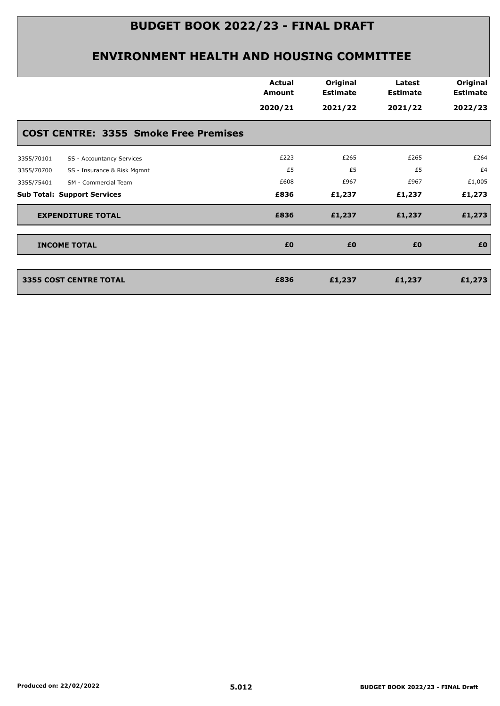| <b>COST CENTRE: 3355 Smoke Free Premises</b><br>£223<br>£265<br>£265<br>SS - Accountancy Services<br>£5<br>£5<br>£5<br>SS - Insurance & Risk Mgmnt<br>£608<br>£967<br>£967<br>SM - Commercial Team<br>£836<br>£1,237<br>£1,237<br><b>EXPENDITURE TOTAL</b><br>£836<br>£1,237<br>£1,237<br>£0<br>£0<br>£0<br><b>INCOME TOTAL</b><br><b>3355 COST CENTRE TOTAL</b><br>£836<br>£1,237<br>£1,237 |            | <b>Actual</b><br>Amount<br>2020/21 | Original<br><b>Estimate</b><br>2021/22 | Latest<br><b>Estimate</b><br>2021/22 | Original<br><b>Estimate</b><br>2022/23 |
|----------------------------------------------------------------------------------------------------------------------------------------------------------------------------------------------------------------------------------------------------------------------------------------------------------------------------------------------------------------------------------------------|------------|------------------------------------|----------------------------------------|--------------------------------------|----------------------------------------|
|                                                                                                                                                                                                                                                                                                                                                                                              |            |                                    |                                        |                                      |                                        |
| 3355/70700<br>3355/75401<br><b>Sub Total: Support Services</b>                                                                                                                                                                                                                                                                                                                               | 3355/70101 |                                    |                                        |                                      | £264                                   |
|                                                                                                                                                                                                                                                                                                                                                                                              |            |                                    |                                        |                                      | £4                                     |
|                                                                                                                                                                                                                                                                                                                                                                                              |            |                                    |                                        |                                      | £1,005                                 |
|                                                                                                                                                                                                                                                                                                                                                                                              |            |                                    |                                        |                                      | £1,273                                 |
|                                                                                                                                                                                                                                                                                                                                                                                              |            |                                    |                                        |                                      | £1,273                                 |
|                                                                                                                                                                                                                                                                                                                                                                                              |            |                                    |                                        |                                      | £0                                     |
|                                                                                                                                                                                                                                                                                                                                                                                              |            |                                    |                                        |                                      | £1,273                                 |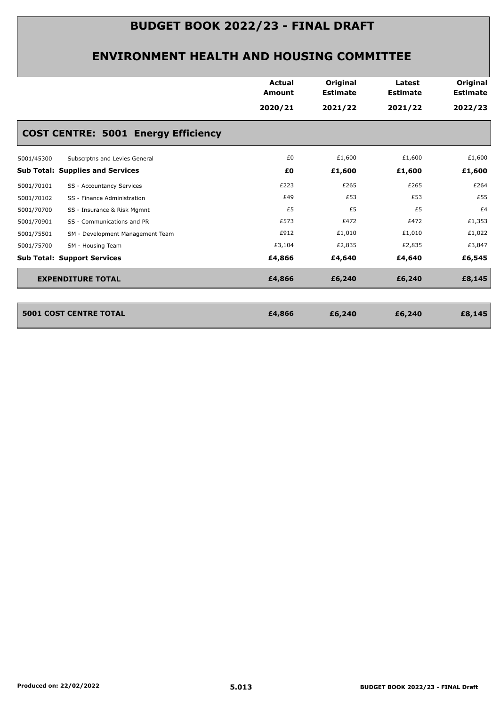|                                                | <b>Actual</b><br>Amount<br>2020/21 | Original<br><b>Estimate</b><br>2021/22 | Latest<br><b>Estimate</b><br>2021/22 | Original<br><b>Estimate</b><br>2022/23 |
|------------------------------------------------|------------------------------------|----------------------------------------|--------------------------------------|----------------------------------------|
| <b>COST CENTRE: 5001 Energy Efficiency</b>     |                                    |                                        |                                      |                                        |
| Subscrptns and Levies General<br>5001/45300    | £0                                 | £1,600                                 | £1,600                               | £1,600                                 |
| <b>Sub Total: Supplies and Services</b>        | £Ο                                 | £1,600                                 | £1,600                               | £1,600                                 |
| 5001/70101<br>SS - Accountancy Services        | £223                               | £265                                   | £265                                 | £264                                   |
| 5001/70102<br>SS - Finance Administration      | £49                                | £53                                    | £53                                  | £55                                    |
| 5001/70700<br>SS - Insurance & Risk Mgmnt      | £5                                 | £5                                     | £5                                   | £4                                     |
| 5001/70901<br>SS - Communications and PR       | £573                               | £472                                   | £472                                 | £1,353                                 |
| 5001/75501<br>SM - Development Management Team | £912                               | £1,010                                 | £1,010                               | £1,022                                 |
| 5001/75700<br>SM - Housing Team                | £3,104                             | £2,835                                 | £2,835                               | £3,847                                 |
| <b>Sub Total: Support Services</b>             | £4,866                             | £4,640                                 | £4,640                               | £6,545                                 |
| <b>EXPENDITURE TOTAL</b>                       | £4,866                             | £6,240                                 | £6,240                               | £8,145                                 |

| <b>5001 COST CENTRE TOTAL</b> | £4,866 | £6,240 | £6,240 | £8,145 |
|-------------------------------|--------|--------|--------|--------|
|                               |        |        |        |        |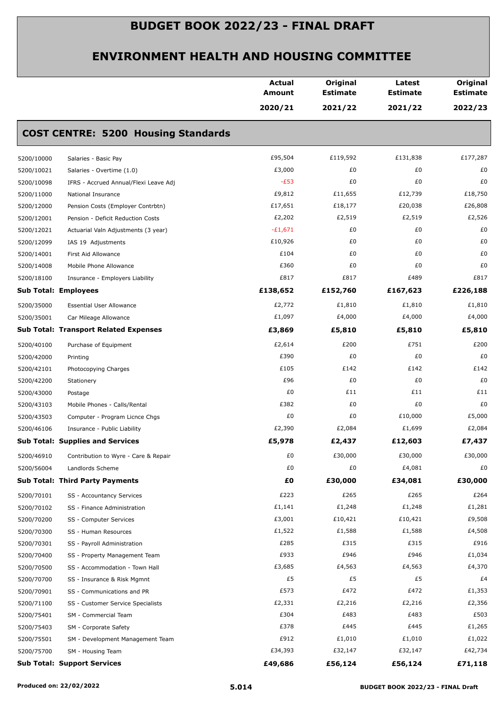|            |                                              | <b>Actual</b><br><b>Amount</b> | Original<br><b>Estimate</b> | Latest<br><b>Estimate</b> | Original<br><b>Estimate</b> |
|------------|----------------------------------------------|--------------------------------|-----------------------------|---------------------------|-----------------------------|
|            |                                              | 2020/21                        | 2021/22                     | 2021/22                   | 2022/23                     |
|            | <b>COST CENTRE: 5200 Housing Standards</b>   |                                |                             |                           |                             |
| 5200/10000 | Salaries - Basic Pay                         | £95,504                        | £119,592                    | £131,838                  | £177,287                    |
| 5200/10021 | Salaries - Overtime (1.0)                    | £3,000                         | £0                          | £0                        | £0                          |
| 5200/10098 | IFRS - Accrued Annual/Flexi Leave Adj        | $-E53$                         | £0                          | £0                        | £0                          |
| 5200/11000 | National Insurance                           | £9,812                         | £11,655                     | £12,739                   | £18,750                     |
| 5200/12000 | Pension Costs (Employer Contrbtn)            | £17,651                        | £18,177                     | £20,038                   | £26,808                     |
| 5200/12001 | Pension - Deficit Reduction Costs            | £2,202                         | £2,519                      | £2,519                    | £2,526                      |
| 5200/12021 | Actuarial Valn Adjustments (3 year)          | $-£1,671$                      | £0                          | £0                        | £0                          |
| 5200/12099 | IAS 19 Adjustments                           | £10,926                        | £0                          | £0                        | £0                          |
| 5200/14001 | First Aid Allowance                          | £104                           | £0                          | £0                        | £0                          |
| 5200/14008 | Mobile Phone Allowance                       | £360                           | £0                          | £0                        | £0                          |
| 5200/18100 | Insurance - Employers Liability              | £817                           | £817                        | £489                      | £817                        |
|            | <b>Sub Total: Employees</b>                  | £138,652                       | £152,760                    | £167,623                  | £226,188                    |
| 5200/35000 | <b>Essential User Allowance</b>              | £2,772                         | £1,810                      | £1,810                    | £1,810                      |
| 5200/35001 | Car Mileage Allowance                        | £1,097                         | £4,000                      | £4,000                    | £4,000                      |
|            | <b>Sub Total: Transport Related Expenses</b> | £3,869                         | £5,810                      | £5,810                    | £5,810                      |
| 5200/40100 | Purchase of Equipment                        | £2,614                         | £200                        | £751                      | £200                        |
| 5200/42000 | Printing                                     | £390                           | £0                          | £0                        | £0                          |
| 5200/42101 | Photocopying Charges                         | £105                           | £142                        | £142                      | £142                        |
| 5200/42200 | Stationery                                   | £96                            | £0                          | £0                        | £0                          |
| 5200/43000 | Postage                                      | £0                             | £11                         | £11                       | £11                         |
| 5200/43103 | Mobile Phones - Calls/Rental                 | £382                           | £0                          | £0                        | £0                          |
| 5200/43503 | Computer - Program Licnce Chgs               | £0                             | £0                          | £10,000                   | £5,000                      |
| 5200/46106 | Insurance - Public Liability                 | £2,390                         | £2,084                      | £1,699                    | £2,084                      |
|            | <b>Sub Total: Supplies and Services</b>      | £5,978                         | £2,437                      | £12,603                   | £7,437                      |
| 5200/46910 | Contribution to Wyre - Care & Repair         | £0                             | £30,000                     | £30,000                   | £30,000                     |
| 5200/56004 | Landlords Scheme                             | £0                             | £0                          | £4,081                    | £0                          |
|            | <b>Sub Total: Third Party Payments</b>       | £0                             | £30,000                     | £34,081                   | £30,000                     |
| 5200/70101 | SS - Accountancy Services                    | £223                           | £265                        | £265                      | £264                        |
| 5200/70102 | SS - Finance Administration                  | £1,141                         | £1,248                      | £1,248                    | £1,281                      |
| 5200/70200 | SS - Computer Services                       | £3,001                         | £10,421                     | £10,421                   | £9,508                      |
| 5200/70300 | SS - Human Resources                         | £1,522                         | £1,588                      | £1,588                    | £4,508                      |
| 5200/70301 | SS - Payroll Administration                  | £285                           | £315                        | £315                      | £916                        |
| 5200/70400 | SS - Property Management Team                | £933                           | £946                        | £946                      | £1,034                      |
| 5200/70500 | SS - Accommodation - Town Hall               | £3,685                         | £4,563                      | £4,563                    | £4,370                      |
| 5200/70700 | SS - Insurance & Risk Mgmnt                  | £5                             | £5                          | £5                        | £4                          |
| 5200/70901 | SS - Communications and PR                   | £573                           | £472                        | £472                      | £1,353                      |
| 5200/71100 | SS - Customer Service Specialists            | £2,331                         | £2,216                      | £2,216                    | £2,356                      |
| 5200/75401 | SM - Commercial Team                         | £304                           | £483                        | £483                      | £503                        |
| 5200/75403 | SM - Corporate Safety                        | £378                           | £445                        | £445                      | £1,265                      |
| 5200/75501 | SM - Development Management Team             | £912                           | £1,010                      | £1,010                    | £1,022                      |
| 5200/75700 | SM - Housing Team                            | £34,393                        | £32,147                     | £32,147                   | £42,734                     |
|            | <b>Sub Total: Support Services</b>           | £49,686                        | £56,124                     | £56,124                   | £71,118                     |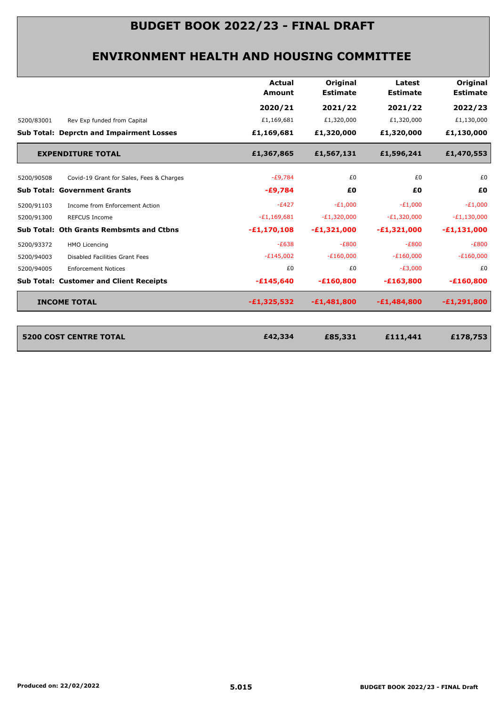|               | <b>Estimate</b> | <b>Estimate</b> | <b>Estimate</b> |
|---------------|-----------------|-----------------|-----------------|
| 2020/21       | 2021/22         | 2021/22         | 2022/23         |
| £1,169,681    | £1,320,000      | £1,320,000      | £1,130,000      |
| £1,169,681    | £1,320,000      | £1,320,000      | £1,130,000      |
| £1,367,865    | £1,567,131      | £1,596,241      | £1,470,553      |
| $-E9,784$     | £0              | £0              | £0              |
| $-£9,784$     | £0              | £0              | £0              |
| $-E427$       | $-E1,000$       | $-E1,000$       | $-E1,000$       |
| $-E1,169,681$ | $-E1,320,000$   | $-E1,320,000$   | $-E1,130,000$   |
| $-E1,170,108$ | $-E1,321,000$   | $-E1,321,000$   | $-E1,131,000$   |
| $-E638$       | $-E800$         | $-E800$         | $-E800$         |
| $-E145,002$   | $-E160,000$     | $-E160,000$     | $-E160,000$     |
| £0            | £0              | $-E3,000$       | £0              |
| $-£145,640$   | $-£160,800$     | $-£163,800$     | $-£160,800$     |
| $-£1,325,532$ | $-E1,481,800$   | $-E1,484,800$   | $-E1,291,800$   |
|               |                 |                 |                 |
| £42,334       | £85,331         | £111,441        | £178,753        |
|               |                 |                 |                 |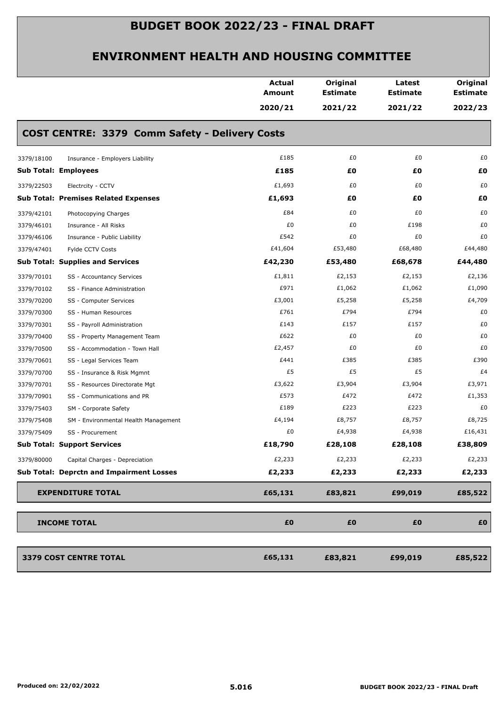|                                                    | <b>Actual</b><br>Amount | Original<br><b>Estimate</b> | Latest<br><b>Estimate</b> | Original<br><b>Estimate</b> |
|----------------------------------------------------|-------------------------|-----------------------------|---------------------------|-----------------------------|
|                                                    | 2020/21                 | 2021/22                     | 2021/22                   | 2022/23                     |
| COST CENTRE: 3379 Comm Safety - Delivery Costs     |                         |                             |                           |                             |
| 3379/18100<br>Insurance - Employers Liability      | £185                    | £0                          | £0                        | £0                          |
| <b>Sub Total: Employees</b>                        | £185                    | £0                          | £Ο                        | £0                          |
| 3379/22503<br>Electrcity - CCTV                    | £1,693                  | £0                          | £0                        | £0                          |
| <b>Sub Total: Premises Related Expenses</b>        | £1,693                  | £0                          | £Ο                        | £0                          |
| 3379/42101<br>Photocopying Charges                 | £84                     | £0                          | £0                        | £0                          |
| 3379/46101<br>Insurance - All Risks                | £0                      | £0                          | £198                      | £0                          |
| 3379/46106<br>Insurance - Public Liability         | £542                    | £0                          | £0                        | £0                          |
| 3379/47401<br>Fylde CCTV Costs                     | £41,604                 | £53,480                     | £68,480                   | £44,480                     |
| <b>Sub Total: Supplies and Services</b>            | £42,230                 | £53,480                     | £68,678                   | £44,480                     |
| 3379/70101<br>SS - Accountancy Services            | £1,811                  | £2,153                      | £2,153                    | £2,136                      |
| 3379/70102<br>SS - Finance Administration          | £971                    | £1,062                      | £1,062                    | £1,090                      |
| 3379/70200<br>SS - Computer Services               | £3,001                  | £5,258                      | £5,258                    | £4,709                      |
| 3379/70300<br>SS - Human Resources                 | £761                    | £794                        | £794                      | £0                          |
| 3379/70301<br>SS - Payroll Administration          | £143                    | £157                        | £157                      | £0                          |
| 3379/70400<br>SS - Property Management Team        | £622                    | £0                          | £0                        | £0                          |
| 3379/70500<br>SS - Accommodation - Town Hall       | £2,457                  | £0                          | £0                        | £0                          |
| 3379/70601<br>SS - Legal Services Team             | £441                    | £385                        | £385                      | £390                        |
| 3379/70700<br>SS - Insurance & Risk Mgmnt          | £5                      | £5                          | £5                        | £4                          |
| 3379/70701<br>SS - Resources Directorate Mgt       | £3,622                  | £3,904                      | £3,904                    | £3,971                      |
| 3379/70901<br>SS - Communications and PR           | £573                    | £472                        | £472                      | £1,353                      |
| 3379/75403<br>SM - Corporate Safety                | £189                    | £223                        | £223                      | £0                          |
| 3379/75408<br>SM - Environmental Health Management | £4,194                  | £8,757                      | £8,757                    | £8,725                      |
| 3379/75409<br>SS - Procurement                     | £0                      | £4,938                      | £4,938                    | £16,431                     |
| <b>Sub Total: Support Services</b>                 | £18,790                 | £28,108                     | £28,108                   | £38,809                     |
| Capital Charges - Depreciation<br>3379/80000       | £2,233                  | £2,233                      | £2,233                    | £2,233                      |
| Sub Total: Deprctn and Impairment Losses           | £2,233                  | £2,233                      | £2,233                    | £2,233                      |
| <b>EXPENDITURE TOTAL</b>                           | £65,131                 | £83,821                     | £99,019                   | £85,522                     |
| <b>INCOME TOTAL</b>                                | £0                      | £0                          | £0                        | £0                          |
| 3379 COST CENTRE TOTAL                             | £65,131                 | £83,821                     | £99,019                   | £85,522                     |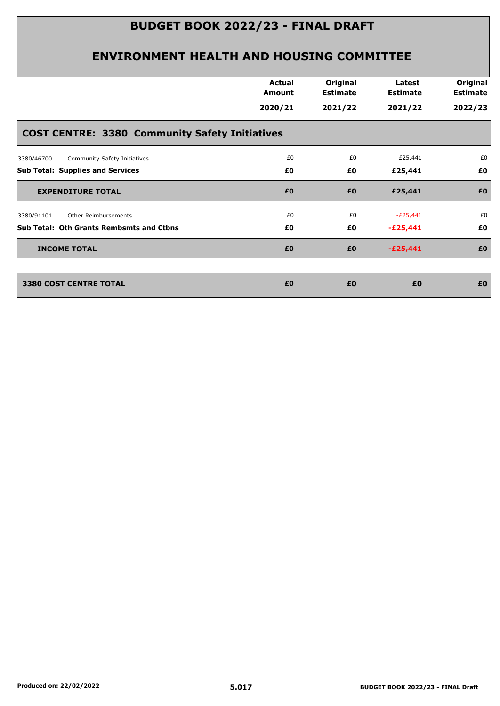|                                                       | <b>Actual</b><br>Amount | Original<br><b>Estimate</b> | Latest<br><b>Estimate</b> | Original<br><b>Estimate</b> |
|-------------------------------------------------------|-------------------------|-----------------------------|---------------------------|-----------------------------|
|                                                       | 2020/21                 | 2021/22                     | 2021/22                   | 2022/23                     |
| <b>COST CENTRE: 3380 Community Safety Initiatives</b> |                         |                             |                           |                             |
| Community Safety Initiatives<br>3380/46700            | £0                      | £0                          | £25,441                   | £0                          |
| <b>Sub Total: Supplies and Services</b>               | £0                      | £0                          | £25,441                   | £0                          |
| <b>EXPENDITURE TOTAL</b>                              | £0                      | £0                          | £25,441                   | £0                          |
| Other Reimbursements<br>3380/91101                    | £0                      | £0                          | $-E25,441$                | £0                          |
| Sub Total: Oth Grants Rembsmts and Ctbns              | £0                      | £0                          | $-E25,441$                | £0                          |
| <b>INCOME TOTAL</b>                                   | £0                      | £0                          | $-E25,441$                | £0                          |
| <b>3380 COST CENTRE TOTAL</b>                         | £0                      | £0                          | £0                        | £0                          |
|                                                       |                         |                             |                           |                             |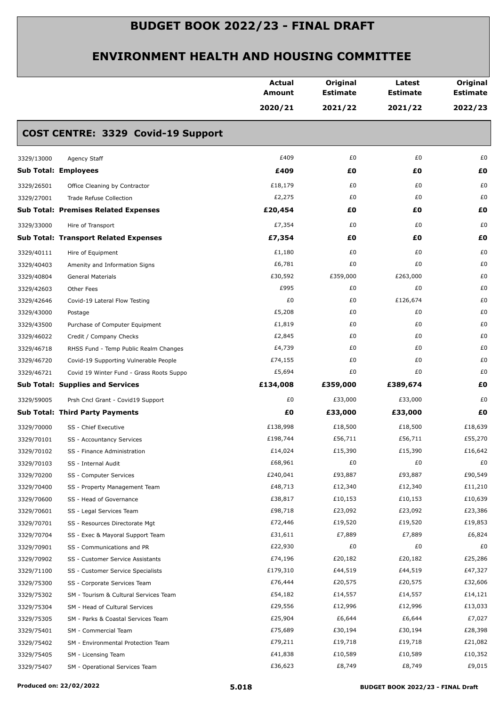|                             |                                              | <b>Actual</b><br>Amount | Original<br><b>Estimate</b> | Latest<br><b>Estimate</b> | Original<br><b>Estimate</b> |
|-----------------------------|----------------------------------------------|-------------------------|-----------------------------|---------------------------|-----------------------------|
|                             |                                              | 2020/21                 | 2021/22                     | 2021/22                   | 2022/23                     |
|                             | COST CENTRE: 3329 Covid-19 Support           |                         |                             |                           |                             |
| 3329/13000                  | Agency Staff                                 | £409                    | £0                          | £0                        | £0                          |
| <b>Sub Total: Employees</b> |                                              | £409                    | £0                          | £Ο                        | £0                          |
| 3329/26501                  | Office Cleaning by Contractor                | £18,179                 | £0                          | £0                        | £0                          |
| 3329/27001                  | Trade Refuse Collection                      | £2,275                  | £0                          | £0                        | £0                          |
|                             | <b>Sub Total: Premises Related Expenses</b>  | £20,454                 | £0                          | £Ο                        | £0                          |
| 3329/33000                  | Hire of Transport                            | £7,354                  | £0                          | £0                        | £0                          |
|                             | <b>Sub Total: Transport Related Expenses</b> | £7,354                  | £0                          | £Ο                        | £0                          |
| 3329/40111                  | Hire of Equipment                            | £1,180                  | £0                          | £0                        | £0                          |
| 3329/40403                  | Amenity and Information Signs                | £6,781                  | £0                          | £0                        | £0                          |
| 3329/40804                  | General Materials                            | £30,592                 | £359,000                    | £263,000                  | £0                          |
| 3329/42603                  | Other Fees                                   | £995                    | £0                          | £0                        | £0                          |
| 3329/42646                  | Covid-19 Lateral Flow Testing                | £0                      | £0                          | £126,674                  | £0                          |
| 3329/43000                  | Postage                                      | £5,208                  | £0                          | £0                        | £0                          |
| 3329/43500                  | Purchase of Computer Equipment               | £1,819                  | £0                          | £0                        | £0                          |
| 3329/46022                  | Credit / Company Checks                      | £2,845                  | £0                          | £0                        | £0                          |
| 3329/46718                  | RHSS Fund - Temp Public Realm Changes        | £4,739                  | £0                          | £0                        | £0                          |
| 3329/46720                  | Covid-19 Supporting Vulnerable People        | £74,155                 | £0                          | £0                        | £0                          |
| 3329/46721                  | Covid 19 Winter Fund - Grass Roots Suppo     | £5,694                  | £0                          | £0                        | £0                          |
|                             | <b>Sub Total: Supplies and Services</b>      | £134,008                | £359,000                    | £389,674                  | £Ο                          |
| 3329/59005                  | Prsh Cncl Grant - Covid19 Support            | £0                      | £33,000                     | £33,000                   | £0                          |
|                             | <b>Sub Total: Third Party Payments</b>       | £Ο                      | £33,000                     | £33,000                   | £0                          |
| 3329/70000                  | SS - Chief Executive                         | £138,998                | £18,500                     | £18,500                   | £18,639                     |
| 3329/70101                  | SS - Accountancy Services                    | £198,744                | £56,711                     | £56,711                   | £55,270                     |
| 3329/70102                  | SS - Finance Administration                  | £14,024                 | £15,390                     | £15,390                   | £16,642                     |
| 3329/70103                  | SS - Internal Audit                          | £68,961                 | £0                          | £0                        | £0                          |
| 3329/70200                  | SS - Computer Services                       | £240,041                | £93,887                     | £93,887                   | £90,549                     |
| 3329/70400                  | SS - Property Management Team                | £48,713                 | £12,340                     | £12,340                   | £11,210                     |
| 3329/70600                  | SS - Head of Governance                      | £38,817                 | £10,153                     | £10,153                   | £10,639                     |
| 3329/70601                  | SS - Legal Services Team                     | £98,718                 | £23,092                     | £23,092                   | £23,386                     |
| 3329/70701                  | SS - Resources Directorate Mgt               | £72,446                 | £19,520                     | £19,520                   | £19,853                     |
| 3329/70704                  | SS - Exec & Mayoral Support Team             | £31,611                 | £7,889                      | £7,889                    | £6,824                      |
| 3329/70901                  | SS - Communications and PR                   | £22,930                 | £0                          | £0                        | £0                          |
| 3329/70902                  | SS - Customer Service Assistants             | £74,196                 | £20,182                     | £20,182                   | £25,286                     |
| 3329/71100                  | SS - Customer Service Specialists            | £179,310                | £44,519                     | £44,519                   | £47,327                     |
| 3329/75300                  | SS - Corporate Services Team                 | £76,444                 | £20,575                     | £20,575                   | £32,606                     |
| 3329/75302                  | SM - Tourism & Cultural Services Team        | £54,182                 | £14,557                     | £14,557                   | £14,121                     |
| 3329/75304                  | SM - Head of Cultural Services               | £29,556                 | £12,996                     | £12,996                   | £13,033                     |
| 3329/75305                  | SM - Parks & Coastal Services Team           | £25,904                 | £6,644                      | £6,644                    | £7,027                      |
| 3329/75401                  | SM - Commercial Team                         | £75,689                 | £30,194                     | £30,194                   | £28,398                     |
| 3329/75402                  | SM - Environmental Protection Team           | £79,211                 | £19,718                     | £19,718                   | £21,082                     |
| 3329/75405                  | SM - Licensing Team                          | £41,838                 | £10,589                     | £10,589                   | £10,352                     |
| 3329/75407                  | SM - Operational Services Team               | £36,623                 | £8,749                      | £8,749                    | £9,015                      |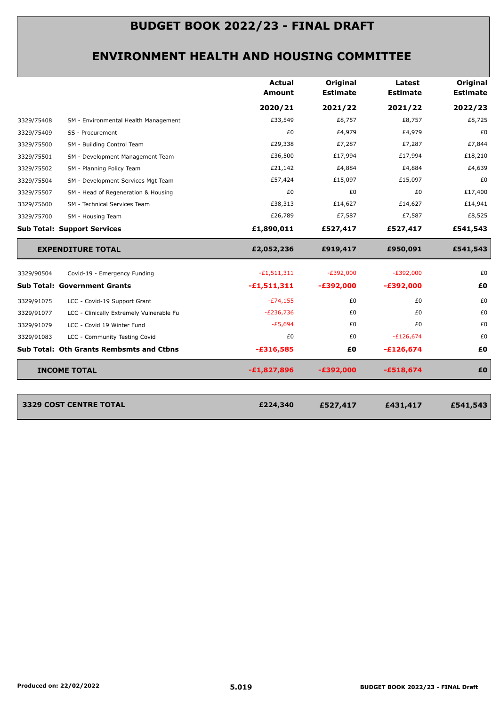#### **ENVIRONMENT HEALTH AND HOUSING COMMITTEE**

|            |                                                 | <b>Actual</b><br>Amount | Original<br><b>Estimate</b> | Latest<br><b>Estimate</b> | Original<br><b>Estimate</b> |
|------------|-------------------------------------------------|-------------------------|-----------------------------|---------------------------|-----------------------------|
|            |                                                 | 2020/21                 | 2021/22                     | 2021/22                   | 2022/23                     |
| 3329/75408 | SM - Environmental Health Management            | £33,549                 | £8,757                      | £8,757                    | £8,725                      |
| 3329/75409 | SS - Procurement                                | £0                      | £4,979                      | £4,979                    | £0                          |
| 3329/75500 | SM - Building Control Team                      | £29,338                 | £7,287                      | £7,287                    | £7,844                      |
| 3329/75501 | SM - Development Management Team                | £36,500                 | £17,994                     | £17,994                   | £18,210                     |
| 3329/75502 | SM - Planning Policy Team                       | £21,142                 | £4,884                      | £4,884                    | £4,639                      |
| 3329/75504 | SM - Development Services Mgt Team              | £57,424                 | £15,097                     | £15,097                   | £0                          |
| 3329/75507 | SM - Head of Regeneration & Housing             | £0                      | £0                          | £0                        | £17,400                     |
| 3329/75600 | SM - Technical Services Team                    | £38,313                 | £14,627                     | £14,627                   | £14,941                     |
| 3329/75700 | SM - Housing Team                               | £26,789                 | £7,587                      | £7,587                    | £8,525                      |
|            | <b>Sub Total: Support Services</b>              | £1,890,011              | £527,417                    | £527,417                  | £541,543                    |
|            | <b>EXPENDITURE TOTAL</b>                        | £2,052,236              | £919,417                    | £950,091                  | £541,543                    |
| 3329/90504 | Covid-19 - Emergency Funding                    | $-E1,511,311$           | $-E392,000$                 | $-E392,000$               | £0                          |
|            | <b>Sub Total: Government Grants</b>             | $-£1,511,311$           | $-£392,000$                 | $-£392,000$               | £0                          |
| 3329/91075 | LCC - Covid-19 Support Grant                    | $-E74,155$              | £0                          | £0                        | £0                          |
|            | LCC - Clinically Extremely Vulnerable Fu        | $-E236,736$             | £0                          | £0                        | £0                          |
| 3329/91077 |                                                 |                         |                             |                           |                             |
| 3329/91079 | LCC - Covid 19 Winter Fund                      | $-E5,694$               | £0                          | £0                        | £0                          |
| 3329/91083 | LCC - Community Testing Covid                   | £0                      | £0                          | $-E126,674$               | £0                          |
|            | <b>Sub Total: Oth Grants Rembsmts and Ctbns</b> | $-£316,585$             | £0                          | $-£126,674$               | £0                          |

**3329 COST CENTRE TOTAL £527,417 £431,417 £541,543** **£224,340**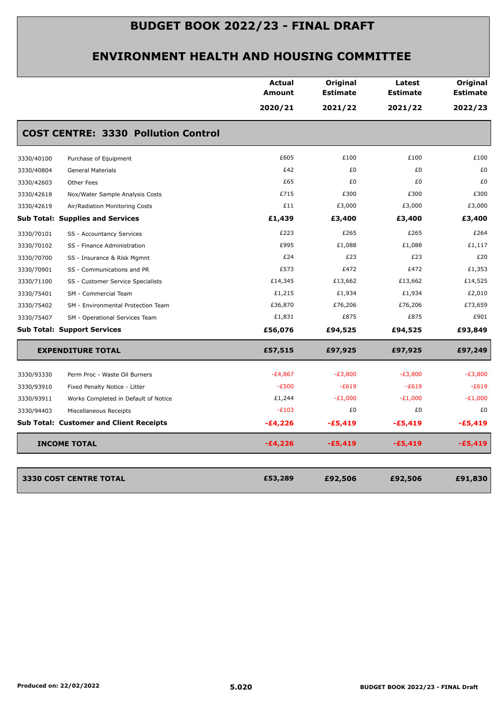|                                                    | <b>Actual</b><br>Amount | Original<br><b>Estimate</b> | Latest<br><b>Estimate</b> | Original<br><b>Estimate</b> |
|----------------------------------------------------|-------------------------|-----------------------------|---------------------------|-----------------------------|
|                                                    | 2020/21                 | 2021/22                     | 2021/22                   | 2022/23                     |
| <b>COST CENTRE: 3330 Pollution Control</b>         |                         |                             |                           |                             |
| 3330/40100<br>Purchase of Equipment                | £605                    | £100                        | £100                      | £100                        |
| <b>General Materials</b><br>3330/40804             | £42                     | £0                          | £0                        | £0                          |
| 3330/42603<br>Other Fees                           | £65                     | £0                          | £0                        | £0                          |
| 3330/42618<br>Nox/Water Sample Analysis Costs      | £715                    | £300                        | £300                      | £300                        |
| 3330/42619<br>Air/Radiation Monitoring Costs       | £11                     | £3,000                      | £3,000                    | £3,000                      |
| <b>Sub Total: Supplies and Services</b>            | £1,439                  | £3,400                      | £3,400                    | £3,400                      |
| 3330/70101<br>SS - Accountancy Services            | £223                    | £265                        | £265                      | £264                        |
| 3330/70102<br>SS - Finance Administration          | £995                    | £1,088                      | £1,088                    | £1,117                      |
| 3330/70700<br>SS - Insurance & Risk Mgmnt          | £24                     | £23                         | £23                       | £20                         |
| 3330/70901<br>SS - Communications and PR           | £573                    | £472                        | £472                      | £1,353                      |
| 3330/71100<br>SS - Customer Service Specialists    | £14,345                 | £13,662                     | £13,662                   | £14,525                     |
| 3330/75401<br>SM - Commercial Team                 | £1,215                  | £1,934                      | £1,934                    | £2,010                      |
| 3330/75402<br>SM - Environmental Protection Team   | £36,870                 | £76,206                     | £76,206                   | £73,659                     |
| 3330/75407<br>SM - Operational Services Team       | £1,831                  | £875                        | £875                      | £901                        |
| <b>Sub Total: Support Services</b>                 | £56,076                 | £94,525                     | £94,525                   | £93,849                     |
| <b>EXPENDITURE TOTAL</b>                           | £57,515                 | £97,925                     | £97,925                   | £97,249                     |
| 3330/93330<br>Perm Proc - Waste Oil Burners        | $-E4,867$               | $-E3,800$                   | $-E3,800$                 | $-E3,800$                   |
| 3330/93910<br>Fixed Penalty Notice - Litter        | $-E500$                 | $-E619$                     | $-E619$                   | $-E619$                     |
| 3330/93911<br>Works Completed in Default of Notice | £1,244                  | $-E1,000$                   | $-E1,000$                 | $-E1,000$                   |
| 3330/94403<br>Miscellaneous Receipts               | $-E103$                 | £0                          | £0                        | £0                          |
| <b>Sub Total: Customer and Client Receipts</b>     | $-£4,226$               | -£5,419                     | $-£5,419$                 | $-£5,419$                   |
| <b>INCOME TOTAL</b>                                | $-£4,226$               | $-£5,419$                   | $-E5,419$                 | $-£5,419$                   |
| <b>3330 COST CENTRE TOTAL</b>                      | £53,289                 | £92,506                     | £92,506                   | £91,830                     |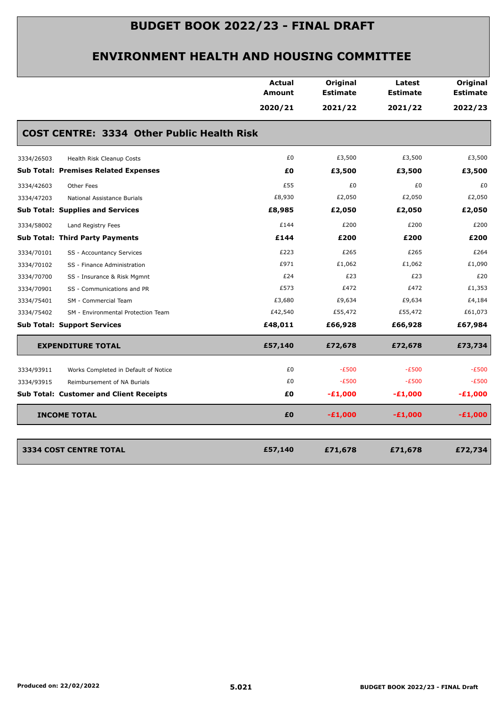|                                                    | <b>Actual</b><br>Amount | Original<br><b>Estimate</b> | Latest<br><b>Estimate</b> | Original<br><b>Estimate</b> |
|----------------------------------------------------|-------------------------|-----------------------------|---------------------------|-----------------------------|
|                                                    | 2020/21                 | 2021/22                     | 2021/22                   | 2022/23                     |
| <b>COST CENTRE: 3334 Other Public Health Risk</b>  |                         |                             |                           |                             |
| 3334/26503<br>Health Risk Cleanup Costs            | £0                      | £3,500                      | £3,500                    | £3,500                      |
| <b>Sub Total: Premises Related Expenses</b>        | £0                      | £3,500                      | £3,500                    | £3,500                      |
| 3334/42603<br>Other Fees                           | £55                     | £0                          | £0                        | £0                          |
| 3334/47203<br>National Assistance Burials          | £8,930                  | £2,050                      | £2,050                    | £2,050                      |
| <b>Sub Total: Supplies and Services</b>            | £8,985                  | £2,050                      | £2,050                    | £2,050                      |
| 3334/58002<br>Land Registry Fees                   | £144                    | £200                        | £200                      | £200                        |
| <b>Sub Total: Third Party Payments</b>             | £144                    | £200                        | £200                      | £200                        |
| 3334/70101<br>SS - Accountancy Services            | £223                    | £265                        | £265                      | £264                        |
| 3334/70102<br>SS - Finance Administration          | £971                    | £1,062                      | £1,062                    | £1,090                      |
| 3334/70700<br>SS - Insurance & Risk Mgmnt          | £24                     | £23                         | £23                       | £20                         |
| SS - Communications and PR<br>3334/70901           | £573                    | £472                        | £472                      | £1,353                      |
| 3334/75401<br>SM - Commercial Team                 | £3,680                  | £9,634                      | £9,634                    | £4,184                      |
| 3334/75402<br>SM - Environmental Protection Team   | £42,540                 | £55,472                     | £55,472                   | £61,073                     |
| <b>Sub Total: Support Services</b>                 | £48,011                 | £66,928                     | £66,928                   | £67,984                     |
| <b>EXPENDITURE TOTAL</b>                           | £57,140                 | £72,678                     | £72,678                   | £73,734                     |
| 3334/93911<br>Works Completed in Default of Notice | £0                      | $-E500$                     | $-E500$                   | $-E500$                     |
| 3334/93915<br>Reimbursement of NA Burials          | £0                      | $-E500$                     | $-E500$                   | $-E500$                     |
| <b>Sub Total: Customer and Client Receipts</b>     | £Ο                      | $-E1,000$                   | $-E1,000$                 | $-E1,000$                   |
| <b>INCOME TOTAL</b>                                | £0                      | $-£1,000$                   | $-£1,000$                 | $-£1,000$                   |
| 3334 COST CENTRE TOTAL                             | £57,140                 | £71,678                     | £71,678                   | £72,734                     |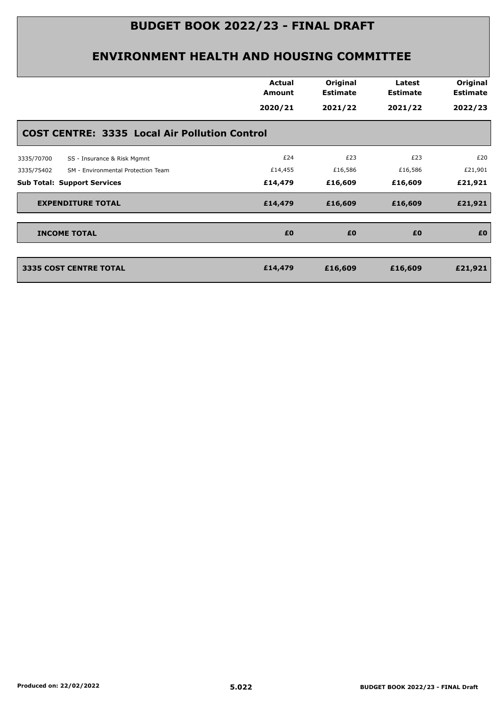|                                                      | <b>Actual</b><br>Amount | Original<br><b>Estimate</b> | Latest<br><b>Estimate</b> | Original<br><b>Estimate</b> |
|------------------------------------------------------|-------------------------|-----------------------------|---------------------------|-----------------------------|
|                                                      | 2020/21                 | 2021/22                     | 2021/22                   | 2022/23                     |
| <b>COST CENTRE: 3335 Local Air Pollution Control</b> |                         |                             |                           |                             |
| 3335/70700<br>SS - Insurance & Risk Mgmnt            | £24                     | £23                         | £23                       | £20                         |
| SM - Environmental Protection Team<br>3335/75402     | £14,455                 | £16,586                     | £16,586                   | £21,901                     |
| <b>Sub Total: Support Services</b>                   | £14,479                 | £16,609                     | £16,609                   | £21,921                     |
| <b>EXPENDITURE TOTAL</b>                             | £14,479                 | £16,609                     | £16,609                   | £21,921                     |
| <b>INCOME TOTAL</b>                                  | £0                      | £0                          | £0                        | £0                          |
|                                                      |                         |                             |                           |                             |
| <b>3335 COST CENTRE TOTAL</b>                        | £14,479                 | £16,609                     | £16,609                   | £21,921                     |
|                                                      |                         |                             |                           |                             |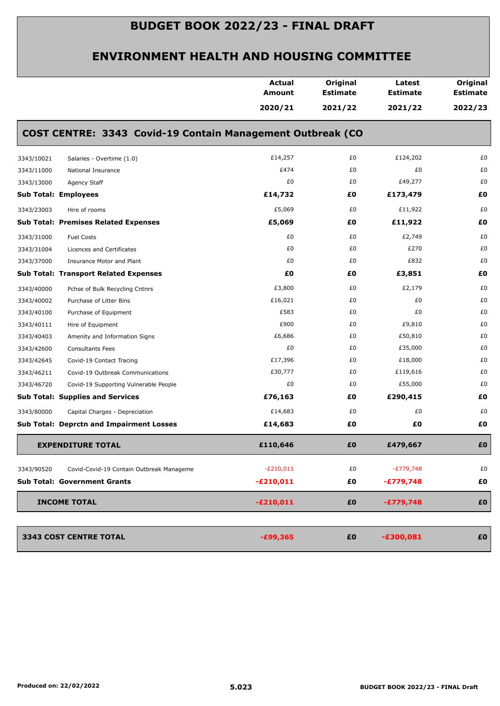|            |                                                            | <b>Actual</b><br>Amount | Original<br><b>Estimate</b> | Latest<br><b>Estimate</b> | Original<br><b>Estimate</b> |
|------------|------------------------------------------------------------|-------------------------|-----------------------------|---------------------------|-----------------------------|
|            |                                                            | 2020/21                 | 2021/22                     | 2021/22                   | 2022/23                     |
|            | COST CENTRE: 3343 Covid-19 Contain Management Outbreak (CO |                         |                             |                           |                             |
| 3343/10021 | Salaries - Overtime (1.0)                                  | £14,257                 | £0                          | £124,202                  | £0                          |
| 3343/11000 | National Insurance                                         | £474                    | £0                          | £0                        | £0                          |
| 3343/13000 | Agency Staff                                               | £0                      | £0                          | £49,277                   | £0                          |
|            | <b>Sub Total: Employees</b>                                | £14,732                 | £0                          | £173,479                  | £0                          |
| 3343/23003 | Hire of rooms                                              | £5,069                  | £0                          | £11,922                   | £0                          |
|            | <b>Sub Total: Premises Related Expenses</b>                | £5,069                  | £0                          | £11,922                   | £0                          |
| 3343/31000 | <b>Fuel Costs</b>                                          | £0                      | £0                          | £2,749                    | £0                          |
| 3343/31004 | Licences and Certificates                                  | £0                      | £0                          | £270                      | £0                          |
| 3343/37000 | Insurance Motor and Plant                                  | £0                      | £0                          | £832                      | £0                          |
|            | <b>Sub Total: Transport Related Expenses</b>               | £0                      | £0                          | £3,851                    | £0                          |
| 3343/40000 | Pchse of Bulk Recycling Cntnrs                             | £3,800                  | £0                          | £2,179                    | £0                          |
| 3343/40002 | Purchase of Litter Bins                                    | £16,021                 | £0                          | £0                        | £0                          |
| 3343/40100 | Purchase of Equipment                                      | £583                    | £0                          | £0                        | £0                          |
| 3343/40111 | Hire of Equipment                                          | £900                    | £0                          | £9,810                    | £0                          |
| 3343/40403 | Amenity and Information Signs                              | £6,686                  | £0                          | £50,810                   | £0                          |
| 3343/42600 | <b>Consultants Fees</b>                                    | £0                      | £0                          | £35,000                   | £0                          |
| 3343/42645 | Covid-19 Contact Tracing                                   | £17,396                 | £0                          | £18,000                   | £0                          |
| 3343/46211 | Covid-19 Outbreak Communications                           | £30,777                 | £0                          | £119,616                  | £0                          |
| 3343/46720 | Covid-19 Supporting Vulnerable People                      | £0                      | £0                          | £55,000                   | £0                          |
|            | <b>Sub Total: Supplies and Services</b>                    | £76,163                 | £0                          | £290,415                  | £Ο                          |
| 3343/80000 | Capital Charges - Depreciation                             | £14,683                 | £0                          | £0                        | £0                          |
|            | <b>Sub Total: Deprctn and Impairment Losses</b>            | £14,683                 | £0                          | £Ο                        | £0                          |
|            | <b>EXPENDITURE TOTAL</b>                                   | £110,646                | £0                          | £479,667                  | £0                          |
| 3343/90520 | Covid-Covid-19 Contain Outbreak Manageme                   | $-E210,011$             | £0                          | $-E779,748$               | £0                          |
|            | <b>Sub Total: Government Grants</b>                        | $-£210,011$             | £0                          | $-£779,748$               | £0                          |
|            | <b>INCOME TOTAL</b>                                        | $-£210,011$             | £0                          | $-£779,748$               | £0                          |
|            |                                                            |                         |                             |                           |                             |
|            | 3343 COST CENTRE TOTAL                                     | $-£99,365$              | £0                          | $-£300,081$               | £0                          |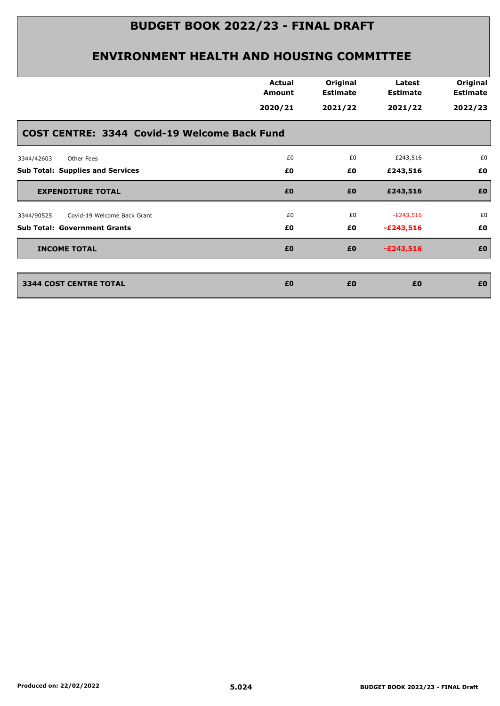|                                              | <b>Actual</b><br>Amount | Original<br><b>Estimate</b> | Latest<br><b>Estimate</b> | Original<br><b>Estimate</b> |
|----------------------------------------------|-------------------------|-----------------------------|---------------------------|-----------------------------|
|                                              | 2020/21                 | 2021/22                     | 2021/22                   | 2022/23                     |
| COST CENTRE: 3344 Covid-19 Welcome Back Fund |                         |                             |                           |                             |
| 3344/42603<br><b>Other Fees</b>              | £0                      | £0                          | £243,516                  | £0                          |
| <b>Sub Total: Supplies and Services</b>      | £0                      | £0                          | £243,516                  | £0                          |
| <b>EXPENDITURE TOTAL</b>                     | £0                      | £0                          | £243,516                  | £0                          |
| Covid-19 Welcome Back Grant<br>3344/90525    | £0                      | £0                          | $-E243,516$               | £0                          |
| <b>Sub Total: Government Grants</b>          | £0                      | £0                          | $-£243,516$               | £0                          |
| <b>INCOME TOTAL</b>                          | £0                      | £0                          | $-£243,516$               | £0                          |
| <b>3344 COST CENTRE TOTAL</b>                | £0                      | £0                          | £0                        | £0                          |
|                                              |                         |                             |                           |                             |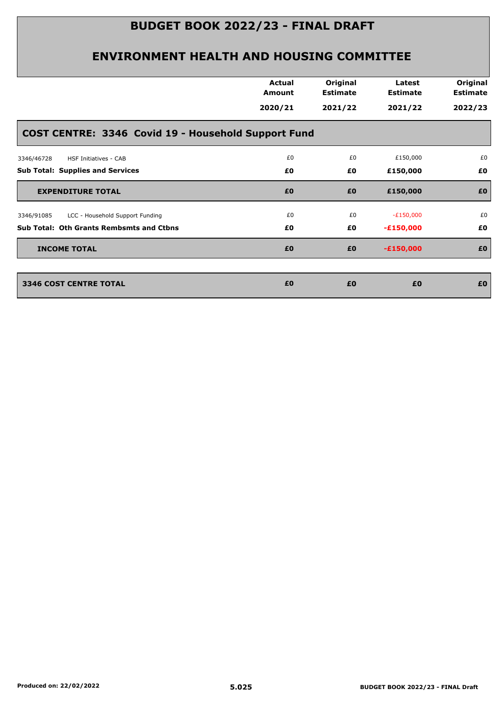|                                                     | <b>Actual</b><br>Amount | Original<br><b>Estimate</b> | Latest<br><b>Estimate</b> | Original<br><b>Estimate</b> |
|-----------------------------------------------------|-------------------------|-----------------------------|---------------------------|-----------------------------|
|                                                     | 2020/21                 | 2021/22                     | 2021/22                   | 2022/23                     |
| COST CENTRE: 3346 Covid 19 - Household Support Fund |                         |                             |                           |                             |
| 3346/46728<br>HSF Initiatives - CAB                 | £0                      | £0                          | £150,000                  | £0                          |
| Sub Total: Supplies and Services                    | £0                      | £0                          | £150,000                  | £Ο                          |
| <b>EXPENDITURE TOTAL</b>                            | £0                      | £0                          | £150,000                  | £0                          |
| LCC - Household Support Funding<br>3346/91085       | £0                      | £0                          | $-E150,000$               | £0                          |
| <b>Sub Total: Oth Grants Rembsmts and Ctbns</b>     | £Ο                      | £0                          | $-£150,000$               | £0                          |
| <b>INCOME TOTAL</b>                                 | £0                      | £0                          | $-£150,000$               | £0                          |
| <b>3346 COST CENTRE TOTAL</b>                       | £0                      | £0                          | £0                        | £0                          |
|                                                     |                         |                             |                           |                             |
|                                                     |                         |                             |                           |                             |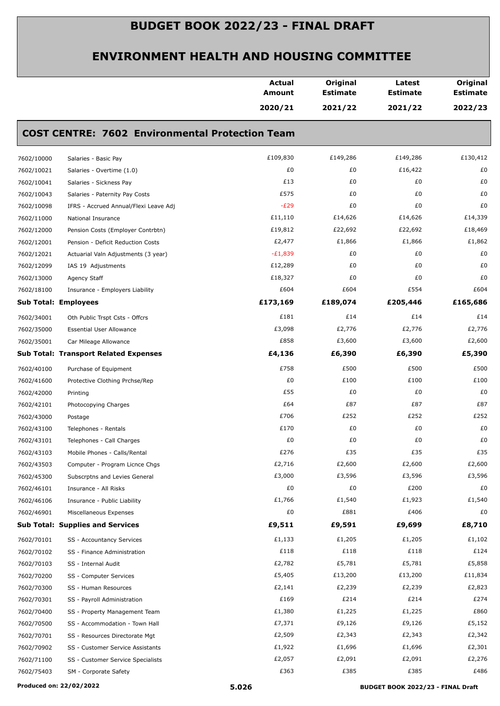|                             |                                                        | <b>Actual</b><br>Amount | Original<br><b>Estimate</b> | Latest<br><b>Estimate</b> | Original<br><b>Estimate</b> |
|-----------------------------|--------------------------------------------------------|-------------------------|-----------------------------|---------------------------|-----------------------------|
|                             |                                                        | 2020/21                 | 2021/22                     | 2021/22                   | 2022/23                     |
|                             | <b>COST CENTRE: 7602 Environmental Protection Team</b> |                         |                             |                           |                             |
| 7602/10000                  | Salaries - Basic Pay                                   | £109,830                | £149,286                    | £149,286                  | £130,412                    |
| 7602/10021                  | Salaries - Overtime (1.0)                              | £0                      | £0                          | £16,422                   | £0                          |
| 7602/10041                  | Salaries - Sickness Pay                                | £13                     | £0                          | £0                        | £0                          |
| 7602/10043                  | Salaries - Paternity Pay Costs                         | £575                    | £0                          | £0                        | £0                          |
| 7602/10098                  | IFRS - Accrued Annual/Flexi Leave Adj                  | $-E29$                  | £0                          | £0                        | £0                          |
| 7602/11000                  | National Insurance                                     | £11,110                 | £14,626                     | £14,626                   | £14,339                     |
| 7602/12000                  | Pension Costs (Employer Contrbtn)                      | £19,812                 | £22,692                     | £22,692                   | £18,469                     |
| 7602/12001                  | Pension - Deficit Reduction Costs                      | £2,477                  | £1,866                      | £1,866                    | £1,862                      |
| 7602/12021                  | Actuarial Valn Adjustments (3 year)                    | $-E1,839$               | £0                          | £0                        | £0                          |
| 7602/12099                  | IAS 19 Adjustments                                     | £12,289                 | £0                          | £0                        | £0                          |
| 7602/13000                  | Agency Staff                                           | £18,327                 | £0                          | £0                        | £0                          |
| 7602/18100                  | Insurance - Employers Liability                        | £604                    | £604                        | £554                      | £604                        |
| <b>Sub Total: Employees</b> |                                                        | £173,169                | £189,074                    | £205,446                  | £165,686                    |
| 7602/34001                  | Oth Public Trspt Csts - Offcrs                         | £181                    | £14                         | £14                       | £14                         |
| 7602/35000                  | <b>Essential User Allowance</b>                        | £3,098                  | £2,776                      | £2,776                    | £2,776                      |
| 7602/35001                  | Car Mileage Allowance                                  | £858                    | £3,600                      | £3,600                    | £2,600                      |
|                             | <b>Sub Total: Transport Related Expenses</b>           | £4,136                  | £6,390                      | £6,390                    | £5,390                      |
| 7602/40100                  | Purchase of Equipment                                  | £758                    | £500                        | £500                      | £500                        |
| 7602/41600                  | Protective Clothing Prchse/Rep                         | £0                      | £100                        | £100                      | £100                        |
| 7602/42000                  | Printing                                               | £55                     | £0                          | £0                        | £0                          |
| 7602/42101                  | Photocopying Charges                                   | £64                     | £87                         | £87                       | £87                         |
| 7602/43000                  | Postage                                                | £706                    | £252                        | £252                      | £252                        |
| 7602/43100                  | Telephones - Rentals                                   | £170                    | £0                          | £0                        | £0                          |
| 7602/43101                  | Telephones - Call Charges                              | £0                      | £0                          | £0                        | £0                          |
| 7602/43103                  | Mobile Phones - Calls/Rental                           | £276                    | £35                         | £35                       | £35                         |
| 7602/43503                  | Computer - Program Licnce Chgs                         | £2,716                  | £2,600                      | £2,600                    | £2,600                      |
| 7602/45300                  | Subscrptns and Levies General                          | £3,000                  | £3,596                      | £3,596                    | £3,596                      |
| 7602/46101                  | Insurance - All Risks                                  | £0                      | £0                          | £200                      | £0                          |
| 7602/46106                  | Insurance - Public Liability                           | £1,766                  | £1,540                      | £1,923                    | £1,540                      |
| 7602/46901                  | Miscellaneous Expenses                                 | £0                      | £881                        | £406                      | £0                          |
|                             | <b>Sub Total: Supplies and Services</b>                | £9,511                  | £9,591                      | £9,699                    | £8,710                      |
| 7602/70101                  | SS - Accountancy Services                              | £1,133                  | £1,205                      | £1,205                    | £1,102                      |
| 7602/70102                  | SS - Finance Administration                            | £118                    | £118                        | £118                      | £124                        |
| 7602/70103                  | SS - Internal Audit                                    | £2,782                  | £5,781                      | £5,781                    | £5,858                      |
| 7602/70200                  | SS - Computer Services                                 | £5,405                  | £13,200                     | £13,200                   | £11,834                     |
| 7602/70300                  | SS - Human Resources                                   | £2,141                  | £2,239                      | £2,239                    | £2,823                      |
| 7602/70301                  | SS - Payroll Administration                            | £169                    | £214                        | £214                      | £274                        |
| 7602/70400                  | SS - Property Management Team                          | £1,380                  | £1,225                      | £1,225                    | £860                        |
| 7602/70500                  | SS - Accommodation - Town Hall                         | £7,371                  | £9,126                      | £9,126                    | £5,152                      |
| 7602/70701                  | SS - Resources Directorate Mgt                         | £2,509                  | £2,343                      | £2,343                    | £2,342                      |
| 7602/70902                  | SS - Customer Service Assistants                       | £1,922                  | £1,696                      | £1,696                    | £2,301                      |
| 7602/71100                  | SS - Customer Service Specialists                      | £2,057                  | £2,091                      | £2,091                    | £2,276                      |
| 7602/75403                  | SM - Corporate Safety                                  | £363                    | £385                        | £385                      | £486                        |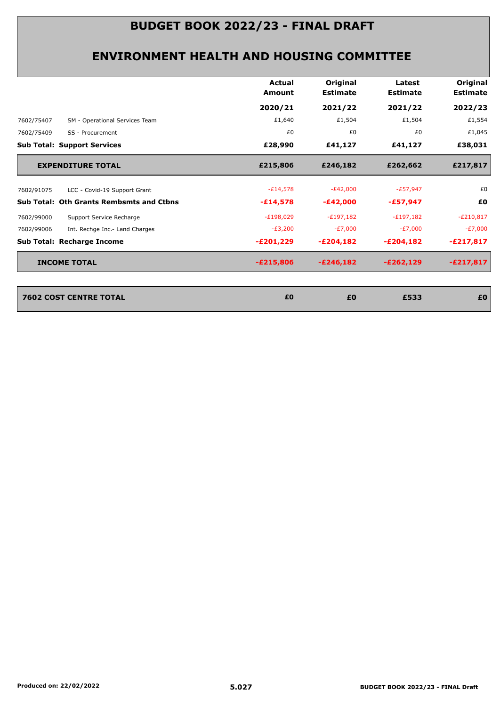|            |                                                 | <b>Actual</b><br><b>Amount</b> | Original<br><b>Estimate</b> | Latest<br><b>Estimate</b> | Original<br><b>Estimate</b> |
|------------|-------------------------------------------------|--------------------------------|-----------------------------|---------------------------|-----------------------------|
|            |                                                 | 2020/21                        | 2021/22                     | 2021/22                   | 2022/23                     |
| 7602/75407 | SM - Operational Services Team                  | £1,640                         | £1,504                      | £1,504                    | £1,554                      |
| 7602/75409 | SS - Procurement                                | £0                             | £0                          | £0                        | £1,045                      |
|            | <b>Sub Total: Support Services</b>              | £28,990                        | £41,127                     | £41,127                   | £38,031                     |
|            | <b>EXPENDITURE TOTAL</b>                        | £215,806                       | £246,182                    | £262,662                  | £217,817                    |
| 7602/91075 | LCC - Covid-19 Support Grant                    | $-E14,578$                     | $-E42,000$                  | $-E57,947$                | £0                          |
|            | <b>Sub Total: Oth Grants Rembsmts and Ctbns</b> | $-£14,578$                     | $-E42,000$                  | -£57,947                  | £0                          |
| 7602/99000 | Support Service Recharge                        | $-E198,029$                    | $-E197,182$                 | $-E197,182$               | $-E210,817$                 |
| 7602/99006 | Int. Rechge Inc.- Land Charges                  | $-E3,200$                      | $-E7,000$                   | $-E7,000$                 | $-E7,000$                   |
|            | Sub Total: Recharge Income                      | -£201,229                      | $-E204,182$                 | $-£204,182$               | $-E217,817$                 |
|            | <b>INCOME TOTAL</b>                             | $-E215,806$                    | $-E246,182$                 | $-E262,129$               | $-E217,817$                 |
|            |                                                 |                                |                             |                           |                             |
|            | <b>7602 COST CENTRE TOTAL</b>                   | £0                             | £0                          | £533                      | £0                          |
|            |                                                 |                                |                             |                           |                             |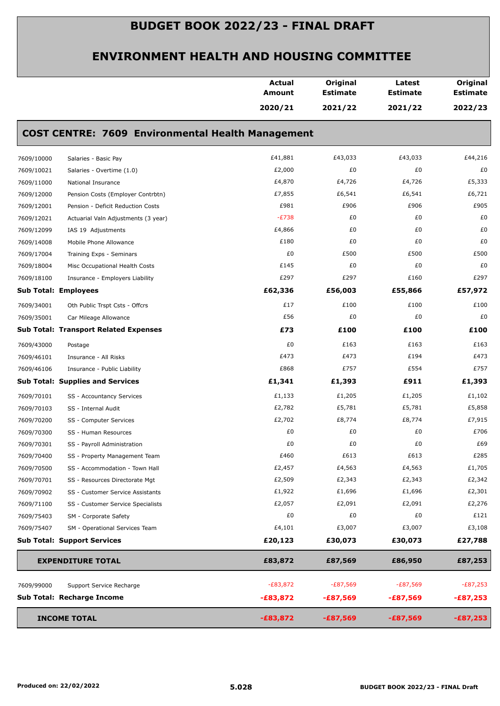|            |                                                          | <b>Actual</b><br>Amount | Original<br><b>Estimate</b> | Latest<br><b>Estimate</b> | Original<br><b>Estimate</b> |
|------------|----------------------------------------------------------|-------------------------|-----------------------------|---------------------------|-----------------------------|
|            |                                                          | 2020/21                 | 2021/22                     | 2021/22                   | 2022/23                     |
|            | <b>COST CENTRE: 7609 Environmental Health Management</b> |                         |                             |                           |                             |
| 7609/10000 | Salaries - Basic Pay                                     | £41,881                 | £43,033                     | £43,033                   | £44,216                     |
| 7609/10021 | Salaries - Overtime (1.0)                                | £2,000                  | £0                          | £0                        | £0                          |
| 7609/11000 | National Insurance                                       | £4,870                  | £4,726                      | £4,726                    | £5,333                      |
| 7609/12000 | Pension Costs (Employer Contrbtn)                        | £7,855                  | £6,541                      | £6,541                    | £6,721                      |
| 7609/12001 | Pension - Deficit Reduction Costs                        | £981                    | £906                        | £906                      | £905                        |
| 7609/12021 | Actuarial Valn Adjustments (3 year)                      | $-E738$                 | £0                          | £0                        | £0                          |
| 7609/12099 | IAS 19 Adjustments                                       | £4,866                  | £0                          | £0                        | £0                          |
| 7609/14008 | Mobile Phone Allowance                                   | £180                    | £0                          | £0                        | £0                          |
| 7609/17004 | Training Exps - Seminars                                 | £0                      | £500                        | £500                      | £500                        |
| 7609/18004 | Misc Occupational Health Costs                           | £145                    | £0                          | £0                        | £0                          |
| 7609/18100 | Insurance - Employers Liability                          | £297                    | £297                        | £160                      | £297                        |
|            | <b>Sub Total: Employees</b>                              | £62,336                 | £56,003                     | £55,866                   | £57,972                     |
| 7609/34001 | Oth Public Trspt Csts - Offcrs                           | £17                     | £100                        | £100                      | £100                        |
| 7609/35001 | Car Mileage Allowance                                    | £56                     | £0                          | £0                        | £0                          |
|            | <b>Sub Total: Transport Related Expenses</b>             | £73                     | £100                        | £100                      | £100                        |
| 7609/43000 | Postage                                                  | £0                      | £163                        | £163                      | £163                        |
| 7609/46101 | Insurance - All Risks                                    | £473                    | £473                        | £194                      | £473                        |
| 7609/46106 | Insurance - Public Liability                             | £868                    | £757                        | £554                      | £757                        |
|            | <b>Sub Total: Supplies and Services</b>                  | £1,341                  | £1,393                      | £911                      | £1,393                      |
| 7609/70101 | SS - Accountancy Services                                | £1,133                  | £1,205                      | £1,205                    | £1,102                      |
| 7609/70103 | SS - Internal Audit                                      | £2,782                  | £5,781                      | £5,781                    | £5,858                      |
| 7609/70200 | SS - Computer Services                                   | £2,702                  | £8,774                      | £8,774                    | £7,915                      |
| 7609/70300 | SS - Human Resources                                     | £0                      | £0                          | £0                        | £706                        |
| 7609/70301 | SS - Payroll Administration                              | £0                      | £0                          | £0                        | £69                         |
| 7609/70400 | SS - Property Management Team                            | £460                    | £613                        | £613                      | £285                        |
| 7609/70500 | SS - Accommodation - Town Hall                           | £2,457                  | £4,563                      | £4,563                    | £1,705                      |
| 7609/70701 | SS - Resources Directorate Mgt                           | £2,509                  | £2,343                      | £2,343                    | £2,342                      |
| 7609/70902 | SS - Customer Service Assistants                         | £1,922                  | £1,696                      | £1,696                    | £2,301                      |
| 7609/71100 | SS - Customer Service Specialists                        | £2,057                  | £2,091                      | £2,091                    | £2,276                      |
| 7609/75403 | SM - Corporate Safety                                    | £0                      | £0                          | £0                        | £121                        |
| 7609/75407 | SM - Operational Services Team                           | £4,101                  | £3,007                      | £3,007                    | £3,108                      |
|            | <b>Sub Total: Support Services</b>                       | £20,123                 | £30,073                     | £30,073                   | £27,788                     |
|            | <b>EXPENDITURE TOTAL</b>                                 | £83,872                 | £87,569                     | £86,950                   | £87,253                     |
| 7609/99000 | Support Service Recharge                                 | $-E83,872$              | $-£87,569$                  | $-E87,569$                | $-E87,253$                  |
|            | Sub Total: Recharge Income                               | $-E83,872$              | $-£87,569$                  | $-£87,569$                | $-£87,253$                  |
|            | <b>INCOME TOTAL</b>                                      | $-£83,872$              | $-£87,569$                  | $-£87,569$                | $-£87,253$                  |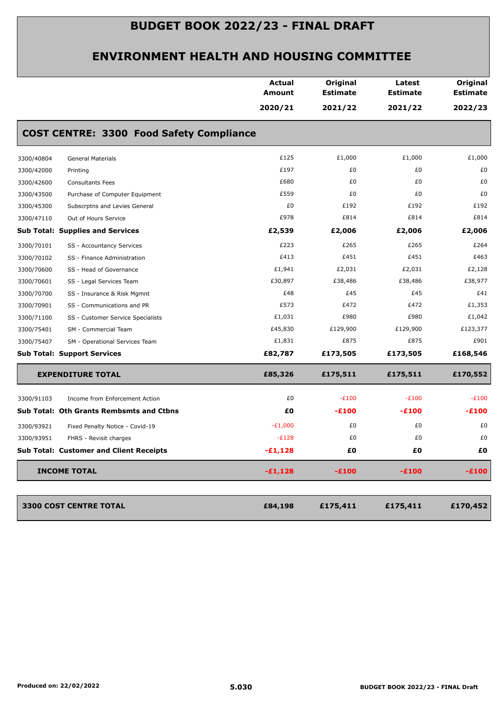|            |                                                 | <b>Actual</b><br>Amount | Original<br><b>Estimate</b> | Latest<br><b>Estimate</b> | Original<br><b>Estimate</b> |
|------------|-------------------------------------------------|-------------------------|-----------------------------|---------------------------|-----------------------------|
|            |                                                 | 2020/21                 | 2021/22                     | 2021/22                   | 2022/23                     |
|            | <b>COST CENTRE: 3300 Food Safety Compliance</b> |                         |                             |                           |                             |
| 3300/40804 | <b>General Materials</b>                        | £125                    | £1,000                      | £1,000                    | £1,000                      |
| 3300/42000 | Printing                                        | £197                    | £0                          | £0                        | £0                          |
| 3300/42600 | <b>Consultants Fees</b>                         | £680                    | £0                          | £0                        | £0                          |
| 3300/43500 | Purchase of Computer Equipment                  | £559                    | £0                          | £0                        | £0                          |
| 3300/45300 | Subscrptns and Levies General                   | £0                      | £192                        | £192                      | £192                        |
| 3300/47110 | Out of Hours Service                            | £978                    | £814                        | £814                      | £814                        |
|            | <b>Sub Total: Supplies and Services</b>         | £2,539                  | £2,006                      | £2,006                    | £2,006                      |
| 3300/70101 | SS - Accountancy Services                       | £223                    | £265                        | £265                      | £264                        |
| 3300/70102 | SS - Finance Administration                     | £413                    | £451                        | £451                      | £463                        |
| 3300/70600 | SS - Head of Governance                         | £1,941                  | £2,031                      | £2,031                    | £2,128                      |
| 3300/70601 | SS - Legal Services Team                        | £30,897                 | £38,486                     | £38,486                   | £38,977                     |
| 3300/70700 | SS - Insurance & Risk Mgmnt                     | £48                     | £45                         | £45                       | £41                         |
| 3300/70901 | SS - Communications and PR                      | £573                    | £472                        | £472                      | £1,353                      |
| 3300/71100 | SS - Customer Service Specialists               | £1,031                  | £980                        | £980                      | £1,042                      |
| 3300/75401 | SM - Commercial Team                            | £45,830                 | £129,900                    | £129,900                  | £123,377                    |
| 3300/75407 | SM - Operational Services Team                  | £1,831                  | £875                        | £875                      | £901                        |
|            | <b>Sub Total: Support Services</b>              | £82,787                 | £173,505                    | £173,505                  | £168,546                    |
|            | <b>EXPENDITURE TOTAL</b>                        | £85,326                 | £175,511                    | £175,511                  | £170,552                    |
| 3300/91103 | Income from Enforcement Action                  | £0                      | $-E100$                     | $-E100$                   | $-E100$                     |
|            | Sub Total: Oth Grants Rembsmts and Ctbns        | £0                      | -£100                       | -£100                     | $-E100$                     |
| 3300/93921 | Fixed Penalty Notice - Covid-19                 | $-E1,000$               | £0                          | £0                        | £0                          |
| 3300/93951 | FHRS - Revisit charges                          | $-E128$                 | £0                          | £0                        | £0                          |
|            | <b>Sub Total: Customer and Client Receipts</b>  | $-£1,128$               | £Ο                          | £Ο                        | £Ο                          |
|            | <b>INCOME TOTAL</b>                             | $-£1,128$               | $-E100$                     | $-E100$                   | $-E100$                     |
|            | 3300 COST CENTRE TOTAL                          | £84,198                 | £175,411                    | £175,411                  | £170,452                    |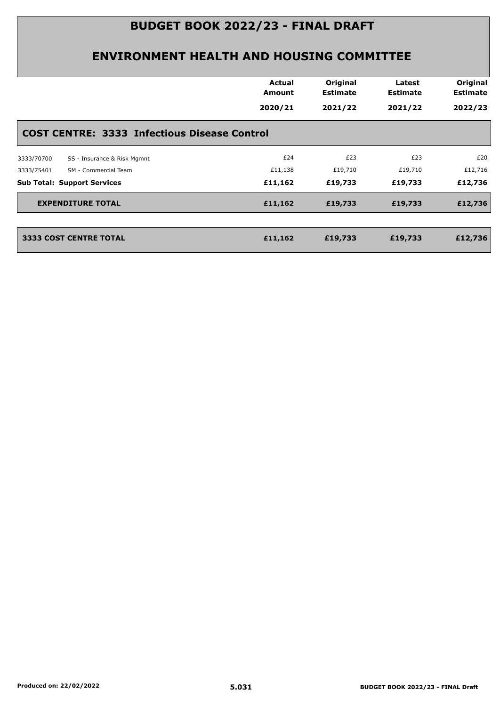| <b>Actual</b><br><b>Amount</b>                      | Original<br><b>Estimate</b> | Latest<br><b>Estimate</b> | Original<br><b>Estimate</b> |
|-----------------------------------------------------|-----------------------------|---------------------------|-----------------------------|
| 2020/21                                             | 2021/22                     | 2021/22                   | 2022/23                     |
| <b>COST CENTRE: 3333 Infectious Disease Control</b> |                             |                           |                             |
| £24                                                 | £23                         | £23                       | £20                         |
| £11,138                                             | £19,710                     | £19,710                   | £12,716                     |
| £11,162                                             | £19,733                     | £19,733                   | £12,736                     |
| £11,162                                             | £19,733                     | £19,733                   | £12,736                     |
| £11,162                                             | £19,733                     | £19,733                   | £12,736                     |
|                                                     |                             |                           |                             |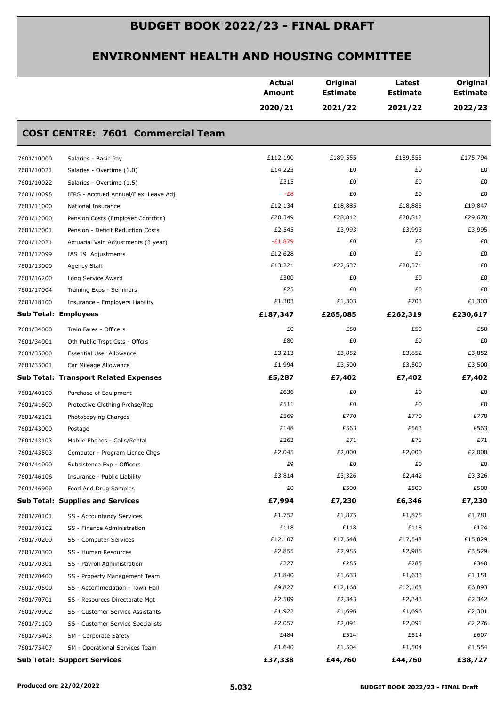|            |                                              | <b>Actual</b><br><b>Amount</b> | Original<br><b>Estimate</b> | Latest<br><b>Estimate</b> | Original<br><b>Estimate</b> |
|------------|----------------------------------------------|--------------------------------|-----------------------------|---------------------------|-----------------------------|
|            |                                              | 2020/21                        | 2021/22                     | 2021/22                   | 2022/23                     |
|            | <b>COST CENTRE: 7601 Commercial Team</b>     |                                |                             |                           |                             |
| 7601/10000 | Salaries - Basic Pay                         | £112,190                       | £189,555                    | £189,555                  | £175,794                    |
| 7601/10021 | Salaries - Overtime (1.0)                    | £14,223                        | £0                          | £0                        | £0                          |
| 7601/10022 | Salaries - Overtime (1.5)                    | £315                           | £0                          | £0                        | £0                          |
| 7601/10098 | IFRS - Accrued Annual/Flexi Leave Adj        | $-E8$                          | £0                          | £0                        | £0                          |
| 7601/11000 | National Insurance                           | £12,134                        | £18,885                     | £18,885                   | £19,847                     |
| 7601/12000 | Pension Costs (Employer Contrbtn)            | £20,349                        | £28,812                     | £28,812                   | £29,678                     |
| 7601/12001 | Pension - Deficit Reduction Costs            | £2,545                         | £3,993                      | £3,993                    | £3,995                      |
| 7601/12021 | Actuarial Valn Adjustments (3 year)          | $-E1,879$                      | £0                          | £0                        | £0                          |
| 7601/12099 | IAS 19 Adjustments                           | £12,628                        | £0                          | £0                        | £0                          |
| 7601/13000 | Agency Staff                                 | £13,221                        | £22,537                     | £20,371                   | £0                          |
| 7601/16200 | Long Service Award                           | £300                           | £0                          | £0                        | £0                          |
| 7601/17004 | Training Exps - Seminars                     | £25                            | £0                          | £0                        | £0                          |
| 7601/18100 | Insurance - Employers Liability              | £1,303                         | £1,303                      | £703                      | £1,303                      |
|            | <b>Sub Total: Employees</b>                  | £187,347                       | £265,085                    | £262,319                  | £230,617                    |
| 7601/34000 | Train Fares - Officers                       | £0                             | £50                         | £50                       | £50                         |
| 7601/34001 | Oth Public Trspt Csts - Offcrs               | £80                            | £0                          | £0                        | £0                          |
| 7601/35000 | <b>Essential User Allowance</b>              | £3,213                         | £3,852                      | £3,852                    | £3,852                      |
| 7601/35001 | Car Mileage Allowance                        | £1,994                         | £3,500                      | £3,500                    | £3,500                      |
|            | <b>Sub Total: Transport Related Expenses</b> | £5,287                         | £7,402                      | £7,402                    | £7,402                      |
| 7601/40100 | Purchase of Equipment                        | £636                           | £0                          | £0                        | £0                          |
| 7601/41600 | Protective Clothing Prchse/Rep               | £511                           | £0                          | £0                        | £0                          |
| 7601/42101 | Photocopying Charges                         | £569                           | £770                        | £770                      | £770                        |
| 7601/43000 | Postage                                      | £148                           | £563                        | £563                      | £563                        |
| 7601/43103 | Mobile Phones - Calls/Rental                 | £263                           | £71                         | £71                       | £71                         |
| 7601/43503 | Computer - Program Licnce Chgs               | £2,045                         | £2,000                      | £2,000                    | £2,000                      |
| 7601/44000 | Subsistence Exp - Officers                   | £9                             | £0                          | £0                        | £0                          |
| 7601/46106 | Insurance - Public Liability                 | £3,814                         | £3,326                      | £2,442                    | £3,326                      |
| 7601/46900 | Food And Drug Samples                        | £0                             | £500                        | £500                      | £500                        |
|            | <b>Sub Total: Supplies and Services</b>      | £7,994                         | £7,230                      | £6,346                    | £7,230                      |
| 7601/70101 | SS - Accountancy Services                    | £1,752                         | £1,875                      | £1,875                    | £1,781                      |
| 7601/70102 | SS - Finance Administration                  | £118                           | £118                        | £118                      | £124                        |
| 7601/70200 | SS - Computer Services                       | £12,107                        | £17,548                     | £17,548                   | £15,829                     |
| 7601/70300 | SS - Human Resources                         | £2,855                         | £2,985                      | £2,985                    | £3,529                      |
| 7601/70301 | SS - Payroll Administration                  | £227                           | £285                        | £285                      | £340                        |
| 7601/70400 | SS - Property Management Team                | £1,840                         | £1,633                      | £1,633                    | £1,151                      |
| 7601/70500 | SS - Accommodation - Town Hall               | £9,827                         | £12,168                     | £12,168                   | £6,893                      |
| 7601/70701 | SS - Resources Directorate Mgt               | £2,509                         | £2,343                      | £2,343                    | £2,342                      |
| 7601/70902 | SS - Customer Service Assistants             | £1,922                         | £1,696                      | £1,696                    | £2,301                      |
| 7601/71100 | SS - Customer Service Specialists            | £2,057                         | £2,091                      | £2,091                    | £2,276                      |
| 7601/75403 | SM - Corporate Safety                        | £484                           | £514                        | £514                      | £607                        |
| 7601/75407 | SM - Operational Services Team               | £1,640                         | £1,504                      | £1,504                    | £1,554                      |
|            | <b>Sub Total: Support Services</b>           | £37,338                        | £44,760                     | £44,760                   | £38,727                     |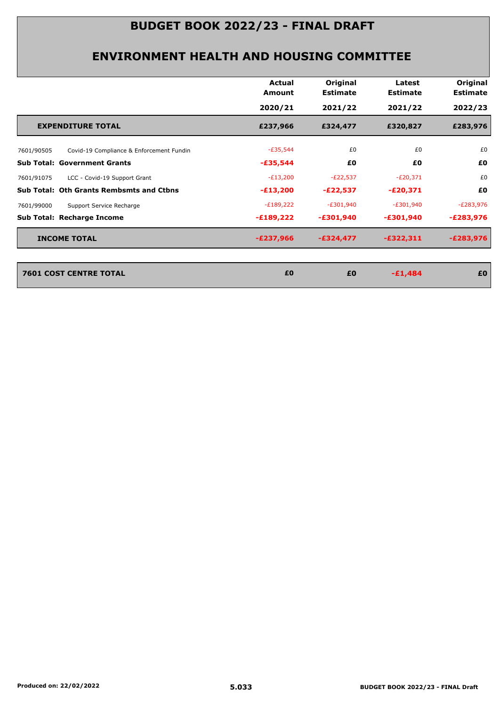|            |                                                 | Actual<br>Amount | Original<br><b>Estimate</b> | Latest<br><b>Estimate</b> | Original<br><b>Estimate</b> |
|------------|-------------------------------------------------|------------------|-----------------------------|---------------------------|-----------------------------|
|            |                                                 | 2020/21          | 2021/22                     | 2021/22                   | 2022/23                     |
|            | <b>EXPENDITURE TOTAL</b>                        | £237,966         | £324,477                    | £320,827                  | £283,976                    |
| 7601/90505 | Covid-19 Compliance & Enforcement Fundin        | $-E35,544$       | £0                          | £0                        | £0                          |
|            | <b>Sub Total: Government Grants</b>             | $-£35,544$       | £0                          | £0                        | £0                          |
| 7601/91075 | LCC - Covid-19 Support Grant                    | $-E13,200$       | $-E22,537$                  | $-E20,371$                | £0                          |
|            | <b>Sub Total: Oth Grants Rembsmts and Ctbns</b> | $-£13,200$       | $-E22,537$                  | $-E20,371$                | £0                          |
| 7601/99000 | Support Service Recharge                        | $-E189,222$      | $-E301,940$                 | $-E301,940$               | $-E283,976$                 |
|            | <b>Sub Total: Recharge Income</b>               | $-£189,222$      | $-£301,940$                 | $-£301,940$               | $-E283,976$                 |
|            | <b>INCOME TOTAL</b>                             | $-E237,966$      | $-£324,477$                 | $-£322,311$               | $-E283,976$                 |
|            | <b>7601 COST CENTRE TOTAL</b>                   | £0               | £0                          | $-£1,484$                 | £0                          |
|            |                                                 |                  |                             |                           |                             |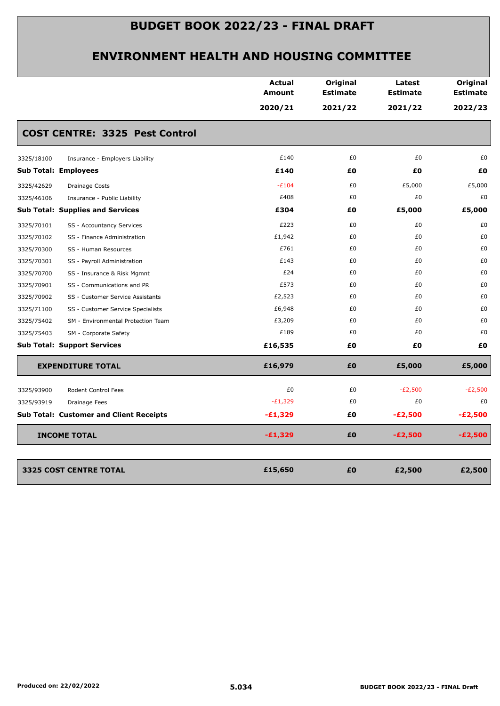|                             |                                                | Actual<br>Amount | Original<br><b>Estimate</b> | Latest<br><b>Estimate</b> | Original<br><b>Estimate</b> |
|-----------------------------|------------------------------------------------|------------------|-----------------------------|---------------------------|-----------------------------|
|                             |                                                | 2020/21          | 2021/22                     | 2021/22                   | 2022/23                     |
|                             | <b>COST CENTRE: 3325 Pest Control</b>          |                  |                             |                           |                             |
| 3325/18100                  | Insurance - Employers Liability                | £140             | £0                          | £0                        | £0                          |
| <b>Sub Total: Employees</b> |                                                | £140             | £O                          | £Ο                        | £Ο                          |
| 3325/42629                  | <b>Drainage Costs</b>                          | $-E104$          | £0                          | £5,000                    | £5,000                      |
| 3325/46106                  | Insurance - Public Liability                   | £408             | £0                          | £0                        | £0                          |
|                             | <b>Sub Total: Supplies and Services</b>        | £304             | £0                          | £5,000                    | £5,000                      |
| 3325/70101                  | SS - Accountancy Services                      | £223             | £0                          | £0                        | £0                          |
| 3325/70102                  | SS - Finance Administration                    | £1,942           | £0                          | £0                        | £0                          |
| 3325/70300                  | SS - Human Resources                           | £761             | £0                          | £0                        | £0                          |
| 3325/70301                  | SS - Payroll Administration                    | £143             | £0                          | £0                        | £0                          |
| 3325/70700                  | SS - Insurance & Risk Mgmnt                    | £24              | £0                          | £0                        | £0                          |
| 3325/70901                  | SS - Communications and PR                     | £573             | £0                          | £0                        | £0                          |
| 3325/70902                  | SS - Customer Service Assistants               | £2,523           | £0                          | £0                        | £0                          |
| 3325/71100                  | SS - Customer Service Specialists              | £6,948           | £0                          | £0                        | £0                          |
| 3325/75402                  | SM - Environmental Protection Team             | £3,209           | £0                          | £0                        | £0                          |
| 3325/75403                  | SM - Corporate Safety                          | £189             | £0                          | £0                        | £0                          |
|                             | <b>Sub Total: Support Services</b>             | £16,535          | £0                          | £0                        | £0                          |
|                             | <b>EXPENDITURE TOTAL</b>                       | £16,979          | £0                          | £5,000                    | £5,000                      |
| 3325/93900                  | Rodent Control Fees                            | £0               | £0                          | $-E2,500$                 | $-E2,500$                   |
| 3325/93919                  | Drainage Fees                                  | $-E1,329$        | £0                          | £0                        | £0                          |
|                             | <b>Sub Total: Customer and Client Receipts</b> | $-£1,329$        | £0                          | $-E2,500$                 | $-E2,500$                   |
|                             | <b>INCOME TOTAL</b>                            | $-E1,329$        | £0                          | $-E2,500$                 | $-E2,500$                   |
|                             | 3325 COST CENTRE TOTAL                         | £15,650          | £0                          | £2,500                    | £2,500                      |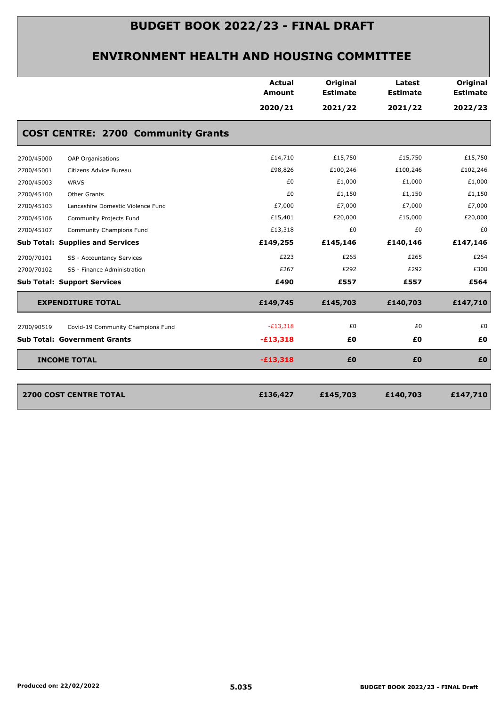|            |                                           | <b>Actual</b><br><b>Amount</b> | Original<br><b>Estimate</b> | Latest<br><b>Estimate</b> | Original<br><b>Estimate</b> |
|------------|-------------------------------------------|--------------------------------|-----------------------------|---------------------------|-----------------------------|
|            |                                           | 2020/21                        | 2021/22                     | 2021/22                   | 2022/23                     |
|            | <b>COST CENTRE: 2700 Community Grants</b> |                                |                             |                           |                             |
| 2700/45000 | OAP Organisations                         | £14,710                        | £15,750                     | £15,750                   | £15,750                     |
| 2700/45001 | Citizens Advice Bureau                    | £98,826                        | £100,246                    | £100,246                  | £102,246                    |
| 2700/45003 | <b>WRVS</b>                               | £0                             | £1,000                      | £1,000                    | £1,000                      |
| 2700/45100 | Other Grants                              | £0                             | £1,150                      | £1,150                    | £1,150                      |
| 2700/45103 | Lancashire Domestic Violence Fund         | £7,000                         | £7,000                      | £7,000                    | £7,000                      |
| 2700/45106 | Community Projects Fund                   | £15,401                        | £20,000                     | £15,000                   | £20,000                     |
| 2700/45107 | Community Champions Fund                  | £13,318                        | £0                          | £0                        | £0                          |
|            | <b>Sub Total: Supplies and Services</b>   | £149,255                       | £145,146                    | £140,146                  | £147,146                    |
| 2700/70101 | SS - Accountancy Services                 | £223                           | £265                        | £265                      | £264                        |
| 2700/70102 | SS - Finance Administration               | £267                           | £292                        | £292                      | £300                        |
|            | <b>Sub Total: Support Services</b>        | £490                           | £557                        | £557                      | £564                        |
|            | <b>EXPENDITURE TOTAL</b>                  | £149,745                       | £145,703                    | £140,703                  | £147,710                    |
| 2700/90519 | Covid-19 Community Champions Fund         | $-E13,318$                     | £0                          | £0                        | £0                          |
|            | <b>Sub Total: Government Grants</b>       | $-£13,318$                     | £Ο                          | £0                        | £0                          |
|            | <b>INCOME TOTAL</b>                       | $-£13,318$                     | £0                          | £0                        | £O                          |
|            | <b>2700 COST CENTRE TOTAL</b>             | £136,427                       | £145,703                    | £140,703                  | £147,710                    |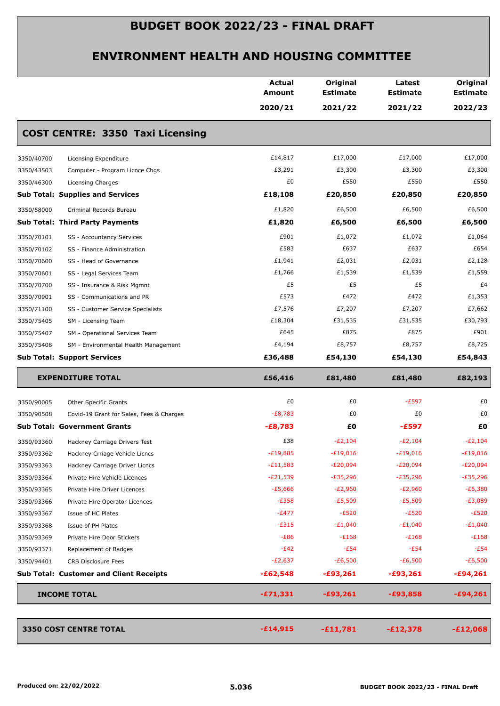|                                     |                                                | <b>Actual</b><br><b>Amount</b> | Original<br><b>Estimate</b> | Latest<br><b>Estimate</b> | Original<br><b>Estimate</b> |
|-------------------------------------|------------------------------------------------|--------------------------------|-----------------------------|---------------------------|-----------------------------|
|                                     |                                                | 2020/21                        | 2021/22                     | 2021/22                   | 2022/23                     |
|                                     | <b>COST CENTRE: 3350 Taxi Licensing</b>        |                                |                             |                           |                             |
| 3350/40700                          | Licensing Expenditure                          | £14,817                        | £17,000                     | £17,000                   | £17,000                     |
| 3350/43503                          | Computer - Program Licnce Chgs                 | £3,291                         | £3,300                      | £3,300                    | £3,300                      |
| 3350/46300                          | Licensing Charges                              | £0                             | £550                        | £550                      | £550                        |
|                                     | <b>Sub Total: Supplies and Services</b>        | £18,108                        | £20,850                     | £20,850                   | £20,850                     |
| 3350/58000                          | Criminal Records Bureau                        | £1,820                         | £6,500                      | £6,500                    | £6,500                      |
|                                     | <b>Sub Total: Third Party Payments</b>         | £1,820                         | £6,500                      | £6,500                    | £6,500                      |
| 3350/70101                          | SS - Accountancy Services                      | £901                           | £1,072                      | £1,072                    | £1,064                      |
| 3350/70102                          | SS - Finance Administration                    | £583                           | £637                        | £637                      | £654                        |
| 3350/70600                          | SS - Head of Governance                        | £1,941                         | £2,031                      | £2,031                    | £2,128                      |
| 3350/70601                          | SS - Legal Services Team                       | £1,766                         | £1,539                      | £1,539                    | £1,559                      |
| 3350/70700                          | SS - Insurance & Risk Mgmnt                    | £5                             | £5                          | £5                        | £4                          |
| 3350/70901                          | SS - Communications and PR                     | £573                           | £472                        | £472                      | £1,353                      |
| 3350/71100                          | SS - Customer Service Specialists              | £7,576                         | £7,207                      | £7,207                    | £7,662                      |
| 3350/75405                          | SM - Licensing Team                            | £18,304                        | £31,535                     | £31,535                   | £30,793                     |
| 3350/75407                          | SM - Operational Services Team                 | £645                           | £875                        | £875                      | £901                        |
| 3350/75408                          | SM - Environmental Health Management           | £4,194                         | £8,757                      | £8,757                    | £8,725                      |
|                                     | <b>Sub Total: Support Services</b>             | £36,488                        | £54,130                     | £54,130                   | £54,843                     |
| <b>EXPENDITURE TOTAL</b>            |                                                | £56,416                        | £81,480                     | £81,480                   | £82,193                     |
| 3350/90005                          | <b>Other Specific Grants</b>                   | £0                             | £0                          | $-E597$                   | £0                          |
| 3350/90508                          | Covid-19 Grant for Sales, Fees & Charges       | $-E8,783$                      | £0                          | £0                        | £0                          |
| <b>Sub Total: Government Grants</b> |                                                | $-E8,783$                      | £0                          | $-£597$                   | £Ο                          |
| 3350/93360                          | Hackney Carriage Drivers Test                  | £38                            | $-E2,104$                   | $-E2,104$                 | $-E2,104$                   |
| 3350/93362                          | Hackney Crriage Vehicle Licncs                 | $-E19,885$                     | $-£19,016$                  | $-£19,016$                | $-£19,016$                  |
| 3350/93363                          | Hackney Carriage Driver Licncs                 | $-E11,583$                     | $-E20,094$                  | $-E20,094$                | $-E20,094$                  |
| 3350/93364                          | Private Hire Vehicle Licences                  | $-E21,539$                     | $-E35,296$                  | $-E35,296$                | $-E35,296$                  |
| 3350/93365                          | Private Hire Driver Licences                   | $-£5,666$                      | $-E2,960$                   | $-E2,960$                 | $-E6,380$                   |
| 3350/93366                          | Private Hire Operator Licences                 | $-E358$                        | $-E5,509$                   | $-E5,509$                 | -£3,089                     |
| 3350/93367                          | Issue of HC Plates                             | $-E477$                        | $-E520$                     | $-E520$                   | $-E520$                     |
| 3350/93368                          | Issue of PH Plates                             | $-E315$                        | $-E1,040$                   | $-E1,040$                 | $-E1,040$                   |
| 3350/93369                          | Private Hire Door Stickers                     | $-E86$                         | $-E168$                     | $-E168$                   | $-E168$                     |
| 3350/93371                          | Replacement of Badges                          | $-E42$                         | $-E54$                      | $-E54$                    | $-E54$                      |
| 3350/94401                          | CRB Disclosure Fees                            | $-E2,637$                      | $-E6,500$                   | $-E6,500$                 | $-E6,500$                   |
|                                     | <b>Sub Total: Customer and Client Receipts</b> | $-£62,548$                     | $-£93,261$                  | $-£93,261$                | $-£94,261$                  |
| <b>INCOME TOTAL</b>                 |                                                | $-£71,331$                     | $-£93,261$                  | $-£93,858$                | $-£94,261$                  |
|                                     |                                                |                                |                             |                           |                             |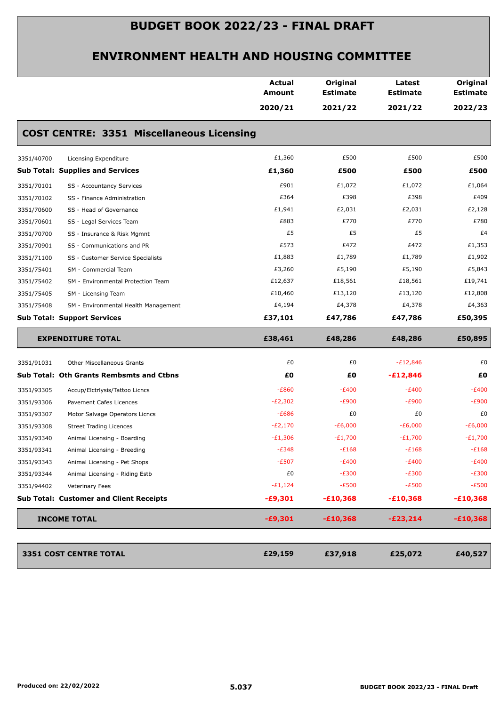|                                                    | <b>Actual</b><br><b>Amount</b> | Original<br><b>Estimate</b> | Latest<br><b>Estimate</b> | Original<br><b>Estimate</b> |
|----------------------------------------------------|--------------------------------|-----------------------------|---------------------------|-----------------------------|
|                                                    | 2020/21                        | 2021/22                     | 2021/22                   | 2022/23                     |
| <b>COST CENTRE: 3351 Miscellaneous Licensing</b>   |                                |                             |                           |                             |
| 3351/40700<br>Licensing Expenditure                | £1,360                         | £500                        | £500                      | £500                        |
| <b>Sub Total: Supplies and Services</b>            | £1,360                         | £500                        | £500                      | £500                        |
| 3351/70101<br>SS - Accountancy Services            | £901                           | £1,072                      | £1,072                    | £1,064                      |
| 3351/70102<br>SS - Finance Administration          | £364                           | £398                        | £398                      | £409                        |
| 3351/70600<br>SS - Head of Governance              | £1,941                         | £2,031                      | £2,031                    | £2,128                      |
| 3351/70601<br>SS - Legal Services Team             | £883                           | £770                        | £770                      | £780                        |
| 3351/70700<br>SS - Insurance & Risk Mgmnt          | £5                             | £5                          | £5                        | £4                          |
| 3351/70901<br>SS - Communications and PR           | £573                           | £472                        | £472                      | £1,353                      |
| 3351/71100<br>SS - Customer Service Specialists    | £1,883                         | £1,789                      | £1,789                    | £1,902                      |
| 3351/75401<br>SM - Commercial Team                 | £3,260                         | £5,190                      | £5,190                    | £5,843                      |
| 3351/75402<br>SM - Environmental Protection Team   | £12,637                        | £18,561                     | £18,561                   | £19,741                     |
| 3351/75405<br>SM - Licensing Team                  | £10,460                        | £13,120                     | £13,120                   | £12,808                     |
| 3351/75408<br>SM - Environmental Health Management | £4,194                         | £4,378                      | £4,378                    | £4,363                      |
| <b>Sub Total: Support Services</b>                 | £37,101                        | £47,786                     | £47,786                   | £50,395                     |
| <b>EXPENDITURE TOTAL</b>                           | £38,461                        | £48,286                     | £48,286                   | £50,895                     |
| 3351/91031<br><b>Other Miscellaneous Grants</b>    | £0                             | £0                          | $-E12,846$                | £0                          |
| <b>Sub Total: Oth Grants Rembsmts and Ctbns</b>    | £0                             | £Ο                          | $-£12,846$                | £Ο                          |
| 3351/93305<br>Accup/Elctrlysis/Tattoo Licncs       | $-E860$                        | $-E400$                     | $-E400$                   | $-E400$                     |
| 3351/93306<br>Pavement Cafes Licences              | $-E2,302$                      | $-E900$                     | $-E900$                   | $-E900$                     |
| 3351/93307<br>Motor Salvage Operators Licncs       | $-E686$                        | £0                          | £0                        | £0                          |
| 3351/93308<br><b>Street Trading Licences</b>       | $-E2,170$                      | $-E6,000$                   | $-E6,000$                 | $-E6,000$                   |
| 3351/93340<br>Animal Licensing - Boarding          | $-E1,306$                      | $-E1,700$                   | $-E1,700$                 | $-E1,700$                   |
|                                                    | $-E348$                        | $-E168$                     | $-E168$                   | $-E168$                     |
| 3351/93341<br>Animal Licensing - Breeding          |                                | $-E400$                     | $-E400$                   | $-E400$                     |
| 3351/93343<br>Animal Licensing - Pet Shops         | $-E507$                        |                             |                           |                             |
| 3351/93344<br>Animal Licensing - Riding Estb       | £0                             | $-E300$                     | $-E300$                   | $-E300$                     |
| 3351/94402<br>Veterinary Fees                      | $-E1,124$                      | $-E500$                     | $-E500$                   | $-E500$                     |
| <b>Sub Total: Customer and Client Receipts</b>     | -£9,301                        | $-£10,368$                  | $-£10,368$                | $-£10,368$                  |
| <b>INCOME TOTAL</b>                                | $-£9,301$                      | $-£10,368$                  | $-E23,214$                | $-£10,368$                  |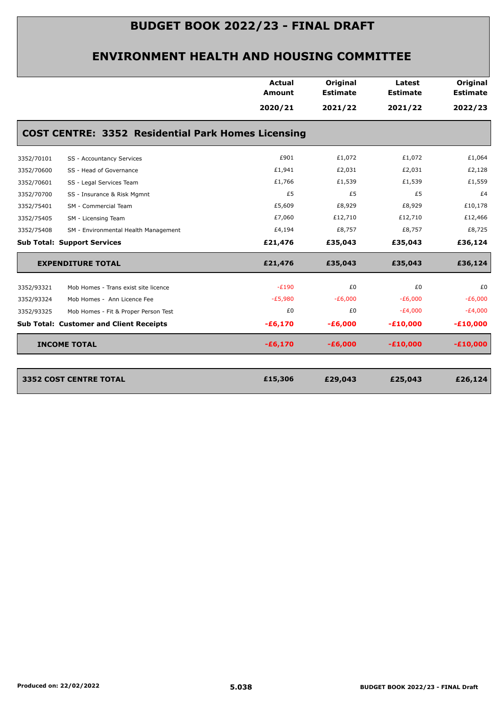|            |                                                           | <b>Actual</b><br>Amount | Original<br><b>Estimate</b> | Latest<br><b>Estimate</b> | Original<br><b>Estimate</b> |
|------------|-----------------------------------------------------------|-------------------------|-----------------------------|---------------------------|-----------------------------|
|            |                                                           | 2020/21                 | 2021/22                     | 2021/22                   | 2022/23                     |
|            | <b>COST CENTRE: 3352 Residential Park Homes Licensing</b> |                         |                             |                           |                             |
| 3352/70101 | SS - Accountancy Services                                 | £901                    | £1,072                      | £1,072                    | £1,064                      |
| 3352/70600 | SS - Head of Governance                                   | £1,941                  | £2,031                      | £2,031                    | £2,128                      |
| 3352/70601 | SS - Legal Services Team                                  | £1,766                  | £1,539                      | £1,539                    | £1,559                      |
| 3352/70700 | SS - Insurance & Risk Mgmnt                               | £5                      | £5                          | £5                        | £4                          |
| 3352/75401 | SM - Commercial Team                                      | £5,609                  | £8,929                      | £8,929                    | £10,178                     |
| 3352/75405 | SM - Licensing Team                                       | £7,060                  | £12,710                     | £12,710                   | £12,466                     |
| 3352/75408 | SM - Environmental Health Management                      | £4,194                  | £8,757                      | £8,757                    | £8,725                      |
|            | <b>Sub Total: Support Services</b>                        | £21,476                 | £35,043                     | £35,043                   | £36,124                     |
|            | <b>EXPENDITURE TOTAL</b>                                  | £21,476                 | £35,043                     | £35,043                   | £36,124                     |
| 3352/93321 | Mob Homes - Trans exist site licence                      | $-E190$                 | £0                          | £0                        | £0                          |
| 3352/93324 | Mob Homes - Ann Licence Fee                               | $-E5,980$               | $-E6,000$                   | $-E6,000$                 | $-E6,000$                   |
| 3352/93325 | Mob Homes - Fit & Proper Person Test                      | £0                      | £0                          | $-E4,000$                 | $-E4,000$                   |
|            | <b>Sub Total: Customer and Client Receipts</b>            | $-£6,170$               | $-£6,000$                   | $-E10,000$                | $-£10,000$                  |
|            | <b>INCOME TOTAL</b>                                       | $-£6,170$               | $-£6,000$                   | $-£10,000$                | $-£10,000$                  |
|            |                                                           |                         |                             |                           |                             |
|            | 3352 COST CENTRE TOTAL                                    | £15,306                 | £29,043                     | £25,043                   | £26,124                     |
|            |                                                           |                         |                             |                           |                             |
|            |                                                           |                         |                             |                           |                             |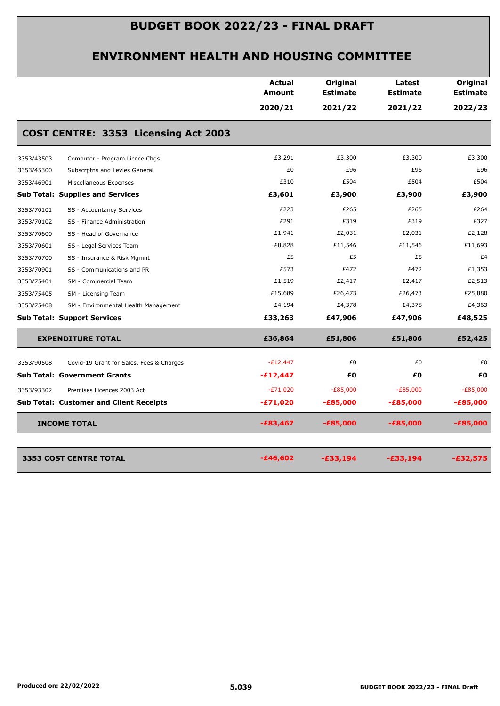|            |                                                | Actual<br>Amount | Original<br><b>Estimate</b> | Latest<br><b>Estimate</b> | Original<br><b>Estimate</b> |
|------------|------------------------------------------------|------------------|-----------------------------|---------------------------|-----------------------------|
|            |                                                | 2020/21          | 2021/22                     | 2021/22                   | 2022/23                     |
|            | COST CENTRE: 3353 Licensing Act 2003           |                  |                             |                           |                             |
| 3353/43503 | Computer - Program Licnce Chgs                 | £3,291           | £3,300                      | £3,300                    | £3,300                      |
| 3353/45300 | Subscrptns and Levies General                  | £0               | £96                         | £96                       | £96                         |
| 3353/46901 | Miscellaneous Expenses                         | £310             | £504                        | £504                      | £504                        |
|            | <b>Sub Total: Supplies and Services</b>        | £3,601           | £3,900                      | £3,900                    | £3,900                      |
| 3353/70101 | SS - Accountancy Services                      | £223             | £265                        | £265                      | £264                        |
| 3353/70102 | SS - Finance Administration                    | £291             | £319                        | £319                      | £327                        |
| 3353/70600 | SS - Head of Governance                        | £1,941           | £2,031                      | £2,031                    | £2,128                      |
| 3353/70601 | SS - Legal Services Team                       | £8,828           | £11,546                     | £11,546                   | £11,693                     |
| 3353/70700 | SS - Insurance & Risk Mgmnt                    | £5               | £5                          | £5                        | £4                          |
| 3353/70901 | SS - Communications and PR                     | £573             | £472                        | £472                      | £1,353                      |
| 3353/75401 | SM - Commercial Team                           | £1,519           | £2,417                      | £2,417                    | £2,513                      |
| 3353/75405 | SM - Licensing Team                            | £15,689          | £26,473                     | £26,473                   | £25,880                     |
| 3353/75408 | SM - Environmental Health Management           | £4,194           | £4,378                      | £4,378                    | £4,363                      |
|            | <b>Sub Total: Support Services</b>             | £33,263          | £47,906                     | £47,906                   | £48,525                     |
|            | <b>EXPENDITURE TOTAL</b>                       | £36,864          | £51,806                     | £51,806                   | £52,425                     |
| 3353/90508 | Covid-19 Grant for Sales, Fees & Charges       | $-E12,447$       | £0                          | £0                        | £0                          |
|            | <b>Sub Total: Government Grants</b>            | $-E12,447$       | £Ο                          | £Ο                        | £0                          |
| 3353/93302 | Premises Licences 2003 Act                     | $-E71,020$       | $-E85,000$                  | $-E85,000$                | $-E85,000$                  |
|            | <b>Sub Total: Customer and Client Receipts</b> | $-E71,020$       | $-£85,000$                  | $-£85,000$                | $-£85,000$                  |
|            | <b>INCOME TOTAL</b>                            | $-£83,467$       | $-£85,000$                  | $-£85,000$                | $-£85,000$                  |
|            | <b>3353 COST CENTRE TOTAL</b>                  | $-£46,602$       | $-£33,194$                  | $-£33,194$                | $-£32,575$                  |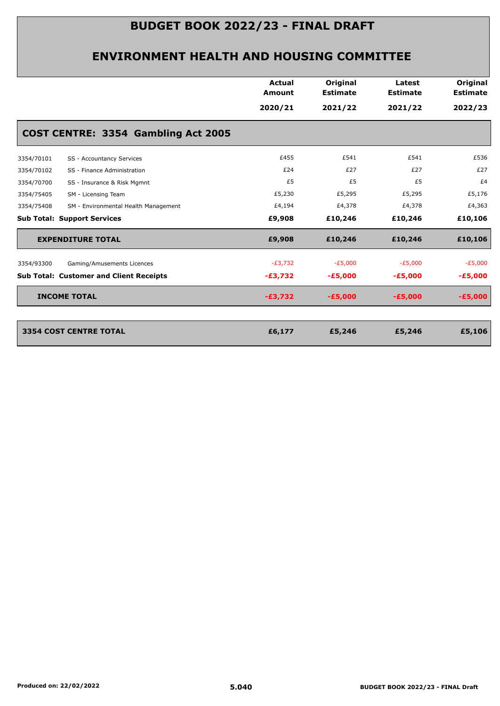|                                                    | <b>Actual</b><br><b>Amount</b> | Original<br><b>Estimate</b> | Latest<br><b>Estimate</b> | Original<br><b>Estimate</b> |
|----------------------------------------------------|--------------------------------|-----------------------------|---------------------------|-----------------------------|
|                                                    | 2020/21                        | 2021/22                     | 2021/22                   | 2022/23                     |
| COST CENTRE: 3354 Gambling Act 2005                |                                |                             |                           |                             |
| SS - Accountancy Services<br>3354/70101            | £455                           | £541                        | £541                      | £536                        |
| 3354/70102<br>SS - Finance Administration          | £24                            | £27                         | £27                       | £27                         |
| 3354/70700<br>SS - Insurance & Risk Mgmnt          | £5                             | £5                          | £5                        | £4                          |
| 3354/75405<br>SM - Licensing Team                  | £5,230                         | £5,295                      | £5,295                    | £5,176                      |
| 3354/75408<br>SM - Environmental Health Management | £4,194                         | £4,378                      | £4,378                    | £4,363                      |
| <b>Sub Total: Support Services</b>                 | £9,908                         | £10,246                     | £10,246                   | £10,106                     |
| <b>EXPENDITURE TOTAL</b>                           | £9,908                         | £10,246                     | £10,246                   | £10,106                     |
| 3354/93300<br>Gaming/Amusements Licences           | $-E3,732$                      | $-E5,000$                   | $-E5,000$                 | $-E5,000$                   |
| <b>Sub Total: Customer and Client Receipts</b>     | $-£3,732$                      | $-£5,000$                   | $-E5,000$                 | $-£5,000$                   |
| <b>INCOME TOTAL</b>                                | $-£3,732$                      | $-£5,000$                   | $-E5,000$                 | $-£5,000$                   |
|                                                    |                                |                             |                           |                             |
| <b>3354 COST CENTRE TOTAL</b>                      | £6,177                         | £5,246                      | £5,246                    | £5,106                      |
|                                                    |                                |                             |                           |                             |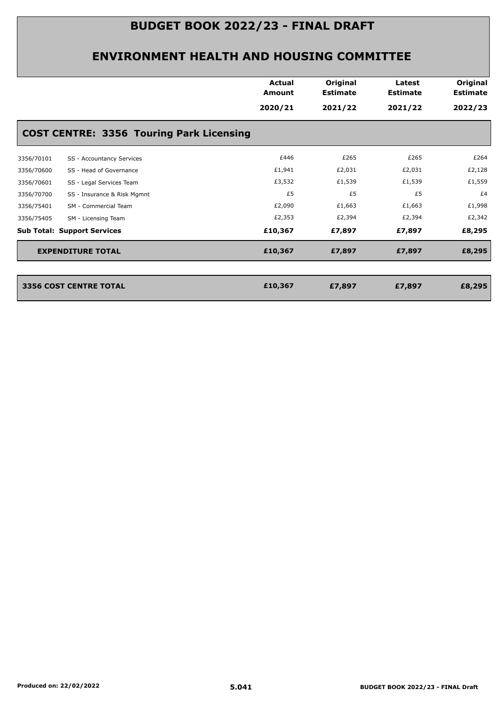|            |                                                 | <b>Actual</b><br><b>Amount</b> | Original<br><b>Estimate</b> | Latest<br><b>Estimate</b> | Original<br><b>Estimate</b> |
|------------|-------------------------------------------------|--------------------------------|-----------------------------|---------------------------|-----------------------------|
|            |                                                 | 2020/21                        | 2021/22                     | 2021/22                   | 2022/23                     |
|            | <b>COST CENTRE: 3356 Touring Park Licensing</b> |                                |                             |                           |                             |
| 3356/70101 | SS - Accountancy Services                       | £446                           | £265                        | £265                      | £264                        |
| 3356/70600 | SS - Head of Governance                         | £1,941                         | £2,031                      | £2,031                    | £2,128                      |
| 3356/70601 | SS - Legal Services Team                        | £3,532                         | £1,539                      | £1,539                    | £1,559                      |
| 3356/70700 | SS - Insurance & Risk Mgmnt                     | £5                             | £5                          | £5                        | £4                          |
| 3356/75401 | SM - Commercial Team                            | £2,090                         | £1,663                      | £1,663                    | £1,998                      |
| 3356/75405 | SM - Licensing Team                             | £2,353                         | £2,394                      | £2,394                    | £2,342                      |
|            | <b>Sub Total: Support Services</b>              | £10,367                        | £7,897                      | £7,897                    | £8,295                      |
|            | <b>EXPENDITURE TOTAL</b>                        | £10,367                        | £7,897                      | £7,897                    | £8,295                      |
|            |                                                 |                                |                             |                           |                             |
|            | <b>3356 COST CENTRE TOTAL</b>                   | £10,367                        | £7,897                      | £7,897                    | £8,295                      |
|            |                                                 |                                |                             |                           |                             |
|            |                                                 |                                |                             |                           |                             |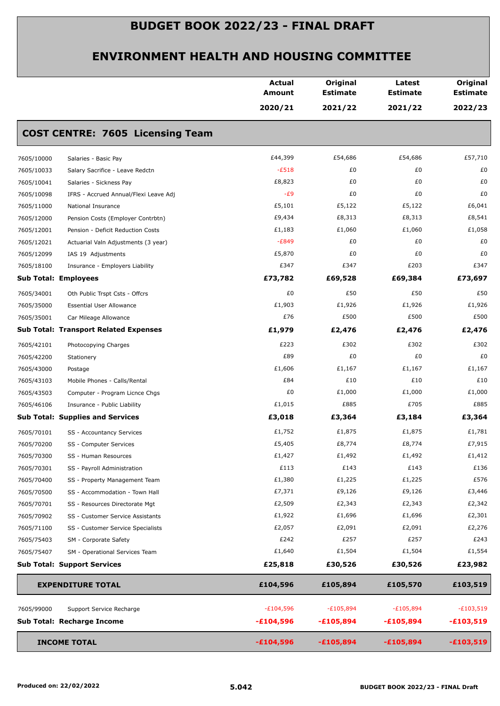|                             |                                              | Actual<br><b>Amount</b> | Original<br><b>Estimate</b> | Latest<br><b>Estimate</b> | Original<br><b>Estimate</b> |
|-----------------------------|----------------------------------------------|-------------------------|-----------------------------|---------------------------|-----------------------------|
|                             |                                              | 2020/21                 | 2021/22                     | 2021/22                   | 2022/23                     |
|                             | <b>COST CENTRE: 7605 Licensing Team</b>      |                         |                             |                           |                             |
| 7605/10000                  | Salaries - Basic Pay                         | £44,399                 | £54,686                     | £54,686                   | £57,710                     |
| 7605/10033                  | Salary Sacrifice - Leave Redctn              | $-E518$                 | £0                          | £0                        | £0                          |
| 7605/10041                  | Salaries - Sickness Pay                      | £8,823                  | £0                          | £0                        | £0                          |
| 7605/10098                  | IFRS - Accrued Annual/Flexi Leave Adj        | $-E9$                   | £0                          | £0                        | £0                          |
| 7605/11000                  | National Insurance                           | £5,101                  | £5,122                      | £5,122                    | £6,041                      |
| 7605/12000                  | Pension Costs (Employer Contrbtn)            | £9,434                  | £8,313                      | £8,313                    | £8,541                      |
| 7605/12001                  | Pension - Deficit Reduction Costs            | £1,183                  | £1,060                      | £1,060                    | £1,058                      |
| 7605/12021                  | Actuarial Valn Adjustments (3 year)          | $-E849$                 | £0                          | £0                        | £0                          |
| 7605/12099                  | IAS 19 Adjustments                           | £5,870                  | £0                          | £0                        | £0                          |
| 7605/18100                  | Insurance - Employers Liability              | £347                    | £347                        | £203                      | £347                        |
| <b>Sub Total: Employees</b> |                                              | £73,782                 | £69,528                     | £69,384                   | £73,697                     |
| 7605/34001                  | Oth Public Trspt Csts - Offcrs               | £0                      | £50                         | £50                       | £50                         |
| 7605/35000                  | <b>Essential User Allowance</b>              | £1,903                  | £1,926                      | £1,926                    | £1,926                      |
| 7605/35001                  | Car Mileage Allowance                        | £76                     | £500                        | £500                      | £500                        |
|                             | <b>Sub Total: Transport Related Expenses</b> | £1,979                  | £2,476                      | £2,476                    | £2,476                      |
| 7605/42101                  | Photocopying Charges                         | £223                    | £302                        | £302                      | £302                        |
| 7605/42200                  | Stationery                                   | £89                     | £0                          | £0                        | £0                          |
| 7605/43000                  | Postage                                      | £1,606                  | £1,167                      | £1,167                    | £1,167                      |
| 7605/43103                  | Mobile Phones - Calls/Rental                 | £84                     | £10                         | £10                       | £10                         |
| 7605/43503                  | Computer - Program Licnce Chgs               | £0                      | £1,000                      | £1,000                    | £1,000                      |
| 7605/46106                  | Insurance - Public Liability                 | £1,015                  | £885                        | £705                      | £885                        |
|                             | <b>Sub Total: Supplies and Services</b>      | £3,018                  | £3,364                      | £3,184                    | £3,364                      |
| 7605/70101                  | SS - Accountancy Services                    | £1,752                  | £1,875                      | £1,875                    | £1,781                      |
| 7605/70200                  | SS - Computer Services                       | £5,405                  | £8,774                      | £8,774                    | £7,915                      |
| 7605/70300                  | SS - Human Resources                         | £1,427                  | £1,492                      | £1,492                    | £1,412                      |
| 7605/70301                  | SS - Payroll Administration                  | £113                    | £143                        | £143                      | £136                        |
| 7605/70400                  | SS - Property Management Team                | £1,380                  | £1,225                      | £1,225                    | £576                        |
| 7605/70500                  | SS - Accommodation - Town Hall               | £7,371                  | £9,126                      | £9,126                    | £3,446                      |
| 7605/70701                  | SS - Resources Directorate Mgt               | £2,509                  | £2,343                      | £2,343                    | £2,342                      |
| 7605/70902                  | SS - Customer Service Assistants             | £1,922                  | £1,696                      | £1,696                    | £2,301                      |
| 7605/71100                  | SS - Customer Service Specialists            | £2,057                  | £2,091                      | £2,091                    | £2,276                      |
| 7605/75403                  | SM - Corporate Safety                        | £242                    | £257                        | £257                      | £243                        |
| 7605/75407                  | SM - Operational Services Team               | £1,640                  | £1,504                      | £1,504                    | £1,554                      |
|                             | <b>Sub Total: Support Services</b>           | £25,818                 | £30,526                     | £30,526                   | £23,982                     |
|                             | <b>EXPENDITURE TOTAL</b>                     | £104,596                | £105,894                    | £105,570                  | £103,519                    |
| 7605/99000                  | Support Service Recharge                     | $-E104,596$             | $-E105,894$                 | $-E105,894$               | $-£103,519$                 |
|                             | Sub Total: Recharge Income                   | $-£104,596$             | $-£105,894$                 | $-£105,894$               | $-£103,519$                 |
|                             | <b>INCOME TOTAL</b>                          | $-£104,596$             | $-£105,894$                 | $-£105,894$               | $-£103,519$                 |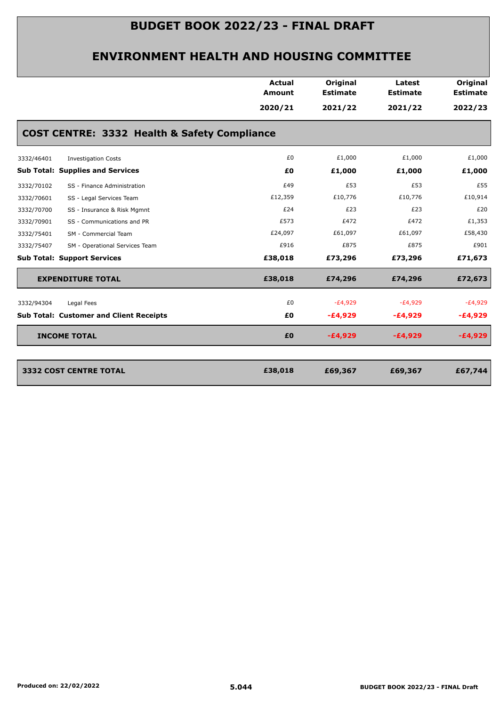|                                                | <b>Actual</b><br><b>Amount</b> | Original<br><b>Estimate</b> | Latest<br><b>Estimate</b> | <b>Original</b><br><b>Estimate</b> |
|------------------------------------------------|--------------------------------|-----------------------------|---------------------------|------------------------------------|
|                                                | 2020/21                        | 2021/22                     | 2021/22                   | 2022/23                            |
| COST CENTRE: 3332 Health & Safety Compliance   |                                |                             |                           |                                    |
| <b>Investigation Costs</b><br>3332/46401       | £0                             | £1,000                      | £1,000                    | £1,000                             |
| <b>Sub Total: Supplies and Services</b>        | £0                             | £1,000                      | £1,000                    | £1,000                             |
| 3332/70102<br>SS - Finance Administration      | £49                            | £53                         | £53                       | £55                                |
| 3332/70601<br>SS - Legal Services Team         | £12,359                        | £10,776                     | £10,776                   | £10,914                            |
| SS - Insurance & Risk Mgmnt<br>3332/70700      | £24                            | £23                         | £23                       | £20                                |
| 3332/70901<br>SS - Communications and PR       | £573                           | £472                        | £472                      | £1,353                             |
| 3332/75401<br>SM - Commercial Team             | £24,097                        | £61,097                     | £61,097                   | £58,430                            |
| 3332/75407<br>SM - Operational Services Team   | £916                           | £875                        | £875                      | £901                               |
| <b>Sub Total: Support Services</b>             | £38,018                        | £73,296                     | £73,296                   | £71,673                            |
| <b>EXPENDITURE TOTAL</b>                       | £38,018                        | £74,296                     | £74,296                   | £72,673                            |
| Legal Fees<br>3332/94304                       | £0                             | $-E4,929$                   | $-E4,929$                 | $-E4,929$                          |
| <b>Sub Total: Customer and Client Receipts</b> | £0                             | $-£4,929$                   | $-E4,929$                 | $-E4,929$                          |
| <b>INCOME TOTAL</b>                            | £0                             | $-£4,929$                   | $-E4,929$                 | $-£4,929$                          |
|                                                |                                |                             |                           |                                    |
| 3332 COST CENTRE TOTAL                         | £38,018                        | £69,367                     | £69,367                   | £67,744                            |
|                                                |                                |                             |                           |                                    |
|                                                |                                |                             |                           |                                    |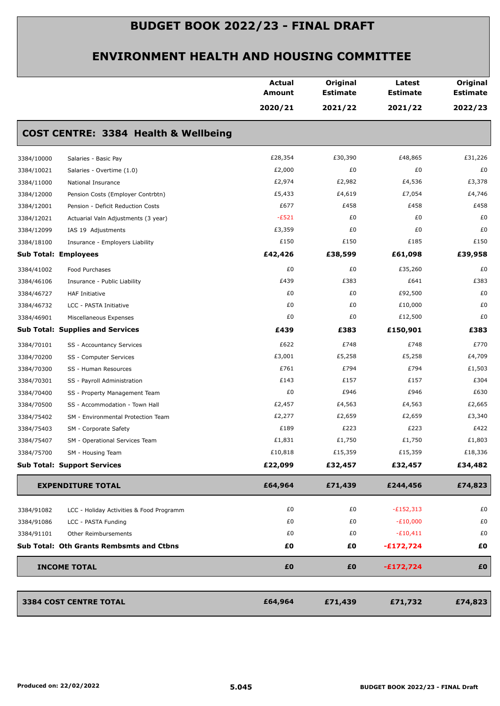|            |                                                 | <b>Actual</b><br><b>Amount</b> | Original<br><b>Estimate</b> | Latest<br><b>Estimate</b> | Original<br><b>Estimate</b> |
|------------|-------------------------------------------------|--------------------------------|-----------------------------|---------------------------|-----------------------------|
|            |                                                 | 2020/21                        | 2021/22                     | 2021/22                   | 2022/23                     |
|            | <b>COST CENTRE: 3384 Health &amp; Wellbeing</b> |                                |                             |                           |                             |
| 3384/10000 | Salaries - Basic Pay                            | £28,354                        | £30,390                     | £48,865                   | £31,226                     |
| 3384/10021 | Salaries - Overtime (1.0)                       | £2,000                         | £0                          | £0                        | £0                          |
| 3384/11000 | National Insurance                              | £2,974                         | £2,982                      | £4,536                    | £3,378                      |
| 3384/12000 | Pension Costs (Employer Contrbtn)               | £5,433                         | £4,619                      | £7,054                    | £4,746                      |
| 3384/12001 | Pension - Deficit Reduction Costs               | £677                           | £458                        | £458                      | £458                        |
| 3384/12021 | Actuarial Valn Adjustments (3 year)             | $-E521$                        | £0                          | £0                        | £0                          |
| 3384/12099 | IAS 19 Adjustments                              | £3,359                         | £0                          | £0                        | £0                          |
| 3384/18100 | Insurance - Employers Liability                 | £150                           | £150                        | £185                      | £150                        |
|            | <b>Sub Total: Employees</b>                     | £42,426                        | £38,599                     | £61,098                   | £39,958                     |
| 3384/41002 | Food Purchases                                  | £0                             | £0                          | £35,260                   | £0                          |
| 3384/46106 | Insurance - Public Liability                    | £439                           | £383                        | £641                      | £383                        |
| 3384/46727 | <b>HAF Initiative</b>                           | £0                             | £0                          | £92,500                   | £0                          |
| 3384/46732 | LCC - PASTA Initiative                          | £0                             | £0                          | £10,000                   | £0                          |
| 3384/46901 | Miscellaneous Expenses                          | £0                             | £0                          | £12,500                   | £0                          |
|            | <b>Sub Total: Supplies and Services</b>         | £439                           | £383                        | £150,901                  | £383                        |
| 3384/70101 | SS - Accountancy Services                       | £622                           | £748                        | £748                      | £770                        |
| 3384/70200 | SS - Computer Services                          | £3,001                         | £5,258                      | £5,258                    | £4,709                      |
| 3384/70300 | SS - Human Resources                            | £761                           | £794                        | £794                      | £1,503                      |
| 3384/70301 | SS - Payroll Administration                     | £143                           | £157                        | £157                      | £304                        |
| 3384/70400 | SS - Property Management Team                   | £0                             | £946                        | £946                      | £630                        |
| 3384/70500 | SS - Accommodation - Town Hall                  | £2,457                         | £4,563                      | £4,563                    | £2,665                      |
| 3384/75402 | SM - Environmental Protection Team              | £2,277                         | £2,659                      | £2,659                    | £3,340                      |
| 3384/75403 | SM - Corporate Safety                           | £189                           | £223                        | £223                      | £422                        |
| 3384/75407 | SM - Operational Services Team                  | £1,831                         | £1,750                      | £1,750                    | £1,803                      |
| 3384/75700 | SM - Housing Team                               | £10,818                        | £15,359                     | £15,359                   | £18,336                     |
|            | <b>Sub Total: Support Services</b>              | £22,099                        | £32,457                     | £32,457                   | £34,482                     |
|            | <b>EXPENDITURE TOTAL</b>                        | £64,964                        | £71,439                     | £244,456                  | £74,823                     |
| 3384/91082 | LCC - Holiday Activities & Food Programm        | £0                             | £0                          | $-E152,313$               | £0                          |
| 3384/91086 | LCC - PASTA Funding                             | £0                             | £0                          | $-E10,000$                | £0                          |
| 3384/91101 | Other Reimbursements                            | £0                             | £0                          | $-£10,411$                | £0                          |
|            | <b>Sub Total: Oth Grants Rembsmts and Ctbns</b> | £0                             | £0                          | $-£172,724$               | £0                          |
|            | <b>INCOME TOTAL</b>                             | £0                             | £0                          | $-£172,724$               | £0                          |
|            | 3384 COST CENTRE TOTAL                          | £64,964                        | £71,439                     | £71,732                   | £74,823                     |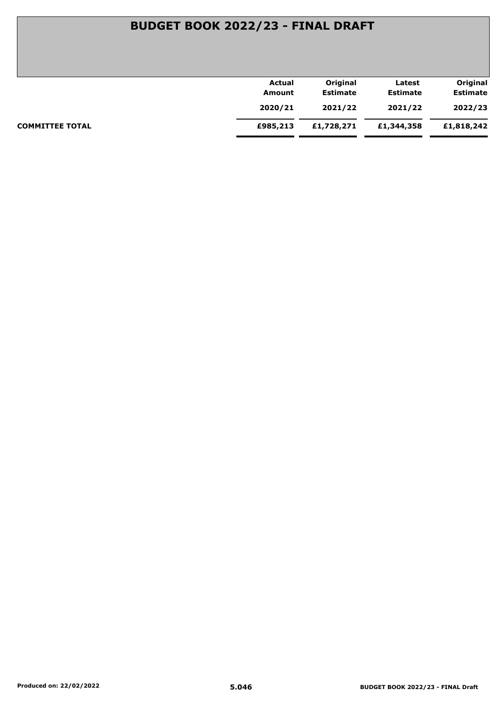|                        | Actual   | Original        | Latest          | Original        |
|------------------------|----------|-----------------|-----------------|-----------------|
|                        | Amount   | <b>Estimate</b> | <b>Estimate</b> | <b>Estimate</b> |
|                        | 2020/21  | 2021/22         | 2021/22         | 2022/23         |
| <b>COMMITTEE TOTAL</b> | £985,213 | £1,728,271      | £1,344,358      | £1,818,242      |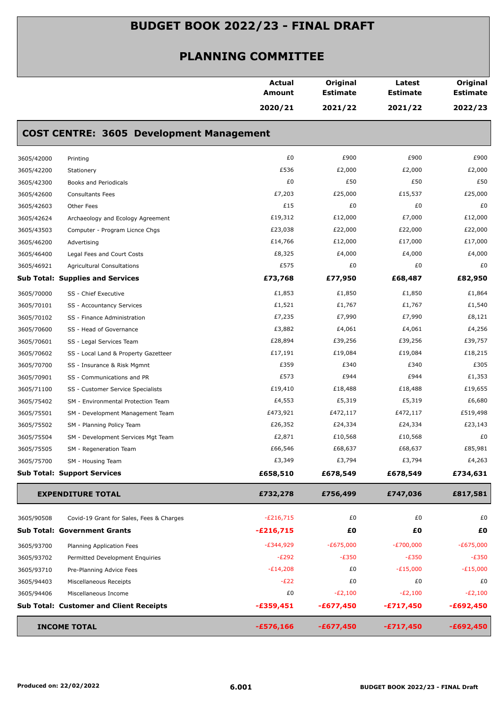|            |                                                 | Actual<br>Amount | Original<br><b>Estimate</b> | Latest<br><b>Estimate</b> | Original<br><b>Estimate</b> |
|------------|-------------------------------------------------|------------------|-----------------------------|---------------------------|-----------------------------|
|            |                                                 | 2020/21          | 2021/22                     | 2021/22                   | 2022/23                     |
|            | <b>COST CENTRE: 3605 Development Management</b> |                  |                             |                           |                             |
| 3605/42000 | Printing                                        | £0               | £900                        | £900                      | £900                        |
| 3605/42200 | Stationery                                      | £536             | £2,000                      | £2,000                    | £2,000                      |
| 3605/42300 | Books and Periodicals                           | £0               | £50                         | £50                       | £50                         |
| 3605/42600 | <b>Consultants Fees</b>                         | £7,203           | £25,000                     | £15,537                   | £25,000                     |
| 3605/42603 | Other Fees                                      | £15              | £0                          | £0                        | £0                          |
| 3605/42624 | Archaeology and Ecology Agreement               | £19,312          | £12,000                     | £7,000                    | £12,000                     |
| 3605/43503 | Computer - Program Licnce Chgs                  | £23,038          | £22,000                     | £22,000                   | £22,000                     |
| 3605/46200 | Advertising                                     | £14,766          | £12,000                     | £17,000                   | £17,000                     |
| 3605/46400 | Legal Fees and Court Costs                      | £8,325           | £4,000                      | £4,000                    | £4,000                      |
| 3605/46921 | <b>Agricultural Consultations</b>               | £575             | £0                          | £0                        | £0                          |
|            | <b>Sub Total: Supplies and Services</b>         | £73,768          | £77,950                     | £68,487                   | £82,950                     |
| 3605/70000 | SS - Chief Executive                            | £1,853           | £1,850                      | £1,850                    | £1,864                      |
| 3605/70101 | SS - Accountancy Services                       | £1,521           | £1,767                      | £1,767                    | £1,540                      |
| 3605/70102 | SS - Finance Administration                     | £7,235           | £7,990                      | £7,990                    | £8,121                      |
| 3605/70600 | SS - Head of Governance                         | £3,882           | £4,061                      | £4,061                    | £4,256                      |
| 3605/70601 | SS - Legal Services Team                        | £28,894          | £39,256                     | £39,256                   | £39,757                     |
| 3605/70602 | SS - Local Land & Property Gazetteer            | £17,191          | £19,084                     | £19,084                   | £18,215                     |
| 3605/70700 | SS - Insurance & Risk Mgmnt                     | £359             | £340                        | £340                      | £305                        |
| 3605/70901 | SS - Communications and PR                      | £573             | £944                        | £944                      | £1,353                      |
| 3605/71100 | SS - Customer Service Specialists               | £19,410          | £18,488                     | £18,488                   | £19,655                     |
| 3605/75402 | SM - Environmental Protection Team              | £4,553           | £5,319                      | £5,319                    | £6,680                      |
| 3605/75501 | SM - Development Management Team                | £473,921         | £472,117                    | £472,117                  | £519,498                    |
| 3605/75502 | SM - Planning Policy Team                       | £26,352          | £24,334                     | £24,334                   | £23,143                     |
| 3605/75504 | SM - Development Services Mgt Team              | £2,871           | £10,568                     | £10,568                   | £0                          |
| 3605/75505 | SM - Regeneration Team                          | £66,546          | £68,637                     | £68,637                   | £85,981                     |
| 3605/75700 | SM - Housing Team                               | £3,349           | £3,794                      | £3,794                    | £4,263                      |
|            | <b>Sub Total: Support Services</b>              | £658,510         | £678,549                    | £678,549                  | £734,631                    |
|            | <b>EXPENDITURE TOTAL</b>                        | £732,278         | £756,499                    | £747,036                  | £817,581                    |
| 3605/90508 | Covid-19 Grant for Sales, Fees & Charges        | $-E216,715$      | £0                          | £0                        | £0                          |
|            | <b>Sub Total: Government Grants</b>             | $-£216,715$      | £Ο                          | £Ο                        | £0                          |
| 3605/93700 | Planning Application Fees                       | $-E344,929$      | $-£675,000$                 | $-E700,000$               | $-£675,000$                 |
| 3605/93702 | Permitted Development Enquiries                 | $-E292$          | $-E350$                     | $-E350$                   | $-E350$                     |
| 3605/93710 | Pre-Planning Advice Fees                        | $-E14,208$       | £0                          | $-E15,000$                | $-E15,000$                  |
| 3605/94403 | Miscellaneous Receipts                          | $-E22$           | £0                          | £0                        | £0                          |
| 3605/94406 | Miscellaneous Income                            | £0               | $-E2,100$                   | $-E2,100$                 | $-E2,100$                   |
|            | <b>Sub Total: Customer and Client Receipts</b>  | $-£359,451$      | $-£677,450$                 | $-£717,450$               | $-£692,450$                 |
|            | <b>INCOME TOTAL</b>                             | $-£576,166$      | $-£677,450$                 | $-£717,450$               | $-£692,450$                 |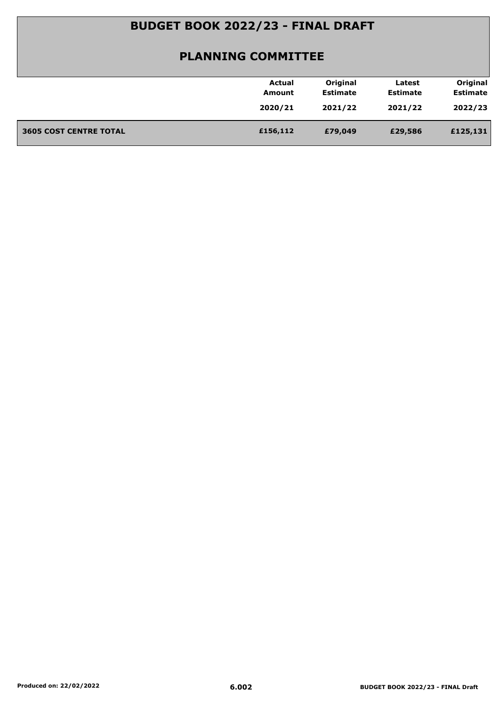|                               | Actual   | Original        | Latest          | Original        |
|-------------------------------|----------|-----------------|-----------------|-----------------|
|                               | Amount   | <b>Estimate</b> | <b>Estimate</b> | <b>Estimate</b> |
|                               | 2020/21  | 2021/22         | 2021/22         | 2022/23         |
|                               |          |                 |                 |                 |
| <b>3605 COST CENTRE TOTAL</b> | £156,112 | £79,049         | £29,586         | £125,131        |
|                               |          |                 |                 |                 |
|                               |          |                 |                 |                 |
|                               |          |                 |                 |                 |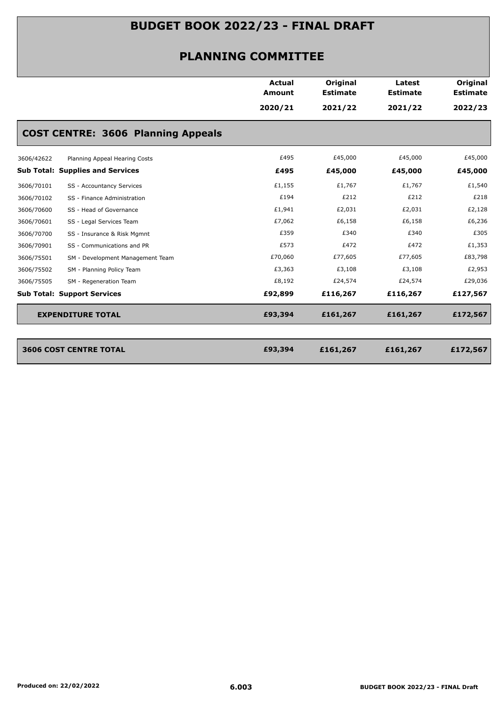|                                                | <b>Actual</b><br><b>Amount</b> | Original<br><b>Estimate</b> | Latest<br><b>Estimate</b> | <b>Original</b><br><b>Estimate</b> |
|------------------------------------------------|--------------------------------|-----------------------------|---------------------------|------------------------------------|
|                                                | 2020/21                        | 2021/22                     | 2021/22                   | 2022/23                            |
| <b>COST CENTRE: 3606 Planning Appeals</b>      |                                |                             |                           |                                    |
| 3606/42622<br>Planning Appeal Hearing Costs    | £495                           | £45,000                     | £45,000                   | £45,000                            |
| <b>Sub Total: Supplies and Services</b>        | £495                           | £45,000                     | £45,000                   | £45,000                            |
| 3606/70101<br>SS - Accountancy Services        | £1,155                         | £1,767                      | £1,767                    | £1,540                             |
| 3606/70102<br>SS - Finance Administration      | £194                           | £212                        | £212                      | £218                               |
| 3606/70600<br>SS - Head of Governance          | £1,941                         | £2,031                      | £2,031                    | £2,128                             |
| 3606/70601<br>SS - Legal Services Team         | £7,062                         | £6,158                      | £6,158                    | £6,236                             |
| 3606/70700<br>SS - Insurance & Risk Mgmnt      | £359                           | £340                        | £340                      | £305                               |
| SS - Communications and PR<br>3606/70901       | £573                           | £472                        | £472                      | £1,353                             |
| 3606/75501<br>SM - Development Management Team | £70,060                        | £77,605                     | £77,605                   | £83,798                            |
| 3606/75502<br>SM - Planning Policy Team        | £3,363                         | £3,108                      | £3,108                    | £2,953                             |
| 3606/75505<br>SM - Regeneration Team           | £8,192                         | £24,574                     | £24,574                   | £29,036                            |
| <b>Sub Total: Support Services</b>             | £92,899                        | £116,267                    | £116,267                  | £127,567                           |
| <b>EXPENDITURE TOTAL</b>                       | £93,394                        | £161,267                    | £161,267                  | £172,567                           |
|                                                |                                |                             |                           |                                    |
| <b>3606 COST CENTRE TOTAL</b>                  | £93,394                        | £161,267                    | £161,267                  | £172,567                           |
|                                                |                                |                             |                           |                                    |
|                                                |                                |                             |                           |                                    |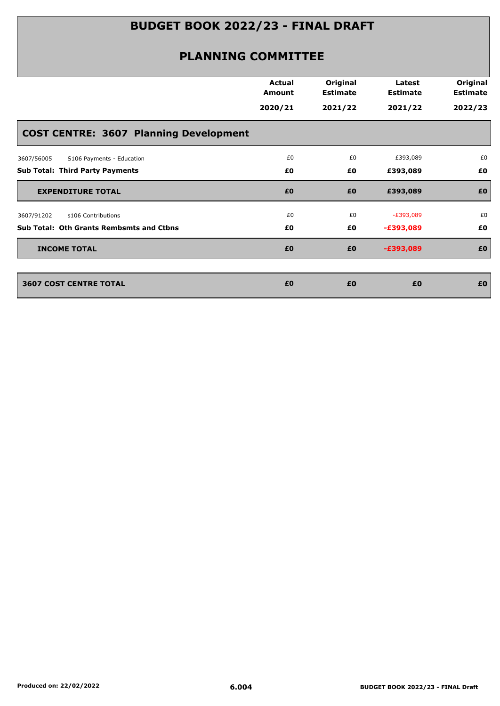|                                                 | <b>Actual</b><br>Amount | Original<br><b>Estimate</b> | Latest<br><b>Estimate</b> | Original<br><b>Estimate</b> |
|-------------------------------------------------|-------------------------|-----------------------------|---------------------------|-----------------------------|
|                                                 | 2020/21                 | 2021/22                     | 2021/22                   | 2022/23                     |
| <b>COST CENTRE: 3607 Planning Development</b>   |                         |                             |                           |                             |
| S106 Payments - Education<br>3607/56005         | £0                      | £0                          | £393,089                  | £0                          |
| <b>Sub Total: Third Party Payments</b>          | £0                      | £0                          | £393,089                  | £0                          |
| <b>EXPENDITURE TOTAL</b>                        | £0                      | £0                          | £393,089                  | £0                          |
| 3607/91202<br>s106 Contributions                | £0                      | £0                          | $-E393,089$               | £0                          |
| <b>Sub Total: Oth Grants Rembsmts and Ctbns</b> | £0                      | £0                          | $-£393,089$               | £0                          |
| <b>INCOME TOTAL</b>                             | £0                      | £0                          | $-£393,089$               | £0                          |
| <b>3607 COST CENTRE TOTAL</b>                   | £0                      | £0                          | £0                        | £0                          |
|                                                 |                         |                             |                           |                             |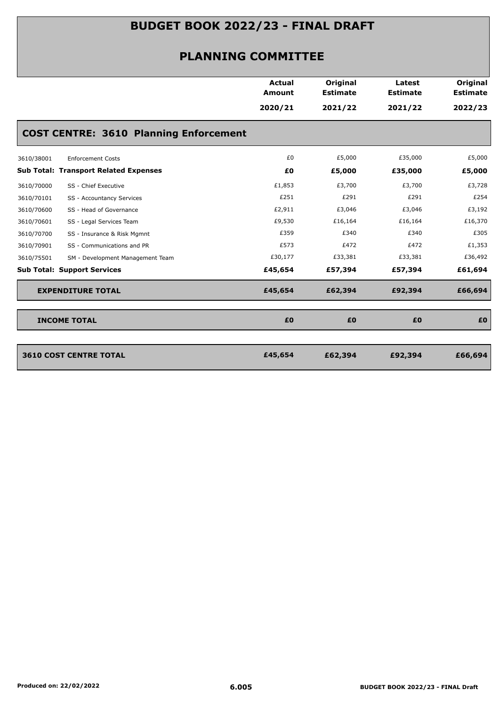| 2020/21<br>2021/22<br>2021/22<br><b>COST CENTRE: 3610 Planning Enforcement</b><br>£0<br>£5,000<br>£35,000<br><b>Enforcement Costs</b><br>3610/38001<br>£0<br>£5,000<br><b>Sub Total: Transport Related Expenses</b><br>£35,000<br>£1,853<br>£3,700<br>£3,700<br>3610/70000<br>SS - Chief Executive<br>£251<br>£291<br>£291<br>3610/70101<br>SS - Accountancy Services<br>£2,911<br>£3,046<br>£3,046<br>3610/70600<br>SS - Head of Governance<br>£9,530<br>£16,164<br>£16,164<br>3610/70601<br>SS - Legal Services Team<br>£359<br>£340<br>£340<br>SS - Insurance & Risk Mgmnt<br>3610/70700<br>£573<br>£472<br>£472<br>SS - Communications and PR<br>3610/70901<br>£30,177<br>£33,381<br>£33,381<br>3610/75501<br>SM - Development Management Team<br><b>Sub Total: Support Services</b><br>£45,654<br>£57,394<br>£57,394<br><b>EXPENDITURE TOTAL</b><br>£45,654<br>£62,394<br>£92,394 |                     | <b>Actual</b><br>Amount | Original<br><b>Estimate</b> | Latest<br><b>Estimate</b> | <b>Original</b><br><b>Estimate</b> |
|----------------------------------------------------------------------------------------------------------------------------------------------------------------------------------------------------------------------------------------------------------------------------------------------------------------------------------------------------------------------------------------------------------------------------------------------------------------------------------------------------------------------------------------------------------------------------------------------------------------------------------------------------------------------------------------------------------------------------------------------------------------------------------------------------------------------------------------------------------------------------------------|---------------------|-------------------------|-----------------------------|---------------------------|------------------------------------|
|                                                                                                                                                                                                                                                                                                                                                                                                                                                                                                                                                                                                                                                                                                                                                                                                                                                                                        |                     |                         |                             |                           | 2022/23                            |
|                                                                                                                                                                                                                                                                                                                                                                                                                                                                                                                                                                                                                                                                                                                                                                                                                                                                                        |                     |                         |                             |                           |                                    |
|                                                                                                                                                                                                                                                                                                                                                                                                                                                                                                                                                                                                                                                                                                                                                                                                                                                                                        |                     |                         |                             |                           | £5,000                             |
|                                                                                                                                                                                                                                                                                                                                                                                                                                                                                                                                                                                                                                                                                                                                                                                                                                                                                        |                     |                         |                             |                           | £5,000                             |
|                                                                                                                                                                                                                                                                                                                                                                                                                                                                                                                                                                                                                                                                                                                                                                                                                                                                                        |                     |                         |                             |                           | £3,728                             |
|                                                                                                                                                                                                                                                                                                                                                                                                                                                                                                                                                                                                                                                                                                                                                                                                                                                                                        |                     |                         |                             |                           | £254                               |
|                                                                                                                                                                                                                                                                                                                                                                                                                                                                                                                                                                                                                                                                                                                                                                                                                                                                                        |                     |                         |                             |                           | £3,192                             |
|                                                                                                                                                                                                                                                                                                                                                                                                                                                                                                                                                                                                                                                                                                                                                                                                                                                                                        |                     |                         |                             |                           | £16,370                            |
|                                                                                                                                                                                                                                                                                                                                                                                                                                                                                                                                                                                                                                                                                                                                                                                                                                                                                        |                     |                         |                             |                           | £305                               |
|                                                                                                                                                                                                                                                                                                                                                                                                                                                                                                                                                                                                                                                                                                                                                                                                                                                                                        |                     |                         |                             |                           | £1,353                             |
|                                                                                                                                                                                                                                                                                                                                                                                                                                                                                                                                                                                                                                                                                                                                                                                                                                                                                        |                     |                         |                             |                           | £36,492                            |
|                                                                                                                                                                                                                                                                                                                                                                                                                                                                                                                                                                                                                                                                                                                                                                                                                                                                                        |                     |                         |                             |                           | £61,694                            |
|                                                                                                                                                                                                                                                                                                                                                                                                                                                                                                                                                                                                                                                                                                                                                                                                                                                                                        |                     |                         |                             |                           | £66,694                            |
|                                                                                                                                                                                                                                                                                                                                                                                                                                                                                                                                                                                                                                                                                                                                                                                                                                                                                        | <b>INCOME TOTAL</b> | £0                      | £0                          | £0                        | £0                                 |
| <b>3610 COST CENTRE TOTAL</b><br>£45,654<br>£62,394<br>£92,394                                                                                                                                                                                                                                                                                                                                                                                                                                                                                                                                                                                                                                                                                                                                                                                                                         |                     |                         |                             |                           | £66,694                            |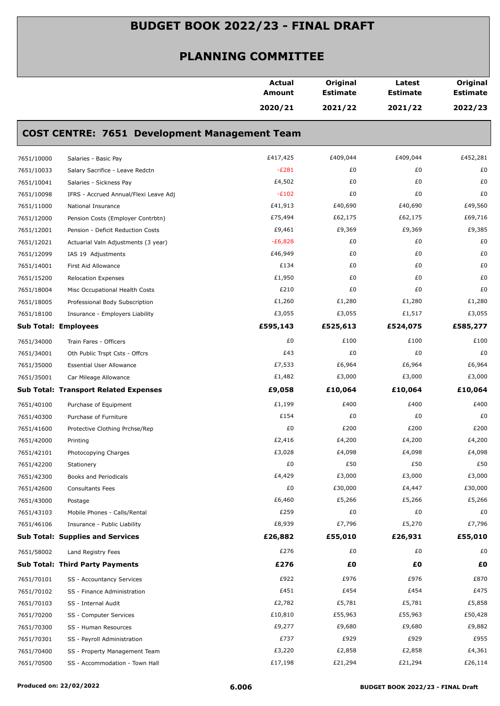|            |                                                      | <b>Actual</b><br>Amount | Original<br><b>Estimate</b> | Latest<br><b>Estimate</b> | Original<br><b>Estimate</b> |
|------------|------------------------------------------------------|-------------------------|-----------------------------|---------------------------|-----------------------------|
|            |                                                      | 2020/21                 | 2021/22                     | 2021/22                   | 2022/23                     |
|            | <b>COST CENTRE: 7651 Development Management Team</b> |                         |                             |                           |                             |
| 7651/10000 | Salaries - Basic Pay                                 | £417,425                | £409,044                    | £409,044                  | £452,281                    |
| 7651/10033 | Salary Sacrifice - Leave Redctn                      | $-E281$                 | £0                          | £0                        | £0                          |
| 7651/10041 | Salaries - Sickness Pay                              | £4,502                  | £0                          | £0                        | £0                          |
| 7651/10098 | IFRS - Accrued Annual/Flexi Leave Adj                | $-E102$                 | £0                          | £0                        | £0                          |
| 7651/11000 | National Insurance                                   | £41,913                 | £40,690                     | £40,690                   | £49,560                     |
| 7651/12000 | Pension Costs (Employer Contrbtn)                    | £75,494                 | £62,175                     | £62,175                   | £69,716                     |
| 7651/12001 | Pension - Deficit Reduction Costs                    | £9,461                  | £9,369                      | £9,369                    | £9,385                      |
| 7651/12021 | Actuarial Valn Adjustments (3 year)                  | $-E6,828$               | £0                          | £0                        | £0                          |
| 7651/12099 | IAS 19 Adjustments                                   | £46,949                 | £0                          | £0                        | £0                          |
| 7651/14001 | First Aid Allowance                                  | £134                    | £0                          | £0                        | £0                          |
| 7651/15200 | <b>Relocation Expenses</b>                           | £1,950                  | £0                          | £0                        | £0                          |
| 7651/18004 | Misc Occupational Health Costs                       | £210                    | £0                          | £0                        | £0                          |
| 7651/18005 | Professional Body Subscription                       | £1,260                  | £1,280                      | £1,280                    | £1,280                      |
| 7651/18100 | Insurance - Employers Liability                      | £3,055                  | £3,055                      | £1,517                    | £3,055                      |
|            | Sub Total: Employees                                 | £595,143                | £525,613                    | £524,075                  | £585,277                    |
| 7651/34000 | Train Fares - Officers                               | £0                      | £100                        | £100                      | £100                        |
| 7651/34001 | Oth Public Trspt Csts - Offcrs                       | £43                     | £0                          | £0                        | £0                          |
| 7651/35000 | <b>Essential User Allowance</b>                      | £7,533                  | £6,964                      | £6,964                    | £6,964                      |
| 7651/35001 | Car Mileage Allowance                                | £1,482                  | £3,000                      | £3,000                    | £3,000                      |
|            | <b>Sub Total: Transport Related Expenses</b>         | £9,058                  | £10,064                     | £10,064                   | £10,064                     |
| 7651/40100 | Purchase of Equipment                                | £1,199                  | £400                        | £400                      | £400                        |
| 7651/40300 | Purchase of Furniture                                | £154                    | £0                          | £0                        | £0                          |
| 7651/41600 | Protective Clothing Prchse/Rep                       | £0                      | £200                        | £200                      | £200                        |
| 7651/42000 | Printing                                             | £2,416                  | £4,200                      | £4,200                    | £4,200                      |
| 7651/42101 | Photocopying Charges                                 | £3,028                  | £4,098                      | £4,098                    | £4,098                      |
| 7651/42200 | Stationery                                           | £0                      | £50                         | £50                       | £50                         |
| 7651/42300 | Books and Periodicals                                | £4,429                  | £3,000                      | £3,000                    | £3,000                      |
| 7651/42600 | <b>Consultants Fees</b>                              | £0                      | £30,000                     | £4,447                    | £30,000                     |
| 7651/43000 | Postage                                              | £6,460                  | £5,266                      | £5,266                    | £5,266                      |
| 7651/43103 | Mobile Phones - Calls/Rental                         | £259                    | £0                          | £0                        | £0                          |
| 7651/46106 | Insurance - Public Liability                         | £8,939                  | £7,796                      | £5,270                    | £7,796                      |
|            | <b>Sub Total: Supplies and Services</b>              | £26,882                 | £55,010                     | £26,931                   | £55,010                     |
| 7651/58002 | Land Registry Fees                                   | £276                    | £0                          | £0                        | £0                          |
|            | <b>Sub Total: Third Party Payments</b>               | £276                    | £Ο                          | £0                        | £Ο                          |
| 7651/70101 | SS - Accountancy Services                            | £922                    | £976                        | £976                      | £870                        |
| 7651/70102 | SS - Finance Administration                          | £451                    | £454                        | £454                      | £475                        |
| 7651/70103 | SS - Internal Audit                                  | £2,782                  | £5,781                      | £5,781                    | £5,858                      |
| 7651/70200 | SS - Computer Services                               | £10,810                 | £55,963                     | £55,963                   | £50,428                     |
| 7651/70300 | SS - Human Resources                                 | £9,277                  | £9,680                      | £9,680                    | £9,882                      |
| 7651/70301 | SS - Payroll Administration                          | £737                    | £929                        | £929                      | £955                        |
| 7651/70400 | SS - Property Management Team                        | £3,220                  | £2,858                      | £2,858                    | £4,361                      |
| 7651/70500 | SS - Accommodation - Town Hall                       | £17,198                 | £21,294                     | £21,294                   | £26,114                     |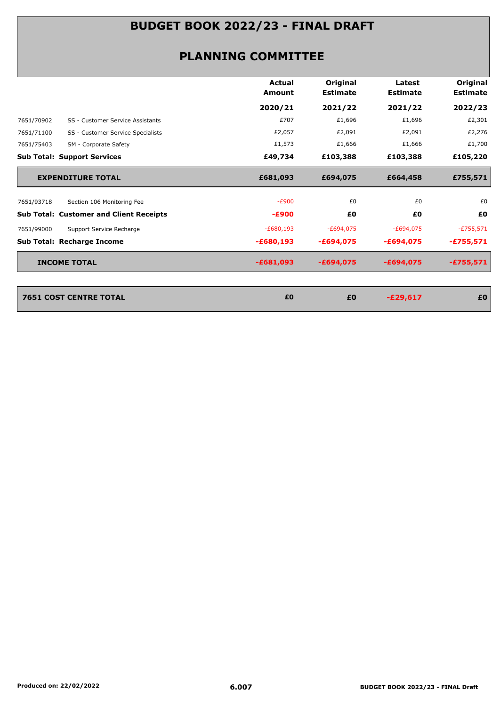|            |                                                | <b>Actual</b><br><b>Amount</b> | Original<br><b>Estimate</b> | Latest<br><b>Estimate</b> | Original<br><b>Estimate</b> |
|------------|------------------------------------------------|--------------------------------|-----------------------------|---------------------------|-----------------------------|
|            |                                                | 2020/21                        | 2021/22                     | 2021/22                   | 2022/23                     |
| 7651/70902 | SS - Customer Service Assistants               | £707                           | £1,696                      | £1,696                    | £2,301                      |
| 7651/71100 | SS - Customer Service Specialists              | £2,057                         | £2,091                      | £2,091                    | £2,276                      |
| 7651/75403 | SM - Corporate Safety                          | £1,573                         | £1,666                      | £1,666                    | £1,700                      |
|            | <b>Sub Total: Support Services</b>             | £49,734                        | £103,388                    | £103,388                  | £105,220                    |
|            | <b>EXPENDITURE TOTAL</b>                       | £681,093                       | £694,075                    | £664,458                  | £755,571                    |
| 7651/93718 | Section 106 Monitoring Fee                     | $-E900$                        | £0                          | £0                        | £0                          |
|            | <b>Sub Total: Customer and Client Receipts</b> | $-£900$                        | £0                          | £Ο                        | £0                          |
| 7651/99000 | Support Service Recharge                       | $-E680,193$                    | $-E694,075$                 | $-E694,075$               | $-E755,571$                 |
|            | <b>Sub Total: Recharge Income</b>              | $-£680,193$                    | $-£694,075$                 | $-£694,075$               | $-£755,571$                 |
|            | <b>INCOME TOTAL</b>                            | $-£681,093$                    | $-£694,075$                 | $-£694,075$               | -£755,571                   |
|            |                                                |                                |                             |                           |                             |
|            | <b>7651 COST CENTRE TOTAL</b>                  | £0                             | £0                          | $-E29,617$                | £0                          |
|            |                                                |                                |                             |                           |                             |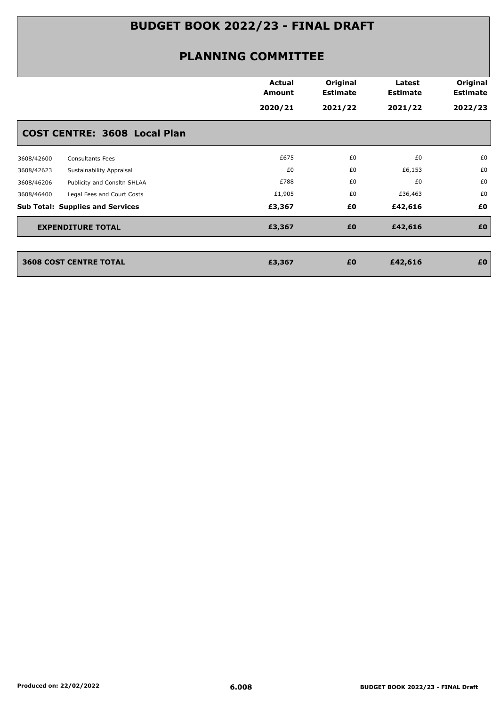|            |                                         | <b>Actual</b><br>Amount<br>2020/21 | Original<br><b>Estimate</b><br>2021/22 | Latest<br><b>Estimate</b><br>2021/22 | Original<br><b>Estimate</b><br>2022/23 |
|------------|-----------------------------------------|------------------------------------|----------------------------------------|--------------------------------------|----------------------------------------|
|            | <b>COST CENTRE: 3608 Local Plan</b>     |                                    |                                        |                                      |                                        |
| 3608/42600 | <b>Consultants Fees</b>                 | £675                               | £0                                     | £0                                   | £0                                     |
| 3608/42623 | Sustainability Appraisal                | £0                                 | £0                                     | £6,153                               | £0                                     |
| 3608/46206 | Publicity and Consltn SHLAA             | £788                               | £0                                     | £0                                   | £0                                     |
| 3608/46400 | Legal Fees and Court Costs              | £1,905                             | £0                                     | £36,463                              | £0                                     |
|            | <b>Sub Total: Supplies and Services</b> | £3,367                             | £0                                     | £42,616                              | £0                                     |
|            | <b>EXPENDITURE TOTAL</b>                | £3,367                             | £0                                     | £42,616                              | £0                                     |
|            | <b>3608 COST CENTRE TOTAL</b>           | £3,367                             | £0                                     | £42,616                              | £0                                     |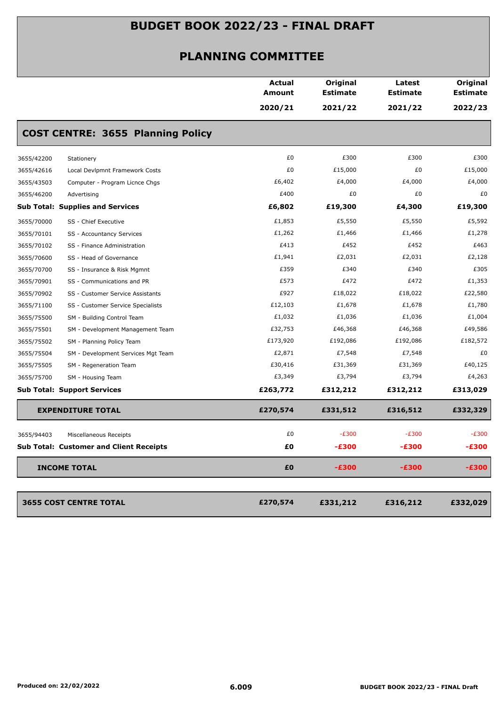|            |                                                | <b>Actual</b><br><b>Amount</b> | Original<br><b>Estimate</b> | Latest<br><b>Estimate</b> | Original<br><b>Estimate</b> |
|------------|------------------------------------------------|--------------------------------|-----------------------------|---------------------------|-----------------------------|
|            |                                                | 2020/21                        | 2021/22                     | 2021/22                   | 2022/23                     |
|            | <b>COST CENTRE: 3655 Planning Policy</b>       |                                |                             |                           |                             |
| 3655/42200 | Stationery                                     | £0                             | £300                        | £300                      | £300                        |
| 3655/42616 | Local Devlpmnt Framework Costs                 | £0                             | £15,000                     | £0                        | £15,000                     |
| 3655/43503 | Computer - Program Licnce Chgs                 | £6,402                         | £4,000                      | £4,000                    | £4,000                      |
| 3655/46200 | Advertising                                    | £400                           | £0                          | £0                        | £0                          |
|            | <b>Sub Total: Supplies and Services</b>        | £6,802                         | £19,300                     | £4,300                    | £19,300                     |
| 3655/70000 | SS - Chief Executive                           | £1,853                         | £5,550                      | £5,550                    | £5,592                      |
| 3655/70101 | SS - Accountancy Services                      | £1,262                         | £1,466                      | £1,466                    | £1,278                      |
| 3655/70102 | SS - Finance Administration                    | £413                           | £452                        | £452                      | £463                        |
| 3655/70600 | SS - Head of Governance                        | £1,941                         | £2,031                      | £2,031                    | £2,128                      |
| 3655/70700 | SS - Insurance & Risk Mgmnt                    | £359                           | £340                        | £340                      | £305                        |
| 3655/70901 | SS - Communications and PR                     | £573                           | £472                        | £472                      | £1,353                      |
| 3655/70902 | SS - Customer Service Assistants               | £927                           | £18,022                     | £18,022                   | £22,580                     |
| 3655/71100 | SS - Customer Service Specialists              | £12,103                        | £1,678                      | £1,678                    | £1,780                      |
| 3655/75500 | SM - Building Control Team                     | £1,032                         | £1,036                      | £1,036                    | £1,004                      |
| 3655/75501 | SM - Development Management Team               | £32,753                        | £46,368                     | £46,368                   | £49,586                     |
| 3655/75502 | SM - Planning Policy Team                      | £173,920                       | £192,086                    | £192,086                  | £182,572                    |
| 3655/75504 | SM - Development Services Mgt Team             | £2,871                         | £7,548                      | £7,548                    | £0                          |
| 3655/75505 | SM - Regeneration Team                         | £30,416                        | £31,369                     | £31,369                   | £40,125                     |
| 3655/75700 | SM - Housing Team                              | £3,349                         | £3,794                      | £3,794                    | £4,263                      |
|            | <b>Sub Total: Support Services</b>             | £263,772                       | £312,212                    | £312,212                  | £313,029                    |
|            | <b>EXPENDITURE TOTAL</b>                       | £270,574                       | £331,512                    | £316,512                  | £332,329                    |
| 3655/94403 | Miscellaneous Receipts                         | £0                             | $-E300$                     | $-E300$                   | $-E300$                     |
|            | <b>Sub Total: Customer and Client Receipts</b> | £Ο                             | $-£300$                     | -£300                     | $-£300$                     |
|            | <b>INCOME TOTAL</b>                            | £0                             | $-£300$                     | $-£300$                   | $-£300$                     |
|            |                                                |                                |                             |                           |                             |
|            | <b>3655 COST CENTRE TOTAL</b>                  | £270,574                       | £331,212                    | £316,212                  | £332,029                    |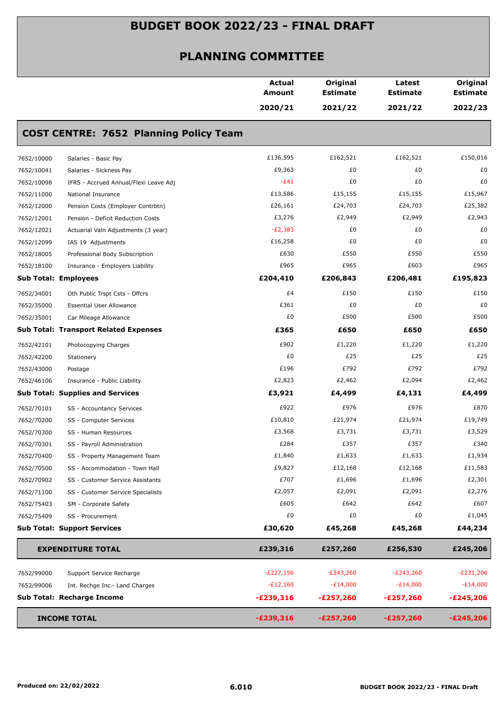|                                                     | <b>Actual</b><br><b>Amount</b> | Original<br><b>Estimate</b> | Latest<br><b>Estimate</b> | Original<br><b>Estimate</b> |
|-----------------------------------------------------|--------------------------------|-----------------------------|---------------------------|-----------------------------|
|                                                     | 2020/21                        | 2021/22                     | 2021/22                   | 2022/23                     |
| <b>COST CENTRE: 7652 Planning Policy Team</b>       |                                |                             |                           |                             |
| 7652/10000<br>Salaries - Basic Pay                  | £136,595                       | £162,521                    | £162,521                  | £150,016                    |
| 7652/10041<br>Salaries - Sickness Pay               | £9,363                         | £0                          | £0                        | £0                          |
| IFRS - Accrued Annual/Flexi Leave Adj<br>7652/10098 | $-E41$                         | £0                          | £0                        | £0                          |
| 7652/11000<br>National Insurance                    | £13,586                        | £15,155                     | £15,155                   | £15,967                     |
| 7652/12000<br>Pension Costs (Employer Contrbtn)     | £26,161                        | £24,703                     | £24,703                   | £25,382                     |
| 7652/12001<br>Pension - Deficit Reduction Costs     | £3,276                         | £2,949                      | £2,949                    | £2,943                      |
| 7652/12021<br>Actuarial Valn Adjustments (3 year)   | $-E2,383$                      | £0                          | £0                        | £0                          |
| 7652/12099<br>IAS 19 Adjustments                    | £16,258                        | £0                          | £0                        | £0                          |
| 7652/18005<br>Professional Body Subscription        | £630                           | £550                        | £550                      | £550                        |
| 7652/18100<br>Insurance - Employers Liability       | £965                           | £965                        | £603                      | £965                        |
| <b>Sub Total: Employees</b>                         | £204,410                       | £206,843                    | £206,481                  | £195,823                    |
| 7652/34001<br>Oth Public Trspt Csts - Offcrs        | £4                             | £150                        | £150                      | £150                        |
| 7652/35000<br><b>Essential User Allowance</b>       | £361                           | £0                          | £0                        | £0                          |
| 7652/35001<br>Car Mileage Allowance                 | £0                             | £500                        | £500                      | £500                        |
| <b>Sub Total: Transport Related Expenses</b>        | £365                           | £650                        | £650                      | £650                        |
| 7652/42101<br>Photocopying Charges                  | £902                           | £1,220                      | £1,220                    | £1,220                      |
| 7652/42200<br>Stationery                            | £0                             | £25                         | £25                       | £25                         |
| 7652/43000<br>Postage                               | £196                           | £792                        | £792                      | £792                        |
| 7652/46106<br>Insurance - Public Liability          | £2,823                         | £2,462                      | £2,094                    | £2,462                      |
| <b>Sub Total: Supplies and Services</b>             | £3,921                         | £4,499                      | £4,131                    | £4,499                      |
| 7652/70101<br>SS - Accountancy Services             | £922                           | £976                        | £976                      | £870                        |
| 7652/70200<br>SS - Computer Services                | £10,810                        | £21,974                     | £21,974                   | £19,749                     |
| 7652/70300<br>SS - Human Resources                  | £3,568                         | £3,731                      | £3,731                    | £3,529                      |
| 7652/70301<br>SS - Payroll Administration           | £284                           | £357                        | £357                      | £340                        |
| 7652/70400<br>SS - Property Management Team         | £1,840                         | £1,633                      | £1,633                    | £1,934                      |
| 7652/70500<br>SS - Accommodation - Town Hall        | £9,827                         | £12,168                     | £12,168                   | £11,583                     |
| 7652/70902<br>SS - Customer Service Assistants      | £707                           | £1,696                      | £1,696                    | £2,301                      |
| 7652/71100<br>SS - Customer Service Specialists     | £2,057                         | £2,091                      | £2,091                    | £2,276                      |
| 7652/75403<br>SM - Corporate Safety                 | £605                           | £642                        | £642                      | £607                        |
| 7652/75409<br>SS - Procurement                      | £0                             | £0                          | £0                        | £1,045                      |
| <b>Sub Total: Support Services</b>                  | £30,620                        | £45,268                     | £45,268                   | £44,234                     |
| <b>EXPENDITURE TOTAL</b>                            | £239,316                       | £257,260                    | £256,530                  | £245,206                    |
| 7652/99000<br>Support Service Recharge              | $-E227,156$                    | $-E243,260$                 | $-E243,260$               | E231,206                    |
| 7652/99006<br>Int. Rechge Inc.- Land Charges        | $-E12,160$                     | $-E14,000$                  | $-E14,000$                | $-E14,000$                  |
| Sub Total: Recharge Income                          | $-E239,316$                    | $-E257,260$                 | $-E257,260$               | $-E245,206$                 |
| <b>INCOME TOTAL</b>                                 | $-E239,316$                    | $-E257,260$                 | $-E257,260$               | $-E245,206$                 |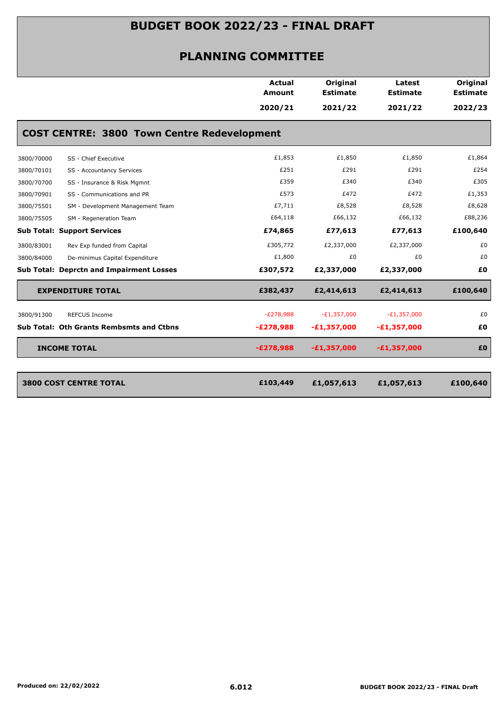|                                                    | Actual<br><b>Amount</b> | Original<br><b>Estimate</b> | Latest<br><b>Estimate</b> | Original<br><b>Estimate</b> |
|----------------------------------------------------|-------------------------|-----------------------------|---------------------------|-----------------------------|
|                                                    | 2020/21                 | 2021/22                     | 2021/22                   | 2022/23                     |
| <b>COST CENTRE: 3800 Town Centre Redevelopment</b> |                         |                             |                           |                             |
| SS - Chief Executive<br>3800/70000                 | £1,853                  | £1,850                      | £1,850                    | £1,864                      |
| 3800/70101<br>SS - Accountancy Services            | £251                    | £291                        | £291                      | £254                        |
| 3800/70700<br>SS - Insurance & Risk Mgmnt          | £359                    | £340                        | £340                      | £305                        |
| SS - Communications and PR<br>3800/70901           | £573                    | £472                        | £472                      | £1,353                      |
| SM - Development Management Team<br>3800/75501     | £7,711                  | £8,528                      | £8,528                    | £8,628                      |
| 3800/75505<br>SM - Regeneration Team               | £64,118                 | £66,132                     | £66,132                   | £88,236                     |
| <b>Sub Total: Support Services</b>                 | £74,865                 | £77,613                     | £77,613                   | £100,640                    |
| Rev Exp funded from Capital<br>3800/83001          | £305,772                | £2,337,000                  | £2,337,000                | £0                          |
| De-minimus Capital Expenditure<br>3800/84000       | £1,800                  | £0                          | £0                        | £0                          |
| <b>Sub Total: Deprctn and Impairment Losses</b>    | £307,572                | £2,337,000                  | £2,337,000                | £0                          |
| <b>EXPENDITURE TOTAL</b>                           | £382,437                | £2,414,613                  | £2,414,613                | £100,640                    |
| 3800/91300<br><b>REFCUS Income</b>                 | $-E278,988$             | $-E1,357,000$               | $-E1,357,000$             | £0                          |
| Sub Total: Oth Grants Rembsmts and Ctbns           | $-E278,988$             | $-E1,357,000$               | $-E1,357,000$             | £0                          |
| <b>INCOME TOTAL</b>                                | $-E278,988$             | $-E1,357,000$               | $-E1,357,000$             | £O                          |
|                                                    |                         |                             |                           |                             |
| <b>3800 COST CENTRE TOTAL</b>                      | £103,449                | £1,057,613                  | £1,057,613                | £100,640                    |
|                                                    |                         |                             |                           |                             |
|                                                    |                         |                             |                           |                             |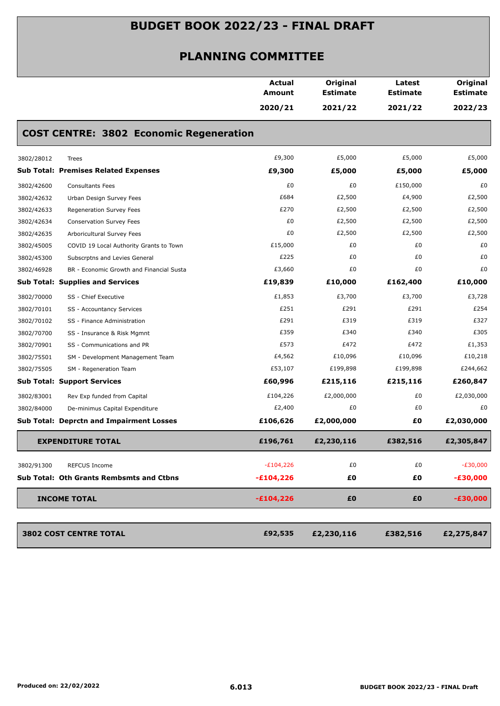|                                                        | <b>Actual</b><br><b>Amount</b> | Original<br><b>Estimate</b> | Latest<br><b>Estimate</b> | Original<br><b>Estimate</b> |
|--------------------------------------------------------|--------------------------------|-----------------------------|---------------------------|-----------------------------|
|                                                        | 2020/21                        | 2021/22                     | 2021/22                   | 2022/23                     |
| <b>COST CENTRE: 3802 Economic Regeneration</b>         |                                |                             |                           |                             |
| 3802/28012<br><b>Trees</b>                             | £9,300                         | £5,000                      | £5,000                    | £5,000                      |
| <b>Sub Total: Premises Related Expenses</b>            | £9,300                         | £5,000                      | £5,000                    | £5,000                      |
| 3802/42600<br><b>Consultants Fees</b>                  | £0                             | £0                          | £150,000                  | £0                          |
| 3802/42632<br>Urban Design Survey Fees                 | £684                           | £2,500                      | £4,900                    | £2,500                      |
| 3802/42633<br>Regeneration Survey Fees                 | £270                           | £2,500                      | £2,500                    | £2,500                      |
| 3802/42634<br>Conservation Survey Fees                 | £0                             | £2,500                      | £2,500                    | £2,500                      |
| 3802/42635<br>Arboricultural Survey Fees               | £0                             | £2,500                      | £2,500                    | £2,500                      |
| 3802/45005<br>COVID 19 Local Authority Grants to Town  | £15,000                        | £0                          | £0                        | £0                          |
| 3802/45300<br>Subscrptns and Levies General            | £225                           | £0                          | £0                        | £0                          |
| BR - Economic Growth and Financial Susta<br>3802/46928 | £3,660                         | £0                          | £0                        | £0                          |
| <b>Sub Total: Supplies and Services</b>                | £19,839                        | £10,000                     | £162,400                  | £10,000                     |
| 3802/70000<br>SS - Chief Executive                     | £1,853                         | £3,700                      | £3,700                    | £3,728                      |
| 3802/70101<br>SS - Accountancy Services                | £251                           | £291                        | £291                      | £254                        |
| 3802/70102<br>SS - Finance Administration              | £291                           | £319                        | £319                      | £327                        |
| 3802/70700<br>SS - Insurance & Risk Mgmnt              | £359                           | £340                        | £340                      | £305                        |
| SS - Communications and PR<br>3802/70901               | £573                           | £472                        | £472                      | £1,353                      |
| 3802/75501<br>SM - Development Management Team         | £4,562                         | £10,096                     | £10,096                   | £10,218                     |
| 3802/75505<br>SM - Regeneration Team                   | £53,107                        | £199,898                    | £199,898                  | £244,662                    |
| <b>Sub Total: Support Services</b>                     | £60,996                        | £215,116                    | £215,116                  | £260,847                    |
| Rev Exp funded from Capital<br>3802/83001              | £104,226                       | £2,000,000                  | £0                        | £2,030,000                  |
| 3802/84000<br>De-minimus Capital Expenditure           | £2,400                         | £0                          | £0                        | £0                          |
| <b>Sub Total: Deprctn and Impairment Losses</b>        | £106,626                       | £2,000,000                  | £Ο                        | £2,030,000                  |
| <b>EXPENDITURE TOTAL</b>                               | £196,761                       | £2,230,116                  | £382,516                  | £2,305,847                  |
| 3802/91300<br><b>REFCUS Income</b>                     | $-E104,226$                    | £0                          | £0                        | $-E30,000$                  |
| <b>Sub Total: Oth Grants Rembsmts and Ctbns</b>        | $-£104,226$                    | £0                          | £0                        | $-£30,000$                  |
| <b>INCOME TOTAL</b>                                    | $-£104,226$                    | £0                          | £0                        | $-£30,000$                  |
| 3802 COST CENTRE TOTAL                                 | £92,535                        | £2,230,116                  | £382,516                  | £2,275,847                  |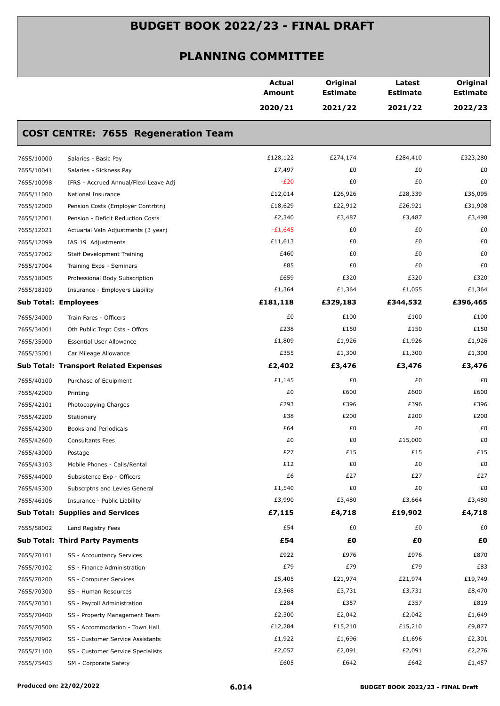|                             |                                              | <b>Actual</b><br>Amount | Original<br><b>Estimate</b> | Latest<br><b>Estimate</b> | Original<br><b>Estimate</b> |
|-----------------------------|----------------------------------------------|-------------------------|-----------------------------|---------------------------|-----------------------------|
|                             |                                              | 2020/21                 | 2021/22                     | 2021/22                   | 2022/23                     |
|                             | <b>COST CENTRE: 7655 Regeneration Team</b>   |                         |                             |                           |                             |
| 7655/10000                  | Salaries - Basic Pay                         | £128,122                | £274,174                    | £284,410                  | £323,280                    |
| 7655/10041                  | Salaries - Sickness Pay                      | £7,497                  | £0                          | £0                        | £0                          |
| 7655/10098                  | IFRS - Accrued Annual/Flexi Leave Adj        | $-E20$                  | £0                          | £0                        | £0                          |
| 7655/11000                  | National Insurance                           | £12,014                 | £26,926                     | £28,339                   | £36,095                     |
| 7655/12000                  | Pension Costs (Employer Contrbtn)            | £18,629                 | £22,912                     | £26,921                   | £31,908                     |
| 7655/12001                  | Pension - Deficit Reduction Costs            | £2,340                  | £3,487                      | £3,487                    | £3,498                      |
| 7655/12021                  | Actuarial Valn Adjustments (3 year)          | $-£1,645$               | £0                          | £0                        | £0                          |
| 7655/12099                  | IAS 19 Adjustments                           | £11,613                 | £0                          | £0                        | £0                          |
| 7655/17002                  | <b>Staff Development Training</b>            | £460                    | £0                          | £0                        | £0                          |
| 7655/17004                  | Training Exps - Seminars                     | £85                     | £0                          | £0                        | £0                          |
| 7655/18005                  | Professional Body Subscription               | £659                    | £320                        | £320                      | £320                        |
| 7655/18100                  | Insurance - Employers Liability              | £1,364                  | £1,364                      | £1,055                    | £1,364                      |
| <b>Sub Total: Employees</b> |                                              | £181,118                | £329,183                    | £344,532                  | £396,465                    |
| 7655/34000                  | Train Fares - Officers                       | £0                      | £100                        | £100                      | £100                        |
| 7655/34001                  | Oth Public Trspt Csts - Offcrs               | £238                    | £150                        | £150                      | £150                        |
| 7655/35000                  | <b>Essential User Allowance</b>              | £1,809                  | £1,926                      | £1,926                    | £1,926                      |
| 7655/35001                  | Car Mileage Allowance                        | £355                    | £1,300                      | £1,300                    | £1,300                      |
|                             | <b>Sub Total: Transport Related Expenses</b> | £2,402                  | £3,476                      | £3,476                    | £3,476                      |
| 7655/40100                  | Purchase of Equipment                        | £1,145                  | £0                          | £0                        | £0                          |
| 7655/42000                  | Printing                                     | £0                      | £600                        | £600                      | £600                        |
| 7655/42101                  | Photocopying Charges                         | £293                    | £396                        | £396                      | £396                        |
| 7655/42200                  | Stationery                                   | £38                     | £200                        | £200                      | £200                        |
| 7655/42300                  | Books and Periodicals                        | £64                     | £0                          | £0                        | £0                          |
| 7655/42600                  | <b>Consultants Fees</b>                      | £0                      | £0                          | £15,000                   | £0                          |
| 7655/43000                  | Postage                                      | £27                     | £15                         | £15                       | £15                         |
| 7655/43103                  | Mobile Phones - Calls/Rental                 | £12                     | £0                          | £0                        | £0                          |
| 7655/44000                  | Subsistence Exp - Officers                   | £6                      | £27                         | £27                       | £27                         |
| 7655/45300                  | Subscrptns and Levies General                | £1,540                  | £0                          | £0                        | £0                          |
| 7655/46106                  | Insurance - Public Liability                 | £3,990                  | £3,480                      | £3,664                    | £3,480                      |
|                             | <b>Sub Total: Supplies and Services</b>      | £7,115                  | £4,718                      | £19,902                   | £4,718                      |
| 7655/58002                  | Land Registry Fees                           | £54                     | £0                          | £0                        | £0                          |
|                             | <b>Sub Total: Third Party Payments</b>       | £54                     | £Ο                          | £0                        | £0                          |
| 7655/70101                  | SS - Accountancy Services                    | £922                    | £976                        | £976                      | £870                        |
| 7655/70102                  | SS - Finance Administration                  | £79                     | £79                         | £79                       | £83                         |
| 7655/70200                  | SS - Computer Services                       | £5,405                  | £21,974                     | £21,974                   | £19,749                     |
| 7655/70300                  | SS - Human Resources                         | £3,568                  | £3,731                      | £3,731                    | £8,470                      |
| 7655/70301                  | SS - Payroll Administration                  | £284                    | £357                        | £357                      | £819                        |
| 7655/70400                  | SS - Property Management Team                | £2,300                  | £2,042                      | £2,042                    | £1,649                      |
| 7655/70500                  | SS - Accommodation - Town Hall               | £12,284                 | £15,210                     | £15,210                   | £9,877                      |
| 7655/70902                  | SS - Customer Service Assistants             | £1,922                  | £1,696                      | £1,696                    | £2,301                      |
| 7655/71100                  | SS - Customer Service Specialists            | £2,057                  | £2,091                      | £2,091                    | £2,276                      |
| 7655/75403                  | SM - Corporate Safety                        | £605                    | £642                        | £642                      | £1,457                      |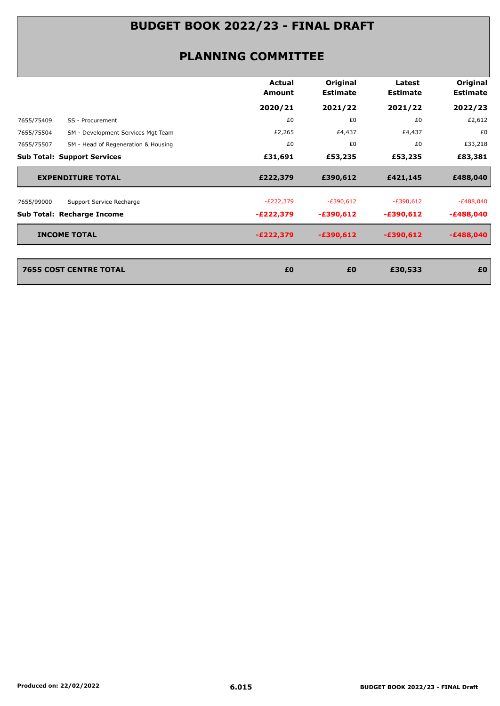| <b>Estimate</b><br>Amount<br><b>Estimate</b>                                        | Original<br><b>Estimate</b> |
|-------------------------------------------------------------------------------------|-----------------------------|
| 2020/21<br>2021/22<br>2021/22                                                       | 2022/23                     |
| £0<br>£0<br>£0<br>7655/75409<br>SS - Procurement                                    | £2,612                      |
| £2,265<br>£4,437<br>£4,437<br>7655/75504<br>SM - Development Services Mgt Team      | £0                          |
| £0<br>£0<br>£0<br>7655/75507<br>SM - Head of Regeneration & Housing                 | £33,218                     |
| <b>Sub Total: Support Services</b><br>£31,691<br>£53,235<br>£53,235                 | £83,381                     |
| <b>EXPENDITURE TOTAL</b><br>£222,379<br>£390,612<br>£421,145                        | £488,040                    |
| $-E222,379$<br>$-E390,612$<br>$-E390,612$<br>7655/99000<br>Support Service Recharge | $-E488,040$                 |
| Sub Total: Recharge Income<br>$-E222,379$<br>$-£390,612$<br>$-£390,612$             | $-£488,040$                 |
| <b>INCOME TOTAL</b><br>$-E222,379$<br>$-£390,612$<br>$-£390,612$                    | $-£488,040$                 |
|                                                                                     |                             |
|                                                                                     | £0                          |
| <b>7655 COST CENTRE TOTAL</b><br>£0<br>£0<br>£30,533                                |                             |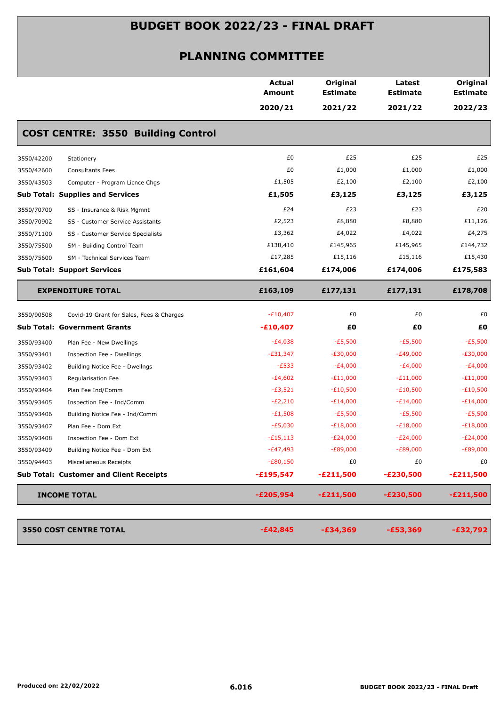|            |                                                | <b>Actual</b><br><b>Amount</b> | Original<br><b>Estimate</b> | Latest<br><b>Estimate</b> | Original<br><b>Estimate</b> |
|------------|------------------------------------------------|--------------------------------|-----------------------------|---------------------------|-----------------------------|
|            |                                                | 2020/21                        | 2021/22                     | 2021/22                   | 2022/23                     |
|            | <b>COST CENTRE: 3550 Building Control</b>      |                                |                             |                           |                             |
| 3550/42200 | Stationery                                     | £0                             | £25                         | £25                       | £25                         |
| 3550/42600 | <b>Consultants Fees</b>                        | £0                             | £1,000                      | £1,000                    | £1,000                      |
| 3550/43503 | Computer - Program Licnce Chgs                 | £1,505                         | £2,100                      | £2,100                    | £2,100                      |
|            | <b>Sub Total: Supplies and Services</b>        | £1,505                         | £3,125                      | £3,125                    | £3,125                      |
| 3550/70700 | SS - Insurance & Risk Mgmnt                    | £24                            | £23                         | £23                       | £20                         |
| 3550/70902 | SS - Customer Service Assistants               | £2,523                         | £8,880                      | £8,880                    | £11,126                     |
| 3550/71100 | SS - Customer Service Specialists              | £3,362                         | £4,022                      | £4,022                    | £4,275                      |
| 3550/75500 | SM - Building Control Team                     | £138,410                       | £145,965                    | £145,965                  | £144,732                    |
| 3550/75600 | SM - Technical Services Team                   | £17,285                        | £15,116                     | £15,116                   | £15,430                     |
|            | <b>Sub Total: Support Services</b>             | £161,604                       | £174,006                    | £174,006                  | £175,583                    |
|            | <b>EXPENDITURE TOTAL</b>                       | £163,109                       | £177,131                    | £177,131                  | £178,708                    |
| 3550/90508 | Covid-19 Grant for Sales, Fees & Charges       | $-E10,407$                     | £0                          | £0                        | £0                          |
|            | <b>Sub Total: Government Grants</b>            | $-£10,407$                     | £O                          | £Ο                        | £Ο                          |
| 3550/93400 | Plan Fee - New Dwellings                       | $-E4,038$                      | $-E5,500$                   | $-E5,500$                 | $-E5,500$                   |
| 3550/93401 | Inspection Fee - Dwellings                     | $-E31,347$                     | $-E30,000$                  | $-E49,000$                | $-E30,000$                  |
| 3550/93402 | Building Notice Fee - Dwellngs                 | $-E533$                        | $-E4,000$                   | $-E4,000$                 | -£4,000                     |
| 3550/93403 | Regularisation Fee                             | $-E4,602$                      | $-E11,000$                  | $-E11,000$                | $-E11,000$                  |
| 3550/93404 | Plan Fee Ind/Comm                              | $-E3,521$                      | $-E10,500$                  | $-E10,500$                | $-E10,500$                  |
| 3550/93405 | Inspection Fee - Ind/Comm                      | $-E2,210$                      | $-E14,000$                  | $-E14,000$                | $-E14,000$                  |
| 3550/93406 | Building Notice Fee - Ind/Comm                 | $-E1,508$                      | $-E5,500$                   | $-E5,500$                 | -£5,500                     |
| 3550/93407 | Plan Fee - Dom Ext                             | $-E5,030$                      | $-E18,000$                  | $-E18,000$                | $-E18,000$                  |
| 3550/93408 | Inspection Fee - Dom Ext                       | $-E15,113$                     | $-E24,000$                  | $-E24,000$                | $-E24,000$                  |
| 3550/93409 | Building Notice Fee - Dom Ext                  | $-E47,493$                     | $-E89,000$                  | $-E89,000$                | $-E89,000$                  |
| 3550/94403 | Miscellaneous Receipts                         | $-E80,150$                     | £0                          | £0                        | £0                          |
|            | <b>Sub Total: Customer and Client Receipts</b> | $-£195,547$                    | $-£211,500$                 | $-E230,500$               | $-E211,500$                 |
|            | <b>INCOME TOTAL</b>                            | $-£205,954$                    | $-E211,500$                 | $-E230,500$               | $-E211,500$                 |
|            |                                                |                                |                             |                           |                             |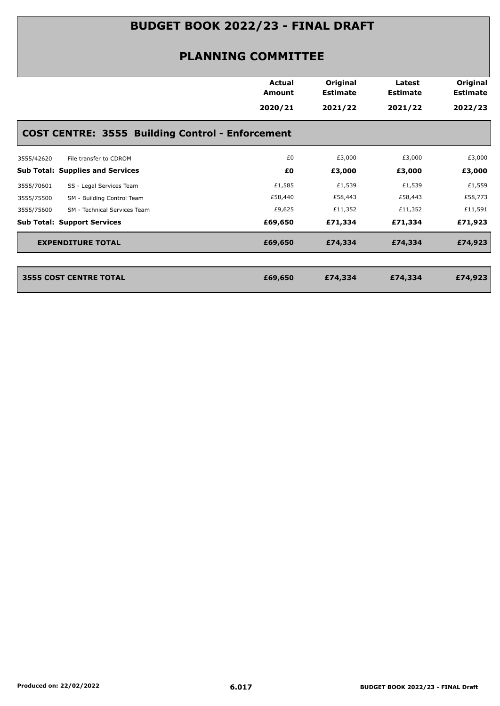|                                                         | Actual<br>Amount<br>2020/21 | Original<br><b>Estimate</b><br>2021/22 | Latest<br><b>Estimate</b><br>2021/22 | Original<br><b>Estimate</b><br>2022/23 |
|---------------------------------------------------------|-----------------------------|----------------------------------------|--------------------------------------|----------------------------------------|
| <b>COST CENTRE: 3555 Building Control - Enforcement</b> |                             |                                        |                                      |                                        |
| 3555/42620<br>File transfer to CDROM                    | £0                          | £3,000                                 | £3,000                               | £3,000                                 |
| <b>Sub Total: Supplies and Services</b>                 | £Ο                          | £3,000                                 | £3,000                               | £3,000                                 |
| 3555/70601<br>SS - Legal Services Team                  | £1,585                      | £1,539                                 | £1,539                               | £1,559                                 |
| SM - Building Control Team<br>3555/75500                | £58,440                     | £58,443                                | £58,443                              | £58,773                                |
| 3555/75600<br>SM - Technical Services Team              | £9,625                      | £11,352                                | £11,352                              | £11,591                                |
| <b>Sub Total: Support Services</b>                      | £69,650                     | £71,334                                | £71,334                              | £71,923                                |
| <b>EXPENDITURE TOTAL</b>                                | £69,650                     | £74,334                                | £74,334                              | £74,923                                |
|                                                         | £69,650                     | £74,334                                |                                      | £74,923                                |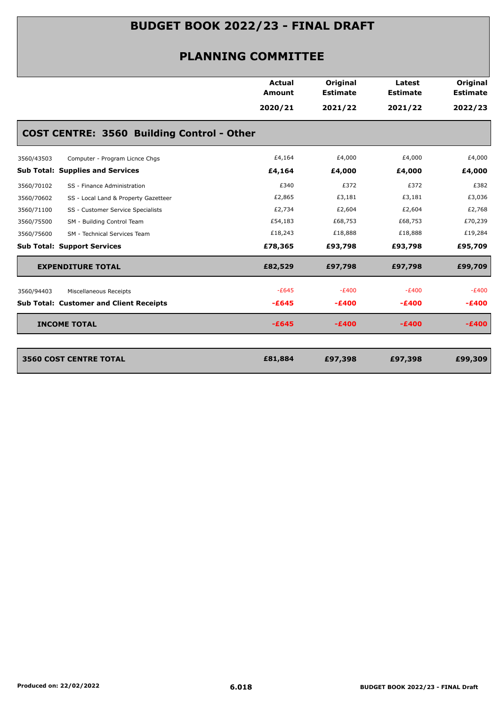|                                                    | <b>Actual</b><br>Amount | Original<br><b>Estimate</b> | Latest<br><b>Estimate</b> | Original<br><b>Estimate</b> |
|----------------------------------------------------|-------------------------|-----------------------------|---------------------------|-----------------------------|
|                                                    | 2020/21                 | 2021/22                     | 2021/22                   | 2022/23                     |
| <b>COST CENTRE: 3560 Building Control - Other</b>  |                         |                             |                           |                             |
| Computer - Program Licnce Chgs<br>3560/43503       | £4,164                  | £4,000                      | £4,000                    | £4,000                      |
| <b>Sub Total: Supplies and Services</b>            | £4,164                  | £4,000                      | £4,000                    | £4,000                      |
| SS - Finance Administration<br>3560/70102          | £340                    | £372                        | £372                      | £382                        |
| 3560/70602<br>SS - Local Land & Property Gazetteer | £2,865                  | £3,181                      | £3,181                    | £3,036                      |
| 3560/71100<br>SS - Customer Service Specialists    | £2,734                  | £2,604                      | £2,604                    | £2,768                      |
| 3560/75500<br>SM - Building Control Team           | £54,183                 | £68,753                     | £68,753                   | £70,239                     |
| 3560/75600<br>SM - Technical Services Team         | £18,243                 | £18,888                     | £18,888                   | £19,284                     |
| <b>Sub Total: Support Services</b>                 | £78,365                 | £93,798                     | £93,798                   | £95,709                     |
| <b>EXPENDITURE TOTAL</b>                           | £82,529                 | £97,798                     | £97,798                   | £99,709                     |
| Miscellaneous Receipts<br>3560/94403               | $-E645$                 | $-E400$                     | $-E400$                   | $-E400$                     |
| <b>Sub Total: Customer and Client Receipts</b>     | $-E645$                 | $-E400$                     | $-E400$                   | $-E400$                     |
| <b>INCOME TOTAL</b>                                | $-E645$                 | $-E400$                     | $-E400$                   | $-E400$                     |
| <b>3560 COST CENTRE TOTAL</b>                      | £81,884                 | £97,398                     | £97,398                   | £99,309                     |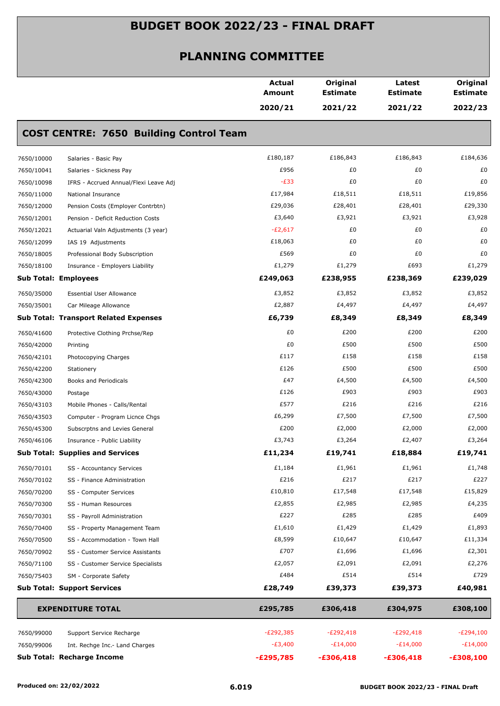|            |                                                | <b>Actual</b><br>Amount | Original<br><b>Estimate</b> | Latest<br><b>Estimate</b> | Original<br><b>Estimate</b> |
|------------|------------------------------------------------|-------------------------|-----------------------------|---------------------------|-----------------------------|
|            |                                                | 2020/21                 | 2021/22                     | 2021/22                   | 2022/23                     |
|            | <b>COST CENTRE: 7650 Building Control Team</b> |                         |                             |                           |                             |
| 7650/10000 | Salaries - Basic Pay                           | £180,187                | £186,843                    | £186,843                  | £184,636                    |
| 7650/10041 | Salaries - Sickness Pay                        | £956                    | £0                          | £0                        | £0                          |
| 7650/10098 | IFRS - Accrued Annual/Flexi Leave Adj          | $-E33$                  | £0                          | £0                        | £0                          |
| 7650/11000 | National Insurance                             | £17,984                 | £18,511                     | £18,511                   | £19,856                     |
| 7650/12000 | Pension Costs (Employer Contrbtn)              | £29,036                 | £28,401                     | £28,401                   | £29,330                     |
| 7650/12001 | Pension - Deficit Reduction Costs              | £3,640                  | £3,921                      | £3,921                    | £3,928                      |
| 7650/12021 | Actuarial Valn Adjustments (3 year)            | $-E2,617$               | £0                          | £0                        | £0                          |
| 7650/12099 | IAS 19 Adjustments                             | £18,063                 | £0                          | £0                        | £0                          |
| 7650/18005 | Professional Body Subscription                 | £569                    | £0                          | £0                        | £0                          |
| 7650/18100 | Insurance - Employers Liability                | £1,279                  | £1,279                      | £693                      | £1,279                      |
|            | <b>Sub Total: Employees</b>                    | £249,063                | £238,955                    | £238,369                  | £239,029                    |
| 7650/35000 | <b>Essential User Allowance</b>                | £3,852                  | £3,852                      | £3,852                    | £3,852                      |
| 7650/35001 | Car Mileage Allowance                          | £2,887                  | £4,497                      | £4,497                    | £4,497                      |
|            | <b>Sub Total: Transport Related Expenses</b>   | £6,739                  | £8,349                      | £8,349                    | £8,349                      |
| 7650/41600 | Protective Clothing Prchse/Rep                 | £0                      | £200                        | £200                      | £200                        |
| 7650/42000 | Printing                                       | £0                      | £500                        | £500                      | £500                        |
| 7650/42101 | Photocopying Charges                           | £117                    | £158                        | £158                      | £158                        |
| 7650/42200 | Stationery                                     | £126                    | £500                        | £500                      | £500                        |
| 7650/42300 | Books and Periodicals                          | £47                     | £4,500                      | £4,500                    | £4,500                      |
| 7650/43000 | Postage                                        | £126                    | £903                        | £903                      | £903                        |
| 7650/43103 | Mobile Phones - Calls/Rental                   | £577                    | £216                        | £216                      | £216                        |
| 7650/43503 | Computer - Program Licnce Chgs                 | £6,299                  | £7,500                      | £7,500                    | £7,500                      |
| 7650/45300 | Subscrptns and Levies General                  | £200                    | £2,000                      | £2,000                    | £2,000                      |
| 7650/46106 | Insurance - Public Liability                   | £3,743                  | £3,264                      | £2,407                    | £3,264                      |
|            | <b>Sub Total: Supplies and Services</b>        | £11,234                 | £19,741                     | £18,884                   | £19,741                     |
| 7650/70101 | SS - Accountancy Services                      | £1,184                  | £1,961                      | £1,961                    | £1,748                      |
| 7650/70102 | SS - Finance Administration                    | £216                    | £217                        | £217                      | £227                        |
| 7650/70200 | SS - Computer Services                         | £10,810                 | £17,548                     | £17,548                   | £15,829                     |
| 7650/70300 | SS - Human Resources                           | £2,855                  | £2,985                      | £2,985                    | £4,235                      |
| 7650/70301 | SS - Payroll Administration                    | £227                    | £285                        | £285                      | £409                        |
| 7650/70400 | SS - Property Management Team                  | £1,610                  | £1,429                      | £1,429                    | £1,893                      |
| 7650/70500 | SS - Accommodation - Town Hall                 | £8,599                  | £10,647                     | £10,647                   | £11,334                     |
| 7650/70902 | SS - Customer Service Assistants               | £707                    | £1,696                      | £1,696                    | £2,301                      |
| 7650/71100 | SS - Customer Service Specialists              | £2,057                  | £2,091                      | £2,091                    | £2,276                      |
| 7650/75403 | SM - Corporate Safety                          | £484                    | £514                        | £514                      | £729                        |
|            | <b>Sub Total: Support Services</b>             | £28,749                 | £39,373                     | £39,373                   | £40,981                     |
|            | <b>EXPENDITURE TOTAL</b>                       | £295,785                | £306,418                    | £304,975                  | £308,100                    |
| 7650/99000 | Support Service Recharge                       | $-E292,385$             | $-E292,418$                 | $-E292,418$               | $-E294,100$                 |
| 7650/99006 | Int. Rechge Inc.- Land Charges                 | $-E3,400$               | $-E14,000$                  | $-E14,000$                | $-E14,000$                  |
|            | Sub Total: Recharge Income                     | $-E295,785$             | $-£306,418$                 | $-£306,418$               | $-£308,100$                 |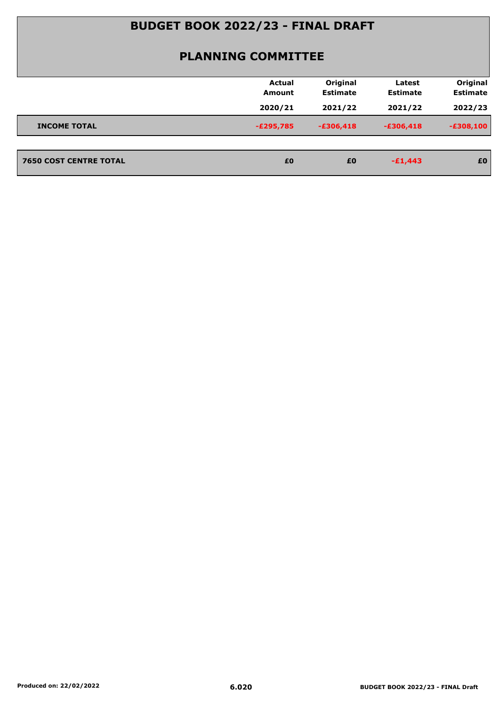|                               | <b>Actual</b><br>Amount | Original<br><b>Estimate</b> | Latest<br><b>Estimate</b> | Original<br><b>Estimate</b> |
|-------------------------------|-------------------------|-----------------------------|---------------------------|-----------------------------|
|                               | 2020/21                 | 2021/22                     | 2021/22                   | 2022/23                     |
| <b>INCOME TOTAL</b>           | $-E295,785$             | $-£306,418$                 | $-£306,418$               | $-£308,100$                 |
|                               |                         |                             |                           |                             |
| <b>7650 COST CENTRE TOTAL</b> | £0                      | £0                          | $-£1,443$                 | £0                          |
|                               |                         |                             |                           |                             |
|                               |                         |                             |                           |                             |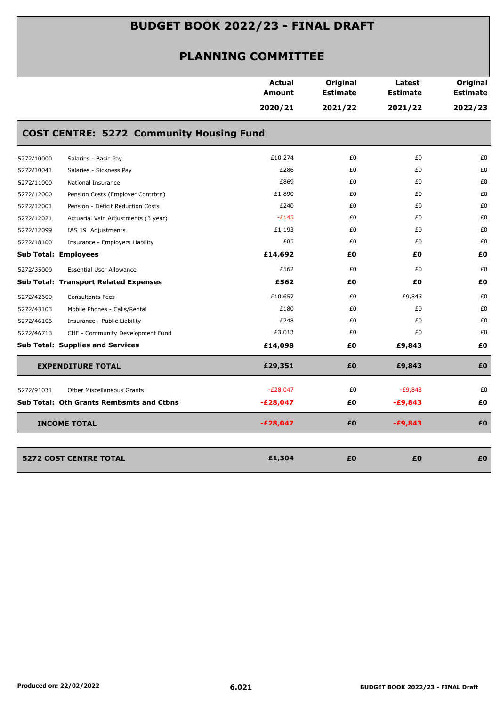|            |                                                 | <b>Actual</b><br>Amount | Original<br><b>Estimate</b> | Latest<br><b>Estimate</b> | Original<br><b>Estimate</b> |
|------------|-------------------------------------------------|-------------------------|-----------------------------|---------------------------|-----------------------------|
|            |                                                 | 2020/21                 | 2021/22                     | 2021/22                   | 2022/23                     |
|            | <b>COST CENTRE: 5272 Community Housing Fund</b> |                         |                             |                           |                             |
| 5272/10000 | Salaries - Basic Pay                            | £10,274                 | £0                          | £0                        | £0                          |
| 5272/10041 | Salaries - Sickness Pay                         | £286                    | £0                          | £0                        | £0                          |
| 5272/11000 | National Insurance                              | £869                    | £0                          | £0                        | £0                          |
| 5272/12000 | Pension Costs (Employer Contrbtn)               | £1,890                  | £0                          | £0                        | £0                          |
| 5272/12001 | Pension - Deficit Reduction Costs               | £240                    | £0                          | £0                        | £0                          |
| 5272/12021 | Actuarial Valn Adjustments (3 year)             | $-E145$                 | £0                          | £0                        | £0                          |
| 5272/12099 | IAS 19 Adjustments                              | £1,193                  | £0                          | £0                        | £0                          |
| 5272/18100 | Insurance - Employers Liability                 | £85                     | £0                          | £0                        | £0                          |
|            | <b>Sub Total: Employees</b>                     | £14,692                 | £0                          | £Ο                        | £0                          |
| 5272/35000 | <b>Essential User Allowance</b>                 | £562                    | £0                          | £0                        | £0                          |
|            | <b>Sub Total: Transport Related Expenses</b>    | £562                    | £0                          | £Ο                        | £0                          |
| 5272/42600 | <b>Consultants Fees</b>                         | £10,657                 | £0                          | £9,843                    | £0                          |
| 5272/43103 | Mobile Phones - Calls/Rental                    | £180                    | £0                          | £0                        | £0                          |
| 5272/46106 | Insurance - Public Liability                    | £248                    | £0                          | £0                        | £0                          |
| 5272/46713 | CHF - Community Development Fund                | £3,013                  | £0                          | £0                        | £0                          |
|            | <b>Sub Total: Supplies and Services</b>         | £14,098                 | £0                          | £9,843                    | £Ο                          |
|            | <b>EXPENDITURE TOTAL</b>                        | £29,351                 | £0                          | £9,843                    | £0                          |
| 5272/91031 | <b>Other Miscellaneous Grants</b>               | $-E28,047$              | £0                          | $-E9,843$                 | £0                          |
|            | <b>Sub Total: Oth Grants Rembsmts and Ctbns</b> | $-E28,047$              | £0                          | $-£9,843$                 | £0                          |
|            | <b>INCOME TOTAL</b>                             | $-E28,047$              | £0                          | $-£9,843$                 | £0                          |
|            |                                                 |                         |                             |                           |                             |
|            | <b>5272 COST CENTRE TOTAL</b>                   | £1,304                  | £0                          | £0                        | £0                          |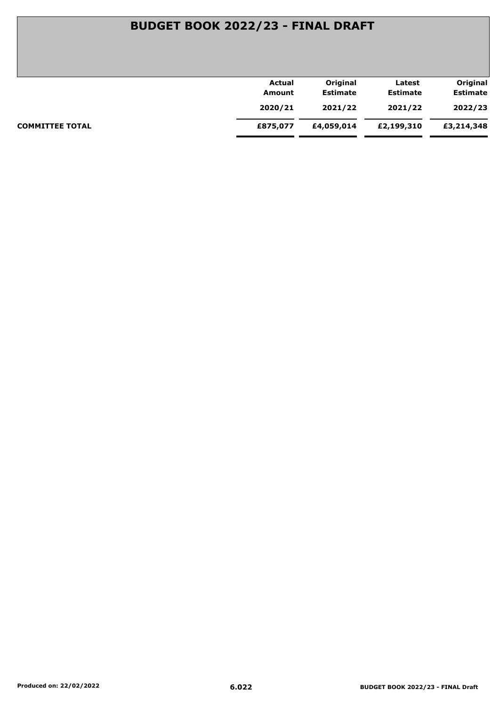|                        | Actual   | Original        | Latest          | Original        |
|------------------------|----------|-----------------|-----------------|-----------------|
|                        | Amount   | <b>Estimate</b> | <b>Estimate</b> | <b>Estimate</b> |
|                        | 2020/21  | 2021/22         | 2021/22         | 2022/23         |
| <b>COMMITTEE TOTAL</b> | £875,077 | £4,059,014      | £2,199,310      | £3,214,348      |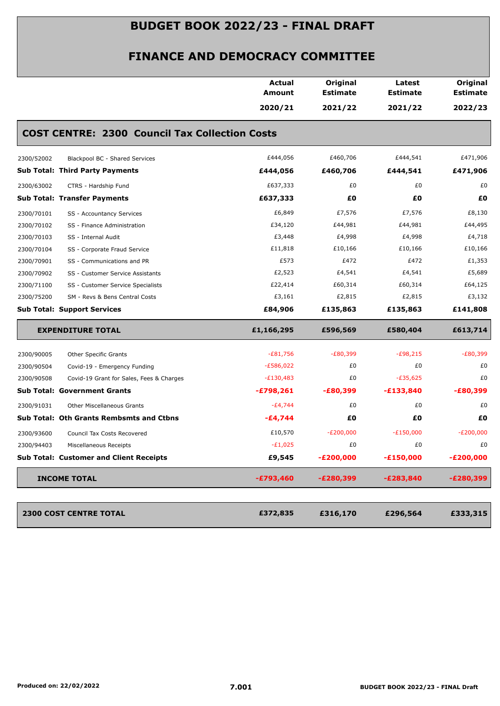| 2020/21<br><b>COST CENTRE: 2300 Council Tax Collection Costs</b> | 2021/22     | 2021/22     | 2022/23     |
|------------------------------------------------------------------|-------------|-------------|-------------|
|                                                                  |             |             |             |
|                                                                  |             |             |             |
| £444,056                                                         | £460,706    | £444,541    | £471,906    |
| £444,056                                                         | £460,706    | £444,541    | £471,906    |
| £637,333                                                         | £0          | £0          | £0          |
| £637,333                                                         | £0          | £0          | £Ο          |
| £6,849                                                           | £7,576      | £7,576      | £8,130      |
| £34,120                                                          | £44,981     | £44,981     | £44,495     |
| £3,448                                                           | £4,998      | £4,998      | £4,718      |
| £11,818                                                          | £10,166     | £10,166     | £10,166     |
| £573                                                             | £472        | £472        | £1,353      |
| £2,523                                                           | £4,541      | £4,541      | £5,689      |
| £22,414                                                          | £60,314     | £60,314     | £64,125     |
| £3,161                                                           | £2,815      | £2,815      | £3,132      |
| £84,906                                                          | £135,863    | £135,863    | £141,808    |
| £1,166,295                                                       | £596,569    | £580,404    | £613,714    |
| $-£81,756$                                                       | $-E80,399$  | $-£98,215$  | $-E80,399$  |
| $-E586,022$                                                      | £0          | £0          | £0          |
| $-E130,483$                                                      | £0          | $-£35,625$  | £0          |
| $-£798,261$                                                      | $-£80,399$  | $-£133,840$ | -£80,399    |
| $-E4,744$                                                        | £0          | £0          | £0          |
| $-£4,744$                                                        | £0          | £Ο          | £Ο          |
| £10,570                                                          | $-E200,000$ | $-E150,000$ | $-E200,000$ |
| $-E1,025$                                                        | £0          | £0          | £0          |
| £9,545                                                           | $-E200,000$ | $-£150,000$ | $-E200,000$ |
| $-£793,460$                                                      | $-E280,399$ | $-£283,840$ | $-E280,399$ |
|                                                                  |             |             |             |
| £372,835                                                         | £316,170    | £296,564    | £333,315    |
|                                                                  |             |             |             |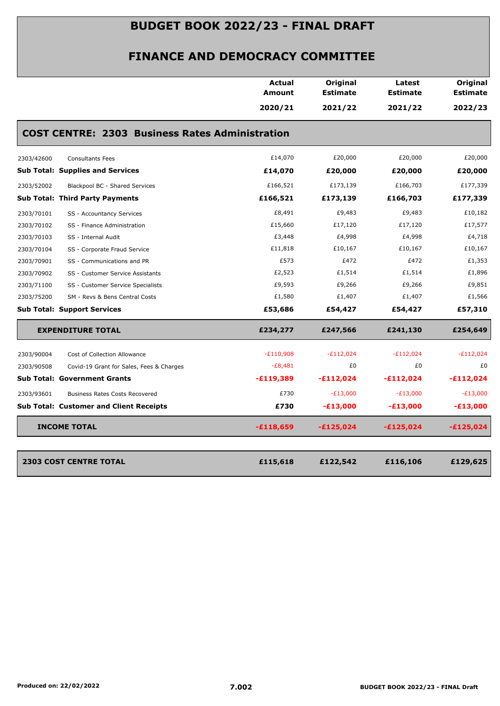|            |                                                        | <b>Actual</b><br>Amount | Original<br><b>Estimate</b> | Latest<br><b>Estimate</b> | Original<br><b>Estimate</b> |
|------------|--------------------------------------------------------|-------------------------|-----------------------------|---------------------------|-----------------------------|
|            |                                                        | 2020/21                 | 2021/22                     | 2021/22                   | 2022/23                     |
|            | <b>COST CENTRE: 2303 Business Rates Administration</b> |                         |                             |                           |                             |
| 2303/42600 | <b>Consultants Fees</b>                                | £14,070                 | £20,000                     | £20,000                   | £20,000                     |
|            | <b>Sub Total: Supplies and Services</b>                | £14,070                 | £20,000                     | £20,000                   | £20,000                     |
| 2303/52002 | Blackpool BC - Shared Services                         | £166,521                | £173,139                    | £166,703                  | £177,339                    |
|            | <b>Sub Total: Third Party Payments</b>                 | £166,521                | £173,139                    | £166,703                  | £177,339                    |
| 2303/70101 | SS - Accountancy Services                              | £8,491                  | £9,483                      | £9,483                    | £10,182                     |
| 2303/70102 | SS - Finance Administration                            | £15,660                 | £17,120                     | £17,120                   | £17,577                     |
| 2303/70103 | SS - Internal Audit                                    | £3,448                  | £4,998                      | £4,998                    | £4,718                      |
| 2303/70104 | SS - Corporate Fraud Service                           | £11,818                 | £10,167                     | £10,167                   | £10,167                     |
| 2303/70901 | SS - Communications and PR                             | £573                    | £472                        | £472                      | £1,353                      |
| 2303/70902 | SS - Customer Service Assistants                       | £2,523                  | £1,514                      | £1,514                    | £1,896                      |
| 2303/71100 | SS - Customer Service Specialists                      | £9,593                  | £9,266                      | £9,266                    | £9,851                      |
| 2303/75200 | SM - Revs & Bens Central Costs                         | £1,580                  | £1,407                      | £1,407                    | £1,566                      |
|            | <b>Sub Total: Support Services</b>                     | £53,686                 | £54,427                     | £54,427                   | £57,310                     |
|            | <b>EXPENDITURE TOTAL</b>                               | £234,277                | £247,566                    | £241,130                  | £254,649                    |
| 2303/90004 | Cost of Collection Allowance                           | $-E110,908$             | $-E112,024$                 | $-E112,024$               | $-E112,024$                 |
| 2303/90508 | Covid-19 Grant for Sales, Fees & Charges               | $-E8,481$               | £0                          | £0                        | £0                          |
|            | <b>Sub Total: Government Grants</b>                    | $-£119,389$             | $-£112,024$                 | $-£112,024$               | $-£112,024$                 |
| 2303/93601 | <b>Business Rates Costs Recovered</b>                  | £730                    | $-E13,000$                  | $-E13,000$                | $-E13,000$                  |
|            | <b>Sub Total: Customer and Client Receipts</b>         | £730                    | $-£13,000$                  | $-E13,000$                | $-£13,000$                  |
|            | <b>INCOME TOTAL</b>                                    | $-£118,659$             | $-£125,024$                 | $-£125,024$               | $-£125,024$                 |
|            |                                                        |                         |                             |                           |                             |
|            | <b>2303 COST CENTRE TOTAL</b>                          | £115,618                | £122,542                    | £116,106                  | £129,625                    |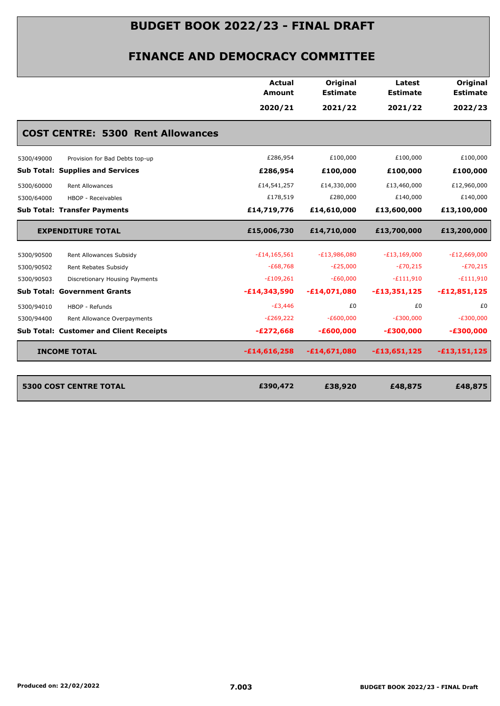| <b>COST CENTRE: 5300 Rent Allowances</b>       | 2020/21        | 2021/22        | 2021/22        |                |
|------------------------------------------------|----------------|----------------|----------------|----------------|
|                                                |                |                |                | 2022/23        |
|                                                |                |                |                |                |
| Provision for Bad Debts top-up<br>5300/49000   | £286,954       | £100,000       | £100,000       | £100,000       |
| <b>Sub Total: Supplies and Services</b>        | £286,954       | £100,000       | £100,000       | £100,000       |
| <b>Rent Allowances</b><br>5300/60000           | £14,541,257    | £14,330,000    | £13,460,000    | £12,960,000    |
| 5300/64000<br>HBOP - Receivables               | £178,519       | £280,000       | £140,000       | £140,000       |
| <b>Sub Total: Transfer Payments</b>            | £14,719,776    | £14,610,000    | £13,600,000    | £13,100,000    |
| <b>EXPENDITURE TOTAL</b>                       | £15,006,730    | £14,710,000    | £13,700,000    | £13,200,000    |
| Rent Allowances Subsidy<br>5300/90500          | $-£14,165,561$ | $-E13,986,080$ | $-E13,169,000$ | $-E12,669,000$ |
| 5300/90502<br>Rent Rebates Subsidy             | $-£68,768$     | $-E25,000$     | $-E70,215$     | $-E70,215$     |
| 5300/90503<br>Discretionary Housing Payments   | $-E109,261$    | $-E60,000$     | $-E111,910$    | $-E111,910$    |
| <b>Sub Total: Government Grants</b>            | $-£14,343,590$ | $-£14,071,080$ | $-£13,351,125$ | $-£12,851,125$ |
| 5300/94010<br>HBOP - Refunds                   | $-E3,446$      | £0             | £0             | £0             |
| 5300/94400<br>Rent Allowance Overpayments      | $-E269,222$    | $-E600,000$    | $-E300,000$    | $-E300,000$    |
| <b>Sub Total: Customer and Client Receipts</b> | $-E272,668$    | $-£600,000$    | $-£300,000$    | $-£300,000$    |
| <b>INCOME TOTAL</b>                            | $-£14,616,258$ | $-£14,671,080$ | $-£13,651,125$ | $-£13,151,125$ |
|                                                |                |                |                |                |
| <b>5300 COST CENTRE TOTAL</b>                  | £390,472       | £38,920        | £48,875        | £48,875        |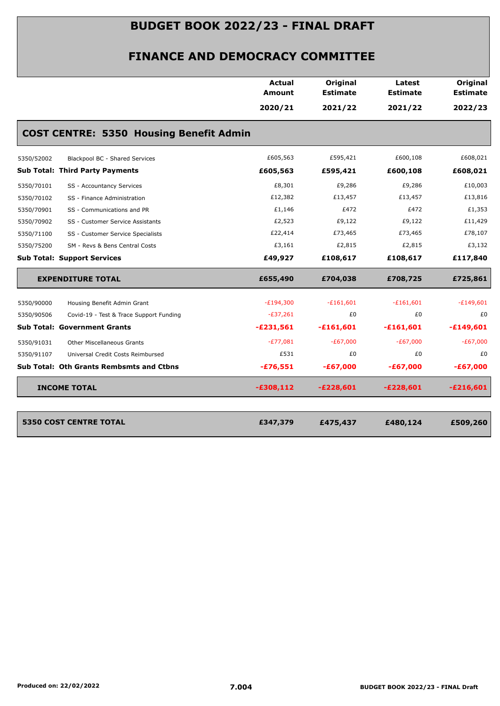|            |                                                | Actual<br><b>Amount</b> | Original<br><b>Estimate</b> | Latest<br><b>Estimate</b> | Original<br><b>Estimate</b> |
|------------|------------------------------------------------|-------------------------|-----------------------------|---------------------------|-----------------------------|
|            |                                                | 2020/21                 | 2021/22                     | 2021/22                   | 2022/23                     |
|            | <b>COST CENTRE: 5350 Housing Benefit Admin</b> |                         |                             |                           |                             |
| 5350/52002 | Blackpool BC - Shared Services                 | £605,563                | £595,421                    | £600,108                  | £608,021                    |
|            | <b>Sub Total: Third Party Payments</b>         | £605,563                | £595,421                    | £600,108                  | £608,021                    |
| 5350/70101 | SS - Accountancy Services                      | £8,301                  | £9,286                      | £9,286                    | £10,003                     |
| 5350/70102 | SS - Finance Administration                    | £12,382                 | £13,457                     | £13,457                   | £13,816                     |
| 5350/70901 | SS - Communications and PR                     | £1,146                  | £472                        | £472                      | £1,353                      |
| 5350/70902 | SS - Customer Service Assistants               | £2,523                  | £9,122                      | £9,122                    | £11,429                     |
| 5350/71100 | SS - Customer Service Specialists              | £22,414                 | £73,465                     | £73,465                   | £78,107                     |
| 5350/75200 | SM - Revs & Bens Central Costs                 | £3,161                  | £2,815                      | £2,815                    | £3,132                      |
|            | <b>Sub Total: Support Services</b>             | £49,927                 | £108,617                    | £108,617                  | £117,840                    |
|            | <b>EXPENDITURE TOTAL</b>                       | £655,490                | £704,038                    | £708,725                  | £725,861                    |
| 5350/90000 | Housing Benefit Admin Grant                    | $-E194,300$             | $-£161,601$                 | $-£161,601$               | $-£149,601$                 |
| 5350/90506 | Covid-19 - Test & Trace Support Funding        | $-£37,261$              | £0                          | £0                        | £0                          |
|            | <b>Sub Total: Government Grants</b>            | $-£231,561$             | $-£161,601$                 | $-£161,601$               | $-£149,601$                 |
| 5350/91031 | <b>Other Miscellaneous Grants</b>              | $-E77,081$              | $-E67,000$                  | $-£67,000$                | $-E67,000$                  |
| 5350/91107 | Universal Credit Costs Reimbursed              | £531                    | £0                          | £0                        | £0                          |
|            | Sub Total: Oth Grants Rembsmts and Ctbns       | $-£76,551$              | $-£67,000$                  | $-£67,000$                | $-£67,000$                  |
|            | <b>INCOME TOTAL</b>                            | $-£308,112$             | $-£228,601$                 | $-E228,601$               | $-£216,601$                 |
|            | <b>5350 COST CENTRE TOTAL</b>                  | £347,379                | £475,437                    | £480,124                  | £509,260                    |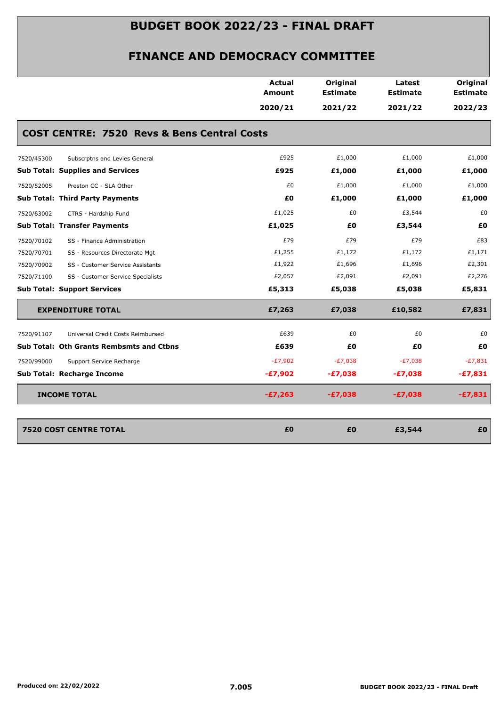|                                                        | <b>Actual</b><br><b>Amount</b> | Original<br><b>Estimate</b> | Latest<br><b>Estimate</b> | Original<br><b>Estimate</b> |
|--------------------------------------------------------|--------------------------------|-----------------------------|---------------------------|-----------------------------|
|                                                        | 2020/21                        | 2021/22                     | 2021/22                   | 2022/23                     |
| <b>COST CENTRE: 7520 Revs &amp; Bens Central Costs</b> |                                |                             |                           |                             |
| Subscrptns and Levies General<br>7520/45300            | £925                           | £1,000                      | £1,000                    | £1,000                      |
| <b>Sub Total: Supplies and Services</b>                | £925                           | £1,000                      | £1,000                    | £1,000                      |
| 7520/52005<br>Preston CC - SLA Other                   | £0                             | £1,000                      | £1,000                    | £1,000                      |
| <b>Sub Total: Third Party Payments</b>                 | £0                             | £1,000                      | £1,000                    | £1,000                      |
| 7520/63002<br>CTRS - Hardship Fund                     | £1,025                         | £0                          | £3,544                    | £0                          |
| <b>Sub Total: Transfer Payments</b>                    | £1,025                         | £0                          | £3,544                    | £0                          |
| 7520/70102<br>SS - Finance Administration              | £79                            | £79                         | £79                       | £83                         |
| 7520/70701<br>SS - Resources Directorate Mgt           | £1,255                         | £1,172                      | £1,172                    | £1,171                      |
| 7520/70902<br>SS - Customer Service Assistants         | £1,922                         | £1,696                      | £1,696                    | £2,301                      |
| 7520/71100<br>SS - Customer Service Specialists        | £2,057                         | £2,091                      | £2,091                    | £2,276                      |
| <b>Sub Total: Support Services</b>                     | £5,313                         | £5,038                      | £5,038                    | £5,831                      |
| <b>EXPENDITURE TOTAL</b>                               | £7,263                         | £7,038                      | £10,582                   | £7,831                      |
| 7520/91107<br>Universal Credit Costs Reimbursed        | £639                           | £0                          | £0                        | £0                          |
| <b>Sub Total: Oth Grants Rembsmts and Ctbns</b>        | £639                           | £0                          | £Ο                        | £0                          |
| 7520/99000<br>Support Service Recharge                 | $-E7,902$                      | $-E7,038$                   | $-E7,038$                 | $-E7,831$                   |
| Sub Total: Recharge Income                             | $-E7,902$                      | $-E7,038$                   | $-E7,038$                 | $-£7,831$                   |
| <b>INCOME TOTAL</b>                                    | $-E7,263$                      | $-E7,038$                   | $-£7,038$                 | $-£7,831$                   |
| <b>7520 COST CENTRE TOTAL</b>                          | £0                             | £0                          | £3,544                    | £0                          |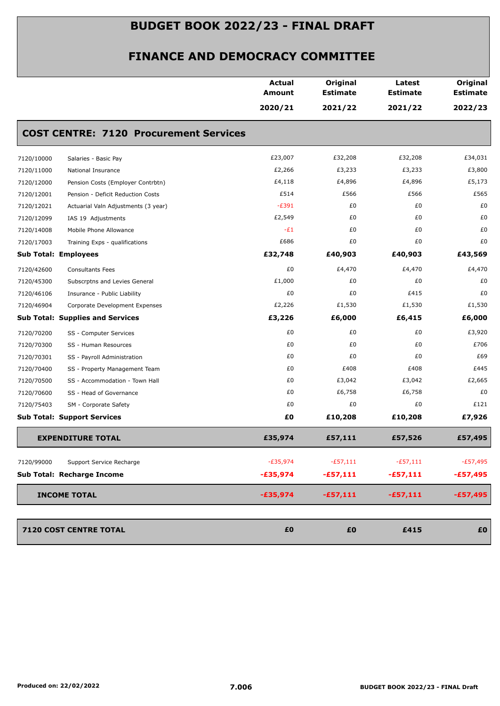|            |                                               | <b>Actual</b><br>Amount | Original<br><b>Estimate</b> | Latest<br><b>Estimate</b> | Original<br><b>Estimate</b> |
|------------|-----------------------------------------------|-------------------------|-----------------------------|---------------------------|-----------------------------|
|            |                                               | 2020/21                 | 2021/22                     | 2021/22                   | 2022/23                     |
|            | <b>COST CENTRE: 7120 Procurement Services</b> |                         |                             |                           |                             |
| 7120/10000 | Salaries - Basic Pay                          | £23,007                 | £32,208                     | £32,208                   | £34,031                     |
| 7120/11000 | National Insurance                            | £2,266                  | £3,233                      | £3,233                    | £3,800                      |
| 7120/12000 | Pension Costs (Employer Contrbtn)             | £4,118                  | £4,896                      | £4,896                    | £5,173                      |
| 7120/12001 | Pension - Deficit Reduction Costs             | £514                    | £566                        | £566                      | £565                        |
| 7120/12021 | Actuarial Valn Adjustments (3 year)           | $-E391$                 | £0                          | £0                        | £0                          |
| 7120/12099 | IAS 19 Adjustments                            | £2,549                  | £0                          | £0                        | £0                          |
| 7120/14008 | Mobile Phone Allowance                        | $-E1$                   | £0                          | £0                        | £0                          |
| 7120/17003 | Training Exps - qualifications                | £686                    | £0                          | £0                        | £0                          |
|            | <b>Sub Total: Employees</b>                   | £32,748                 | £40,903                     | £40,903                   | £43,569                     |
| 7120/42600 | <b>Consultants Fees</b>                       | £0                      | £4,470                      | £4,470                    | £4,470                      |
| 7120/45300 | Subscrptns and Levies General                 | £1,000                  | £0                          | £0                        | £0                          |
| 7120/46106 | Insurance - Public Liability                  | £0                      | £0                          | £415                      | £0                          |
| 7120/46904 | Corporate Development Expenses                | £2,226                  | £1,530                      | £1,530                    | £1,530                      |
|            | <b>Sub Total: Supplies and Services</b>       | £3,226                  | £6,000                      | £6,415                    | £6,000                      |
| 7120/70200 | SS - Computer Services                        | £0                      | £0                          | £0                        | £3,920                      |
| 7120/70300 | SS - Human Resources                          | £0                      | £0                          | £0                        | £706                        |
| 7120/70301 | SS - Payroll Administration                   | £0                      | £0                          | £0                        | £69                         |
| 7120/70400 | SS - Property Management Team                 | £0                      | £408                        | £408                      | £445                        |
| 7120/70500 | SS - Accommodation - Town Hall                | £0                      | £3,042                      | £3,042                    | £2,665                      |
| 7120/70600 | SS - Head of Governance                       | £0                      | £6,758                      | £6,758                    | £0                          |
| 7120/75403 | SM - Corporate Safety                         | £0                      | £0                          | £0                        | £121                        |
|            | <b>Sub Total: Support Services</b>            | £0                      | £10,208                     | £10,208                   | £7,926                      |
|            | <b>EXPENDITURE TOTAL</b>                      | £35,974                 | £57,111                     | £57,526                   | £57,495                     |
| 7120/99000 | Support Service Recharge                      | $-E35,974$              | $-£57,111$                  | $-£57,111$                | $-£57,495$                  |
|            | Sub Total: Recharge Income                    | $-£35,974$              | $-£57,111$                  | $-£57,111$                | $-£57,495$                  |
|            |                                               |                         |                             |                           |                             |
|            | <b>INCOME TOTAL</b>                           | $-£35,974$              | $-£57,111$                  | $-£57,111$                | $-£57,495$                  |
|            | 7120 COST CENTRE TOTAL                        | £0                      | £0                          | £415                      | £0                          |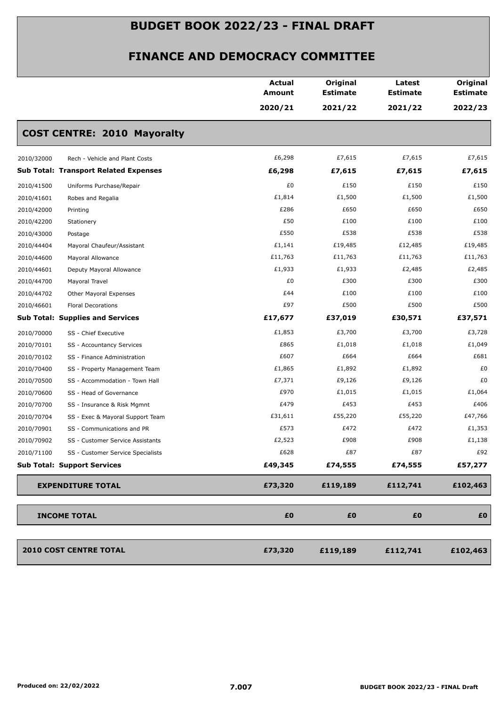|                                                 | <b>Actual</b><br>Amount | Original<br><b>Estimate</b> | Latest<br><b>Estimate</b> | Original<br><b>Estimate</b> |
|-------------------------------------------------|-------------------------|-----------------------------|---------------------------|-----------------------------|
|                                                 | 2020/21                 | 2021/22                     | 2021/22                   | 2022/23                     |
| <b>COST CENTRE: 2010 Mayoralty</b>              |                         |                             |                           |                             |
| Rech - Vehicle and Plant Costs<br>2010/32000    | £6,298                  | £7,615                      | £7,615                    | £7,615                      |
| <b>Sub Total: Transport Related Expenses</b>    | £6,298                  | £7,615                      | £7,615                    | £7,615                      |
| 2010/41500<br>Uniforms Purchase/Repair          | £0                      | £150                        | £150                      | £150                        |
| 2010/41601<br>Robes and Regalia                 | £1,814                  | £1,500                      | £1,500                    | £1,500                      |
| 2010/42000<br>Printing                          | £286                    | £650                        | £650                      | £650                        |
| 2010/42200<br>Stationery                        | £50                     | £100                        | £100                      | £100                        |
| 2010/43000<br>Postage                           | £550                    | £538                        | £538                      | £538                        |
| 2010/44404<br>Mayoral Chaufeur/Assistant        | £1,141                  | £19,485                     | £12,485                   | £19,485                     |
| 2010/44600<br>Mayoral Allowance                 | £11,763                 | £11,763                     | £11,763                   | £11,763                     |
| 2010/44601<br>Deputy Mayoral Allowance          | £1,933                  | £1,933                      | £2,485                    | £2,485                      |
| 2010/44700<br>Mayoral Travel                    | £0                      | £300                        | £300                      | £300                        |
| 2010/44702<br>Other Mayoral Expenses            | £44                     | £100                        | £100                      | £100                        |
| 2010/46601<br><b>Floral Decorations</b>         | £97                     | £500                        | £500                      | £500                        |
| <b>Sub Total: Supplies and Services</b>         | £17,677                 | £37,019                     | £30,571                   | £37,571                     |
| 2010/70000<br>SS - Chief Executive              | £1,853                  | £3,700                      | £3,700                    | £3,728                      |
| 2010/70101<br>SS - Accountancy Services         | £865                    | £1,018                      | £1,018                    | £1,049                      |
| 2010/70102<br>SS - Finance Administration       | £607                    | £664                        | £664                      | £681                        |
| 2010/70400<br>SS - Property Management Team     | £1,865                  | £1,892                      | £1,892                    | £0                          |
| 2010/70500<br>SS - Accommodation - Town Hall    | £7,371                  | £9,126                      | £9,126                    | £0                          |
| 2010/70600<br>SS - Head of Governance           | £970                    | £1,015                      | £1,015                    | £1,064                      |
| 2010/70700<br>SS - Insurance & Risk Mgmnt       | £479                    | £453                        | £453                      | £406                        |
| 2010/70704<br>SS - Exec & Mayoral Support Team  | £31,611                 | £55,220                     | £55,220                   | £47,766                     |
| 2010/70901<br>SS - Communications and PR        | £573                    | £472                        | £472                      | £1,353                      |
| 2010/70902<br>SS - Customer Service Assistants  | £2,523                  | £908                        | £908                      | £1,138                      |
| 2010/71100<br>SS - Customer Service Specialists | £628                    | £87                         | £87                       | £92                         |
| <b>Sub Total: Support Services</b>              | £49,345                 | £74,555                     | £74,555                   | £57,277                     |
| <b>EXPENDITURE TOTAL</b>                        | £73,320                 | £119,189                    | £112,741                  | £102,463                    |
| <b>INCOME TOTAL</b>                             | £0                      | £0                          | £0                        | £0                          |
| <b>2010 COST CENTRE TOTAL</b>                   | £73,320                 | £119,189                    | £112,741                  | £102,463                    |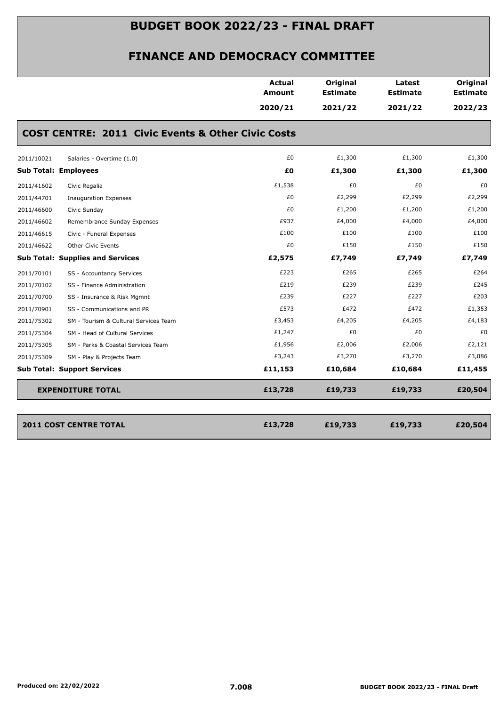|                             |                                                               | <b>Actual</b><br><b>Amount</b> | Original<br><b>Estimate</b> | Latest<br><b>Estimate</b> | Original<br><b>Estimate</b> |
|-----------------------------|---------------------------------------------------------------|--------------------------------|-----------------------------|---------------------------|-----------------------------|
|                             |                                                               | 2020/21                        | 2021/22                     | 2021/22                   | 2022/23                     |
|                             | <b>COST CENTRE: 2011 Civic Events &amp; Other Civic Costs</b> |                                |                             |                           |                             |
| 2011/10021                  | Salaries - Overtime (1.0)                                     | £0                             | £1,300                      | £1,300                    | £1,300                      |
| <b>Sub Total: Employees</b> |                                                               | £0                             | £1,300                      | £1,300                    | £1,300                      |
| 2011/41602                  | Civic Regalia                                                 | £1,538                         | £0                          | £0                        | £0                          |
| 2011/44701                  | <b>Inauguration Expenses</b>                                  | £0                             | £2,299                      | £2,299                    | £2,299                      |
| 2011/46600                  | Civic Sunday                                                  | £0                             | £1,200                      | £1,200                    | £1,200                      |
| 2011/46602                  | Remembrance Sunday Expenses                                   | £937                           | £4,000                      | £4,000                    | £4,000                      |
| 2011/46615                  | Civic - Funeral Expenses                                      | £100                           | £100                        | £100                      | £100                        |
| 2011/46622                  | Other Civic Events                                            | £0                             | £150                        | £150                      | £150                        |
|                             | <b>Sub Total: Supplies and Services</b>                       | £2,575                         | £7,749                      | £7,749                    | £7,749                      |
| 2011/70101                  | SS - Accountancy Services                                     | £223                           | £265                        | £265                      | £264                        |
| 2011/70102                  | SS - Finance Administration                                   | £219                           | £239                        | £239                      | £245                        |
| 2011/70700                  | SS - Insurance & Risk Mgmnt                                   | £239                           | £227                        | £227                      | £203                        |
| 2011/70901                  | SS - Communications and PR                                    | £573                           | £472                        | £472                      | £1,353                      |
| 2011/75302                  | SM - Tourism & Cultural Services Team                         | £3,453                         | £4,205                      | £4,205                    | £4,183                      |
| 2011/75304                  | SM - Head of Cultural Services                                | £1,247                         | £0                          | £0                        | £0                          |
| 2011/75305                  | SM - Parks & Coastal Services Team                            | £1,956                         | £2,006                      | £2,006                    | £2,121                      |
| 2011/75309                  | SM - Play & Projects Team                                     | £3,243                         | £3,270                      | £3,270                    | £3,086                      |
|                             | <b>Sub Total: Support Services</b>                            | £11,153                        | £10,684                     | £10,684                   | £11,455                     |
|                             | <b>EXPENDITURE TOTAL</b>                                      | £13,728                        | £19,733                     | £19,733                   | £20,504                     |
|                             | <b>2011 COST CENTRE TOTAL</b>                                 | £13,728                        | £19,733                     | £19,733                   | £20,504                     |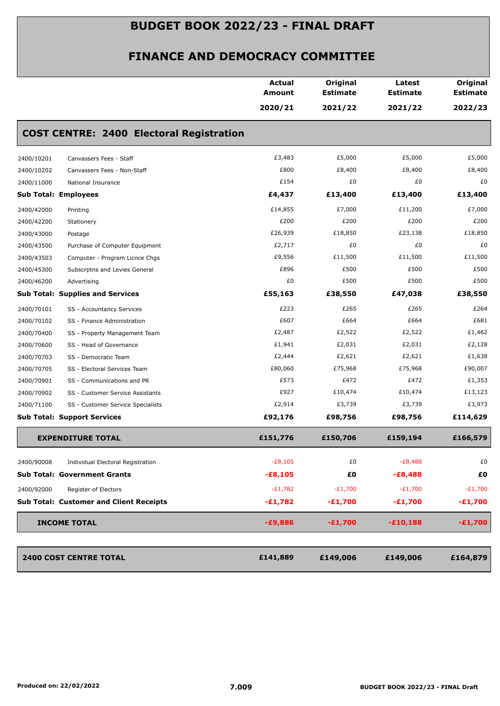|                             |                                                 | Actual<br>Amount | Original<br>Estimate | Latest<br><b>Estimate</b> | Original<br><b>Estimate</b> |
|-----------------------------|-------------------------------------------------|------------------|----------------------|---------------------------|-----------------------------|
|                             |                                                 | 2020/21          | 2021/22              | 2021/22                   | 2022/23                     |
|                             | <b>COST CENTRE: 2400 Electoral Registration</b> |                  |                      |                           |                             |
| 2400/10201                  | Canvassers Fees - Staff                         | £3,483           | £5,000               | £5,000                    | £5,000                      |
| 2400/10202                  | Canvassers Fees - Non-Staff                     | £800             | £8,400               | £8,400                    | £8,400                      |
| 2400/11000                  | National Insurance                              | £154             | £0                   | £0                        | £0                          |
| <b>Sub Total: Employees</b> |                                                 | £4,437           | £13,400              | £13,400                   | £13,400                     |
| 2400/42000                  | Printing                                        | £14,855          | £7,000               | £11,200                   | £7,000                      |
| 2400/42200                  | Stationery                                      | £200             | £200                 | £200                      | £200                        |
| 2400/43000                  | Postage                                         | £26,939          | £18,850              | £23,138                   | £18,850                     |
| 2400/43500                  | Purchase of Computer Equipment                  | £2,717           | £0                   | £0                        | £0                          |
| 2400/43503                  | Computer - Program Licnce Chgs                  | £9,556           | £11,500              | £11,500                   | £11,500                     |
| 2400/45300                  | Subscrptns and Levies General                   | £896             | £500                 | £500                      | £500                        |
| 2400/46200                  | Advertising                                     | £0               | £500                 | £500                      | £500                        |
|                             | <b>Sub Total: Supplies and Services</b>         | £55,163          | £38,550              | £47,038                   | £38,550                     |
| 2400/70101                  | SS - Accountancy Services                       | £223             | £265                 | £265                      | £264                        |
| 2400/70102                  | SS - Finance Administration                     | £607             | £664                 | £664                      | £681                        |
| 2400/70400                  | SS - Property Management Team                   | £2,487           | £2,522               | £2,522                    | £1,462                      |
| 2400/70600                  | SS - Head of Governance                         | £1,941           | £2,031               | £2,031                    | £2,128                      |
| 2400/70703                  | SS - Democratic Team                            | £2,444           | £2,621               | £2,621                    | £1,638                      |
| 2400/70705                  | SS - Electoral Services Team                    | £80,060          | £75,968              | £75,968                   | £90,007                     |
| 2400/70901                  | SS - Communications and PR                      | £573             | £472                 | £472                      | £1,353                      |
| 2400/70902                  | SS - Customer Service Assistants                | £927             | £10,474              | £10,474                   | £13,123                     |
| 2400/71100                  | SS - Customer Service Specialists               | £2,914           | £3,739               | £3,739                    | £3,973                      |
|                             | <b>Sub Total: Support Services</b>              | £92,176          | £98,756              | £98,756                   | £114,629                    |
|                             | <b>EXPENDITURE TOTAL</b>                        | £151,776         | £150,706             | £159,194                  | £166,579                    |
| 2400/90008                  | Individual Electoral Registration               | $-E8,105$        | £0                   | $-E8,488$                 | £0                          |
|                             | <b>Sub Total: Government Grants</b>             | $-£8,105$        | £0                   | $-E8,488$                 | £0                          |
| 2400/92000                  | Register of Electors                            | $-E1,782$        | $-E1,700$            | $-E1,700$                 | $-E1,700$                   |
|                             | <b>Sub Total: Customer and Client Receipts</b>  | $-£1,782$        | $-£1,700$            | $-£1,700$                 | $-£1,700$                   |
|                             |                                                 |                  |                      |                           |                             |
|                             | <b>INCOME TOTAL</b>                             | $-£9,886$        | $-E1,700$            | $-£10,188$                | $-E1,700$                   |
|                             | <b>2400 COST CENTRE TOTAL</b>                   | £141,889         | £149,006             | £149,006                  | £164,879                    |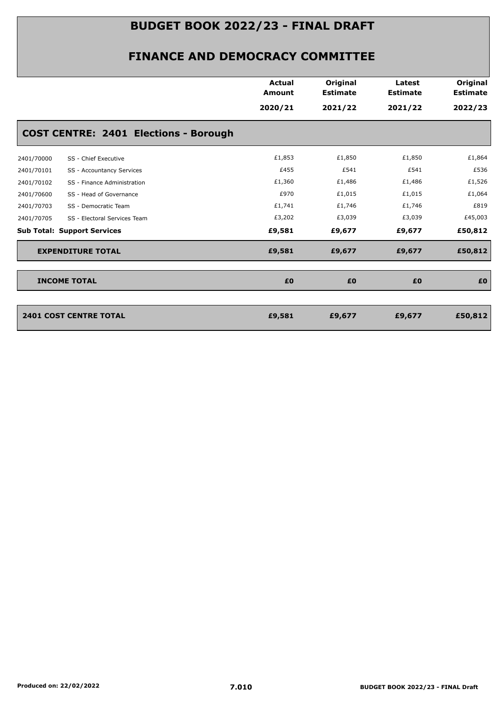|            |                                              | <b>Actual</b><br><b>Amount</b> | Original<br><b>Estimate</b> | Latest<br><b>Estimate</b> | Original<br><b>Estimate</b> |
|------------|----------------------------------------------|--------------------------------|-----------------------------|---------------------------|-----------------------------|
|            |                                              | 2020/21                        | 2021/22                     | 2021/22                   | 2022/23                     |
|            | <b>COST CENTRE: 2401 Elections - Borough</b> |                                |                             |                           |                             |
| 2401/70000 | SS - Chief Executive                         | £1,853                         | £1,850                      | £1,850                    | £1,864                      |
| 2401/70101 | SS - Accountancy Services                    | £455                           | £541                        | £541                      | £536                        |
| 2401/70102 | SS - Finance Administration                  | £1,360                         | £1,486                      | £1,486                    | £1,526                      |
| 2401/70600 | SS - Head of Governance                      | £970                           | £1,015                      | £1,015                    | £1,064                      |
| 2401/70703 | SS - Democratic Team                         | £1,741                         | £1,746                      | £1,746                    | £819                        |
| 2401/70705 | SS - Electoral Services Team                 | £3,202                         | £3,039                      | £3,039                    | £45,003                     |
|            | <b>Sub Total: Support Services</b>           | £9,581                         | £9,677                      | £9,677                    | £50,812                     |
|            | <b>EXPENDITURE TOTAL</b>                     | £9,581                         | £9,677                      | £9,677                    | £50,812                     |
|            | <b>INCOME TOTAL</b>                          | £0                             | £0                          | £0                        | £0                          |
|            | <b>2401 COST CENTRE TOTAL</b>                | £9,581                         | £9,677                      | £9,677                    | £50,812                     |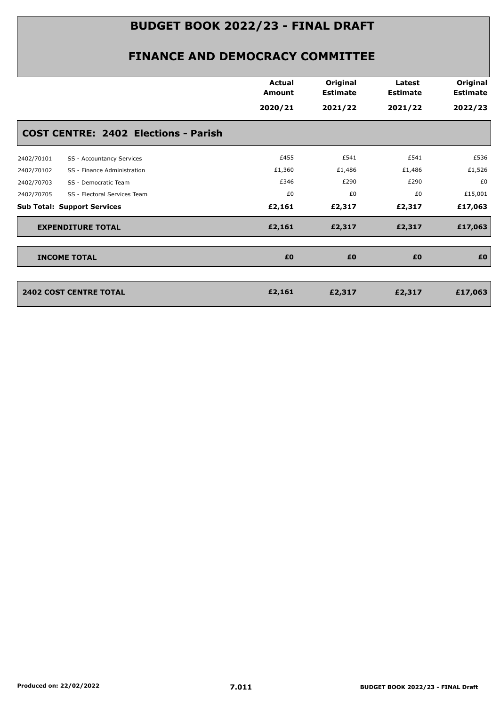|                                             | <b>Actual</b><br><b>Amount</b><br>2020/21 | Original<br><b>Estimate</b><br>2021/22 | Latest<br><b>Estimate</b><br>2021/22 | Original<br><b>Estimate</b><br>2022/23 |
|---------------------------------------------|-------------------------------------------|----------------------------------------|--------------------------------------|----------------------------------------|
| <b>COST CENTRE: 2402 Elections - Parish</b> |                                           |                                        |                                      |                                        |
| 2402/70101<br>SS - Accountancy Services     | £455                                      | £541                                   | £541                                 | £536                                   |
| SS - Finance Administration<br>2402/70102   | £1,360                                    | £1,486                                 | £1,486                               | £1,526                                 |
| 2402/70703<br>SS - Democratic Team          | £346                                      | £290                                   | £290                                 | £0                                     |
| 2402/70705<br>SS - Electoral Services Team  | £0                                        | £0                                     | £0                                   | £15,001                                |
| <b>Sub Total: Support Services</b>          | £2,161                                    | £2,317                                 | £2,317                               | £17,063                                |
| <b>EXPENDITURE TOTAL</b>                    | £2,161                                    | £2,317                                 | £2,317                               | £17,063                                |
| <b>INCOME TOTAL</b>                         | £0                                        | £0                                     | £0                                   | £0                                     |
| <b>2402 COST CENTRE TOTAL</b>               | £2,161                                    | £2,317                                 | £2,317                               | £17,063                                |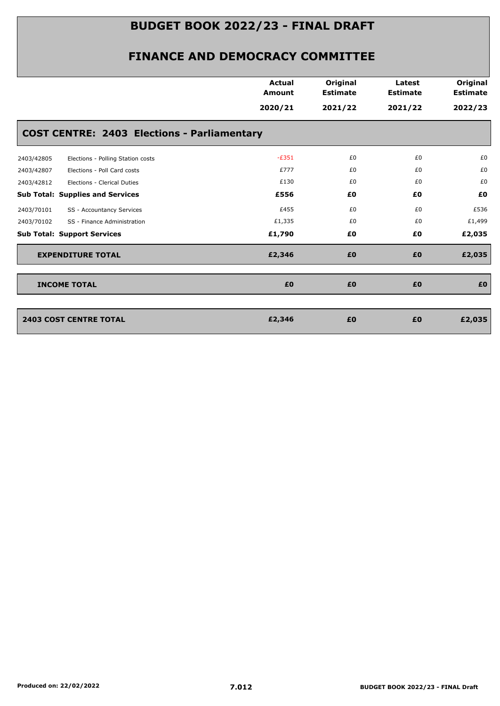|            |                                                    | <b>Actual</b><br><b>Amount</b> | Original<br><b>Estimate</b> | Latest<br><b>Estimate</b> | Original<br><b>Estimate</b> |
|------------|----------------------------------------------------|--------------------------------|-----------------------------|---------------------------|-----------------------------|
|            |                                                    | 2020/21                        | 2021/22                     | 2021/22                   | 2022/23                     |
|            | <b>COST CENTRE: 2403 Elections - Parliamentary</b> |                                |                             |                           |                             |
| 2403/42805 | Elections - Polling Station costs                  | $-E351$                        | £0                          | £0                        | £0                          |
| 2403/42807 | Elections - Poll Card costs                        | £777                           | £0                          | £0                        | £0                          |
| 2403/42812 | Elections - Clerical Duties                        | £130                           | £0                          | £0                        | £0                          |
|            | <b>Sub Total: Supplies and Services</b>            | £556                           | £0                          | £0                        | £0                          |
| 2403/70101 | SS - Accountancy Services                          | £455                           | £0                          | £0                        | £536                        |
| 2403/70102 | SS - Finance Administration                        | £1,335                         | £0                          | £0                        | £1,499                      |
|            | <b>Sub Total: Support Services</b>                 | £1,790                         | £0                          | £Ο                        | £2,035                      |
|            | <b>EXPENDITURE TOTAL</b>                           | £2,346                         | £0                          | £0                        | £2,035                      |
|            | <b>INCOME TOTAL</b>                                | £0                             | £0                          | £0                        | £0                          |
|            |                                                    |                                |                             |                           |                             |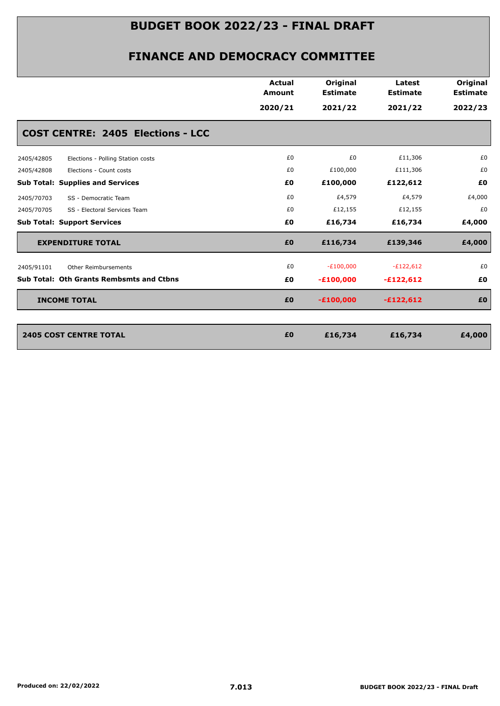|                                                 | <b>Actual</b><br><b>Amount</b> | Original<br><b>Estimate</b> | Latest<br><b>Estimate</b> | Original<br><b>Estimate</b> |
|-------------------------------------------------|--------------------------------|-----------------------------|---------------------------|-----------------------------|
|                                                 | 2020/21                        | 2021/22                     | 2021/22                   | 2022/23                     |
| <b>COST CENTRE: 2405 Elections - LCC</b>        |                                |                             |                           |                             |
| 2405/42805<br>Elections - Polling Station costs | £0                             | £0                          | £11,306                   | £0                          |
| Elections - Count costs<br>2405/42808           | £0                             | £100,000                    | £111,306                  | £0                          |
| <b>Sub Total: Supplies and Services</b>         | £Ο                             | £100,000                    | £122,612                  | £0                          |
| 2405/70703<br>SS - Democratic Team              | £0                             | £4,579                      | £4,579                    | £4,000                      |
| 2405/70705<br>SS - Electoral Services Team      | £0                             | £12,155                     | £12,155                   | £0                          |
| <b>Sub Total: Support Services</b>              | £0                             | £16,734                     | £16,734                   | £4,000                      |
| <b>EXPENDITURE TOTAL</b>                        | £0                             | £116,734                    | £139,346                  | £4,000                      |
| 2405/91101<br><b>Other Reimbursements</b>       | £0                             | $-E100,000$                 | $-E122,612$               | £0                          |
| Sub Total: Oth Grants Rembsmts and Ctbns        | £Ο                             | $-£100,000$                 | $-£122,612$               | £0                          |
| <b>INCOME TOTAL</b>                             | £0                             | $-£100,000$                 | $-£122,612$               | £0                          |
|                                                 |                                |                             |                           |                             |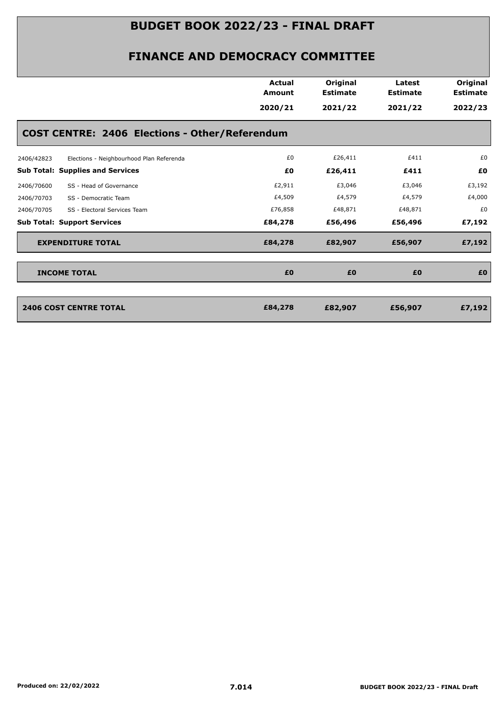|                                                        | <b>Actual</b><br><b>Amount</b> | Original<br><b>Estimate</b> | Latest<br><b>Estimate</b> | Original<br><b>Estimate</b> |
|--------------------------------------------------------|--------------------------------|-----------------------------|---------------------------|-----------------------------|
|                                                        | 2020/21                        | 2021/22                     | 2021/22                   | 2022/23                     |
| <b>COST CENTRE: 2406 Elections - Other/Referendum</b>  |                                |                             |                           |                             |
| Elections - Neighbourhood Plan Referenda<br>2406/42823 | £0                             | £26,411                     | £411                      | £0                          |
| <b>Sub Total: Supplies and Services</b>                | £0                             | £26,411                     | £411                      | £0                          |
| SS - Head of Governance<br>2406/70600                  | £2,911                         | £3,046                      | £3,046                    | £3,192                      |
| 2406/70703<br>SS - Democratic Team                     | £4,509                         | £4,579                      | £4,579                    | £4,000                      |
| 2406/70705<br>SS - Electoral Services Team             | £76,858                        | £48,871                     | £48,871                   | £0                          |
| <b>Sub Total: Support Services</b>                     | £84,278                        | £56,496                     | £56,496                   | £7,192                      |
| <b>EXPENDITURE TOTAL</b>                               | £84,278                        | £82,907                     | £56,907                   | £7,192                      |
| <b>INCOME TOTAL</b>                                    | £0                             | £0                          | £0                        | £0                          |
| <b>2406 COST CENTRE TOTAL</b>                          | £84,278                        | £82,907                     | £56,907                   | £7,192                      |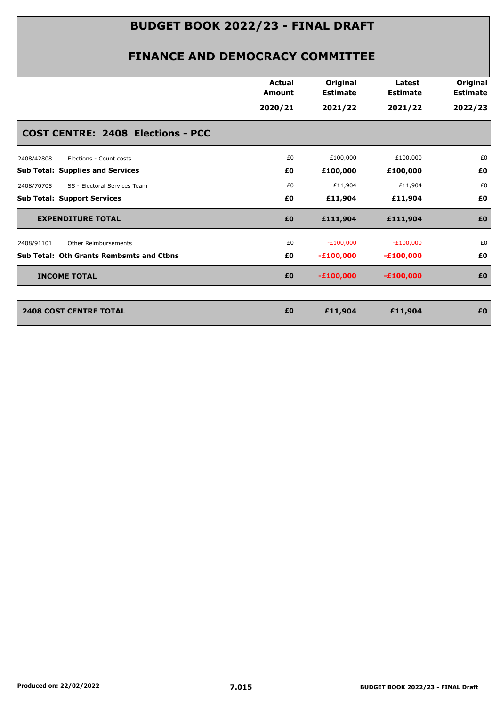|                                                 | <b>Actual</b><br><b>Amount</b> | Original<br><b>Estimate</b> | Latest<br><b>Estimate</b> | Original<br><b>Estimate</b> |
|-------------------------------------------------|--------------------------------|-----------------------------|---------------------------|-----------------------------|
|                                                 | 2020/21                        | 2021/22                     | 2021/22                   | 2022/23                     |
| <b>COST CENTRE: 2408 Elections - PCC</b>        |                                |                             |                           |                             |
| Elections - Count costs<br>2408/42808           | £0                             | £100,000                    | £100,000                  | £0                          |
| <b>Sub Total: Supplies and Services</b>         | £Ο                             | £100,000                    | £100,000                  | £0                          |
| SS - Electoral Services Team<br>2408/70705      | £0                             | £11,904                     | £11,904                   | £0                          |
| <b>Sub Total: Support Services</b>              | £Ο                             | £11,904                     | £11,904                   | £0                          |
| <b>EXPENDITURE TOTAL</b>                        | £0                             | £111,904                    | £111,904                  | £0                          |
| 2408/91101<br>Other Reimbursements              | £0                             | $-E100,000$                 | $-E100,000$               | £0                          |
| <b>Sub Total: Oth Grants Rembsmts and Ctbns</b> | £Ο                             | $-£100,000$                 | $-£100,000$               | £0                          |
| <b>INCOME TOTAL</b>                             | £0                             | $-£100,000$                 | $-£100,000$               | £0                          |
|                                                 |                                |                             |                           |                             |
| <b>2408 COST CENTRE TOTAL</b>                   | £0                             | £11,904                     | £11,904                   | £0                          |
|                                                 |                                |                             |                           |                             |
|                                                 |                                |                             |                           |                             |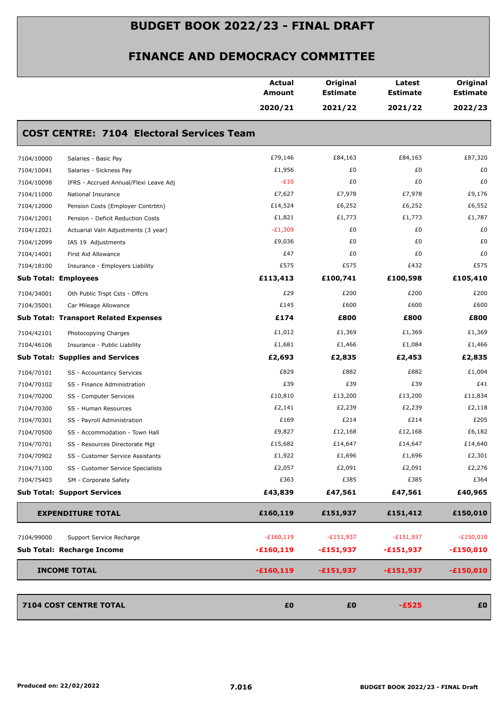|                             |                                                  | <b>Actual</b><br><b>Amount</b> | Original<br><b>Estimate</b> | Latest<br><b>Estimate</b> | Original<br><b>Estimate</b> |
|-----------------------------|--------------------------------------------------|--------------------------------|-----------------------------|---------------------------|-----------------------------|
|                             |                                                  | 2020/21                        | 2021/22                     | 2021/22                   | 2022/23                     |
|                             | <b>COST CENTRE: 7104 Electoral Services Team</b> |                                |                             |                           |                             |
| 7104/10000                  | Salaries - Basic Pay                             | £79,146                        | £84,163                     | £84,163                   | £87,320                     |
| 7104/10041                  | Salaries - Sickness Pay                          | £1,956                         | £0                          | £0                        | £0                          |
| 7104/10098                  | IFRS - Accrued Annual/Flexi Leave Adj            | $-E10$                         | £0                          | £0                        | £0                          |
| 7104/11000                  | National Insurance                               | £7,627                         | £7,978                      | £7,978                    | £9,176                      |
| 7104/12000                  | Pension Costs (Employer Contrbtn)                | £14,524                        | £6,252                      | £6,252                    | £6,552                      |
| 7104/12001                  | Pension - Deficit Reduction Costs                | £1,821                         | £1,773                      | £1,773                    | £1,787                      |
| 7104/12021                  | Actuarial Valn Adjustments (3 year)              | $-E1,309$                      | £0                          | £0                        | £0                          |
| 7104/12099                  | IAS 19 Adjustments                               | £9,036                         | £0                          | £0                        | £0                          |
| 7104/14001                  | First Aid Allowance                              | £47                            | £0                          | £0                        | £0                          |
| 7104/18100                  | Insurance - Employers Liability                  | £575                           | £575                        | £432                      | £575                        |
| <b>Sub Total: Employees</b> |                                                  | £113,413                       | £100,741                    | £100,598                  | £105,410                    |
| 7104/34001                  | Oth Public Trspt Csts - Offcrs                   | £29                            | £200                        | £200                      | £200                        |
| 7104/35001                  | Car Mileage Allowance                            | £145                           | £600                        | £600                      | £600                        |
|                             | <b>Sub Total: Transport Related Expenses</b>     | £174                           | £800                        | £800                      | £800                        |
| 7104/42101                  | Photocopying Charges                             | £1,012                         | £1,369                      | £1,369                    | £1,369                      |
| 7104/46106                  | Insurance - Public Liability                     | £1,681                         | £1,466                      | £1,084                    | £1,466                      |
|                             | <b>Sub Total: Supplies and Services</b>          | £2,693                         | £2,835                      | £2,453                    | £2,835                      |
| 7104/70101                  | SS - Accountancy Services                        | £829                           | £882                        | £882                      | £1,004                      |
| 7104/70102                  | SS - Finance Administration                      | £39                            | £39                         | £39                       | £41                         |
| 7104/70200                  | SS - Computer Services                           | £10,810                        | £13,200                     | £13,200                   | £11,834                     |
| 7104/70300                  | SS - Human Resources                             | £2,141                         | £2,239                      | £2,239                    | £2,118                      |
| 7104/70301                  | SS - Payroll Administration                      | £169                           | £214                        | £214                      | £205                        |
| 7104/70500                  | SS - Accommodation - Town Hall                   | £9,827                         | £12,168                     | £12,168                   | £6,182                      |
| 7104/70701                  | SS - Resources Directorate Mgt                   | £15,682                        | £14,647                     | £14,647                   | £14,640                     |
| 7104/70902                  | SS - Customer Service Assistants                 | £1,922                         | £1,696                      | £1,696                    | £2,301                      |
| 7104/71100                  | SS - Customer Service Specialists                | £2,057                         | £2,091                      | £2,091                    | £2,276                      |
| 7104/75403                  | SM - Corporate Safety                            | £363                           | £385                        | £385                      | £364                        |
|                             | <b>Sub Total: Support Services</b>               | £43,839                        | £47,561                     | £47,561                   | £40,965                     |
|                             | <b>EXPENDITURE TOTAL</b>                         | £160,119                       | £151,937                    | £151,412                  | £150,010                    |
| 7104/99000                  | Support Service Recharge                         | $-£160,119$                    | $-E151,937$                 | $-E151,937$               | $-E150,010$                 |
|                             | Sub Total: Recharge Income                       | $-£160,119$                    | -£151,937                   | $-£151,937$               | $-£150,010$                 |
|                             | <b>INCOME TOTAL</b>                              | $-£160,119$                    | $-£151,937$                 | $-£151,937$               | $-£150,010$                 |
|                             | 7104 COST CENTRE TOTAL                           | £0                             | £0                          | $-£525$                   | £0                          |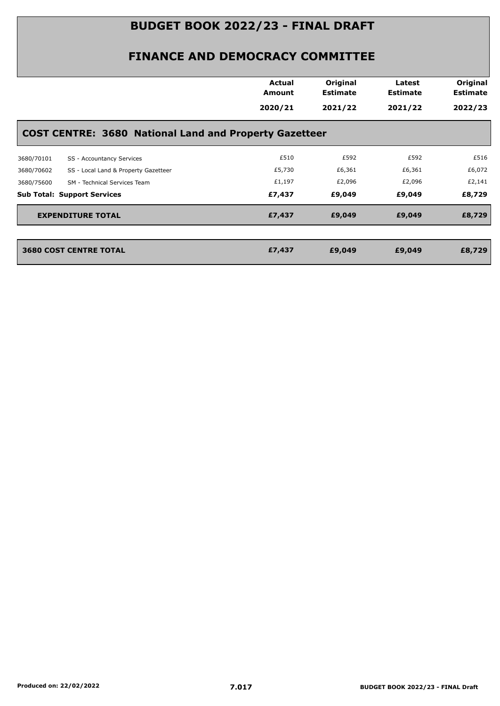|            |                                                               | <b>Actual</b><br>Amount | Original<br><b>Estimate</b> | Latest<br><b>Estimate</b> | Original<br><b>Estimate</b> |
|------------|---------------------------------------------------------------|-------------------------|-----------------------------|---------------------------|-----------------------------|
|            |                                                               | 2020/21                 | 2021/22                     | 2021/22                   | 2022/23                     |
|            | <b>COST CENTRE: 3680 National Land and Property Gazetteer</b> |                         |                             |                           |                             |
| 3680/70101 | SS - Accountancy Services                                     | £510                    | £592                        | £592                      | £516                        |
| 3680/70602 | SS - Local Land & Property Gazetteer                          | £5,730                  | £6,361                      | £6,361                    | £6,072                      |
| 3680/75600 | SM - Technical Services Team                                  | £1,197                  | £2,096                      | £2,096                    | £2,141                      |
|            | <b>Sub Total: Support Services</b>                            | £7,437                  | £9,049                      | £9,049                    | £8,729                      |
|            | <b>EXPENDITURE TOTAL</b>                                      | £7,437                  | £9,049                      | £9,049                    | £8,729                      |
|            | <b>3680 COST CENTRE TOTAL</b>                                 | £7,437                  | £9,049                      | £9,049                    | £8,729                      |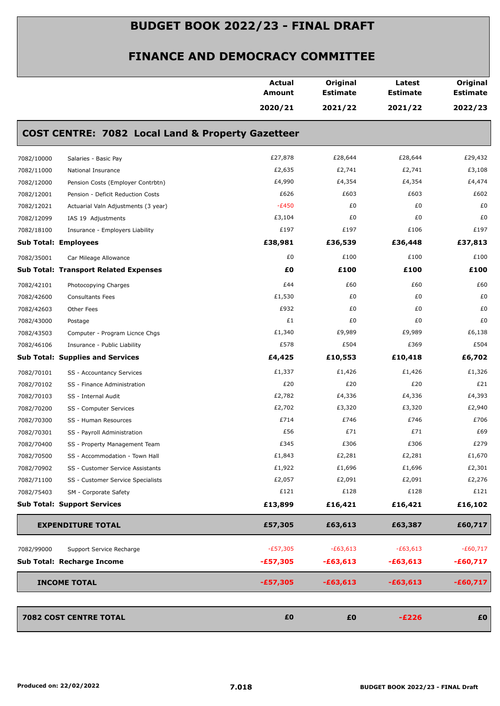|                                    |                                                              | <b>Actual</b><br>Amount | Original<br><b>Estimate</b> | Latest<br><b>Estimate</b> | Original<br><b>Estimate</b> |
|------------------------------------|--------------------------------------------------------------|-------------------------|-----------------------------|---------------------------|-----------------------------|
|                                    |                                                              | 2020/21                 | 2021/22                     | 2021/22                   | 2022/23                     |
|                                    | <b>COST CENTRE: 7082 Local Land &amp; Property Gazetteer</b> |                         |                             |                           |                             |
| 7082/10000                         | Salaries - Basic Pay                                         | £27,878                 | £28,644                     | £28,644                   | £29,432                     |
| 7082/11000                         | National Insurance                                           | £2,635                  | £2,741                      | £2,741                    | £3,108                      |
| 7082/12000                         | Pension Costs (Employer Contrbtn)                            | £4,990                  | £4,354                      | £4,354                    | £4,474                      |
| 7082/12001                         | Pension - Deficit Reduction Costs                            | £626                    | £603                        | £603                      | £602                        |
| 7082/12021                         | Actuarial Valn Adjustments (3 year)                          | $-E450$                 | £0                          | £0                        | £0                          |
| 7082/12099                         | IAS 19 Adjustments                                           | £3,104                  | £0                          | £0                        | £0                          |
| 7082/18100                         | Insurance - Employers Liability                              | £197                    | £197                        | £106                      | £197                        |
| <b>Sub Total: Employees</b>        |                                                              | £38,981                 | £36,539                     | £36,448                   | £37,813                     |
| 7082/35001                         | Car Mileage Allowance                                        | £0                      | £100                        | £100                      | £100                        |
|                                    | <b>Sub Total: Transport Related Expenses</b>                 | £Ο                      | £100                        | £100                      | £100                        |
| 7082/42101                         | Photocopying Charges                                         | £44                     | £60                         | £60                       | £60                         |
| 7082/42600                         | <b>Consultants Fees</b>                                      | £1,530                  | £0                          | £0                        | £0                          |
| 7082/42603                         | Other Fees                                                   | £932                    | £0                          | £0                        | £0                          |
| 7082/43000                         | Postage                                                      | £1                      | £0                          | £0                        | £0                          |
| 7082/43503                         | Computer - Program Licnce Chgs                               | £1,340                  | £9,989                      | £9,989                    | £6,138                      |
| 7082/46106                         | Insurance - Public Liability                                 | £578                    | £504                        | £369                      | £504                        |
|                                    | <b>Sub Total: Supplies and Services</b>                      | £4,425                  | £10,553                     | £10,418                   | £6,702                      |
| 7082/70101                         | SS - Accountancy Services                                    | £1,337                  | £1,426                      | £1,426                    | £1,326                      |
| 7082/70102                         | SS - Finance Administration                                  | £20                     | £20                         | £20                       | £21                         |
| 7082/70103                         | SS - Internal Audit                                          | £2,782                  | £4,336                      | £4,336                    | £4,393                      |
| 7082/70200                         | SS - Computer Services                                       | £2,702                  | £3,320                      | £3,320                    | £2,940                      |
| 7082/70300                         | SS - Human Resources                                         | £714                    | £746                        | £746                      | £706                        |
| 7082/70301                         | SS - Payroll Administration                                  | £56                     | £71                         | £71                       | £69                         |
| 7082/70400                         | SS - Property Management Team                                | £345                    | £306                        | £306                      | £279                        |
| 7082/70500                         | SS - Accommodation - Town Hall                               | £1,843                  | £2,281                      | £2,281                    | £1,670                      |
| 7082/70902                         | SS - Customer Service Assistants                             | £1,922                  | £1,696                      | £1,696                    | £2,301                      |
| 7082/71100                         | SS - Customer Service Specialists                            | £2,057                  | £2,091                      | £2,091                    | £2,276                      |
| 7082/75403                         | SM - Corporate Safety                                        | £121                    | £128                        | £128                      | £121                        |
| <b>Sub Total: Support Services</b> |                                                              | £13,899                 | £16,421                     | £16,421                   | £16,102                     |
|                                    | <b>EXPENDITURE TOTAL</b>                                     | £57,305                 | £63,613                     | £63,387                   | £60,717                     |
| 7082/99000                         | Support Service Recharge                                     | $-E57,305$              | $-£63,613$                  | $-£63,613$                | $-£60,717$                  |
|                                    | Sub Total: Recharge Income                                   | $-£57,305$              | $-£63,613$                  | $-£63,613$                | $-£60,717$                  |
| <b>INCOME TOTAL</b>                |                                                              | $-£57,305$              | $-£63,613$                  | $-£63,613$                | $-£60,717$                  |
|                                    | 7082 COST CENTRE TOTAL                                       | £0                      | £0                          | $-E226$                   | £0                          |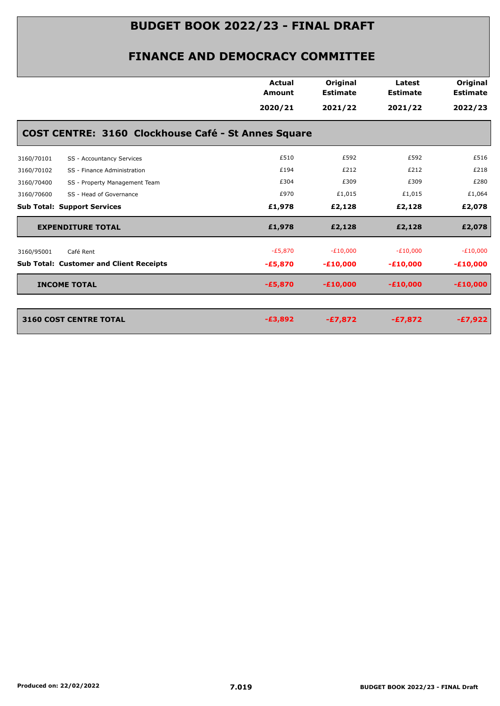|            |                                                            | <b>Actual</b><br><b>Amount</b><br>2020/21 | Original<br><b>Estimate</b><br>2021/22 | Latest<br><b>Estimate</b><br>2021/22 | Original<br><b>Estimate</b><br>2022/23 |
|------------|------------------------------------------------------------|-------------------------------------------|----------------------------------------|--------------------------------------|----------------------------------------|
|            | <b>COST CENTRE: 3160 Clockhouse Café - St Annes Square</b> |                                           |                                        |                                      |                                        |
| 3160/70101 | SS - Accountancy Services                                  | £510                                      | £592                                   | £592                                 | £516                                   |
| 3160/70102 | SS - Finance Administration                                | £194                                      | £212                                   | £212                                 | £218                                   |
| 3160/70400 | SS - Property Management Team                              | £304                                      | £309                                   | £309                                 | £280                                   |
| 3160/70600 | SS - Head of Governance                                    | £970                                      | £1,015                                 | £1,015                               | £1,064                                 |
|            | <b>Sub Total: Support Services</b>                         | £1,978                                    | £2,128                                 | £2,128                               | £2,078                                 |
|            | <b>EXPENDITURE TOTAL</b>                                   | £1,978                                    | £2,128                                 | £2,128                               | £2,078                                 |
| 3160/95001 | Café Rent                                                  | $-E5,870$                                 | $-E10,000$                             | $-E10,000$                           | $-E10,000$                             |
|            | <b>Sub Total: Customer and Client Receipts</b>             | $-£5,870$                                 | $-£10,000$                             | $-£10,000$                           | $-£10,000$                             |
|            | <b>INCOME TOTAL</b>                                        | $-£5,870$                                 | $-£10,000$                             | $-£10,000$                           | $-£10,000$                             |
|            | <b>3160 COST CENTRE TOTAL</b>                              | $-£3,892$                                 | $-£7,872$                              | $-£7,872$                            | $-£7,922$                              |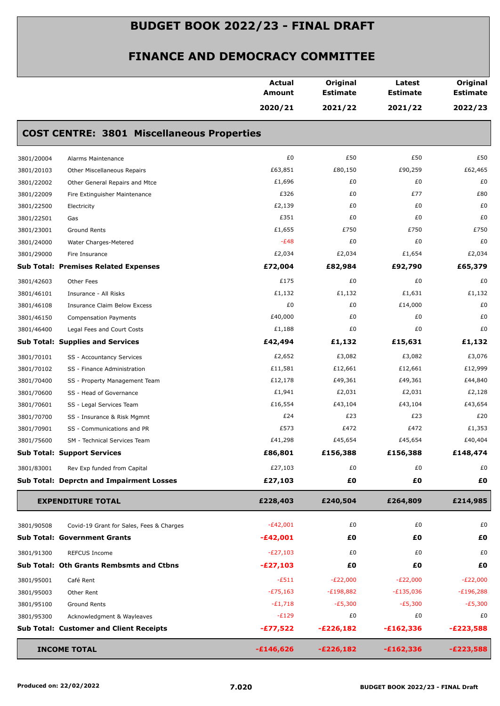|            |                                                   | <b>Actual</b><br>Amount | Original<br><b>Estimate</b> | Latest<br><b>Estimate</b> | Original<br><b>Estimate</b> |
|------------|---------------------------------------------------|-------------------------|-----------------------------|---------------------------|-----------------------------|
|            |                                                   | 2020/21                 | 2021/22                     | 2021/22                   | 2022/23                     |
|            | <b>COST CENTRE: 3801 Miscellaneous Properties</b> |                         |                             |                           |                             |
| 3801/20004 | Alarms Maintenance                                | £0                      | £50                         | £50                       | £50                         |
| 3801/20103 | Other Miscellaneous Repairs                       | £63,851                 | £80,150                     | £90,259                   | £62,465                     |
| 3801/22002 | Other General Repairs and Mtce                    | £1,696                  | £0                          | £0                        | £0                          |
| 3801/22009 | Fire Extinguisher Maintenance                     | £326                    | £0                          | £77                       | £80                         |
| 3801/22500 | Electricity                                       | £2,139                  | £0                          | £0                        | £0                          |
| 3801/22501 | Gas                                               | £351                    | £0                          | £0                        | £0                          |
| 3801/23001 | Ground Rents                                      | £1,655                  | £750                        | £750                      | £750                        |
| 3801/24000 | Water Charges-Metered                             | $-E48$                  | £0                          | £0                        | £0                          |
| 3801/29000 | Fire Insurance                                    | £2,034                  | £2,034                      | £1,654                    | £2,034                      |
|            | <b>Sub Total: Premises Related Expenses</b>       | £72,004                 | £82,984                     | £92,790                   | £65,379                     |
| 3801/42603 | Other Fees                                        | £175                    | £0                          | £0                        | £0                          |
| 3801/46101 | Insurance - All Risks                             | £1,132                  | £1,132                      | £1,631                    | £1,132                      |
| 3801/46108 | <b>Insurance Claim Below Excess</b>               | £0                      | £0                          | £14,000                   | £0                          |
| 3801/46150 | <b>Compensation Payments</b>                      | £40,000                 | £0                          | £0                        | £0                          |
| 3801/46400 | Legal Fees and Court Costs                        | £1,188                  | £0                          | £0                        | £0                          |
|            | <b>Sub Total: Supplies and Services</b>           | £42,494                 | £1,132                      | £15,631                   | £1,132                      |
| 3801/70101 | SS - Accountancy Services                         | £2,652                  | £3,082                      | £3,082                    | £3,076                      |
| 3801/70102 | SS - Finance Administration                       | £11,581                 | £12,661                     | £12,661                   | £12,999                     |
| 3801/70400 | SS - Property Management Team                     | £12,178                 | £49,361                     | £49,361                   | £44,840                     |
| 3801/70600 | SS - Head of Governance                           | £1,941                  | £2,031                      | £2,031                    | £2,128                      |
| 3801/70601 | SS - Legal Services Team                          | £16,554                 | £43,104                     | £43,104                   | £43,654                     |
| 3801/70700 | SS - Insurance & Risk Mgmnt                       | £24                     | £23                         | £23                       | £20                         |
| 3801/70901 | SS - Communications and PR                        | £573                    | £472                        | £472                      | £1,353                      |
| 3801/75600 | SM - Technical Services Team                      | £41,298                 | £45,654                     | £45,654                   | £40,404                     |
|            | <b>Sub Total: Support Services</b>                | £86,801                 | £156,388                    | £156,388                  | £148,474                    |
| 3801/83001 | Rev Exp funded from Capital                       | £27,103                 | £0                          | £0                        | £0                          |
|            | <b>Sub Total: Deprctn and Impairment Losses</b>   | £27,103                 | £Ο                          | £Ο                        | £Ο                          |
|            | <b>EXPENDITURE TOTAL</b>                          | £228,403                | £240,504                    | £264,809                  | £214,985                    |
| 3801/90508 | Covid-19 Grant for Sales, Fees & Charges          | $-E42,001$              | £0                          | £0                        | £0                          |
|            | <b>Sub Total: Government Grants</b>               | $-£42,001$              | £Ο                          | £Ο                        | £Ο                          |
| 3801/91300 | <b>REFCUS Income</b>                              | $-E27,103$              | £0                          | £0                        | £0                          |
|            | Sub Total: Oth Grants Rembsmts and Ctbns          | $-E27,103$              | £Ο                          | £Ο                        | £0                          |
| 3801/95001 | Café Rent                                         | $-E511$                 | $-E22,000$                  | $-E22,000$                | $-E22,000$                  |
| 3801/95003 | Other Rent                                        | $-E75,163$              | $-E198,882$                 | $-E135,036$               | $-E196,288$                 |
| 3801/95100 | Ground Rents                                      | $-E1,718$               | $-E5,300$                   | $-E5,300$                 | $-E5,300$                   |
| 3801/95300 | Acknowledgment & Wayleaves                        | $-E129$                 | £0                          | £0                        | £0                          |
|            | <b>Sub Total: Customer and Client Receipts</b>    | $-£77,522$              | $-E226,182$                 | $-£162,336$               | $-E223,588$                 |
|            |                                                   |                         |                             |                           |                             |
|            | <b>INCOME TOTAL</b>                               | $-£146,626$             | $-E226,182$                 | $-£162,336$               | $-E223,588$                 |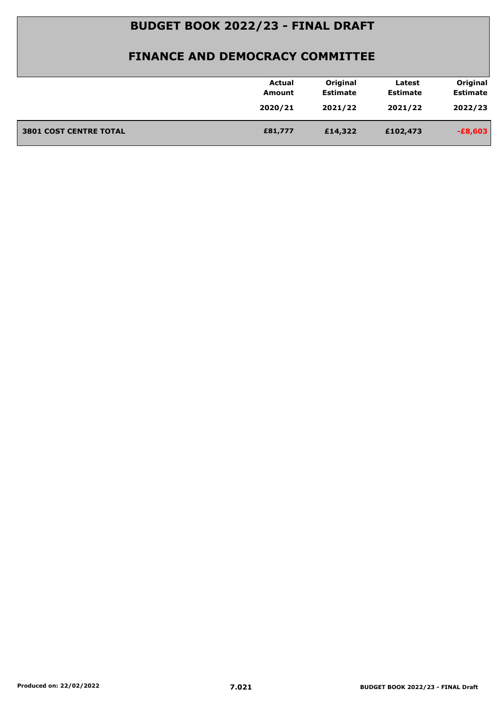|                               | <b>Actual</b> | Original        | Latest          | Original        |
|-------------------------------|---------------|-----------------|-----------------|-----------------|
|                               | Amount        | <b>Estimate</b> | <b>Estimate</b> | <b>Estimate</b> |
|                               | 2020/21       | 2021/22         | 2021/22         | 2022/23         |
|                               |               |                 |                 |                 |
| <b>3801 COST CENTRE TOTAL</b> | £81,777       | £14,322         | £102,473        | $-£8,603$       |
|                               |               |                 |                 |                 |
|                               |               |                 |                 |                 |
|                               |               |                 |                 |                 |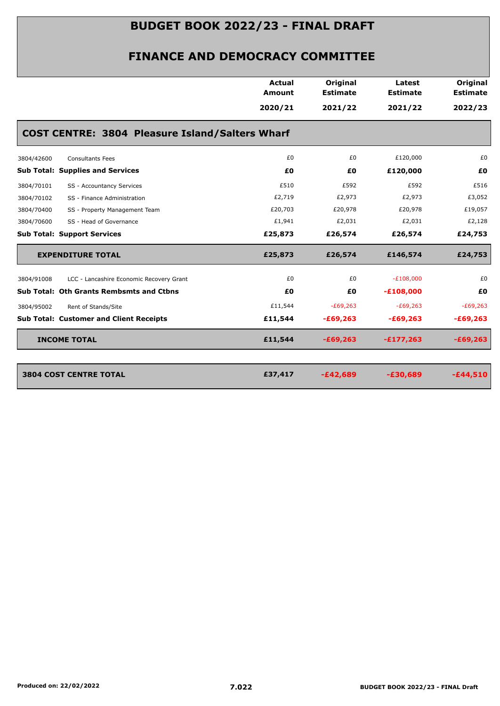|            |                                                 | Actual<br>Amount | Original<br><b>Estimate</b> | Latest<br><b>Estimate</b> | Original<br><b>Estimate</b> |
|------------|-------------------------------------------------|------------------|-----------------------------|---------------------------|-----------------------------|
|            |                                                 | 2020/21          | 2021/22                     | 2021/22                   | 2022/23                     |
|            | COST CENTRE: 3804 Pleasure Island/Salters Wharf |                  |                             |                           |                             |
| 3804/42600 | <b>Consultants Fees</b>                         | £0               | £0                          | £120,000                  | £0                          |
|            | <b>Sub Total: Supplies and Services</b>         | £0               | £0                          | £120,000                  | £0                          |
| 3804/70101 | SS - Accountancy Services                       | £510             | £592                        | £592                      | £516                        |
| 3804/70102 | SS - Finance Administration                     | £2,719           | £2,973                      | £2,973                    | £3,052                      |
| 3804/70400 | SS - Property Management Team                   | £20,703          | £20,978                     | £20,978                   | £19,057                     |
| 3804/70600 | SS - Head of Governance                         | £1,941           | £2,031                      | £2,031                    | £2,128                      |
|            | <b>Sub Total: Support Services</b>              | £25,873          | £26,574                     | £26,574                   | £24,753                     |
|            | <b>EXPENDITURE TOTAL</b>                        | £25,873          | £26,574                     | £146,574                  | £24,753                     |
| 3804/91008 | LCC - Lancashire Economic Recovery Grant        | £0               | £0                          | $-E108,000$               | £0                          |
|            | Sub Total: Oth Grants Rembsmts and Ctbns        | £0               | £0                          | $-£108,000$               | £0                          |
| 3804/95002 | Rent of Stands/Site                             | £11,544          | $-E69,263$                  | $-E69,263$                | $-E69,263$                  |
|            | <b>Sub Total: Customer and Client Receipts</b>  | £11,544          | $-£69,263$                  | $-£69,263$                | $-£69,263$                  |
|            | <b>INCOME TOTAL</b>                             | £11,544          | $-£69,263$                  | $-£177,263$               | $-£69,263$                  |
|            |                                                 |                  |                             |                           |                             |
|            | <b>3804 COST CENTRE TOTAL</b>                   |                  |                             |                           |                             |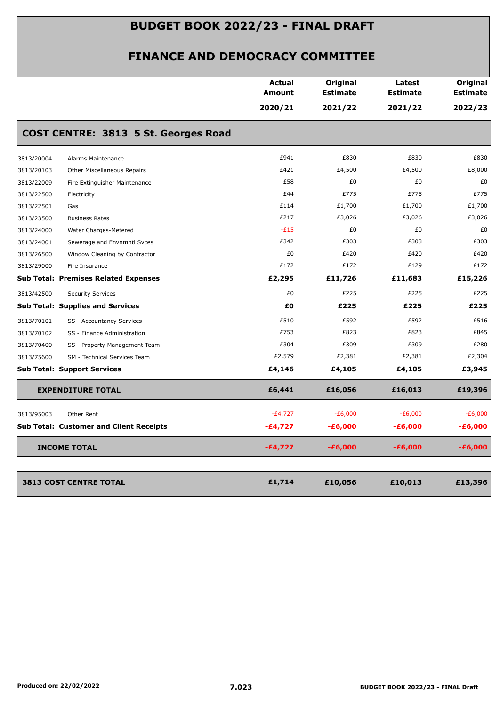|            |                                                | <b>Actual</b><br><b>Amount</b> | Original<br><b>Estimate</b> | Latest<br><b>Estimate</b> | Original<br><b>Estimate</b> |
|------------|------------------------------------------------|--------------------------------|-----------------------------|---------------------------|-----------------------------|
|            |                                                | 2020/21                        | 2021/22                     | 2021/22                   | 2022/23                     |
|            | COST CENTRE: 3813 5 St. Georges Road           |                                |                             |                           |                             |
| 3813/20004 | Alarms Maintenance                             | £941                           | £830                        | £830                      | £830                        |
| 3813/20103 | Other Miscellaneous Repairs                    | £421                           | £4,500                      | £4,500                    | £8,000                      |
| 3813/22009 | Fire Extinguisher Maintenance                  | £58                            | £0                          | £0                        | £0                          |
| 3813/22500 | Electricity                                    | £44                            | £775                        | £775                      | £775                        |
| 3813/22501 | Gas                                            | £114                           | £1,700                      | £1,700                    | £1,700                      |
| 3813/23500 | <b>Business Rates</b>                          | £217                           | £3,026                      | £3,026                    | £3,026                      |
| 3813/24000 | Water Charges-Metered                          | $-E15$                         | £0                          | £0                        | £0                          |
| 3813/24001 | Sewerage and Envnmntl Svces                    | £342                           | £303                        | £303                      | £303                        |
| 3813/26500 | Window Cleaning by Contractor                  | £0                             | £420                        | £420                      | £420                        |
| 3813/29000 | Fire Insurance                                 | £172                           | £172                        | £129                      | £172                        |
|            | <b>Sub Total: Premises Related Expenses</b>    | £2,295                         | £11,726                     | £11,683                   | £15,226                     |
| 3813/42500 | <b>Security Services</b>                       | £0                             | £225                        | £225                      | £225                        |
|            | <b>Sub Total: Supplies and Services</b>        | £0                             | £225                        | £225                      | £225                        |
| 3813/70101 | SS - Accountancy Services                      | £510                           | £592                        | £592                      | £516                        |
| 3813/70102 | SS - Finance Administration                    | £753                           | £823                        | £823                      | £845                        |
| 3813/70400 | SS - Property Management Team                  | £304                           | £309                        | £309                      | £280                        |
| 3813/75600 | SM - Technical Services Team                   | £2,579                         | £2,381                      | £2,381                    | £2,304                      |
|            | <b>Sub Total: Support Services</b>             | £4,146                         | £4,105                      | £4,105                    | £3,945                      |
|            | <b>EXPENDITURE TOTAL</b>                       | £6,441                         | £16,056                     | £16,013                   | £19,396                     |
| 3813/95003 | Other Rent                                     | $-E4,727$                      | $-E6,000$                   | $-E6,000$                 | $-E6,000$                   |
|            | <b>Sub Total: Customer and Client Receipts</b> | $-£4,727$                      | $-£6,000$                   | $-£6,000$                 | -£6,000                     |
|            | <b>INCOME TOTAL</b>                            | $-E4,727$                      | $-£6,000$                   | $-£6,000$                 | $-£6,000$                   |
|            |                                                |                                |                             |                           |                             |
|            | <b>3813 COST CENTRE TOTAL</b>                  | £1,714                         | £10,056                     | £10,013                   | £13,396                     |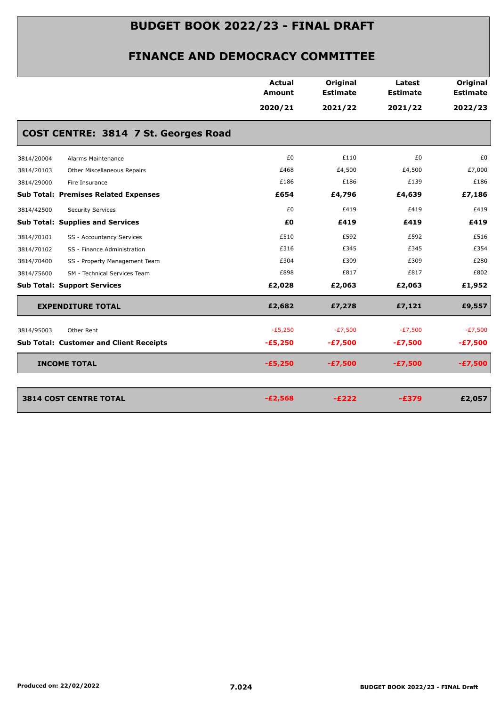|            |                                                | <b>Actual</b><br><b>Amount</b> | Original<br><b>Estimate</b> | Latest<br><b>Estimate</b> | Original<br><b>Estimate</b> |
|------------|------------------------------------------------|--------------------------------|-----------------------------|---------------------------|-----------------------------|
|            |                                                | 2020/21                        | 2021/22                     | 2021/22                   | 2022/23                     |
|            | COST CENTRE: 3814 7 St. Georges Road           |                                |                             |                           |                             |
| 3814/20004 | Alarms Maintenance                             | £0                             | £110                        | £0                        | £0                          |
| 3814/20103 | Other Miscellaneous Repairs                    | £468                           | £4,500                      | £4,500                    | £7,000                      |
| 3814/29000 | Fire Insurance                                 | £186                           | £186                        | £139                      | £186                        |
|            | <b>Sub Total: Premises Related Expenses</b>    | £654                           | £4,796                      | £4,639                    | £7,186                      |
| 3814/42500 | <b>Security Services</b>                       | £0                             | £419                        | £419                      | £419                        |
|            | <b>Sub Total: Supplies and Services</b>        | £0                             | £419                        | £419                      | £419                        |
| 3814/70101 | SS - Accountancy Services                      | £510                           | £592                        | £592                      | £516                        |
| 3814/70102 | SS - Finance Administration                    | £316                           | £345                        | £345                      | £354                        |
| 3814/70400 | SS - Property Management Team                  | £304                           | £309                        | £309                      | £280                        |
| 3814/75600 | SM - Technical Services Team                   | £898                           | £817                        | £817                      | £802                        |
|            | <b>Sub Total: Support Services</b>             | £2,028                         | £2,063                      | £2,063                    | £1,952                      |
|            | <b>EXPENDITURE TOTAL</b>                       | £2,682                         | £7,278                      | £7,121                    | £9,557                      |
| 3814/95003 | Other Rent                                     | $-E5,250$                      | $-E7,500$                   | $-E7,500$                 | $-E7,500$                   |
|            | <b>Sub Total: Customer and Client Receipts</b> | $-£5,250$                      | $-E7,500$                   | $-E7,500$                 | $-E7,500$                   |
|            | <b>INCOME TOTAL</b>                            | $-£5,250$                      | $-E7,500$                   | $-£7,500$                 | $-£7,500$                   |
|            |                                                |                                |                             |                           |                             |
|            | <b>3814 COST CENTRE TOTAL</b>                  | $-E2,568$                      | $-E222$                     | $-E379$                   | £2,057                      |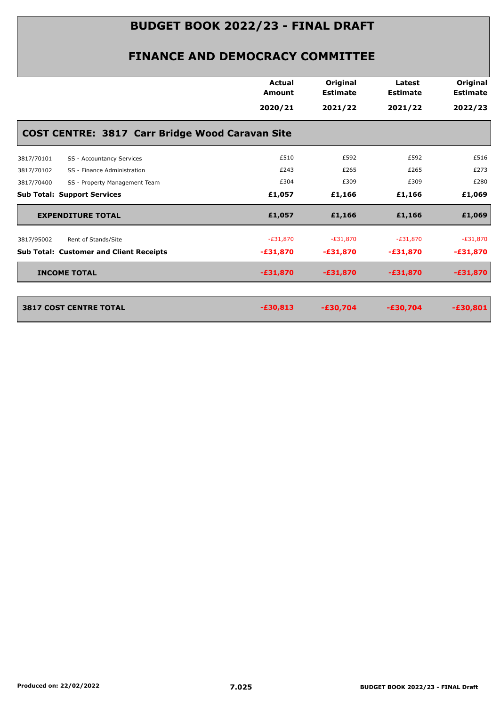|            |                                                        | Actual<br><b>Amount</b> | Original<br><b>Estimate</b> | Latest<br><b>Estimate</b> | Original<br><b>Estimate</b> |
|------------|--------------------------------------------------------|-------------------------|-----------------------------|---------------------------|-----------------------------|
|            |                                                        | 2020/21                 | 2021/22                     | 2021/22                   | 2022/23                     |
|            | <b>COST CENTRE: 3817 Carr Bridge Wood Caravan Site</b> |                         |                             |                           |                             |
| 3817/70101 | SS - Accountancy Services                              | £510                    | £592                        | £592                      | £516                        |
| 3817/70102 | SS - Finance Administration                            | £243                    | £265                        | £265                      | £273                        |
| 3817/70400 | SS - Property Management Team                          | £304                    | £309                        | £309                      | £280                        |
|            | <b>Sub Total: Support Services</b>                     | £1,057                  | £1,166                      | £1,166                    | £1,069                      |
|            | <b>EXPENDITURE TOTAL</b>                               | £1,057                  | £1,166                      | £1,166                    | £1,069                      |
| 3817/95002 | Rent of Stands/Site                                    | $-E31,870$              | $-E31,870$                  | $-E31,870$                | $-E31,870$                  |
|            | <b>Sub Total: Customer and Client Receipts</b>         | $-£31,870$              | $-£31,870$                  | $-£31,870$                | $-£31,870$                  |
|            | <b>INCOME TOTAL</b>                                    | $-£31,870$              | $-£31,870$                  | $-£31,870$                | $-£31,870$                  |
|            |                                                        |                         |                             |                           |                             |
|            | <b>3817 COST CENTRE TOTAL</b>                          | $-£30,813$              | $-E30,704$                  | $-£30,704$                | $-£30,801$                  |
|            |                                                        |                         |                             |                           |                             |
|            |                                                        |                         |                             |                           |                             |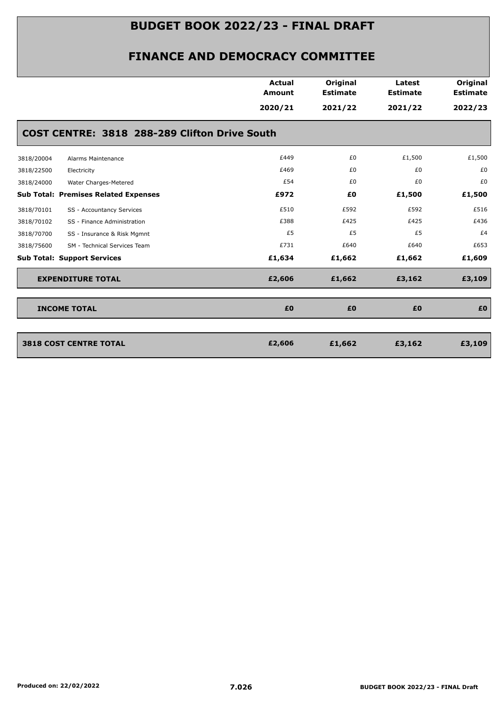|            |                                               | <b>Actual</b><br><b>Amount</b> | Original<br><b>Estimate</b> | Latest<br><b>Estimate</b> | Original<br><b>Estimate</b> |
|------------|-----------------------------------------------|--------------------------------|-----------------------------|---------------------------|-----------------------------|
|            | COST CENTRE: 3818 288-289 Clifton Drive South | 2020/21                        | 2021/22                     | 2021/22                   | 2022/23                     |
| 3818/20004 | Alarms Maintenance                            | £449                           | £0                          | £1,500                    | £1,500                      |
| 3818/22500 | Electricity                                   | £469                           | £0                          | £0                        | £0                          |
| 3818/24000 | Water Charges-Metered                         | £54                            | £0                          | £0                        | £0                          |
|            | <b>Sub Total: Premises Related Expenses</b>   | £972                           | £0                          | £1,500                    | £1,500                      |
| 3818/70101 | SS - Accountancy Services                     | £510                           | £592                        | £592                      | £516                        |
| 3818/70102 | SS - Finance Administration                   | £388                           | £425                        | £425                      | £436                        |
| 3818/70700 | SS - Insurance & Risk Mgmnt                   | £5                             | £5                          | £5                        | £4                          |
| 3818/75600 | SM - Technical Services Team                  | £731                           | £640                        | £640                      | £653                        |
|            | <b>Sub Total: Support Services</b>            | £1,634                         | £1,662                      | £1,662                    | £1,609                      |
|            | <b>EXPENDITURE TOTAL</b>                      | £2,606                         | £1,662                      | £3,162                    | £3,109                      |
|            | <b>INCOME TOTAL</b>                           | £0                             | £0                          | £0                        | £0                          |
|            | <b>3818 COST CENTRE TOTAL</b>                 | £2,606                         | £1,662                      | £3,162                    | £3,109                      |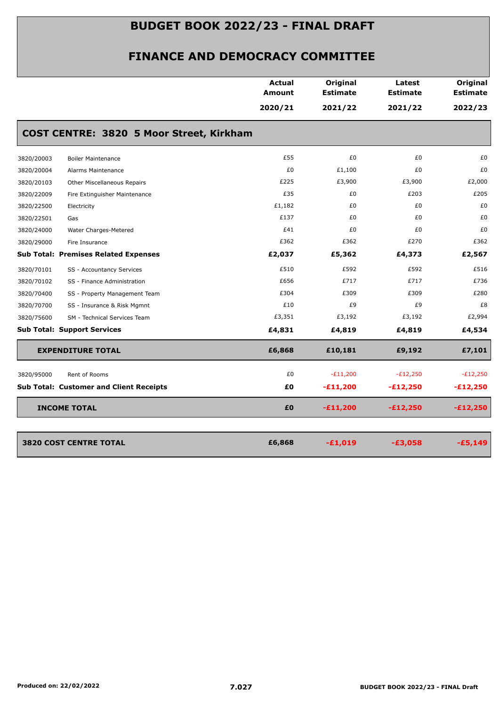|            |                                                | Actual<br>Amount | Original<br><b>Estimate</b> | Latest<br><b>Estimate</b> | Original<br><b>Estimate</b> |
|------------|------------------------------------------------|------------------|-----------------------------|---------------------------|-----------------------------|
|            |                                                | 2020/21          | 2021/22                     | 2021/22                   | 2022/23                     |
|            | COST CENTRE: 3820 5 Moor Street, Kirkham       |                  |                             |                           |                             |
| 3820/20003 | <b>Boiler Maintenance</b>                      | £55              | £0                          | £0                        | £0                          |
| 3820/20004 | Alarms Maintenance                             | £0               | £1,100                      | £0                        | £0                          |
| 3820/20103 | Other Miscellaneous Repairs                    | £225             | £3,900                      | £3,900                    | £2,000                      |
| 3820/22009 | Fire Extinguisher Maintenance                  | £35              | £0                          | £203                      | £205                        |
| 3820/22500 | Electricity                                    | £1,182           | £0                          | £0                        | £0                          |
| 3820/22501 | Gas                                            | £137             | £0                          | £0                        | £0                          |
| 3820/24000 | Water Charges-Metered                          | £41              | £0                          | £0                        | £0                          |
| 3820/29000 | Fire Insurance                                 | £362             | £362                        | £270                      | £362                        |
|            | <b>Sub Total: Premises Related Expenses</b>    | £2,037           | £5,362                      | £4,373                    | £2,567                      |
| 3820/70101 | SS - Accountancy Services                      | £510             | £592                        | £592                      | £516                        |
| 3820/70102 | SS - Finance Administration                    | £656             | £717                        | £717                      | £736                        |
| 3820/70400 | SS - Property Management Team                  | £304             | £309                        | £309                      | £280                        |
| 3820/70700 | SS - Insurance & Risk Mgmnt                    | £10              | £9                          | £9                        | £8                          |
| 3820/75600 | SM - Technical Services Team                   | £3,351           | £3,192                      | £3,192                    | £2,994                      |
|            | <b>Sub Total: Support Services</b>             | £4,831           | £4,819                      | £4,819                    | £4,534                      |
|            | <b>EXPENDITURE TOTAL</b>                       | £6,868           | £10,181                     | £9,192                    | £7,101                      |
| 3820/95000 | Rent of Rooms                                  | £0               | $-E11,200$                  | $-E12,250$                | $-E12,250$                  |
|            | <b>Sub Total: Customer and Client Receipts</b> | £Ο               | $-£11,200$                  | $-E12,250$                | $-£12,250$                  |
|            | <b>INCOME TOTAL</b>                            | £0               | $-£11,200$                  | $-£12,250$                | $-£12,250$                  |
|            | <b>3820 COST CENTRE TOTAL</b>                  | £6,868           | $-£1,019$                   | $-£3,058$                 | $-£5,149$                   |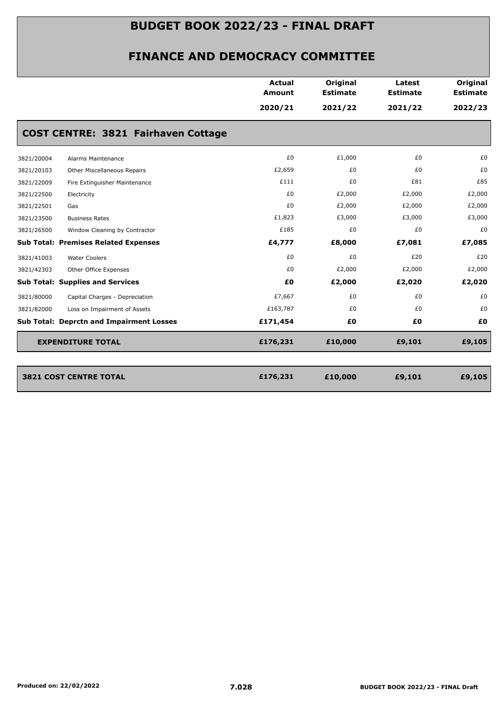|                                                 | Actual<br>Amount | Original<br><b>Estimate</b> | Latest<br><b>Estimate</b> | Original<br><b>Estimate</b> |
|-------------------------------------------------|------------------|-----------------------------|---------------------------|-----------------------------|
|                                                 | 2020/21          | 2021/22                     | 2021/22                   | 2022/23                     |
| <b>COST CENTRE: 3821 Fairhaven Cottage</b>      |                  |                             |                           |                             |
| 3821/20004<br>Alarms Maintenance                | £0               | £1,000                      | £0                        | £0                          |
| 3821/20103<br>Other Miscellaneous Repairs       | £2,659           | £0                          | £0                        | £0                          |
| 3821/22009<br>Fire Extinguisher Maintenance     | £111             | £0                          | £81                       | £85                         |
| 3821/22500<br>Electricity                       | £0               | £2,000                      | £2,000                    | £2,000                      |
| 3821/22501<br>Gas                               | £0               | £2,000                      | £2,000                    | £2,000                      |
| 3821/23500<br><b>Business Rates</b>             | £1,823           | £3,000                      | £3,000                    | £3,000                      |
| 3821/26500<br>Window Cleaning by Contractor     | £185             | £0                          | £0                        | £0                          |
| <b>Sub Total: Premises Related Expenses</b>     | £4,777           | £8,000                      | £7,081                    | £7,085                      |
| <b>Water Coolers</b><br>3821/41003              | £0               | £0                          | £20                       | £20                         |
| 3821/42303<br>Other Office Expenses             | £0               | £2,000                      | £2,000                    | £2,000                      |
| <b>Sub Total: Supplies and Services</b>         | £Ο               | £2,000                      | £2,020                    | £2,020                      |
| 3821/80000<br>Capital Charges - Depreciation    | £7,667           | £0                          | £0                        | £0                          |
| 3821/82000<br>Loss on Impairment of Assets      | £163,787         | £0                          | £0                        | £0                          |
| <b>Sub Total: Deprctn and Impairment Losses</b> | £171,454         | £Ο                          | £0                        | £0                          |
| <b>EXPENDITURE TOTAL</b>                        | £176,231         | £10,000                     | £9,101                    | £9,105                      |
|                                                 |                  |                             |                           |                             |
| <b>3821 COST CENTRE TOTAL</b>                   | £176,231         | £10,000                     | £9,101                    | £9,105                      |
|                                                 |                  |                             |                           |                             |
|                                                 |                  |                             |                           |                             |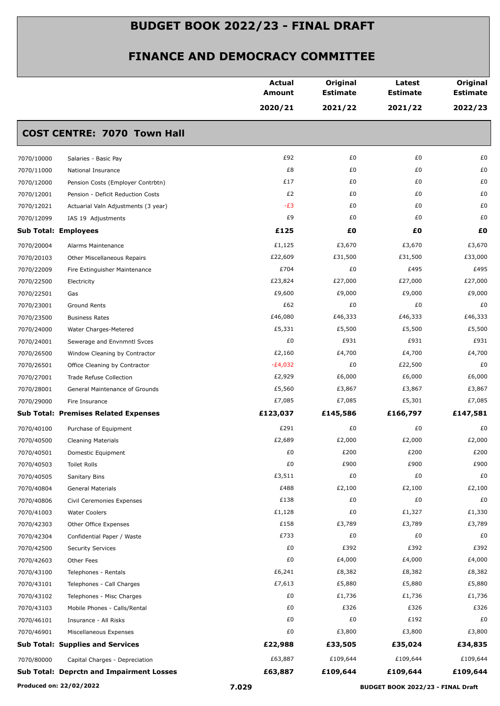|            |                                             | <b>Actual</b><br>Amount | Original<br><b>Estimate</b> | Latest<br><b>Estimate</b> | Original<br><b>Estimate</b> |
|------------|---------------------------------------------|-------------------------|-----------------------------|---------------------------|-----------------------------|
|            |                                             | 2020/21                 | 2021/22                     | 2021/22                   | 2022/23                     |
|            | <b>COST CENTRE: 7070 Town Hall</b>          |                         |                             |                           |                             |
| 7070/10000 | Salaries - Basic Pay                        | £92                     | £0                          | £0                        | £0                          |
| 7070/11000 | National Insurance                          | £8                      | £0                          | £0                        | £0                          |
| 7070/12000 | Pension Costs (Employer Contrbtn)           | £17                     | £0                          | £0                        | £0                          |
| 7070/12001 | Pension - Deficit Reduction Costs           | £2                      | £0                          | £0                        | £0                          |
| 7070/12021 | Actuarial Valn Adjustments (3 year)         | $-E3$                   | £0                          | £0                        | £0                          |
| 7070/12099 | IAS 19 Adjustments                          | £9                      | £0                          | £0                        | £0                          |
|            | <b>Sub Total: Employees</b>                 | £125                    | £0                          | £Ο                        | £0                          |
| 7070/20004 | Alarms Maintenance                          | £1,125                  | £3,670                      | £3,670                    | £3,670                      |
| 7070/20103 | Other Miscellaneous Repairs                 | £22,609                 | £31,500                     | £31,500                   | £33,000                     |
| 7070/22009 | Fire Extinguisher Maintenance               | £704                    | £0                          | £495                      | £495                        |
| 7070/22500 | Electricity                                 | £23,824                 | £27,000                     | £27,000                   | £27,000                     |
| 7070/22501 | Gas                                         | £9,600                  | £9,000                      | £9,000                    | £9,000                      |
| 7070/23001 | <b>Ground Rents</b>                         | £62                     | £0                          | £0                        | £0                          |
| 7070/23500 | <b>Business Rates</b>                       | £46,080                 | £46,333                     | £46,333                   | £46,333                     |
| 7070/24000 | Water Charges-Metered                       | £5,331                  | £5,500                      | £5,500                    | £5,500                      |
| 7070/24001 | Sewerage and Envnmntl Svces                 | £0                      | £931                        | £931                      | £931                        |
| 7070/26500 | Window Cleaning by Contractor               | £2,160                  | £4,700                      | £4,700                    | £4,700                      |
| 7070/26501 | Office Cleaning by Contractor               | $-E4,032$               | £0                          | £22,500                   | £0                          |
| 7070/27001 | Trade Refuse Collection                     | £2,929                  | £6,000                      | £6,000                    | £6,000                      |
| 7070/28001 | General Maintenance of Grounds              | £5,560                  | £3,867                      | £3,867                    | £3,867                      |
| 7070/29000 | Fire Insurance                              | £7,085                  | £7,085                      | £5,301                    | £7,085                      |
|            | <b>Sub Total: Premises Related Expenses</b> | £123,037                | £145,586                    | £166,797                  | £147,581                    |
| 7070/40100 | Purchase of Equipment                       | £291                    | £0                          | £0                        | £0                          |
| 7070/40500 | <b>Cleaning Materials</b>                   | £2,689                  | £2,000                      | £2,000                    | £2,000                      |
| 7070/40501 | Domestic Equipment                          | £0                      | £200                        | £200                      | £200                        |
| 7070/40503 | Toilet Rolls                                | £0                      | £900                        | £900                      | £900                        |
| 7070/40505 | Sanitary Bins                               | £3,511                  | £0                          | £0                        | £0                          |
| 7070/40804 | General Materials                           | £488                    | £2,100                      | £2,100                    | £2,100                      |
| 7070/40806 | Civil Ceremonies Expenses                   | £138                    | £0                          | £0                        | £0                          |
| 7070/41003 | <b>Water Coolers</b>                        | £1,128                  | £0                          | £1,327                    | £1,330                      |
| 7070/42303 | Other Office Expenses                       | £158                    | £3,789                      | £3,789                    | £3,789                      |
| 7070/42304 | Confidential Paper / Waste                  | £733                    | £0                          | £0                        | £0                          |
| 7070/42500 | <b>Security Services</b>                    | £0                      | £392                        | £392                      | £392                        |
| 7070/42603 | Other Fees                                  | £0                      | £4,000                      | £4,000                    | £4,000                      |
| 7070/43100 | Telephones - Rentals                        | £6,241                  | £8,382                      | £8,382                    | £8,382                      |
| 7070/43101 | Telephones - Call Charges                   | £7,613                  | £5,880                      | £5,880                    | £5,880                      |
| 7070/43102 | Telephones - Misc Charges                   | £0                      | £1,736                      | £1,736                    | £1,736                      |
| 7070/43103 | Mobile Phones - Calls/Rental                | £0                      | £326                        | £326                      | £326                        |
| 7070/46101 | Insurance - All Risks                       | £0                      | £0                          | £192                      | £0                          |
| 7070/46901 | Miscellaneous Expenses                      | £0                      | £3,800                      | £3,800                    | £3,800                      |
|            | <b>Sub Total: Supplies and Services</b>     | £22,988                 | £33,505                     | £35,024                   | £34,835                     |
|            |                                             | £63,887                 | £109,644                    | £109,644                  | £109,644                    |
| 7070/80000 | Capital Charges - Depreciation              |                         |                             |                           |                             |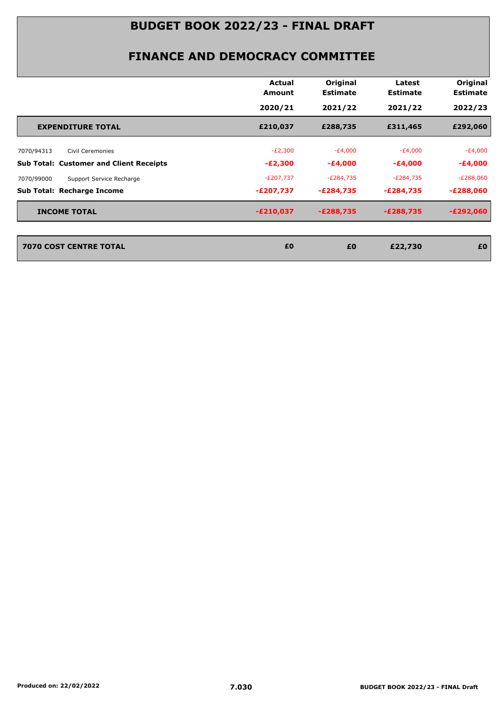|                                                | <b>Actual</b><br>Amount | Original<br><b>Estimate</b> | Latest<br><b>Estimate</b> | Original<br><b>Estimate</b> |
|------------------------------------------------|-------------------------|-----------------------------|---------------------------|-----------------------------|
|                                                | 2020/21                 | 2021/22                     | 2021/22                   | 2022/23                     |
| <b>EXPENDITURE TOTAL</b>                       | £210,037                | £288,735                    | £311,465                  | £292,060                    |
| Civil Ceremonies<br>7070/94313                 | $-E2,300$               | $-E4,000$                   | $-E4,000$                 | $-E4,000$                   |
| <b>Sub Total: Customer and Client Receipts</b> | $-E2,300$               | $-£4,000$                   | $-E4,000$                 | $-£4,000$                   |
| 7070/99000<br>Support Service Recharge         | $-E207,737$             | $-E284,735$                 | $-E284,735$               | $-E288,060$                 |
| Sub Total: Recharge Income                     | -£207,737               | $-E284,735$                 | -£284,735                 | $-E288,060$                 |
| <b>INCOME TOTAL</b>                            | $-E210,037$             | $-E288,735$                 | $-E288,735$               | $-E292,060$                 |
| <b>7070 COST CENTRE TOTAL</b>                  | £0                      | £0                          | £22,730                   | £0                          |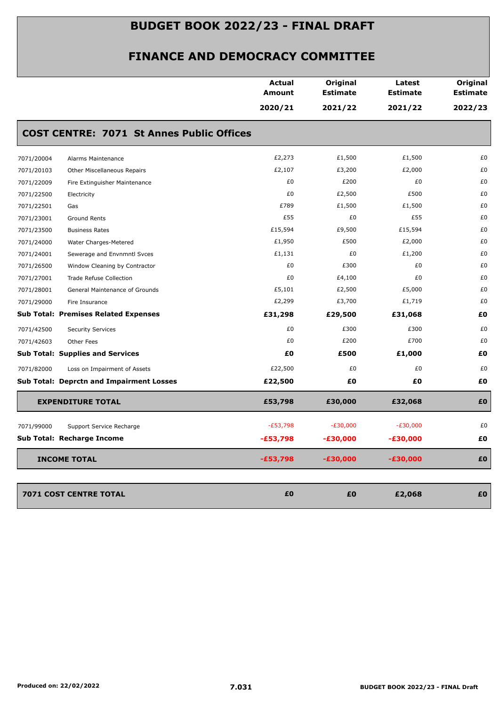|            |                                                  | <b>Actual</b><br>Amount | Original<br><b>Estimate</b> | Latest<br><b>Estimate</b> | Original<br><b>Estimate</b> |
|------------|--------------------------------------------------|-------------------------|-----------------------------|---------------------------|-----------------------------|
|            |                                                  | 2020/21                 | 2021/22                     | 2021/22                   | 2022/23                     |
|            | <b>COST CENTRE: 7071 St Annes Public Offices</b> |                         |                             |                           |                             |
| 7071/20004 | Alarms Maintenance                               | £2,273                  | £1,500                      | £1,500                    | £0                          |
| 7071/20103 | Other Miscellaneous Repairs                      | £2,107                  | £3,200                      | £2,000                    | £0                          |
| 7071/22009 | Fire Extinguisher Maintenance                    | £0                      | £200                        | £0                        | £0                          |
| 7071/22500 | Electricity                                      | £0                      | £2,500                      | £500                      | £0                          |
| 7071/22501 | Gas                                              | £789                    | £1,500                      | £1,500                    | £0                          |
| 7071/23001 | Ground Rents                                     | £55                     | £0                          | £55                       | £0                          |
| 7071/23500 | <b>Business Rates</b>                            | £15,594                 | £9,500                      | £15,594                   | £0                          |
| 7071/24000 | Water Charges-Metered                            | £1,950                  | £500                        | £2,000                    | £0                          |
| 7071/24001 | Sewerage and Envnmntl Svces                      | £1,131                  | £0                          | £1,200                    | £0                          |
| 7071/26500 | Window Cleaning by Contractor                    | £0                      | £300                        | £0                        | £0                          |
| 7071/27001 | Trade Refuse Collection                          | £0                      | £4,100                      | £0                        | £0                          |
| 7071/28001 | <b>General Maintenance of Grounds</b>            | £5,101                  | £2,500                      | £5,000                    | £0                          |
| 7071/29000 | Fire Insurance                                   | £2,299                  | £3,700                      | £1,719                    | £0                          |
|            | <b>Sub Total: Premises Related Expenses</b>      | £31,298                 | £29,500                     | £31,068                   | £0                          |
| 7071/42500 | <b>Security Services</b>                         | £0                      | £300                        | £300                      | £0                          |
| 7071/42603 | Other Fees                                       | £0                      | £200                        | £700                      | £0                          |
|            | <b>Sub Total: Supplies and Services</b>          | £0                      | £500                        | £1,000                    | £0                          |
| 7071/82000 | Loss on Impairment of Assets                     | £22,500                 | £0                          | £0                        | £0                          |
|            | <b>Sub Total: Deprctn and Impairment Losses</b>  | £22,500                 | £Ο                          | £0                        | £0                          |
|            | <b>EXPENDITURE TOTAL</b>                         | £53,798                 | £30,000                     | £32,068                   | £O                          |
| 7071/99000 | Support Service Recharge                         | $-E53,798$              | $-E30,000$                  | $-E30,000$                | £0                          |
|            | <b>Sub Total: Recharge Income</b>                | $-£53,798$              | $-£30,000$                  | $-£30,000$                | £0                          |
|            | <b>INCOME TOTAL</b>                              | $-£53,798$              | $-£30,000$                  | $-£30,000$                | £0                          |
|            |                                                  |                         |                             |                           |                             |
|            | 7071 COST CENTRE TOTAL                           | £0                      | £0                          | £2,068                    | £0                          |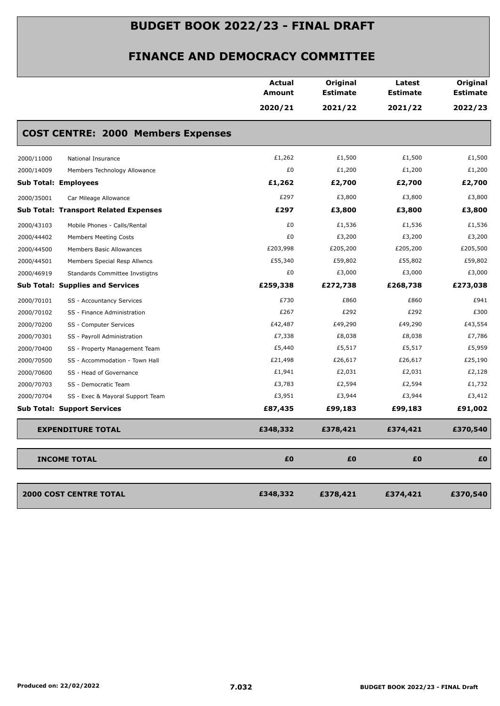|                                                | <b>Actual</b><br>Amount | Original<br><b>Estimate</b> | Latest<br><b>Estimate</b> | Original<br><b>Estimate</b> |
|------------------------------------------------|-------------------------|-----------------------------|---------------------------|-----------------------------|
|                                                | 2020/21                 | 2021/22                     | 2021/22                   | 2022/23                     |
| <b>COST CENTRE: 2000 Members Expenses</b>      |                         |                             |                           |                             |
| 2000/11000<br>National Insurance               | £1,262                  | £1,500                      | £1,500                    | £1,500                      |
| 2000/14009<br>Members Technology Allowance     | £0                      | £1,200                      | £1,200                    | £1,200                      |
| <b>Sub Total: Employees</b>                    | £1,262                  | £2,700                      | £2,700                    | £2,700                      |
| 2000/35001<br>Car Mileage Allowance            | £297                    | £3,800                      | £3,800                    | £3,800                      |
| <b>Sub Total: Transport Related Expenses</b>   | £297                    | £3,800                      | £3,800                    | £3,800                      |
| 2000/43103<br>Mobile Phones - Calls/Rental     | £0                      | £1,536                      | £1,536                    | £1,536                      |
| 2000/44402<br><b>Members Meeting Costs</b>     | £0                      | £3,200                      | £3,200                    | £3,200                      |
| 2000/44500<br>Members Basic Allowances         | £203,998                | £205,200                    | £205,200                  | £205,500                    |
| 2000/44501<br>Members Special Resp Allwncs     | £55,340                 | £59,802                     | £55,802                   | £59,802                     |
| 2000/46919<br>Standards Committee Invstigtns   | £0                      | £3,000                      | £3,000                    | £3,000                      |
| <b>Sub Total: Supplies and Services</b>        | £259,338                | £272,738                    | £268,738                  | £273,038                    |
| 2000/70101<br>SS - Accountancy Services        | £730                    | £860                        | £860                      | £941                        |
| 2000/70102<br>SS - Finance Administration      | £267                    | £292                        | £292                      | £300                        |
| 2000/70200<br>SS - Computer Services           | £42,487                 | £49,290                     | £49,290                   | £43,554                     |
| 2000/70301<br>SS - Payroll Administration      | £7,338                  | £8,038                      | £8,038                    | £7,786                      |
| 2000/70400<br>SS - Property Management Team    | £5,440                  | £5,517                      | £5,517                    | £5,959                      |
| 2000/70500<br>SS - Accommodation - Town Hall   | £21,498                 | £26,617                     | £26,617                   | £25,190                     |
| 2000/70600<br>SS - Head of Governance          | £1,941                  | £2,031                      | £2,031                    | £2,128                      |
| 2000/70703<br>SS - Democratic Team             | £3,783                  | £2,594                      | £2,594                    | £1,732                      |
| 2000/70704<br>SS - Exec & Mayoral Support Team | £3,951                  | £3,944                      | £3,944                    | £3,412                      |
| <b>Sub Total: Support Services</b>             | £87,435                 | £99,183                     | £99,183                   | £91,002                     |
| <b>EXPENDITURE TOTAL</b>                       | £348,332                | £378,421                    | £374,421                  | £370,540                    |
| <b>INCOME TOTAL</b>                            | £0                      | £0                          | £0                        | £0                          |
| <b>2000 COST CENTRE TOTAL</b>                  | £348,332                | £378,421                    | £374,421                  | £370,540                    |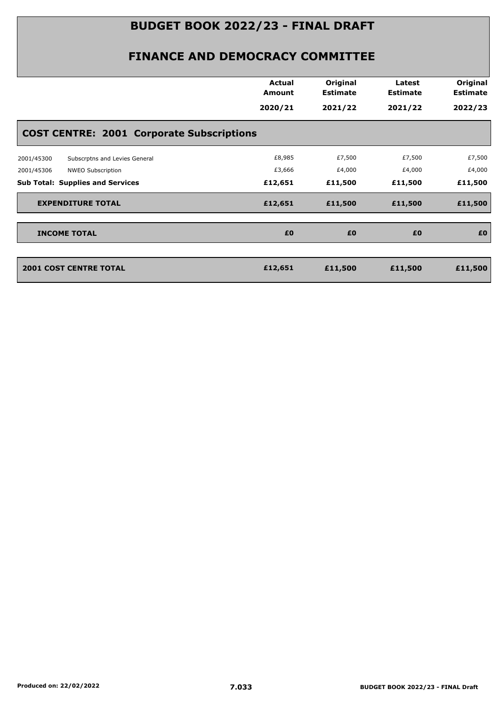|                                                  | <b>Actual</b><br>Amount | Original<br><b>Estimate</b> | Latest<br><b>Estimate</b> | Original<br><b>Estimate</b> |
|--------------------------------------------------|-------------------------|-----------------------------|---------------------------|-----------------------------|
|                                                  | 2020/21                 | 2021/22                     | 2021/22                   | 2022/23                     |
| <b>COST CENTRE: 2001 Corporate Subscriptions</b> |                         |                             |                           |                             |
| 2001/45300<br>Subscrptns and Levies General      | £8,985                  | £7,500                      | £7,500                    | £7,500                      |
| NWEO Subscription<br>2001/45306                  | £3,666                  | £4,000                      | £4,000                    | £4,000                      |
| <b>Sub Total: Supplies and Services</b>          | £12,651                 | £11,500                     | £11,500                   | £11,500                     |
| <b>EXPENDITURE TOTAL</b>                         | £12,651                 | £11,500                     | £11,500                   | £11,500                     |
| <b>INCOME TOTAL</b>                              | £0                      | £0                          | £0                        | £O                          |
|                                                  |                         |                             |                           |                             |
| <b>2001 COST CENTRE TOTAL</b>                    | £12,651                 | £11,500                     | £11,500                   | £11,500                     |
|                                                  |                         |                             |                           |                             |
|                                                  |                         |                             |                           |                             |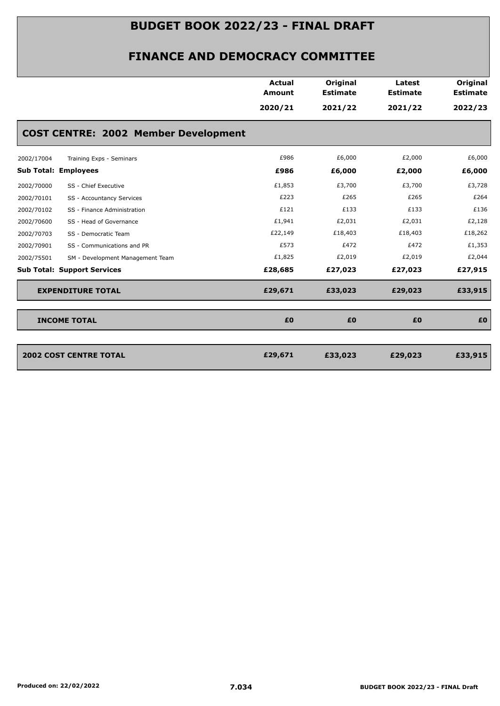|                                                | <b>Actual</b><br><b>Amount</b> | Original<br><b>Estimate</b> | Latest<br><b>Estimate</b> | Original<br><b>Estimate</b> |
|------------------------------------------------|--------------------------------|-----------------------------|---------------------------|-----------------------------|
|                                                | 2020/21                        | 2021/22                     | 2021/22                   | 2022/23                     |
| <b>COST CENTRE: 2002 Member Development</b>    |                                |                             |                           |                             |
| 2002/17004<br>Training Exps - Seminars         | £986                           | £6,000                      | £2,000                    | £6,000                      |
| <b>Sub Total: Employees</b>                    | £986                           | £6,000                      | £2,000                    | £6,000                      |
| 2002/70000<br>SS - Chief Executive             | £1,853                         | £3,700                      | £3,700                    | £3,728                      |
| 2002/70101<br>SS - Accountancy Services        | £223                           | £265                        | £265                      | £264                        |
| 2002/70102<br>SS - Finance Administration      | £121                           | £133                        | £133                      | £136                        |
| 2002/70600<br>SS - Head of Governance          | £1,941                         | £2,031                      | £2,031                    | £2,128                      |
| 2002/70703<br>SS - Democratic Team             | £22,149                        | £18,403                     | £18,403                   | £18,262                     |
| 2002/70901<br>SS - Communications and PR       | £573                           | £472                        | £472                      | £1,353                      |
| 2002/75501<br>SM - Development Management Team | £1,825                         | £2,019                      | £2,019                    | £2,044                      |
| <b>Sub Total: Support Services</b>             | £28,685                        | £27,023                     | £27,023                   | £27,915                     |
| <b>EXPENDITURE TOTAL</b>                       | £29,671                        | £33,023                     | £29,023                   | £33,915                     |
| <b>INCOME TOTAL</b>                            | £0                             | £0                          | £0                        | £0                          |
| <b>2002 COST CENTRE TOTAL</b>                  | £29,671                        | £33,023                     | £29,023                   | £33,915                     |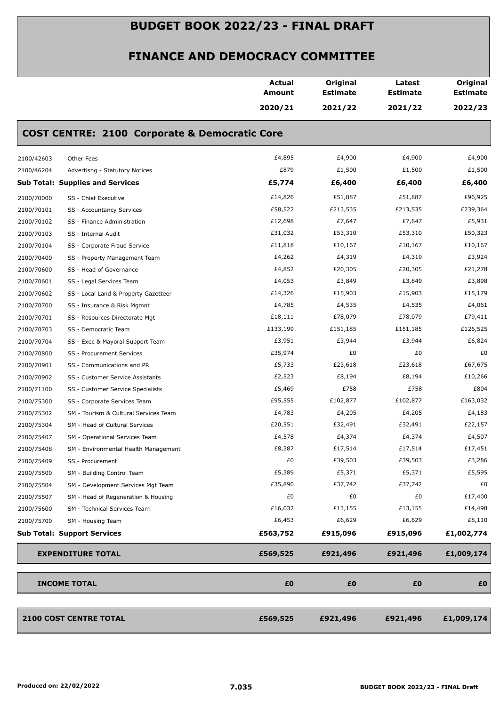|            |                                                          | Actual<br><b>Amount</b> | Original<br><b>Estimate</b> | Latest<br><b>Estimate</b> | Original<br><b>Estimate</b> |
|------------|----------------------------------------------------------|-------------------------|-----------------------------|---------------------------|-----------------------------|
|            |                                                          | 2020/21                 | 2021/22                     | 2021/22                   | 2022/23                     |
|            | <b>COST CENTRE: 2100 Corporate &amp; Democratic Core</b> |                         |                             |                           |                             |
| 2100/42603 | Other Fees                                               | £4,895                  | £4,900                      | £4,900                    | £4,900                      |
| 2100/46204 | Advertisng - Statutory Notices                           | £879                    | £1,500                      | £1,500                    | £1,500                      |
|            | <b>Sub Total: Supplies and Services</b>                  | £5,774                  | £6,400                      | £6,400                    | £6,400                      |
| 2100/70000 | SS - Chief Executive                                     | £14,826                 | £51,887                     | £51,887                   | £96,925                     |
| 2100/70101 | SS - Accountancy Services                                | £58,522                 | £213,535                    | £213,535                  | £239,364                    |
| 2100/70102 | SS - Finance Administration                              | £12,698                 | £7,647                      | £7,647                    | £5,931                      |
| 2100/70103 | SS - Internal Audit                                      | £31,032                 | £53,310                     | £53,310                   | £50,323                     |
| 2100/70104 | SS - Corporate Fraud Service                             | £11,818                 | £10,167                     | £10,167                   | £10,167                     |
| 2100/70400 | SS - Property Management Team                            | £4,262                  | £4,319                      | £4,319                    | £3,924                      |
| 2100/70600 | SS - Head of Governance                                  | £4,852                  | £20,305                     | £20,305                   | £21,278                     |
| 2100/70601 | SS - Legal Services Team                                 | £4,053                  | £3,849                      | £3,849                    | £3,898                      |
| 2100/70602 | SS - Local Land & Property Gazetteer                     | £14,326                 | £15,903                     | £15,903                   | £15,179                     |
| 2100/70700 | SS - Insurance & Risk Mgmnt                              | £4,785                  | £4,535                      | £4,535                    | £4,061                      |
| 2100/70701 | SS - Resources Directorate Mgt                           | £18,111                 | £78,079                     | £78,079                   | £79,411                     |
| 2100/70703 | SS - Democratic Team                                     | £133,199                | £151,185                    | £151,185                  | £126,525                    |
| 2100/70704 | SS - Exec & Mayoral Support Team                         | £3,951                  | £3,944                      | £3,944                    | £6,824                      |
| 2100/70800 | SS - Procurement Services                                | £35,974                 | £0                          | £0                        | £0                          |
| 2100/70901 | SS - Communications and PR                               | £5,733                  | £23,618                     | £23,618                   | £67,675                     |
| 2100/70902 | SS - Customer Service Assistants                         | £2,523                  | £8,194                      | £8,194                    | £10,266                     |
| 2100/71100 | SS - Customer Service Specialists                        | £5,469                  | £758                        | £758                      | £804                        |
| 2100/75300 | SS - Corporate Services Team                             | £95,555                 | £102,877                    | £102,877                  | £163,032                    |
| 2100/75302 | SM - Tourism & Cultural Services Team                    | £4,783                  | £4,205                      | £4,205                    | £4,183                      |
| 2100/75304 | SM - Head of Cultural Services                           | £20,551                 | £32,491                     | £32,491                   | £22,157                     |
| 2100/75407 | SM - Operational Services Team                           | £4,578                  | £4,374                      | £4,374                    | £4,507                      |
| 2100/75408 | SM - Environmental Health Management                     | £8,387                  | £17,514                     | £17,514                   | £17,451                     |
| 2100/75409 | SS - Procurement                                         | £0                      | £39,503                     | £39,503                   | £3,286                      |
| 2100/75500 | SM - Building Control Team                               | £5,389                  | £5,371                      | £5,371                    | £5,595                      |
| 2100/75504 | SM - Development Services Mgt Team                       | £35,890                 | £37,742                     | £37,742                   | £0                          |
| 2100/75507 | SM - Head of Regeneration & Housing                      | £0                      | £0                          | £0                        | £17,400                     |
| 2100/75600 | SM - Technical Services Team                             | £16,032                 | £13,155                     | £13,155                   | £14,498                     |
| 2100/75700 | SM - Housing Team                                        | £6,453                  | £6,629                      | £6,629                    | £8,110                      |
|            | <b>Sub Total: Support Services</b>                       | £563,752                | £915,096                    | £915,096                  | £1,002,774                  |
|            | <b>EXPENDITURE TOTAL</b>                                 | £569,525                | £921,496                    | £921,496                  | £1,009,174                  |
|            | <b>INCOME TOTAL</b>                                      | £0                      | £0                          | £0                        | £Ο                          |
|            | <b>2100 COST CENTRE TOTAL</b>                            | £569,525                | £921,496                    | £921,496                  | £1,009,174                  |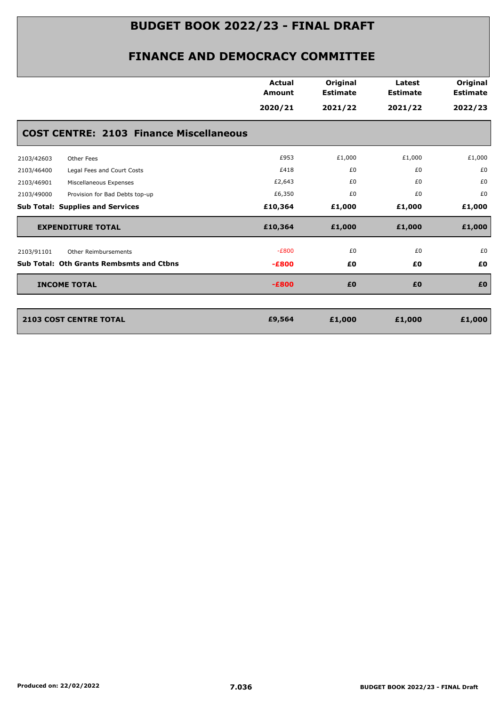|            |                                                 | <b>Actual</b><br><b>Amount</b> | Original<br><b>Estimate</b> | Latest<br><b>Estimate</b> | Original<br><b>Estimate</b> |
|------------|-------------------------------------------------|--------------------------------|-----------------------------|---------------------------|-----------------------------|
|            |                                                 | 2020/21                        | 2021/22                     | 2021/22                   | 2022/23                     |
|            | <b>COST CENTRE: 2103 Finance Miscellaneous</b>  |                                |                             |                           |                             |
| 2103/42603 | Other Fees                                      | £953                           | £1,000                      | £1,000                    | £1,000                      |
| 2103/46400 | Legal Fees and Court Costs                      | £418                           | £0                          | £0                        | £0                          |
| 2103/46901 | Miscellaneous Expenses                          | £2,643                         | £0                          | £0                        | £0                          |
| 2103/49000 | Provision for Bad Debts top-up                  | £6,350                         | £0                          | £0                        | £0                          |
|            | <b>Sub Total: Supplies and Services</b>         | £10,364                        | £1,000                      | £1,000                    | £1,000                      |
|            | <b>EXPENDITURE TOTAL</b>                        | £10,364                        | £1,000                      | £1,000                    | £1,000                      |
| 2103/91101 | Other Reimbursements                            | $-E800$                        | £0                          | £0                        | £0                          |
|            | <b>Sub Total: Oth Grants Rembsmts and Ctbns</b> | $-E800$                        | £0                          | £0                        | £0                          |
|            | <b>INCOME TOTAL</b>                             | $-E800$                        | £0                          | £0                        | £0                          |
|            |                                                 |                                |                             |                           |                             |
|            | <b>2103 COST CENTRE TOTAL</b>                   | £9,564                         | £1,000                      | £1,000                    | £1,000                      |
|            |                                                 |                                |                             |                           |                             |
|            |                                                 |                                |                             |                           |                             |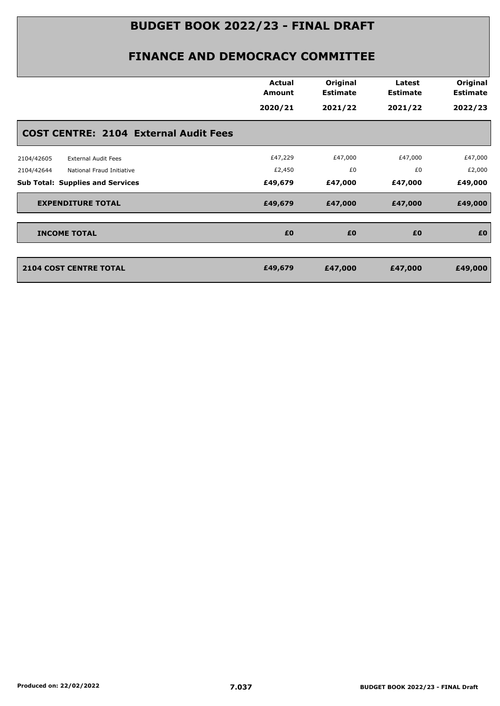|                                              | <b>Actual</b><br>Amount | Original<br><b>Estimate</b> | Latest<br><b>Estimate</b> | Original<br><b>Estimate</b> |
|----------------------------------------------|-------------------------|-----------------------------|---------------------------|-----------------------------|
|                                              | 2020/21                 | 2021/22                     | 2021/22                   | 2022/23                     |
| <b>COST CENTRE: 2104 External Audit Fees</b> |                         |                             |                           |                             |
| 2104/42605<br><b>External Audit Fees</b>     | £47,229                 | £47,000                     | £47,000                   | £47,000                     |
| 2104/42644<br>National Fraud Initiative      | £2,450                  | £0                          | £0                        | £2,000                      |
| <b>Sub Total: Supplies and Services</b>      | £49,679                 | £47,000                     | £47,000                   | £49,000                     |
| <b>EXPENDITURE TOTAL</b>                     | £49,679                 | £47,000                     | £47,000                   | £49,000                     |
| <b>INCOME TOTAL</b>                          | £0                      | £0                          | £0                        | £O                          |
|                                              |                         |                             |                           |                             |
| <b>2104 COST CENTRE TOTAL</b>                | £49,679                 | £47,000                     | £47,000                   | £49,000                     |
|                                              |                         |                             |                           |                             |
|                                              |                         |                             |                           |                             |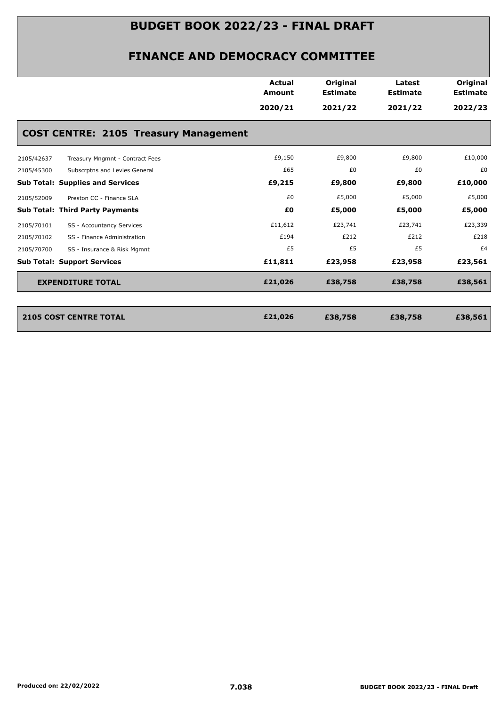| 2020/21<br><b>COST CENTRE: 2105 Treasury Management</b> | 2021/22 | 2021/22 | 2022/23 |
|---------------------------------------------------------|---------|---------|---------|
|                                                         |         |         |         |
|                                                         |         |         |         |
| £9,150                                                  | £9,800  | £9,800  | £10,000 |
| £65                                                     | £0      | £0      | £0      |
| £9,215                                                  | £9,800  | £9,800  | £10,000 |
| £0                                                      | £5,000  | £5,000  | £5,000  |
| £Ο                                                      | £5,000  | £5,000  | £5,000  |
| £11,612                                                 | £23,741 | £23,741 | £23,339 |
| £194                                                    | £212    | £212    | £218    |
| £5                                                      | £5      | £5      | £4      |
| £11,811                                                 | £23,958 | £23,958 | £23,561 |
| £21,026                                                 | £38,758 | £38,758 | £38,561 |
|                                                         |         |         |         |

| 2105 COST CENTRE TOTAL | £21,026 | £38,758 | £38,758 | £38,561 |
|------------------------|---------|---------|---------|---------|
|                        |         |         |         |         |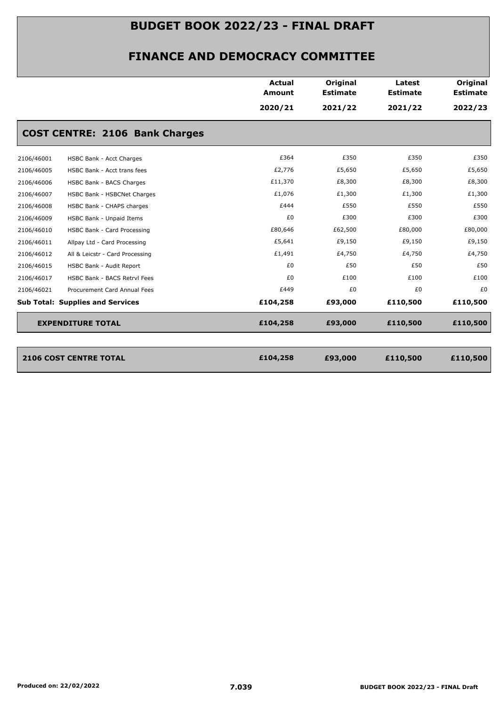|            |                                         | Actual<br>Amount | Original<br><b>Estimate</b> | Latest<br><b>Estimate</b> | Original<br><b>Estimate</b> |
|------------|-----------------------------------------|------------------|-----------------------------|---------------------------|-----------------------------|
|            |                                         | 2020/21          | 2021/22                     | 2021/22                   | 2022/23                     |
|            | <b>COST CENTRE: 2106 Bank Charges</b>   |                  |                             |                           |                             |
| 2106/46001 | HSBC Bank - Acct Charges                | £364             | £350                        | £350                      | £350                        |
| 2106/46005 | HSBC Bank - Acct trans fees             | £2,776           | £5,650                      | £5,650                    | £5,650                      |
| 2106/46006 | HSBC Bank - BACS Charges                | £11,370          | £8,300                      | £8,300                    | £8,300                      |
| 2106/46007 | HSBC Bank - HSBCNet Charges             | £1,076           | £1,300                      | £1,300                    | £1,300                      |
| 2106/46008 | HSBC Bank - CHAPS charges               | £444             | £550                        | £550                      | £550                        |
| 2106/46009 | HSBC Bank - Unpaid Items                | £0               | £300                        | £300                      | £300                        |
| 2106/46010 | HSBC Bank - Card Processing             | £80,646          | £62,500                     | £80,000                   | £80,000                     |
| 2106/46011 | Allpay Ltd - Card Processing            | £5,641           | £9,150                      | £9,150                    | £9,150                      |
| 2106/46012 | All & Leicstr - Card Processing         | £1,491           | £4,750                      | £4,750                    | £4,750                      |
| 2106/46015 | HSBC Bank - Audit Report                | £0               | £50                         | £50                       | £50                         |
| 2106/46017 | HSBC Bank - BACS Retrvl Fees            | £0               | £100                        | £100                      | £100                        |
| 2106/46021 | Procurement Card Annual Fees            | £449             | £0                          | £0                        | £0                          |
|            | <b>Sub Total: Supplies and Services</b> | £104,258         | £93,000                     | £110,500                  | £110,500                    |
|            | <b>EXPENDITURE TOTAL</b>                | £104,258         | £93,000                     | £110,500                  | £110,500                    |
|            | <b>2106 COST CENTRE TOTAL</b>           | £104,258         | £93,000                     | £110,500                  | £110,500                    |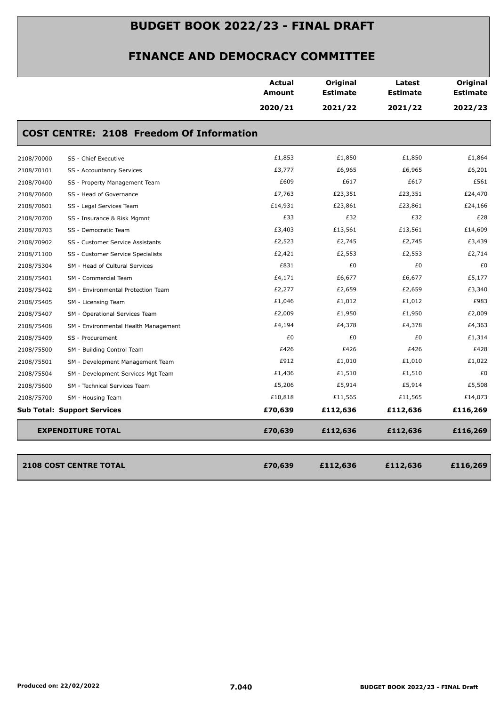|                          |                                                 | <b>Actual</b><br><b>Amount</b> | Original<br><b>Estimate</b> | Latest<br><b>Estimate</b> | Original<br><b>Estimate</b> |
|--------------------------|-------------------------------------------------|--------------------------------|-----------------------------|---------------------------|-----------------------------|
|                          |                                                 | 2020/21                        | 2021/22                     | 2021/22                   | 2022/23                     |
|                          | <b>COST CENTRE: 2108 Freedom Of Information</b> |                                |                             |                           |                             |
| 2108/70000               | SS - Chief Executive                            | £1,853                         | £1,850                      | £1,850                    | £1,864                      |
| 2108/70101               | SS - Accountancy Services                       | £3,777                         | £6,965                      | £6,965                    | £6,201                      |
| 2108/70400               | SS - Property Management Team                   | £609                           | £617                        | £617                      | £561                        |
| 2108/70600               | SS - Head of Governance                         | £7,763                         | £23,351                     | £23,351                   | £24,470                     |
| 2108/70601               | SS - Legal Services Team                        | £14,931                        | £23,861                     | £23,861                   | £24,166                     |
| 2108/70700               | SS - Insurance & Risk Mgmnt                     | £33                            | £32                         | £32                       | £28                         |
| 2108/70703               | SS - Democratic Team                            | £3,403                         | £13,561                     | £13,561                   | £14,609                     |
| 2108/70902               | SS - Customer Service Assistants                | £2,523                         | £2,745                      | £2,745                    | £3,439                      |
| 2108/71100               | SS - Customer Service Specialists               | £2,421                         | £2,553                      | £2,553                    | £2,714                      |
| 2108/75304               | SM - Head of Cultural Services                  | £831                           | £0                          | £0                        | £0                          |
| 2108/75401               | SM - Commercial Team                            | £4,171                         | £6,677                      | £6,677                    | £5,177                      |
| 2108/75402               | SM - Environmental Protection Team              | £2,277                         | £2,659                      | £2,659                    | £3,340                      |
| 2108/75405               | SM - Licensing Team                             | £1,046                         | £1,012                      | £1,012                    | £983                        |
| 2108/75407               | SM - Operational Services Team                  | £2,009                         | £1,950                      | £1,950                    | £2,009                      |
| 2108/75408               | SM - Environmental Health Management            | £4,194                         | £4,378                      | £4,378                    | £4,363                      |
| 2108/75409               | SS - Procurement                                | £0                             | £0                          | £0                        | £1,314                      |
| 2108/75500               | SM - Building Control Team                      | £426                           | £426                        | £426                      | £428                        |
| 2108/75501               | SM - Development Management Team                | £912                           | £1,010                      | £1,010                    | £1,022                      |
| 2108/75504               | SM - Development Services Mgt Team              | £1,436                         | £1,510                      | £1,510                    | £0                          |
| 2108/75600               | SM - Technical Services Team                    | £5,206                         | £5,914                      | £5,914                    | £5,508                      |
| 2108/75700               | SM - Housing Team                               | £10,818                        | £11,565                     | £11,565                   | £14,073                     |
|                          | <b>Sub Total: Support Services</b>              | £70,639                        | £112,636                    | £112,636                  | £116,269                    |
| <b>EXPENDITURE TOTAL</b> |                                                 | £70,639                        | £112,636                    | £112,636                  | £116,269                    |
|                          | <b>2108 COST CENTRE TOTAL</b>                   | £70,639                        | £112,636                    | £112,636                  | £116,269                    |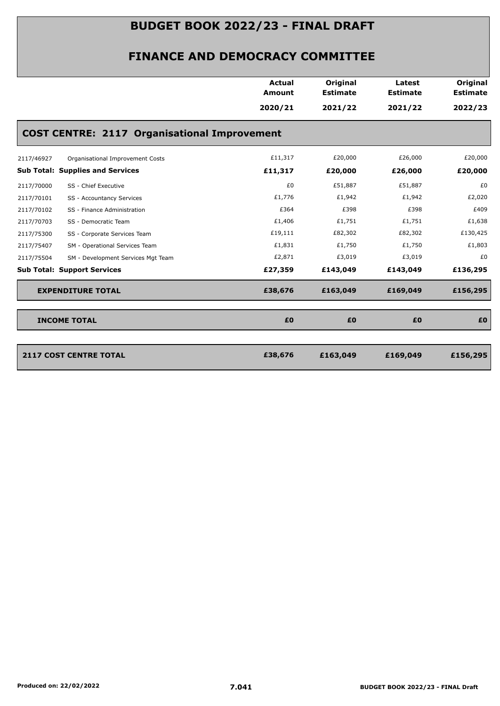|                                           |                                                     | <b>Amount</b> | <b>Estimate</b> | <b>Estimate</b> | <b>Estimate</b> |
|-------------------------------------------|-----------------------------------------------------|---------------|-----------------|-----------------|-----------------|
|                                           |                                                     | 2020/21       | 2021/22         | 2021/22         | 2022/23         |
|                                           | <b>COST CENTRE: 2117 Organisational Improvement</b> |               |                 |                 |                 |
| 2117/46927                                | Organisational Improvement Costs                    | £11,317       | £20,000         | £26,000         | £20,000         |
| <b>Sub Total: Supplies and Services</b>   |                                                     | £11,317       | £20,000         | £26,000         | £20,000         |
| 2117/70000<br>SS - Chief Executive        |                                                     | £0            | £51,887         | £51,887         | £0              |
| 2117/70101<br>SS - Accountancy Services   |                                                     | £1,776        | £1,942          | £1,942          | £2,020          |
| 2117/70102<br>SS - Finance Administration |                                                     | £364          | £398            | £398            | £409            |
| 2117/70703<br>SS - Democratic Team        |                                                     | £1,406        | £1,751          | £1,751          | £1,638          |
| 2117/75300                                | SS - Corporate Services Team                        | £19,111       | £82,302         | £82,302         | £130,425        |
| 2117/75407                                | SM - Operational Services Team                      | £1,831        | £1,750          | £1,750          | £1,803          |
| 2117/75504                                | SM - Development Services Mgt Team                  | £2,871        | £3,019          | £3,019          | £0              |
| <b>Sub Total: Support Services</b>        |                                                     | £27,359       | £143,049        | £143,049        | £136,295        |
| <b>EXPENDITURE TOTAL</b>                  |                                                     | £38,676       | £163,049        | £169,049        | £156,295        |
| <b>INCOME TOTAL</b>                       |                                                     | £0            | £0              | £0              | £0              |
| <b>2117 COST CENTRE TOTAL</b>             |                                                     | £38,676       | £163,049        | £169,049        | £156,295        |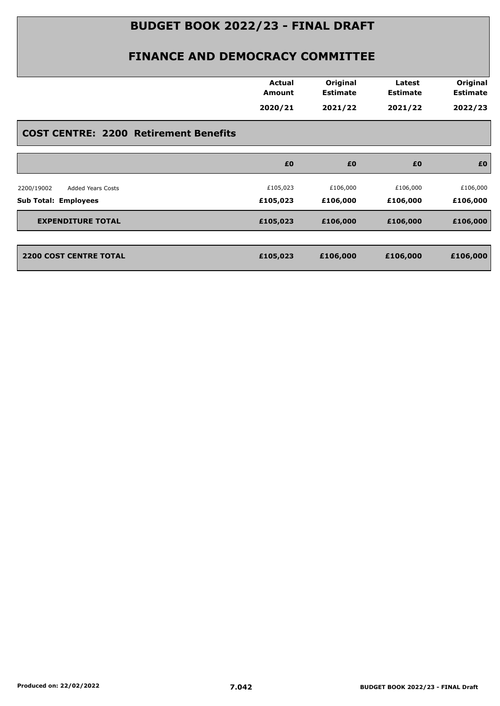|                                              | <b>Actual</b> | Original        | Latest          | Original        |
|----------------------------------------------|---------------|-----------------|-----------------|-----------------|
|                                              | Amount        | <b>Estimate</b> | <b>Estimate</b> | <b>Estimate</b> |
|                                              | 2020/21       | 2021/22         | 2021/22         | 2022/23         |
| <b>COST CENTRE: 2200 Retirement Benefits</b> |               |                 |                 |                 |
|                                              | £0            | £0              | £0              | £0              |
| <b>Added Years Costs</b><br>2200/19002       | £105,023      | £106,000        | £106,000        | £106,000        |
| <b>Sub Total: Employees</b>                  | £105,023      | £106,000        | £106,000        | £106,000        |
| <b>EXPENDITURE TOTAL</b>                     | £105,023      | £106,000        | £106,000        | £106,000        |
|                                              | £105,023      | £106,000        | £106,000        | £106,000        |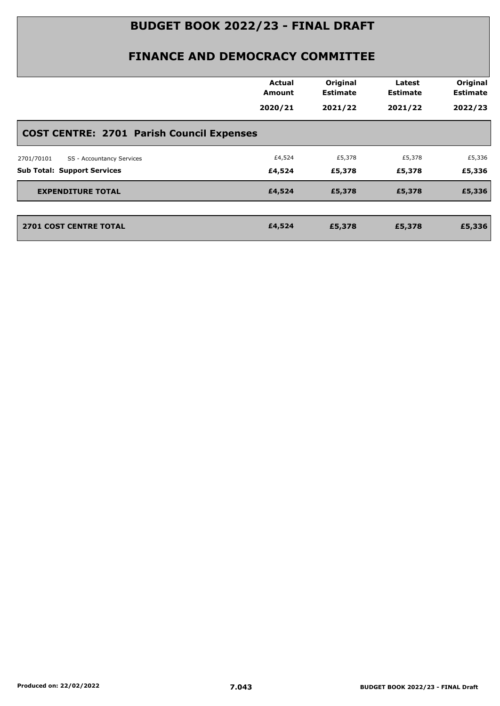| Actual<br><b>Amount</b>                          | Original<br><b>Estimate</b> | Latest<br><b>Estimate</b> | Original<br><b>Estimate</b> |
|--------------------------------------------------|-----------------------------|---------------------------|-----------------------------|
| 2020/21                                          | 2021/22                     | 2021/22                   | 2022/23                     |
| <b>COST CENTRE: 2701 Parish Council Expenses</b> |                             |                           |                             |
| £4,524                                           | £5,378                      | £5,378                    | £5,336                      |
| £4,524                                           | £5,378                      | £5,378                    | £5,336                      |
| £4,524                                           | £5,378                      | £5,378                    | £5,336                      |
| £4,524                                           | £5,378                      | £5,378                    | £5,336                      |
|                                                  |                             |                           |                             |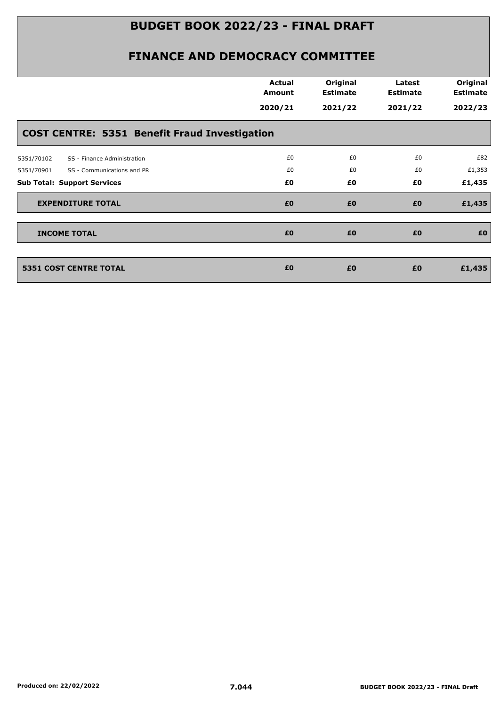|                                                      | <b>Actual</b><br><b>Amount</b> | Original<br><b>Estimate</b> | Latest<br><b>Estimate</b> | Original<br><b>Estimate</b> |
|------------------------------------------------------|--------------------------------|-----------------------------|---------------------------|-----------------------------|
|                                                      | 2020/21                        | 2021/22                     | 2021/22                   | 2022/23                     |
| <b>COST CENTRE: 5351 Benefit Fraud Investigation</b> |                                |                             |                           |                             |
| 5351/70102<br>SS - Finance Administration            | £0                             | £0                          | £0                        | £82                         |
| 5351/70901<br>SS - Communications and PR             | £0                             | £0                          | £0                        | £1,353                      |
| <b>Sub Total: Support Services</b>                   | £0                             | £0                          | £0                        | £1,435                      |
| <b>EXPENDITURE TOTAL</b>                             | £0                             | £0                          | £0                        | £1,435                      |
| <b>INCOME TOTAL</b>                                  | £0                             | £0                          | £0                        | £0                          |
|                                                      |                                |                             |                           |                             |
| <b>5351 COST CENTRE TOTAL</b>                        | £0                             | £0                          | £0                        | £1,435                      |
|                                                      |                                |                             |                           |                             |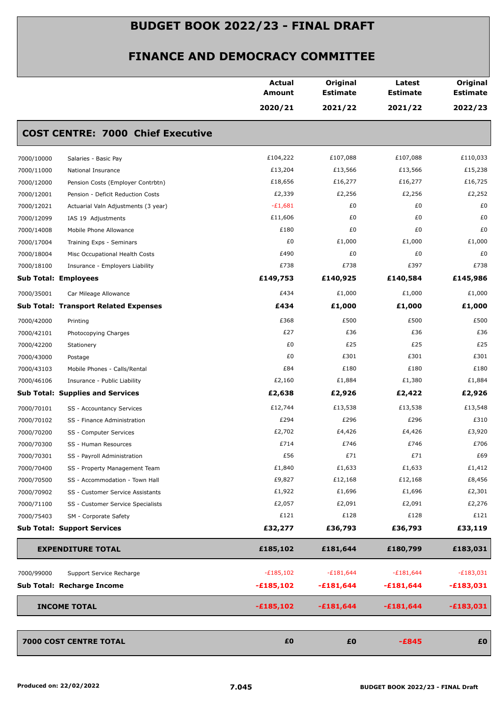|                                                   | <b>Actual</b><br><b>Amount</b> | Original<br><b>Estimate</b> | Latest<br><b>Estimate</b> | Original<br><b>Estimate</b> |
|---------------------------------------------------|--------------------------------|-----------------------------|---------------------------|-----------------------------|
|                                                   | 2020/21                        | 2021/22                     | 2021/22                   | 2022/23                     |
| <b>COST CENTRE: 7000 Chief Executive</b>          |                                |                             |                           |                             |
| 7000/10000<br>Salaries - Basic Pay                | £104,222                       | £107,088                    | £107,088                  | £110,033                    |
| 7000/11000<br>National Insurance                  | £13,204                        | £13,566                     | £13,566                   | £15,238                     |
| 7000/12000<br>Pension Costs (Employer Contrbtn)   | £18,656                        | £16,277                     | £16,277                   | £16,725                     |
| 7000/12001<br>Pension - Deficit Reduction Costs   | £2,339                         | £2,256                      | £2,256                    | £2,252                      |
| 7000/12021<br>Actuarial Valn Adjustments (3 year) | $-E1,681$                      | £0                          | £0                        | £0                          |
| 7000/12099<br>IAS 19 Adjustments                  | £11,606                        | £0                          | £0                        | £0                          |
| 7000/14008<br>Mobile Phone Allowance              | £180                           | £0                          | £0                        | £0                          |
| 7000/17004<br>Training Exps - Seminars            | £0                             | £1,000                      | £1,000                    | £1,000                      |
| 7000/18004<br>Misc Occupational Health Costs      | £490                           | £0                          | £0                        | £0                          |
| 7000/18100<br>Insurance - Employers Liability     | £738                           | £738                        | £397                      | £738                        |
| <b>Sub Total: Employees</b>                       | £149,753                       | £140,925                    | £140,584                  | £145,986                    |
| 7000/35001<br>Car Mileage Allowance               | £434                           | £1,000                      | £1,000                    | £1,000                      |
| <b>Sub Total: Transport Related Expenses</b>      | £434                           | £1,000                      | £1,000                    | £1,000                      |
| 7000/42000<br>Printing                            | £368                           | £500                        | £500                      | £500                        |
| 7000/42101<br>Photocopying Charges                | £27                            | £36                         | £36                       | £36                         |
| 7000/42200<br>Stationery                          | £0                             | £25                         | £25                       | £25                         |
| 7000/43000<br>Postage                             | £0                             | £301                        | £301                      | £301                        |
| 7000/43103<br>Mobile Phones - Calls/Rental        | £84                            | £180                        | £180                      | £180                        |
| 7000/46106<br>Insurance - Public Liability        | £2,160                         | £1,884                      | £1,380                    | £1,884                      |
| <b>Sub Total: Supplies and Services</b>           | £2,638                         | £2,926                      | £2,422                    | £2,926                      |
| 7000/70101<br>SS - Accountancy Services           | £12,744                        | £13,538                     | £13,538                   | £13,548                     |
| 7000/70102<br>SS - Finance Administration         | £294                           | £296                        | £296                      | £310                        |
| 7000/70200<br>SS - Computer Services              | £2,702                         | £4,426                      | £4,426                    | £3,920                      |
| 7000/70300<br>SS - Human Resources                | £714                           | £746                        | £746                      | £706                        |
| 7000/70301<br>SS - Payroll Administration         | £56                            | £71                         | £71                       | £69                         |
| 7000/70400<br>SS - Property Management Team       | £1,840                         | £1,633                      | £1,633                    | £1,412                      |
| 7000/70500<br>SS - Accommodation - Town Hall      | £9,827                         | £12,168                     | £12,168                   | £8,456                      |
| 7000/70902<br>SS - Customer Service Assistants    | £1,922                         | £1,696                      | £1,696                    | £2,301                      |
| 7000/71100<br>SS - Customer Service Specialists   | £2,057                         | £2,091                      | £2,091                    | £2,276                      |
| 7000/75403<br>SM - Corporate Safety               | £121                           | £128                        | £128                      | £121                        |
| <b>Sub Total: Support Services</b>                | £32,277                        | £36,793                     | £36,793                   | £33,119                     |
| <b>EXPENDITURE TOTAL</b>                          | £185,102                       | £181,644                    | £180,799                  | £183,031                    |
| 7000/99000<br>Support Service Recharge            | $-E185,102$                    | $-£181,644$                 | $-£181,644$               | $-E183,031$                 |
| Sub Total: Recharge Income                        | $-£185,102$                    | $-£181,644$                 | $-£181,644$               | $-£183,031$                 |
| <b>INCOME TOTAL</b>                               | $-£185,102$                    |                             |                           |                             |
|                                                   |                                | $-£181,644$                 | $-£181,644$               | $-£183,031$                 |
| 7000 COST CENTRE TOTAL                            | £0                             | £0                          | $-E845$                   | £0                          |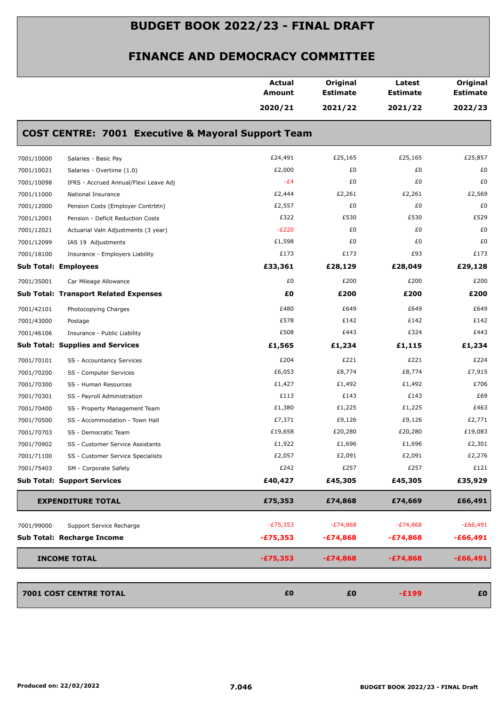|            |                                                               | <b>Actual</b><br><b>Amount</b> | Original<br><b>Estimate</b> | Latest<br><b>Estimate</b> | Original<br><b>Estimate</b> |
|------------|---------------------------------------------------------------|--------------------------------|-----------------------------|---------------------------|-----------------------------|
|            |                                                               | 2020/21                        | 2021/22                     | 2021/22                   | 2022/23                     |
|            | <b>COST CENTRE: 7001 Executive &amp; Mayoral Support Team</b> |                                |                             |                           |                             |
| 7001/10000 | Salaries - Basic Pay                                          | £24,491                        | £25,165                     | £25,165                   | £25,857                     |
| 7001/10021 | Salaries - Overtime (1.0)                                     | £2,000                         | £0                          | £0                        | £0                          |
| 7001/10098 | IFRS - Accrued Annual/Flexi Leave Adj                         | $-E4$                          | £0                          | £0                        | £0                          |
| 7001/11000 | National Insurance                                            | £2,444                         | £2,261                      | £2,261                    | £2,569                      |
| 7001/12000 | Pension Costs (Employer Contrbtn)                             | £2,557                         | £0                          | £0                        | £0                          |
| 7001/12001 | Pension - Deficit Reduction Costs                             | £322                           | £530                        | £530                      | £529                        |
| 7001/12021 | Actuarial Valn Adjustments (3 year)                           | $-E220$                        | £0                          | £0                        | £0                          |
| 7001/12099 | IAS 19 Adjustments                                            | £1,598                         | £0                          | £0                        | £0                          |
| 7001/18100 | Insurance - Employers Liability                               | £173                           | £173                        | £93                       | £173                        |
|            | <b>Sub Total: Employees</b>                                   | £33,361                        | £28,129                     | £28,049                   | £29,128                     |
| 7001/35001 | Car Mileage Allowance                                         | £0                             | £200                        | £200                      | £200                        |
|            | <b>Sub Total: Transport Related Expenses</b>                  | £0                             | £200                        | £200                      | £200                        |
| 7001/42101 | Photocopying Charges                                          | £480                           | £649                        | £649                      | £649                        |
| 7001/43000 | Postage                                                       | £578                           | £142                        | £142                      | £142                        |
| 7001/46106 | Insurance - Public Liability                                  | £508                           | £443                        | £324                      | £443                        |
|            | <b>Sub Total: Supplies and Services</b>                       | £1,565                         | £1,234                      | £1,115                    | £1,234                      |
| 7001/70101 | SS - Accountancy Services                                     | £204                           | £221                        | £221                      | £224                        |
| 7001/70200 | SS - Computer Services                                        | £6,053                         | £8,774                      | £8,774                    | £7,915                      |
| 7001/70300 | SS - Human Resources                                          | £1,427                         | £1,492                      | £1,492                    | £706                        |
| 7001/70301 | SS - Payroll Administration                                   | £113                           | £143                        | £143                      | £69                         |
| 7001/70400 | SS - Property Management Team                                 | £1,380                         | £1,225                      | £1,225                    | £463                        |
| 7001/70500 | SS - Accommodation - Town Hall                                | £7,371                         | £9,126                      | £9,126                    | £2,771                      |
| 7001/70703 | SS - Democratic Team                                          | £19,658                        | £20,280                     | £20,280                   | £19,083                     |
| 7001/70902 | SS - Customer Service Assistants                              | £1,922                         | £1,696                      | £1,696                    | £2,301                      |
| 7001/71100 | SS - Customer Service Specialists                             | £2,057                         | £2,091                      | £2,091                    | £2,276                      |
| 7001/75403 | SM - Corporate Safety                                         | £242                           | £257                        | £257                      | £121                        |
|            | <b>Sub Total: Support Services</b>                            | £40,427                        | £45,305                     | £45,305                   | £35,929                     |
|            | <b>EXPENDITURE TOTAL</b>                                      | £75,353                        | £74,868                     | £74,669                   | £66,491                     |
| 7001/99000 | Support Service Recharge                                      | $-E75,353$                     | $-E74,868$                  | $-E74,868$                | $-E66,491$                  |
|            | Sub Total: Recharge Income                                    | $-£75,353$                     | $-£74,868$                  | $-£74,868$                | -£66,491                    |
|            | <b>INCOME TOTAL</b>                                           | $-£75,353$                     | $-£74,868$                  | $-£74,868$                | $-£66,491$                  |
|            | 7001 COST CENTRE TOTAL                                        | £0                             | £0                          | $-E199$                   | £0                          |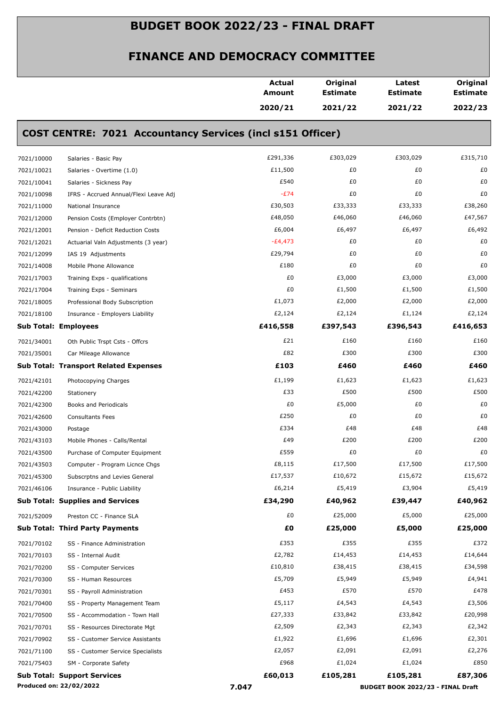|            |                                                                   | Actual<br>Amount | Original<br><b>Estimate</b> | Latest<br><b>Estimate</b>         | Original<br><b>Estimate</b> |
|------------|-------------------------------------------------------------------|------------------|-----------------------------|-----------------------------------|-----------------------------|
|            |                                                                   | 2020/21          | 2021/22                     | 2021/22                           | 2022/23                     |
|            | <b>COST CENTRE: 7021 Accountancy Services (incl s151 Officer)</b> |                  |                             |                                   |                             |
| 7021/10000 | Salaries - Basic Pay                                              | £291,336         | £303,029                    | £303,029                          | £315,710                    |
| 7021/10021 | Salaries - Overtime (1.0)                                         | £11,500          | £0                          | £0                                | £0                          |
| 7021/10041 | Salaries - Sickness Pay                                           | £540             | £0                          | £0                                | £0                          |
| 7021/10098 | IFRS - Accrued Annual/Flexi Leave Adj                             | $-E74$           | £0                          | £0                                | £0                          |
| 7021/11000 | National Insurance                                                | £30,503          | £33,333                     | £33,333                           | £38,260                     |
| 7021/12000 | Pension Costs (Employer Contrbtn)                                 | £48,050          | £46,060                     | £46,060                           | £47,567                     |
| 7021/12001 | Pension - Deficit Reduction Costs                                 | £6,004           | £6,497                      | £6,497                            | £6,492                      |
| 7021/12021 | Actuarial Valn Adjustments (3 year)                               | $-E4,473$        | £0                          | £0                                | £0                          |
| 7021/12099 | IAS 19 Adjustments                                                | £29,794          | £0                          | £0                                | £0                          |
| 7021/14008 | Mobile Phone Allowance                                            | £180             | £0                          | £0                                | £0                          |
| 7021/17003 | Training Exps - qualifications                                    | £0               | £3,000                      | £3,000                            | £3,000                      |
| 7021/17004 | Training Exps - Seminars                                          | £0               | £1,500                      | £1,500                            | £1,500                      |
| 7021/18005 | Professional Body Subscription                                    | £1,073           | £2,000                      | £2,000                            | £2,000                      |
| 7021/18100 | Insurance - Employers Liability                                   | £2,124           | £2,124                      | £1,124                            | £2,124                      |
|            | <b>Sub Total: Employees</b>                                       | £416,558         | £397,543                    | £396,543                          | £416,653                    |
| 7021/34001 | Oth Public Trspt Csts - Offcrs                                    | £21              | £160                        | £160                              | £160                        |
| 7021/35001 | Car Mileage Allowance                                             | £82              | £300                        | £300                              | £300                        |
|            | <b>Sub Total: Transport Related Expenses</b>                      | £103             | £460                        | £460                              | £460                        |
| 7021/42101 | Photocopying Charges                                              | £1,199           | £1,623                      | £1,623                            | £1,623                      |
| 7021/42200 | Stationery                                                        | £33              | £500                        | £500                              | £500                        |
| 7021/42300 | Books and Periodicals                                             | £0               | £5,000                      | £0                                | £0                          |
| 7021/42600 | <b>Consultants Fees</b>                                           | £250             | £0                          | £0                                | £0                          |
| 7021/43000 | Postage                                                           | £334             | £48                         | £48                               | £48                         |
| 7021/43103 | Mobile Phones - Calls/Rental                                      | £49              | £200                        | £200                              | £200                        |
| 7021/43500 | Purchase of Computer Equipment                                    | £559             | £0                          | £0                                | £0                          |
| 7021/43503 | Computer - Program Licnce Chgs                                    | £8,115           | £17,500                     | £17,500                           | £17,500                     |
| 7021/45300 | Subscrptns and Levies General                                     | £17,537          | £10,672                     | £15,672                           | £15,672                     |
| 7021/46106 | Insurance - Public Liability                                      | £6,214           | £5,419                      | £3,904                            | £5,419                      |
|            | <b>Sub Total: Supplies and Services</b>                           | £34,290          | £40,962                     | £39,447                           | £40,962                     |
| 7021/52009 | Preston CC - Finance SLA                                          | £0               | £25,000                     | £5,000                            | £25,000                     |
|            | <b>Sub Total: Third Party Payments</b>                            | £Ο               | £25,000                     | £5,000                            | £25,000                     |
| 7021/70102 | SS - Finance Administration                                       | £353             | £355                        | £355                              | £372                        |
| 7021/70103 | SS - Internal Audit                                               | £2,782           | £14,453                     | £14,453                           | £14,644                     |
| 7021/70200 | SS - Computer Services                                            | £10,810          | £38,415                     | £38,415                           | £34,598                     |
| 7021/70300 | SS - Human Resources                                              | £5,709           | £5,949                      | £5,949                            | £4,941                      |
| 7021/70301 | SS - Payroll Administration                                       | £453             | £570                        | £570                              | £478                        |
| 7021/70400 | SS - Property Management Team                                     | £5,117           | £4,543                      | £4,543                            | £3,506                      |
| 7021/70500 | SS - Accommodation - Town Hall                                    | £27,333          | £33,842                     | £33,842                           | £20,998                     |
| 7021/70701 | SS - Resources Directorate Mgt                                    | £2,509           | £2,343                      | £2,343                            | £2,342                      |
| 7021/70902 | SS - Customer Service Assistants                                  | £1,922           | £1,696                      | £1,696                            | £2,301                      |
| 7021/71100 | SS - Customer Service Specialists                                 | £2,057           | £2,091                      | £2,091                            | £2,276                      |
| 7021/75403 | SM - Corporate Safety                                             | £968             | £1,024                      | £1,024                            | £850                        |
|            | <b>Sub Total: Support Services</b>                                | £60,013          | £105,281                    | £105,281                          | £87,306                     |
|            | Produced on: 22/02/2022                                           | 7.047            |                             | BUDGET BOOK 2022/23 - FINAL Draft |                             |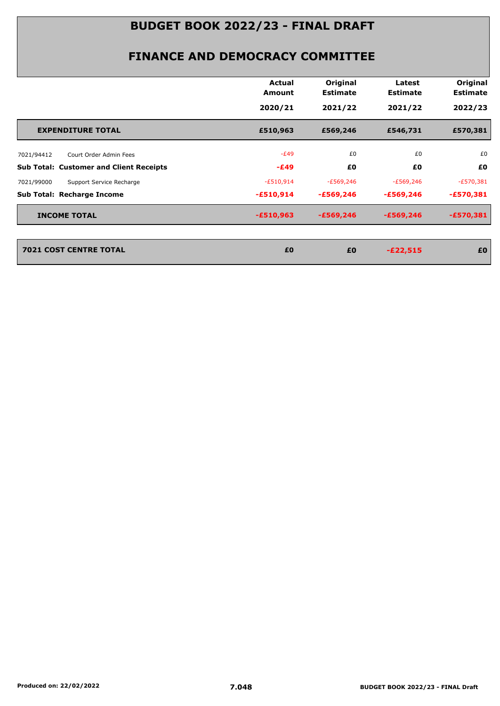#### **FINANCE AND DEMOCRACY COMMITTEE**

|                                                | Actual<br><b>Amount</b> | Original<br><b>Estimate</b> | Latest<br><b>Estimate</b> | Original<br><b>Estimate</b> |
|------------------------------------------------|-------------------------|-----------------------------|---------------------------|-----------------------------|
|                                                | 2020/21                 | 2021/22                     | 2021/22                   | 2022/23                     |
| <b>EXPENDITURE TOTAL</b>                       | £510,963                | £569,246                    | £546,731                  | £570,381                    |
| 7021/94412<br>Court Order Admin Fees           | $-E49$                  | £0                          | £0                        | £0                          |
| <b>Sub Total: Customer and Client Receipts</b> | $-E49$                  | £0                          | £0                        | £0                          |
| Support Service Recharge<br>7021/99000         | $-E510,914$             | $-£569,246$                 | $-E569,246$               | $-E570,381$                 |
| Sub Total: Recharge Income                     | $-£510,914$             | $-£569,246$                 | -£569,246                 | $-£570,381$                 |
| <b>INCOME TOTAL</b>                            | $-£510,963$             | $-£569,246$                 | $-£569,246$               | $-£570,381$                 |
|                                                |                         |                             |                           |                             |
| <b>7021 COST CENTRE TOTAL</b>                  | £0                      | £0                          | $-E22,515$                | £0                          |

*2021 COST CENTRE TOTAL EO <b>20<br><i>EO EO*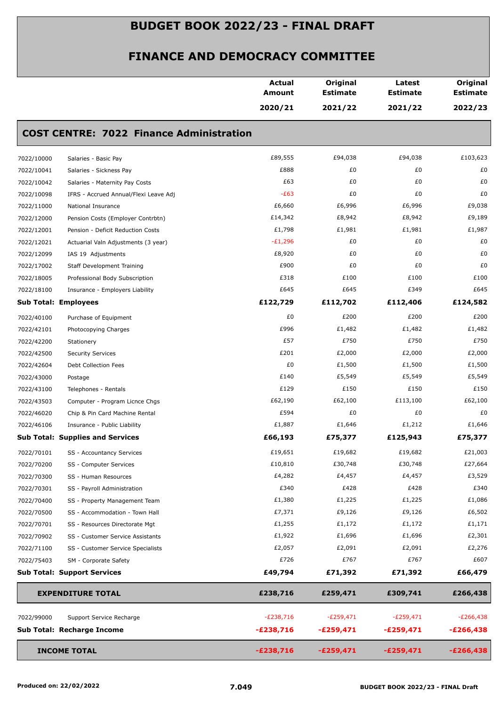|            |                                                 | Actual<br>Amount | Original<br><b>Estimate</b> | Latest<br><b>Estimate</b> | Original<br><b>Estimate</b> |
|------------|-------------------------------------------------|------------------|-----------------------------|---------------------------|-----------------------------|
|            |                                                 | 2020/21          | 2021/22                     | 2021/22                   | 2022/23                     |
|            | <b>COST CENTRE: 7022 Finance Administration</b> |                  |                             |                           |                             |
| 7022/10000 | Salaries - Basic Pay                            | £89,555          | £94,038                     | £94,038                   | £103,623                    |
| 7022/10041 | Salaries - Sickness Pay                         | £888             | £0                          | £0                        | £0                          |
| 7022/10042 | Salaries - Maternity Pay Costs                  | £63              | £0                          | £0                        | £0                          |
| 7022/10098 | IFRS - Accrued Annual/Flexi Leave Adj           | $-E63$           | £0                          | £0                        | £0                          |
| 7022/11000 | National Insurance                              | £6,660           | £6,996                      | £6,996                    | £9,038                      |
| 7022/12000 | Pension Costs (Employer Contrbtn)               | £14,342          | £8,942                      | £8,942                    | £9,189                      |
| 7022/12001 | Pension - Deficit Reduction Costs               | £1,798           | £1,981                      | £1,981                    | £1,987                      |
| 7022/12021 | Actuarial Valn Adjustments (3 year)             | $-E1,296$        | £0                          | £0                        | £0                          |
| 7022/12099 | IAS 19 Adjustments                              | £8,920           | £0                          | £0                        | £0                          |
| 7022/17002 | <b>Staff Development Training</b>               | £900             | £0                          | £0                        | £0                          |
| 7022/18005 | Professional Body Subscription                  | £318             | £100                        | £100                      | £100                        |
| 7022/18100 | Insurance - Employers Liability                 | £645             | £645                        | £349                      | £645                        |
|            | <b>Sub Total: Employees</b>                     | £122,729         | £112,702                    | £112,406                  | £124,582                    |
| 7022/40100 | Purchase of Equipment                           | £0               | £200                        | £200                      | £200                        |
| 7022/42101 | Photocopying Charges                            | £996             | £1,482                      | £1,482                    | £1,482                      |
| 7022/42200 | Stationery                                      | £57              | £750                        | £750                      | £750                        |
| 7022/42500 | <b>Security Services</b>                        | £201             | £2,000                      | £2,000                    | £2,000                      |
| 7022/42604 | Debt Collection Fees                            | £0               | £1,500                      | £1,500                    | £1,500                      |
| 7022/43000 | Postage                                         | £140             | £5,549                      | £5,549                    | £5,549                      |
| 7022/43100 | Telephones - Rentals                            | £129             | £150                        | £150                      | £150                        |
| 7022/43503 | Computer - Program Licnce Chgs                  | £62,190          | £62,100                     | £113,100                  | £62,100                     |
| 7022/46020 | Chip & Pin Card Machine Rental                  | £594             | £0                          | £0                        | £0                          |
| 7022/46106 | Insurance - Public Liability                    | £1,887           | £1,646                      | £1,212                    | £1,646                      |
|            | <b>Sub Total: Supplies and Services</b>         | £66,193          | £75,377                     | £125,943                  | £75,377                     |
| 7022/70101 | SS - Accountancy Services                       | £19,651          | £19,682                     | £19,682                   | £21,003                     |
| 7022/70200 | SS - Computer Services                          | £10,810          | £30,748                     | £30,748                   | £27,664                     |
| 7022/70300 | SS - Human Resources                            | £4,282           | £4,457                      | £4,457                    | £3,529                      |
| 7022/70301 | SS - Payroll Administration                     | £340             | £428                        | £428                      | £340                        |
| 7022/70400 | SS - Property Management Team                   | £1,380           | £1,225                      | £1,225                    | £1,086                      |
| 7022/70500 | SS - Accommodation - Town Hall                  | £7,371           | £9,126                      | £9,126                    | £6,502                      |
| 7022/70701 | SS - Resources Directorate Mgt                  | £1,255           | £1,172                      | £1,172                    | £1,171                      |
| 7022/70902 | SS - Customer Service Assistants                | £1,922           | £1,696                      | £1,696                    | £2,301                      |
| 7022/71100 | SS - Customer Service Specialists               | £2,057           | £2,091                      | £2,091                    | £2,276                      |
| 7022/75403 | SM - Corporate Safety                           | £726             | £767                        | £767                      | £607                        |
|            | <b>Sub Total: Support Services</b>              | £49,794          | £71,392                     | £71,392                   | £66,479                     |
|            | <b>EXPENDITURE TOTAL</b>                        | £238,716         | £259,471                    | £309,741                  | £266,438                    |
| 7022/99000 | Support Service Recharge                        | $-E238,716$      | $-E259,471$                 | $-E259,471$               | $-E266,438$                 |
|            | Sub Total: Recharge Income                      | $-E238,716$      | $-£259,471$                 | $-E259,471$               | $-E266,438$                 |
|            |                                                 |                  |                             |                           |                             |
|            | <b>INCOME TOTAL</b>                             | $-E238,716$      | $-£259,471$                 | $-£259,471$               | $-E266,438$                 |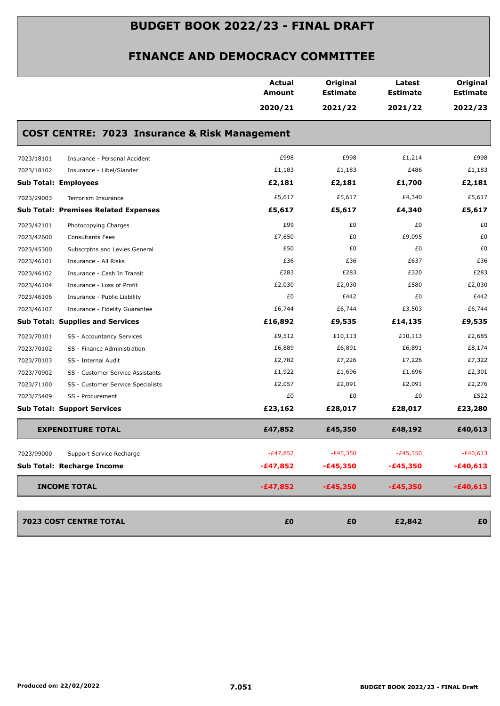|                                                          | <b>Actual</b><br><b>Amount</b> | Original<br><b>Estimate</b> | Latest<br><b>Estimate</b> | Original<br><b>Estimate</b> |
|----------------------------------------------------------|--------------------------------|-----------------------------|---------------------------|-----------------------------|
|                                                          | 2020/21                        | 2021/22                     | 2021/22                   | 2022/23                     |
| <b>COST CENTRE: 7023 Insurance &amp; Risk Management</b> |                                |                             |                           |                             |
| 7023/18101<br>Insurance - Personal Accident              | £998                           | £998                        | £1,214                    | £998                        |
| 7023/18102<br>Insurance - Libel/Slander                  | £1,183                         | £1,183                      | £486                      | £1,183                      |
| <b>Sub Total: Employees</b>                              | £2,181                         | £2,181                      | £1,700                    | £2,181                      |
| 7023/29003<br>Terrorism Insurance                        | £5,617                         | £5,617                      | £4,340                    | £5,617                      |
| <b>Sub Total: Premises Related Expenses</b>              | £5,617                         | £5,617                      | £4,340                    | £5,617                      |
| 7023/42101<br>Photocopying Charges                       | £99                            | £0                          | £0                        | £0                          |
| 7023/42600<br><b>Consultants Fees</b>                    | £7,650                         | £0                          | £9,095                    | £0                          |
| Subscrptns and Levies General<br>7023/45300              | £50                            | £0                          | £0                        | £0                          |
| 7023/46101<br>Insurance - All Risks                      | £36                            | £36                         | £637                      | £36                         |
| 7023/46102<br>Insurance - Cash In Transit                | £283                           | £283                        | £320                      | £283                        |
| 7023/46104<br>Insurance - Loss of Profit                 | £2,030                         | £2,030                      | £580                      | £2,030                      |
| 7023/46106<br>Insurance - Public Liability               | £0                             | £442                        | £0                        | £442                        |
| 7023/46107<br>Insurance - Fidelity Guarantee             | £6,744                         | £6,744                      | £3,503                    | £6,744                      |
| <b>Sub Total: Supplies and Services</b>                  | £16,892                        | £9,535                      | £14,135                   | £9,535                      |
| 7023/70101<br>SS - Accountancy Services                  | £9,512                         | £10,113                     | £10,113                   | £2,685                      |
| 7023/70102<br>SS - Finance Administration                | £6,889                         | £6,891                      | £6,891                    | £8,174                      |
| 7023/70103<br>SS - Internal Audit                        | £2,782                         | £7,226                      | £7,226                    | £7,322                      |
| 7023/70902<br>SS - Customer Service Assistants           | £1,922                         | £1,696                      | £1,696                    | £2,301                      |
| 7023/71100<br>SS - Customer Service Specialists          | £2,057                         | £2,091                      | £2,091                    | £2,276                      |
| 7023/75409<br>SS - Procurement                           | £0                             | £0                          | £0                        | £522                        |
| <b>Sub Total: Support Services</b>                       | £23,162                        | £28,017                     | £28,017                   | £23,280                     |
| <b>EXPENDITURE TOTAL</b>                                 | £47,852                        | £45,350                     | £48,192                   | £40,613                     |
| 7023/99000<br>Support Service Recharge                   | $-E47,852$                     | $-E45,350$                  | $-£45,350$                | $-£40,613$                  |
| Sub Total: Recharge Income                               | $-£47,852$                     | $-£45,350$                  | $-£45,350$                | $-£40,613$                  |
| <b>INCOME TOTAL</b>                                      | $-£47,852$                     | $-£45,350$                  | $-£45,350$                | $-£40,613$                  |
| 7023 COST CENTRE TOTAL                                   | £0                             | £0                          | £2,842                    | £0                          |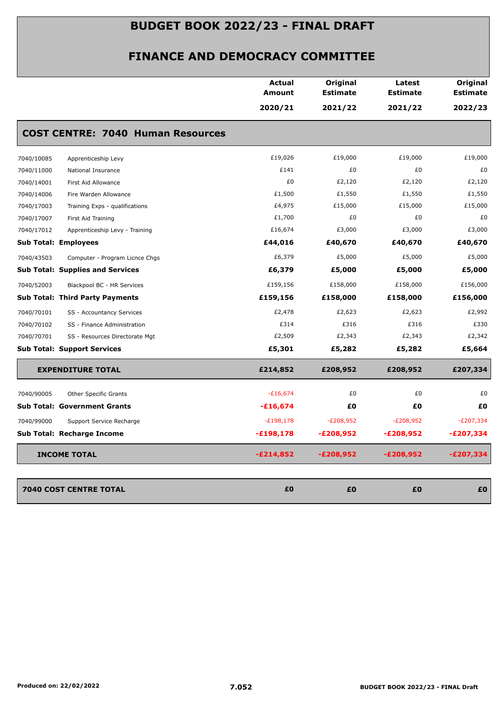|            |                                          | <b>Actual</b><br>Amount | Original<br><b>Estimate</b> | Latest<br><b>Estimate</b> | Original<br><b>Estimate</b> |
|------------|------------------------------------------|-------------------------|-----------------------------|---------------------------|-----------------------------|
|            |                                          | 2020/21                 | 2021/22                     | 2021/22                   | 2022/23                     |
|            | <b>COST CENTRE: 7040 Human Resources</b> |                         |                             |                           |                             |
| 7040/10085 | Apprenticeship Levy                      | £19,026                 | £19,000                     | £19,000                   | £19,000                     |
| 7040/11000 | National Insurance                       | £141                    | £0                          | £0                        | £0                          |
| 7040/14001 | First Aid Allowance                      | £0                      | £2,120                      | £2,120                    | £2,120                      |
| 7040/14006 | Fire Warden Allowance                    | £1,500                  | £1,550                      | £1,550                    | £1,550                      |
| 7040/17003 | Training Exps - qualifications           | £4,975                  | £15,000                     | £15,000                   | £15,000                     |
| 7040/17007 | First Aid Training                       | £1,700                  | £0                          | £0                        | £0                          |
| 7040/17012 | Apprenticeship Levy - Training           | £16,674                 | £3,000                      | £3,000                    | £3,000                      |
|            | <b>Sub Total: Employees</b>              | £44,016                 | £40,670                     | £40,670                   | £40,670                     |
| 7040/43503 | Computer - Program Licnce Chgs           | £6,379                  | £5,000                      | £5,000                    | £5,000                      |
|            | <b>Sub Total: Supplies and Services</b>  | £6,379                  | £5,000                      | £5,000                    | £5,000                      |
| 7040/52003 | Blackpool BC - HR Services               | £159,156                | £158,000                    | £158,000                  | £156,000                    |
|            | <b>Sub Total: Third Party Payments</b>   | £159,156                | £158,000                    | £158,000                  | £156,000                    |
| 7040/70101 | SS - Accountancy Services                | £2,478                  | £2,623                      | £2,623                    | £2,992                      |
| 7040/70102 | SS - Finance Administration              | £314                    | £316                        | £316                      | £330                        |
| 7040/70701 | SS - Resources Directorate Mgt           | £2,509                  | £2,343                      | £2,343                    | £2,342                      |
|            | <b>Sub Total: Support Services</b>       | £5,301                  | £5,282                      | £5,282                    | £5,664                      |
|            | <b>EXPENDITURE TOTAL</b>                 | £214,852                | £208,952                    | £208,952                  | £207,334                    |
| 7040/90005 | Other Specific Grants                    | $-£16,674$              | £0                          | £0                        | £0                          |
|            | <b>Sub Total: Government Grants</b>      | $-£16,674$              | £0                          | £Ο                        | £Ο                          |
| 7040/99000 | Support Service Recharge                 | $-E198,178$             | $-E208,952$                 | $-E208,952$               | $-E207,334$                 |
|            | Sub Total: Recharge Income               | $-£198,178$             | $-E208,952$                 | $-E208,952$               | $-E207,334$                 |
|            | <b>INCOME TOTAL</b>                      | $-£214,852$             | $-£208,952$                 | $-E208,952$               | $-E207,334$                 |
|            |                                          |                         |                             |                           |                             |
|            | 7040 COST CENTRE TOTAL                   | £0                      | £0                          | £0                        | £0                          |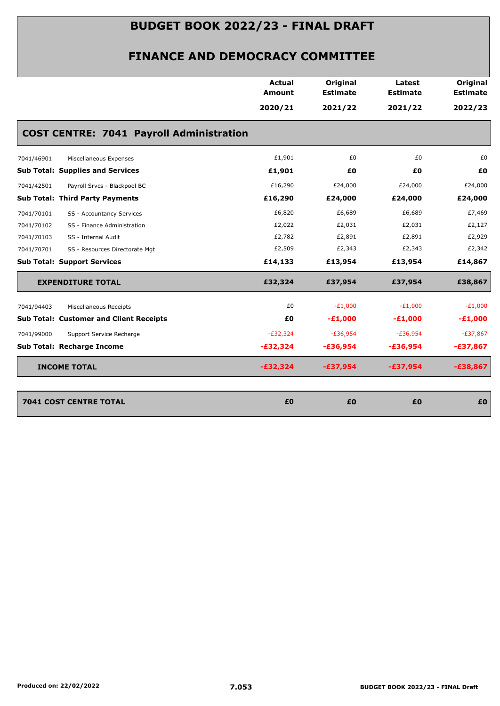|            |                                                 | <b>Actual</b><br><b>Amount</b> | Original<br><b>Estimate</b> | Latest<br><b>Estimate</b> | Original<br><b>Estimate</b> |
|------------|-------------------------------------------------|--------------------------------|-----------------------------|---------------------------|-----------------------------|
|            |                                                 | 2020/21                        | 2021/22                     | 2021/22                   | 2022/23                     |
|            | <b>COST CENTRE: 7041 Payroll Administration</b> |                                |                             |                           |                             |
| 7041/46901 | Miscellaneous Expenses                          | £1,901                         | £0                          | £0                        | £0                          |
|            | <b>Sub Total: Supplies and Services</b>         | £1,901                         | £0                          | £0                        | £0                          |
| 7041/42501 | Payroll Srvcs - Blackpool BC                    | £16,290                        | £24,000                     | £24,000                   | £24,000                     |
|            | Sub Total: Third Party Payments                 | £16,290                        | £24,000                     | £24,000                   | £24,000                     |
| 7041/70101 | SS - Accountancy Services                       | £6,820                         | £6,689                      | £6,689                    | £7,469                      |
| 7041/70102 | SS - Finance Administration                     | £2,022                         | £2,031                      | £2,031                    | £2,127                      |
| 7041/70103 | SS - Internal Audit                             | £2,782                         | £2,891                      | £2,891                    | £2,929                      |
| 7041/70701 | SS - Resources Directorate Mgt                  | £2,509                         | £2,343                      | £2,343                    | £2,342                      |
|            | <b>Sub Total: Support Services</b>              | £14,133                        | £13,954                     | £13,954                   | £14,867                     |
|            | <b>EXPENDITURE TOTAL</b>                        | £32,324                        | £37,954                     | £37,954                   | £38,867                     |
| 7041/94403 | Miscellaneous Receipts                          | £0                             | $-E1,000$                   | $-E1,000$                 | $-E1,000$                   |
|            | <b>Sub Total: Customer and Client Receipts</b>  | £0                             | $-E1,000$                   | $-£1,000$                 | $-E1,000$                   |
| 7041/99000 | Support Service Recharge                        | $-E32,324$                     | $-E36,954$                  | $-E36,954$                | $-£37,867$                  |
|            | Sub Total: Recharge Income                      | $-£32,324$                     | $-£36,954$                  | $-£36,954$                | $-£37,867$                  |
|            | <b>INCOME TOTAL</b>                             | $-£32,324$                     | $-£37,954$                  | $-£37,954$                | $-£38,867$                  |
|            | <b>7041 COST CENTRE TOTAL</b>                   | £0                             | £0                          | £0                        | £0                          |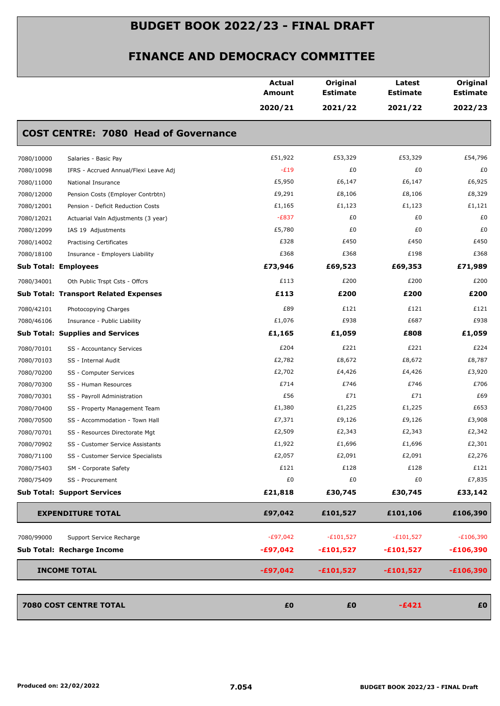|                                                     | <b>Actual</b><br>Amount | Original<br><b>Estimate</b> | Latest<br><b>Estimate</b> | Original<br><b>Estimate</b> |
|-----------------------------------------------------|-------------------------|-----------------------------|---------------------------|-----------------------------|
|                                                     | 2020/21                 | 2021/22                     | 2021/22                   | 2022/23                     |
| <b>COST CENTRE: 7080 Head of Governance</b>         |                         |                             |                           |                             |
| 7080/10000<br>Salaries - Basic Pay                  | £51,922                 | £53,329                     | £53,329                   | £54,796                     |
| 7080/10098<br>IFRS - Accrued Annual/Flexi Leave Adj | $-E19$                  | £0                          | £0                        | £0                          |
| 7080/11000<br>National Insurance                    | £5,950                  | £6,147                      | £6,147                    | £6,925                      |
| 7080/12000<br>Pension Costs (Employer Contrbtn)     | £9,291                  | £8,106                      | £8,106                    | £8,329                      |
| 7080/12001<br>Pension - Deficit Reduction Costs     | £1,165                  | £1,123                      | £1,123                    | £1,121                      |
| 7080/12021<br>Actuarial Valn Adjustments (3 year)   | $-E837$                 | £0                          | £0                        | £0                          |
| 7080/12099<br>IAS 19 Adjustments                    | £5,780                  | £0                          | £0                        | £0                          |
| 7080/14002<br><b>Practising Certificates</b>        | £328                    | £450                        | £450                      | £450                        |
| 7080/18100<br>Insurance - Employers Liability       | £368                    | £368                        | £198                      | £368                        |
| <b>Sub Total: Employees</b>                         | £73,946                 | £69,523                     | £69,353                   | £71,989                     |
| 7080/34001<br>Oth Public Trspt Csts - Offcrs        | £113                    | £200                        | £200                      | £200                        |
| <b>Sub Total: Transport Related Expenses</b>        | £113                    | £200                        | £200                      | £200                        |
| 7080/42101<br>Photocopying Charges                  | £89                     | £121                        | £121                      | £121                        |
| 7080/46106<br>Insurance - Public Liability          | £1,076                  | £938                        | £687                      | £938                        |
| <b>Sub Total: Supplies and Services</b>             | £1,165                  | £1,059                      | £808                      | £1,059                      |
| 7080/70101<br>SS - Accountancy Services             | £204                    | £221                        | £221                      | £224                        |
| 7080/70103<br>SS - Internal Audit                   | £2,782                  | £8,672                      | £8,672                    | £8,787                      |
| 7080/70200<br>SS - Computer Services                | £2,702                  | £4,426                      | £4,426                    | £3,920                      |
| 7080/70300<br>SS - Human Resources                  | £714                    | £746                        | £746                      | £706                        |
| 7080/70301<br>SS - Payroll Administration           | £56                     | £71                         | £71                       | £69                         |
| 7080/70400<br>SS - Property Management Team         | £1,380                  | £1,225                      | £1,225                    | £653                        |
| 7080/70500<br>SS - Accommodation - Town Hall        | £7,371                  | £9,126                      | £9,126                    | £3,908                      |
| 7080/70701<br>SS - Resources Directorate Mgt        | £2,509                  | £2,343                      | £2,343                    | £2,342                      |
| 7080/70902<br>SS - Customer Service Assistants      | £1,922                  | £1,696                      | £1,696                    | £2,301                      |
| 7080/71100<br>SS - Customer Service Specialists     | £2,057                  | £2,091                      | £2,091                    | £2,276                      |
| 7080/75403<br>SM - Corporate Safety                 | £121                    | £128                        | £128                      | £121                        |
| 7080/75409<br>SS - Procurement                      | £0                      | £0                          | £0                        | £7,835                      |
| <b>Sub Total: Support Services</b>                  | £21,818                 | £30,745                     | £30,745                   | £33,142                     |
| <b>EXPENDITURE TOTAL</b>                            | £97,042                 | £101,527                    | £101,106                  | £106,390                    |
| 7080/99000<br>Support Service Recharge              | $-E97,042$              | $-£101,527$                 | $-£101,527$               | $-E106,390$                 |
| Sub Total: Recharge Income                          | $-£97,042$              | $-£101,527$                 | $-£101,527$               | $-£106,390$                 |
|                                                     |                         |                             |                           |                             |
| <b>INCOME TOTAL</b>                                 | $-£97,042$              | $-£101,527$                 | $-£101,527$               | $-£106,390$                 |
| 7080 COST CENTRE TOTAL                              | £0                      | £0                          | $-£421$                   | £0                          |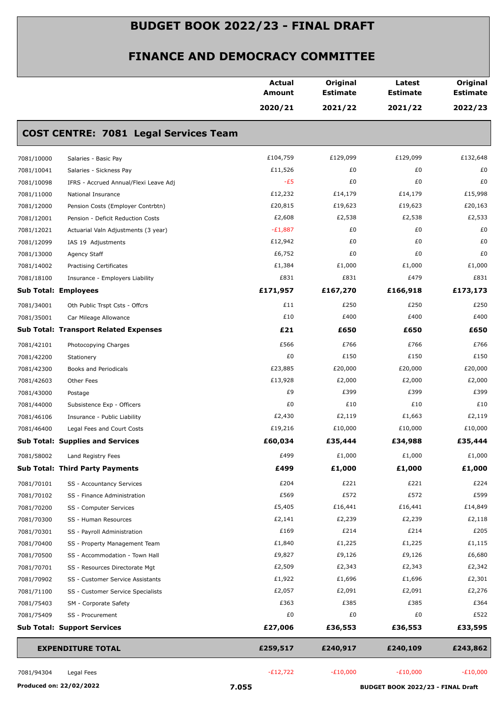|            |                                              | <b>Actual</b><br><b>Amount</b> | Original<br><b>Estimate</b> | Latest<br><b>Estimate</b> | Original<br><b>Estimate</b> |
|------------|----------------------------------------------|--------------------------------|-----------------------------|---------------------------|-----------------------------|
|            |                                              | 2020/21                        | 2021/22                     | 2021/22                   | 2022/23                     |
|            | <b>COST CENTRE: 7081 Legal Services Team</b> |                                |                             |                           |                             |
| 7081/10000 | Salaries - Basic Pay                         | £104,759                       | £129,099                    | £129,099                  | £132,648                    |
| 7081/10041 | Salaries - Sickness Pay                      | £11,526                        | £0                          | £0                        | £0                          |
| 7081/10098 | IFRS - Accrued Annual/Flexi Leave Adj        | $-E5$                          | £0                          | £0                        | £0                          |
| 7081/11000 | National Insurance                           | £12,232                        | £14,179                     | £14,179                   | £15,998                     |
| 7081/12000 | Pension Costs (Employer Contrbtn)            | £20,815                        | £19,623                     | £19,623                   | £20,163                     |
| 7081/12001 | Pension - Deficit Reduction Costs            | £2,608                         | £2,538                      | £2,538                    | £2,533                      |
| 7081/12021 | Actuarial Valn Adjustments (3 year)          | $-E1,887$                      | £0                          | £0                        | £0                          |
| 7081/12099 | IAS 19 Adjustments                           | £12,942                        | £0                          | £0                        | £0                          |
| 7081/13000 | Agency Staff                                 | £6,752                         | £0                          | £0                        | £0                          |
| 7081/14002 | <b>Practising Certificates</b>               | £1,384                         | £1,000                      | £1,000                    | £1,000                      |
| 7081/18100 | Insurance - Employers Liability              | £831                           | £831                        | £479                      | £831                        |
|            | <b>Sub Total: Employees</b>                  | £171,957                       | £167,270                    | £166,918                  | £173,173                    |
| 7081/34001 | Oth Public Trspt Csts - Offcrs               | £11                            | £250                        | £250                      | £250                        |
| 7081/35001 | Car Mileage Allowance                        | £10                            | £400                        | £400                      | £400                        |
|            | <b>Sub Total: Transport Related Expenses</b> | £21                            | £650                        | £650                      | £650                        |
| 7081/42101 | Photocopying Charges                         | £566                           | £766                        | £766                      | £766                        |
| 7081/42200 | Stationery                                   | £0                             | £150                        | £150                      | £150                        |
| 7081/42300 | Books and Periodicals                        | £23,885                        | £20,000                     | £20,000                   | £20,000                     |
| 7081/42603 | Other Fees                                   | £13,928                        | £2,000                      | £2,000                    | £2,000                      |
| 7081/43000 | Postage                                      | £9                             | £399                        | £399                      | £399                        |
| 7081/44000 | Subsistence Exp - Officers                   | £0                             | £10                         | £10                       | £10                         |
| 7081/46106 | Insurance - Public Liability                 | £2,430                         | £2,119                      | £1,663                    | £2,119                      |
| 7081/46400 | Legal Fees and Court Costs                   | £19,216                        | £10,000                     | £10,000                   | £10,000                     |
|            | <b>Sub Total: Supplies and Services</b>      | £60,034                        | £35,444                     | £34,988                   | £35,444                     |
| 7081/58002 | Land Registry Fees                           | £499                           | £1,000                      | £1,000                    | £1,000                      |
|            | <b>Sub Total: Third Party Payments</b>       | £499                           | £1,000                      | £1,000                    | £1,000                      |
| 7081/70101 | SS - Accountancy Services                    | £204                           | £221                        | £221                      | £224                        |
| 7081/70102 | SS - Finance Administration                  | £569                           | £572                        | £572                      | £599                        |
| 7081/70200 | SS - Computer Services                       | £5,405                         | £16,441                     | £16,441                   | £14,849                     |
| 7081/70300 | SS - Human Resources                         | £2,141                         | £2,239                      | £2,239                    | £2,118                      |
| 7081/70301 | SS - Payroll Administration                  | £169                           | £214                        | £214                      | £205                        |
| 7081/70400 | SS - Property Management Team                | £1,840                         | £1,225                      | £1,225                    | £1,115                      |
| 7081/70500 | SS - Accommodation - Town Hall               | £9,827                         | £9,126                      | £9,126                    | £6,680                      |
| 7081/70701 | SS - Resources Directorate Mgt               | £2,509                         | £2,343                      | £2,343                    | £2,342                      |
| 7081/70902 | SS - Customer Service Assistants             | £1,922                         | £1,696                      | £1,696                    | £2,301                      |
| 7081/71100 | SS - Customer Service Specialists            | £2,057                         | £2,091                      | £2,091                    | £2,276                      |
| 7081/75403 | SM - Corporate Safety                        | £363                           | £385                        | £385                      | £364                        |
| 7081/75409 | SS - Procurement                             | £0                             | £0                          | £0                        | £522                        |
|            | <b>Sub Total: Support Services</b>           | £27,006                        | £36,553                     | £36,553                   | £33,595                     |
|            | <b>EXPENDITURE TOTAL</b>                     | £259,517                       | £240,917                    | £240,109                  | £243,862                    |
| 7081/94304 | Legal Fees                                   | $-E12,722$                     | $-E10,000$                  | $-E10,000$                | $-E10,000$                  |
|            |                                              |                                |                             |                           |                             |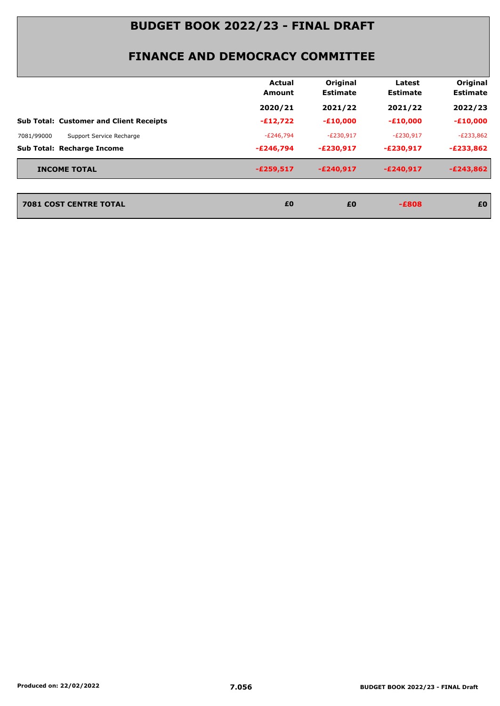|                                                | Actual<br><b>Amount</b> | Original<br><b>Estimate</b> | Latest<br><b>Estimate</b> | Original<br><b>Estimate</b> |
|------------------------------------------------|-------------------------|-----------------------------|---------------------------|-----------------------------|
|                                                | 2020/21                 | 2021/22                     | 2021/22                   | 2022/23                     |
| <b>Sub Total: Customer and Client Receipts</b> | $-E12,722$              | $-£10,000$                  | $-£10,000$                | $-£10,000$                  |
| 7081/99000<br>Support Service Recharge         | -£246,794               | $-E230,917$                 | $-E230,917$               | $-E233,862$                 |
| <b>Sub Total: Recharge Income</b>              | $-E246.794$             | $-E230,917$                 | $-E230.917$               | $-E233,862$                 |
| <b>INCOME TOTAL</b>                            | $-E259,517$             | $-E240.917$                 | $-E240.917$               | $-E243,862$                 |

| 7081 COST CENTRE TOTAL | £0 | £0 | -£808 | £0 |
|------------------------|----|----|-------|----|
|                        |    |    |       |    |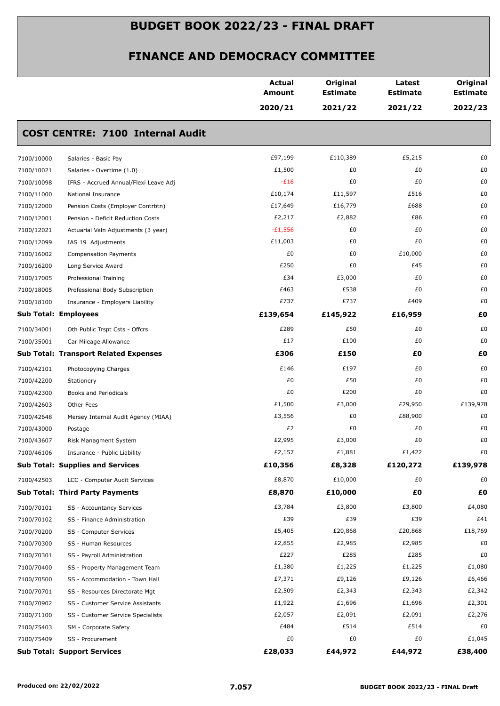|            |                                              | <b>Actual</b><br>Amount | Original<br><b>Estimate</b> | Latest<br><b>Estimate</b> | Original<br><b>Estimate</b> |
|------------|----------------------------------------------|-------------------------|-----------------------------|---------------------------|-----------------------------|
|            |                                              | 2020/21                 | 2021/22                     | 2021/22                   | 2022/23                     |
|            | <b>COST CENTRE: 7100 Internal Audit</b>      |                         |                             |                           |                             |
| 7100/10000 | Salaries - Basic Pay                         | £97,199                 | £110,389                    | £5,215                    | £0                          |
| 7100/10021 | Salaries - Overtime (1.0)                    | £1,500                  | £0                          | £0                        | £0                          |
| 7100/10098 | IFRS - Accrued Annual/Flexi Leave Adj        | $-E16$                  | £0                          | £0                        | £0                          |
| 7100/11000 | National Insurance                           | £10,174                 | £11,597                     | £516                      | £0                          |
| 7100/12000 | Pension Costs (Employer Contrbtn)            | £17,649                 | £16,779                     | £688                      | £0                          |
| 7100/12001 | Pension - Deficit Reduction Costs            | £2,217                  | £2,882                      | £86                       | £0                          |
| 7100/12021 | Actuarial Valn Adjustments (3 year)          | $-£1,556$               | £0                          | £0                        | £0                          |
| 7100/12099 | IAS 19 Adjustments                           | £11,003                 | £0                          | £0                        | £0                          |
| 7100/16002 | <b>Compensation Payments</b>                 | £0                      | £0                          | £10,000                   | £0                          |
| 7100/16200 | Long Service Award                           | £250                    | £0                          | £45                       | £0                          |
| 7100/17005 | Professional Training                        | £34                     | £3,000                      | £0                        | £0                          |
| 7100/18005 | Professional Body Subscription               | £463                    | £538                        | £0                        | £0                          |
| 7100/18100 | Insurance - Employers Liability              | £737                    | £737                        | £409                      | £0                          |
|            | <b>Sub Total: Employees</b>                  | £139,654                | £145,922                    | £16,959                   | £0                          |
| 7100/34001 | Oth Public Trspt Csts - Offcrs               | £289                    | £50                         | £0                        | £0                          |
| 7100/35001 | Car Mileage Allowance                        | £17                     | £100                        | £0                        | £0                          |
|            | <b>Sub Total: Transport Related Expenses</b> | £306                    | £150                        | £Ο                        | £0                          |
| 7100/42101 | Photocopying Charges                         | £146                    | £197                        | £0                        | £0                          |
| 7100/42200 | Stationery                                   | £0                      | £50                         | £0                        | £0                          |
| 7100/42300 | Books and Periodicals                        | £0                      | £200                        | £0                        | £0                          |
| 7100/42603 | Other Fees                                   | £1,500                  | £3,000                      | £29,950                   | £139,978                    |
| 7100/42648 | Mersey Internal Audit Agency (MIAA)          | £3,556                  | £0                          | £88,900                   | £0                          |
| 7100/43000 | Postage                                      | £2                      | £0                          | £0                        | £0                          |
| 7100/43607 | Risk Managment System                        | £2,995                  | £3,000                      | £0                        | £0                          |
| 7100/46106 | Insurance - Public Liability                 | £2,157                  | £1,881                      | £1,422                    | £0                          |
|            | <b>Sub Total: Supplies and Services</b>      | £10,356                 | £8,328                      | £120,272                  | £139,978                    |
| 7100/42503 | LCC - Computer Audit Services                | £8,870                  | £10,000                     | £0                        | £0                          |
|            | <b>Sub Total: Third Party Payments</b>       | £8,870                  | £10,000                     | £0                        | £Ο                          |
| 7100/70101 | SS - Accountancy Services                    | £3,784                  | £3,800                      | £3,800                    | £4,080                      |
| 7100/70102 | SS - Finance Administration                  | £39                     | £39                         | £39                       | £41                         |
| 7100/70200 | SS - Computer Services                       | £5,405                  | £20,868                     | £20,868                   | £18,769                     |
| 7100/70300 | SS - Human Resources                         | £2,855                  | £2,985                      | £2,985                    | £0                          |
| 7100/70301 | SS - Payroll Administration                  | £227                    | £285                        | £285                      | £0                          |
| 7100/70400 | SS - Property Management Team                | £1,380                  | £1,225                      | £1,225                    | £1,080                      |
| 7100/70500 | SS - Accommodation - Town Hall               | £7,371                  | £9,126                      | £9,126                    | £6,466                      |
| 7100/70701 | SS - Resources Directorate Mgt               | £2,509                  | £2,343                      | £2,343                    | £2,342                      |
| 7100/70902 | SS - Customer Service Assistants             | £1,922                  | £1,696                      | £1,696                    | £2,301                      |
| 7100/71100 | SS - Customer Service Specialists            | £2,057                  | £2,091                      | £2,091                    | £2,276                      |
| 7100/75403 | SM - Corporate Safety                        | £484                    | £514                        | £514                      | £0                          |
| 7100/75409 | SS - Procurement                             | £0                      | £0                          | £0                        | £1,045                      |
|            | <b>Sub Total: Support Services</b>           | £28,033                 | £44,972                     | £44,972                   | £38,400                     |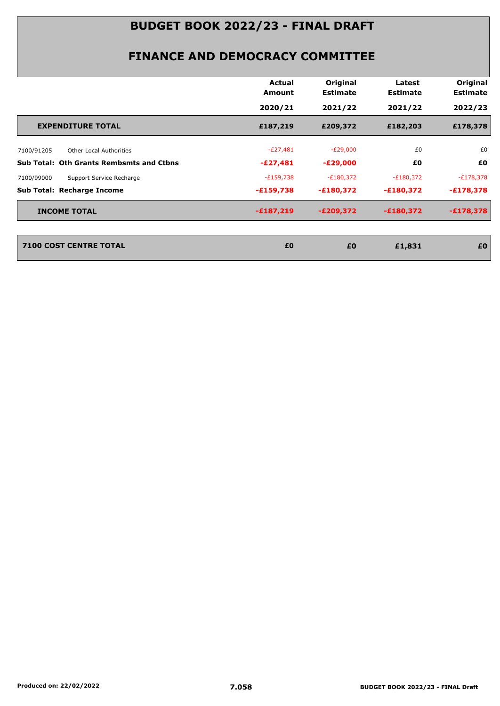|                                                 | <b>Actual</b><br>Amount | Original<br><b>Estimate</b> | Latest<br><b>Estimate</b> | Original<br><b>Estimate</b> |
|-------------------------------------------------|-------------------------|-----------------------------|---------------------------|-----------------------------|
|                                                 | 2020/21                 | 2021/22                     | 2021/22                   | 2022/23                     |
| <b>EXPENDITURE TOTAL</b>                        | £187,219                | £209,372                    | £182,203                  | £178,378                    |
| 7100/91205<br>Other Local Authorities           | $-E27,481$              | $-E29,000$                  | £0                        | £0                          |
| <b>Sub Total: Oth Grants Rembsmts and Ctbns</b> | $-E27,481$              | $-E29,000$                  | £0                        | £0                          |
| 7100/99000<br>Support Service Recharge          | $-E159,738$             | $-£180,372$                 | $-E180,372$               | $-E178,378$                 |
| <b>Sub Total: Recharge Income</b>               | $-£159,738$             | $-£180,372$                 | $-£180,372$               | $-£178,378$                 |
| <b>INCOME TOTAL</b>                             | $-£187,219$             | $-E209,372$                 | $-£180,372$               | $-£178,378$                 |
| <b>7100 COST CENTRE TOTAL</b>                   | £0                      | £0                          | £1,831                    | £0                          |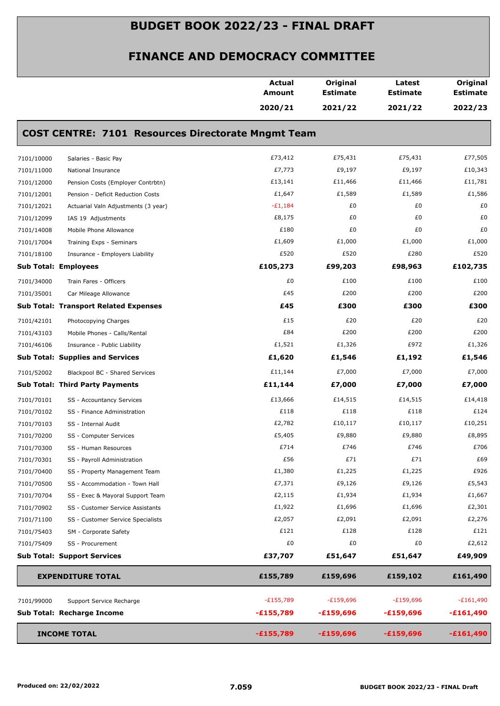|                                                           | <b>Actual</b><br><b>Amount</b> | Original<br><b>Estimate</b> | Latest<br><b>Estimate</b> | Original<br><b>Estimate</b> |
|-----------------------------------------------------------|--------------------------------|-----------------------------|---------------------------|-----------------------------|
|                                                           | 2020/21                        | 2021/22                     | 2021/22                   | 2022/23                     |
| <b>COST CENTRE: 7101 Resources Directorate Mngmt Team</b> |                                |                             |                           |                             |
| 7101/10000<br>Salaries - Basic Pay                        | £73,412                        | £75,431                     | £75,431                   | £77,505                     |
| 7101/11000<br>National Insurance                          | £7,773                         | £9,197                      | £9,197                    | £10,343                     |
| 7101/12000<br>Pension Costs (Employer Contrbtn)           | £13,141                        | £11,466                     | £11,466                   | £11,781                     |
| 7101/12001<br>Pension - Deficit Reduction Costs           | £1,647                         | £1,589                      | £1,589                    | £1,586                      |
| 7101/12021<br>Actuarial Valn Adjustments (3 year)         | $-E1,184$                      | £0                          | £0                        | £0                          |
| 7101/12099<br>IAS 19 Adjustments                          | £8,175                         | £0                          | £0                        | £0                          |
| 7101/14008<br>Mobile Phone Allowance                      | £180                           | £0                          | £0                        | £0                          |
| 7101/17004<br>Training Exps - Seminars                    | £1,609                         | £1,000                      | £1,000                    | £1,000                      |
| 7101/18100<br>Insurance - Employers Liability             | £520                           | £520                        | £280                      | £520                        |
| Sub Total: Employees                                      | £105,273                       | £99,203                     | £98,963                   | £102,735                    |
| 7101/34000<br>Train Fares - Officers                      | £0                             | £100                        | £100                      | £100                        |
| 7101/35001<br>Car Mileage Allowance                       | £45                            | £200                        | £200                      | £200                        |
| <b>Sub Total: Transport Related Expenses</b>              | £45                            | £300                        | £300                      | £300                        |
| 7101/42101<br>Photocopying Charges                        | £15                            | £20                         | £20                       | £20                         |
| 7101/43103<br>Mobile Phones - Calls/Rental                | £84                            | £200                        | £200                      | £200                        |
| 7101/46106<br>Insurance - Public Liability                | £1,521                         | £1,326                      | £972                      | £1,326                      |
| <b>Sub Total: Supplies and Services</b>                   | £1,620                         | £1,546                      | £1,192                    | £1,546                      |
| 7101/52002<br>Blackpool BC - Shared Services              | £11,144                        | £7,000                      | £7,000                    | £7,000                      |
| <b>Sub Total: Third Party Payments</b>                    | £11,144                        | £7,000                      | £7,000                    | £7,000                      |
| 7101/70101<br>SS - Accountancy Services                   | £13,666                        | £14,515                     | £14,515                   | £14,418                     |
| 7101/70102<br>SS - Finance Administration                 | £118                           | £118                        | £118                      | £124                        |
| 7101/70103<br>SS - Internal Audit                         | £2,782                         | £10,117                     | £10,117                   | £10,251                     |
| 7101/70200<br>SS - Computer Services                      | £5,405                         | £9,880                      | £9,880                    | £8,895                      |
| 7101/70300<br>SS - Human Resources                        | £714                           | £746                        | £746                      | £706                        |
| 7101/70301<br>SS - Payroll Administration                 | £56                            | £71                         | £71                       | £69                         |
| 7101/70400<br>SS - Property Management Team               | £1,380                         | £1,225                      | £1,225                    | £926                        |
| 7101/70500<br>SS - Accommodation - Town Hall              | £7,371                         | £9,126                      | £9,126                    | £5,543                      |
| 7101/70704<br>SS - Exec & Mayoral Support Team            | £2,115                         | £1,934                      | £1,934                    | £1,667                      |
| 7101/70902<br>SS - Customer Service Assistants            | £1,922                         | £1,696                      | £1,696                    | £2,301                      |
| 7101/71100<br>SS - Customer Service Specialists           | £2,057                         | £2,091                      | £2,091                    | £2,276                      |
| 7101/75403<br>SM - Corporate Safety                       | £121                           | £128                        | £128                      | £121                        |
| 7101/75409<br>SS - Procurement                            | £0                             | £0                          | £0                        | £2,612                      |
| <b>Sub Total: Support Services</b>                        | £37,707                        | £51,647                     | £51,647                   | £49,909                     |
| <b>EXPENDITURE TOTAL</b>                                  | £155,789                       | £159,696                    | £159,102                  | £161,490                    |
| 7101/99000<br>Support Service Recharge                    | $-E155,789$                    | $-£159,696$                 | $-£159,696$               | $-E161,490$                 |
| Sub Total: Recharge Income                                | $-£155,789$                    | $-£159,696$                 | $-£159,696$               | $-£161,490$                 |
| <b>INCOME TOTAL</b>                                       | $-£155,789$                    | $-£159,696$                 | $-£159,696$               | $-£161,490$                 |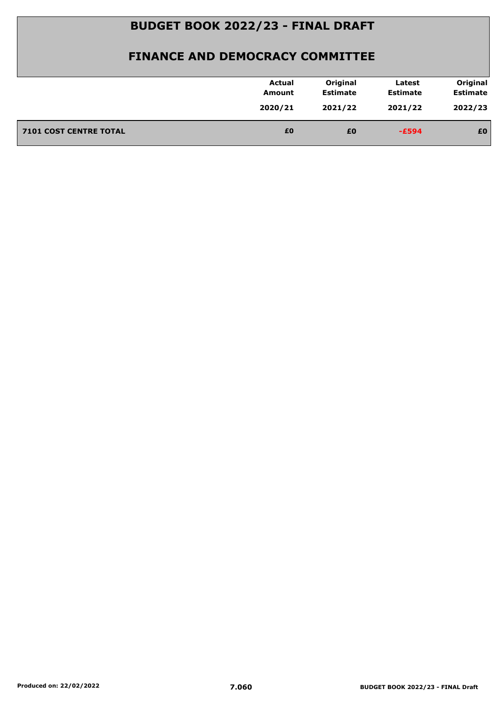|                               | <b>Actual</b><br>Amount | Original<br><b>Estimate</b> | Latest<br><b>Estimate</b> | Original<br><b>Estimate</b> |
|-------------------------------|-------------------------|-----------------------------|---------------------------|-----------------------------|
|                               | 2020/21                 | 2021/22                     | 2021/22                   | 2022/23                     |
| <b>7101 COST CENTRE TOTAL</b> | £0                      | £0                          | $-E594$                   | £0                          |
|                               |                         |                             |                           |                             |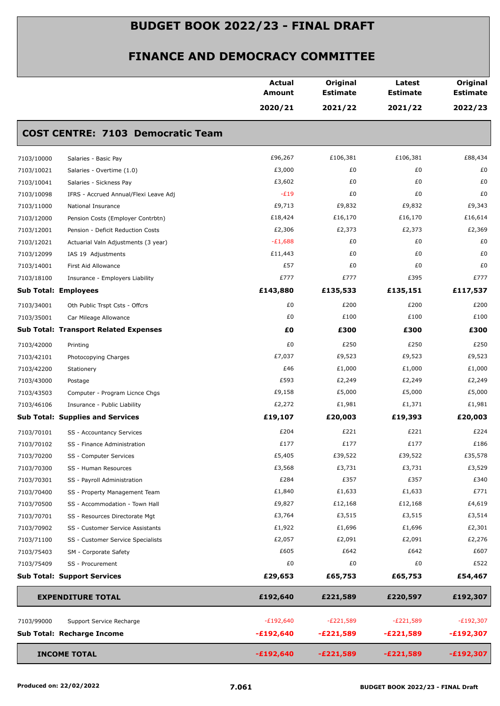|                             |                                              | <b>Actual</b><br><b>Amount</b> | Original<br><b>Estimate</b> | Latest<br><b>Estimate</b> | Original<br><b>Estimate</b> |
|-----------------------------|----------------------------------------------|--------------------------------|-----------------------------|---------------------------|-----------------------------|
|                             |                                              | 2020/21                        | 2021/22                     | 2021/22                   | 2022/23                     |
|                             | <b>COST CENTRE: 7103 Democratic Team</b>     |                                |                             |                           |                             |
| 7103/10000                  | Salaries - Basic Pay                         | £96,267                        | £106,381                    | £106,381                  | £88,434                     |
| 7103/10021                  | Salaries - Overtime (1.0)                    | £3,000                         | £0                          | £0                        | £0                          |
| 7103/10041                  | Salaries - Sickness Pay                      | £3,602                         | £0                          | £0                        | £0                          |
| 7103/10098                  | IFRS - Accrued Annual/Flexi Leave Adj        | $-E19$                         | £0                          | £0                        | £0                          |
| 7103/11000                  | National Insurance                           | £9,713                         | £9,832                      | £9,832                    | £9,343                      |
| 7103/12000                  | Pension Costs (Employer Contrbtn)            | £18,424                        | £16,170                     | £16,170                   | £16,614                     |
| 7103/12001                  | Pension - Deficit Reduction Costs            | £2,306                         | £2,373                      | £2,373                    | £2,369                      |
| 7103/12021                  | Actuarial Valn Adjustments (3 year)          | $-E1,688$                      | £0                          | £0                        | £0                          |
| 7103/12099                  | IAS 19 Adjustments                           | £11,443                        | £0                          | £0                        | £0                          |
| 7103/14001                  | First Aid Allowance                          | £57                            | £0                          | £0                        | £0                          |
| 7103/18100                  | Insurance - Employers Liability              | £777                           | £777                        | £395                      | £777                        |
| <b>Sub Total: Employees</b> |                                              | £143,880                       | £135,533                    | £135,151                  | £117,537                    |
| 7103/34001                  | Oth Public Trspt Csts - Offcrs               | £0                             | £200                        | £200                      | £200                        |
| 7103/35001                  | Car Mileage Allowance                        | £0                             | £100                        | £100                      | £100                        |
|                             | <b>Sub Total: Transport Related Expenses</b> | £0                             | £300                        | £300                      | £300                        |
| 7103/42000                  | Printing                                     | £0                             | £250                        | £250                      | £250                        |
| 7103/42101                  | Photocopying Charges                         | £7,037                         | £9,523                      | £9,523                    | £9,523                      |
| 7103/42200                  | Stationery                                   | £46                            | £1,000                      | £1,000                    | £1,000                      |
| 7103/43000                  | Postage                                      | £593                           | £2,249                      | £2,249                    | £2,249                      |
| 7103/43503                  | Computer - Program Licnce Chgs               | £9,158                         | £5,000                      | £5,000                    | £5,000                      |
| 7103/46106                  | Insurance - Public Liability                 | £2,272                         | £1,981                      | £1,371                    | £1,981                      |
|                             | <b>Sub Total: Supplies and Services</b>      | £19,107                        | £20,003                     | £19,393                   | £20,003                     |
| 7103/70101                  | SS - Accountancy Services                    | £204                           | £221                        | £221                      | £224                        |
| 7103/70102                  | SS - Finance Administration                  | £177                           | £177                        | £177                      | £186                        |
| 7103/70200                  | SS - Computer Services                       | £5,405                         | £39,522                     | £39,522                   | £35,578                     |
| 7103/70300                  | SS - Human Resources                         | £3,568                         | £3,731                      | £3,731                    | £3,529                      |
| 7103/70301                  | SS - Payroll Administration                  | £284                           | £357                        | £357                      | £340                        |
| 7103/70400                  | SS - Property Management Team                | £1,840                         | £1,633                      | £1,633                    | £771                        |
| 7103/70500                  | SS - Accommodation - Town Hall               | £9,827                         | £12,168                     | £12,168                   | £4,619                      |
| 7103/70701                  | SS - Resources Directorate Mgt               | £3,764                         | £3,515                      | £3,515                    | £3,514                      |
| 7103/70902                  | SS - Customer Service Assistants             | £1,922                         | £1,696                      | £1,696                    | £2,301                      |
| 7103/71100                  | SS - Customer Service Specialists            | £2,057                         | £2,091                      | £2,091                    | £2,276                      |
| 7103/75403                  | SM - Corporate Safety                        | £605                           | £642                        | £642                      | £607                        |
| 7103/75409                  | SS - Procurement                             | £0                             | £0                          | £0                        | £522                        |
|                             | <b>Sub Total: Support Services</b>           | £29,653                        | £65,753                     | £65,753                   | £54,467                     |
|                             | <b>EXPENDITURE TOTAL</b>                     | £192,640                       | £221,589                    | £220,597                  | £192,307                    |
| 7103/99000                  | Support Service Recharge                     | $-E192,640$                    | $-E221,589$                 | $-E221,589$               | $-E192,307$                 |
|                             | Sub Total: Recharge Income                   | $-£192,640$                    | $-E221,589$                 | $-E221,589$               | $-£192,307$                 |
|                             | <b>INCOME TOTAL</b>                          | $-£192,640$                    | $-E221,589$                 | $-E221,589$               | $-£192,307$                 |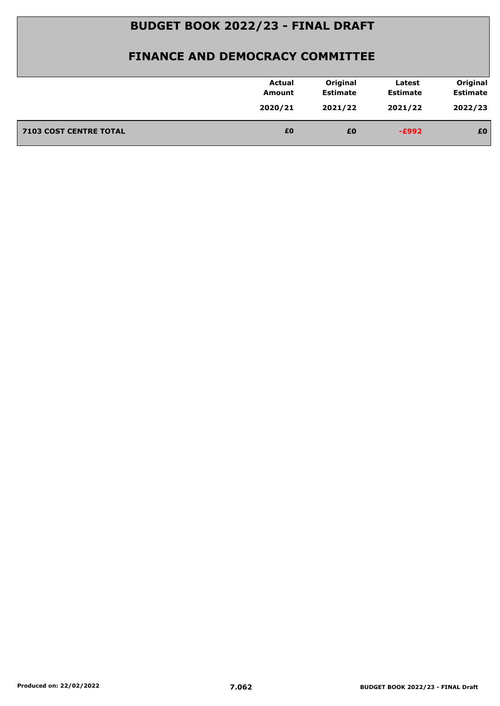|                               | <b>Actual</b><br>Amount | Original<br><b>Estimate</b> | Latest<br><b>Estimate</b> | Original<br><b>Estimate</b> |
|-------------------------------|-------------------------|-----------------------------|---------------------------|-----------------------------|
|                               | 2020/21                 | 2021/22                     | 2021/22                   | 2022/23                     |
| <b>7103 COST CENTRE TOTAL</b> | £0                      | £0                          | $-E992$                   | £0                          |
|                               |                         |                             |                           |                             |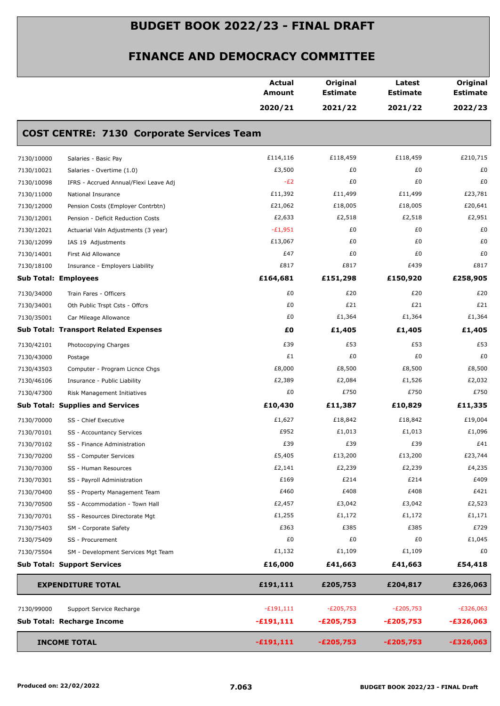|            |                                                  | <b>Actual</b><br>Amount | Original<br><b>Estimate</b> | Latest<br><b>Estimate</b> | Original<br><b>Estimate</b> |
|------------|--------------------------------------------------|-------------------------|-----------------------------|---------------------------|-----------------------------|
|            |                                                  | 2020/21                 | 2021/22                     | 2021/22                   | 2022/23                     |
|            | <b>COST CENTRE: 7130 Corporate Services Team</b> |                         |                             |                           |                             |
| 7130/10000 | Salaries - Basic Pay                             | £114,116                | £118,459                    | £118,459                  | £210,715                    |
| 7130/10021 | Salaries - Overtime (1.0)                        | £3,500                  | £0                          | £0                        | £0                          |
| 7130/10098 | IFRS - Accrued Annual/Flexi Leave Adj            | $-E2$                   | £0                          | £0                        | £0                          |
| 7130/11000 | National Insurance                               | £11,392                 | £11,499                     | £11,499                   | £23,781                     |
| 7130/12000 | Pension Costs (Employer Contrbtn)                | £21,062                 | £18,005                     | £18,005                   | £20,641                     |
| 7130/12001 | Pension - Deficit Reduction Costs                | £2,633                  | £2,518                      | £2,518                    | £2,951                      |
| 7130/12021 | Actuarial Valn Adjustments (3 year)              | $-E1,951$               | £0                          | £0                        | £0                          |
| 7130/12099 | IAS 19 Adjustments                               | £13,067                 | £0                          | £0                        | £0                          |
| 7130/14001 | First Aid Allowance                              | £47                     | £0                          | £0                        | £0                          |
| 7130/18100 | Insurance - Employers Liability                  | £817                    | £817                        | £439                      | £817                        |
|            | <b>Sub Total: Employees</b>                      | £164,681                | £151,298                    | £150,920                  | £258,905                    |
| 7130/34000 | Train Fares - Officers                           | £0                      | £20                         | £20                       | £20                         |
| 7130/34001 | Oth Public Trspt Csts - Offcrs                   | £0                      | £21                         | £21                       | £21                         |
| 7130/35001 | Car Mileage Allowance                            | £0                      | £1,364                      | £1,364                    | £1,364                      |
|            | <b>Sub Total: Transport Related Expenses</b>     | £O                      | £1,405                      | £1,405                    | £1,405                      |
| 7130/42101 | Photocopying Charges                             | £39                     | £53                         | £53                       | £53                         |
| 7130/43000 | Postage                                          | £1                      | £0                          | £0                        | £0                          |
| 7130/43503 | Computer - Program Licnce Chgs                   | £8,000                  | £8,500                      | £8,500                    | £8,500                      |
| 7130/46106 | Insurance - Public Liability                     | £2,389                  | £2,084                      | £1,526                    | £2,032                      |
| 7130/47300 | Risk Management Initiatives                      | £0                      | £750                        | £750                      | £750                        |
|            | <b>Sub Total: Supplies and Services</b>          | £10,430                 | £11,387                     | £10,829                   | £11,335                     |
| 7130/70000 | SS - Chief Executive                             | £1,627                  | £18,842                     | £18,842                   | £19,004                     |
| 7130/70101 | SS - Accountancy Services                        | £952                    | £1,013                      | £1,013                    | £1,096                      |
| 7130/70102 | SS - Finance Administration                      | £39                     | £39                         | £39                       | £41                         |
| 7130/70200 | SS - Computer Services                           | £5,405                  | £13,200                     | £13,200                   | £23,744                     |
| 7130/70300 | SS - Human Resources                             | £2,141                  | £2,239                      | £2,239                    | £4,235                      |
| 7130/70301 | SS - Payroll Administration                      | £169                    | £214                        | £214                      | £409                        |
| 7130/70400 | SS - Property Management Team                    | £460                    | £408                        | £408                      | £421                        |
| 7130/70500 | SS - Accommodation - Town Hall                   | £2,457                  | £3,042                      | £3,042                    | £2,523                      |
| 7130/70701 | SS - Resources Directorate Mgt                   | £1,255                  | £1,172                      | £1,172                    | £1,171                      |
| 7130/75403 | SM - Corporate Safety                            | £363                    | £385                        | £385                      | £729                        |
| 7130/75409 | SS - Procurement                                 | £0                      | £0                          | £0                        | £1,045                      |
| 7130/75504 | SM - Development Services Mgt Team               | £1,132                  | £1,109                      | £1,109                    | £0                          |
|            | <b>Sub Total: Support Services</b>               | £16,000                 | £41,663                     | £41,663                   | £54,418                     |
|            | <b>EXPENDITURE TOTAL</b>                         | £191,111                | £205,753                    | £204,817                  | £326,063                    |
| 7130/99000 | Support Service Recharge                         | $-£191,111$             | $-E205,753$                 | $-E205,753$               | $-E326,063$                 |
|            | Sub Total: Recharge Income                       | $-£191,111$             | $-E205,753$                 | $-E205,753$               | $-£326,063$                 |
|            | <b>INCOME TOTAL</b>                              | $-£191,111$             | $-E205,753$                 | $-E205,753$               | $-£326,063$                 |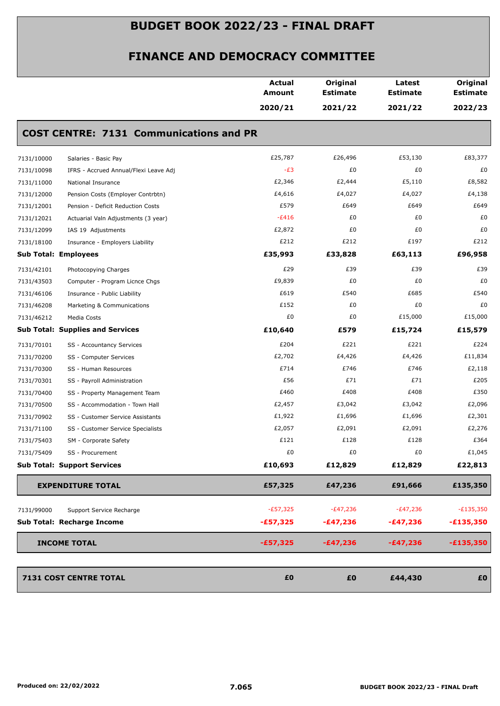|                             |                                                | <b>Actual</b><br>Amount | Original<br><b>Estimate</b> | Latest<br><b>Estimate</b> | Original<br><b>Estimate</b> |
|-----------------------------|------------------------------------------------|-------------------------|-----------------------------|---------------------------|-----------------------------|
|                             |                                                | 2020/21                 | 2021/22                     | 2021/22                   | 2022/23                     |
|                             | <b>COST CENTRE: 7131 Communications and PR</b> |                         |                             |                           |                             |
| 7131/10000                  | Salaries - Basic Pay                           | £25,787                 | £26,496                     | £53,130                   | £83,377                     |
| 7131/10098                  | IFRS - Accrued Annual/Flexi Leave Adj          | $-E3$                   | £0                          | £0                        | £0                          |
| 7131/11000                  | National Insurance                             | £2,346                  | £2,444                      | £5,110                    | £8,582                      |
| 7131/12000                  | Pension Costs (Employer Contrbtn)              | £4,616                  | £4,027                      | £4,027                    | £4,138                      |
| 7131/12001                  | Pension - Deficit Reduction Costs              | £579                    | £649                        | £649                      | £649                        |
| 7131/12021                  | Actuarial Valn Adjustments (3 year)            | $-E416$                 | £0                          | £0                        | £0                          |
| 7131/12099                  | IAS 19 Adjustments                             | £2,872                  | £0                          | £0                        | £0                          |
| 7131/18100                  | Insurance - Employers Liability                | £212                    | £212                        | £197                      | £212                        |
| <b>Sub Total: Employees</b> |                                                | £35,993                 | £33,828                     | £63,113                   | £96,958                     |
| 7131/42101                  | Photocopying Charges                           | £29                     | £39                         | £39                       | £39                         |
| 7131/43503                  | Computer - Program Licnce Chgs                 | £9,839                  | £0                          | £0                        | £0                          |
| 7131/46106                  | Insurance - Public Liability                   | £619                    | £540                        | £685                      | £540                        |
| 7131/46208                  | Marketing & Communications                     | £152                    | £0                          | £0                        | £0                          |
| 7131/46212                  | Media Costs                                    | £0                      | £0                          | £15,000                   | £15,000                     |
|                             | <b>Sub Total: Supplies and Services</b>        | £10,640                 | £579                        | £15,724                   | £15,579                     |
| 7131/70101                  | SS - Accountancy Services                      | £204                    | £221                        | £221                      | £224                        |
| 7131/70200                  | SS - Computer Services                         | £2,702                  | £4,426                      | £4,426                    | £11,834                     |
| 7131/70300                  | SS - Human Resources                           | £714                    | £746                        | £746                      | £2,118                      |
| 7131/70301                  | SS - Payroll Administration                    | £56                     | £71                         | £71                       | £205                        |
| 7131/70400                  | SS - Property Management Team                  | £460                    | £408                        | £408                      | £350                        |
| 7131/70500                  | SS - Accommodation - Town Hall                 | £2,457                  | £3,042                      | £3,042                    | £2,096                      |
| 7131/70902                  | SS - Customer Service Assistants               | £1,922                  | £1,696                      | £1,696                    | £2,301                      |
| 7131/71100                  | SS - Customer Service Specialists              | £2,057                  | £2,091                      | £2,091                    | £2,276                      |
| 7131/75403                  | SM - Corporate Safety                          | £121                    | £128                        | £128                      | £364                        |
| 7131/75409                  | SS - Procurement                               | £0                      | £0                          | £0                        | £1,045                      |
|                             | <b>Sub Total: Support Services</b>             | £10,693                 | £12,829                     | £12,829                   | £22,813                     |
|                             | <b>EXPENDITURE TOTAL</b>                       | £57,325                 | £47,236                     | £91,666                   | £135,350                    |
| 7131/99000                  | Support Service Recharge                       | $-E57,325$              | $-E47,236$                  | $-E47,236$                | $-E135,350$                 |
|                             | Sub Total: Recharge Income                     | $-£57,325$              | $-£47,236$                  | $-£47,236$                | $-£135,350$                 |
|                             | <b>INCOME TOTAL</b>                            | $-£57,325$              | $-£47,236$                  | $-£47,236$                | $-£135,350$                 |
|                             | 7131 COST CENTRE TOTAL                         | £0                      | £0                          | £44,430                   | £0                          |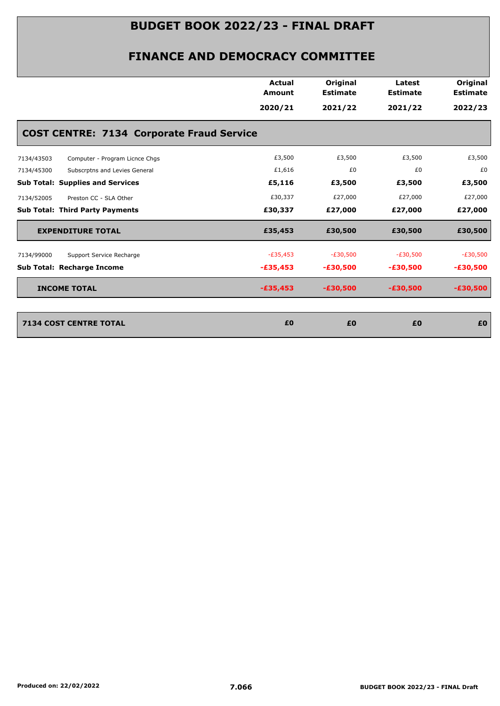|                                                  | <b>Actual</b><br><b>Amount</b> | Original<br><b>Estimate</b> | Latest<br><b>Estimate</b> | Original<br><b>Estimate</b> |
|--------------------------------------------------|--------------------------------|-----------------------------|---------------------------|-----------------------------|
|                                                  | 2020/21                        | 2021/22                     | 2021/22                   | 2022/23                     |
| <b>COST CENTRE: 7134 Corporate Fraud Service</b> |                                |                             |                           |                             |
| Computer - Program Licnce Chgs<br>7134/43503     | £3,500                         | £3,500                      | £3,500                    | £3,500                      |
| 7134/45300<br>Subscrptns and Levies General      | £1,616                         | £0                          | £0                        | £0                          |
| <b>Sub Total: Supplies and Services</b>          | £5,116                         | £3,500                      | £3,500                    | £3,500                      |
| 7134/52005<br>Preston CC - SLA Other             | £30,337                        | £27,000                     | £27,000                   | £27,000                     |
| <b>Sub Total: Third Party Payments</b>           | £30,337                        | £27,000                     | £27,000                   | £27,000                     |
| <b>EXPENDITURE TOTAL</b>                         | £35,453                        | £30,500                     | £30,500                   | £30,500                     |
| Support Service Recharge<br>7134/99000           | $-E35,453$                     | $-E30,500$                  | $-E30,500$                | $-E30,500$                  |
| <b>Sub Total: Recharge Income</b>                | $-£35,453$                     | $-£30,500$                  | $-£30,500$                | $-£30,500$                  |
| <b>INCOME TOTAL</b>                              | $-£35,453$                     | $-£30,500$                  | $-£30,500$                | $-£30,500$                  |
|                                                  |                                |                             | £0                        |                             |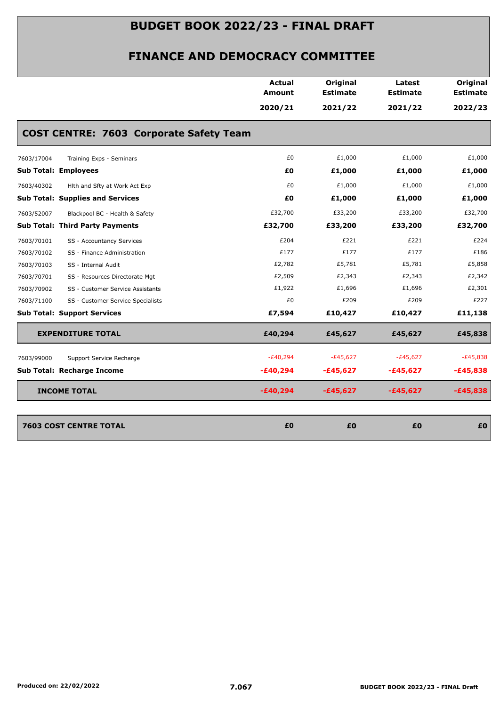|                                                 | Actual<br><b>Amount</b> | Original<br><b>Estimate</b> | Latest<br><b>Estimate</b> | Original<br><b>Estimate</b> |
|-------------------------------------------------|-------------------------|-----------------------------|---------------------------|-----------------------------|
|                                                 | 2020/21                 | 2021/22                     | 2021/22                   | 2022/23                     |
| <b>COST CENTRE: 7603 Corporate Safety Team</b>  |                         |                             |                           |                             |
| 7603/17004<br>Training Exps - Seminars          | £0                      | £1,000                      | £1,000                    | £1,000                      |
| <b>Sub Total: Employees</b>                     | £Ο                      | £1,000                      | £1,000                    | £1,000                      |
| 7603/40302<br>Hith and Sfty at Work Act Exp     | £0                      | £1,000                      | £1,000                    | £1,000                      |
| <b>Sub Total: Supplies and Services</b>         | £Ο                      | £1,000                      | £1,000                    | £1,000                      |
| 7603/52007<br>Blackpool BC - Health & Safety    | £32,700                 | £33,200                     | £33,200                   | £32,700                     |
| <b>Sub Total: Third Party Payments</b>          | £32,700                 | £33,200                     | £33,200                   | £32,700                     |
| 7603/70101<br>SS - Accountancy Services         | £204                    | £221                        | £221                      | £224                        |
| 7603/70102<br>SS - Finance Administration       | £177                    | £177                        | £177                      | £186                        |
| 7603/70103<br>SS - Internal Audit               | £2,782                  | £5,781                      | £5,781                    | £5,858                      |
| 7603/70701<br>SS - Resources Directorate Mgt    | £2,509                  | £2,343                      | £2,343                    | £2,342                      |
| SS - Customer Service Assistants<br>7603/70902  | £1,922                  | £1,696                      | £1,696                    | £2,301                      |
| SS - Customer Service Specialists<br>7603/71100 | £0                      | £209                        | £209                      | £227                        |
| <b>Sub Total: Support Services</b>              | £7,594                  | £10,427                     | £10,427                   | £11,138                     |
| <b>EXPENDITURE TOTAL</b>                        | £40,294                 | £45,627                     | £45,627                   | £45,838                     |
| 7603/99000<br>Support Service Recharge          | $-E40,294$              | $-E45,627$                  | $-£45,627$                | $-E45,838$                  |
| Sub Total: Recharge Income                      | $-£40,294$              | $-£45,627$                  | -£45,627                  | $-£45,838$                  |
| <b>INCOME TOTAL</b>                             | $-£40,294$              | $-£45,627$                  | $-£45,627$                | $-£45,838$                  |
| <b>7603 COST CENTRE TOTAL</b>                   | £0                      | £0                          | £0                        | £0                          |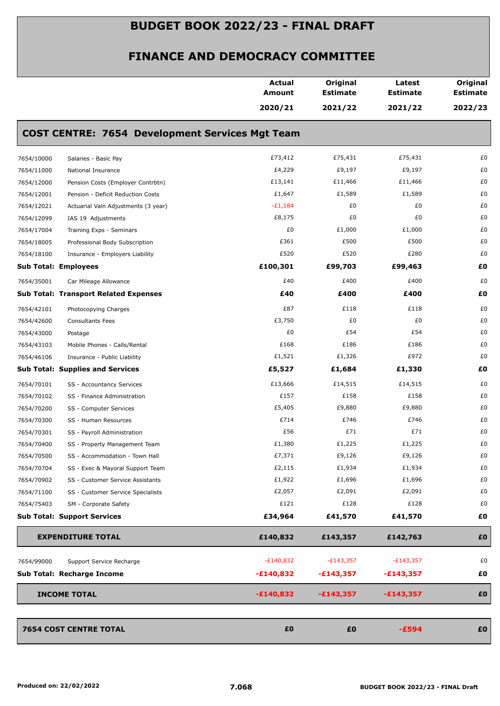|                             |                                                        | <b>Actual</b><br><b>Amount</b> | Original<br><b>Estimate</b> | Latest<br><b>Estimate</b> | Original<br><b>Estimate</b> |
|-----------------------------|--------------------------------------------------------|--------------------------------|-----------------------------|---------------------------|-----------------------------|
|                             |                                                        | 2020/21                        | 2021/22                     | 2021/22                   | 2022/23                     |
|                             | <b>COST CENTRE: 7654 Development Services Mgt Team</b> |                                |                             |                           |                             |
| 7654/10000                  | Salaries - Basic Pay                                   | £73,412                        | £75,431                     | £75,431                   | £0                          |
| 7654/11000                  | National Insurance                                     | £4,229                         | £9,197                      | £9,197                    | £0                          |
| 7654/12000                  | Pension Costs (Employer Contrbtn)                      | £13,141                        | £11,466                     | £11,466                   | £0                          |
| 7654/12001                  | Pension - Deficit Reduction Costs                      | £1,647                         | £1,589                      | £1,589                    | £0                          |
| 7654/12021                  | Actuarial Valn Adjustments (3 year)                    | $-£1,184$                      | £0                          | £0                        | £0                          |
| 7654/12099                  | IAS 19 Adjustments                                     | £8,175                         | £0                          | £0                        | £0                          |
| 7654/17004                  | Training Exps - Seminars                               | £0                             | £1,000                      | £1,000                    | £0                          |
| 7654/18005                  | Professional Body Subscription                         | £361                           | £500                        | £500                      | £0                          |
| 7654/18100                  | Insurance - Employers Liability                        | £520                           | £520                        | £280                      | £0                          |
| <b>Sub Total: Employees</b> |                                                        | £100,301                       | £99,703                     | £99,463                   | £0                          |
| 7654/35001                  | Car Mileage Allowance                                  | £40                            | £400                        | £400                      | £0                          |
|                             | <b>Sub Total: Transport Related Expenses</b>           | £40                            | £400                        | £400                      | £0                          |
| 7654/42101                  | Photocopying Charges                                   | £87                            | £118                        | £118                      | £0                          |
| 7654/42600                  | <b>Consultants Fees</b>                                | £3,750                         | £0                          | £0                        | £0                          |
| 7654/43000                  | Postage                                                | £0                             | £54                         | £54                       | £0                          |
| 7654/43103                  | Mobile Phones - Calls/Rental                           | £168                           | £186                        | £186                      | £0                          |
| 7654/46106                  | Insurance - Public Liability                           | £1,521                         | £1,326                      | £972                      | £0                          |
|                             | <b>Sub Total: Supplies and Services</b>                | £5,527                         | £1,684                      | £1,330                    | £0                          |
| 7654/70101                  | SS - Accountancy Services                              | £13,666                        | £14,515                     | £14,515                   | £0                          |
| 7654/70102                  | SS - Finance Administration                            | £157                           | £158                        | £158                      | £0                          |
| 7654/70200                  | SS - Computer Services                                 | £5,405                         | £9,880                      | £9,880                    | £0                          |
| 7654/70300                  | SS - Human Resources                                   | £714                           | £746                        | £746                      | £0                          |
| 7654/70301                  | SS - Payroll Administration                            | £56                            | £71                         | £71                       | £0                          |
| 7654/70400                  | SS - Property Management Team                          | £1,380                         | £1,225                      | £1,225                    | £0                          |
| 7654/70500                  | SS - Accommodation - Town Hall                         | £7,371                         | £9,126                      | £9,126                    | £0                          |
| 7654/70704                  | SS - Exec & Mayoral Support Team                       | £2,115                         | £1,934                      | £1,934                    | £0                          |
| 7654/70902                  | SS - Customer Service Assistants                       | £1,922                         | £1,696                      | £1,696                    | £0                          |
| 7654/71100                  | SS - Customer Service Specialists                      | £2,057                         | £2,091                      | £2,091                    | £0                          |
| 7654/75403                  | SM - Corporate Safety                                  | £121                           | £128                        | £128                      | £0                          |
|                             | <b>Sub Total: Support Services</b>                     | £34,964                        | £41,570                     | £41,570                   | £0                          |
|                             | <b>EXPENDITURE TOTAL</b>                               | £140,832                       | £143,357                    | £142,763                  | £0                          |
| 7654/99000                  | Support Service Recharge                               | $-E140,832$                    | $-E143,357$                 | $-E143,357$               | £0                          |
|                             | Sub Total: Recharge Income                             | $-£140,832$                    | $-£143,357$                 | $-£143,357$               | £Ο                          |
|                             |                                                        |                                |                             |                           |                             |
|                             | <b>INCOME TOTAL</b>                                    | $-£140,832$                    | $-£143,357$                 | $-£143,357$               | £0                          |
|                             | <b>7654 COST CENTRE TOTAL</b>                          | £0                             | £0                          | $-£594$                   | £0                          |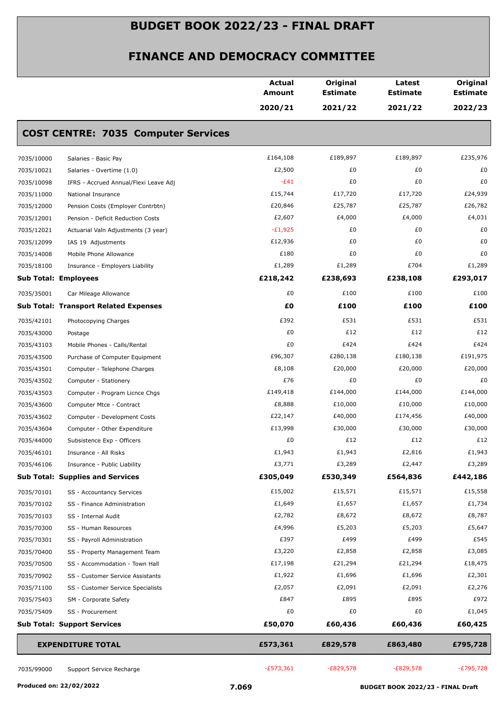|            |                                              | <b>Actual</b><br>Amount | Original<br><b>Estimate</b> | Latest<br><b>Estimate</b> | Original<br><b>Estimate</b> |
|------------|----------------------------------------------|-------------------------|-----------------------------|---------------------------|-----------------------------|
|            |                                              | 2020/21                 | 2021/22                     | 2021/22                   | 2022/23                     |
|            | <b>COST CENTRE: 7035 Computer Services</b>   |                         |                             |                           |                             |
| 7035/10000 | Salaries - Basic Pay                         | £164,108                | £189,897                    | £189,897                  | £235,976                    |
| 7035/10021 | Salaries - Overtime (1.0)                    | £2,500                  | £0                          | £0                        | £0                          |
| 7035/10098 | IFRS - Accrued Annual/Flexi Leave Adj        | $-E41$                  | £0                          | £0                        | £0                          |
| 7035/11000 | National Insurance                           | £15,744                 | £17,720                     | £17,720                   | £24,939                     |
| 7035/12000 | Pension Costs (Employer Contrbtn)            | £20,846                 | £25,787                     | £25,787                   | £26,782                     |
| 7035/12001 | Pension - Deficit Reduction Costs            | £2,607                  | £4,000                      | £4,000                    | £4,031                      |
| 7035/12021 | Actuarial Valn Adjustments (3 year)          | $-E1,925$               | £0                          | £0                        | £0                          |
| 7035/12099 | IAS 19 Adjustments                           | £12,936                 | £0                          | £0                        | £0                          |
| 7035/14008 | Mobile Phone Allowance                       | £180                    | £0                          | £0                        | £0                          |
| 7035/18100 | Insurance - Employers Liability              | £1,289                  | £1,289                      | £704                      | £1,289                      |
|            | <b>Sub Total: Employees</b>                  | £218,242                | £238,693                    | £238,108                  | £293,017                    |
| 7035/35001 | Car Mileage Allowance                        | £0                      | £100                        | £100                      | £100                        |
|            | <b>Sub Total: Transport Related Expenses</b> | £O                      | £100                        | £100                      | £100                        |
| 7035/42101 | Photocopying Charges                         | £392                    | £531                        | £531                      | £531                        |
| 7035/43000 | Postage                                      | £0                      | £12                         | £12                       | £12                         |
| 7035/43103 | Mobile Phones - Calls/Rental                 | £0                      | £424                        | £424                      | £424                        |
| 7035/43500 | Purchase of Computer Equipment               | £96,307                 | £280,138                    | £180,138                  | £191,975                    |
| 7035/43501 | Computer - Telephone Charges                 | £8,108                  | £20,000                     | £20,000                   | £20,000                     |
| 7035/43502 | Computer - Stationery                        | £76                     | £0                          | £0                        | £0                          |
| 7035/43503 | Computer - Program Licnce Chgs               | £149,418                | £144,000                    | £144,000                  | £144,000                    |
| 7035/43600 | Computer Mtce - Contract                     | £8,888                  | £10,000                     | £10,000                   | £10,000                     |
| 7035/43602 | Computer - Development Costs                 | £22,147                 | £40,000                     | £174,456                  | £40,000                     |
| 7035/43604 | Computer - Other Expenditure                 | £13,998                 | £30,000                     | £30,000                   | £30,000                     |
| 7035/44000 | Subsistence Exp - Officers                   | £0                      | £12                         | £12                       | £12                         |
| 7035/46101 | Insurance - All Risks                        | £1,943                  | £1,943                      | £2,816                    | £1,943                      |
| 7035/46106 | Insurance - Public Liability                 | £3,771                  | £3,289                      | £2,447                    | £3,289                      |
|            | <b>Sub Total: Supplies and Services</b>      | £305,049                | £530,349                    | £564,836                  | £442,186                    |
| 7035/70101 | SS - Accountancy Services                    | £15,002                 | £15,571                     | £15,571                   | £15,558                     |
| 7035/70102 | SS - Finance Administration                  | £1,649                  | £1,657                      | £1,657                    | £1,734                      |
| 7035/70103 | SS - Internal Audit                          | £2,782                  | £8,672                      | £8,672                    | £8,787                      |
| 7035/70300 | SS - Human Resources                         | £4,996                  | £5,203                      | £5,203                    | £5,647                      |
| 7035/70301 | SS - Payroll Administration                  | £397                    | £499                        | £499                      | £545                        |
| 7035/70400 | SS - Property Management Team                | £3,220                  | £2,858                      | £2,858                    | £3,085                      |
| 7035/70500 | SS - Accommodation - Town Hall               | £17,198                 | £21,294                     | £21,294                   | £18,475                     |
| 7035/70902 | SS - Customer Service Assistants             | £1,922                  | £1,696                      | £1,696                    | £2,301                      |
| 7035/71100 | SS - Customer Service Specialists            | £2,057                  | £2,091                      | £2,091                    | £2,276                      |
| 7035/75403 | SM - Corporate Safety                        | £847                    | £895                        | £895                      | £972                        |
| 7035/75409 | SS - Procurement                             | £0                      | £0                          | £0                        | £1,045                      |
|            | <b>Sub Total: Support Services</b>           | £50,070                 | £60,436                     | £60,436                   | £60,425                     |
|            | <b>EXPENDITURE TOTAL</b>                     | £573,361                | £829,578                    | £863,480                  | £795,728                    |
|            |                                              | $-£573,361$             | $-E829,578$                 | $-E829,578$               | $-E795,728$                 |
| 7035/99000 | Support Service Recharge                     |                         |                             |                           |                             |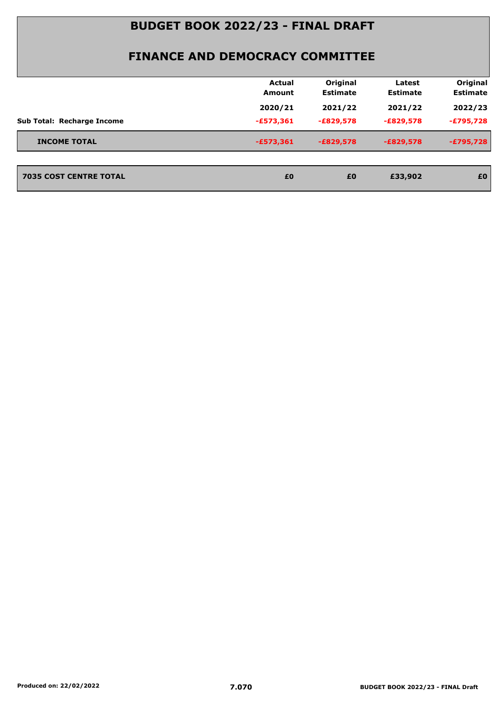|                                   | Actual<br><b>Amount</b> | Original<br><b>Estimate</b> | Latest<br><b>Estimate</b> | Original<br><b>Estimate</b> |
|-----------------------------------|-------------------------|-----------------------------|---------------------------|-----------------------------|
|                                   | 2020/21                 | 2021/22                     | 2021/22                   | 2022/23                     |
| <b>Sub Total: Recharge Income</b> | $-£573,361$             | $-E829,578$                 | $-E829,578$               | $-E795,728$                 |
| <b>INCOME TOTAL</b>               | $-£573,361$             | $-E829,578$                 | $-E829,578$               | $-£795,728$                 |
| <b>7035 COST CENTRE TOTAL</b>     | £0                      | £0                          | £33,902                   | £0                          |
|                                   |                         |                             |                           |                             |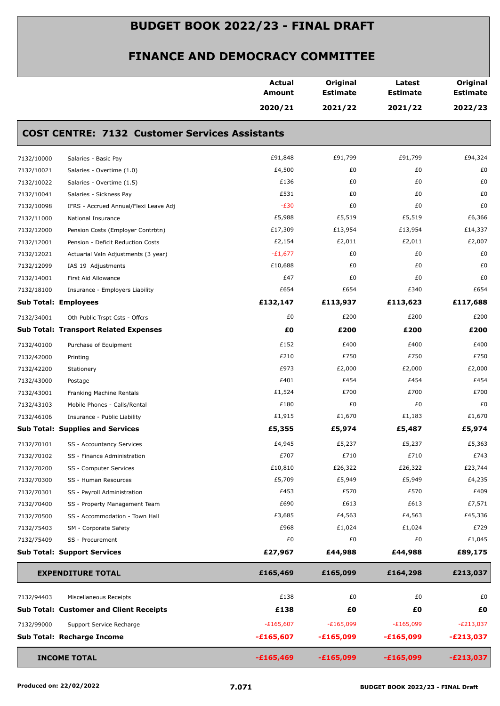|            |                                                       | <b>Actual</b><br><b>Amount</b> | Original<br><b>Estimate</b> | Latest<br><b>Estimate</b> | Original<br><b>Estimate</b> |
|------------|-------------------------------------------------------|--------------------------------|-----------------------------|---------------------------|-----------------------------|
|            |                                                       | 2020/21                        | 2021/22                     | 2021/22                   | 2022/23                     |
|            | <b>COST CENTRE: 7132 Customer Services Assistants</b> |                                |                             |                           |                             |
| 7132/10000 | Salaries - Basic Pay                                  | £91,848                        | £91,799                     | £91,799                   | £94,324                     |
| 7132/10021 | Salaries - Overtime (1.0)                             | £4,500                         | £0                          | £0                        | £0                          |
| 7132/10022 | Salaries - Overtime (1.5)                             | £136                           | £0                          | £0                        | £0                          |
| 7132/10041 | Salaries - Sickness Pay                               | £531                           | £0                          | £0                        | £0                          |
| 7132/10098 | IFRS - Accrued Annual/Flexi Leave Adj                 | $-E30$                         | £0                          | £0                        | £0                          |
| 7132/11000 | National Insurance                                    | £5,988                         | £5,519                      | £5,519                    | £6,366                      |
| 7132/12000 | Pension Costs (Employer Contrbtn)                     | £17,309                        | £13,954                     | £13,954                   | £14,337                     |
| 7132/12001 | Pension - Deficit Reduction Costs                     | £2,154                         | £2,011                      | £2,011                    | £2,007                      |
| 7132/12021 | Actuarial Valn Adjustments (3 year)                   | $-E1,677$                      | £0                          | £0                        | £0                          |
| 7132/12099 | IAS 19 Adjustments                                    | £10,688                        | £0                          | £0                        | £0                          |
| 7132/14001 | First Aid Allowance                                   | £47                            | £0                          | £0                        | £0                          |
| 7132/18100 | Insurance - Employers Liability                       | £654                           | £654                        | £340                      | £654                        |
|            | <b>Sub Total: Employees</b>                           | £132,147                       | £113,937                    | £113,623                  | £117,688                    |
| 7132/34001 | Oth Public Trspt Csts - Offcrs                        | £0                             | £200                        | £200                      | £200                        |
|            | <b>Sub Total: Transport Related Expenses</b>          | £0                             | £200                        | £200                      | £200                        |
| 7132/40100 | Purchase of Equipment                                 | £152                           | £400                        | £400                      | £400                        |
| 7132/42000 | Printing                                              | £210                           | £750                        | £750                      | £750                        |
| 7132/42200 | Stationery                                            | £973                           | £2,000                      | £2,000                    | £2,000                      |
| 7132/43000 | Postage                                               | £401                           | £454                        | £454                      | £454                        |
| 7132/43001 | Franking Machine Rentals                              | £1,524                         | £700                        | £700                      | £700                        |
| 7132/43103 | Mobile Phones - Calls/Rental                          | £180                           | £0                          | £0                        | £0                          |
| 7132/46106 | Insurance - Public Liability                          | £1,915                         | £1,670                      | £1,183                    | £1,670                      |
|            | <b>Sub Total: Supplies and Services</b>               | £5,355                         | £5,974                      | £5,487                    | £5,974                      |
| 7132/70101 | SS - Accountancy Services                             | £4,945                         | £5,237                      | £5,237                    | £5,363                      |
| 7132/70102 | SS - Finance Administration                           | £707                           | £710                        | £710                      | £743                        |
| 7132/70200 | SS - Computer Services                                | £10,810                        | £26,322                     | £26,322                   | £23,744                     |
| 7132/70300 | SS - Human Resources                                  | £5,709                         | £5,949                      | £5,949                    | £4,235                      |
| 7132/70301 | SS - Payroll Administration                           | £453                           | £570                        | £570                      | £409                        |
| 7132/70400 | SS - Property Management Team                         | £690                           | £613                        | £613                      | £7,571                      |
| 7132/70500 | SS - Accommodation - Town Hall                        | £3,685                         | £4,563                      | £4,563                    | £45,336                     |
| 7132/75403 | SM - Corporate Safety                                 | £968                           | £1,024                      | £1,024                    | £729                        |
| 7132/75409 | SS - Procurement                                      | £0                             | £0                          | £0                        | £1,045                      |
|            | <b>Sub Total: Support Services</b>                    | £27,967                        | £44,988                     | £44,988                   | £89,175                     |
|            | <b>EXPENDITURE TOTAL</b>                              | £165,469                       | £165,099                    | £164,298                  | £213,037                    |
| 7132/94403 | Miscellaneous Receipts                                | £138                           | £0                          | £0                        | £0                          |
|            | <b>Sub Total: Customer and Client Receipts</b>        | £138                           | £0                          | £0                        | £0                          |
|            |                                                       |                                |                             |                           |                             |
| 7132/99000 | Support Service Recharge                              | $-£165,607$                    | $-E165,099$                 | $-E165,099$               | $-E213,037$                 |
|            | Sub Total: Recharge Income                            | $-£165,607$                    | $-£165,099$                 | -£165,099                 | $-E213,037$                 |
|            | <b>INCOME TOTAL</b>                                   | $-£165,469$                    | $-£165,099$                 | $-£165,099$               | $-E213,037$                 |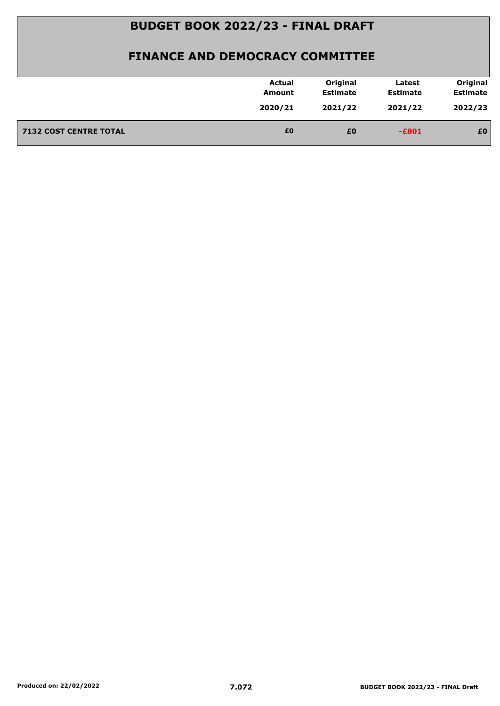|                               | <b>Actual</b><br>Amount | Original<br><b>Estimate</b> | Latest<br><b>Estimate</b> | Original<br><b>Estimate</b> |
|-------------------------------|-------------------------|-----------------------------|---------------------------|-----------------------------|
|                               | 2020/21                 | 2021/22                     | 2021/22                   | 2022/23                     |
| <b>7132 COST CENTRE TOTAL</b> | £0                      | £0                          | $-E801$                   | £0                          |
|                               |                         |                             |                           |                             |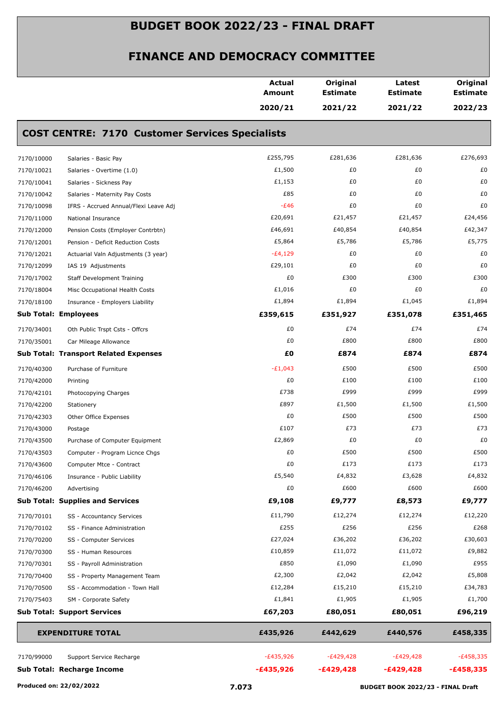|                             |                                                        | <b>Actual</b><br>Amount | Original<br><b>Estimate</b> | Latest<br><b>Estimate</b> | Original<br><b>Estimate</b> |
|-----------------------------|--------------------------------------------------------|-------------------------|-----------------------------|---------------------------|-----------------------------|
|                             |                                                        | 2020/21                 | 2021/22                     | 2021/22                   | 2022/23                     |
|                             | <b>COST CENTRE: 7170 Customer Services Specialists</b> |                         |                             |                           |                             |
| 7170/10000                  | Salaries - Basic Pay                                   | £255,795                | £281,636                    | £281,636                  | £276,693                    |
| 7170/10021                  | Salaries - Overtime (1.0)                              | £1,500                  | £0                          | £0                        | £0                          |
| 7170/10041                  | Salaries - Sickness Pay                                | £1,153                  | £0                          | £0                        | £0                          |
| 7170/10042                  | Salaries - Maternity Pay Costs                         | £85                     | £0                          | £0                        | £0                          |
| 7170/10098                  | IFRS - Accrued Annual/Flexi Leave Adj                  | $-E46$                  | £0                          | £0                        | £0                          |
| 7170/11000                  | National Insurance                                     | £20,691                 | £21,457                     | £21,457                   | £24,456                     |
| 7170/12000                  | Pension Costs (Employer Contrbtn)                      | £46,691                 | £40,854                     | £40,854                   | £42,347                     |
| 7170/12001                  | Pension - Deficit Reduction Costs                      | £5,864                  | £5,786                      | £5,786                    | £5,775                      |
| 7170/12021                  | Actuarial Valn Adjustments (3 year)                    | $-E4,129$               | £0                          | £0                        | £0                          |
| 7170/12099                  | IAS 19 Adjustments                                     | £29,101                 | £0                          | £0                        | £0                          |
| 7170/17002                  | <b>Staff Development Training</b>                      | £0                      | £300                        | £300                      | £300                        |
| 7170/18004                  | Misc Occupational Health Costs                         | £1,016                  | £0                          | £0                        | £0                          |
| 7170/18100                  | Insurance - Employers Liability                        | £1,894                  | £1,894                      | £1,045                    | £1,894                      |
| <b>Sub Total: Employees</b> |                                                        | £359,615                | £351,927                    | £351,078                  | £351,465                    |
| 7170/34001                  | Oth Public Trspt Csts - Offcrs                         | £0                      | £74                         | £74                       | £74                         |
| 7170/35001                  | Car Mileage Allowance                                  | £0                      | £800                        | £800                      | £800                        |
|                             | <b>Sub Total: Transport Related Expenses</b>           | £0                      | £874                        | £874                      | £874                        |
| 7170/40300                  | Purchase of Furniture                                  | $-E1,043$               | £500                        | £500                      | £500                        |
| 7170/42000                  | Printing                                               | £0                      | £100                        | £100                      | £100                        |
| 7170/42101                  | Photocopying Charges                                   | £738                    | £999                        | £999                      | £999                        |
| 7170/42200                  | Stationery                                             | £897                    | £1,500                      | £1,500                    | £1,500                      |
| 7170/42303                  | Other Office Expenses                                  | £0                      | £500                        | £500                      | £500                        |
| 7170/43000                  | Postage                                                | £107                    | £73                         | £73                       | £73                         |
| 7170/43500                  | Purchase of Computer Equipment                         | £2,869                  | £0                          | £0                        | £0                          |
| 7170/43503                  | Computer - Program Licnce Chgs                         | £0                      | £500                        | £500                      | £500                        |
| 7170/43600                  | Computer Mtce - Contract                               | £0                      | £173                        | £173                      | £173                        |
| 7170/46106                  | Insurance - Public Liability                           | £5,540                  | £4,832                      | £3,628                    | £4,832                      |
| 7170/46200                  | Advertising                                            | £0                      | £600                        | £600                      | £600                        |
|                             | <b>Sub Total: Supplies and Services</b>                | £9,108                  | £9,777                      | £8,573                    | £9,777                      |
| 7170/70101                  | SS - Accountancy Services                              | £11,790                 | £12,274                     | £12,274                   | £12,220                     |
| 7170/70102                  | SS - Finance Administration                            | £255                    | £256                        | £256                      | £268                        |
| 7170/70200                  | SS - Computer Services                                 | £27,024                 | £36,202                     | £36,202                   | £30,603                     |
| 7170/70300                  | SS - Human Resources                                   | £10,859                 | £11,072                     | £11,072                   | £9,882                      |
| 7170/70301                  | SS - Payroll Administration                            | £850                    | £1,090                      | £1,090                    | £955                        |
| 7170/70400                  | SS - Property Management Team                          | £2,300                  | £2,042                      | £2,042                    | £5,808                      |
| 7170/70500                  | SS - Accommodation - Town Hall                         | £12,284                 | £15,210                     | £15,210                   | £34,783                     |
| 7170/75403                  | SM - Corporate Safety                                  | £1,841                  | £1,905                      | £1,905                    | £1,700                      |
|                             | <b>Sub Total: Support Services</b>                     | £67,203                 | £80,051                     | £80,051                   | £96,219                     |
|                             | <b>EXPENDITURE TOTAL</b>                               | £435,926                | £442,629                    | £440,576                  | £458,335                    |
| 7170/99000                  |                                                        | $-E435,926$             | $-E429,428$                 | $-E429,428$               | -£458,335                   |
|                             | Support Service Recharge                               |                         |                             |                           |                             |
|                             | Sub Total: Recharge Income                             | $-£435,926$             | $-£429,428$                 | $-£429,428$               | $-£458,335$                 |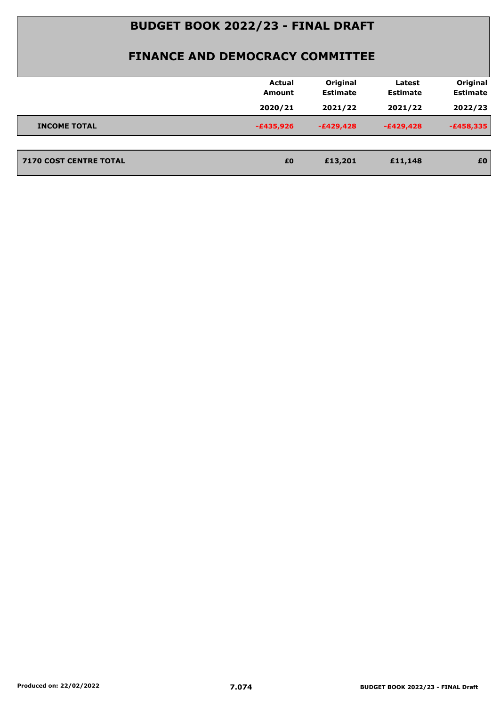|                               | <b>Actual</b><br><b>Amount</b> | Original<br><b>Estimate</b> | Latest<br><b>Estimate</b> | Original<br><b>Estimate</b> |
|-------------------------------|--------------------------------|-----------------------------|---------------------------|-----------------------------|
|                               | 2020/21                        | 2021/22                     | 2021/22                   | 2022/23                     |
| <b>INCOME TOTAL</b>           | $-£435,926$                    | $-E429,428$                 | $-E429,428$               | $-£458,335$                 |
|                               |                                |                             |                           |                             |
| <b>7170 COST CENTRE TOTAL</b> | £0                             | £13,201                     | £11,148                   | £0                          |
|                               |                                |                             |                           |                             |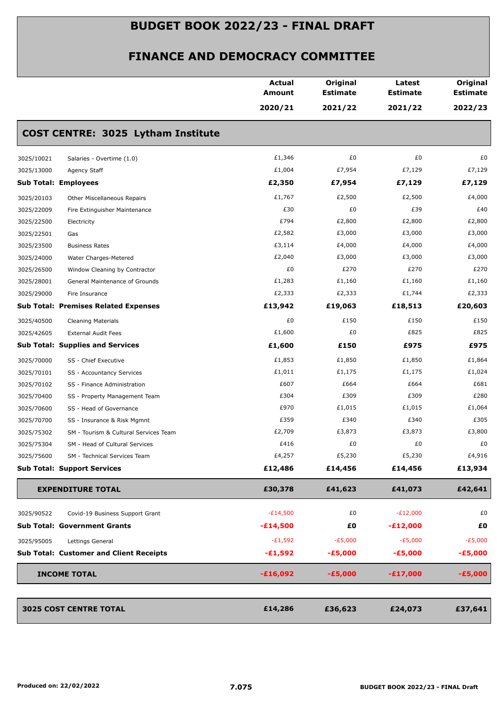|                                                                                                                                                                                                                                                                                                                                                                                                                                                                                                                                                                                                                                                                                                                                                                                                                                                                                                                                                                                                                                                                                                                                                                                                                                                                                                                                                                                                                                                                                                                                                                                                                                                                                                                                                                                                                                                                                                                                                                                                                                                                                                 |                                                | <b>Actual</b><br><b>Amount</b> | Original<br><b>Estimate</b> | Latest<br><b>Estimate</b> |           |  |  |
|-------------------------------------------------------------------------------------------------------------------------------------------------------------------------------------------------------------------------------------------------------------------------------------------------------------------------------------------------------------------------------------------------------------------------------------------------------------------------------------------------------------------------------------------------------------------------------------------------------------------------------------------------------------------------------------------------------------------------------------------------------------------------------------------------------------------------------------------------------------------------------------------------------------------------------------------------------------------------------------------------------------------------------------------------------------------------------------------------------------------------------------------------------------------------------------------------------------------------------------------------------------------------------------------------------------------------------------------------------------------------------------------------------------------------------------------------------------------------------------------------------------------------------------------------------------------------------------------------------------------------------------------------------------------------------------------------------------------------------------------------------------------------------------------------------------------------------------------------------------------------------------------------------------------------------------------------------------------------------------------------------------------------------------------------------------------------------------------------|------------------------------------------------|--------------------------------|-----------------------------|---------------------------|-----------|--|--|
|                                                                                                                                                                                                                                                                                                                                                                                                                                                                                                                                                                                                                                                                                                                                                                                                                                                                                                                                                                                                                                                                                                                                                                                                                                                                                                                                                                                                                                                                                                                                                                                                                                                                                                                                                                                                                                                                                                                                                                                                                                                                                                 |                                                | 2020/21                        | 2021/22                     | 2021/22                   |           |  |  |
| Original<br><b>Estimate</b><br>2022/23<br>COST CENTRE: 3025 Lytham Institute<br>£1,346<br>£0<br>£0<br>£0<br>3025/10021<br>Salaries - Overtime (1.0)<br>£1,004<br>£7,954<br>£7,129<br>£7,129<br>3025/13000<br>Agency Staff<br>£2,350<br><b>Sub Total: Employees</b><br>£7,954<br>£7,129<br>£7,129<br>£1,767<br>£2,500<br>£2,500<br>£4,000<br>3025/20103<br>Other Miscellaneous Repairs<br>£30<br>£0<br>£39<br>£40<br>3025/22009<br>Fire Extinguisher Maintenance<br>£794<br>£2,800<br>£2,800<br>£2,800<br>3025/22500<br>Electricity<br>£2,582<br>£3,000<br>£3,000<br>£3,000<br>3025/22501<br>Gas<br>£3,114<br>£4,000<br>£4,000<br>£4,000<br>3025/23500<br><b>Business Rates</b><br>£2,040<br>£3,000<br>£3,000<br>£3,000<br>3025/24000<br>Water Charges-Metered<br>£270<br>£0<br>£270<br>£270<br>3025/26500<br>Window Cleaning by Contractor<br>£1,283<br>£1,160<br>£1,160<br>£1,160<br>3025/28001<br>General Maintenance of Grounds<br>£2,333<br>£2,333<br>£2,333<br>£1,744<br>3025/29000<br>Fire Insurance<br><b>Sub Total: Premises Related Expenses</b><br>£13,942<br>£19,063<br>£18,513<br>£20,603<br>£0<br>£150<br>£150<br>£150<br>3025/40500<br><b>Cleaning Materials</b><br>£1,600<br>£0<br>£825<br>£825<br>3025/42605<br><b>External Audit Fees</b><br>£1,600<br>£975<br><b>Sub Total: Supplies and Services</b><br>£150<br>£975<br>£1,853<br>£1,850<br>£1,850<br>£1,864<br>3025/70000<br>SS - Chief Executive<br>£1,011<br>£1,175<br>£1,175<br>£1,024<br>3025/70101<br>SS - Accountancy Services<br>£607<br>£664<br>£681<br>£664<br>3025/70102<br>SS - Finance Administration<br>£309<br>£280<br>£304<br>£309<br>3025/70400<br>SS - Property Management Team<br>£970<br>£1,015<br>£1,064<br>£1,015<br>3025/70600<br>SS - Head of Governance<br>£359<br>£340<br>£340<br>£305<br>3025/70700<br>SS - Insurance & Risk Mgmnt<br>£2,709<br>£3,873<br>£3,873<br>£3,800<br>3025/75302<br>SM - Tourism & Cultural Services Team<br>£0<br>£0<br>£416<br>£0<br>3025/75304<br>SM - Head of Cultural Services<br>£5,230<br>£5,230<br>£4,257<br>£4,916<br>3025/75600<br>SM - Technical Services Team |                                                |                                |                             |                           |           |  |  |
|                                                                                                                                                                                                                                                                                                                                                                                                                                                                                                                                                                                                                                                                                                                                                                                                                                                                                                                                                                                                                                                                                                                                                                                                                                                                                                                                                                                                                                                                                                                                                                                                                                                                                                                                                                                                                                                                                                                                                                                                                                                                                                 |                                                |                                |                             |                           |           |  |  |
|                                                                                                                                                                                                                                                                                                                                                                                                                                                                                                                                                                                                                                                                                                                                                                                                                                                                                                                                                                                                                                                                                                                                                                                                                                                                                                                                                                                                                                                                                                                                                                                                                                                                                                                                                                                                                                                                                                                                                                                                                                                                                                 |                                                |                                |                             |                           |           |  |  |
|                                                                                                                                                                                                                                                                                                                                                                                                                                                                                                                                                                                                                                                                                                                                                                                                                                                                                                                                                                                                                                                                                                                                                                                                                                                                                                                                                                                                                                                                                                                                                                                                                                                                                                                                                                                                                                                                                                                                                                                                                                                                                                 |                                                |                                |                             |                           |           |  |  |
|                                                                                                                                                                                                                                                                                                                                                                                                                                                                                                                                                                                                                                                                                                                                                                                                                                                                                                                                                                                                                                                                                                                                                                                                                                                                                                                                                                                                                                                                                                                                                                                                                                                                                                                                                                                                                                                                                                                                                                                                                                                                                                 |                                                |                                |                             |                           |           |  |  |
|                                                                                                                                                                                                                                                                                                                                                                                                                                                                                                                                                                                                                                                                                                                                                                                                                                                                                                                                                                                                                                                                                                                                                                                                                                                                                                                                                                                                                                                                                                                                                                                                                                                                                                                                                                                                                                                                                                                                                                                                                                                                                                 |                                                |                                |                             |                           |           |  |  |
|                                                                                                                                                                                                                                                                                                                                                                                                                                                                                                                                                                                                                                                                                                                                                                                                                                                                                                                                                                                                                                                                                                                                                                                                                                                                                                                                                                                                                                                                                                                                                                                                                                                                                                                                                                                                                                                                                                                                                                                                                                                                                                 |                                                |                                |                             |                           |           |  |  |
|                                                                                                                                                                                                                                                                                                                                                                                                                                                                                                                                                                                                                                                                                                                                                                                                                                                                                                                                                                                                                                                                                                                                                                                                                                                                                                                                                                                                                                                                                                                                                                                                                                                                                                                                                                                                                                                                                                                                                                                                                                                                                                 |                                                |                                |                             |                           |           |  |  |
|                                                                                                                                                                                                                                                                                                                                                                                                                                                                                                                                                                                                                                                                                                                                                                                                                                                                                                                                                                                                                                                                                                                                                                                                                                                                                                                                                                                                                                                                                                                                                                                                                                                                                                                                                                                                                                                                                                                                                                                                                                                                                                 |                                                |                                |                             |                           |           |  |  |
|                                                                                                                                                                                                                                                                                                                                                                                                                                                                                                                                                                                                                                                                                                                                                                                                                                                                                                                                                                                                                                                                                                                                                                                                                                                                                                                                                                                                                                                                                                                                                                                                                                                                                                                                                                                                                                                                                                                                                                                                                                                                                                 |                                                |                                |                             |                           |           |  |  |
|                                                                                                                                                                                                                                                                                                                                                                                                                                                                                                                                                                                                                                                                                                                                                                                                                                                                                                                                                                                                                                                                                                                                                                                                                                                                                                                                                                                                                                                                                                                                                                                                                                                                                                                                                                                                                                                                                                                                                                                                                                                                                                 |                                                |                                |                             |                           |           |  |  |
|                                                                                                                                                                                                                                                                                                                                                                                                                                                                                                                                                                                                                                                                                                                                                                                                                                                                                                                                                                                                                                                                                                                                                                                                                                                                                                                                                                                                                                                                                                                                                                                                                                                                                                                                                                                                                                                                                                                                                                                                                                                                                                 |                                                |                                |                             |                           |           |  |  |
|                                                                                                                                                                                                                                                                                                                                                                                                                                                                                                                                                                                                                                                                                                                                                                                                                                                                                                                                                                                                                                                                                                                                                                                                                                                                                                                                                                                                                                                                                                                                                                                                                                                                                                                                                                                                                                                                                                                                                                                                                                                                                                 |                                                |                                |                             |                           |           |  |  |
|                                                                                                                                                                                                                                                                                                                                                                                                                                                                                                                                                                                                                                                                                                                                                                                                                                                                                                                                                                                                                                                                                                                                                                                                                                                                                                                                                                                                                                                                                                                                                                                                                                                                                                                                                                                                                                                                                                                                                                                                                                                                                                 |                                                |                                |                             |                           |           |  |  |
|                                                                                                                                                                                                                                                                                                                                                                                                                                                                                                                                                                                                                                                                                                                                                                                                                                                                                                                                                                                                                                                                                                                                                                                                                                                                                                                                                                                                                                                                                                                                                                                                                                                                                                                                                                                                                                                                                                                                                                                                                                                                                                 |                                                |                                |                             |                           |           |  |  |
|                                                                                                                                                                                                                                                                                                                                                                                                                                                                                                                                                                                                                                                                                                                                                                                                                                                                                                                                                                                                                                                                                                                                                                                                                                                                                                                                                                                                                                                                                                                                                                                                                                                                                                                                                                                                                                                                                                                                                                                                                                                                                                 |                                                |                                |                             |                           |           |  |  |
|                                                                                                                                                                                                                                                                                                                                                                                                                                                                                                                                                                                                                                                                                                                                                                                                                                                                                                                                                                                                                                                                                                                                                                                                                                                                                                                                                                                                                                                                                                                                                                                                                                                                                                                                                                                                                                                                                                                                                                                                                                                                                                 |                                                |                                |                             |                           |           |  |  |
|                                                                                                                                                                                                                                                                                                                                                                                                                                                                                                                                                                                                                                                                                                                                                                                                                                                                                                                                                                                                                                                                                                                                                                                                                                                                                                                                                                                                                                                                                                                                                                                                                                                                                                                                                                                                                                                                                                                                                                                                                                                                                                 |                                                |                                |                             |                           |           |  |  |
|                                                                                                                                                                                                                                                                                                                                                                                                                                                                                                                                                                                                                                                                                                                                                                                                                                                                                                                                                                                                                                                                                                                                                                                                                                                                                                                                                                                                                                                                                                                                                                                                                                                                                                                                                                                                                                                                                                                                                                                                                                                                                                 |                                                |                                |                             |                           |           |  |  |
|                                                                                                                                                                                                                                                                                                                                                                                                                                                                                                                                                                                                                                                                                                                                                                                                                                                                                                                                                                                                                                                                                                                                                                                                                                                                                                                                                                                                                                                                                                                                                                                                                                                                                                                                                                                                                                                                                                                                                                                                                                                                                                 |                                                |                                |                             |                           |           |  |  |
|                                                                                                                                                                                                                                                                                                                                                                                                                                                                                                                                                                                                                                                                                                                                                                                                                                                                                                                                                                                                                                                                                                                                                                                                                                                                                                                                                                                                                                                                                                                                                                                                                                                                                                                                                                                                                                                                                                                                                                                                                                                                                                 |                                                |                                |                             |                           |           |  |  |
|                                                                                                                                                                                                                                                                                                                                                                                                                                                                                                                                                                                                                                                                                                                                                                                                                                                                                                                                                                                                                                                                                                                                                                                                                                                                                                                                                                                                                                                                                                                                                                                                                                                                                                                                                                                                                                                                                                                                                                                                                                                                                                 |                                                |                                |                             |                           |           |  |  |
|                                                                                                                                                                                                                                                                                                                                                                                                                                                                                                                                                                                                                                                                                                                                                                                                                                                                                                                                                                                                                                                                                                                                                                                                                                                                                                                                                                                                                                                                                                                                                                                                                                                                                                                                                                                                                                                                                                                                                                                                                                                                                                 |                                                |                                |                             |                           |           |  |  |
|                                                                                                                                                                                                                                                                                                                                                                                                                                                                                                                                                                                                                                                                                                                                                                                                                                                                                                                                                                                                                                                                                                                                                                                                                                                                                                                                                                                                                                                                                                                                                                                                                                                                                                                                                                                                                                                                                                                                                                                                                                                                                                 |                                                |                                |                             |                           |           |  |  |
|                                                                                                                                                                                                                                                                                                                                                                                                                                                                                                                                                                                                                                                                                                                                                                                                                                                                                                                                                                                                                                                                                                                                                                                                                                                                                                                                                                                                                                                                                                                                                                                                                                                                                                                                                                                                                                                                                                                                                                                                                                                                                                 |                                                |                                |                             |                           |           |  |  |
|                                                                                                                                                                                                                                                                                                                                                                                                                                                                                                                                                                                                                                                                                                                                                                                                                                                                                                                                                                                                                                                                                                                                                                                                                                                                                                                                                                                                                                                                                                                                                                                                                                                                                                                                                                                                                                                                                                                                                                                                                                                                                                 |                                                |                                |                             |                           |           |  |  |
|                                                                                                                                                                                                                                                                                                                                                                                                                                                                                                                                                                                                                                                                                                                                                                                                                                                                                                                                                                                                                                                                                                                                                                                                                                                                                                                                                                                                                                                                                                                                                                                                                                                                                                                                                                                                                                                                                                                                                                                                                                                                                                 | <b>Sub Total: Support Services</b>             | £12,486                        | £14,456                     | £14,456                   | £13,934   |  |  |
|                                                                                                                                                                                                                                                                                                                                                                                                                                                                                                                                                                                                                                                                                                                                                                                                                                                                                                                                                                                                                                                                                                                                                                                                                                                                                                                                                                                                                                                                                                                                                                                                                                                                                                                                                                                                                                                                                                                                                                                                                                                                                                 | <b>EXPENDITURE TOTAL</b>                       | £30,378                        | £41,623                     | £41,073                   | £42,641   |  |  |
| 3025/90522                                                                                                                                                                                                                                                                                                                                                                                                                                                                                                                                                                                                                                                                                                                                                                                                                                                                                                                                                                                                                                                                                                                                                                                                                                                                                                                                                                                                                                                                                                                                                                                                                                                                                                                                                                                                                                                                                                                                                                                                                                                                                      | Covid-19 Business Support Grant                | $-E14,500$                     | £0                          | $-E12,000$                | £0        |  |  |
|                                                                                                                                                                                                                                                                                                                                                                                                                                                                                                                                                                                                                                                                                                                                                                                                                                                                                                                                                                                                                                                                                                                                                                                                                                                                                                                                                                                                                                                                                                                                                                                                                                                                                                                                                                                                                                                                                                                                                                                                                                                                                                 | <b>Sub Total: Government Grants</b>            | $-£14,500$                     | £0                          | $-E12,000$                | £0        |  |  |
| 3025/95005                                                                                                                                                                                                                                                                                                                                                                                                                                                                                                                                                                                                                                                                                                                                                                                                                                                                                                                                                                                                                                                                                                                                                                                                                                                                                                                                                                                                                                                                                                                                                                                                                                                                                                                                                                                                                                                                                                                                                                                                                                                                                      | Lettings General                               | $-E1,592$                      | $-E5,000$                   | $-E5,000$                 | $-E5,000$ |  |  |
|                                                                                                                                                                                                                                                                                                                                                                                                                                                                                                                                                                                                                                                                                                                                                                                                                                                                                                                                                                                                                                                                                                                                                                                                                                                                                                                                                                                                                                                                                                                                                                                                                                                                                                                                                                                                                                                                                                                                                                                                                                                                                                 | <b>Sub Total: Customer and Client Receipts</b> | $-£1,592$                      | $-£5,000$                   | $-£5,000$                 | $-£5,000$ |  |  |
|                                                                                                                                                                                                                                                                                                                                                                                                                                                                                                                                                                                                                                                                                                                                                                                                                                                                                                                                                                                                                                                                                                                                                                                                                                                                                                                                                                                                                                                                                                                                                                                                                                                                                                                                                                                                                                                                                                                                                                                                                                                                                                 |                                                |                                |                             |                           |           |  |  |
|                                                                                                                                                                                                                                                                                                                                                                                                                                                                                                                                                                                                                                                                                                                                                                                                                                                                                                                                                                                                                                                                                                                                                                                                                                                                                                                                                                                                                                                                                                                                                                                                                                                                                                                                                                                                                                                                                                                                                                                                                                                                                                 | <b>INCOME TOTAL</b>                            | $-£16,092$                     | $-£5,000$                   | $-£17,000$                | $-£5,000$ |  |  |
|                                                                                                                                                                                                                                                                                                                                                                                                                                                                                                                                                                                                                                                                                                                                                                                                                                                                                                                                                                                                                                                                                                                                                                                                                                                                                                                                                                                                                                                                                                                                                                                                                                                                                                                                                                                                                                                                                                                                                                                                                                                                                                 | <b>3025 COST CENTRE TOTAL</b>                  | £14,286                        | £36,623                     | £24,073                   | £37,641   |  |  |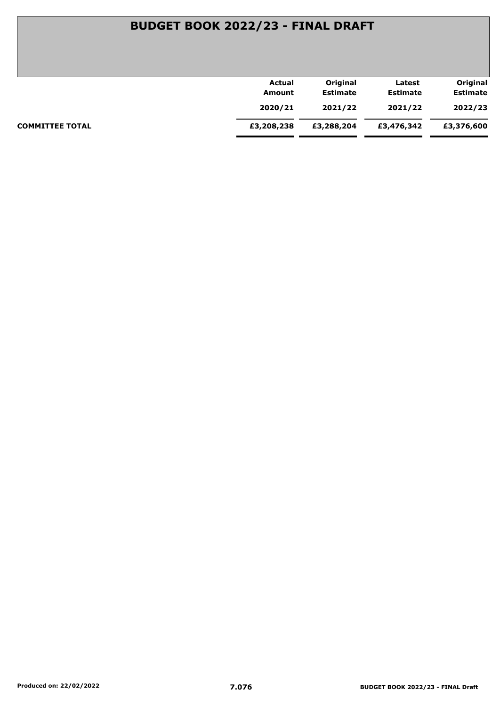|                        | Actual     | Original        | Latest          | Original        |
|------------------------|------------|-----------------|-----------------|-----------------|
|                        | Amount     | <b>Estimate</b> | <b>Estimate</b> | <b>Estimate</b> |
|                        | 2020/21    | 2021/22         | 2021/22         | 2022/23         |
| <b>COMMITTEE TOTAL</b> | £3,208,238 | £3,288,204      | £3,476,342      | £3,376,600      |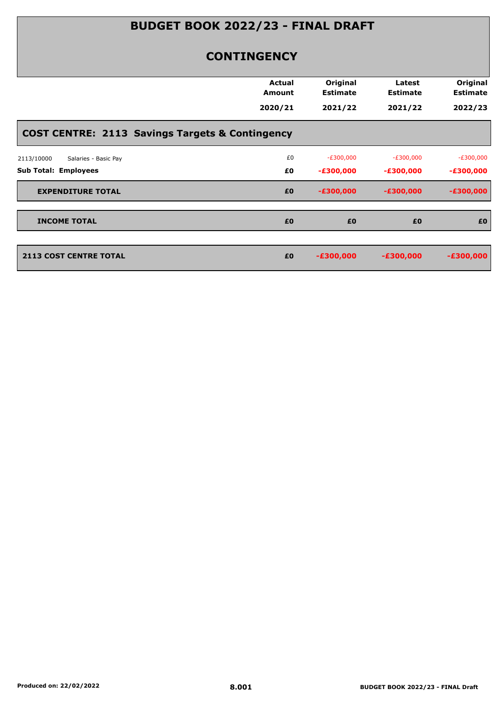### **CONTINGENCY**

|                                                            | Actual<br><b>Amount</b> | Original<br><b>Estimate</b> | Latest<br><b>Estimate</b> | Original<br><b>Estimate</b> |
|------------------------------------------------------------|-------------------------|-----------------------------|---------------------------|-----------------------------|
|                                                            | 2020/21                 | 2021/22                     | 2021/22                   | 2022/23                     |
| <b>COST CENTRE: 2113 Savings Targets &amp; Contingency</b> |                         |                             |                           |                             |
| Salaries - Basic Pay<br>2113/10000                         | £0                      | $-E300,000$                 | $-E300,000$               | $-E300,000$                 |
| <b>Sub Total: Employees</b>                                | £0                      | $-£300,000$                 | $-£300,000$               | $-£300,000$                 |
| <b>EXPENDITURE TOTAL</b>                                   | £0                      | $-£300,000$                 | $-£300,000$               | $-£300,000$                 |
| <b>INCOME TOTAL</b>                                        | £0                      | £0                          | £0                        | £0                          |
| <b>2113 COST CENTRE TOTAL</b>                              | £0                      | $-£300,000$                 | $-£300,000$               | $-£300,000$                 |
|                                                            |                         |                             |                           |                             |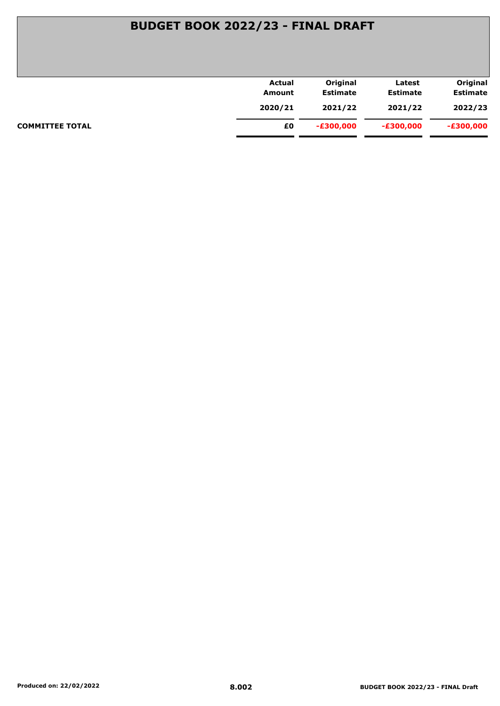|                        | <b>Actual</b> | Original        | Latest          | Original        |
|------------------------|---------------|-----------------|-----------------|-----------------|
|                        | Amount        | <b>Estimate</b> | <b>Estimate</b> | <b>Estimate</b> |
|                        | 2020/21       | 2021/22         | 2021/22         | 2022/23         |
| <b>COMMITTEE TOTAL</b> | £0            | -£300,000       | $-£300,000$     | -£300,000       |
|                        |               |                 |                 |                 |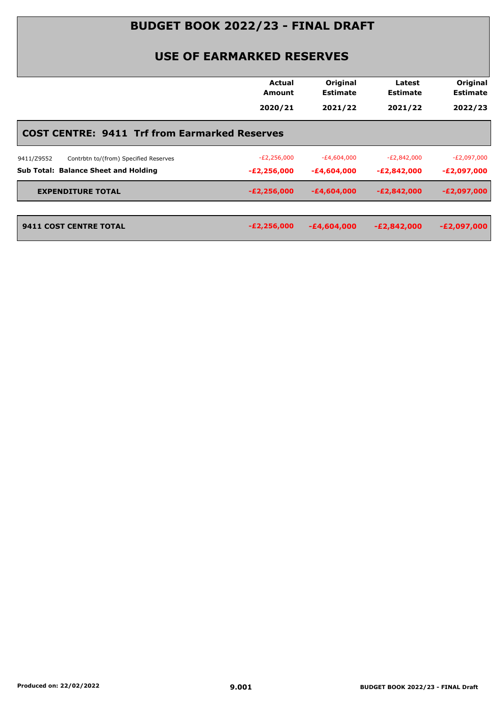### **USE OF EARMARKED RESERVES**

|                                                      | <b>Actual</b><br>Amount | Original<br><b>Estimate</b> | Latest<br><b>Estimate</b> | Original<br><b>Estimate</b> |
|------------------------------------------------------|-------------------------|-----------------------------|---------------------------|-----------------------------|
|                                                      | 2020/21                 | 2021/22                     | 2021/22                   | 2022/23                     |
| <b>COST CENTRE: 9411 Trf from Earmarked Reserves</b> |                         |                             |                           |                             |
| Contrbtn to/(from) Specified Reserves<br>9411/Z9552  | $-E2,256,000$           | $-E4,604,000$               | -£2,842,000               | $-E2,097,000$               |
| <b>Sub Total: Balance Sheet and Holding</b>          | $-E2,256,000$           | -£4,604,000                 | $-E2,842,000$             | -£2,097,000                 |
| <b>EXPENDITURE TOTAL</b>                             | $-E2,256,000$           | $-£4,604,000$               | $-E2,842,000$             | $-E2,097,000$               |
| 9411 COST CENTRE TOTAL                               | $-E2,256,000$           | $-E4,604,000$               | $-E2,842,000$             | $-E2,097,000$               |